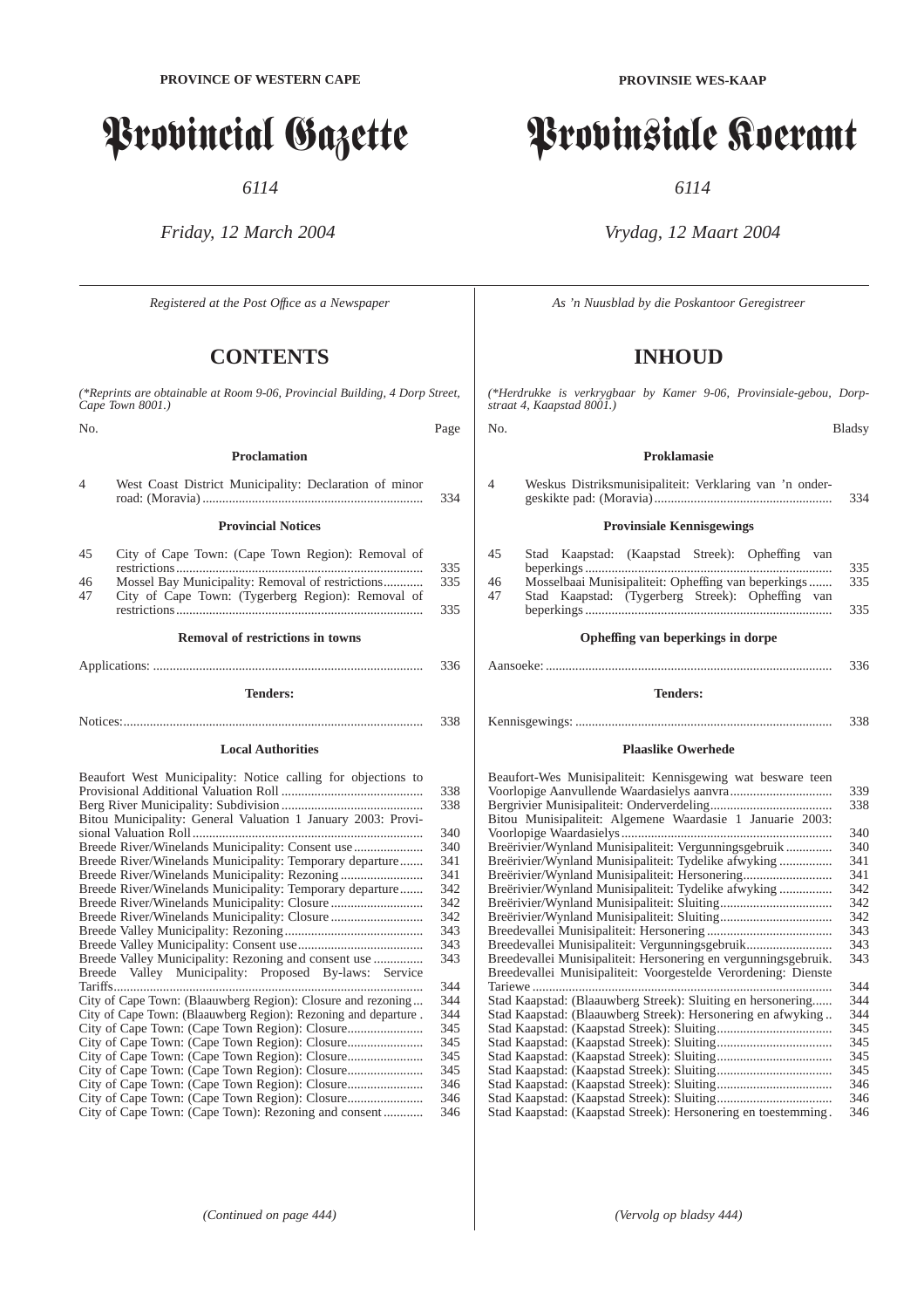# Provincial Gazette

*6114*

# *Friday, 12 March 2004*

*Registered at the Post Offıce as a Newspaper*

# **CONTENTS**

*(\*Reprints are obtainable at Room 9-06, Provincial Building, 4 Dorp Street, Cape Town 8001.)* No. Page

# **Proclamation**

|                | <b>Provincial Notices</b>                              | 334 |
|----------------|--------------------------------------------------------|-----|
| $\overline{4}$ | West Coast District Municipality: Declaration of minor |     |

| 45 | City of Cape Town: (Cape Town Region): Removal of |     |
|----|---------------------------------------------------|-----|
|    |                                                   | 335 |
| 46 |                                                   | 335 |
| 47 | City of Cape Town: (Tygerberg Region): Removal of |     |
|    |                                                   | 335 |

| 336 |
|-----|
|     |

# **Tenders:**

Notices:........................................................................................... 338

# **Local Authorities**

| Beaufort West Municipality: Notice calling for objections to    |     |
|-----------------------------------------------------------------|-----|
|                                                                 | 338 |
|                                                                 | 338 |
| Bitou Municipality: General Valuation 1 January 2003: Provi-    |     |
|                                                                 | 340 |
| Breede River/Winelands Municipality: Consent use                | 340 |
| Breede River/Winelands Municipality: Temporary departure        | 341 |
|                                                                 | 341 |
| Breede River/Winelands Municipality: Temporary departure        | 342 |
|                                                                 | 342 |
|                                                                 | 342 |
|                                                                 | 343 |
|                                                                 | 343 |
|                                                                 | 343 |
| Breede Valley Municipality: Proposed By-laws: Service           |     |
| Tariffs                                                         | 344 |
| City of Cape Town: (Blaauwberg Region): Closure and rezoning    | 344 |
| City of Cape Town: (Blaauwberg Region): Rezoning and departure. | 344 |
|                                                                 | 345 |
|                                                                 | 345 |
|                                                                 | 345 |
|                                                                 | 345 |
|                                                                 | 346 |
|                                                                 | 346 |
| City of Cape Town: (Cape Town): Rezoning and consent            | 346 |

**PROVINSIE WES-KAAP**

# Provinsiale Koerant

*6114*

# *Vrydag, 12 Maart 2004*

*As 'n Nuusblad by die Poskantoor Geregistreer*

# **INHOUD**

*(\*Herdrukke is verkrygbaar by Kamer 9-06, Provinsiale-gebou, Dorpstraat 4, Kaapstad 8001.)*

#### No. Bladsy

# **Proklamasie**

| 4 | Weskus Distriksmunisipaliteit: Verklaring van 'n onder- |     |
|---|---------------------------------------------------------|-----|
|   |                                                         | 334 |

# **Provinsiale Kennisgewings**

| 45 | Stad Kaapstad: (Kaapstad Streek): Opheffing van     |     |
|----|-----------------------------------------------------|-----|
|    |                                                     | 335 |
| 46 | Mosselbaai Munisipaliteit: Opheffing van beperkings | 335 |
| 47 | Stad Kaapstad: (Tygerberg Streek): Opheffing van    |     |
|    |                                                     | 335 |

# **Opheffing van beperkings in dorpe**

# **Tenders:**

| 338 |
|-----|
|     |
|     |

# **Plaaslike Owerhede**

| Beaufort-Wes Munisipaliteit: Kennisgewing wat besware teen             |     |  |  |
|------------------------------------------------------------------------|-----|--|--|
| 339                                                                    |     |  |  |
| 338                                                                    |     |  |  |
| Bitou Munisipaliteit: Algemene Waardasie 1 Januarie 2003:              |     |  |  |
|                                                                        | 340 |  |  |
| Breërivier/Wynland Munisipaliteit: Vergunningsgebruik                  | 340 |  |  |
| Breërivier/Wynland Munisipaliteit: Tydelike afwyking                   | 341 |  |  |
| Breërivier/Wynland Munisipaliteit: Hersonering                         | 341 |  |  |
| Breërivier/Wynland Munisipaliteit: Tydelike afwyking                   | 342 |  |  |
|                                                                        | 342 |  |  |
|                                                                        | 342 |  |  |
| 343                                                                    |     |  |  |
| Breedevallei Munisipaliteit: Vergunningsgebruik                        | 343 |  |  |
| Breedevallei Munisipaliteit: Hersonering en vergunningsgebruik.<br>343 |     |  |  |
| Breedevallei Munisipaliteit: Voorgestelde Verordening: Dienste         |     |  |  |
| Tariewe                                                                | 344 |  |  |
| Stad Kaapstad: (Blaauwberg Streek): Sluiting en hersonering            | 344 |  |  |
| Stad Kaapstad: (Blaauwberg Streek): Hersonering en afwyking            | 344 |  |  |
|                                                                        | 345 |  |  |
|                                                                        | 345 |  |  |
|                                                                        | 345 |  |  |
|                                                                        | 345 |  |  |
|                                                                        | 346 |  |  |
|                                                                        | 346 |  |  |
| Stad Kaapstad: (Kaapstad Streek): Hersonering en toestemming.          | 346 |  |  |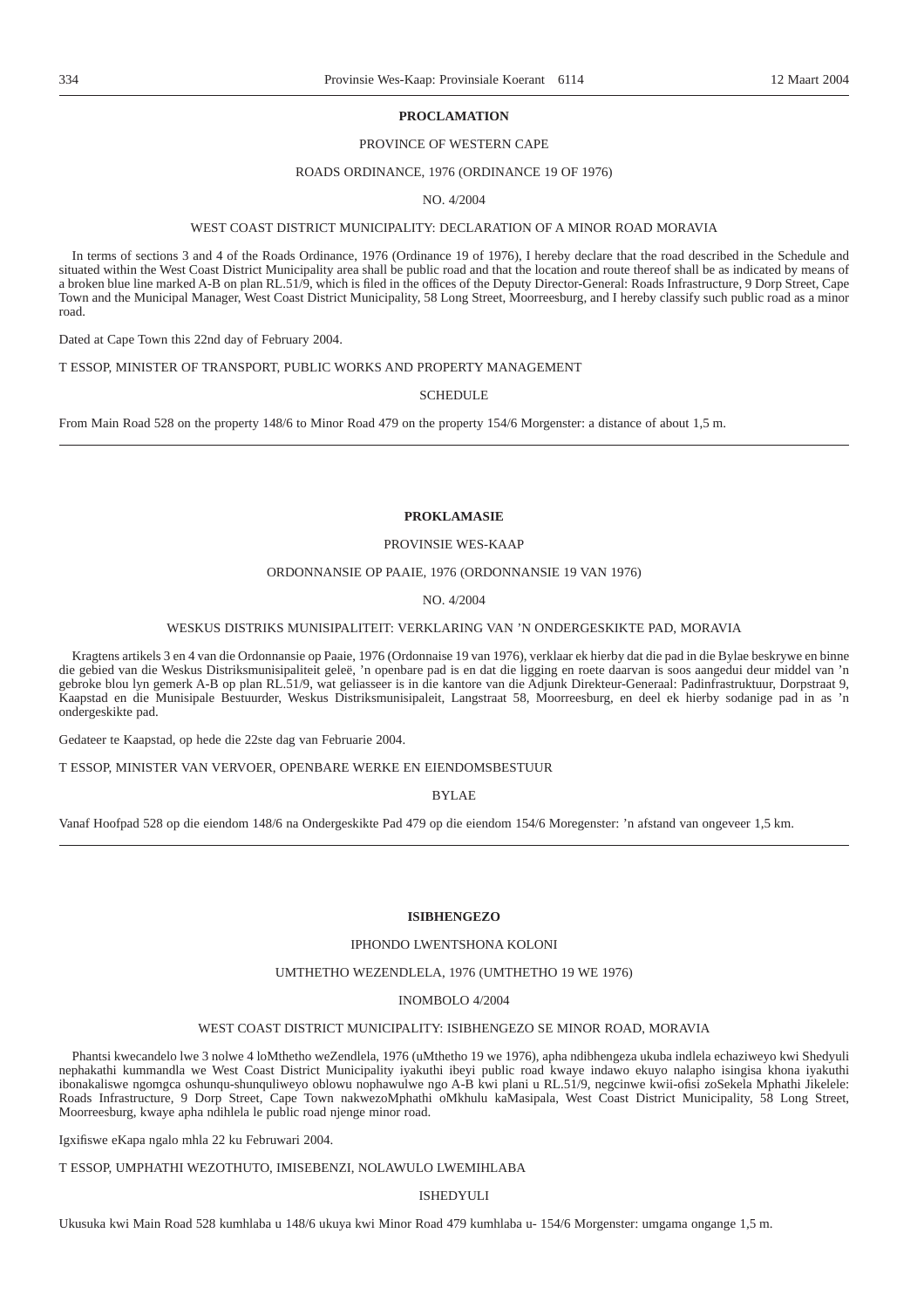# **PROCLAMATION**

# PROVINCE OF WESTERN CAPE

# ROADS ORDINANCE, 1976 (ORDINANCE 19 OF 1976)

NO. 4/2004

# WEST COAST DISTRICT MUNICIPALITY: DECLARATION OF A MINOR ROAD MORAVIA

In terms of sections 3 and 4 of the Roads Ordinance, 1976 (Ordinance 19 of 1976), I hereby declare that the road described in the Schedule and situated within the West Coast District Municipality area shall be public road and that the location and route thereof shall be as indicated by means of a broken blue line marked A-B on plan RL.51/9, which is filed in the offices of the Deputy Director-General: Roads Infrastructure, 9 Dorp Street, Cape Town and the Municipal Manager, West Coast District Municipality, 58 Long Street, Moorreesburg, and I hereby classify such public road as a minor road.

Dated at Cape Town this 22nd day of February 2004.

T ESSOP, MINISTER OF TRANSPORT, PUBLIC WORKS AND PROPERTY MANAGEMENT

SCHEDULE

From Main Road 528 on the property 148/6 to Minor Road 479 on the property 154/6 Morgenster: a distance of about 1,5 m.

# **PROKLAMASIE**

# PROVINSIE WES-KAAP

# ORDONNANSIE OP PAAIE, 1976 (ORDONNANSIE 19 VAN 1976)

# NO. 4/2004

# WESKUS DISTRIKS MUNISIPALITEIT: VERKLARING VAN 'N ONDERGESKIKTE PAD, MORAVIA

Kragtens artikels 3 en 4 van die Ordonnansie op Paaie, 1976 (Ordonnaise 19 van 1976), verklaar ek hierby dat die pad in die Bylae beskrywe en binne die gebied van die Weskus Distriksmunisipaliteit geleë, 'n openbare pad is en dat die ligging en roete daarvan is soos aangedui deur middel van 'n gebroke blou lyn gemerk A-B op plan RL.51/9, wat geliasseer is in die kantore van die Adjunk Direkteur-Generaal: Padinfrastruktuur, Dorpstraat 9, Kaapstad en die Munisipale Bestuurder, Weskus Distriksmunisipaleit, Langstraat 58, Moorreesburg, en deel ek hierby sodanige pad in as 'n ondergeskikte pad.

Gedateer te Kaapstad, op hede die 22ste dag van Februarie 2004.

T ESSOP, MINISTER VAN VERVOER, OPENBARE WERKE EN EIENDOMSBESTUUR

BYLAE

Vanaf Hoofpad 528 op die eiendom 148/6 na Ondergeskikte Pad 479 op die eiendom 154/6 Moregenster: 'n afstand van ongeveer 1,5 km.

# **ISIBHENGEZO**

### IPHONDO LWENTSHONA KOLONI

# UMTHETHO WEZENDLELA, 1976 (UMTHETHO 19 WE 1976)

#### INOMBOLO 4/2004

# WEST COAST DISTRICT MUNICIPALITY: ISIBHENGEZO SE MINOR ROAD, MORAVIA

Phantsi kwecandelo lwe 3 nolwe 4 loMthetho weZendlela, 1976 (uMthetho 19 we 1976), apha ndibhengeza ukuba indlela echaziweyo kwi Shedyuli nephakathi kummandla we West Coast District Municipality iyakuthi ibeyi public road kwaye indawo ekuyo nalapho isingisa khona iyakuthi ibonakaliswe ngomgca oshunqu-shunquliweyo oblowu nophawulwe ngo A-B kwi plani u RL.51/9, negcinwe kwii-ofisi zoSekela Mphathi Jikelele: Roads Infrastructure, 9 Dorp Street, Cape Town nakwezoMphathi oMkhulu kaMasipala, West Coast District Municipality, 58 Long Street, Moorreesburg, kwaye apha ndihlela le public road njenge minor road.

Igxifiswe eKapa ngalo mhla 22 ku Februwari 2004.

T ESSOP, UMPHATHI WEZOTHUTO, IMISEBENZI, NOLAWULO LWEMIHLABA

# ISHEDYULI

Ukusuka kwi Main Road 528 kumhlaba u 148/6 ukuya kwi Minor Road 479 kumhlaba u- 154/6 Morgenster: umgama ongange 1,5 m.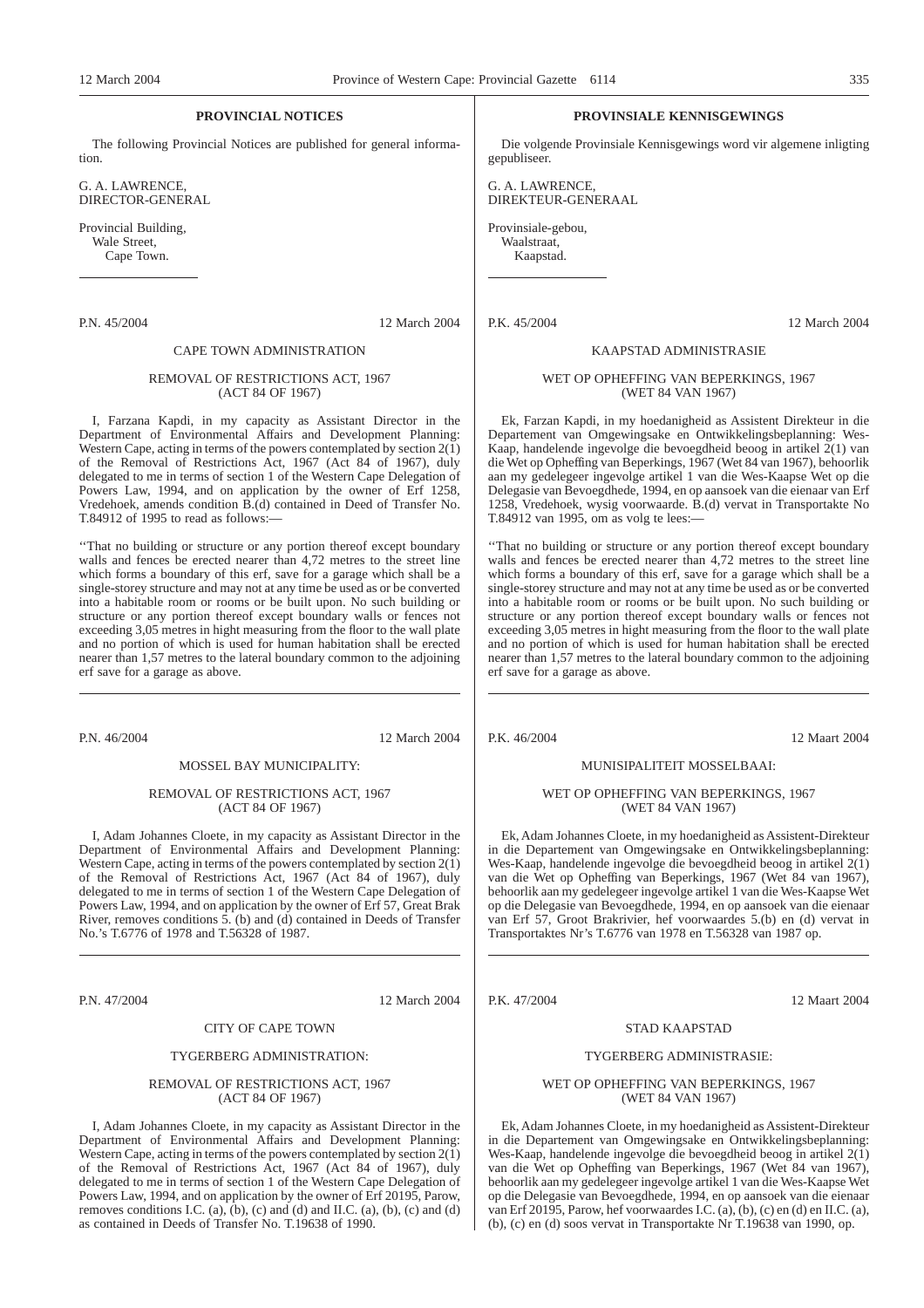# **PROVINCIAL NOTICES**

The following Provincial Notices are published for general information.

G. A. LAWRENCE, DIRECTOR-GENERAL

Provincial Building, Wale Street, Cape Town.

P.N. 45/2004 12 March 2004

# CAPE TOWN ADMINISTRATION

# REMOVAL OF RESTRICTIONS ACT, 1967 (ACT 84 OF 1967)

I, Farzana Kapdi, in my capacity as Assistant Director in the Department of Environmental Affairs and Development Planning: Western Cape, acting in terms of the powers contemplated by section  $2(\tilde{1})$ of the Removal of Restrictions Act, 1967 (Act 84 of 1967), duly delegated to me in terms of section 1 of the Western Cape Delegation of Powers Law, 1994, and on application by the owner of Erf 1258, Vredehoek, amends condition B.(d) contained in Deed of Transfer No. T.84912 of 1995 to read as follows:-

''That no building or structure or any portion thereof except boundary walls and fences be erected nearer than 4,72 metres to the street line which forms a boundary of this erf, save for a garage which shall be a single-storey structure and may not at any time be used as or be converted into a habitable room or rooms or be built upon. No such building or structure or any portion thereof except boundary walls or fences not exceeding 3,05 metres in hight measuring from the floor to the wall plate and no portion of which is used for human habitation shall be erected nearer than 1,57 metres to the lateral boundary common to the adjoining erf save for a garage as above.

P.N. 46/2004 12 March 2004

#### MOSSEL BAY MUNICIPALITY:

# REMOVAL OF RESTRICTIONS ACT, 1967 (ACT 84 OF 1967)

I, Adam Johannes Cloete, in my capacity as Assistant Director in the Department of Environmental Affairs and Development Planning: Western Cape, acting in terms of the powers contemplated by section  $2(\tilde{1})$ of the Removal of Restrictions Act, 1967 (Act 84 of 1967), duly delegated to me in terms of section 1 of the Western Cape Delegation of Powers Law, 1994, and on application by the owner of Erf 57, Great Brak River, removes conditions  $\overline{5}$ . (b) and (d) contained in Deeds of Transfer No.'s T.6776 of 1978 and T.56328 of 1987.

P.N. 47/2004 12 March 2004

# CITY OF CAPE TOWN

#### TYGERBERG ADMINISTRATION:

### REMOVAL OF RESTRICTIONS ACT, 1967 (ACT 84 OF 1967)

I, Adam Johannes Cloete, in my capacity as Assistant Director in the Department of Environmental Affairs and Development Planning: Western Cape, acting in terms of the powers contemplated by section  $2(\tilde{1})$ of the Removal of Restrictions Act, 1967 (Act 84 of 1967), duly delegated to me in terms of section 1 of the Western Cape Delegation of Powers Law, 1994, and on application by the owner of Erf 20195, Parow, removes conditions I.C.  $(a)$ ,  $(b)$ ,  $(c)$  and  $(d)$  and II.C.  $(a)$ ,  $(b)$ ,  $(c)$  and  $(d)$ as contained in Deeds of Transfer No. T.19638 of 1990.

# **PROVINSIALE KENNISGEWINGS**

Die volgende Provinsiale Kennisgewings word vir algemene inligting gepubliseer.

G. A. LAWRENCE, DIREKTEUR-GENERAAL

Provinsiale-gebou, Waalstraat, Kaapstad.

P.K. 45/2004 12 March 2004

# KAAPSTAD ADMINISTRASIE

### WET OP OPHEFFING VAN BEPERKINGS, 1967 (WET 84 VAN 1967)

Ek, Farzan Kapdi, in my hoedanigheid as Assistent Direkteur in die Departement van Omgewingsake en Ontwikkelingsbeplanning: Wes-Kaap, handelende ingevolge die bevoegdheid beoog in artikel  $2(1)$  van die Wet op Opheffing van Beperkings, 1967 (Wet 84 van 1967), behoorlik aan my gedelegeer ingevolge artikel 1 van die Wes-Kaapse Wet op die Delegasie van Bevoegdhede, 1994, en op aansoek van die eienaar van Erf 1258, Vredehoek, wysig voorwaarde. B.(d) vervat in Transportakte No T.84912 van 1995, om as volg te lees:—

''That no building or structure or any portion thereof except boundary walls and fences be erected nearer than 4,72 metres to the street line which forms a boundary of this erf, save for a garage which shall be a single-storey structure and may not at any time be used as or be converted into a habitable room or rooms or be built upon. No such building or structure or any portion thereof except boundary walls or fences not exceeding 3,05 metres in hight measuring from the floor to the wall plate and no portion of which is used for human habitation shall be erected nearer than 1,57 metres to the lateral boundary common to the adjoining erf save for a garage as above.

P.K. 46/2004 12 Maart 2004

#### MUNISIPALITEIT MOSSELBAAI:

## WET OP OPHEFFING VAN BEPERKINGS, 1967 (WET 84 VAN 1967)

Ek, Adam Johannes Cloete, in my hoedanigheid as Assistent-Direkteur in die Departement van Omgewingsake en Ontwikkelingsbeplanning: Wes-Kaap, handelende ingevolge die bevoegdheid beoog in artikel  $2(\tilde{1})$ van die Wet op Opheffing van Beperkings, 1967 (Wet 84 van 1967), behoorlik aan my gedelegeer ingevolge artikel 1 van die Wes-Kaapse Wet op die Delegasie van Bevoegdhede, 1994, en op aansoek van die eienaar van Erf 57, Groot Brakrivier, hef voorwaardes 5.(b) en (d) vervat in Transportaktes Nr's T.6776 van 1978 en T.56328 van 1987 op.

P.K. 47/2004 12 Maart 2004

# STAD KAAPSTAD TYGERBERG ADMINISTRASIE:

### WET OP OPHEFFING VAN BEPERKINGS, 1967 (WET 84 VAN 1967)

Ek, Adam Johannes Cloete, in my hoedanigheid as Assistent-Direkteur in die Departement van Omgewingsake en Ontwikkelingsbeplanning: Wes-Kaap, handelende ingevolge die bevoegdheid beoog in artikel  $2(\tilde{1})$ van die Wet op Opheffing van Beperkings, 1967 (Wet 84 van 1967), behoorlik aan my gedelegeer ingevolge artikel 1 van die Wes-Kaapse Wet op die Delegasie van Bevoegdhede, 1994, en op aansoek van die eienaar van Erf 20195, Parow, hef voorwaardes I.C. (a), (b), (c) en (d) en II.C. (a), (b), (c) en (d) soos vervat in Transportakte Nr T.19638 van 1990, op.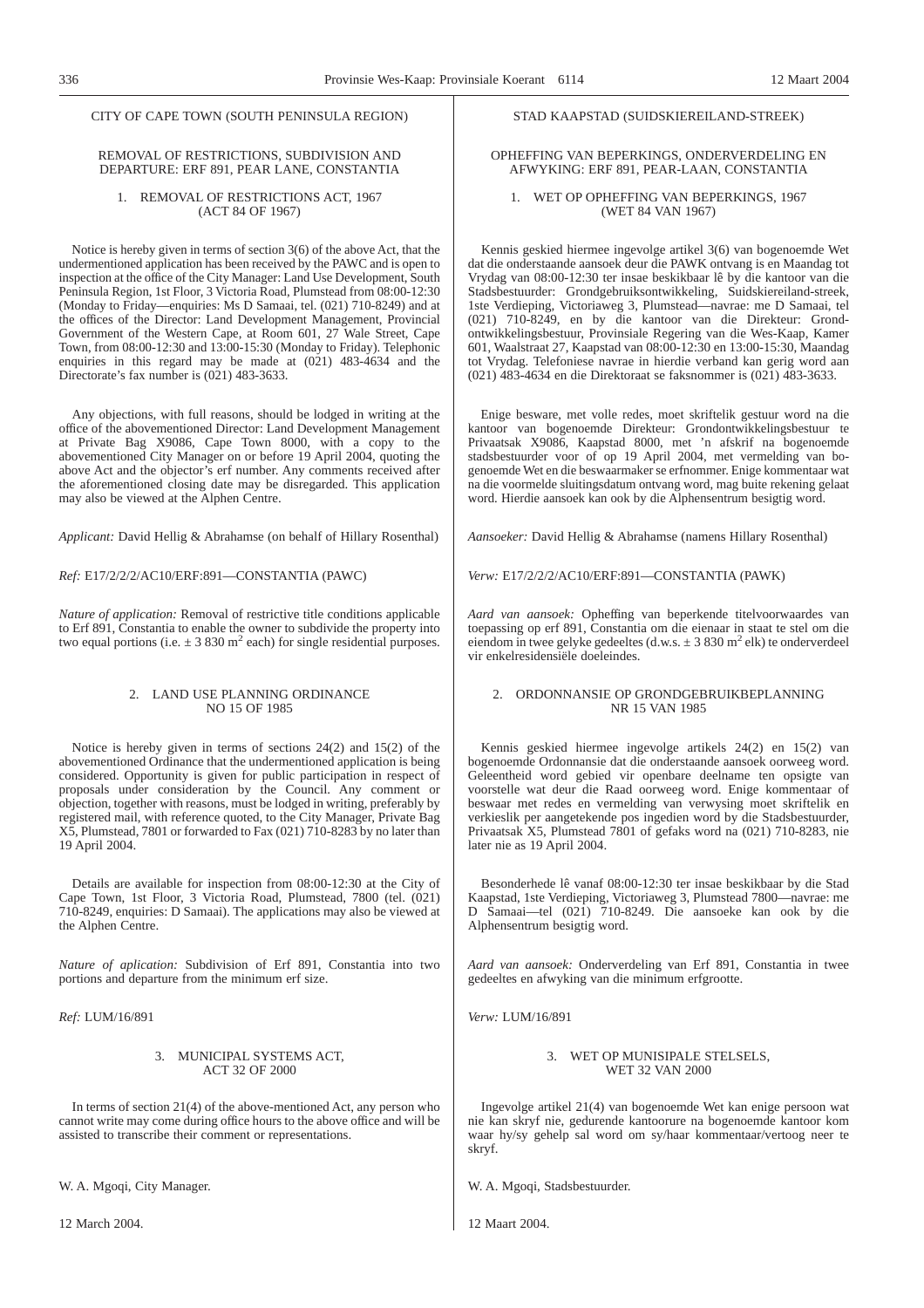# CITY OF CAPE TOWN (SOUTH PENINSULA REGION)

# REMOVAL OF RESTRICTIONS, SUBDIVISION AND DEPARTURE: ERF 891, PEAR LANE, CONSTANTIA

# 1. REMOVAL OF RESTRICTIONS ACT, 1967 (ACT 84 OF 1967)

Notice is hereby given in terms of section 3(6) of the above Act, that the undermentioned application has been received by the PAWC and is open to inspection at the office of the City Manager: Land Use Development, South Peninsula Region, 1st Floor, 3 Victoria Road, Plumstead from 08:00-12:30 (Monday to Friday—enquiries: Ms D Samaai, tel. (021) 710-8249) and at the offices of the Director: Land Development Management, Provincial Government of the Western Cape, at Room 601, 27 Wale Street, Cape Town, from 08:00-12:30 and 13:00-15:30 (Monday to Friday). Telephonic enquiries in this regard may be made at  $(021)$  483-4634 and the Directorate's fax number is (021) 483-3633.

Any objections, with full reasons, should be lodged in writing at the office of the abovementioned Director: Land Development Management at Private Bag X9086, Cape Town 8000, with a copy to the abovementioned City Manager on or before 19 April 2004, quoting the above Act and the objector's erf number. Any comments received after the aforementioned closing date may be disregarded. This application may also be viewed at the Alphen Centre.

*Applicant:* David Hellig & Abrahamse (on behalf of Hillary Rosenthal)

*Ref:* E17/2/2/2/AC10/ERF:891—CONSTANTIA (PAWC)

*Nature of application:* Removal of restrictive title conditions applicable to Erf 891, Constantia to enable the owner to subdivide the property into two equal portions (i.e.  $\pm$  3 830 m<sup>2</sup> each) for single residential purposes.

# 2. LAND USE PLANNING ORDINANCE NO 15 OF 1985

Notice is hereby given in terms of sections 24(2) and 15(2) of the abovementioned Ordinance that the undermentioned application is being considered. Opportunity is given for public participation in respect of proposals under consideration by the Council. Any comment or objection, together with reasons, must be lodged in writing, preferably by registered mail, with reference quoted, to the City Manager, Private Bag X5, Plumstead, 7801 or forwarded to Fax (021) 710-8283 by no later than 19 April 2004.

Details are available for inspection from 08:00-12:30 at the City of Cape Town, 1st Floor, 3 Victoria Road, Plumstead, 7800 (tel. (021) 710-8249, enquiries: D Samaai). The applications may also be viewed at the Alphen Centre.

*Nature of aplication:* Subdivision of Erf 891, Constantia into two portions and departure from the minimum erf size.

*Ref:* LUM/16/891

# 3. MUNICIPAL SYSTEMS ACT, ACT 32 OF 2000

In terms of section 21(4) of the above-mentioned Act, any person who cannot write may come during office hours to the above office and will be assisted to transcribe their comment or representations.

W. A. Mgoqi, City Manager.

12 March 2004.

# STAD KAAPSTAD (SUIDSKIEREILAND-STREEK)

# OPHEFFING VAN BEPERKINGS, ONDERVERDELING EN AFWYKING: ERF 891, PEAR-LAAN, CONSTANTIA

# 1. WET OP OPHEFFING VAN BEPERKINGS, 1967 (WET 84 VAN 1967)

Kennis geskied hiermee ingevolge artikel 3(6) van bogenoemde Wet dat die onderstaande aansoek deur die PAWK ontvang is en Maandag tot Vrydag van 08:00-12:30 ter insae beskikbaar lê by die kantoor van die Stadsbestuurder: Grondgebruiksontwikkeling, Suidskiereiland-streek, 1ste Verdieping, Victoriaweg 3, Plumstead—navrae: me D Samaai, tel (021) 710-8249, en by die kantoor van die Direkteur: Grondontwikkelingsbestuur, Provinsiale Regering van die Wes-Kaap, Kamer 601, Waalstraat 27, Kaapstad van 08:00-12:30 en 13:00-15:30, Maandag tot Vrydag. Telefoniese navrae in hierdie verband kan gerig word aan (021) 483-4634 en die Direktoraat se faksnommer is (021) 483-3633.

Enige besware, met volle redes, moet skriftelik gestuur word na die kantoor van bogenoemde Direkteur: Grondontwikkelingsbestuur te Privaatsak X9086, Kaapstad 8000, met 'n afskrif na bogenoemde stadsbestuurder voor of op 19 April 2004, met vermelding van bogenoemde Wet en die beswaarmaker se erfnommer. Enige kommentaar wat na die voormelde sluitingsdatum ontvang word, mag buite rekening gelaat word. Hierdie aansoek kan ook by die Alphensentrum besigtig word.

*Aansoeker:* David Hellig & Abrahamse (namens Hillary Rosenthal)

*Verw:* E17/2/2/2/AC10/ERF:891—CONSTANTIA (PAWK)

*Aard van aansoek:* Opheffing van beperkende titelvoorwaardes van toepassing op erf 891, Constantia om die eienaar in staat te stel om die eiendom in twee gelyke gedeeltes (d.w.s.  $\pm$  3 830 m<sup>2</sup> elk) te onderverdeel vir enkelresidensiële doeleindes.

# 2. ORDONNANSIE OP GRONDGEBRUIKBEPLANNING NR 15 VAN 1985

Kennis geskied hiermee ingevolge artikels 24(2) en 15(2) van bogenoemde Ordonnansie dat die onderstaande aansoek oorweeg word. Geleentheid word gebied vir openbare deelname ten opsigte van voorstelle wat deur die Raad oorweeg word. Enige kommentaar of beswaar met redes en vermelding van verwysing moet skriftelik en verkieslik per aangetekende pos ingedien word by die Stadsbestuurder, Privaatsak X5, Plumstead 7801 of gefaks word na (021) 710-8283, nie later nie as 19 April 2004.

Besonderhede lê vanaf 08:00-12:30 ter insae beskikbaar by die Stad Kaapstad, 1ste Verdieping, Victoriaweg 3, Plumstead 7800—navrae: me D Samaai—tel (021) 710-8249. Die aansoeke kan ook by die Alphensentrum besigtig word.

*Aard van aansoek:* Onderverdeling van Erf 891, Constantia in twee gedeeltes en afwyking van die minimum erfgrootte.

*Verw:* LUM/16/891

# 3. WET OP MUNISIPALE STELSELS, WET 32 VAN 2000

Ingevolge artikel 21(4) van bogenoemde Wet kan enige persoon wat nie kan skryf nie, gedurende kantoorure na bogenoemde kantoor kom waar hy/sy gehelp sal word om sy/haar kommentaar/vertoog neer te skryf.

W. A. Mgoqi, Stadsbestuurder.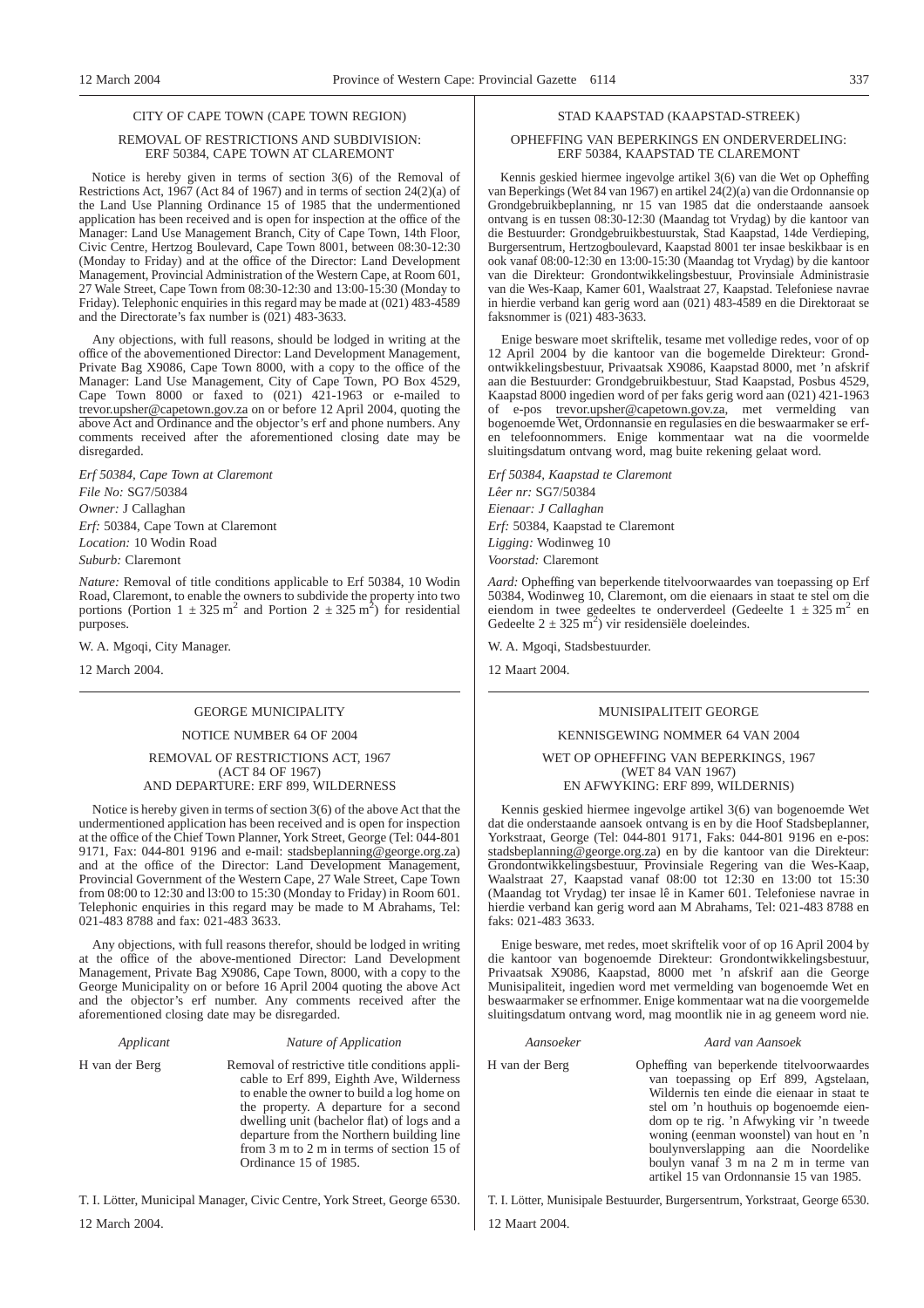#### CITY OF CAPE TOWN (CAPE TOWN REGION)

# REMOVAL OF RESTRICTIONS AND SUBDIVISION: ERF 50384, CAPE TOWN AT CLAREMONT

Notice is hereby given in terms of section 3(6) of the Removal of Restrictions Act, 1967 (Act 84 of 1967) and in terms of section 24(2)(a) of the Land Use Planning Ordinance 15 of 1985 that the undermentioned application has been received and is open for inspection at the office of the Manager: Land Use Management Branch, City of Cape Town, 14th Floor, Civic Centre, Hertzog Boulevard, Cape Town 8001, between 08:30-12:30 (Monday to Friday) and at the office of the Director: Land Development Management, Provincial Administration of the Western Cape, at Room 601, 27 Wale Street, Cape Town from 08:30-12:30 and 13:00-15:30 (Monday to Friday). Telephonic enquiries in this regard may be made at (021) 483-4589 and the Directorate's fax number is (021) 483-3633.

Any objections, with full reasons, should be lodged in writing at the office of the abovementioned Director: Land Development Management, Private Bag X9086, Cape Town 8000, with a copy to the office of the Manager: Land Use Management, City of Cape Town, PO Box 4529, Cape Town 8000 or faxed to (021) 421-1963 or e-mailed to trevor.upsher@capetown.gov.za on or before 12 April 2004, quoting the above Act and Ordinance and the objector's erf and phone numbers. Any comments received after the aforementioned closing date may be disregarded.

*Erf 50384, Cape Town at Claremont File No:* SG7/50384 *Owner:* J Callaghan *Erf:* 50384, Cape Town at Claremont *Location:* 10 Wodin Road

*Suburb:* Claremont

*Nature:* Removal of title conditions applicable to Erf 50384, 10 Wodin Road, Claremont, to enable the owners to subdivide the property into two portions (Portion  $1 \pm 325$  m<sup>2</sup> and Portion  $2 \pm 325$  m<sup>2</sup>) for residential purposes.

W. A. Mgoqi, City Manager.

12 March 2004.

# GEORGE MUNICIPALITY NOTICE NUMBER 64 OF 2004

# REMOVAL OF RESTRICTIONS ACT, 1967 (ACT 84 OF 1967) AND DEPARTURE: ERF 899, WILDERNESS

Notice is hereby given in terms of section 3(6) of the above Act that the undermentioned application has been received and is open for inspection at the office of the Chief Town Planner, York Street, George (Tel: 044-801 9171, Fax: 044-801 9196 and e-mail: stadsbeplanning@george.org.za) and at the office of the Director: Land Development Management, Provincial Government of the Western Cape, 27 Wale Street, Cape Town from 08:00 to 12:30 and l3:00 to 15:30 (Monday to Friday) in Room 601. Telephonic enquiries in this regard may be made to M Abrahams, Tel: 021-483 8788 and fax: 021-483 3633.

Any objections, with full reasons therefor, should be lodged in writing at the office of the above-mentioned Director: Land Development Management, Private Bag X9086, Cape Town, 8000, with a copy to the George Municipality on or before 16 April 2004 quoting the above Act and the objector's erf number. Any comments received after the aforementioned closing date may be disregarded.

### *Applicant Nature of Application*

H van der Berg Removal of restrictive title conditions applicable to Erf 899, Eighth Ave, Wilderness to enable the owner to build a log home on the property. A departure for a second dwelling unit (bachelor flat) of logs and a departure from the Northern building line from 3 m to 2 m in terms of section 15 of Ordinance 15 of 1985.

T. I. Lötter, Municipal Manager, Civic Centre, York Street, George 6530.

# STAD KAAPSTAD (KAAPSTAD-STREEK)

# OPHEFFING VAN BEPERKINGS EN ONDERVERDELING: ERF 50384, KAAPSTAD TE CLAREMONT

Kennis geskied hiermee ingevolge artikel 3(6) van die Wet op Opheffing van Beperkings (Wet 84 van 1967) en artikel 24(2)(a) van die Ordonnansie op Grondgebruikbeplanning, nr 15 van 1985 dat die onderstaande aansoek ontvang is en tussen 08:30-12:30 (Maandag tot Vrydag) by die kantoor van die Bestuurder: Grondgebruikbestuurstak, Stad Kaapstad, 14de Verdieping, Burgersentrum, Hertzogboulevard, Kaapstad 8001 ter insae beskikbaar is en ook vanaf 08:00-12:30 en 13:00-15:30 (Maandag tot Vrydag) by die kantoor van die Direkteur: Grondontwikkelingsbestuur, Provinsiale Administrasie van die Wes-Kaap, Kamer 601, Waalstraat 27, Kaapstad. Telefoniese navrae in hierdie verband kan gerig word aan (021) 483-4589 en die Direktoraat se faksnommer is (021) 483-3633.

Enige besware moet skriftelik, tesame met volledige redes, voor of op 12 April 2004 by die kantoor van die bogemelde Direkteur: Grondontwikkelingsbestuur, Privaatsak X9086, Kaapstad 8000, met 'n afskrif aan die Bestuurder: Grondgebruikbestuur, Stad Kaapstad, Posbus 4529, Kaapstad 8000 ingedien word of per faks gerig word aan (021) 421-1963 of e-pos trevor.upsher@capetown.gov.za, met vermelding van bogenoemde Wet, Ordonnansie en regulasies en die beswaarmaker se erfen telefoonnommers. Enige kommentaar wat na die voormelde sluitingsdatum ontvang word, mag buite rekening gelaat word.

*Erf 50384, Kaapstad te Claremont Lêer nr:* SG7/50384 *Eienaar: J Callaghan Erf:* 50384, Kaapstad te Claremont *Ligging:* Wodinweg 10 *Voorstad:* Claremont

*Aard:* Opheffing van beperkende titelvoorwaardes van toepassing op Erf 50384, Wodinweg 10, Claremont, om die eienaars in staat te stel om die eiendom in twee gedeeltes te onderverdeel (Gedeelte  $1 \pm 325$  m<sup>2</sup> en Gedeelte  $2 \pm 325$  m<sup>2</sup>) vir residensiële doeleindes.

W. A. Mgoqi, Stadsbestuurder.

12 Maart 2004.

# MUNISIPALITEIT GEORGE

# KENNISGEWING NOMMER 64 VAN 2004

### WET OP OPHEFFING VAN BEPERKINGS, 1967 (WET 84 VAN 1967) EN AFWYKING: ERF 899, WILDERNIS)

Kennis geskied hiermee ingevolge artikel 3(6) van bogenoemde Wet dat die onderstaande aansoek ontvang is en by die Hoof Stadsbeplanner, Yorkstraat, George (Tel: 044-801 9171, Faks: 044-801 9196 en e-pos: stadsbeplanning@george.org.za) en by die kantoor van die Direkteur: Grondontwikkelingsbestuur, Provinsiale Regering van die Wes-Kaap, Waalstraat 27, Kaapstad vanaf 08:00 tot 12:30 en 13:00 tot 15:30 (Maandag tot Vrydag) ter insae lê in Kamer 601. Telefoniese navrae in hierdie verband kan gerig word aan M Abrahams, Tel: 021-483 8788 en faks: 021-483 3633.

Enige besware, met redes, moet skriftelik voor of op 16 April 2004 by die kantoor van bogenoemde Direkteur: Grondontwikkelingsbestuur, Privaatsak X9086, Kaapstad, 8000 met 'n afskrif aan die George Munisipaliteit, ingedien word met vermelding van bogenoemde Wet en beswaarmaker se erfnommer. Enige kommentaar wat na die voorgemelde sluitingsdatum ontvang word, mag moontlik nie in ag geneem word nie.

#### *Aansoeker Aard van Aansoek*

H van der Berg Opheffing van beperkende titelvoorwaardes van toepassing op Erf 899, Agstelaan, Wildernis ten einde die eienaar in staat te stel om 'n houthuis op bogenoemde eiendom op te rig. 'n Afwyking vir 'n tweede woning (eenman woonstel) van hout en 'n boulynverslapping aan die Noordelike boulyn vanaf 3 m na 2 m in terme van artikel 15 van Ordonnansie 15 van 1985.

T. I. Lötter, Munisipale Bestuurder, Burgersentrum, Yorkstraat, George 6530. 12 Maart 2004.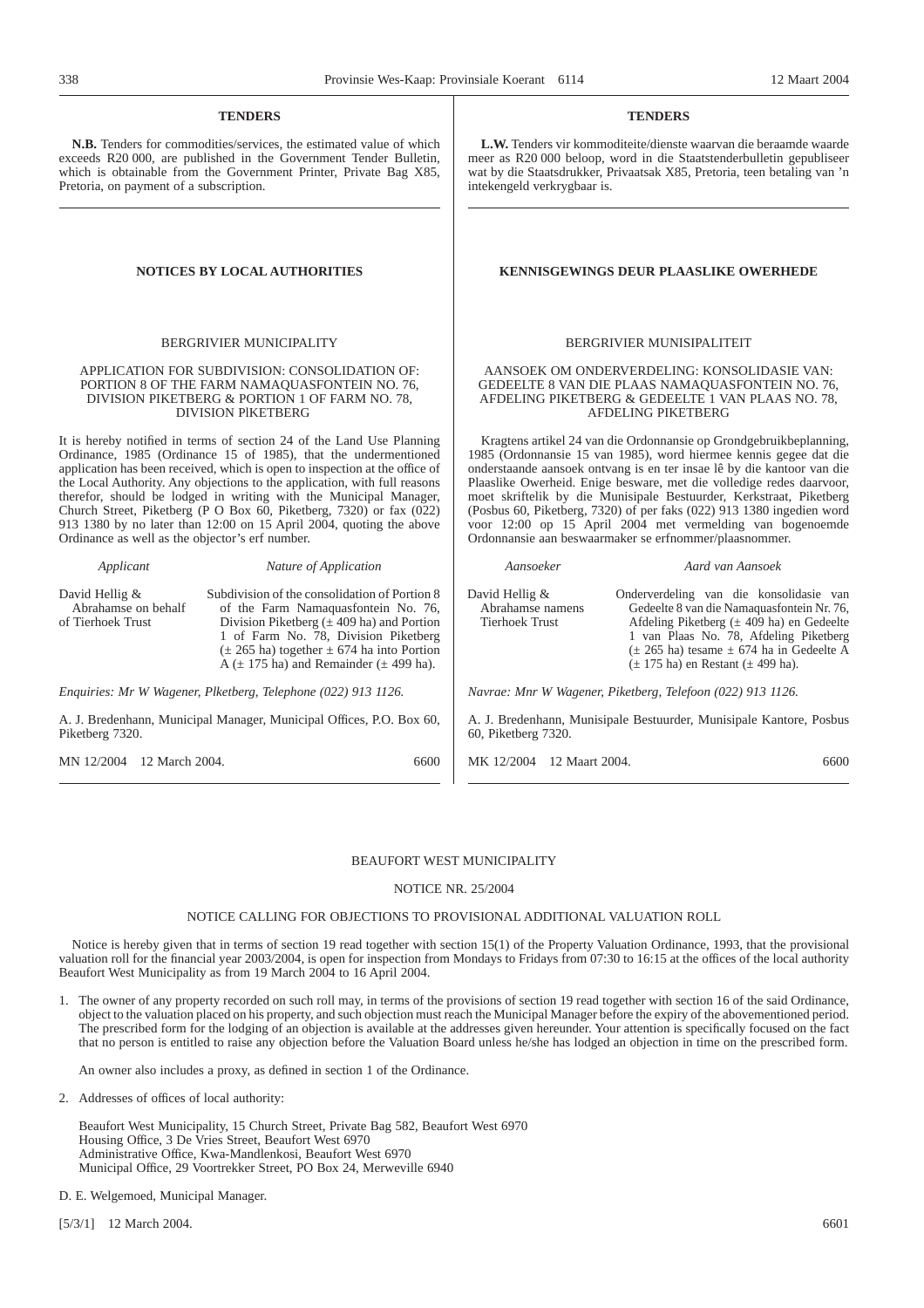# **TENDERS**

**N.B.** Tenders for commodities/services, the estimated value of which exceeds R20 000, are published in the Government Tender Bulletin, which is obtainable from the Government Printer, Private Bag X85, Pretoria, on payment of a subscription.

#### BERGRIVIER MUNICIPALITY

# APPLICATION FOR SUBDIVISION: CONSOLIDATION OF: PORTION 8 OF THE FARM NAMAQUASFONTEIN NO. 76, DIVISION PIKETBERG & PORTION 1 OF FARM NO. 78, DIVISION PlKETBERG

It is hereby notified in terms of section 24 of the Land Use Planning Ordinance, 1985 (Ordinance 15 of 1985), that the undermentioned application has been received, which is open to inspection at the office of the Local Authority. Any objections to the application, with full reasons therefor, should be lodged in writing with the Municipal Manager, Church Street, Piketberg (P O Box 60, Piketberg, 7320) or fax  $(022)$ 913 1380 by no later than 12:00 on 15 April 2004, quoting the above Ordinance as well as the objector's erf number.

### *Applicant Nature of Application*

David Hellig & Abrahamse on behalf of Tierhoek Trust

Subdivision of the consolidation of Portion 8 of the Farm Namaquasfontein No. 76, Division Piketberg  $(\pm 409$  ha) and Portion 1 of Farm No. 78, Division Piketberg  $(\pm 265$  ha) together  $\pm 674$  ha into Portion  $A (\pm 175$  ha) and Remainder ( $\pm 499$  ha).

*Enquiries: Mr W Wagener, Plketberg, Telephone (022) 913 1126.*

A. J. Bredenhann, Municipal Manager, Municipal Offices, P.O. Box 60, Piketberg 7320.

MN 12/2004 12 March 2004. 6600

**TENDERS**

**L.W.** Tenders vir kommoditeite/dienste waarvan die beraamde waarde meer as R20 000 beloop, word in die Staatstenderbulletin gepubliseer wat by die Staatsdrukker, Privaatsak X85, Pretoria, teen betaling van 'n intekengeld verkrygbaar is.

# **NOTICES BY LOCAL AUTHORITIES KENNISGEWINGS DEUR PLAASLIKE OWERHEDE**

#### BERGRIVIER MUNISIPALITEIT

AANSOEK OM ONDERVERDELING: KONSOLIDASIE VAN: GEDEELTE 8 VAN DIE PLAAS NAMAQUASFONTEIN NO. 76, AFDELING PIKETBERG & GEDEELTE 1 VAN PLAAS NO. 78, AFDELING PIKETBERG

Kragtens artikel 24 van die Ordonnansie op Grondgebruikbeplanning, 1985 (Ordonnansie 15 van 1985), word hiermee kennis gegee dat die onderstaande aansoek ontvang is en ter insae lê by die kantoor van die Plaaslike Owerheid. Enige besware, met die volledige redes daarvoor, moet skriftelik by die Munisipale Bestuurder, Kerkstraat, Piketberg (Posbus 60, Piketberg, 7320) of per faks (022) 913 1380 ingedien word voor 12:00 op 15 April 2004 met vermelding van bogenoemde Ordonnansie aan beswaarmaker se erfnommer/plaasnommer.

# *Aansoeker Aard van Aansoek*

David Hellig & Abrahamse namens Tierhoek Trust Onderverdeling van die konsolidasie van Gedeelte 8 van die Namaquasfontein Nr. 76, Afdeling Piketberg ( $\pm$  409 ha) en Gedeelte 1 van Plaas No. 78, Afdeling Piketberg  $(\pm 265 \text{ ha})$  tesame  $\pm 674 \text{ ha}$  in Gedeelte A (± 175 ha) en Restant (± 499 ha).

*Navrae: Mnr W Wagener, Piketberg, Telefoon (022) 913 1126.*

A. J. Bredenhann, Munisipale Bestuurder, Munisipale Kantore, Posbus 60, Piketberg 7320.

MK 12/2004 12 Maart 2004. 6600

# BEAUFORT WEST MUNICIPALITY

# NOTICE NR. 25/2004

# NOTICE CALLING FOR OBJECTIONS TO PROVISIONAL ADDITIONAL VALUATION ROLL

Notice is hereby given that in terms of section 19 read together with section 15(1) of the Property Valuation Ordinance, 1993, that the provisional valuation roll for the financial year 2003/2004, is open for inspection from Mondays to Fridays from 07:30 to 16:15 at the offices of the local authority Beaufort West Municipality as from 19 March 2004 to 16 April 2004.

1. The owner of any property recorded on such roll may, in terms of the provisions of section 19 read together with section 16 of the said Ordinance, object to the valuation placed on his property, and such objection must reach the Municipal Manager before the expiry of the abovementioned period. The prescribed form for the lodging of an objection is available at the addresses given hereunder. Your attention is specifically focused on the fact that no person is entitled to raise any objection before the Valuation Board unless he/she has lodged an objection in time on the prescribed form.

An owner also includes a proxy, as defined in section 1 of the Ordinance.

2. Addresses of offices of local authority:

Beaufort West Municipality, 15 Church Street, Private Bag 582, Beaufort West 6970 Housing Office, 3 De Vries Street, Beaufort West 6970 Administrative Office, Kwa-Mandlenkosi, Beaufort West 6970 Municipal Office, 29 Voortrekker Street, PO Box 24, Merweville 6940

- D. E. Welgemoed, Municipal Manager.
- [5/3/1] 12 March 2004. 6601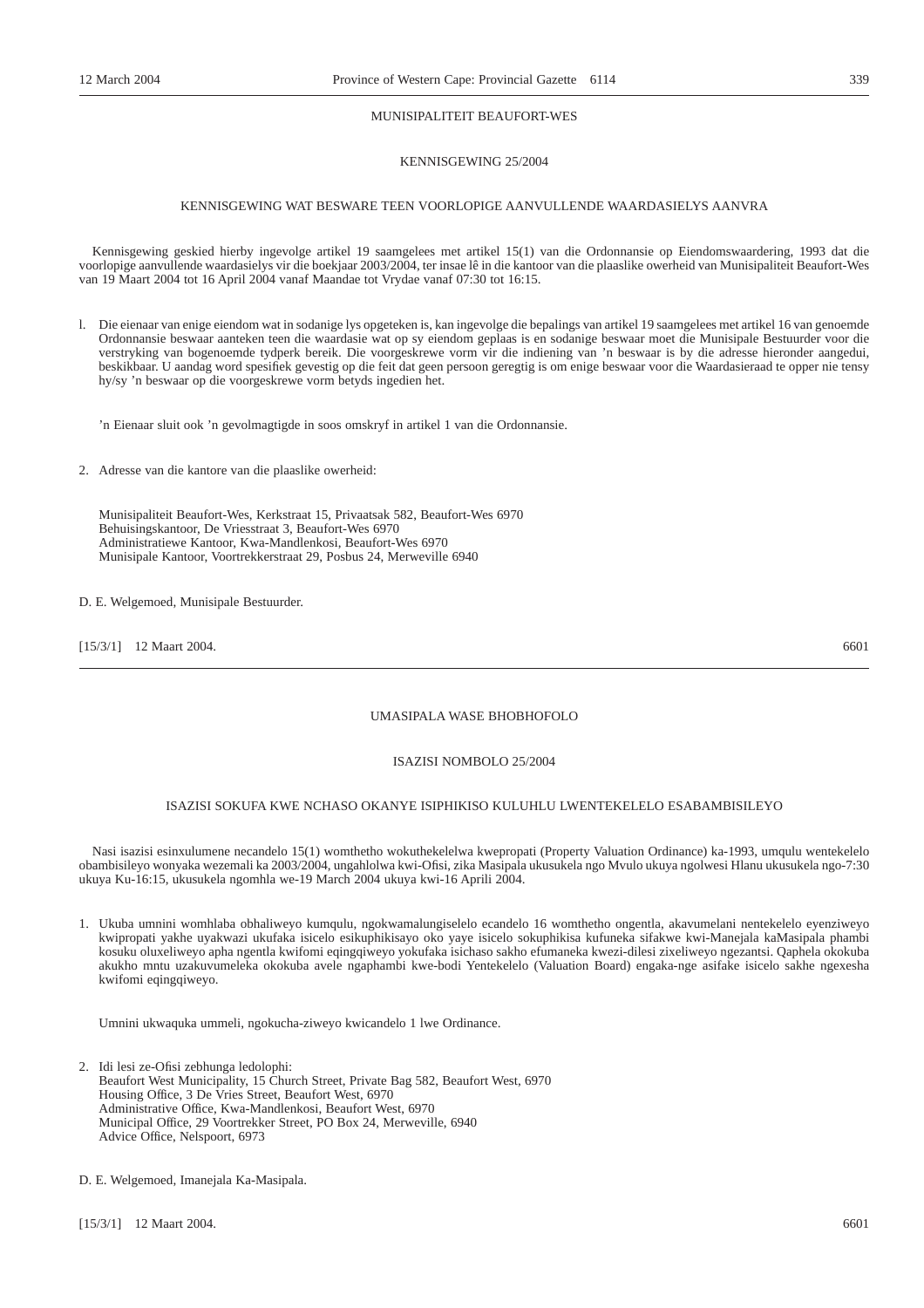# MUNISIPALITEIT BEAUFORT-WES

# KENNISGEWING 25/2004

# KENNISGEWING WAT BESWARE TEEN VOORLOPIGE AANVULLENDE WAARDASIELYS AANVRA

Kennisgewing geskied hierby ingevolge artikel 19 saamgelees met artikel 15(1) van die Ordonnansie op Eiendomswaardering, 1993 dat die voorlopige aanvullende waardasielys vir die boekjaar 2003/2004, ter insae lê in die kantoor van die plaaslike owerheid van Munisipaliteit Beaufort-Wes van 19 Maart 2004 tot 16 April 2004 vanaf Maandae tot Vrydae vanaf 07:30 tot 16:15.

l. Die eienaar van enige eiendom wat in sodanige lys opgeteken is, kan ingevolge die bepalings van artikel 19 saamgelees met artikel 16 van genoemde Ordonnansie beswaar aanteken teen die waardasie wat op sy eiendom geplaas is en sodanige beswaar moet die Munisipale Bestuurder voor die verstryking van bogenoemde tydperk bereik. Die voorgeskrewe vorm vir die indiening van 'n beswaar is by die adresse hieronder aangedui, beskikbaar. U aandag word spesifiek gevestig op die feit dat geen persoon geregtig is om enige beswaar voor die Waardasieraad te opper nie tensy hy/sy 'n beswaar op die voorgeskrewe vorm betyds ingedien het.

'n Eienaar sluit ook 'n gevolmagtigde in soos omskryf in artikel 1 van die Ordonnansie.

2. Adresse van die kantore van die plaaslike owerheid:

Munisipaliteit Beaufort-Wes, Kerkstraat 15, Privaatsak 582, Beaufort-Wes 6970 Behuisingskantoor, De Vriesstraat 3, Beaufort-Wes 6970 Administratiewe Kantoor, Kwa-Mandlenkosi, Beaufort-Wes 6970 Munisipale Kantoor, Voortrekkerstraat 29, Posbus 24, Merweville 6940

D. E. Welgemoed, Munisipale Bestuurder.

[15/3/1] 12 Maart 2004. 6601

# UMASIPALA WASE BHOBHOFOLO

# ISAZISI NOMBOLO 25/2004

# ISAZISI SOKUFA KWE NCHASO OKANYE ISIPHIKISO KULUHLU LWENTEKELELO ESABAMBISILEYO

Nasi isazisi esinxulumene necandelo 15(1) womthetho wokuthekelelwa kwepropati (Property Valuation Ordinance) ka-1993, umqulu wentekelelo obambisileyo wonyaka wezemali ka 2003/2004, ungahlolwa kwi-Ofisi, zika Masipala ukusukela ngo Mvulo ukuya ngolwesi Hlanu ukusukela ngo-7:30 ukuya Ku-16:15, ukusukela ngomhla we-19 March 2004 ukuya kwi-16 Aprili 2004.

1. Ukuba umnini womhlaba obhaliweyo kumqulu, ngokwamalungiselelo ecandelo 16 womthetho ongentla, akavumelani nentekelelo eyenziweyo kwipropati yakhe uyakwazi ukufaka isicelo esikuphikisayo oko yaye isicelo sokuphikisa kufuneka sifakwe kwi-Manejala kaMasipala phambi kosuku oluxeliweyo apha ngentla kwifomi eqingqiweyo yokufaka isichaso sakho efumaneka kwezi-dilesi zixeliweyo ngezantsi. Qaphela okokuba akukho mntu uzakuvumeleka okokuba avele ngaphambi kwe-bodi Yentekelelo (Valuation Board) engaka-nge asifake isicelo sakhe ngexesha kwifomi eqingqiweyo.

Umnini ukwaquka ummeli, ngokucha-ziweyo kwicandelo 1 lwe Ordinance.

- 2. Idi lesi ze-Ofisi zebhunga ledolophi: Beaufort West Municipality, 15 Church Street, Private Bag 582, Beaufort West, 6970 Housing Office, 3 De Vries Street, Beaufort West, 6970 Administrative Office, Kwa-Mandlenkosi, Beaufort West, 6970 Municipal Office, 29 Voortrekker Street, PO Box 24, Merweville, 6940 Advice Office, Nelspoort, 6973
- D. E. Welgemoed, Imanejala Ka-Masipala.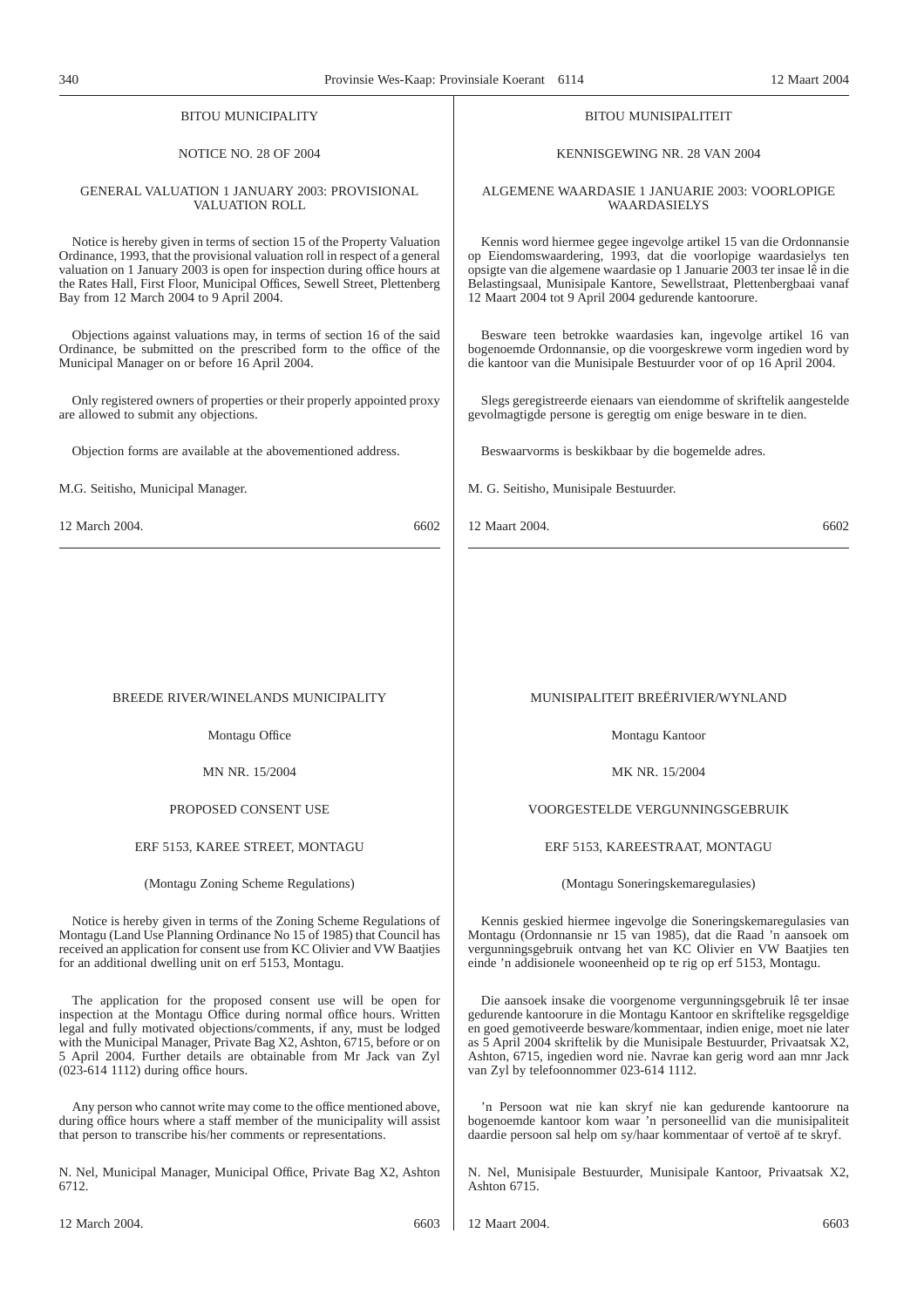| Trovinsic Wes-Kaap. Trovinsiale Kocrant                                                                                                                                                                                                                                                                                                                       |                                                                                                                                                                                                                                                                                                                                                       |
|---------------------------------------------------------------------------------------------------------------------------------------------------------------------------------------------------------------------------------------------------------------------------------------------------------------------------------------------------------------|-------------------------------------------------------------------------------------------------------------------------------------------------------------------------------------------------------------------------------------------------------------------------------------------------------------------------------------------------------|
| <b>BITOU MUNICIPALITY</b>                                                                                                                                                                                                                                                                                                                                     | <b>BITOU MUNISIPALITEIT</b>                                                                                                                                                                                                                                                                                                                           |
| <b>NOTICE NO. 28 OF 2004</b>                                                                                                                                                                                                                                                                                                                                  | KENNISGEWING NR. 28 VAN 2004                                                                                                                                                                                                                                                                                                                          |
| GENERAL VALUATION 1 JANUARY 2003: PROVISIONAL<br><b>VALUATION ROLL</b>                                                                                                                                                                                                                                                                                        | ALGEMENE WAARDASIE 1 JANUARIE 2003: VOORLOPIGE<br><b>WAARDASIELYS</b>                                                                                                                                                                                                                                                                                 |
| Notice is hereby given in terms of section 15 of the Property Valuation<br>Ordinance, 1993, that the provisional valuation roll in respect of a general<br>valuation on 1 January 2003 is open for inspection during office hours at<br>the Rates Hall, First Floor, Municipal Offices, Sewell Street, Plettenberg<br>Bay from 12 March 2004 to 9 April 2004. | Kennis word hiermee gegee ingevolge artikel 15 van die Ordonnansie<br>op Eiendomswaardering, 1993, dat die voorlopige waardasielys ten<br>opsigte van die algemene waardasie op 1 Januarie 2003 ter insae lê in die<br>Belastingsaal, Munisipale Kantore, Sewellstraat, Plettenbergbaai vanaf<br>12 Maart 2004 tot 9 April 2004 gedurende kantoorure. |
| Objections against valuations may, in terms of section 16 of the said<br>Ordinance, be submitted on the prescribed form to the office of the<br>Municipal Manager on or before 16 April 2004.                                                                                                                                                                 | Besware teen betrokke waardasies kan, ingevolge artikel 16 van<br>bogenoemde Ordonnansie, op die voorgeskrewe vorm ingedien word by<br>die kantoor van die Munisipale Bestuurder voor of op 16 April 2004.                                                                                                                                            |
| Only registered owners of properties or their properly appointed proxy<br>are allowed to submit any objections.                                                                                                                                                                                                                                               | Slegs geregistreerde eienaars van eiendomme of skriftelik aangestelde<br>gevolmagtigde persone is geregtig om enige besware in te dien.                                                                                                                                                                                                               |
| Objection forms are available at the abovementioned address.                                                                                                                                                                                                                                                                                                  | Beswaarvorms is beskikbaar by die bogemelde adres.                                                                                                                                                                                                                                                                                                    |
| M.G. Seitisho, Municipal Manager.                                                                                                                                                                                                                                                                                                                             | M. G. Seitisho, Munisipale Bestuurder.                                                                                                                                                                                                                                                                                                                |
| 12 March 2004.<br>6602                                                                                                                                                                                                                                                                                                                                        | 12 Maart 2004.<br>6602                                                                                                                                                                                                                                                                                                                                |
|                                                                                                                                                                                                                                                                                                                                                               |                                                                                                                                                                                                                                                                                                                                                       |
|                                                                                                                                                                                                                                                                                                                                                               |                                                                                                                                                                                                                                                                                                                                                       |
|                                                                                                                                                                                                                                                                                                                                                               |                                                                                                                                                                                                                                                                                                                                                       |
| BREEDE RIVER/WINELANDS MUNICIPALITY                                                                                                                                                                                                                                                                                                                           | MUNISIPALITEIT BREËRIVIER/WYNLAND                                                                                                                                                                                                                                                                                                                     |
| Montagu Office                                                                                                                                                                                                                                                                                                                                                | Montagu Kantoor                                                                                                                                                                                                                                                                                                                                       |
| MN NR. 15/2004                                                                                                                                                                                                                                                                                                                                                | MK NR. 15/2004                                                                                                                                                                                                                                                                                                                                        |
| PROPOSED CONSENT USE                                                                                                                                                                                                                                                                                                                                          | VOORGESTELDE VERGUNNINGSGEBRUIK                                                                                                                                                                                                                                                                                                                       |
| ERF 5153, KAREE STREET, MONTAGU                                                                                                                                                                                                                                                                                                                               | ERF 5153, KAREESTRAAT, MONTAGU                                                                                                                                                                                                                                                                                                                        |
|                                                                                                                                                                                                                                                                                                                                                               |                                                                                                                                                                                                                                                                                                                                                       |

(Montagu Zoning Scheme Regulations)

Notice is hereby given in terms of the Zoning Scheme Regulations of Montagu (Land Use Planning Ordinance No 15 of 1985) that Council has received an application for consent use from KC Olivier and VW Baatjies for an additional dwelling unit on erf 5153, Montagu.

The application for the proposed consent use will be open for inspection at the Montagu Office during normal office hours. Written legal and fully motivated objections/comments, if any, must be lodged with the Municipal Manager, Private Bag X2, Ashton, 6715, before or on 5 April 2004. Further details are obtainable from Mr Jack van Zyl (023-614 1112) during office hours.

Any person who cannot write may come to the office mentioned above, during office hours where a staff member of the municipality will assist that person to transcribe his/her comments or representations.

N. Nel, Municipal Manager, Municipal Office, Private Bag X2, Ashton 6712.

(Montagu Soneringskemaregulasies)

Kennis geskied hiermee ingevolge die Soneringskemaregulasies van Montagu (Ordonnansie nr 15 van 1985), dat die Raad 'n aansoek om vergunningsgebruik ontvang het van KC Olivier en VW Baatjies ten einde 'n addisionele wooneenheid op te rig op erf 5153, Montagu.

Die aansoek insake die voorgenome vergunningsgebruik lê ter insae gedurende kantoorure in die Montagu Kantoor en skriftelike regsgeldige en goed gemotiveerde besware/kommentaar, indien enige, moet nie later as 5 April 2004 skriftelik by die Munisipale Bestuurder, Privaatsak X2, Ashton, 6715, ingedien word nie. Navrae kan gerig word aan mnr Jack van Zyl by telefoonnommer 023-614 1112.

'n Persoon wat nie kan skryf nie kan gedurende kantoorure na bogenoemde kantoor kom waar 'n personeellid van die munisipaliteit daardie persoon sal help om sy/haar kommentaar of vertoë af te skryf.

N. Nel, Munisipale Bestuurder, Munisipale Kantoor, Privaatsak X2, Ashton 6715.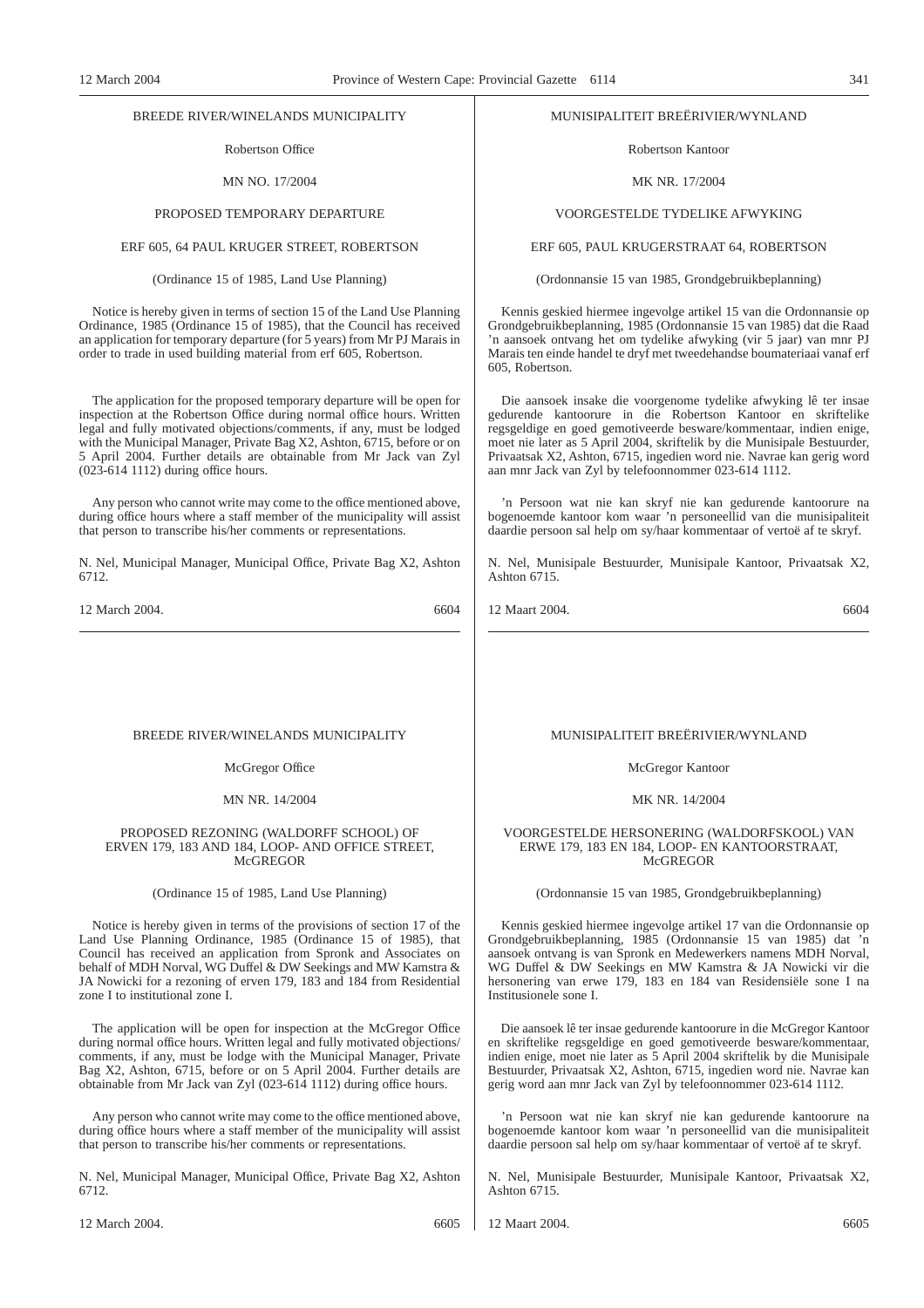# BREEDE RIVER/WINELANDS MUNICIPALITY

Robertson Office

MN NO. 17/2004

# PROPOSED TEMPORARY DEPARTURE

# ERF 605, 64 PAUL KRUGER STREET, ROBERTSON

# (Ordinance 15 of 1985, Land Use Planning)

Notice is hereby given in terms of section 15 of the Land Use Planning Ordinance, 1985 (Ordinance 15 of 1985), that the Council has received an application for temporary departure (for 5 years) from Mr PJ Marais in order to trade in used building material from erf 605, Robertson.

The application for the proposed temporary departure will be open for inspection at the Robertson Office during normal office hours. Written legal and fully motivated objections/comments, if any, must be lodged with the Municipal Manager, Private Bag X2, Ashton, 6715, before or on 5 April 2004. Further details are obtainable from Mr Jack van Zyl (023-614 1112) during office hours.

Any person who cannot write may come to the office mentioned above, during office hours where a staff member of the municipality will assist that person to transcribe his/her comments or representations.

N. Nel, Municipal Manager, Municipal Office, Private Bag X2, Ashton 6712.

12 March 2004. 6604

#### BREEDE RIVER/WINELANDS MUNICIPALITY

# McGregor Office

#### MN NR. 14/2004

#### PROPOSED REZONING (WALDORFF SCHOOL) OF ERVEN 179, 183 AND 184, LOOP- AND OFFICE STREET, **McGREGOR**

## (Ordinance 15 of 1985, Land Use Planning)

Notice is hereby given in terms of the provisions of section 17 of the Land Use Planning Ordinance, 1985 (Ordinance 15 of 1985), that Council has received an application from Spronk and Associates on behalf of MDH Norval, WG Duffel & DW Seekings and MW Kamstra & JA Nowicki for a rezoning of erven 179, 183 and 184 from Residential zone I to institutional zone I.

The application will be open for inspection at the McGregor Office during normal office hours. Written legal and fully motivated objections/ comments, if any, must be lodge with the Municipal Manager, Private Bag X2, Ashton, 6715, before or on 5 April 2004. Further details are obtainable from Mr Jack van Zyl (023-614 1112) during office hours.

Any person who cannot write may come to the office mentioned above, during office hours where a staff member of the municipality will assist that person to transcribe his/her comments or representations.

N. Nel, Municipal Manager, Municipal Office, Private Bag X2, Ashton 6712.

# MUNISIPALITEIT BREËRIVIER/WYNLAND

Robertson Kantoor

#### MK NR. 17/2004

# VOORGESTELDE TYDELIKE AFWYKING

# ERF 605, PAUL KRUGERSTRAAT 64, ROBERTSON

(Ordonnansie 15 van 1985, Grondgebruikbeplanning)

Kennis geskied hiermee ingevolge artikel 15 van die Ordonnansie op Grondgebruikbeplanning, 1985 (Ordonnansie 15 van 1985) dat die Raad 'n aansoek ontvang het om tydelike afwyking (vir 5 jaar) van mnr PJ Marais ten einde handel te dryf met tweedehandse boumateriaai vanaf erf 605, Robertson.

Die aansoek insake die voorgenome tydelike afwyking lê ter insae gedurende kantoorure in die Robertson Kantoor en skriftelike regsgeldige en goed gemotiveerde besware/kommentaar, indien enige, moet nie later as 5 April 2004, skriftelik by die Munisipale Bestuurder, Privaatsak X2, Ashton, 6715, ingedien word nie. Navrae kan gerig word aan mnr Jack van Zyl by telefoonnommer 023-614 1112.

'n Persoon wat nie kan skryf nie kan gedurende kantoorure na bogenoemde kantoor kom waar 'n personeellid van die munisipaliteit daardie persoon sal help om sy/haar kommentaar of vertoë af te skryf.

N. Nel, Munisipale Bestuurder, Munisipale Kantoor, Privaatsak X2, Ashton 6715.

12 Maart 2004. 6604

# MUNISIPALITEIT BREËRIVIER/WYNLAND

# McGregor Kantoor

#### MK NR. 14/2004

# VOORGESTELDE HERSONERING (WALDORFSKOOL) VAN ERWE 179, 183 EN 184, LOOP- EN KANTOORSTRAAT, McGREGOR

(Ordonnansie 15 van 1985, Grondgebruikbeplanning)

Kennis geskied hiermee ingevolge artikel 17 van die Ordonnansie op Grondgebruikbeplanning, 1985 (Ordonnansie 15 van 1985) dat 'n aansoek ontvang is van Spronk en Medewerkers namens MDH Norval, WG Duffel & DW Seekings en MW Kamstra & JA Nowicki vir die hersonering van erwe 179, 183 en 184 van Residensiële sone I na Institusionele sone I.

Die aansoek lê ter insae gedurende kantoorure in die McGregor Kantoor en skriftelike regsgeldige en goed gemotiveerde besware/kommentaar, indien enige, moet nie later as 5 April 2004 skriftelik by die Munisipale Bestuurder, Privaatsak X2, Ashton, 6715, ingedien word nie. Navrae kan gerig word aan mnr Jack van Zyl by telefoonnommer 023-614 1112.

'n Persoon wat nie kan skryf nie kan gedurende kantoorure na bogenoemde kantoor kom waar 'n personeellid van die munisipaliteit daardie persoon sal help om sy/haar kommentaar of vertoë af te skryf.

N. Nel, Munisipale Bestuurder, Munisipale Kantoor, Privaatsak X2, Ashton 6715.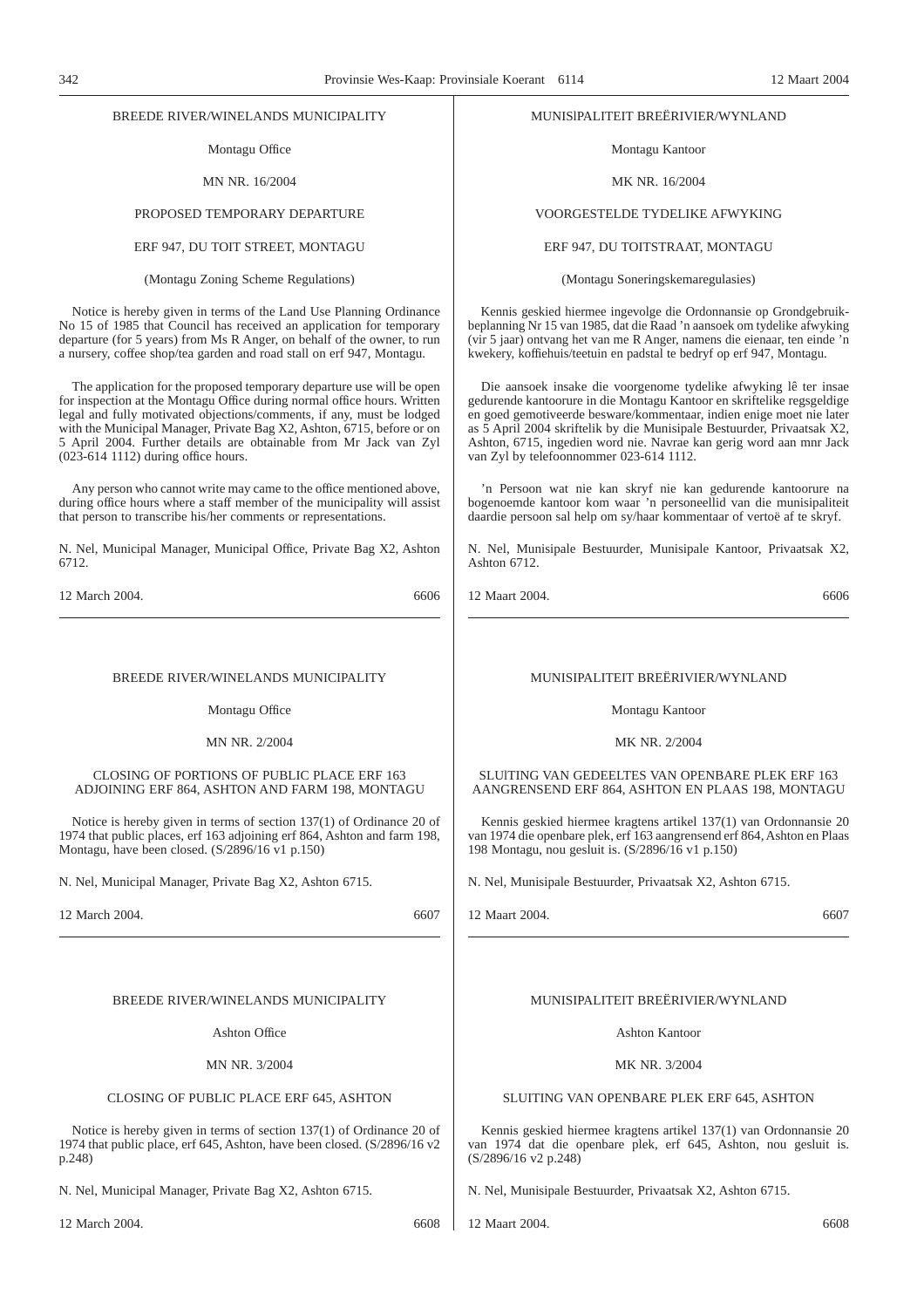# BREEDE RIVER/WINELANDS MUNICIPALITY

# Montagu Office

MN NR. 16/2004

# PROPOSED TEMPORARY DEPARTURE

# ERF 947, DU TOIT STREET, MONTAGU

(Montagu Zoning Scheme Regulations)

Notice is hereby given in terms of the Land Use Planning Ordinance No 15 of 1985 that Council has received an application for temporary departure (for 5 years) from Ms R Anger, on behalf of the owner, to run a nursery, coffee shop/tea garden and road stall on erf 947, Montagu.

The application for the proposed temporary departure use will be open for inspection at the Montagu Office during normal office hours. Written legal and fully motivated objections/comments, if any, must be lodged with the Municipal Manager, Private Bag X2, Ashton, 6715, before or on 5 April 2004. Further details are obtainable from Mr Jack van Zyl (023-614 1112) during office hours.

Any person who cannot write may came to the office mentioned above, during office hours where a staff member of the municipality will assist that person to transcribe his/her comments or representations.

N. Nel, Municipal Manager, Municipal Office, Private Bag X2, Ashton 6712.

12 March 2004. 6606

# BREEDE RIVER/WINELANDS MUNICIPALITY

Montagu Office

MN NR. 2/2004

CLOSING OF PORTIONS OF PUBLIC PLACE ERF 163 ADJOINING ERF 864, ASHTON AND FARM 198, MONTAGU

Notice is hereby given in terms of section 137(1) of Ordinance 20 of 1974 that public places, erf 163 adjoining erf 864, Ashton and farm 198, Montagu, have been closed. (S/2896/16 v1 p.150)

N. Nel, Municipal Manager, Private Bag X2, Ashton 6715.

12 March 2004. 6607

# BREEDE RIVER/WINELANDS MUNICIPALITY

Ashton Office

MN NR. 3/2004

# CLOSING OF PUBLIC PLACE ERF 645, ASHTON

Notice is hereby given in terms of section 137(1) of Ordinance 20 of 1974 that public place, erf 645, Ashton, have been closed. (S/2896/16 v2 p.248)

N. Nel, Municipal Manager, Private Bag X2, Ashton 6715.

# MUNISlPALITEIT BREËRIVIER/WYNLAND

Montagu Kantoor

### MK NR. 16/2004

# VOORGESTELDE TYDELIKE AFWYKING

# ERF 947, DU TOITSTRAAT, MONTAGU

(Montagu Soneringskemaregulasies)

Kennis geskied hiermee ingevolge die Ordonnansie op Grondgebruikbeplanning Nr 15 van 1985, dat die Raad 'n aansoek om tydelike afwyking (vir 5 jaar) ontvang het van me R Anger, namens die eienaar, ten einde 'n kwekery, koffiehuis/teetuin en padstal te bedryf op erf 947, Montagu.

Die aansoek insake die voorgenome tydelike afwyking lê ter insae gedurende kantoorure in die Montagu Kantoor en skriftelike regsgeldige en goed gemotiveerde besware/kommentaar, indien enige moet nie later as 5 April 2004 skriftelik by die Munisipale Bestuurder, Privaatsak X2, Ashton, 6715, ingedien word nie. Navrae kan gerig word aan mnr Jack van Zyl by telefoonnommer 023-614 1112.

'n Persoon wat nie kan skryf nie kan gedurende kantoorure na bogenoemde kantoor kom waar 'n personeellid van die munisipaliteit daardie persoon sal help om sy/haar kommentaar of vertoë af te skryf.

N. Nel, Munisipale Bestuurder, Munisipale Kantoor, Privaatsak X2, Ashton 6712.

12 Maart 2004. 6606

# MUNISIPALITEIT BREËRIVIER/WYNLAND

Montagu Kantoor

MK NR. 2/2004

SLUlTING VAN GEDEELTES VAN OPENBARE PLEK ERF 163 AANGRENSEND ERF 864, ASHTON EN PLAAS 198, MONTAGU

Kennis geskied hiermee kragtens artikel 137(1) van Ordonnansie 20 van 1974 die openbare plek, erf 163 aangrensend erf 864, Ashton en Plaas 198 Montagu, nou gesluit is. (S/2896/16 v1 p.150)

N. Nel, Munisipale Bestuurder, Privaatsak X2, Ashton 6715.

12 Maart 2004. 6607

# MUNISIPALITEIT BREËRIVIER/WYNLAND

Ashton Kantoor

MK NR. 3/2004

# SLUITING VAN OPENBARE PLEK ERF 645, ASHTON

Kennis geskied hiermee kragtens artikel 137(1) van Ordonnansie 20 van 1974 dat die openbare plek, erf 645, Ashton, nou gesluit is. (S/2896/16 v2 p.248)

N. Nel, Munisipale Bestuurder, Privaatsak X2, Ashton 6715.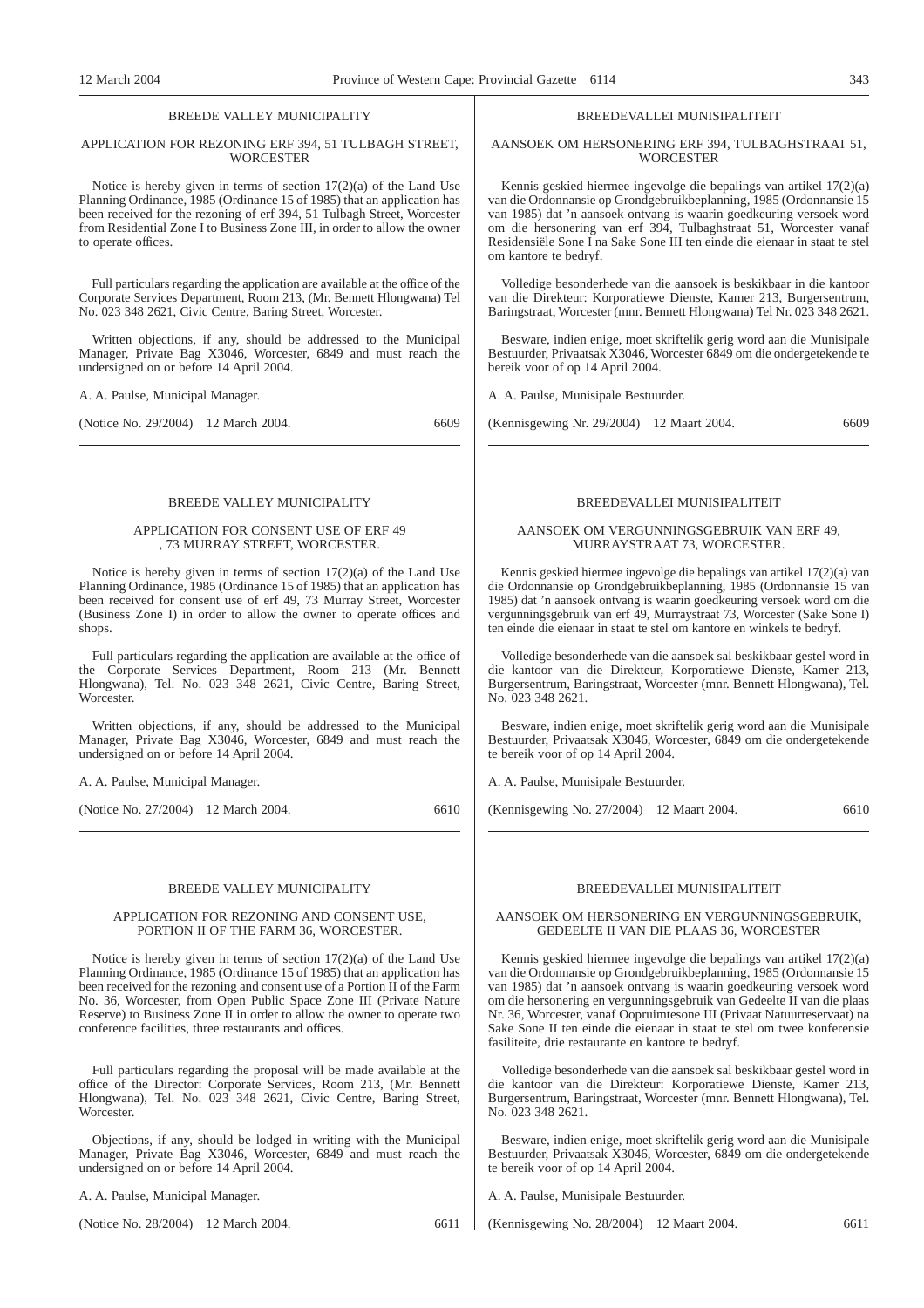# BREEDE VALLEY MUNICIPALITY

# APPLICATION FOR REZONING ERF 394, 51 TULBAGH STREET, **WORCESTER**

Notice is hereby given in terms of section 17(2)(a) of the Land Use Planning Ordinance, 1985 (Ordinance 15 of 1985) that an application has been received for the rezoning of erf 394, 51 Tulbagh Street, Worcester from Residential Zone I to Business Zone III, in order to allow the owner to operate offices.

Full particulars regarding the application are available at the office of the Corporate Services Department, Room 213, (Mr. Bennett Hlongwana) Tel No. 023 348 2621, Civic Centre, Baring Street, Worcester.

Written objections, if any, should be addressed to the Municipal Manager, Private Bag X3046, Worcester, 6849 and must reach the undersigned on or before 14 April 2004.

A. A. Paulse, Municipal Manager.

(Notice No. 29/2004) 12 March 2004. 6609

# BREEDE VALLEY MUNICIPALITY

# APPLICATION FOR CONSENT USE OF ERF 49 , 73 MURRAY STREET, WORCESTER.

Notice is hereby given in terms of section 17(2)(a) of the Land Use Planning Ordinance, 1985 (Ordinance 15 of 1985) that an application has been received for consent use of erf 49, 73 Murray Street, Worcester (Business Zone I) in order to allow the owner to operate offices and shops.

Full particulars regarding the application are available at the office of the Corporate Services Department, Room 213 (Mr. Bennett Hlongwana), Tel. No. 023 348 2621, Civic Centre, Baring Street, **Worcester** 

Written objections, if any, should be addressed to the Municipal Manager, Private Bag X3046, Worcester, 6849 and must reach the undersigned on or before 14 April 2004.

A. A. Paulse, Municipal Manager.

(Notice No. 27/2004) 12 March 2004. 6610

#### BREEDE VALLEY MUNICIPALITY

# APPLICATION FOR REZONING AND CONSENT USE, PORTION II OF THE FARM 36, WORCESTER.

Notice is hereby given in terms of section 17(2)(a) of the Land Use Planning Ordinance, 1985 (Ordinance 15 of 1985) that an application has been received for the rezoning and consent use of a Portion II of the Farm No. 36, Worcester, from Open Public Space Zone III (Private Nature Reserve) to Business Zone II in order to allow the owner to operate two conference facilities, three restaurants and offices.

Full particulars regarding the proposal will be made available at the office of the Director: Corporate Services, Room 213, (Mr. Bennett Hlongwana), Tel. No. 023 348 2621, Civic Centre, Baring Street, Worcester.

Objections, if any, should be lodged in writing with the Municipal Manager, Private Bag X3046, Worcester, 6849 and must reach the undersigned on or before 14 April 2004.

A. A. Paulse, Municipal Manager.

(Notice No. 28/2004) 12 March 2004. 6611

# BREEDEVALLEI MUNISIPALITEIT

# AANSOEK OM HERSONERING ERF 394, TULBAGHSTRAAT 51, **WORCESTER**

Kennis geskied hiermee ingevolge die bepalings van artikel 17(2)(a) van die Ordonnansie op Grondgebruikbeplanning, 1985 (Ordonnansie 15 van 1985) dat 'n aansoek ontvang is waarin goedkeuring versoek word om die hersonering van erf 394, Tulbaghstraat 51, Worcester vanaf Residensiële Sone I na Sake Sone III ten einde die eienaar in staat te stel om kantore te bedryf.

Volledige besonderhede van die aansoek is beskikbaar in die kantoor van die Direkteur: Korporatiewe Dienste, Kamer 213, Burgersentrum, Baringstraat, Worcester (mnr. Bennett Hlongwana) Tel Nr. 023 348 2621.

Besware, indien enige, moet skriftelik gerig word aan die Munisipale Bestuurder, Privaatsak X3046, Worcester 6849 om die ondergetekende te bereik voor of op 14 April 2004.

A. A. Paulse, Munisipale Bestuurder.

(Kennisgewing Nr. 29/2004) 12 Maart 2004. 6609

# BREEDEVALLEI MUNISIPALITEIT

#### AANSOEK OM VERGUNNINGSGEBRUIK VAN ERF 49, MURRAYSTRAAT 73, WORCESTER.

Kennis geskied hiermee ingevolge die bepalings van artikel 17(2)(a) van die Ordonnansie op Grondgebruikbeplanning, 1985 (Ordonnansie 15 van 1985) dat 'n aansoek ontvang is waarin goedkeuring versoek word om die vergunningsgebruik van erf 49, Murraystraat 73, Worcester (Sake Sone I) ten einde die eienaar in staat te stel om kantore en winkels te bedryf.

Volledige besonderhede van die aansoek sal beskikbaar gestel word in die kantoor van die Direkteur, Korporatiewe Dienste, Kamer 213, Burgersentrum, Baringstraat, Worcester (mnr. Bennett Hlongwana), Tel. No. 023 348 2621.

Besware, indien enige, moet skriftelik gerig word aan die Munisipale Bestuurder, Privaatsak X3046, Worcester, 6849 om die ondergetekende te bereik voor of op 14 April 2004.

A. A. Paulse, Munisipale Bestuurder.

(Kennisgewing No. 27/2004) 12 Maart 2004. 6610

# BREEDEVALLEI MUNISIPALITEIT

# AANSOEK OM HERSONERING EN VERGUNNINGSGEBRUIK, GEDEELTE II VAN DIE PLAAS 36, WORCESTER

Kennis geskied hiermee ingevolge die bepalings van artikel 17(2)(a) van die Ordonnansie op Grondgebruikbeplanning, 1985 (Ordonnansie 15 van 1985) dat 'n aansoek ontvang is waarin goedkeuring versoek word om die hersonering en vergunningsgebruik van Gedeelte II van die plaas Nr. 36, Worcester, vanaf Oopruimtesone III (Privaat Natuurreservaat) na Sake Sone II ten einde die eienaar in staat te stel om twee konferensie fasiliteite, drie restaurante en kantore te bedryf.

Volledige besonderhede van die aansoek sal beskikbaar gestel word in die kantoor van die Direkteur: Korporatiewe Dienste, Kamer 213, Burgersentrum, Baringstraat, Worcester (mnr. Bennett Hlongwana), Tel. No. 023 348 2621.

Besware, indien enige, moet skriftelik gerig word aan die Munisipale Bestuurder, Privaatsak X3046, Worcester, 6849 om die ondergetekende te bereik voor of op 14 April 2004.

A. A. Paulse, Munisipale Bestuurder.

(Kennisgewing No. 28/2004) 12 Maart 2004. 6611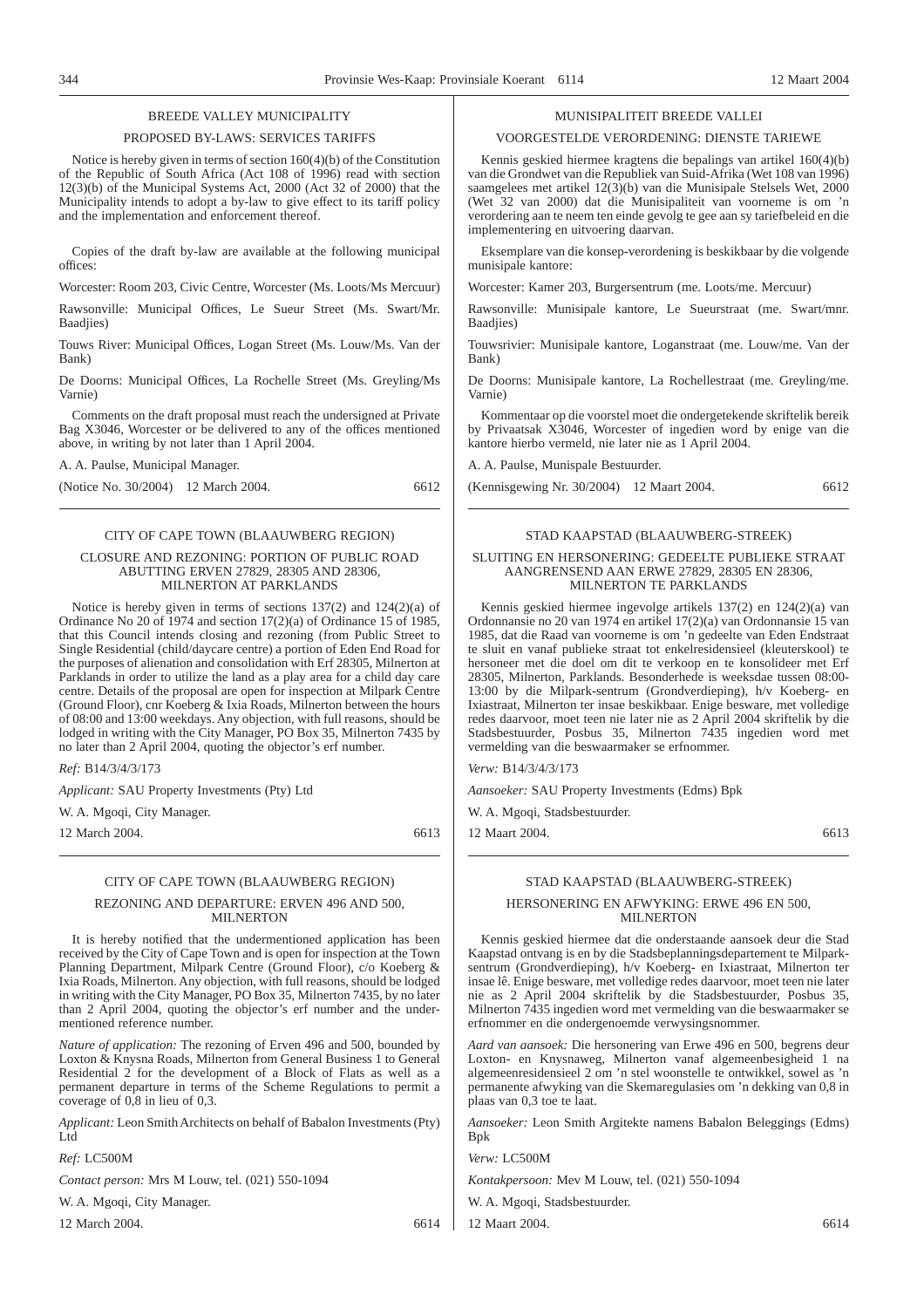# BREEDE VALLEY MUNICIPALITY

#### PROPOSED BY-LAWS: SERVICES TARIFFS

Notice is hereby given in terms of section 160(4)(b) of the Constitution of the Republic of South Africa (Act 108 of 1996) read with section 12(3)(b) of the Municipal Systems Act, 2000 (Act 32 of 2000) that the Municipality intends to adopt a by-law to give effect to its tariff policy and the implementation and enforcement thereof.

Copies of the draft by-law are available at the following municipal offices:

Worcester: Room 203, Civic Centre, Worcester (Ms. Loots/Ms Mercuur)

Rawsonville: Municipal Offices, Le Sueur Street (Ms. Swart/Mr. Baadjies)

Touws River: Municipal Offices, Logan Street (Ms. Louw/Ms. Van der Bank)

De Doorns: Municipal Offices, La Rochelle Street (Ms. Greyling/Ms Varnie)

Comments on the draft proposal must reach the undersigned at Private Bag X3046, Worcester or be delivered to any of the offices mentioned above, in writing by not later than 1 April 2004.

A. A. Paulse, Municipal Manager.

(Notice No. 30/2004) 12 March 2004. 6612

# CITY OF CAPE TOWN (BLAAUWBERG REGION)

# CLOSURE AND REZONING: PORTION OF PUBLIC ROAD ABUTTING ERVEN 27829, 28305 AND 28306, MILNERTON AT PARKLANDS

Notice is hereby given in terms of sections 137(2) and 124(2)(a) of Ordinance No 20 of 1974 and section 17(2)(a) of Ordinance 15 of 1985, that this Council intends closing and rezoning (from Public Street to Single Residential (child/daycare centre) a portion of Eden End Road for the purposes of alienation and consolidation with Erf 28305, Milnerton at Parklands in order to utilize the land as a play area for a child day care centre. Details of the proposal are open for inspection at Milpark Centre (Ground Floor), cnr Koeberg & Ixia Roads, Milnerton between the hours of 08:00 and 13:00 weekdays. Any objection, with full reasons, should be lodged in writing with the City Manager, PO Box 35, Milnerton 7435 by no later than 2 April 2004, quoting the objector's erf number.

*Ref:* B14/3/4/3/173

*Applicant:* SAU Property Investments (Pty) Ltd

W. A. Mgoqi, City Manager.

12 March 2004. 6613

# CITY OF CAPE TOWN (BLAAUWBERG REGION)

# REZONING AND DEPARTURE: ERVEN 496 AND 500, MILNERTON

It is hereby notified that the undermentioned application has been received by the City of Cape Town and is open for inspection at the Town Planning Department, Milpark Centre (Ground Floor), c/o Koeberg & Ixia Roads, Milnerton. Any objection, with full reasons, should be lodged in writing with the City Manager, PO Box 35, Milnerton 7435, by no later than 2 April 2004, quoting the objector's erf number and the undermentioned reference number.

*Nature of application:* The rezoning of Erven 496 and 500, bounded by Loxton & Knysna Roads, Milnerton from General Business 1 to General Residential 2 for the development of a Block of Flats as well as a permanent departure in terms of the Scheme Regulations to permit a coverage of 0,8 in lieu of 0,3.

*Applicant:* Leon Smith Architects on behalf of Babalon Investments (Pty) Ltd

#### *Ref:* LC500M

*Contact person:* Mrs M Louw, tel. (021) 550-1094

W. A. Mgoqi, City Manager.

12 March 2004. 6614

# MUNISIPALITEIT BREEDE VALLEI

#### VOORGESTELDE VERORDENlNG: DIENSTE TARIEWE

Kennis geskied hiermee kragtens die bepalings van artikel 160(4)(b) van die Grondwet van die Republiek van Suid-Afrika (Wet 108 van 1996) saamgelees met artikel 12(3)(b) van die Munisipale Stelsels Wet, 2000 (Wet 32 van 2000) dat die Munisipaliteit van voorneme is om 'n verordering aan te neem ten einde gevolg te gee aan sy tariefbeleid en die implementering en uitvoering daarvan.

Eksemplare van die konsep-verordening is beskikbaar by die volgende munisipale kantore:

Worcester: Kamer 203, Burgersentrum (me. Loots/me. Mercuur)

Rawsonville: Munisipale kantore, Le Sueurstraat (me. Swart/mnr. Baadjies)

Touwsrivier: Munisipale kantore, Loganstraat (me. Louw/me. Van der Bank)

De Doorns: Munisipale kantore, La Rochellestraat (me. Greyling/me. Varnie)

Kommentaar op die voorstel moet die ondergetekende skriftelik bereik by Privaatsak X3046, Worcester of ingedien word by enige van die kantore hierbo vermeld, nie later nie as 1 April 2004.

A. A. Paulse, Munispale Bestuurder.

(Kennisgewing Nr. 30/2004) 12 Maart 2004. 6612

# STAD KAAPSTAD (BLAAUWBERG-STREEK) SLUITING EN HERSONERING: GEDEELTE PUBLIEKE STRAAT

# AANGRENSEND AAN ERWE 27829, 28305 EN 28306, MILNERTON TE PARKLANDS

Kennis geskied hiermee ingevolge artikels 137(2) en 124(2)(a) van Ordonnansie no 20 van 1974 en artikel 17(2)(a) van Ordonnansie 15 van 1985, dat die Raad van voorneme is om 'n gedeelte van Eden Endstraat te sluit en vanaf publieke straat tot enkelresidensieel (kleuterskool) te hersoneer met die doel om dit te verkoop en te konsolideer met Erf 28305, Milnerton, Parklands. Besonderhede is weeksdae tussen 08:00- 13:00 by die Milpark-sentrum (Grondverdieping), h/v Koeberg- en Ixiastraat, Milnerton ter insae beskikbaar. Enige besware, met volledige redes daarvoor, moet teen nie later nie as 2 April 2004 skriftelik by die Stadsbestuurder, Posbus 35, Milnerton 7435 ingedien word met vermelding van die beswaarmaker se erfnommer.

*Verw:* B14/3/4/3/173

*Aansoeker:* SAU Property Investments (Edms) Bpk

W. A. Mgoqi, Stadsbestuurder.

12 Maart 2004. 6613

# STAD KAAPSTAD (BLAAUWBERG-STREEK)

# HERSONERING EN AFWYKING: ERWE 496 EN 500, MILNERTON

Kennis geskied hiermee dat die onderstaande aansoek deur die Stad Kaapstad ontvang is en by die Stadsbeplanningsdepartement te Milparksentrum (Grondverdieping), h/v Koeberg- en Ixiastraat, Milnerton ter insae lê. Enige besware, met volledige redes daarvoor, moet teen nie later nie as 2 April 2004 skriftelik by die Stadsbestuurder, Posbus 35, Milnerton 7435 ingedien word met vermelding van die beswaarmaker se erfnommer en die ondergenoemde verwysingsnommer.

*Aard van aansoek:* Die hersonering van Erwe 496 en 500, begrens deur Loxton- en Knysnaweg, Milnerton vanaf algemeenbesigheid 1 na algemeenresidensieel 2 om 'n stel woonstelle te ontwikkel, sowel as 'n permanente afwyking van die Skemaregulasies om 'n dekking van 0,8 in plaas van 0,3 toe te laat.

*Aansoeker:* Leon Smith Argitekte namens Babalon Beleggings (Edms) Bpk

*Verw:* LC500M

*Kontakpersoon:* Mev M Louw, tel. (021) 550-1094

W. A. Mgoqi, Stadsbestuurder.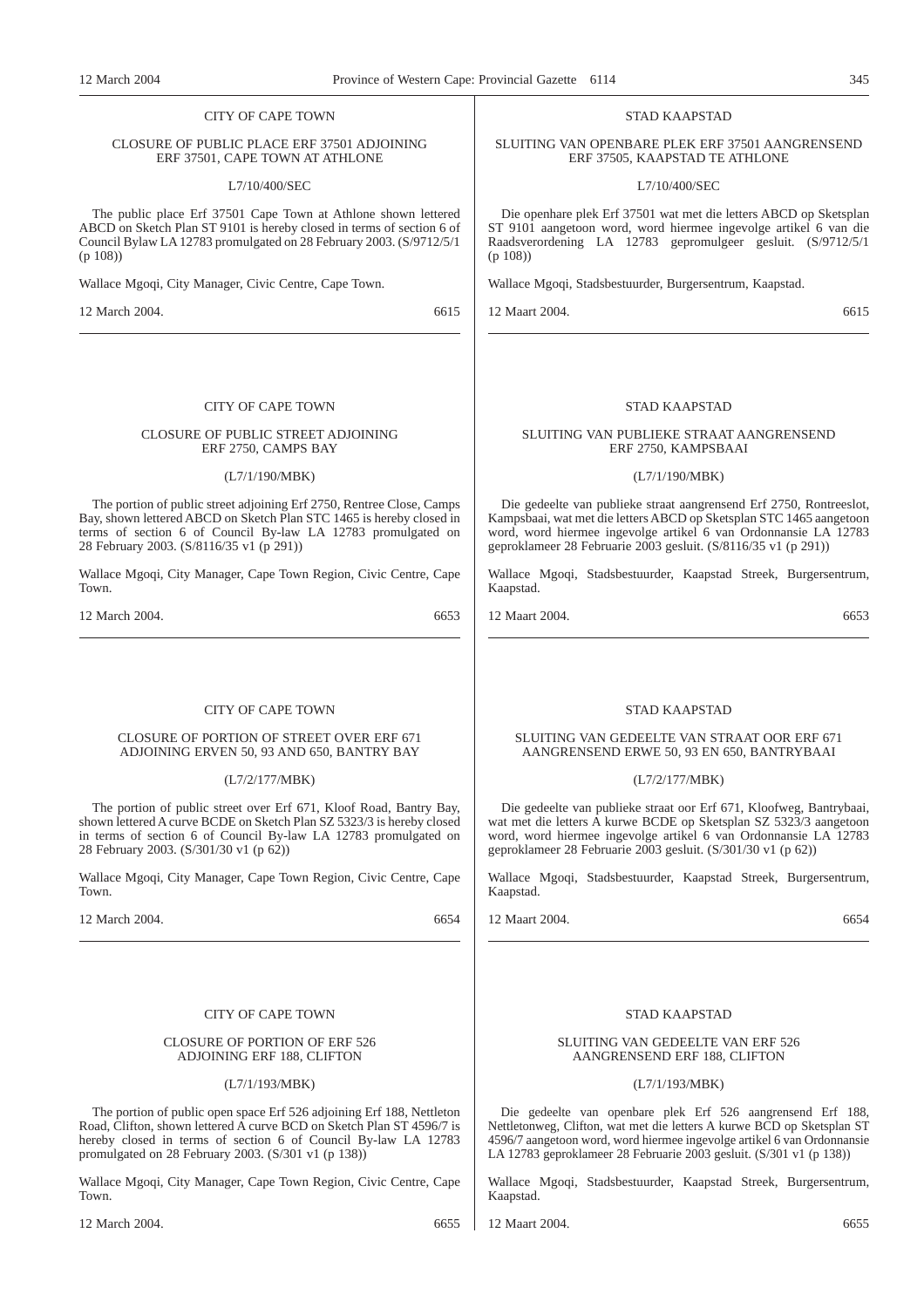# CITY OF CAPE TOWN

# CLOSURE OF PUBLIC PLACE ERF 37501 ADJOINING ERF 37501, CAPE TOWN AT ATHLONE

#### L7/10/400/SEC

The public place Erf 37501 Cape Town at Athlone shown lettered ABCD on Sketch Plan ST 9101 is hereby closed in terms of section 6 of Council Bylaw LA 12783 promulgated on 28 February 2003. (S/9712/5/1 (p 108))

Wallace Mgoqi, City Manager, Civic Centre, Cape Town.

12 March 2004. 6615

# CITY OF CAPE TOWN

# CLOSURE OF PUBLIC STREET ADJOINING ERF 2750, CAMPS BAY

# (L7/1/190/MBK)

The portion of public street adjoining Erf 2750, Rentree Close, Camps Bay, shown lettered ABCD on Sketch Plan STC 1465 is hereby closed in terms of section 6 of Council By-law LA 12783 promulgated on 28 February 2003. (S/8116/35 v1 (p 291))

Wallace Mgoqi, City Manager, Cape Town Region, Civic Centre, Cape Town.

12 March 2004. 6653

# CITY OF CAPE TOWN

# CLOSURE OF PORTION OF STREET OVER ERF 671 ADJOINING ERVEN 50, 93 AND 650, BANTRY BAY

# (L7/2/177/MBK)

The portion of public street over Erf 671, Kloof Road, Bantry Bay, shown lettered A curve BCDE on Sketch Plan SZ 5323/3 is hereby closed in terms of section 6 of Council By-law LA 12783 promulgated on 28 February 2003. (S/301/30 v1 (p 62))

Wallace Mgoqi, City Manager, Cape Town Region, Civic Centre, Cape Town.

12 March 2004. 6654

# CITY OF CAPE TOWN

# CLOSURE OF PORTION OF ERF 526 ADJOINING ERF 188, CLIFTON

# (L7/1/193/MBK)

The portion of public open space Erf 526 adjoining Erf 188, Nettleton Road, Clifton, shown lettered A curve BCD on Sketch Plan ST 4596/7 is hereby closed in terms of section 6 of Council By-law LA 12783 promulgated on 28 February 2003. (S/301 v1 (p 138))

Wallace Mgoqi, City Manager, Cape Town Region, Civic Centre, Cape Town.

12 March 2004. 6655

# STAD KAAPSTAD

SLUITING VAN OPENBARE PLEK ERF 37501 AANGRENSEND ERF 37505, KAAPSTAD TE ATHLONE

L7/10/400/SEC

Die openhare plek Erf 37501 wat met die letters ABCD op Sketsplan ST 9101 aangetoon word, word hiermee ingevolge artikel 6 van die Raadsverordening LA 12783 gepromulgeer gesluit. (S/9712/5/1 (p 108))

Wallace Mgoqi, Stadsbestuurder, Burgersentrum, Kaapstad.

12 Maart 2004. 6615

# STAD KAAPSTAD

SLUITING VAN PUBLIEKE STRAAT AANGRENSEND ERF 2750, KAMPSBAAI

# (L7/1/190/MBK)

Die gedeelte van publieke straat aangrensend Erf 2750, Rontreeslot, Kampsbaai, wat met die letters ABCD op Sketsplan STC 1465 aangetoon word, word hiermee ingevolge artikel 6 van Ordonnansie LA 12783 geproklameer 28 Februarie 2003 gesluit. (S/8116/35 v1 (p 291))

Wallace Mgoqi, Stadsbestuurder, Kaapstad Streek, Burgersentrum, Kaapstad.

12 Maart 2004. 6653

# STAD KAAPSTAD

# SLUITING VAN GEDEELTE VAN STRAAT OOR ERF 671 AANGRENSEND ERWE 50, 93 EN 650, BANTRYBAAI

#### (L7/2/177/MBK)

Die gedeelte van publieke straat oor Erf 671, Kloofweg, Bantrybaai, wat met die letters A kurwe BCDE op Sketsplan SZ 5323/3 aangetoon word, word hiermee ingevolge artikel 6 van Ordonnansie LA 12783 geproklameer 28 Februarie 2003 gesluit. (S/301/30 v1 (p 62))

Wallace Mgoqi, Stadsbestuurder, Kaapstad Streek, Burgersentrum, Kaapstad.

12 Maart 2004. 6654

#### STAD KAAPSTAD

# SLUITING VAN GEDEELTE VAN ERF 526 AANGRENSEND ERF 188, CLIFTON

# (L7/1/193/MBK)

Die gedeelte van openbare plek Erf 526 aangrensend Erf 188, Nettletonweg, Clifton, wat met die letters A kurwe BCD op Sketsplan ST 4596/7 aangetoon word, word hiermee ingevolge artikel 6 van Ordonnansie LA 12783 geproklameer 28 Februarie 2003 gesluit. (S/301 v1 (p 138))

Wallace Mgoqi, Stadsbestuurder, Kaapstad Streek, Burgersentrum, Kaapstad.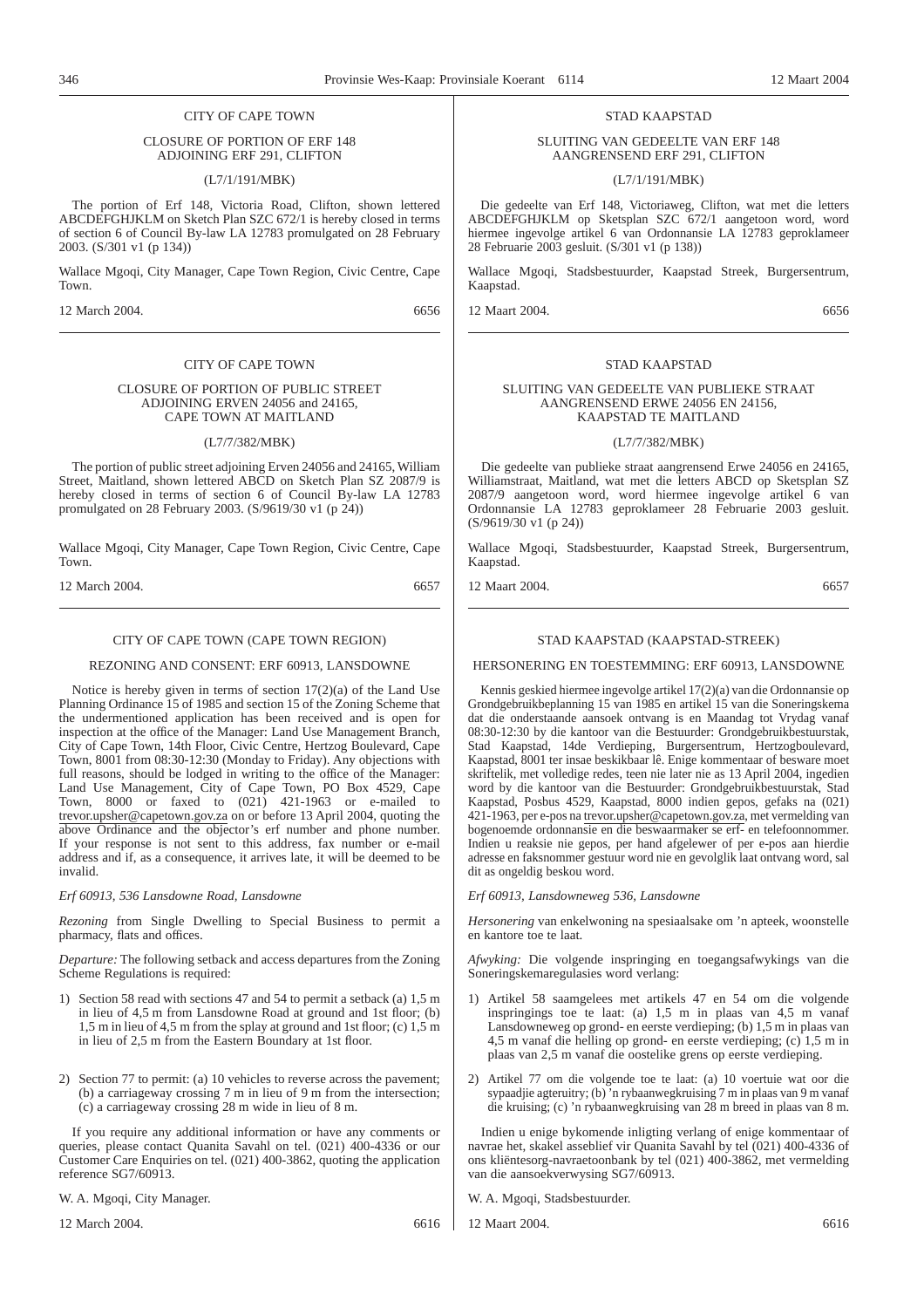# CITY OF CAPE TOWN

# CLOSURE OF PORTION OF ERF 148 ADJOINING ERF 291, CLIFTON

# (L7/1/191/MBK)

The portion of Erf 148, Victoria Road, Clifton, shown lettered ABCDEFGHJKLM on Sketch Plan SZC 672/1 is hereby closed in terms of section 6 of Council By-law LA 12783 promulgated on 28 February 2003. (S/301 v1 (p 134))

Wallace Mgoqi, City Manager, Cape Town Region, Civic Centre, Cape Town.

12 March 2004. 6656

# CITY OF CAPE TOWN

# CLOSURE OF PORTION OF PUBLIC STREET ADJOINING ERVEN 24056 and 24165, CAPE TOWN AT MAITLAND

# (L7/7/382/MBK)

The portion of public street adjoining Erven 24056 and 24165, William Street, Maitland, shown lettered ABCD on Sketch Plan SZ 2087/9 is hereby closed in terms of section 6 of Council By-law LA 12783 promulgated on 28 February 2003. (S/9619/30 v1 (p 24))

Wallace Mgoqi, City Manager, Cape Town Region, Civic Centre, Cape Town.

12 March 2004. 6657

# CITY OF CAPE TOWN (CAPE TOWN REGION)

REZONING AND CONSENT: ERF 60913, LANSDOWNE

Notice is hereby given in terms of section 17(2)(a) of the Land Use Planning Ordinance 15 of 1985 and section 15 of the Zoning Scheme that the undermentioned application has been received and is open for inspection at the office of the Manager: Land Use Management Branch, City of Cape Town, 14th Floor, Civic Centre, Hertzog Boulevard, Cape Town, 8001 from 08:30-12:30 (Monday to Friday). Any objections with full reasons, should be lodged in writing to the office of the Manager: Land Use Management, City of Cape Town, PO Box 4529, Cape Town, 8000 or faxed to (021) 421-1963 or e-mailed to trevor.upsher@capetown.gov.za on or before 13 April 2004, quoting the above Ordinance and the objector's erf number and phone number. If your response is not sent to this address, fax number or e-mail address and if, as a consequence, it arrives late, it will be deemed to be invalid.

*Erf 60913, 536 Lansdowne Road, Lansdowne*

*Rezoning* from Single Dwelling to Special Business to permit a pharmacy, flats and offices.

*Departure:* The following setback and access departures from the Zoning Scheme Regulations is required:

- 1) Section 58 read with sections 47 and 54 to permit a setback (a) 1,5 m in lieu of 4,5 m from Lansdowne Road at ground and 1st floor; (b) 1,5 m in lieu of 4,5 m from the splay at ground and 1st floor; (c) 1,5 m in lieu of 2,5 m from the Eastern Boundary at 1st floor.
- 2) Section 77 to permit: (a) 10 vehicles to reverse across the pavement; (b) a carriageway crossing 7 m in lieu of 9 m from the intersection; (c) a carriageway crossing 28 m wide in lieu of 8 m.

If you require any additional information or have any comments or queries, please contact Quanita Savahl on tel. (021) 400-4336 or our Customer Care Enquiries on tel. (021) 400-3862, quoting the application reference SG7/60913.

W. A. Mgoqi, City Manager.

12 March 2004. 6616

# STAD KAAPSTAD

# SLUITING VAN GEDEELTE VAN ERF 148 AANGRENSEND ERF 291, CLIFTON

(L7/1/191/MBK)

Die gedeelte van Erf 148, Victoriaweg, Clifton, wat met die letters ABCDEFGHJKLM op Sketsplan SZC 672/1 aangetoon word, word hiermee ingevolge artikel 6 van Ordonnansie LA 12783 geproklameer 28 Februarie 2003 gesluit. (S/301 v1 (p 138))

Wallace Mgoqi, Stadsbestuurder, Kaapstad Streek, Burgersentrum, Kaapstad.

12 Maart 2004. 6656

# STAD KAAPSTAD

# SLUITING VAN GEDEELTE VAN PUBLIEKE STRAAT AANGRENSEND ERWE 24056 EN 24156, KAAPSTAD TE MAITLAND

# (L7/7/382/MBK)

Die gedeelte van publieke straat aangrensend Erwe 24056 en 24165, Williamstraat, Maitland, wat met die letters ABCD op Sketsplan SZ 2087/9 aangetoon word, word hiermee ingevolge artikel 6 van Ordonnansie LA 12783 geproklameer 28 Februarie 2003 gesluit. (S/9619/30 v1 (p 24))

Wallace Mgoqi, Stadsbestuurder, Kaapstad Streek, Burgersentrum, Kaapstad.

12 Maart 2004. 6657

# STAD KAAPSTAD (KAAPSTAD-STREEK)

HERSONERING EN TOESTEMMING: ERF 60913, LANSDOWNE

Kennis geskied hiermee ingevolge artikel 17(2)(a) van die Ordonnansie op Grondgebruikbeplanning 15 van 1985 en artikel 15 van die Soneringskema dat die onderstaande aansoek ontvang is en Maandag tot Vrydag vanaf 08:30-12:30 by die kantoor van die Bestuurder: Grondgebruikbestuurstak, Stad Kaapstad, 14de Verdieping, Burgersentrum, Hertzogboulevard, Kaapstad, 8001 ter insae beskikbaar lê. Enige kommentaar of besware moet skriftelik, met volledige redes, teen nie later nie as 13 April 2004, ingedien word by die kantoor van die Bestuurder: Grondgebruikbestuurstak, Stad Kaapstad, Posbus 4529, Kaapstad, 8000 indien gepos, gefaks na (021) 421-1963, per e-pos na trevor.upsher@capetown.gov.za, met vermelding van bogenoemde ordonnansie en die beswaarmaker se erf- en telefoonnommer. Indien u reaksie nie gepos, per hand afgelewer of per e-pos aan hierdie adresse en faksnommer gestuur word nie en gevolglik laat ontvang word, sal dit as ongeldig beskou word.

*Erf 60913, Lansdowneweg 536, Lansdowne*

*Hersonering* van enkelwoning na spesiaalsake om 'n apteek, woonstelle en kantore toe te laat.

*Afwyking:* Die volgende inspringing en toegangsafwykings van die Soneringskemaregulasies word verlang:

- 1) Artikel 58 saamgelees met artikels 47 en 54 om die volgende inspringings toe te laat: (a) 1,5 m in plaas van 4,5 m vanaf Lansdowneweg op grond- en eerste verdieping; (b) 1,5 m in plaas van 4,5 m vanaf die helling op grond- en eerste verdieping; (c) 1,5 m in plaas van 2,5 m vanaf die oostelike grens op eerste verdieping.
- 2) Artikel 77 om die volgende toe te laat: (a) 10 voertuie wat oor die sypaadjie agteruitry; (b) 'n rybaanwegkruising 7 m in plaas van 9 m vanaf die kruising; (c) 'n rybaanwegkruising van 28 m breed in plaas van 8 m.

Indien u enige bykomende inligting verlang of enige kommentaar of navrae het, skakel asseblief vir Quanita Savahl by tel (021) 400-4336 of ons kliëntesorg-navraetoonbank by tel (021) 400-3862, met vermelding van die aansoekverwysing SG7/60913.

W. A. Mgoqi, Stadsbestuurder.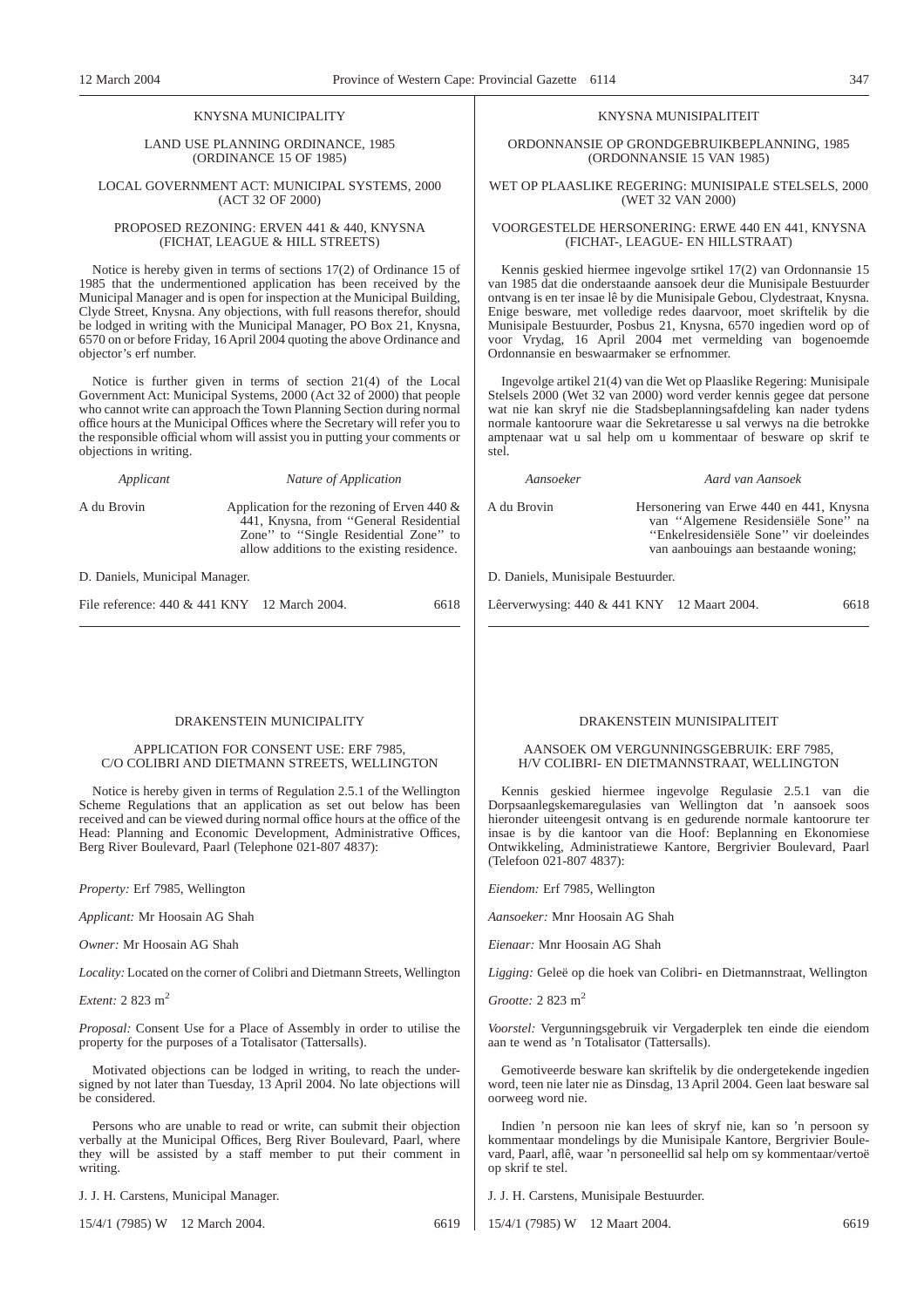# KNYSNA MUNICIPALITY

# LAND USE PLANNING ORDINANCE, 1985 (ORDINANCE 15 OF 1985)

#### LOCAL GOVERNMENT ACT: MUNICIPAL SYSTEMS, 2000 (ACT 32 OF 2000)

# PROPOSED REZONING: ERVEN 441 & 440, KNYSNA (FICHAT, LEAGUE & HILL STREETS)

Notice is hereby given in terms of sections 17(2) of Ordinance 15 of 1985 that the undermentioned application has been received by the Municipal Manager and is open for inspection at the Municipal Building, Clyde Street, Knysna. Any objections, with full reasons therefor, should be lodged in writing with the Municipal Manager, PO Box 21, Knysna, 6570 on or before Friday, 16 April 2004 quoting the above Ordinance and objector's erf number.

Notice is further given in terms of section 21(4) of the Local Government Act: Municipal Systems, 2000 (Act 32 of 2000) that people who cannot write can approach the Town Planning Section during normal office hours at the Municipal Offices where the Secretary will refer you to the responsible official whom will assist you in putting your comments or objections in writing.

| Applicant   | Nature of Application                                                                                                                                                           |
|-------------|---------------------------------------------------------------------------------------------------------------------------------------------------------------------------------|
| A du Brovin | Application for the rezoning of Erven 440 $\&$<br>441, Knysna, from "General Residential<br>Zone" to "Single Residential Zone" to<br>allow additions to the existing residence. |
|             |                                                                                                                                                                                 |

D. Daniels, Municipal Manager.

File reference: 440 & 441 KNY 12 March 2004. 6618

# DRAKENSTEIN MUNICIPALITY

# APPLICATION FOR CONSENT USE: ERF 7985, C/O COLIBRI AND DIETMANN STREETS, WELLINGTON

Notice is hereby given in terms of Regulation 2.5.1 of the Wellington Scheme Regulations that an application as set out below has been received and can be viewed during normal office hours at the office of the Head: Planning and Economic Development, Administrative Offices, Berg River Boulevard, Paarl (Telephone 021-807 4837):

*Property:* Erf 7985, Wellington

*Applicant:* Mr Hoosain AG Shah

*Owner:* Mr Hoosain AG Shah

*Locality:* Located on the corner of Colibri and Dietmann Streets, Wellington

*Extent:* 2 823 m2

*Proposal:* Consent Use for a Place of Assembly in order to utilise the property for the purposes of a Totalisator (Tattersalls).

Motivated objections can be lodged in writing, to reach the undersigned by not later than Tuesday, 13 April 2004. No late objections will be considered.

Persons who are unable to read or write, can submit their objection verbally at the Municipal Offices, Berg River Boulevard, Paarl, where they will be assisted by a staff member to put their comment in writing.

J. J. H. Carstens, Municipal Manager.

15/4/1 (7985) W 12 March 2004. 6619

# KNYSNA MUNISIPALITEIT

ORDONNANSIE OP GRONDGEBRUIKBEPLANNING, 1985 (ORDONNANSIE 15 VAN 1985)

# WET OP PLAASLIKE REGERING: MUNISIPALE STELSELS, 2000 (WET 32 VAN 2000)

# VOORGESTELDE HERSONERING: ERWE 440 EN 441, KNYSNA (FICHAT-, LEAGUE- EN HILLSTRAAT)

Kennis geskied hiermee ingevolge srtikel 17(2) van Ordonnansie 15 van 1985 dat die onderstaande aansoek deur die Munisipale Bestuurder ontvang is en ter insae lê by die Munisipale Gebou, Clydestraat, Knysna. Enige besware, met volledige redes daarvoor, moet skriftelik by die Munisipale Bestuurder, Posbus 21, Knysna, 6570 ingedien word op of voor Vrydag, 16 April 2004 met vermelding van bogenoemde Ordonnansie en beswaarmaker se erfnommer.

Ingevolge artikel 21(4) van die Wet op Plaaslike Regering: Munisipale Stelsels 2000 (Wet 32 van 2000) word verder kennis gegee dat persone wat nie kan skryf nie die Stadsbeplanningsafdeling kan nader tydens normale kantoorure waar die Sekretaresse u sal verwys na die betrokke amptenaar wat u sal help om u kommentaar of besware op skrif te stel.

*Aansoeker Aard van Aansoek*

A du Brovin Hersonering van Erwe 440 en 441, Knysna van ''Algemene Residensiële Sone'' na ''Enkelresidensiële Sone'' vir doeleindes van aanbouings aan bestaande woning;

D. Daniels, Munisipale Bestuurder.

Lêerverwysing: 440 & 441 KNY 12 Maart 2004. 6618

# DRAKENSTEIN MUNISIPALITEIT

# AANSOEK OM VERGUNNINGSGEBRUIK: ERF 7985, H/V COLIBRI- EN DIETMANNSTRAAT, WELLINGTON

Kennis geskied hiermee ingevolge Regulasie 2.5.1 van die Dorpsaanlegskemaregulasies van Wellington dat 'n aansoek soos hieronder uiteengesit ontvang is en gedurende normale kantoorure ter insae is by die kantoor van die Hoof: Beplanning en Ekonomiese Ontwikkeling, Administratiewe Kantore, Bergrivier Boulevard, Paarl (Telefoon 021-807 4837):

*Eiendom:* Erf 7985, Wellington

*Aansoeker:* Mnr Hoosain AG Shah

*Eienaar:* Mnr Hoosain AG Shah

*Ligging:* Geleë op die hoek van Colibri- en Dietmannstraat, Wellington

*Grootte:* 2 823 m2

*Voorstel:* Vergunningsgebruik vir Vergaderplek ten einde die eiendom aan te wend as 'n Totalisator (Tattersalls).

Gemotiveerde besware kan skriftelik by die ondergetekende ingedien word, teen nie later nie as Dinsdag, 13 April 2004. Geen laat besware sal oorweeg word nie.

Indien 'n persoon nie kan lees of skryf nie, kan so 'n persoon sy kommentaar mondelings by die Munisipale Kantore, Bergrivier Boulevard, Paarl, aflê, waar 'n personeellid sal help om sy kommentaar/vertoë op skrif te stel.

J. J. H. Carstens, Munisipale Bestuurder.

15/4/1 (7985) W 12 Maart 2004. 6619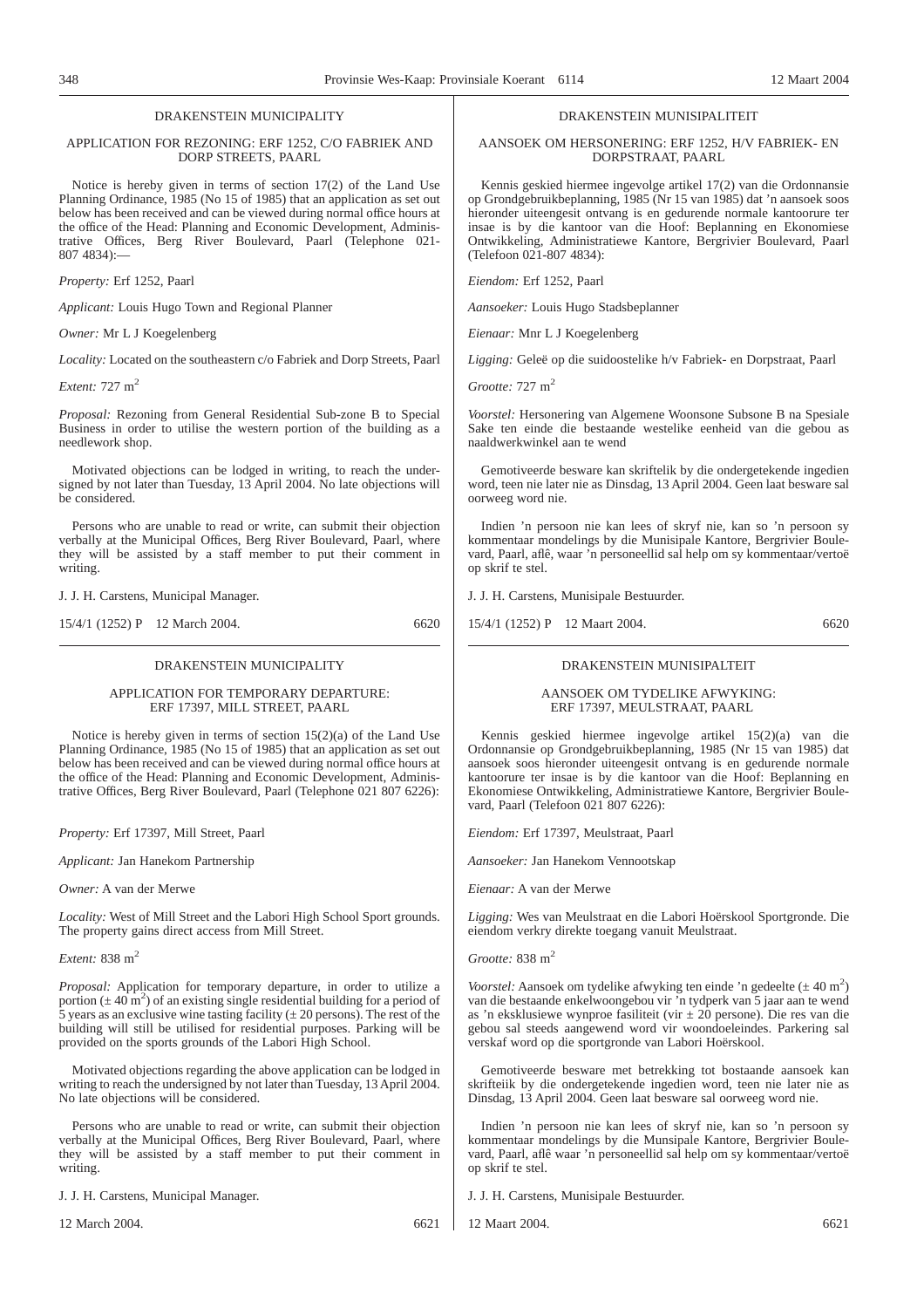# DRAKENSTEIN MUNICIPALITY

# APPLICATION FOR REZONING: ERF 1252, C/O FABRIEK AND DORP STREETS, PAARL

Notice is hereby given in terms of section 17(2) of the Land Use Planning Ordinance, 1985 (No 15 of 1985) that an application as set out below has been received and can be viewed during normal office hours at the office of the Head: Planning and Economic Development, Administrative Offices, Berg River Boulevard, Paarl (Telephone 021-  $807$  4834):

*Property:* Erf 1252, Paarl

*Applicant:* Louis Hugo Town and Regional Planner

*Owner:* Mr L J Koegelenberg

*Locality:* Located on the southeastern c/o Fabriek and Dorp Streets, Paarl

*Extent:* 727 m<sup>2</sup>

*Proposal:* Rezoning from General Residential Sub-zone B to Special Business in order to utilise the western portion of the building as a needlework shop.

Motivated objections can be lodged in writing, to reach the undersigned by not later than Tuesday, 13 April 2004. No late objections will be considered.

Persons who are unable to read or write, can submit their objection verbally at the Municipal Offices, Berg River Boulevard, Paarl, where they will be assisted by a staff member to put their comment in writing.

J. J. H. Carstens, Municipal Manager.

15/4/1 (1252) P 12 March 2004. 6620

#### DRAKENSTEIN MUNICIPALITY

APPLICATION FOR TEMPORARY DEPARTURE: ERF 17397, MILL STREET, PAARL

Notice is hereby given in terms of section 15(2)(a) of the Land Use Planning Ordinance, 1985 (No 15 of 1985) that an application as set out below has been received and can be viewed during normal office hours at the office of the Head: Planning and Economic Development, Administrative Offices, Berg River Boulevard, Paarl (Telephone 021 807 6226):

*Property:* Erf 17397, Mill Street, Paarl

*Applicant:* Jan Hanekom Partnership

*Owner:* A van der Merwe

*Locality:* West of Mill Street and the Labori High School Sport grounds. The property gains direct access from Mill Street.

*Extent:* 838 m<sup>2</sup>

*Proposal:* Application for temporary departure, in order to utilize a portion ( $\pm$  40 m<sup>2</sup>) of an existing single residential building for a period of 5 years as an exclusive wine tasting facility  $(\pm 20 \text{ persons})$ . The rest of the building will still be utilised for residential purposes. Parking will be provided on the sports grounds of the Labori High School.

Motivated objections regarding the above application can be lodged in writing to reach the undersigned by not later than Tuesday, 13 April 2004. No late objections will be considered.

Persons who are unable to read or write, can submit their objection verbally at the Municipal Offices, Berg River Boulevard, Paarl, where they will be assisted by a staff member to put their comment in writing.

J. J. H. Carstens, Municipal Manager.

12 March 2004. 6621

# DRAKENSTEIN MUNISIPALITEIT

# AANSOEK OM HERSONERING: ERF 1252, H/V FABRIEK- EN DORPSTRAAT, PAARL

Kennis geskied hiermee ingevolge artikel 17(2) van die Ordonnansie op Grondgebruikbeplanning, 1985 (Nr 15 van 1985) dat 'n aansoek soos hieronder uiteengesit ontvang is en gedurende normale kantoorure ter insae is by die kantoor van die Hoof: Beplanning en Ekonomiese Ontwikkeling, Administratiewe Kantore, Bergrivier Boulevard, Paarl (Telefoon 021-807 4834):

*Eiendom:* Erf 1252, Paarl

*Aansoeker:* Louis Hugo Stadsbeplanner

*Eienaar:* Mnr L J Koegelenberg

*Ligging:* Geleë op die suidoostelike h/v Fabriek- en Dorpstraat, Paarl

*Grootte:* 727 m2

*Voorstel:* Hersonering van Algemene Woonsone Subsone B na Spesiale Sake ten einde die bestaande westelike eenheid van die gebou as naaldwerkwinkel aan te wend

Gemotiveerde besware kan skriftelik by die ondergetekende ingedien word, teen nie later nie as Dinsdag, 13 April 2004. Geen laat besware sal oorweeg word nie.

Indien 'n persoon nie kan lees of skryf nie, kan so 'n persoon sy kommentaar mondelings by die Munisipale Kantore, Bergrivier Boulevard, Paarl, aflê, waar 'n personeellid sal help om sy kommentaar/vertoë op skrif te stel.

J. J. H. Carstens, Munisipale Bestuurder.

15/4/1 (1252) P 12 Maart 2004. 6620

# DRAKENSTEIN MUNISIPALTEIT

AANSOEK OM TYDELIKE AFWYKING: ERF 17397, MEULSTRAAT, PAARL

Kennis geskied hiermee ingevolge artikel 15(2)(a) van die Ordonnansie op Grondgebruikbeplanning, 1985 (Nr 15 van 1985) dat aansoek soos hieronder uiteengesit ontvang is en gedurende normale kantoorure ter insae is by die kantoor van die Hoof: Beplanning en Ekonomiese Ontwikkeling, Administratiewe Kantore, Bergrivier Boulevard, Paarl (Telefoon 021 807 6226):

*Eiendom:* Erf 17397, Meulstraat, Paarl

*Aansoeker:* Jan Hanekom Vennootskap

*Eienaar:* A van der Merwe

*Ligging:* Wes van Meulstraat en die Labori Hoërskool Sportgronde. Die eiendom verkry direkte toegang vanuit Meulstraat.

*Grootte:* 838 m2

*Voorstel:* Aansoek om tydelike afwyking ten einde 'n gedeelte  $(\pm 40 \text{ m}^2)$ van die bestaande enkelwoongebou vir 'n tydperk van 5 jaar aan te wend as 'n eksklusiewe wynproe fasiliteit (vir  $\pm 20$  persone). Die res van die gebou sal steeds aangewend word vir woondoeleindes. Parkering sal verskaf word op die sportgronde van Labori Hoërskool.

Gemotiveerde besware met betrekking tot bostaande aansoek kan skrifteiik by die ondergetekende ingedien word, teen nie later nie as Dinsdag, 13 April 2004. Geen laat besware sal oorweeg word nie.

Indien 'n persoon nie kan lees of skryf nie, kan so 'n persoon sy kommentaar mondelings by die Munsipale Kantore, Bergrivier Boulevard, Paarl, aflê waar 'n personeellid sal help om sy kommentaar/vertoë op skrif te stel.

J. J. H. Carstens, Munisipale Bestuurder.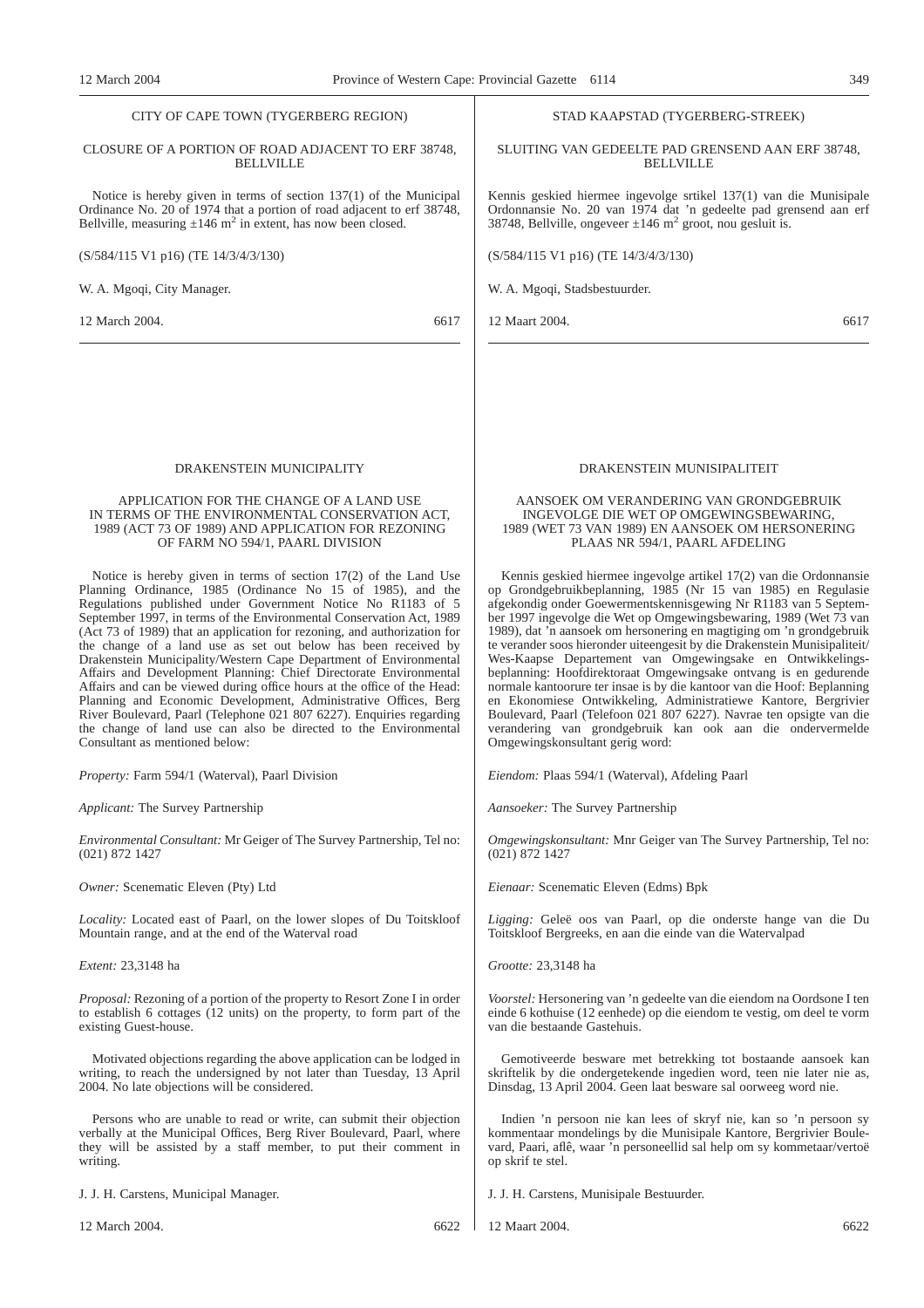#### CITY OF CAPE TOWN (TYGERBERG REGION)

# CLOSURE OF A PORTION OF ROAD ADJACENT TO ERF 38748, BELLVILLE

Notice is hereby given in terms of section 137(1) of the Municipal Ordinance No. 20 of 1974 that a portion of road adjacent to erf 38748, Bellville, measuring  $\pm 146$  m<sup>2</sup> in extent, has now been closed.

(S/584/115 V1 p16) (TE 14/3/4/3/130)

W. A. Mgoqi, City Manager.

12 March 2004. 6617

DRAKENSTEIN MUNICIPALITY

# APPLICATION FOR THE CHANGE OF A LAND USE IN TERMS OF THE ENVIRONMENTAL CONSERVATION ACT, 1989 (ACT 73 OF 1989) AND APPLICATION FOR REZONING OF FARM NO 594/1, PAARL DIVISION

Notice is hereby given in terms of section 17(2) of the Land Use Planning Ordinance, 1985 (Ordinance No 15 of 1985), and the Regulations published under Government Notice No R1183 of 5 September 1997, in terms of the Environmental Conservation Act, 1989 (Act 73 of 1989) that an application for rezoning, and authorization for the change of a land use as set out below has been received by Drakenstein Municipality/Western Cape Department of Environmental Affairs and Development Planning: Chief Directorate Environmental Affairs and can be viewed during office hours at the office of the Head: Planning and Economic Development, Administrative Offices, Berg River Boulevard, Paarl (Telephone 021 807 6227). Enquiries regarding the change of land use can also be directed to the Environmental Consultant as mentioned below:

*Property:* Farm 594/1 (Waterval), Paarl Division

*Applicant:* The Survey Partnership

*Environmental Consultant:* Mr Geiger of The Survey Partnership, Tel no: (021) 872 1427

*Owner:* Scenematic Eleven (Pty) Ltd

*Locality:* Located east of Paarl, on the lower slopes of Du Toitskloof Mountain range, and at the end of the Waterval road

*Extent:* 23,3148 ha

*Proposal:* Rezoning of a portion of the property to Resort Zone I in order to establish 6 cottages (12 units) on the property, to form part of the existing Guest-house.

Motivated objections regarding the above application can be lodged in writing, to reach the undersigned by not later than Tuesday, 13 April 2004. No late objections will be considered.

Persons who are unable to read or write, can submit their objection verbally at the Municipal Offices, Berg River Boulevard, Paarl, where they will be assisted by a staff member, to put their comment in writing.

J. J. H. Carstens, Municipal Manager.

12 March 2004. 6622

# STAD KAAPSTAD (TYGERBERG-STREEK)

SLUITING VAN GEDEELTE PAD GRENSEND AAN ERF 38748, **BELLVILLE** 

Kennis geskied hiermee ingevolge srtikel 137(1) van die Munisipale Ordonnansie No. 20 van 1974 dat 'n gedeelte pad grensend aan erf  $38748$ , Bellville, ongeveer  $\pm 146$  m<sup>2</sup> groot, nou gesluit is.

(S/584/115 V1 p16) (TE 14/3/4/3/130)

W. A. Mgoqi, Stadsbestuurder.

12 Maart 2004. 6617

# DRAKENSTEIN MUNISIPALITEIT

# AANSOEK OM VERANDERING VAN GRONDGEBRUIK INGEVOLGE DIE WET OP OMGEWINGSBEWARING, 1989 (WET 73 VAN 1989) EN AANSOEK OM HERSONERING PLAAS NR 594/1, PAARL AFDELING

Kennis geskied hiermee ingevolge artikel 17(2) van die Ordonnansie op Grondgebruikbeplanning, 1985 (Nr 15 van 1985) en Regulasie afgekondig onder Goewermentskennisgewing Nr R1183 van 5 September 1997 ingevolge die Wet op Omgewingsbewaring, 1989 (Wet 73 van 1989), dat 'n aansoek om hersonering en magtiging om 'n grondgebruik te verander soos hieronder uiteengesit by die Drakenstein Munisipaliteit/ Wes-Kaapse Departement van Omgewingsake en Ontwikkelingsbeplanning: Hoofdirektoraat Omgewingsake ontvang is en gedurende normale kantoorure ter insae is by die kantoor van die Hoof: Beplanning en Ekonomiese Ontwikkeling, Administratiewe Kantore, Bergrivier Boulevard, Paarl (Telefoon 021 807 6227). Navrae ten opsigte van die verandering van grondgebruik kan ook aan die ondervermelde Omgewingskonsultant gerig word:

*Eiendom:* Plaas 594/1 (Waterval), Afdeling Paarl

*Aansoeker:* The Survey Partnership

*Omgewingskonsultant:* Mnr Geiger van The Survey Partnership, Tel no: (021) 872 1427

*Eienaar:* Scenematic Eleven (Edms) Bpk

*Ligging:* Geleë oos van Paarl, op die onderste hange van die Du Toitskloof Bergreeks, en aan die einde van die Watervalpad

*Grootte:* 23,3148 ha

*Voorstel:* Hersonering van 'n gedeelte van die eiendom na Oordsone I ten einde 6 kothuise (12 eenhede) op die eiendom te vestig, om deel te vorm van die bestaande Gastehuis.

Gemotiveerde besware met betrekking tot bostaande aansoek kan skriftelik by die ondergetekende ingedien word, teen nie later nie as, Dinsdag, 13 April 2004. Geen laat besware sal oorweeg word nie.

Indien 'n persoon nie kan lees of skryf nie, kan so 'n persoon sy kommentaar mondelings by die Munisipale Kantore, Bergrivier Boulevard, Paari, aflê, waar 'n personeellid sal help om sy kommetaar/vertoë op skrif te stel.

J. J. H. Carstens, Munisipale Bestuurder.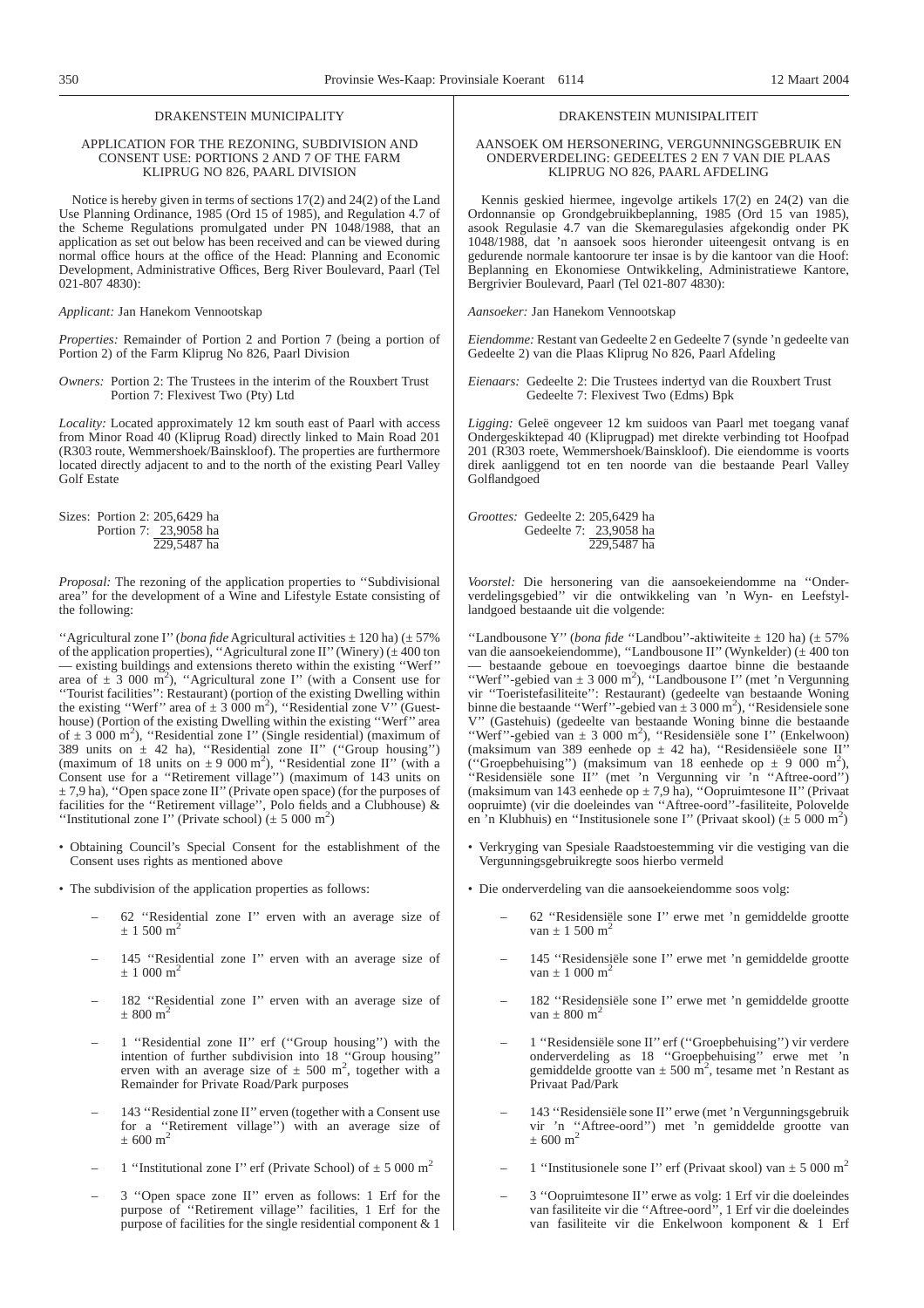# DRAKENSTEIN MUNICIPALITY

# APPLICATION FOR THE REZONING, SUBDIVISION AND CONSENT USE: PORTIONS 2 AND 7 OF THE FARM KLIPRUG NO 826, PAARL DIVISION

Notice is hereby given in terms of sections 17(2) and 24(2) of the Land Use Planning Ordinance, 1985 (Ord 15 of 1985), and Regulation 4.7 of the Scheme Regulations promulgated under PN 1048/1988, that an application as set out below has been received and can be viewed during normal office hours at the office of the Head: Planning and Economic Development, Administrative Offices, Berg River Boulevard, Paarl (Tel 021-807 4830):

*Applicant:* Jan Hanekom Vennootskap

*Properties:* Remainder of Portion 2 and Portion 7 (being a portion of Portion 2) of the Farm Kliprug No 826, Paarl Division

*Owners:* Portion 2: The Trustees in the interim of the Rouxbert Trust Portion 7: Flexivest Two (Pty) Ltd

*Locality:* Located approximately 12 km south east of Paarl with access from Minor Road 40 (Kliprug Road) directly linked to Main Road 201 (R303 route, Wemmershoek/Bainskloof). The properties are furthermore located directly adjacent to and to the north of the existing Pearl Valley Golf Estate

Sizes: Portion 2: 205,6429 ha Portion 7: 23,9058 ha 229,5487 ha

*Proposal:* The rezoning of the application properties to ''Subdivisional area'' for the development of a Wine and Lifestyle Estate consisting of the following:

''Agricultural zone I'' (*bona fide* Agricultural activities ± 120 ha) (± 57% of the application properties), "Agricultural zone II" (Winery) ( $\pm$  400 ton — existing buildings and extensions thereto within the existing ''Werf'' area of  $\pm 3$  000 m<sup>2</sup>), "Agricultural zone I" (with a Consent use for ''Tourist facilities'': Restaurant) (portion of the existing Dwelling within the existing "Werf" area of  $\pm 3\,000$  m<sup>2</sup>), "Residential zone V" (Guesthouse) (Portion of the existing Dwelling within the existing ''Werf'' area of  $\pm$  3 000 m<sup>2</sup>), "Residential zone I" (Single residential) (maximum of 389 units on  $\pm$  42 ha), "Residential zone II" ("Group housing") (maximum of 18 units on  $\pm 9000 \text{ m}^2$ ), "Residential zone II" (with a Consent use for a ''Retirement village'') (maximum of 143 units on  $\pm$  7,9 ha), "Open space zone II" (Private open space) (for the purposes of facilities for the ''Retirement village'', Polo fields and a Clubhouse) & "Institutional zone I" (Private school)  $(\pm 5000 \text{ m}^2)$ 

- Obtaining Council's Special Consent for the establishment of the Consent uses rights as mentioned above
- The subdivision of the application properties as follows:
	- 62 ''Residential zone I'' erven with an average size of  $\pm$  1 500  $\mathrm{m}^2$
	- 145 ''Residential zone I'' erven with an average size of  $\pm$  1 000 m<sup>2</sup>
	- 182 ''Residential zone I'' erven with an average size of  $\pm$  800 m<sup>2</sup>
	- 1 ''Residential zone II'' erf (''Group housing'') with the intention of further subdivision into 18 "Group housing" erven with an average size of  $\pm$  500 m<sup>2</sup>, together with a Remainder for Private Road/Park purposes
	- 143 ''Residential zone II'' erven (together with a Consent use for a ''Retirement village'') with an average size of  $+600 \text{ m}^2$
	- 1 "Institutional zone I" erf (Private School) of  $\pm$  5 000 m<sup>2</sup>
	- 3 ''Open space zone II'' erven as follows: 1 Erf for the purpose of ''Retirement village'' facilities, 1 Erf for the purpose of facilities for the single residential component & 1

#### DRAKENSTEIN MUNISIPALITEIT

# AANSOEK OM HERSONERING, VERGUNNINGSGEBRUIK EN ONDERVERDELING: GEDEELTES 2 EN 7 VAN DIE PLAAS KLIPRUG NO 826, PAARL AFDELING

Kennis geskied hiermee, ingevolge artikels 17(2) en 24(2) van die Ordonnansie op Grondgebruikbeplanning, 1985 (Ord 15 van 1985), asook Regulasie 4.7 van die Skemaregulasies afgekondig onder PK 1048/1988, dat 'n aansoek soos hieronder uiteengesit ontvang is en gedurende normale kantoorure ter insae is by die kantoor van die Hoof: Beplanning en Ekonomiese Ontwikkeling, Administratiewe Kantore, Bergrivier Boulevard, Paarl (Tel 021-807 4830):

*Aansoeker:* Jan Hanekom Vennootskap

*Eiendomme:* Restant van Gedeelte 2 en Gedeelte 7 (synde 'n gedeelte van Gedeelte 2) van die Plaas Kliprug No 826, Paarl Afdeling

*Eienaars:* Gedeelte 2: Die Trustees indertyd van die Rouxbert Trust Gedeelte 7: Flexivest Two (Edms) Bpk

*Ligging:* Geleë ongeveer 12 km suidoos van Paarl met toegang vanaf Ondergeskiktepad 40 (Kliprugpad) met direkte verbinding tot Hoofpad 201 (R303 roete, Wemmershoek/Bainskloof). Die eiendomme is voorts direk aanliggend tot en ten noorde van die bestaande Pearl Valley Golflandgoed

*Groottes:* Gedeelte 2: 205,6429 ha Gedeelte 7: 23,9058 ha 229,5487 ha

*Voorstel:* Die hersonering van die aansoekeiendomme na ''Onderverdelingsgebied'' vir die ontwikkeling van 'n Wyn- en Leefstyllandgoed bestaande uit die volgende:

''Landbousone Y'' (*bona fide* ''Landbou''-aktiwiteite ± 120 ha) (± 57% van die aansoekeiendomme), ''Landbousone II'' (Wynkelder) (± 400 ton — bestaande geboue en toevoegings daartoe binne die bestaande "Werf"-gebied van ± 3 000 m<sup>2</sup>), "Landbousone I" (met 'n Vergunning vir ''Toeristefasiliteite'': Restaurant) (gedeelte van bestaande Woning binne die bestaande "Werf"-gebied van  $\pm 3000$  m<sup>2</sup>), "Residensiele sone V'' (Gastehuis) (gedeelte van bestaande Woning binne die bestaande "Werf"-gebied van ± 3 000 m<sup>2</sup>), "Residensiële sone I" (Enkelwoon) (maksimum van 389 eenhede op  $\pm$  42 ha), "Residensiëele sone II" ("Groepbehuising") (maksimum van 18 eenhede op  $\pm$  9 000 m<sup>2</sup>), ''Residensiële sone II'' (met 'n Vergunning vir 'n ''Aftree-oord'') (maksimum van 143 eenhede op  $\pm$  7,9 ha), "Oopruimtesone II" (Privaat oopruimte) (vir die doeleindes van ''Aftree-oord''-fasiliteite, Polovelde en 'n Klubhuis) en "Institusionele sone I" (Privaat skool) ( $\pm$  5 000 m<sup>2</sup>)

- Verkryging van Spesiale Raadstoestemming vir die vestiging van die Vergunningsgebruikregte soos hierbo vermeld
- Die onderverdeling van die aansoekeiendomme soos volg:
	- 62 ''Residensiële sone I'' erwe met 'n gemiddelde grootte  $van + 1,500$  m<sup>2</sup>
	- 145 ''Residensiële sone I'' erwe met 'n gemiddelde grootte  $van \pm 1,000 \text{ m}^2$
	- 182 ''Residensiële sone I'' erwe met 'n gemiddelde grootte  $van + 800$  m<sup>2</sup>
	- 1 ''Residensiële sone II'' erf (''Groepbehuising'') vir verdere onderverdeling as 18 ''Groepbehuising'' erwe met 'n gemiddelde grootte van  $\pm$  500 m<sup>2</sup>, tesame met 'n Restant as Privaat Pad/Park
	- 143 ''Residensiële sone II''erwe (met 'n Vergunningsgebruik vir 'n "Aftree-oord") met 'n gemiddelde grootte van  $\pm 600 \text{ m}^2$
	- 1 "Institusionele sone I" erf (Privaat skool) van  $\pm$  5 000 m<sup>2</sup>
	- 3 ''Oopruimtesone II'' erwe as volg: 1 Erf vir die doeleindes van fasiliteite vir die ''Aftree-oord'', 1 Erf vir die doeleindes van fasiliteite vir die Enkelwoon komponent & 1 Erf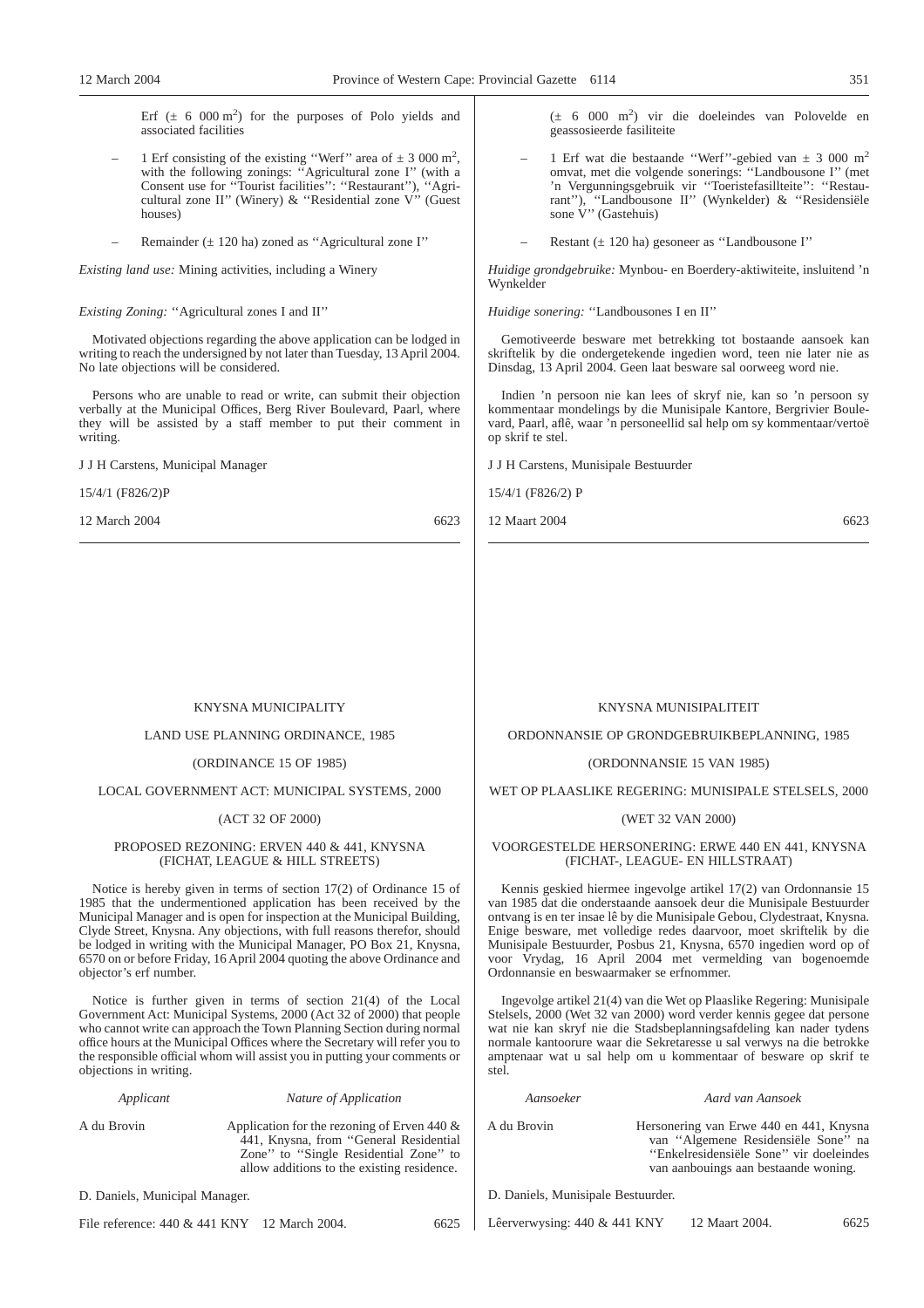Erf  $(\pm 6000 \text{ m}^2)$  for the purposes of Polo yields and associated facilities

- 1 Erf consisting of the existing "Werf" area of  $\pm$  3 000 m<sup>2</sup>, with the following zonings: ''Agricultural zone I'' (with a Consent use for ''Tourist facilities'': ''Restaurant''), ''Agricultural zone II'' (Winery) & ''Residential zone V'' (Guest houses)
- Remainder  $(\pm 120$  ha) zoned as "Agricultural zone I"

*Existing land use:* Mining activities, including a Winery

# *Existing Zoning:* ''Agricultural zones I and II''

Motivated objections regarding the above application can be lodged in writing to reach the undersigned by not later than Tuesday, 13 April 2004. No late objections will be considered.

Persons who are unable to read or write, can submit their objection verbally at the Municipal Offices, Berg River Boulevard, Paarl, where they will be assisted by a staff member to put their comment in writing.

J J H Carstens, Municipal Manager

15/4/1 (F826/2)P

12 March 2004 6623

(± 6 000 m2 ) vir die doeleindes van Polovelde en geassosieerde fasiliteite

- 1 Erf wat die bestaande "Werf"-gebied van  $\pm$  3 000 m<sup>2</sup> omvat, met die volgende sonerings: ''Landbousone I'' (met 'n Vergunningsgebruik vir ''Toeristefasillteite'': ''Restaurant''), ''Landbousone II'' (Wynkelder) & ''Residensiële sone V'' (Gastehuis)
	- Restant  $(\pm 120 \text{ ha})$  gesoneer as "Landbousone I"

*Huidige grondgebruike:* Mynbou- en Boerdery-aktiwiteite, insluitend 'n Wynkelder

*Huidige sonering:* ''Landbousones I en II''

Gemotiveerde besware met betrekking tot bostaande aansoek kan skriftelik by die ondergetekende ingedien word, teen nie later nie as Dinsdag, 13 April 2004. Geen laat besware sal oorweeg word nie.

Indien 'n persoon nie kan lees of skryf nie, kan so 'n persoon sy kommentaar mondelings by die Munisipale Kantore, Bergrivier Boulevard, Paarl, aflê, waar 'n personeellid sal help om sy kommentaar/vertoë op skrif te stel.

J J H Carstens, Munisipale Bestuurder

15/4/1 (F826/2) P

12 Maart 2004 6623

# KNYSNA MUNICIPALITY

LAND USE PLANNING ORDINANCE, 1985

# (ORDINANCE 15 OF 1985)

LOCAL GOVERNMENT ACT: MUNICIPAL SYSTEMS, 2000

# (ACT 32 OF 2000)

# PROPOSED REZONING: ERVEN 440 & 441, KNYSNA (FICHAT, LEAGUE & HILL STREETS)

Notice is hereby given in terms of section 17(2) of Ordinance 15 of 1985 that the undermentioned application has been received by the Municipal Manager and is open for inspection at the Municipal Building, Clyde Street, Knysna. Any objections, with full reasons therefor, should be lodged in writing with the Municipal Manager, PO Box 21, Knysna, 6570 on or before Friday, 16 April 2004 quoting the above Ordinance and objector's erf number.

Notice is further given in terms of section 21(4) of the Local Government Act: Municipal Systems, 2000 (Act 32 of 2000) that people who cannot write can approach the Town Planning Section during normal office hours at the Municipal Offices where the Secretary will refer you to the responsible official whom will assist you in putting your comments or objections in writing.

*Applicant Nature of Application*

A du Brovin Application for the rezoning of Erven 440 & 441, Knysna, from ''General Residential Zone" to "Single Residential Zone" to allow additions to the existing residence.

D. Daniels, Municipal Manager.

File reference: 440 & 441 KNY 12 March 2004. 6625

# KNYSNA MUNISIPALITEIT

ORDONNANSIE OP GRONDGEBRUIKBEPLANNING, 1985

# (ORDONNANSIE 15 VAN 1985)

WET OP PLAASLIKE REGERING: MUNISIPALE STELSELS, 2000

# (WET 32 VAN 2000)

# VOORGESTELDE HERSONERING: ERWE 440 EN 441, KNYSNA (FICHAT-, LEAGUE- EN HILLSTRAAT)

Kennis geskied hiermee ingevolge artikel 17(2) van Ordonnansie 15 van 1985 dat die onderstaande aansoek deur die Munisipale Bestuurder ontvang is en ter insae lê by die Munisipale Gebou, Clydestraat, Knysna. Enige besware, met volledige redes daarvoor, moet skriftelik by die Munisipale Bestuurder, Posbus 21, Knysna, 6570 ingedien word op of voor Vrydag, 16 April 2004 met vermelding van bogenoemde Ordonnansie en beswaarmaker se erfnommer.

Ingevolge artikel 21(4) van die Wet op Plaaslike Regering: Munisipale Stelsels, 2000 (Wet 32 van 2000) word verder kennis gegee dat persone wat nie kan skryf nie die Stadsbeplanningsafdeling kan nader tydens normale kantoorure waar die Sekretaresse u sal verwys na die betrokke amptenaar wat u sal help om u kommentaar of besware op skrif te stel.

*Aansoeker Aard van Aansoek*

A du Brovin Hersonering van Erwe 440 en 441, Knysna van ''Algemene Residensiële Sone'' na ''Enkelresidensiële Sone'' vir doeleindes van aanbouings aan bestaande woning.

D. Daniels, Munisipale Bestuurder.

Lêerverwysing: 440 & 441 KNY 12 Maart 2004. 6625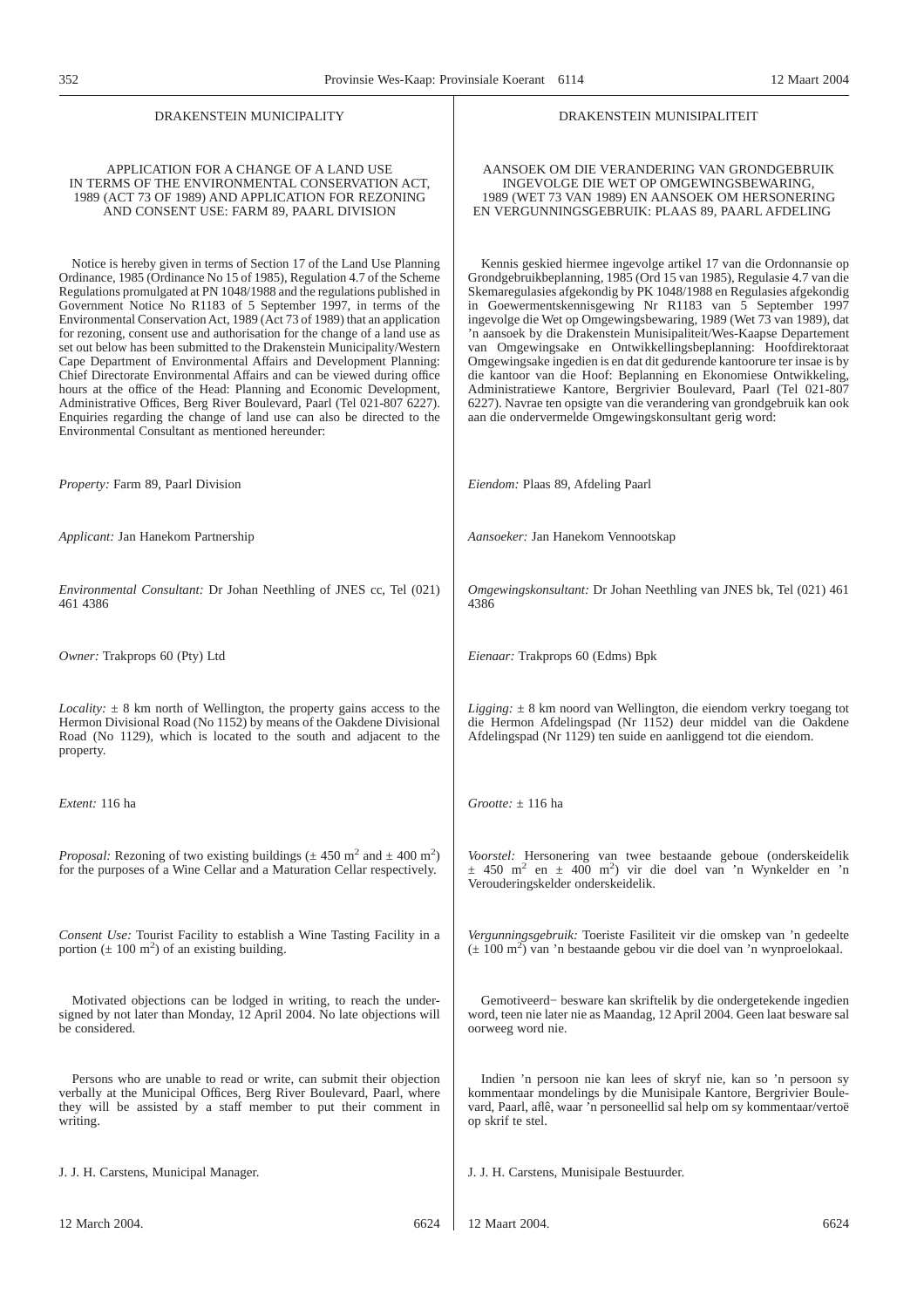#### DRAKENSTEIN MUNICIPALITY

# APPLICATION FOR A CHANGE OF A LAND USE IN TERMS OF THE ENVIRONMENTAL CONSERVATION ACT, 1989 (ACT 73 OF 1989) AND APPLICATION FOR REZONING AND CONSENT USE: FARM 89, PAARL DIVISION

Notice is hereby given in terms of Section 17 of the Land Use Planning Ordinance, 1985 (Ordinance No 15 of 1985), Regulation 4.7 of the Scheme Regulations promulgated at PN 1048/1988 and the regulations published in Government Notice No R1183 of 5 September 1997, in terms of the Environmental Conservation Act, 1989 (Act 73 of 1989) that an application for rezoning, consent use and authorisation for the change of a land use as set out below has been submitted to the Drakenstein Municipality/Western Cape Department of Environmental Affairs and Development Planning: Chief Directorate Environmental Affairs and can be viewed during office hours at the office of the Head: Planning and Economic Development, Administrative Offices, Berg River Boulevard, Paarl (Tel 021-807 6227). Enquiries regarding the change of land use can also be directed to the Environmental Consultant as mentioned hereunder:

INGEVOLGE DIE WET OP OMGEWINGSBEWARING, 1989 (WET 73 VAN 1989) EN AANSOEK OM HERSONERING EN VERGUNNINGSGEBRUIK: PLAAS 89, PAARL AFDELING

DRAKENSTEIN MUNISIPALITEIT

AANSOEK OM DIE VERANDERING VAN GRONDGEBRUIK

Kennis geskied hiermee ingevolge artikel 17 van die Ordonnansie op Grondgebruikbeplanning, 1985 (Ord 15 van 1985), Regulasie 4.7 van die Skemaregulasies afgekondig by PK 1048/1988 en Regulasies afgekondig in Goewermentskennisgewing Nr R1183 van 5 September 1997 ingevolge die Wet op Omgewingsbewaring, 1989 (Wet 73 van 1989), dat 'n aansoek by die Drakenstein Munisipaliteit/Wes-Kaapse Departement van Omgewingsake en Ontwikkellingsbeplanning: Hoofdirektoraat Omgewingsake ingedien is en dat dit gedurende kantoorure ter insae is by die kantoor van die Hoof: Beplanning en Ekonomiese Ontwikkeling, Administratiewe Kantore, Bergrivier Boulevard, Paarl (Tel 021-807 6227). Navrae ten opsigte van die verandering van grondgebruik kan ook aan die ondervermelde Omgewingskonsultant gerig word:

| Property: Farm 89, Paarl Division                                                                                                                                                                                                          | Eiendom: Plaas 89, Afdeling Paarl                                                                                                                                                                                                        |
|--------------------------------------------------------------------------------------------------------------------------------------------------------------------------------------------------------------------------------------------|------------------------------------------------------------------------------------------------------------------------------------------------------------------------------------------------------------------------------------------|
| Applicant: Jan Hanekom Partnership                                                                                                                                                                                                         | Aansoeker: Jan Hanekom Vennootskap                                                                                                                                                                                                       |
| <i>Environmental Consultant:</i> Dr Johan Neethling of JNES cc, Tel (021)<br>461 4386                                                                                                                                                      | <i>Omgewingskonsultant:</i> Dr Johan Neethling van JNES bk, Tel (021) 461<br>4386                                                                                                                                                        |
| <i>Owner:</i> Trakprops 60 (Pty) Ltd                                                                                                                                                                                                       | <i>Eienaar:</i> Trakprops 60 (Edms) Bpk                                                                                                                                                                                                  |
| <i>Locality:</i> $\pm$ 8 km north of Wellington, the property gains access to the<br>Hermon Divisional Road (No 1152) by means of the Oakdene Divisional<br>Road (No 1129), which is located to the south and adjacent to the<br>property. | <i>Ligging</i> : $\pm$ 8 km noord van Wellington, die eiendom verkry toegang tot<br>die Hermon Afdelingspad (Nr 1152) deur middel van die Oakdene<br>Afdelingspad (Nr 1129) ten suide en aanliggend tot die eiendom.                     |
| Extent: 116 ha                                                                                                                                                                                                                             | Grootte: $\pm$ 116 ha                                                                                                                                                                                                                    |
| <i>Proposal:</i> Rezoning of two existing buildings ( $\pm$ 450 m <sup>2</sup> and $\pm$ 400 m <sup>2</sup> )<br>for the purposes of a Wine Cellar and a Maturation Cellar respectively.                                                   | Voorstel: Hersonering van twee bestaande geboue (onderskeidelik<br>$\pm$ 450 m <sup>2</sup> en $\pm$ 400 m <sup>2</sup> ) vir die doel van 'n Wynkelder en 'n<br>Verouderingskelder onderskeidelik.                                      |
| Consent Use: Tourist Facility to establish a Wine Tasting Facility in a<br>portion ( $\pm$ 100 m <sup>2</sup> ) of an existing building.                                                                                                   | Vergunningsgebruik: Toeriste Fasiliteit vir die omskep van 'n gedeelte<br>$(\pm 100 \text{ m}^2)$ van 'n bestaande gebou vir die doel van 'n wynproelokaal.                                                                              |
| Motivated objections can be lodged in writing, to reach the under-<br>signed by not later than Monday, 12 April 2004. No late objections will<br>be considered.                                                                            | Gemotiveerd- besware kan skriftelik by die ondergetekende ingedien<br>word, teen nie later nie as Maandag, 12 April 2004. Geen laat besware sal<br>oorweeg word nie.                                                                     |
| Persons who are unable to read or write, can submit their objection<br>verbally at the Municipal Offices, Berg River Boulevard, Paarl, where<br>they will be assisted by a staff member to put their comment in<br>writing.                | Indien 'n persoon nie kan lees of skryf nie, kan so 'n persoon sy<br>kommentaar mondelings by die Munisipale Kantore, Bergrivier Boule-<br>vard, Paarl, aflê, waar 'n personeellid sal help om sy kommentaar/vertoë<br>op skrif te stel. |
| J. J. H. Carstens, Municipal Manager.                                                                                                                                                                                                      | J. J. H. Carstens, Munisipale Bestuurder.                                                                                                                                                                                                |
| 12 March 2004.<br>6624                                                                                                                                                                                                                     | 12 Maart 2004.<br>6624                                                                                                                                                                                                                   |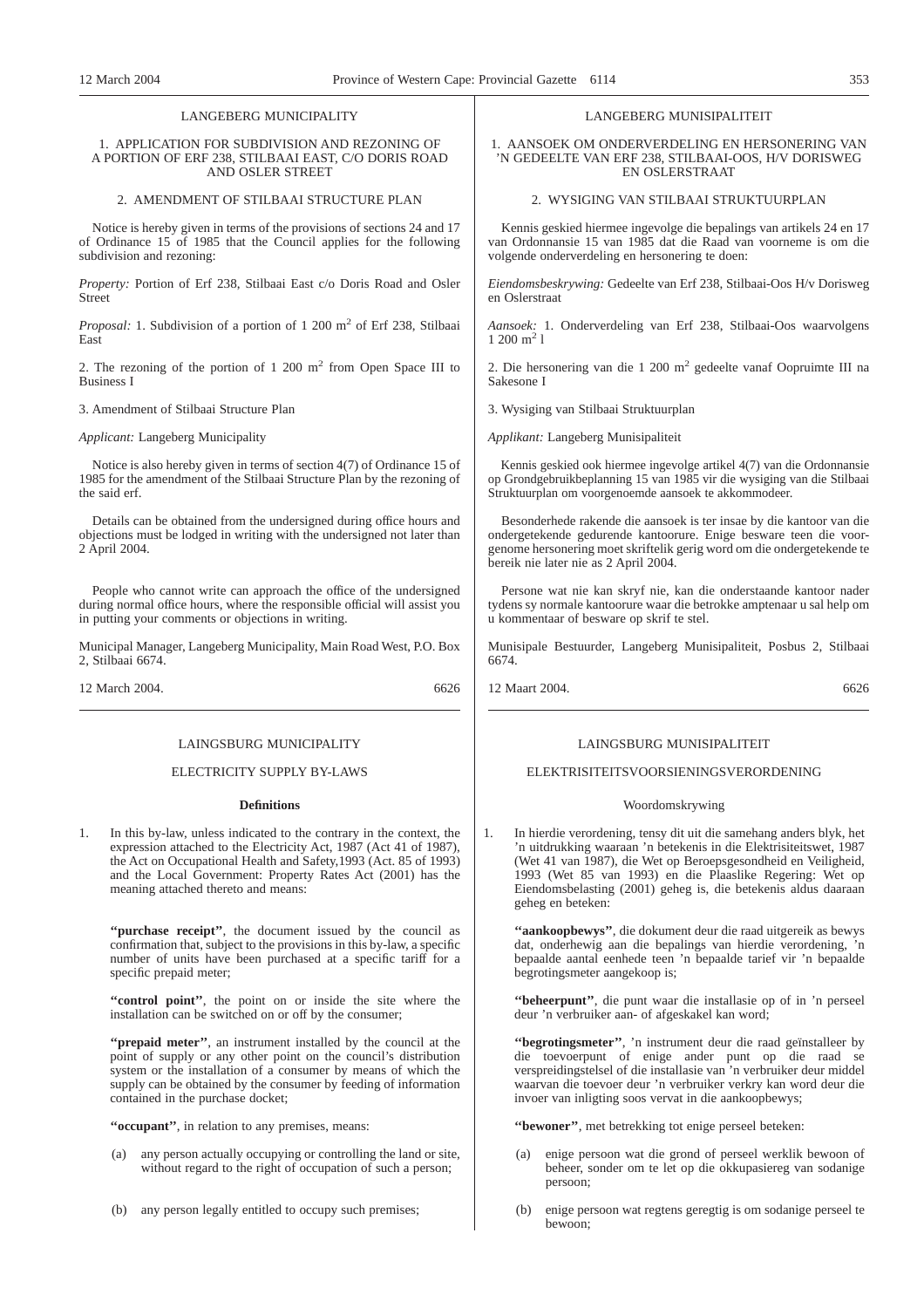# LANGEBERG MUNICIPALITY

# 1. APPLICATION FOR SUBDIVISION AND REZONING OF A PORTION OF ERF 238, STILBAAI EAST, C/O DORIS ROAD AND OSLER STREET

# 2. AMENDMENT OF STILBAAI STRUCTURE PLAN

Notice is hereby given in terms of the provisions of sections 24 and 17 of Ordinance 15 of 1985 that the Council applies for the following subdivision and rezoning:

*Property:* Portion of Erf 238, Stilbaai East c/o Doris Road and Osler Street

*Proposal:* 1. Subdivision of a portion of 1 200 m<sup>2</sup> of Erf 238, Stilbaai East

2. The rezoning of the portion of  $1\ 200\ \text{m}^2$  from Open Space III to Business I

3. Amendment of Stilbaai Structure Plan

*Applicant:* Langeberg Municipality

Notice is also hereby given in terms of section 4(7) of Ordinance 15 of 1985 for the amendment of the Stilbaai Structure Plan by the rezoning of the said erf.

Details can be obtained from the undersigned during office hours and objections must be lodged in writing with the undersigned not later than 2 April 2004.

People who cannot write can approach the office of the undersigned during normal office hours, where the responsible official will assist you in putting your comments or objections in writing.

Municipal Manager, Langeberg Municipality, Main Road West, P.O. Box 2, Stilbaai 6674.

12 March 2004. 6626

# LAINGSBURG MUNICIPALITY

# ELECTRICITY SUPPLY BY-LAWS

#### **Definitions**

1. In this by-law, unless indicated to the contrary in the context, the expression attached to the Electricity Act, 1987 (Act 41 of 1987), the Act on Occupational Health and Safety,1993 (Act. 85 of 1993) and the Local Government: Property Rates Act (2001) has the meaning attached thereto and means:

"purchase receipt", the document issued by the council as confirmation that, subject to the provisions in this by-law, a specific number of units have been purchased at a specific tariff for a specific prepaid meter;

**''control point''**, the point on or inside the site where the installation can be switched on or off by the consumer;

**''prepaid meter''**, an instrument installed by the council at the point of supply or any other point on the council's distribution system or the installation of a consumer by means of which the supply can be obtained by the consumer by feeding of information contained in the purchase docket;

**''occupant''**, in relation to any premises, means:

- (a) any person actually occupying or controlling the land or site, without regard to the right of occupation of such a person;
- (b) any person legally entitled to occupy such premises;

#### LANGEBERG MUNISIPALITEIT

1. AANSOEK OM ONDERVERDELING EN HERSONERING VAN 'N GEDEELTE VAN ERF 238, STILBAAI-OOS, H/V DORISWEG EN OSLERSTRAAT

2. WYSIGING VAN STILBAAI STRUKTUURPLAN

Kennis geskied hiermee ingevolge die bepalings van artikels 24 en 17 van Ordonnansie 15 van 1985 dat die Raad van voorneme is om die volgende onderverdeling en hersonering te doen:

*Eiendomsbeskrywing:* Gedeelte van Erf 238, Stilbaai-Oos H/v Dorisweg en Oslerstraat

*Aansoek:* 1. Onderverdeling van Erf 238, Stilbaai-Oos waarvolgens  $1 200 m<sup>2</sup> 1$ 

2. Die hersonering van die 1 200 m<sup>2</sup> gedeelte vanaf Oopruimte III na Sakesone I

3. Wysiging van Stilbaai Struktuurplan

*Applikant:* Langeberg Munisipaliteit

Kennis geskied ook hiermee ingevolge artikel 4(7) van die Ordonnansie op Grondgebruikbeplanning 15 van 1985 vir die wysiging van die Stilbaai Struktuurplan om voorgenoemde aansoek te akkommodeer.

Besonderhede rakende die aansoek is ter insae by die kantoor van die ondergetekende gedurende kantoorure. Enige besware teen die voorgenome hersonering moet skriftelik gerig word om die ondergetekende te bereik nie later nie as 2 April 2004.

Persone wat nie kan skryf nie, kan die onderstaande kantoor nader tydens sy normale kantoorure waar die betrokke amptenaar u sal help om u kommentaar of besware op skrif te stel.

Munisipale Bestuurder, Langeberg Munisipaliteit, Posbus 2, Stilbaai 6674.

12 Maart 2004. 6626

# LAINGSBURG MUNISIPALITEIT

# ELEKTRISITEITSVOORSIENINGSVERORDENING

### Woordomskrywing

1. In hierdie verordening, tensy dit uit die samehang anders blyk, het 'n uitdrukking waaraan 'n betekenis in die Elektrisiteitswet, 1987 (Wet 41 van 1987), die Wet op Beroepsgesondheid en Veiligheid, 1993 (Wet 85 van 1993) en die Plaaslike Regering: Wet op Eiendomsbelasting (2001) geheg is, die betekenis aldus daaraan geheg en beteken:

**''aankoopbewys''**, die dokument deur die raad uitgereik as bewys dat, onderhewig aan die bepalings van hierdie verordening, 'n bepaalde aantal eenhede teen 'n bepaalde tarief vir 'n bepaalde begrotingsmeter aangekoop is;

**''beheerpunt''**, die punt waar die installasie op of in 'n perseel deur 'n verbruiker aan- of afgeskakel kan word;

**''begrotingsmeter''**, 'n instrument deur die raad geïnstalleer by die toevoerpunt of enige ander punt op die raad se verspreidingstelsel of die installasie van 'n verbruiker deur middel waarvan die toevoer deur 'n verbruiker verkry kan word deur die invoer van inligting soos vervat in die aankoopbewys;

**''bewoner''**, met betrekking tot enige perseel beteken:

- (a) enige persoon wat die grond of perseel werklik bewoon of beheer, sonder om te let op die okkupasiereg van sodanige persoon;
- (b) enige persoon wat regtens geregtig is om sodanige perseel te bewoon;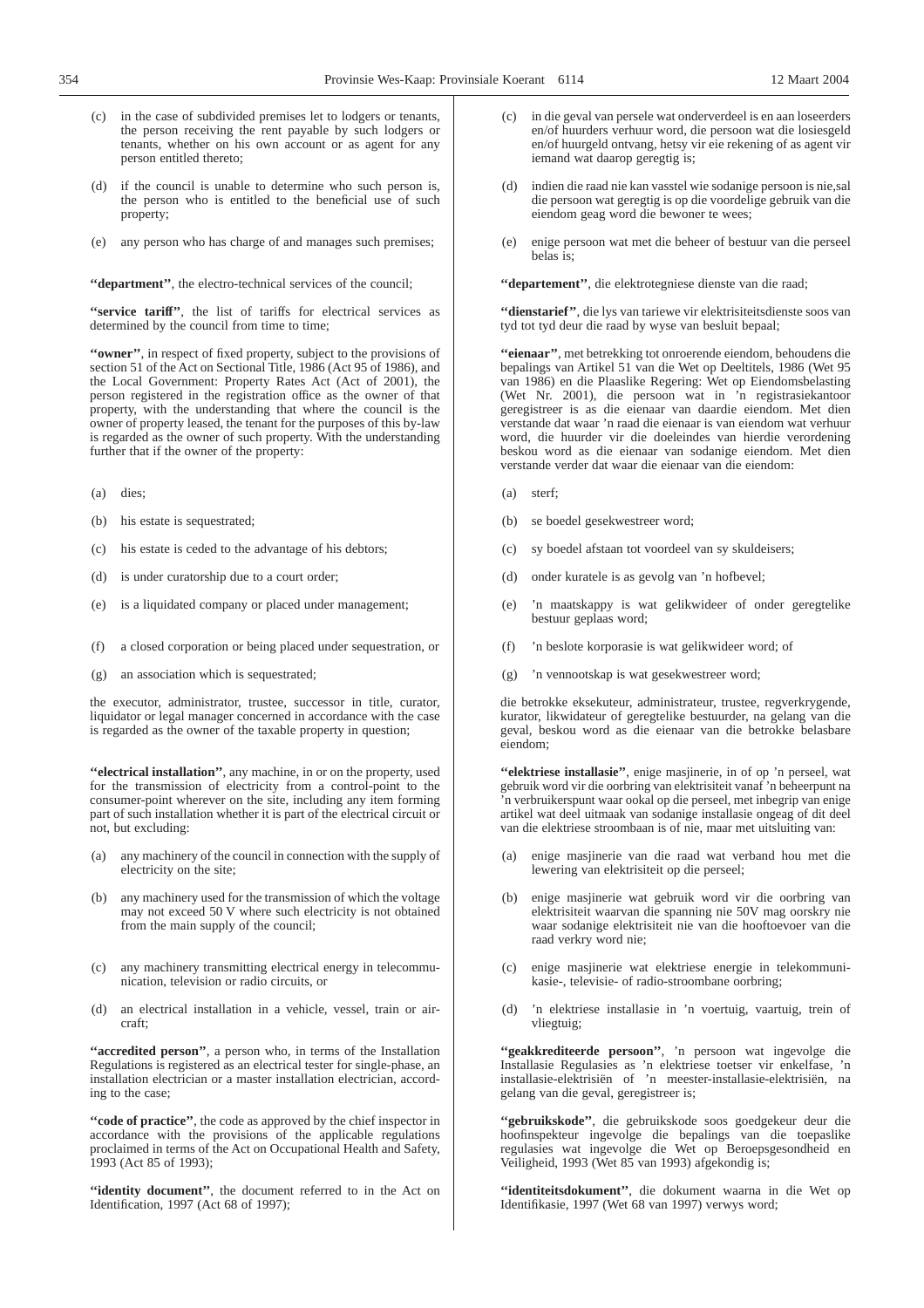- (c) in the case of subdivided premises let to lodgers or tenants, the person receiving the rent payable by such lodgers or tenants, whether on his own account or as agent for any person entitled thereto;
- if the council is unable to determine who such person is, the person who is entitled to the beneficial use of such property;
- (e) any person who has charge of and manages such premises;

**''department''**, the electro-technical services of the council;

**''service tariff''**, the list of tariffs for electrical services as determined by the council from time to time;

**''owner''**, in respect of fixed property, subject to the provisions of section 51 of the Act on Sectional Title, 1986 (Act 95 of 1986), and the Local Government: Property Rates Act (Act of 2001), the person registered in the registration office as the owner of that property, with the understanding that where the council is the owner of property leased, the tenant for the purposes of this by-law is regarded as the owner of such property. With the understanding further that if the owner of the property:

- (a) dies;
- (b) his estate is sequestrated;
- (c) his estate is ceded to the advantage of his debtors;
- (d) is under curatorship due to a court order;
- (e) is a liquidated company or placed under management;
- (f) a closed corporation or being placed under sequestration, or
- (g) an association which is sequestrated;

the executor, administrator, trustee, successor in title, curator, liquidator or legal manager concerned in accordance with the case is regarded as the owner of the taxable property in question;

**''electrical installation''**, any machine, in or on the property, used for the transmission of electricity from a control-point to the consumer-point wherever on the site, including any item forming part of such installation whether it is part of the electrical circuit or not, but excluding:

- (a) any machinery of the council in connection with the supply of electricity on the site;
- (b) any machinery used for the transmission of which the voltage may not exceed 50 V where such electricity is not obtained from the main supply of the council;
- (c) any machinery transmitting electrical energy in telecommunication, television or radio circuits, or
- (d) an electrical installation in a vehicle, vessel, train or aircraft;

**''accredited person''**, a person who, in terms of the Installation Regulations is registered as an electrical tester for single-phase, an installation electrician or a master installation electrician, according to the case;

**''code of practice''**, the code as approved by the chief inspector in accordance with the provisions of the applicable regulations proclaimed in terms of the Act on Occupational Health and Safety, 1993 (Act 85 of 1993);

**''identity document''**, the document referred to in the Act on Identification, 1997 (Act 68 of 1997);

- in die geval van persele wat onderverdeel is en aan loseerders en/of huurders verhuur word, die persoon wat die losiesgeld en/of huurgeld ontvang, hetsy vir eie rekening of as agent vir iemand wat daarop geregtig is;
- indien die raad nie kan vasstel wie sodanige persoon is nie,sal die persoon wat geregtig is op die voordelige gebruik van die eiendom geag word die bewoner te wees;
- (e) enige persoon wat met die beheer of bestuur van die perseel belas is;

**''departement''**, die elektrotegniese dienste van die raad;

**''dienstarief''**, die lys van tariewe vir elektrisiteitsdienste soos van tyd tot tyd deur die raad by wyse van besluit bepaal;

**''eienaar''**, met betrekking tot onroerende eiendom, behoudens die bepalings van Artikel 51 van die Wet op Deeltitels, 1986 (Wet 95 van 1986) en die Plaaslike Regering: Wet op Eiendomsbelasting (Wet Nr. 2001), die persoon wat in 'n registrasiekantoor geregistreer is as die eienaar van daardie eiendom. Met dien verstande dat waar 'n raad die eienaar is van eiendom wat verhuur word, die huurder vir die doeleindes van hierdie verordening beskou word as die eienaar van sodanige eiendom. Met dien verstande verder dat waar die eienaar van die eiendom:

- (a) sterf;
- (b) se boedel gesekwestreer word;
- (c) sy boedel afstaan tot voordeel van sy skuldeisers;
- (d) onder kuratele is as gevolg van 'n hofbevel;
- (e) 'n maatskappy is wat gelikwideer of onder geregtelike bestuur geplaas word;
- (f) 'n beslote korporasie is wat gelikwideer word; of
- (g) 'n vennootskap is wat gesekwestreer word;

die betrokke eksekuteur, administrateur, trustee, regverkrygende, kurator, likwidateur of geregtelike bestuurder, na gelang van die geval, beskou word as die eienaar van die betrokke belasbare eiendom;

**''elektriese installasie''**, enige masjinerie, in of op 'n perseel, wat gebruik word vir die oorbring van elektrisiteit vanaf 'n beheerpunt na 'n verbruikerspunt waar ookal op die perseel, met inbegrip van enige artikel wat deel uitmaak van sodanige installasie ongeag of dit deel van die elektriese stroombaan is of nie, maar met uitsluiting van:

- (a) enige masjinerie van die raad wat verband hou met die lewering van elektrisiteit op die perseel;
- (b) enige masjinerie wat gebruik word vir die oorbring van elektrisiteit waarvan die spanning nie 50V mag oorskry nie waar sodanige elektrisiteit nie van die hooftoevoer van die raad verkry word nie;
- (c) enige masjinerie wat elektriese energie in telekommunikasie-, televisie- of radio-stroombane oorbring;
- (d) 'n elektriese installasie in 'n voertuig, vaartuig, trein of vliegtuig;

**''geakkrediteerde persoon''**, 'n persoon wat ingevolge die Installasie Regulasies as 'n elektriese toetser vir enkelfase, 'n installasie-elektrisiën of 'n meester-installasie-elektrisiën, na gelang van die geval, geregistreer is;

**''gebruikskode''**, die gebruikskode soos goedgekeur deur die hoofinspekteur ingevolge die bepalings van die toepaslike regulasies wat ingevolge die Wet op Beroepsgesondheid en Veiligheid, 1993 (Wet 85 van 1993) afgekondig is;

**''identiteitsdokument''**, die dokument waarna in die Wet op Identifikasie, 1997 (Wet 68 van 1997) verwys word;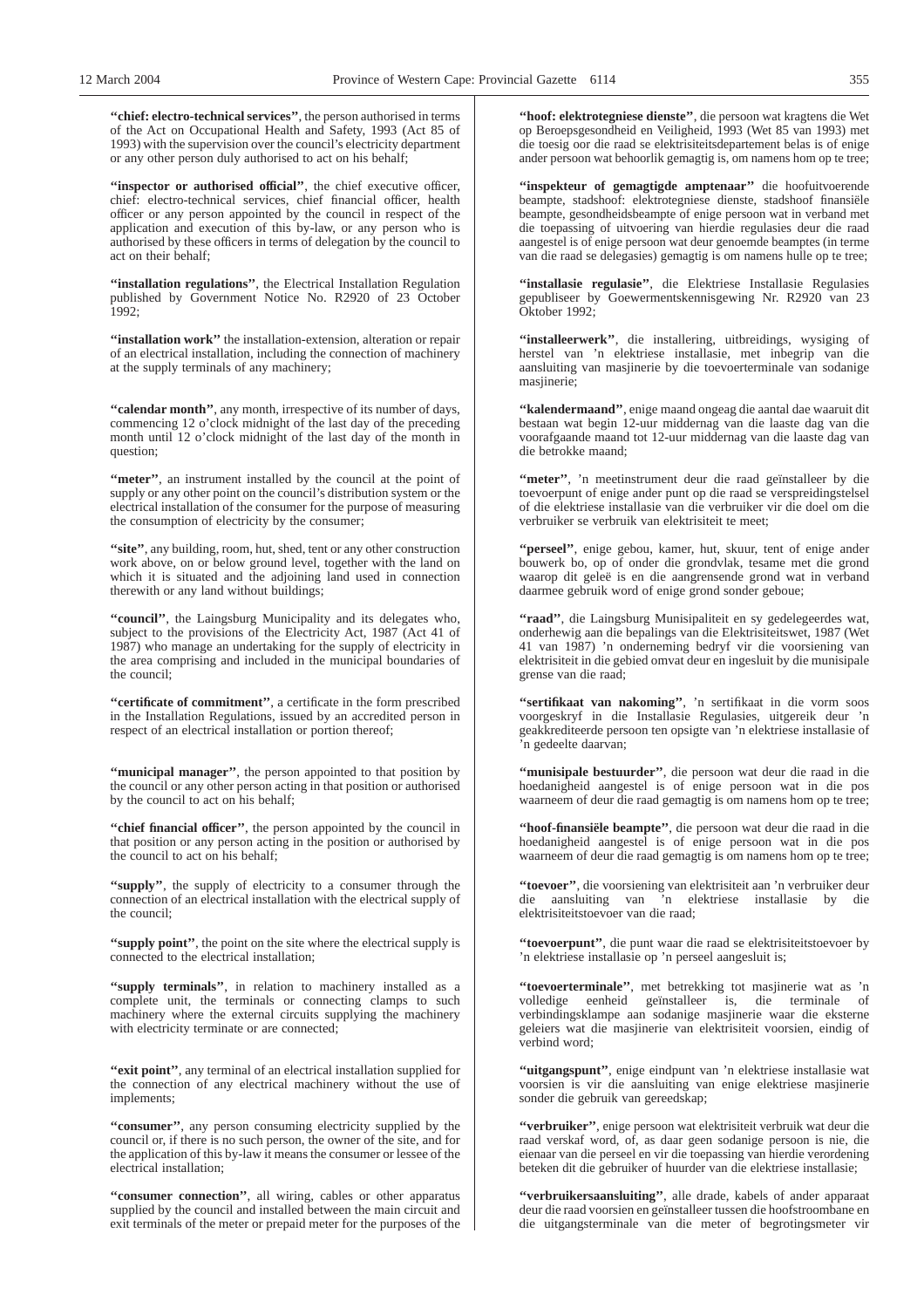**''chief: electro-technical services''**, the person authorised in terms of the Act on Occupational Health and Safety, 1993 (Act 85 of 1993) with the supervision over the council's electricity department or any other person duly authorised to act on his behalf;

**''inspector or authorised official''**, the chief executive officer, chief: electro-technical services, chief financial officer, health officer or any person appointed by the council in respect of the application and execution of this by-law, or any person who is authorised by these officers in terms of delegation by the council to act on their behalf;

**''installation regulations''**, the Electrical Installation Regulation published by Government Notice No. R2920 of 23 October 1992;

**''installation work''** the installation-extension, alteration or repair of an electrical installation, including the connection of machinery at the supply terminals of any machinery;

**''calendar month''**, any month, irrespective of its number of days, commencing 12 o'clock midnight of the last day of the preceding month until 12 o'clock midnight of the last day of the month in question;

"meter", an instrument installed by the council at the point of supply or any other point on the council's distribution system or the electrical installation of the consumer for the purpose of measuring the consumption of electricity by the consumer;

**''site''**, any building, room, hut, shed, tent or any other construction work above, on or below ground level, together with the land on which it is situated and the adjoining land used in connection therewith or any land without buildings;

**''council''**, the Laingsburg Municipality and its delegates who, subject to the provisions of the Electricity Act, 1987 (Act 41 of 1987) who manage an undertaking for the supply of electricity in the area comprising and included in the municipal boundaries of the council;

**''certificate of commitment''**, a certificate in the form prescribed in the Installation Regulations, issued by an accredited person in respect of an electrical installation or portion thereof;

"municipal manager", the person appointed to that position by the council or any other person acting in that position or authorised by the council to act on his behalf;

"chief financial officer", the person appointed by the council in that position or any person acting in the position or authorised by the council to act on his behalf;

**''supply''**, the supply of electricity to a consumer through the connection of an electrical installation with the electrical supply of the council;

**''supply point''**, the point on the site where the electrical supply is connected to the electrical installation;

**''supply terminals''**, in relation to machinery installed as a complete unit, the terminals or connecting clamps to such machinery where the external circuits supplying the machinery with electricity terminate or are connected;

**''exit point''**, any terminal of an electrical installation supplied for the connection of any electrical machinery without the use of implements;

**''consumer''**, any person consuming electricity supplied by the council or, if there is no such person, the owner of the site, and for the application of this by-law it means the consumer or lessee of the electrical installation;

**''consumer connection''**, all wiring, cables or other apparatus supplied by the council and installed between the main circuit and exit terminals of the meter or prepaid meter for the purposes of the

**''hoof: elektrotegniese dienste''**, die persoon wat kragtens die Wet op Beroepsgesondheid en Veiligheid, 1993 (Wet 85 van 1993) met die toesig oor die raad se elektrisiteitsdepartement belas is of enige ander persoon wat behoorlik gemagtig is, om namens hom op te tree;

**''inspekteur of gemagtigde amptenaar''** die hoofuitvoerende beampte, stadshoof: elektrotegniese dienste, stadshoof finansiële beampte, gesondheidsbeampte of enige persoon wat in verband met die toepassing of uitvoering van hierdie regulasies deur die raad aangestel is of enige persoon wat deur genoemde beamptes (in terme van die raad se delegasies) gemagtig is om namens hulle op te tree;

**''installasie regulasie''**, die Elektriese Installasie Regulasies gepubliseer by Goewermentskennisgewing Nr. R2920 van 23 Oktober 1992;

"installeerwerk", die installering, uitbreidings, wysiging of herstel van 'n elektriese installasie, met inbegrip van die aansluiting van masjinerie by die toevoerterminale van sodanige masjinerie;

**''kalendermaand''**, enige maand ongeag die aantal dae waaruit dit bestaan wat begin 12-uur middernag van die laaste dag van die voorafgaande maand tot 12-uur middernag van die laaste dag van die betrokke maand;

**''meter''**, 'n meetinstrument deur die raad geïnstalleer by die toevoerpunt of enige ander punt op die raad se verspreidingstelsel of die elektriese installasie van die verbruiker vir die doel om die verbruiker se verbruik van elektrisiteit te meet;

**''perseel''**, enige gebou, kamer, hut, skuur, tent of enige ander bouwerk bo, op of onder die grondvlak, tesame met die grond waarop dit geleë is en die aangrensende grond wat in verband daarmee gebruik word of enige grond sonder geboue;

**''raad''**, die Laingsburg Munisipaliteit en sy gedelegeerdes wat, onderhewig aan die bepalings van die Elektrisiteitswet, 1987 (Wet 41 van 1987) 'n onderneming bedryf vir die voorsiening van elektrisiteit in die gebied omvat deur en ingesluit by die munisipale grense van die raad;

**''sertifikaat van nakoming''**, 'n sertifikaat in die vorm soos voorgeskryf in die Installasie Regulasies, uitgereik deur 'n geakkrediteerde persoon ten opsigte van 'n elektriese installasie of 'n gedeelte daarvan;

**''munisipale bestuurder''**, die persoon wat deur die raad in die hoedanigheid aangestel is of enige persoon wat in die pos waarneem of deur die raad gemagtig is om namens hom op te tree;

**''hoof-finansiële beampte''**, die persoon wat deur die raad in die hoedanigheid aangestel is of enige persoon wat in die pos waarneem of deur die raad gemagtig is om namens hom op te tree;

**''toevoer''**, die voorsiening van elektrisiteit aan 'n verbruiker deur die aansluiting van 'n elektriese installasie by die elektrisiteitstoevoer van die raad;

**''toevoerpunt''**, die punt waar die raad se elektrisiteitstoevoer by 'n elektriese installasie op 'n perseel aangesluit is;

**''toevoerterminale''**, met betrekking tot masjinerie wat as 'n volledige eenheid geïnstalleer is, die terminale of verbindingsklampe aan sodanige masjinerie waar die eksterne geleiers wat die masjinerie van elektrisiteit voorsien, eindig of verbind word;

**''uitgangspunt''**, enige eindpunt van 'n elektriese installasie wat voorsien is vir die aansluiting van enige elektriese masjinerie sonder die gebruik van gereedskap;

**''verbruiker''**, enige persoon wat elektrisiteit verbruik wat deur die raad verskaf word, of, as daar geen sodanige persoon is nie, die eienaar van die perseel en vir die toepassing van hierdie verordening beteken dit die gebruiker of huurder van die elektriese installasie;

**''verbruikersaansluiting''**, alle drade, kabels of ander apparaat deur die raad voorsien en geïnstalleer tussen die hoofstroombane en die uitgangsterminale van die meter of begrotingsmeter vir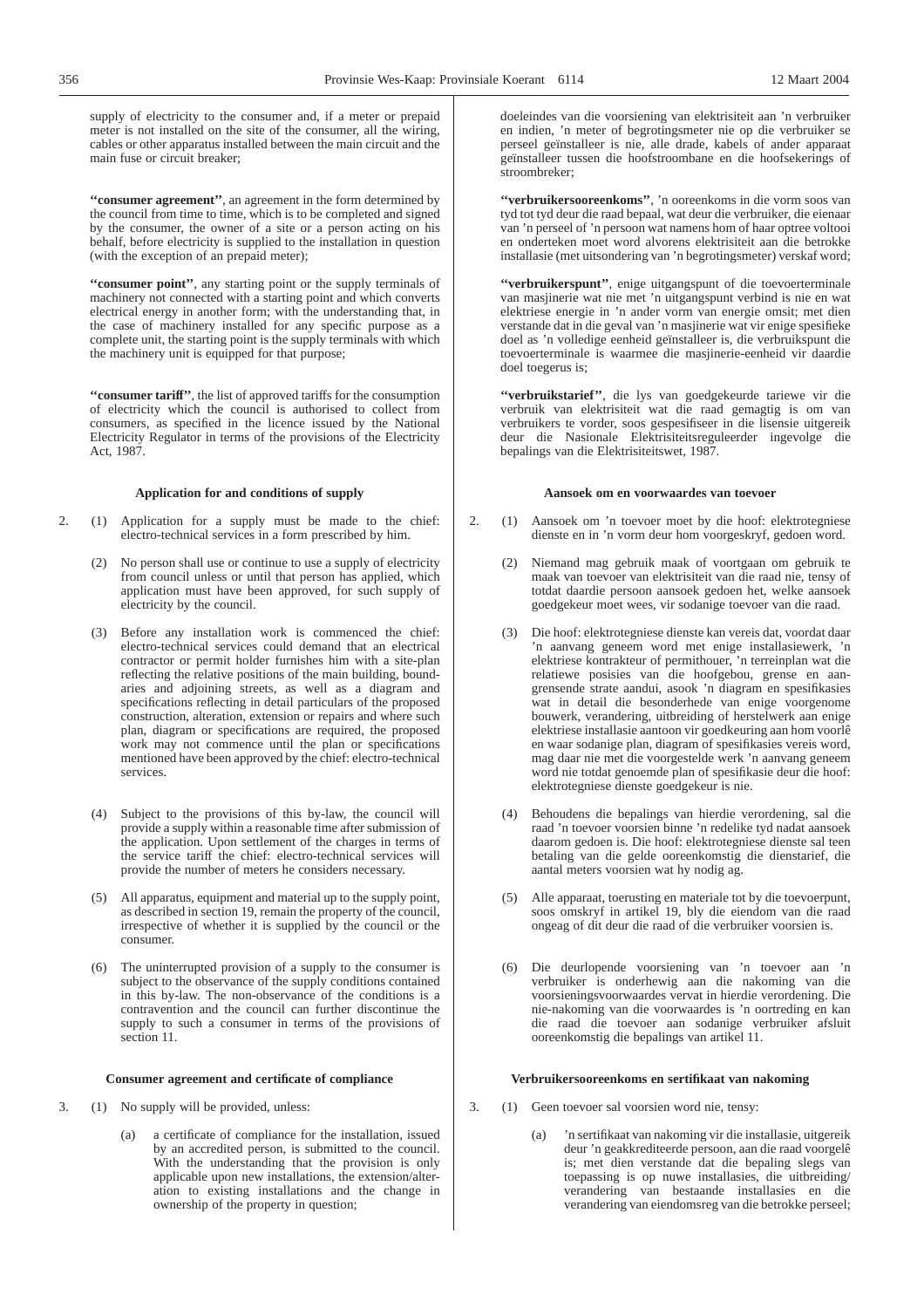supply of electricity to the consumer and, if a meter or prepaid meter is not installed on the site of the consumer, all the wiring, cables or other apparatus installed between the main circuit and the main fuse or circuit breaker;

**''consumer agreement''**, an agreement in the form determined by the council from time to time, which is to be completed and signed by the consumer, the owner of a site or a person acting on his behalf, before electricity is supplied to the installation in question (with the exception of an prepaid meter);

**''consumer point''**, any starting point or the supply terminals of machinery not connected with a starting point and which converts electrical energy in another form; with the understanding that, in the case of machinery installed for any specific purpose as a complete unit, the starting point is the supply terminals with which the machinery unit is equipped for that purpose;

**''consumer tariff''**, the list of approved tariffs for the consumption of electricity which the council is authorised to collect from consumers, as specified in the licence issued by the National Electricity Regulator in terms of the provisions of the Electricity Act, 1987.

## **Application for and conditions of supply**

- 2. (1) Application for a supply must be made to the chief: electro-technical services in a form prescribed by him.
	- (2) No person shall use or continue to use a supply of electricity from council unless or until that person has applied, which application must have been approved, for such supply of electricity by the council.
	- (3) Before any installation work is commenced the chief: electro-technical services could demand that an electrical contractor or permit holder furnishes him with a site-plan reflecting the relative positions of the main building, boundaries and adjoining streets, as well as a diagram and specifications reflecting in detail particulars of the proposed construction, alteration, extension or repairs and where such plan, diagram or specifications are required, the proposed work may not commence until the plan or specifications mentioned have been approved by the chief: electro-technical services.
	- (4) Subject to the provisions of this by-law, the council will provide a supply within a reasonable time after submission of the application. Upon settlement of the charges in terms of the service tariff the chief: electro-technical services will provide the number of meters he considers necessary.
	- (5) All apparatus, equipment and material up to the supply point, as described in section 19, remain the property of the council, irrespective of whether it is supplied by the council or the consumer.
	- (6) The uninterrupted provision of a supply to the consumer is subject to the observance of the supply conditions contained in this by-law. The non-observance of the conditions is a contravention and the council can further discontinue the supply to such a consumer in terms of the provisions of section 11.

# **Consumer agreement and certificate of compliance**

- 3. (1) No supply will be provided, unless:
	- (a) a certificate of compliance for the installation, issued by an accredited person, is submitted to the council. With the understanding that the provision is only applicable upon new installations, the extension/alteration to existing installations and the change in ownership of the property in question;

doeleindes van die voorsiening van elektrisiteit aan 'n verbruiker en indien, 'n meter of begrotingsmeter nie op die verbruiker se perseel geïnstalleer is nie, alle drade, kabels of ander apparaat geïnstalleer tussen die hoofstroombane en die hoofsekerings of stroombreker;

**''verbruikersooreenkoms''**, 'n ooreenkoms in die vorm soos van tyd tot tyd deur die raad bepaal, wat deur die verbruiker, die eienaar van 'n perseel of 'n persoon wat namens hom of haar optree voltooi en onderteken moet word alvorens elektrisiteit aan die betrokke installasie (met uitsondering van 'n begrotingsmeter) verskaf word;

**''verbruikerspunt''**, enige uitgangspunt of die toevoerterminale van masjinerie wat nie met 'n uitgangspunt verbind is nie en wat elektriese energie in 'n ander vorm van energie omsit; met dien verstande dat in die geval van 'n masjinerie wat vir enige spesifieke doel as 'n volledige eenheid geïnstalleer is, die verbruikspunt die toevoerterminale is waarmee die masjinerie-eenheid vir daardie doel toegerus is;

**''verbruikstarief''**, die lys van goedgekeurde tariewe vir die verbruik van elektrisiteit wat die raad gemagtig is om van verbruikers te vorder, soos gespesifiseer in die lisensie uitgereik deur die Nasionale Elektrisiteitsreguleerder ingevolge die bepalings van die Elektrisiteitswet, 1987.

# **Aansoek om en voorwaardes van toevoer**

- 2. (1) Aansoek om 'n toevoer moet by die hoof: elektrotegniese dienste en in 'n vorm deur hom voorgeskryf, gedoen word.
	- (2) Niemand mag gebruik maak of voortgaan om gebruik te maak van toevoer van elektrisiteit van die raad nie, tensy of totdat daardie persoon aansoek gedoen het, welke aansoek goedgekeur moet wees, vir sodanige toevoer van die raad.
	- (3) Die hoof: elektrotegniese dienste kan vereis dat, voordat daar 'n aanvang geneem word met enige installasiewerk, 'n elektriese kontrakteur of permithouer, 'n terreinplan wat die relatiewe posisies van die hoofgebou, grense en aangrensende strate aandui, asook 'n diagram en spesifikasies wat in detail die besonderhede van enige voorgenome bouwerk, verandering, uitbreiding of herstelwerk aan enige elektriese installasie aantoon vir goedkeuring aan hom voorlê en waar sodanige plan, diagram of spesifikasies vereis word, mag daar nie met die voorgestelde werk 'n aanvang geneem word nie totdat genoemde plan of spesifikasie deur die hoof: elektrotegniese dienste goedgekeur is nie.
	- (4) Behoudens die bepalings van hierdie verordening, sal die raad 'n toevoer voorsien binne 'n redelike tyd nadat aansoek daarom gedoen is. Die hoof: elektrotegniese dienste sal teen betaling van die gelde ooreenkomstig die dienstarief, die aantal meters voorsien wat hy nodig ag.
	- (5) Alle apparaat, toerusting en materiale tot by die toevoerpunt, soos omskryf in artikel 19, bly die eiendom van die raad ongeag of dit deur die raad of die verbruiker voorsien is.
	- (6) Die deurlopende voorsiening van 'n toevoer aan 'n verbruiker is onderhewig aan die nakoming van die voorsieningsvoorwaardes vervat in hierdie verordening. Die nie-nakoming van die voorwaardes is 'n oortreding en kan die raad die toevoer aan sodanige verbruiker afsluit ooreenkomstig die bepalings van artikel 11.

# **Verbruikersooreenkoms en sertifikaat van nakoming**

- 3. (1) Geen toevoer sal voorsien word nie, tensy:
	- (a) 'n sertifikaat van nakoming vir die installasie, uitgereik deur 'n geakkrediteerde persoon, aan die raad voorgelê is; met dien verstande dat die bepaling slegs van toepassing is op nuwe installasies, die uitbreiding/ verandering van bestaande installasies en die verandering van eiendomsreg van die betrokke perseel;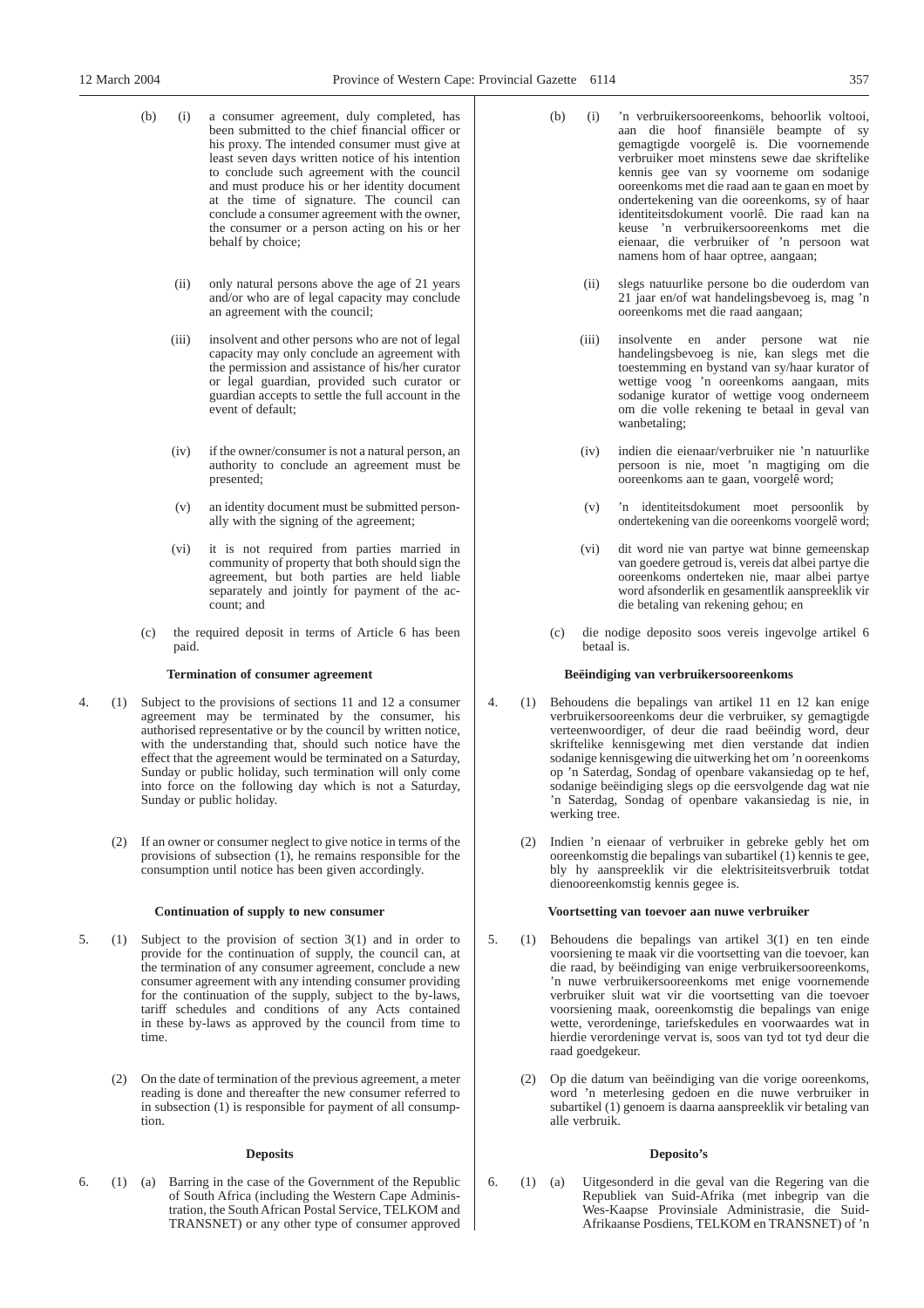- (b) (i) a consumer agreement, duly completed, has been submitted to the chief financial officer or his proxy. The intended consumer must give at least seven days written notice of his intention to conclude such agreement with the council and must produce his or her identity document at the time of signature. The council can conclude a consumer agreement with the owner, the consumer or a person acting on his or her behalf by choice;
	- (ii) only natural persons above the age of 21 years and/or who are of legal capacity may conclude an agreement with the council;
	- (iii) insolvent and other persons who are not of legal capacity may only conclude an agreement with the permission and assistance of his/her curator or legal guardian, provided such curator or guardian accepts to settle the full account in the event of default;
	- (iv) if the owner/consumer is not a natural person, an authority to conclude an agreement must be presented;
	- (v) an identity document must be submitted personally with the signing of the agreement;
	- (vi) it is not required from parties married in community of property that both should sign the agreement, but both parties are held liable separately and jointly for payment of the account; and
- (c) the required deposit in terms of Article 6 has been paid.

# **Termination of consumer agreement**

- 4. (1) Subject to the provisions of sections 11 and 12 a consumer agreement may be terminated by the consumer, his authorised representative or by the council by written notice, with the understanding that, should such notice have the effect that the agreement would be terminated on a Saturday, Sunday or public holiday, such termination will only come into force on the following day which is not a Saturday, Sunday or public holiday.
	- (2) If an owner or consumer neglect to give notice in terms of the provisions of subsection (1), he remains responsible for the consumption until notice has been given accordingly.

# **Continuation of supply to new consumer**

- 5. (1) Subject to the provision of section 3(1) and in order to provide for the continuation of supply, the council can, at the termination of any consumer agreement, conclude a new consumer agreement with any intending consumer providing for the continuation of the supply, subject to the by-laws, tariff schedules and conditions of any Acts contained in these by-laws as approved by the council from time to time.
	- (2) On the date of termination of the previous agreement, a meter reading is done and thereafter the new consumer referred to in subsection (1) is responsible for payment of all consumption.

# **Deposits**

6. (1) (a) Barring in the case of the Government of the Republic of South Africa (including the Western Cape Administration, the South African Postal Service, TELKOM and TRANSNET) or any other type of consumer approved

- (b) (i) 'n verbruikersooreenkoms, behoorlik voltooi, aan die hoof finansiële beampte of sy gemagtigde voorgelê is. Die voornemende verbruiker moet minstens sewe dae skriftelike kennis gee van sy voorneme om sodanige ooreenkoms met die raad aan te gaan en moet by ondertekening van die ooreenkoms, sy of haar identiteitsdokument voorlê. Die raad kan na keuse 'n verbruikersooreenkoms met die eienaar, die verbruiker of 'n persoon wat namens hom of haar optree, aangaan;
	- (ii) slegs natuurlike persone bo die ouderdom van 21 jaar en/of wat handelingsbevoeg is, mag 'n ooreenkoms met die raad aangaan;
	- (iii) insolvente en ander persone wat nie handelingsbevoeg is nie, kan slegs met die toestemming en bystand van sy/haar kurator of wettige voog 'n ooreenkoms aangaan, mits sodanige kurator of wettige voog onderneem om die volle rekening te betaal in geval van wanbetaling;
	- (iv) indien die eienaar/verbruiker nie 'n natuurlike persoon is nie, moet 'n magtiging om die ooreenkoms aan te gaan, voorgelê word;
	- (v) 'n identiteitsdokument moet persoonlik by ondertekening van die ooreenkoms voorgelê word;
	- (vi) dit word nie van partye wat binne gemeenskap van goedere getroud is, vereis dat albei partye die ooreenkoms onderteken nie, maar albei partye word afsonderlik en gesamentlik aanspreeklik vir die betaling van rekening gehou; en
- (c) die nodige deposito soos vereis ingevolge artikel 6 betaal is.

# **Beëindiging van verbruikersooreenkoms**

- 4. (1) Behoudens die bepalings van artikel 11 en 12 kan enige verbruikersooreenkoms deur die verbruiker, sy gemagtigde verteenwoordiger, of deur die raad beëindig word, deur skriftelike kennisgewing met dien verstande dat indien sodanige kennisgewing die uitwerking het om 'n ooreenkoms op 'n Saterdag, Sondag of openbare vakansiedag op te hef, sodanige beëindiging slegs op die eersvolgende dag wat nie 'n Saterdag, Sondag of openbare vakansiedag is nie, in werking tree.
	- (2) Indien 'n eienaar of verbruiker in gebreke gebly het om ooreenkomstig die bepalings van subartikel (1) kennis te gee, bly hy aanspreeklik vir die elektrisiteitsverbruik totdat dienooreenkomstig kennis gegee is.

# **Voortsetting van toevoer aan nuwe verbruiker**

- 5. (1) Behoudens die bepalings van artikel 3(1) en ten einde voorsiening te maak vir die voortsetting van die toevoer, kan die raad, by beëindiging van enige verbruikersooreenkoms, 'n nuwe verbruikersooreenkoms met enige voornemende verbruiker sluit wat vir die voortsetting van die toevoer voorsiening maak, ooreenkomstig die bepalings van enige wette, verordeninge, tariefskedules en voorwaardes wat in hierdie verordeninge vervat is, soos van tyd tot tyd deur die raad goedgekeur.
	- (2) Op die datum van beëindiging van die vorige ooreenkoms, word 'n meterlesing gedoen en die nuwe verbruiker in subartikel (1) genoem is daarna aanspreeklik vir betaling van alle verbruik.

# **Deposito's**

6. (1) (a) Uitgesonderd in die geval van die Regering van die Republiek van Suid-Afrika (met inbegrip van die Wes-Kaapse Provinsiale Administrasie, die Suid-Afrikaanse Posdiens, TELKOM en TRANSNET) of 'n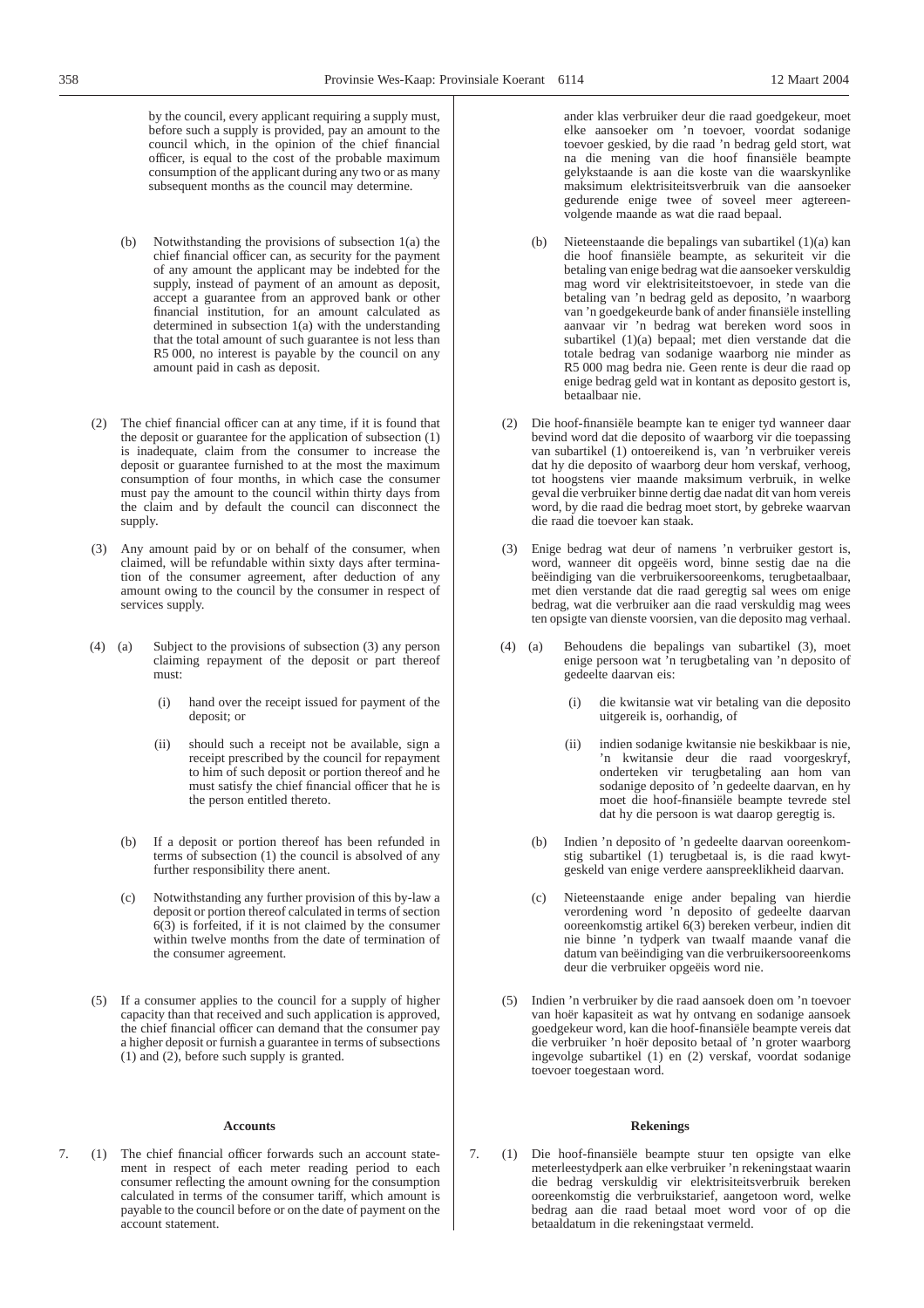by the council, every applicant requiring a supply must, before such a supply is provided, pay an amount to the council which, in the opinion of the chief financial officer, is equal to the cost of the probable maximum consumption of the applicant during any two or as many subsequent months as the council may determine.

- (b) Notwithstanding the provisions of subsection 1(a) the chief financial officer can, as security for the payment of any amount the applicant may be indebted for the supply, instead of payment of an amount as deposit, accept a guarantee from an approved bank or other financial institution, for an amount calculated as determined in subsection 1(a) with the understanding that the total amount of such guarantee is not less than R5 000, no interest is payable by the council on any amount paid in cash as deposit.
- (2) The chief financial officer can at any time, if it is found that the deposit or guarantee for the application of subsection (1) is inadequate, claim from the consumer to increase the deposit or guarantee furnished to at the most the maximum consumption of four months, in which case the consumer must pay the amount to the council within thirty days from the claim and by default the council can disconnect the supply.
- (3) Any amount paid by or on behalf of the consumer, when claimed, will be refundable within sixty days after termination of the consumer agreement, after deduction of any amount owing to the council by the consumer in respect of services supply.
- (4) (a) Subject to the provisions of subsection (3) any person claiming repayment of the deposit or part thereof must:
	- (i) hand over the receipt issued for payment of the deposit; or
	- (ii) should such a receipt not be available, sign a receipt prescribed by the council for repayment to him of such deposit or portion thereof and he must satisfy the chief financial officer that he is the person entitled thereto.
	- (b) If a deposit or portion thereof has been refunded in terms of subsection (1) the council is absolved of any further responsibility there anent.
	- (c) Notwithstanding any further provision of this by-law a deposit or portion thereof calculated in terms of section 6(3) is forfeited, if it is not claimed by the consumer within twelve months from the date of termination of the consumer agreement.
- (5) If a consumer applies to the council for a supply of higher capacity than that received and such application is approved, the chief financial officer can demand that the consumer pay a higher deposit or furnish a guarantee in terms of subsections (1) and (2), before such supply is granted.

#### **Accounts**

7. (1) The chief financial officer forwards such an account statement in respect of each meter reading period to each consumer reflecting the amount owning for the consumption calculated in terms of the consumer tariff, which amount is payable to the council before or on the date of payment on the account statement.

ander klas verbruiker deur die raad goedgekeur, moet elke aansoeker om 'n toevoer, voordat sodanige toevoer geskied, by die raad 'n bedrag geld stort, wat na die mening van die hoof finansiële beampte gelykstaande is aan die koste van die waarskynlike maksimum elektrisiteitsverbruik van die aansoeker gedurende enige twee of soveel meer agtereenvolgende maande as wat die raad bepaal.

- (b) Nieteenstaande die bepalings van subartikel (1)(a) kan die hoof finansiële beampte, as sekuriteit vir die betaling van enige bedrag wat die aansoeker verskuldig mag word vir elektrisiteitstoevoer, in stede van die betaling van 'n bedrag geld as deposito, 'n waarborg van 'n goedgekeurde bank of ander finansiële instelling aanvaar vir 'n bedrag wat bereken word soos in subartikel (1)(a) bepaal; met dien verstande dat die totale bedrag van sodanige waarborg nie minder as R5 000 mag bedra nie. Geen rente is deur die raad op enige bedrag geld wat in kontant as deposito gestort is, betaalbaar nie.
- (2) Die hoof-finansiële beampte kan te eniger tyd wanneer daar bevind word dat die deposito of waarborg vir die toepassing van subartikel (1) ontoereikend is, van 'n verbruiker vereis dat hy die deposito of waarborg deur hom verskaf, verhoog, tot hoogstens vier maande maksimum verbruik, in welke geval die verbruiker binne dertig dae nadat dit van hom vereis word, by die raad die bedrag moet stort, by gebreke waarvan die raad die toevoer kan staak.
- (3) Enige bedrag wat deur of namens 'n verbruiker gestort is, word, wanneer dit opgeëis word, binne sestig dae na die beëindiging van die verbruikersooreenkoms, terugbetaalbaar, met dien verstande dat die raad geregtig sal wees om enige bedrag, wat die verbruiker aan die raad verskuldig mag wees ten opsigte van dienste voorsien, van die deposito mag verhaal.
- (4) (a) Behoudens die bepalings van subartikel (3), moet enige persoon wat 'n terugbetaling van 'n deposito of gedeelte daarvan eis:
	- (i) die kwitansie wat vir betaling van die deposito uitgereik is, oorhandig, of
	- (ii) indien sodanige kwitansie nie beskikbaar is nie, 'n kwitansie deur die raad voorgeskryf, onderteken vir terugbetaling aan hom van sodanige deposito of 'n gedeelte daarvan, en hy moet die hoof-finansiële beampte tevrede stel dat hy die persoon is wat daarop geregtig is.
	- (b) Indien 'n deposito of 'n gedeelte daarvan ooreenkomstig subartikel (1) terugbetaal is, is die raad kwytgeskeld van enige verdere aanspreeklikheid daarvan.
	- (c) Nieteenstaande enige ander bepaling van hierdie verordening word 'n deposito of gedeelte daarvan ooreenkomstig artikel 6(3) bereken verbeur, indien dit nie binne 'n tydperk van twaalf maande vanaf die datum van beëindiging van die verbruikersooreenkoms deur die verbruiker opgeëis word nie.
- (5) Indien 'n verbruiker by die raad aansoek doen om 'n toevoer van hoër kapasiteit as wat hy ontvang en sodanige aansoek goedgekeur word, kan die hoof-finansiële beampte vereis dat die verbruiker 'n hoër deposito betaal of 'n groter waarborg ingevolge subartikel (1) en (2) verskaf, voordat sodanige toevoer toegestaan word.

#### **Rekenings**

7. (1) Die hoof-finansiële beampte stuur ten opsigte van elke meterleestydperk aan elke verbruiker 'n rekeningstaat waarin die bedrag verskuldig vir elektrisiteitsverbruik bereken ooreenkomstig die verbruikstarief, aangetoon word, welke bedrag aan die raad betaal moet word voor of op die betaaldatum in die rekeningstaat vermeld.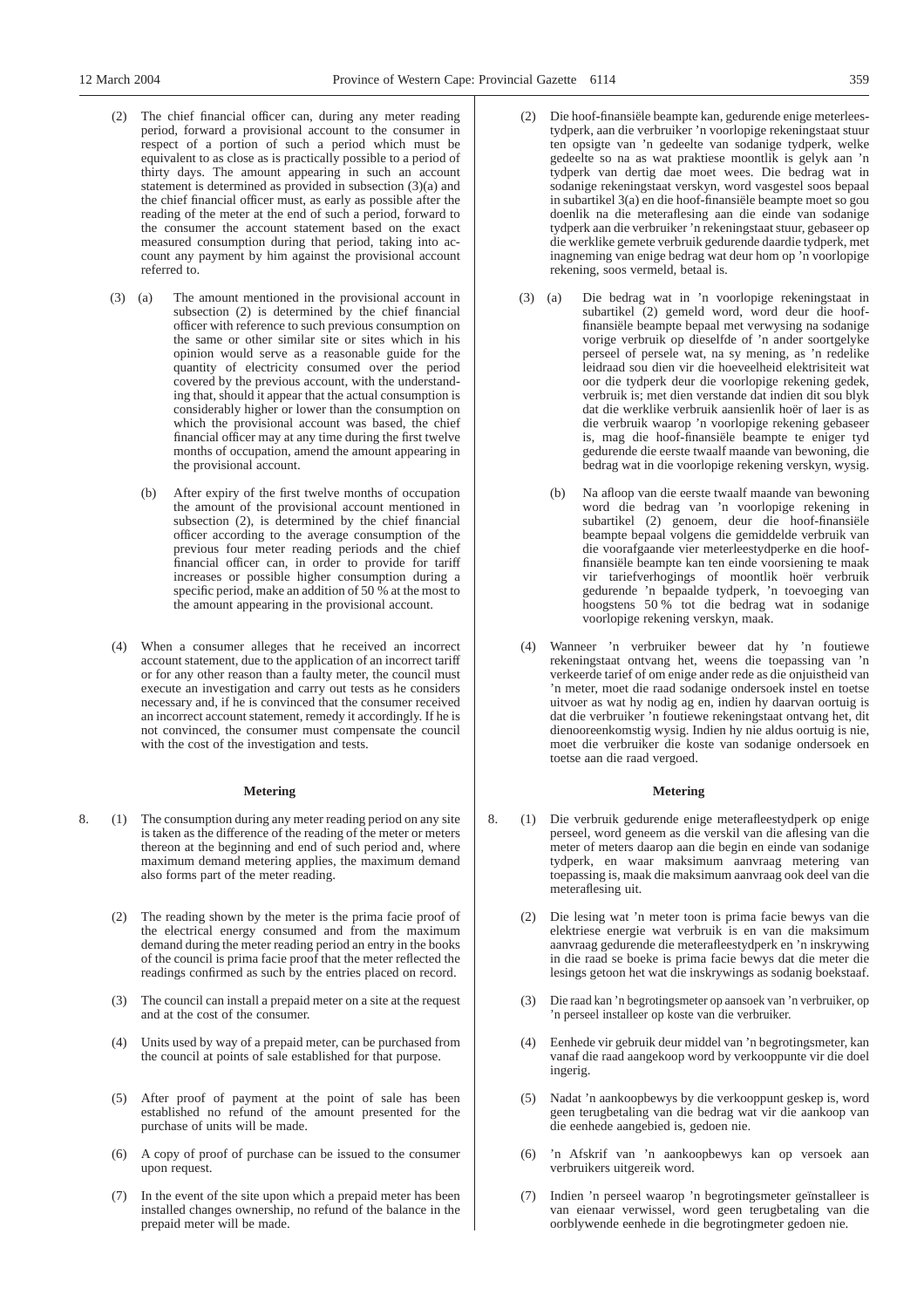- (2) The chief financial officer can, during any meter reading period, forward a provisional account to the consumer in respect of a portion of such a period which must be equivalent to as close as is practically possible to a period of thirty days. The amount appearing in such an account statement is determined as provided in subsection (3)(a) and the chief financial officer must, as early as possible after the reading of the meter at the end of such a period, forward to the consumer the account statement based on the exact measured consumption during that period, taking into account any payment by him against the provisional account referred to.
- (3) (a) The amount mentioned in the provisional account in subsection (2) is determined by the chief financial officer with reference to such previous consumption on the same or other similar site or sites which in his opinion would serve as a reasonable guide for the quantity of electricity consumed over the period covered by the previous account, with the understanding that, should it appear that the actual consumption is considerably higher or lower than the consumption on which the provisional account was based, the chief financial officer may at any time during the first twelve months of occupation, amend the amount appearing in the provisional account.
	- (b) After expiry of the first twelve months of occupation the amount of the provisional account mentioned in subsection (2), is determined by the chief financial officer according to the average consumption of the previous four meter reading periods and the chief financial officer can, in order to provide for tariff increases or possible higher consumption during a specific period, make an addition of 50 % at the most to the amount appearing in the provisional account.
- (4) When a consumer alleges that he received an incorrect account statement, due to the application of an incorrect tariff or for any other reason than a faulty meter, the council must execute an investigation and carry out tests as he considers necessary and, if he is convinced that the consumer received an incorrect account statement, remedy it accordingly. If he is not convinced, the consumer must compensate the council with the cost of the investigation and tests.

# **Metering**

- 8. (1) The consumption during any meter reading period on any site is taken as the difference of the reading of the meter or meters thereon at the beginning and end of such period and, where maximum demand metering applies, the maximum demand also forms part of the meter reading.
	- (2) The reading shown by the meter is the prima facie proof of the electrical energy consumed and from the maximum demand during the meter reading period an entry in the books of the council is prima facie proof that the meter reflected the readings confirmed as such by the entries placed on record.
	- (3) The council can install a prepaid meter on a site at the request and at the cost of the consumer.
	- (4) Units used by way of a prepaid meter, can be purchased from the council at points of sale established for that purpose.
	- (5) After proof of payment at the point of sale has been established no refund of the amount presented for the purchase of units will be made.
	- (6) A copy of proof of purchase can be issued to the consumer upon request.
	- (7) In the event of the site upon which a prepaid meter has been installed changes ownership, no refund of the balance in the prepaid meter will be made.
- Die hoof-finansiële beampte kan, gedurende enige meterleestydperk, aan die verbruiker 'n voorlopige rekeningstaat stuur ten opsigte van 'n gedeelte van sodanige tydperk, welke gedeelte so na as wat praktiese moontlik is gelyk aan 'n tydperk van dertig dae moet wees. Die bedrag wat in sodanige rekeningstaat verskyn, word vasgestel soos bepaal in subartikel 3(a) en die hoof-finansiële beampte moet so gou doenlik na die meteraflesing aan die einde van sodanige tydperk aan die verbruiker 'n rekeningstaat stuur, gebaseer op die werklike gemete verbruik gedurende daardie tydperk, met inagneming van enige bedrag wat deur hom op 'n voorlopige rekening, soos vermeld, betaal is.
- (3) (a) Die bedrag wat in 'n voorlopige rekeningstaat in subartikel (2) gemeld word, word deur die hooffinansiële beampte bepaal met verwysing na sodanige vorige verbruik op dieselfde of 'n ander soortgelyke perseel of persele wat, na sy mening, as 'n redelike leidraad sou dien vir die hoeveelheid elektrisiteit wat oor die tydperk deur die voorlopige rekening gedek, verbruik is; met dien verstande dat indien dit sou blyk dat die werklike verbruik aansienlik hoër of laer is as die verbruik waarop 'n voorlopige rekening gebaseer is, mag die hoof-finansiële beampte te eniger tyd gedurende die eerste twaalf maande van bewoning, die bedrag wat in die voorlopige rekening verskyn, wysig.
	- (b) Na afloop van die eerste twaalf maande van bewoning word die bedrag van 'n voorlopige rekening in subartikel (2) genoem, deur die hoof-finansiële beampte bepaal volgens die gemiddelde verbruik van die voorafgaande vier meterleestydperke en die hooffinansiële beampte kan ten einde voorsiening te maak vir tariefverhogings of moontlik hoër verbruik gedurende 'n bepaalde tydperk, 'n toevoeging van hoogstens 50 % tot die bedrag wat in sodanige voorlopige rekening verskyn, maak.
- (4) Wanneer 'n verbruiker beweer dat hy 'n foutiewe rekeningstaat ontvang het, weens die toepassing van 'n verkeerde tarief of om enige ander rede as die onjuistheid van 'n meter, moet die raad sodanige ondersoek instel en toetse uitvoer as wat hy nodig ag en, indien hy daarvan oortuig is dat die verbruiker 'n foutiewe rekeningstaat ontvang het, dit dienooreenkomstig wysig. Indien hy nie aldus oortuig is nie, moet die verbruiker die koste van sodanige ondersoek en toetse aan die raad vergoed.

# **Metering**

- 8. (1) Die verbruik gedurende enige meterafleestydperk op enige perseel, word geneem as die verskil van die aflesing van die meter of meters daarop aan die begin en einde van sodanige tydperk, en waar maksimum aanvraag metering van toepassing is, maak die maksimum aanvraag ook deel van die meteraflesing uit.
	- (2) Die lesing wat 'n meter toon is prima facie bewys van die elektriese energie wat verbruik is en van die maksimum aanvraag gedurende die meterafleestydperk en 'n inskrywing in die raad se boeke is prima facie bewys dat die meter die lesings getoon het wat die inskrywings as sodanig boekstaaf.
	- (3) Die raad kan 'n begrotingsmeter op aansoek van 'n verbruiker, op 'n perseel installeer op koste van die verbruiker.
	- (4) Eenhede vir gebruik deur middel van 'n begrotingsmeter, kan vanaf die raad aangekoop word by verkooppunte vir die doel ingerig.
	- (5) Nadat 'n aankoopbewys by die verkooppunt geskep is, word geen terugbetaling van die bedrag wat vir die aankoop van die eenhede aangebied is, gedoen nie.
	- (6) 'n Afskrif van 'n aankoopbewys kan op versoek aan verbruikers uitgereik word.
	- (7) Indien 'n perseel waarop 'n begrotingsmeter geïnstalleer is van eienaar verwissel, word geen terugbetaling van die oorblywende eenhede in die begrotingmeter gedoen nie.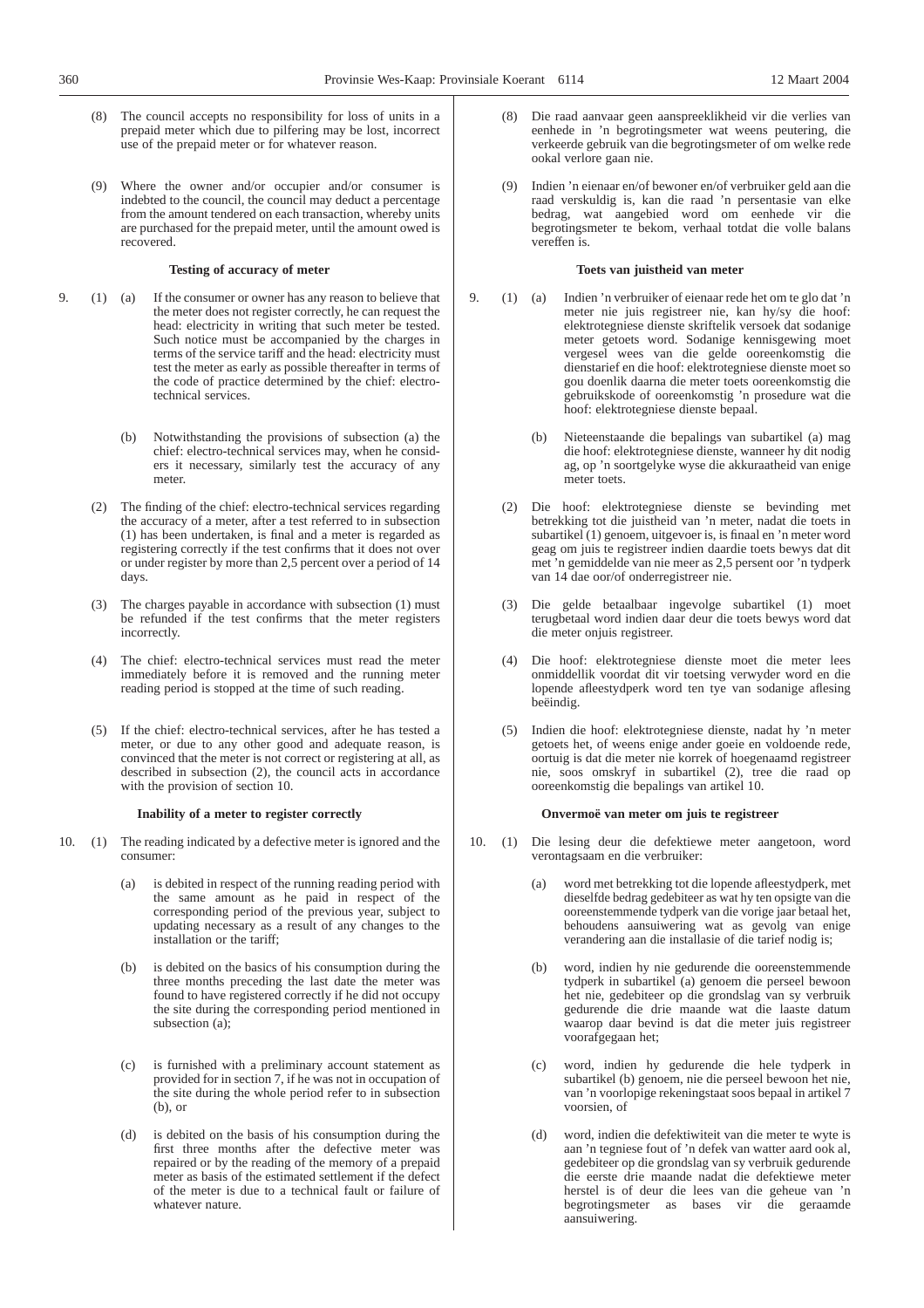- - (8) The council accepts no responsibility for loss of units in a prepaid meter which due to pilfering may be lost, incorrect use of the prepaid meter or for whatever reason.
	- (9) Where the owner and/or occupier and/or consumer is indebted to the council, the council may deduct a percentage from the amount tendered on each transaction, whereby units are purchased for the prepaid meter, until the amount owed is recovered.

# **Testing of accuracy of meter**

- 9. (1) (a) If the consumer or owner has any reason to believe that the meter does not register correctly, he can request the head: electricity in writing that such meter be tested. Such notice must be accompanied by the charges in terms of the service tariff and the head: electricity must test the meter as early as possible thereafter in terms of the code of practice determined by the chief: electrotechnical services.
	- (b) Notwithstanding the provisions of subsection (a) the chief: electro-technical services may, when he considers it necessary, similarly test the accuracy of any meter.
	- (2) The finding of the chief: electro-technical services regarding the accuracy of a meter, after a test referred to in subsection (1) has been undertaken, is final and a meter is regarded as registering correctly if the test confirms that it does not over or under register by more than 2,5 percent over a period of 14 days.
	- (3) The charges payable in accordance with subsection (1) must be refunded if the test confirms that the meter registers incorrectly.
	- (4) The chief: electro-technical services must read the meter immediately before it is removed and the running meter reading period is stopped at the time of such reading.
	- (5) If the chief: electro-technical services, after he has tested a meter, or due to any other good and adequate reason, is convinced that the meter is not correct or registering at all, as described in subsection (2), the council acts in accordance with the provision of section 10.

### **Inability of a meter to register correctly**

- 10. (1) The reading indicated by a defective meter is ignored and the consumer:
	- (a) is debited in respect of the running reading period with the same amount as he paid in respect of the corresponding period of the previous year, subject to updating necessary as a result of any changes to the installation or the tariff;
	- (b) is debited on the basics of his consumption during the three months preceding the last date the meter was found to have registered correctly if he did not occupy the site during the corresponding period mentioned in subsection (a);
	- (c) is furnished with a preliminary account statement as provided for in section 7, if he was not in occupation of the site during the whole period refer to in subsection  $(h)$ , or
	- (d) is debited on the basis of his consumption during the first three months after the defective meter was repaired or by the reading of the memory of a prepaid meter as basis of the estimated settlement if the defect of the meter is due to a technical fault or failure of whatever nature.
- (8) Die raad aanvaar geen aanspreeklikheid vir die verlies van eenhede in 'n begrotingsmeter wat weens peutering, die verkeerde gebruik van die begrotingsmeter of om welke rede ookal verlore gaan nie.
- (9) Indien 'n eienaar en/of bewoner en/of verbruiker geld aan die raad verskuldig is, kan die raad 'n persentasie van elke bedrag, wat aangebied word om eenhede vir die begrotingsmeter te bekom, verhaal totdat die volle balans vereffen is.

#### **Toets van juistheid van meter**

- 9. (1) (a) Indien 'n verbruiker of eienaar rede het om te glo dat 'n meter nie juis registreer nie, kan hy/sy die hoof: elektrotegniese dienste skriftelik versoek dat sodanige meter getoets word. Sodanige kennisgewing moet vergesel wees van die gelde ooreenkomstig die dienstarief en die hoof: elektrotegniese dienste moet so gou doenlik daarna die meter toets ooreenkomstig die gebruikskode of ooreenkomstig 'n prosedure wat die hoof: elektrotegniese dienste bepaal.
	- (b) Nieteenstaande die bepalings van subartikel (a) mag die hoof: elektrotegniese dienste, wanneer hy dit nodig ag, op 'n soortgelyke wyse die akkuraatheid van enige meter toets.
	- (2) Die hoof: elektrotegniese dienste se bevinding met betrekking tot die juistheid van 'n meter, nadat die toets in subartikel (1) genoem, uitgevoer is, is finaal en 'n meter word geag om juis te registreer indien daardie toets bewys dat dit met 'n gemiddelde van nie meer as 2,5 persent oor 'n tydperk van 14 dae oor/of onderregistreer nie.
	- (3) Die gelde betaalbaar ingevolge subartikel (1) moet terugbetaal word indien daar deur die toets bewys word dat die meter onjuis registreer.
	- (4) Die hoof: elektrotegniese dienste moet die meter lees onmiddellik voordat dit vir toetsing verwyder word en die lopende afleestydperk word ten tye van sodanige aflesing beëindig.
	- (5) Indien die hoof: elektrotegniese dienste, nadat hy 'n meter getoets het, of weens enige ander goeie en voldoende rede, oortuig is dat die meter nie korrek of hoegenaamd registreer nie, soos omskryf in subartikel (2), tree die raad op ooreenkomstig die bepalings van artikel 10.

### **Onvermoë van meter om juis te registreer**

- 10. (1) Die lesing deur die defektiewe meter aangetoon, word verontagsaam en die verbruiker:
	- word met betrekking tot die lopende afleestydperk, met dieselfde bedrag gedebiteer as wat hy ten opsigte van die ooreenstemmende tydperk van die vorige jaar betaal het, behoudens aansuiwering wat as gevolg van enige verandering aan die installasie of die tarief nodig is;
	- (b) word, indien hy nie gedurende die ooreenstemmende tydperk in subartikel (a) genoem die perseel bewoon het nie, gedebiteer op die grondslag van sy verbruik gedurende die drie maande wat die laaste datum waarop daar bevind is dat die meter juis registreer voorafgegaan het;
	- (c) word, indien hy gedurende die hele tydperk in subartikel (b) genoem, nie die perseel bewoon het nie, van 'n voorlopige rekeningstaat soos bepaal in artikel 7 voorsien, of
	- (d) word, indien die defektiwiteit van die meter te wyte is aan 'n tegniese fout of 'n defek van watter aard ook al, gedebiteer op die grondslag van sy verbruik gedurende die eerste drie maande nadat die defektiewe meter herstel is of deur die lees van die geheue van 'n begrotingsmeter as bases vir die geraamde aansuiwering.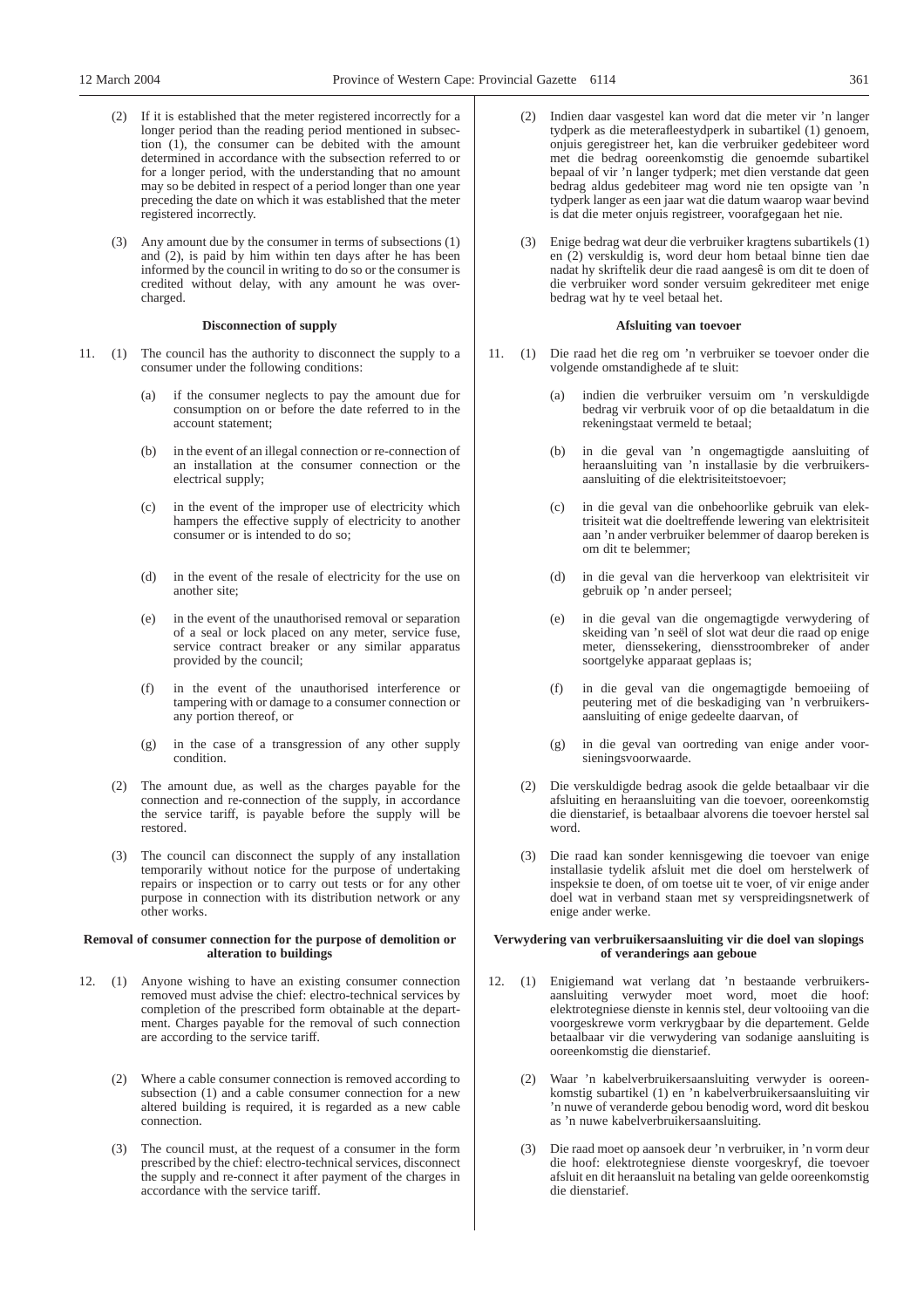- If it is established that the meter registered incorrectly for a longer period than the reading period mentioned in subsection (1), the consumer can be debited with the amount determined in accordance with the subsection referred to or for a longer period, with the understanding that no amount may so be debited in respect of a period longer than one year preceding the date on which it was established that the meter registered incorrectly.
- (3) Any amount due by the consumer in terms of subsections (1) and (2), is paid by him within ten days after he has been informed by the council in writing to do so or the consumer is credited without delay, with any amount he was overcharged.

# **Disconnection of supply**

- 11. (1) The council has the authority to disconnect the supply to a consumer under the following conditions:
	- (a) if the consumer neglects to pay the amount due for consumption on or before the date referred to in the account statement;
	- (b) in the event of an illegal connection or re-connection of an installation at the consumer connection or the electrical supply;
	- (c) in the event of the improper use of electricity which hampers the effective supply of electricity to another consumer or is intended to do so;
	- (d) in the event of the resale of electricity for the use on another site;
	- (e) in the event of the unauthorised removal or separation of a seal or lock placed on any meter, service fuse, service contract breaker or any similar apparatus provided by the council;
	- (f) in the event of the unauthorised interference or tampering with or damage to a consumer connection or any portion thereof, or
	- (g) in the case of a transgression of any other supply condition.
	- (2) The amount due, as well as the charges payable for the connection and re-connection of the supply, in accordance the service tariff, is payable before the supply will be restored.
	- (3) The council can disconnect the supply of any installation temporarily without notice for the purpose of undertaking repairs or inspection or to carry out tests or for any other purpose in connection with its distribution network or any other works.

# **Removal of consumer connection for the purpose of demolition or alteration to buildings**

- 12. (1) Anyone wishing to have an existing consumer connection removed must advise the chief: electro-technical services by completion of the prescribed form obtainable at the department. Charges payable for the removal of such connection are according to the service tariff.
	- (2) Where a cable consumer connection is removed according to subsection (1) and a cable consumer connection for a new altered building is required, it is regarded as a new cable connection.
	- (3) The council must, at the request of a consumer in the form prescribed by the chief: electro-technical services, disconnect the supply and re-connect it after payment of the charges in accordance with the service tariff.
- Indien daar vasgestel kan word dat die meter vir 'n langer tydperk as die meterafleestydperk in subartikel (1) genoem, onjuis geregistreer het, kan die verbruiker gedebiteer word met die bedrag ooreenkomstig die genoemde subartikel bepaal of vir 'n langer tydperk; met dien verstande dat geen bedrag aldus gedebiteer mag word nie ten opsigte van 'n tydperk langer as een jaar wat die datum waarop waar bevind is dat die meter onjuis registreer, voorafgegaan het nie.
- (3) Enige bedrag wat deur die verbruiker kragtens subartikels (1) en (2) verskuldig is, word deur hom betaal binne tien dae nadat hy skriftelik deur die raad aangesê is om dit te doen of die verbruiker word sonder versuim gekrediteer met enige bedrag wat hy te veel betaal het.

# **Afsluiting van toevoer**

- 11. (1) Die raad het die reg om 'n verbruiker se toevoer onder die volgende omstandighede af te sluit:
	- indien die verbruiker versuim om 'n verskuldigde bedrag vir verbruik voor of op die betaaldatum in die rekeningstaat vermeld te betaal;
	- (b) in die geval van 'n ongemagtigde aansluiting of heraansluiting van 'n installasie by die verbruikersaansluiting of die elektrisiteitstoevoer;
	- (c) in die geval van die onbehoorlike gebruik van elektrisiteit wat die doeltreffende lewering van elektrisiteit aan 'n ander verbruiker belemmer of daarop bereken is om dit te belemmer;
	- (d) in die geval van die herverkoop van elektrisiteit vir gebruik op 'n ander perseel;
	- (e) in die geval van die ongemagtigde verwydering of skeiding van 'n seël of slot wat deur die raad op enige meter, dienssekering, diensstroombreker of ander soortgelyke apparaat geplaas is;
	- (f) in die geval van die ongemagtigde bemoeiing of peutering met of die beskadiging van 'n verbruikersaansluiting of enige gedeelte daarvan, of
	- (g) in die geval van oortreding van enige ander voorsieningsvoorwaarde.
	- (2) Die verskuldigde bedrag asook die gelde betaalbaar vir die afsluiting en heraansluiting van die toevoer, ooreenkomstig die dienstarief, is betaalbaar alvorens die toevoer herstel sal word.
	- (3) Die raad kan sonder kennisgewing die toevoer van enige installasie tydelik afsluit met die doel om herstelwerk of inspeksie te doen, of om toetse uit te voer, of vir enige ander doel wat in verband staan met sy verspreidingsnetwerk of enige ander werke.

# **Verwydering van verbruikersaansluiting vir die doel van slopings of veranderings aan geboue**

- 12. (1) Enigiemand wat verlang dat 'n bestaande verbruikersaansluiting verwyder moet word, moet die hoof: elektrotegniese dienste in kennis stel, deur voltooiing van die voorgeskrewe vorm verkrygbaar by die departement. Gelde betaalbaar vir die verwydering van sodanige aansluiting is ooreenkomstig die dienstarief.
	- (2) Waar 'n kabelverbruikersaansluiting verwyder is ooreenkomstig subartikel (1) en 'n kabelverbruikersaansluiting vir 'n nuwe of veranderde gebou benodig word, word dit beskou as 'n nuwe kabelverbruikersaansluiting.
	- (3) Die raad moet op aansoek deur 'n verbruiker, in 'n vorm deur die hoof: elektrotegniese dienste voorgeskryf, die toevoer afsluit en dit heraansluit na betaling van gelde ooreenkomstig die dienstarief.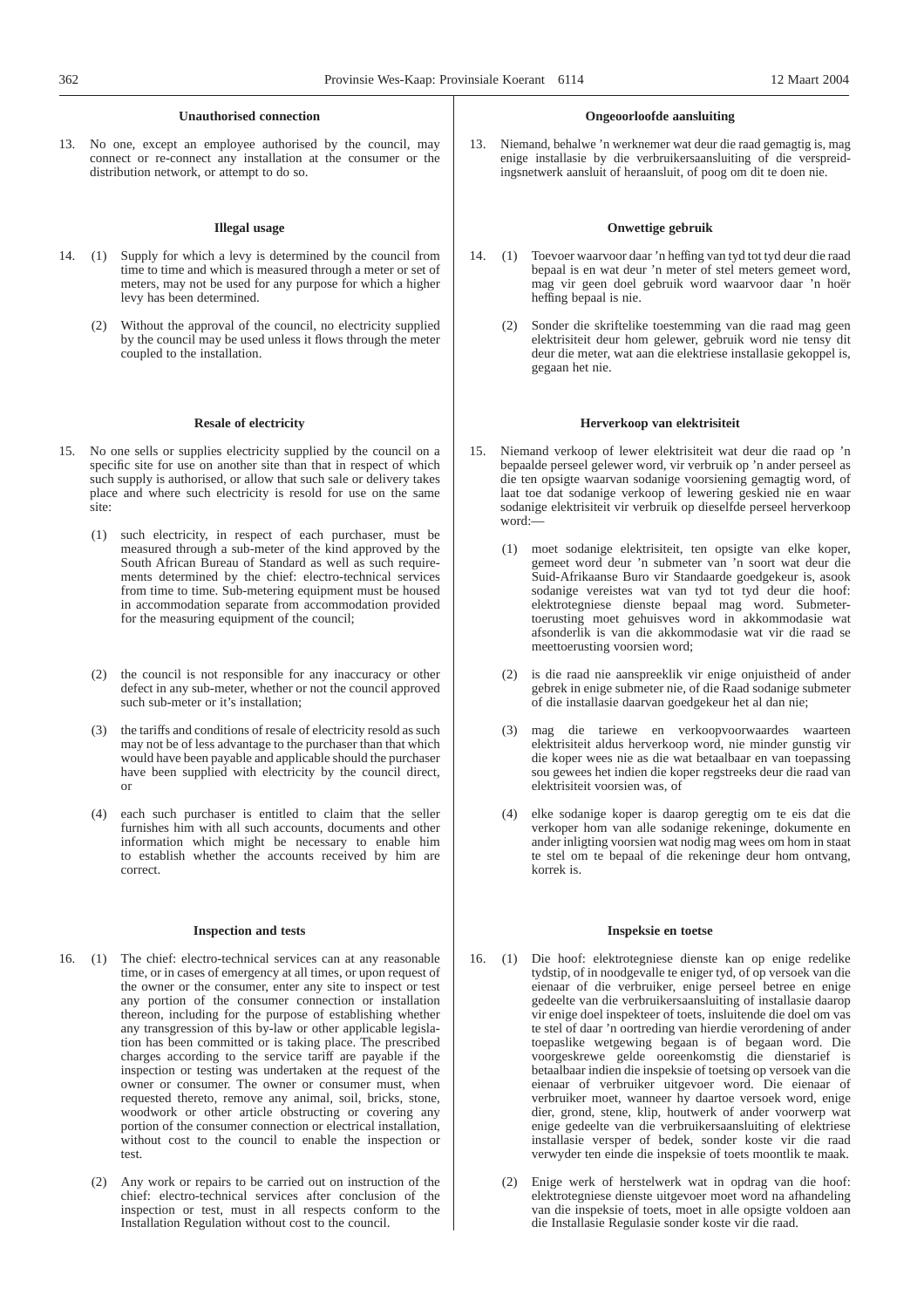# **Unauthorised connection**

13. No one, except an employee authorised by the council, may connect or re-connect any installation at the consumer or the distribution network, or attempt to do so.

# **Illegal usage**

- 14. (1) Supply for which a levy is determined by the council from time to time and which is measured through a meter or set of meters, may not be used for any purpose for which a higher levy has been determined.
	- Without the approval of the council, no electricity supplied by the council may be used unless it flows through the meter coupled to the installation.

#### **Resale of electricity**

- 15. No one sells or supplies electricity supplied by the council on a specific site for use on another site than that in respect of which such supply is authorised, or allow that such sale or delivery takes place and where such electricity is resold for use on the same site:
	- (1) such electricity, in respect of each purchaser, must be measured through a sub-meter of the kind approved by the South African Bureau of Standard as well as such requirements determined by the chief: electro-technical services from time to time. Sub-metering equipment must be housed in accommodation separate from accommodation provided for the measuring equipment of the council;
	- (2) the council is not responsible for any inaccuracy or other defect in any sub-meter, whether or not the council approved such sub-meter or it's installation;
	- (3) the tariffs and conditions of resale of electricity resold as such may not be of less advantage to the purchaser than that which would have been payable and applicable should the purchaser have been supplied with electricity by the council direct, or
	- (4) each such purchaser is entitled to claim that the seller furnishes him with all such accounts, documents and other information which might be necessary to enable him to establish whether the accounts received by him are correct.

#### **Inspection and tests**

- 16. (1) The chief: electro-technical services can at any reasonable time, or in cases of emergency at all times, or upon request of the owner or the consumer, enter any site to inspect or test any portion of the consumer connection or installation thereon, including for the purpose of establishing whether any transgression of this by-law or other applicable legislation has been committed or is taking place. The prescribed charges according to the service tariff are payable if the inspection or testing was undertaken at the request of the owner or consumer. The owner or consumer must, when requested thereto, remove any animal, soil, bricks, stone, woodwork or other article obstructing or covering any portion of the consumer connection or electrical installation, without cost to the council to enable the inspection or test.
	- (2) Any work or repairs to be carried out on instruction of the chief: electro-technical services after conclusion of the inspection or test, must in all respects conform to the Installation Regulation without cost to the council.

### **Ongeoorloofde aansluiting**

13. Niemand, behalwe 'n werknemer wat deur die raad gemagtig is, mag enige installasie by die verbruikersaansluiting of die verspreidingsnetwerk aansluit of heraansluit, of poog om dit te doen nie.

# **Onwettige gebruik**

- 14. (1) Toevoer waarvoor daar 'n heffing van tyd tot tyd deur die raad bepaal is en wat deur 'n meter of stel meters gemeet word, mag vir geen doel gebruik word waarvoor daar 'n hoër heffing bepaal is nie.
	- Sonder die skriftelike toestemming van die raad mag geen elektrisiteit deur hom gelewer, gebruik word nie tensy dit deur die meter, wat aan die elektriese installasie gekoppel is, gegaan het nie.

#### **Herverkoop van elektrisiteit**

- 15. Niemand verkoop of lewer elektrisiteit wat deur die raad op 'n bepaalde perseel gelewer word, vir verbruik op 'n ander perseel as die ten opsigte waarvan sodanige voorsiening gemagtig word, of laat toe dat sodanige verkoop of lewering geskied nie en waar sodanige elektrisiteit vir verbruik op dieselfde perseel herverkoop word:—
	- (1) moet sodanige elektrisiteit, ten opsigte van elke koper, gemeet word deur 'n submeter van 'n soort wat deur die Suid-Afrikaanse Buro vir Standaarde goedgekeur is, asook sodanige vereistes wat van tyd tot tyd deur die hoof: elektrotegniese dienste bepaal mag word. Submetertoerusting moet gehuisves word in akkommodasie wat afsonderlik is van die akkommodasie wat vir die raad se meettoerusting voorsien word;
	- (2) is die raad nie aanspreeklik vir enige onjuistheid of ander gebrek in enige submeter nie, of die Raad sodanige submeter of die installasie daarvan goedgekeur het al dan nie;
	- (3) mag die tariewe en verkoopvoorwaardes waarteen elektrisiteit aldus herverkoop word, nie minder gunstig vir die koper wees nie as die wat betaalbaar en van toepassing sou gewees het indien die koper regstreeks deur die raad van elektrisiteit voorsien was, of
	- elke sodanige koper is daarop geregtig om te eis dat die verkoper hom van alle sodanige rekeninge, dokumente en ander inligting voorsien wat nodig mag wees om hom in staat te stel om te bepaal of die rekeninge deur hom ontvang, korrek is.

#### **Inspeksie en toetse**

- 16. (1) Die hoof: elektrotegniese dienste kan op enige redelike tydstip, of in noodgevalle te eniger tyd, of op versoek van die eienaar of die verbruiker, enige perseel betree en enige gedeelte van die verbruikersaansluiting of installasie daarop vir enige doel inspekteer of toets, insluitende die doel om vas te stel of daar 'n oortreding van hierdie verordening of ander toepaslike wetgewing begaan is of begaan word. Die voorgeskrewe gelde ooreenkomstig die dienstarief is betaalbaar indien die inspeksie of toetsing op versoek van die eienaar of verbruiker uitgevoer word. Die eienaar of verbruiker moet, wanneer hy daartoe versoek word, enige dier, grond, stene, klip, houtwerk of ander voorwerp wat enige gedeelte van die verbruikersaansluiting of elektriese installasie versper of bedek, sonder koste vir die raad verwyder ten einde die inspeksie of toets moontlik te maak.
	- (2) Enige werk of herstelwerk wat in opdrag van die hoof: elektrotegniese dienste uitgevoer moet word na afhandeling van die inspeksie of toets, moet in alle opsigte voldoen aan die Installasie Regulasie sonder koste vir die raad.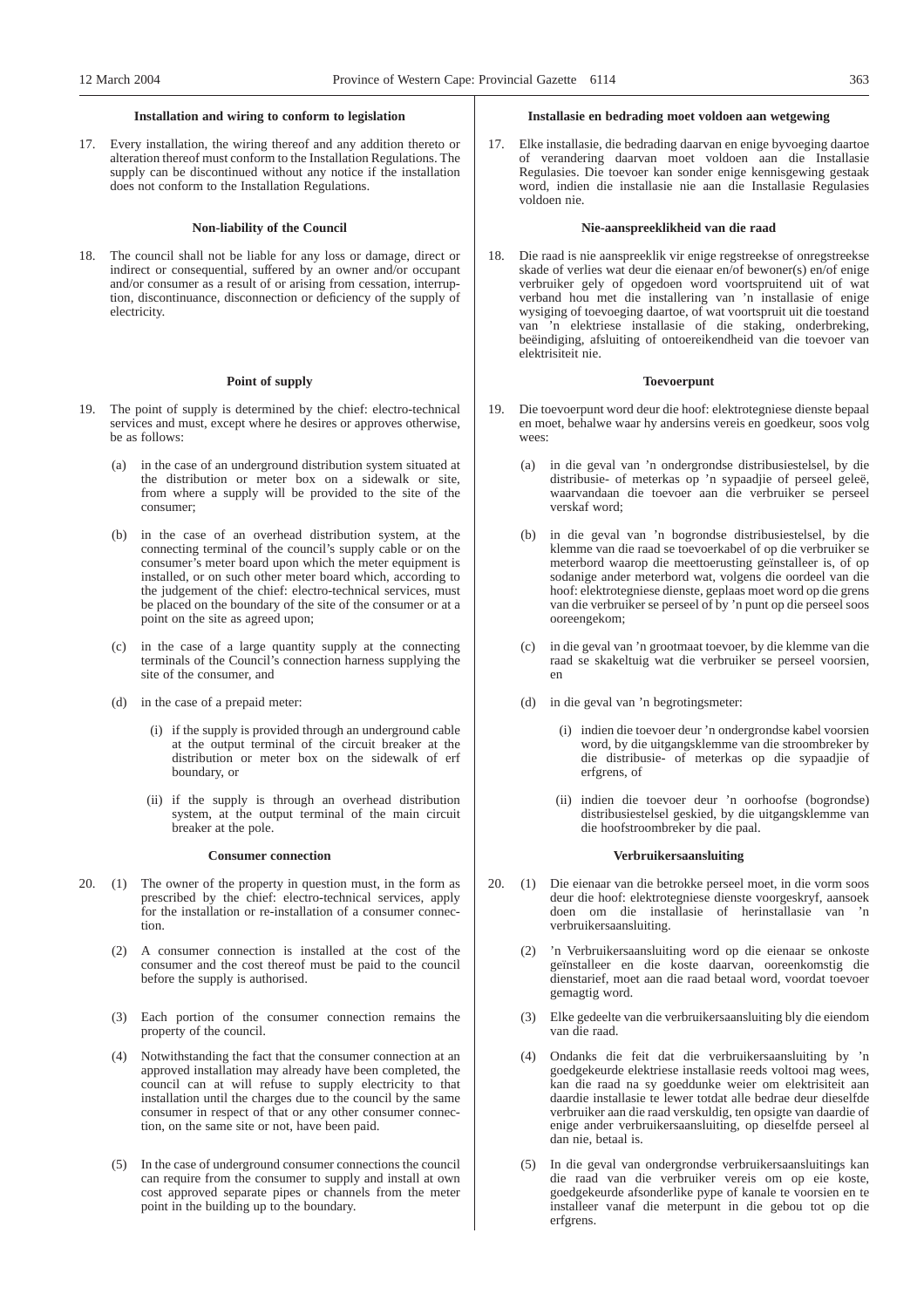# **Installation and wiring to conform to legislation**

17. Every installation, the wiring thereof and any addition thereto or alteration thereof must conform to the Installation Regulations. The supply can be discontinued without any notice if the installation does not conform to the Installation Regulations.

# **Non-liability of the Council**

18. The council shall not be liable for any loss or damage, direct or indirect or consequential, suffered by an owner and/or occupant and/or consumer as a result of or arising from cessation, interruption, discontinuance, disconnection or deficiency of the supply of electricity.

# **Point of supply**

- 19. The point of supply is determined by the chief: electro-technical services and must, except where he desires or approves otherwise, be as follows:
	- (a) in the case of an underground distribution system situated at the distribution or meter box on a sidewalk or site, from where a supply will be provided to the site of the consumer;
	- (b) in the case of an overhead distribution system, at the connecting terminal of the council's supply cable or on the consumer's meter board upon which the meter equipment is installed, or on such other meter board which, according to the judgement of the chief: electro-technical services, must be placed on the boundary of the site of the consumer or at a point on the site as agreed upon;
	- (c) in the case of a large quantity supply at the connecting terminals of the Council's connection harness supplying the site of the consumer, and
	- (d) in the case of a prepaid meter:
		- (i) if the supply is provided through an underground cable at the output terminal of the circuit breaker at the distribution or meter box on the sidewalk of erf boundary, or
		- (ii) if the supply is through an overhead distribution system, at the output terminal of the main circuit breaker at the pole.

#### **Consumer connection**

- 20. (1) The owner of the property in question must, in the form as prescribed by the chief: electro-technical services, apply for the installation or re-installation of a consumer connection.
	- (2) A consumer connection is installed at the cost of the consumer and the cost thereof must be paid to the council before the supply is authorised.
	- (3) Each portion of the consumer connection remains the property of the council.
	- (4) Notwithstanding the fact that the consumer connection at an approved installation may already have been completed, the council can at will refuse to supply electricity to that installation until the charges due to the council by the same consumer in respect of that or any other consumer connection, on the same site or not, have been paid.
	- (5) In the case of underground consumer connections the council can require from the consumer to supply and install at own cost approved separate pipes or channels from the meter point in the building up to the boundary.

### **Installasie en bedrading moet voldoen aan wetgewing**

17. Elke installasie, die bedrading daarvan en enige byvoeging daartoe of verandering daarvan moet voldoen aan die Installasie Regulasies. Die toevoer kan sonder enige kennisgewing gestaak word, indien die installasie nie aan die Installasie Regulasies voldoen nie.

### **Nie-aanspreeklikheid van die raad**

18. Die raad is nie aanspreeklik vir enige regstreekse of onregstreekse skade of verlies wat deur die eienaar en/of bewoner(s) en/of enige verbruiker gely of opgedoen word voortspruitend uit of wat verband hou met die installering van 'n installasie of enige wysiging of toevoeging daartoe, of wat voortspruit uit die toestand van 'n elektriese installasie of die staking, onderbreking, beëindiging, afsluiting of ontoereikendheid van die toevoer van elektrisiteit nie.

# **Toevoerpunt**

- 19. Die toevoerpunt word deur die hoof: elektrotegniese dienste bepaal en moet, behalwe waar hy andersins vereis en goedkeur, soos volg wees:
	- (a) in die geval van 'n ondergrondse distribusiestelsel, by die distribusie- of meterkas op 'n sypaadjie of perseel geleë, waarvandaan die toevoer aan die verbruiker se perseel verskaf word;
	- (b) in die geval van 'n bogrondse distribusiestelsel, by die klemme van die raad se toevoerkabel of op die verbruiker se meterbord waarop die meettoerusting geïnstalleer is, of op sodanige ander meterbord wat, volgens die oordeel van die hoof: elektrotegniese dienste, geplaas moet word op die grens van die verbruiker se perseel of by 'n punt op die perseel soos ooreengekom;
	- (c) in die geval van 'n grootmaat toevoer, by die klemme van die raad se skakeltuig wat die verbruiker se perseel voorsien, en
	- (d) in die geval van 'n begrotingsmeter:
		- (i) indien die toevoer deur 'n ondergrondse kabel voorsien word, by die uitgangsklemme van die stroombreker by die distribusie- of meterkas op die sypaadjie of erfgrens, of
		- (ii) indien die toevoer deur 'n oorhoofse (bogrondse) distribusiestelsel geskied, by die uitgangsklemme van die hoofstroombreker by die paal.

### **Verbruikersaansluiting**

- 20. (1) Die eienaar van die betrokke perseel moet, in die vorm soos deur die hoof: elektrotegniese dienste voorgeskryf, aansoek doen om die installasie of herinstallasie van 'n verbruikersaansluiting.
	- (2) 'n Verbruikersaansluiting word op die eienaar se onkoste geïnstalleer en die koste daarvan, ooreenkomstig die dienstarief, moet aan die raad betaal word, voordat toevoer gemagtig word.
	- (3) Elke gedeelte van die verbruikersaansluiting bly die eiendom van die raad.
	- (4) Ondanks die feit dat die verbruikersaansluiting by 'n goedgekeurde elektriese installasie reeds voltooi mag wees, kan die raad na sy goeddunke weier om elektrisiteit aan daardie installasie te lewer totdat alle bedrae deur dieselfde verbruiker aan die raad verskuldig, ten opsigte van daardie of enige ander verbruikersaansluiting, op dieselfde perseel al dan nie, betaal is.
	- (5) In die geval van ondergrondse verbruikersaansluitings kan die raad van die verbruiker vereis om op eie koste, goedgekeurde afsonderlike pype of kanale te voorsien en te installeer vanaf die meterpunt in die gebou tot op die erfgrens.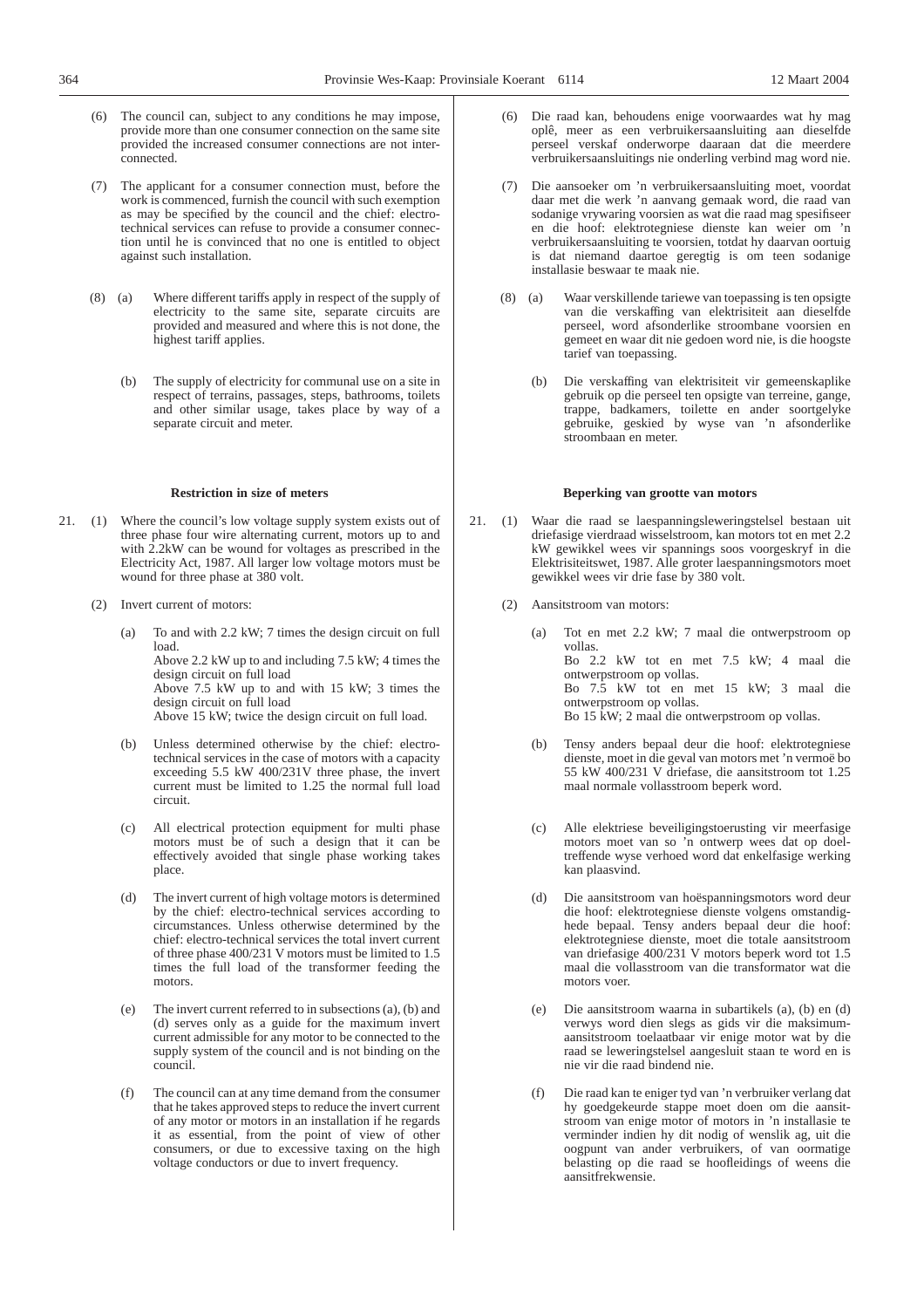- (6) The council can, subject to any conditions he may impose, provide more than one consumer connection on the same site provided the increased consumer connections are not interconnected.
- (7) The applicant for a consumer connection must, before the work is commenced, furnish the council with such exemption as may be specified by the council and the chief: electrotechnical services can refuse to provide a consumer connection until he is convinced that no one is entitled to object against such installation.
- (8) (a) Where different tariffs apply in respect of the supply of electricity to the same site, separate circuits are provided and measured and where this is not done, the highest tariff applies.
	- (b) The supply of electricity for communal use on a site in respect of terrains, passages, steps, bathrooms, toilets and other similar usage, takes place by way of a separate circuit and meter.

# **Restriction in size of meters**

- 21. (1) Where the council's low voltage supply system exists out of three phase four wire alternating current, motors up to and with 2.2kW can be wound for voltages as prescribed in the Electricity Act, 1987. All larger low voltage motors must be wound for three phase at 380 volt.
	- (2) Invert current of motors:

circuit.

(a) To and with 2.2 kW; 7 times the design circuit on full load. Above 2.2 kW up to and including 7.5 kW; 4 times the

design circuit on full load Above 7.5 kW up to and with 15 kW; 3 times the design circuit on full load Above 15 kW; twice the design circuit on full load.

current must be limited to 1.25 the normal full load

(b) Unless determined otherwise by the chief: electrotechnical services in the case of motors with a capacity exceeding 5.5 kW 400/231V three phase, the invert

- (c) All electrical protection equipment for multi phase motors must be of such a design that it can be effectively avoided that single phase working takes place.
- (d) The invert current of high voltage motors is determined by the chief: electro-technical services according to circumstances. Unless otherwise determined by the chief: electro-technical services the total invert current of three phase 400/231 V motors must be limited to 1.5 times the full load of the transformer feeding the motors.
- (e) The invert current referred to in subsections (a), (b) and (d) serves only as a guide for the maximum invert current admissible for any motor to be connected to the supply system of the council and is not binding on the council.
- (f) The council can at any time demand from the consumer that he takes approved steps to reduce the invert current of any motor or motors in an installation if he regards it as essential, from the point of view of other consumers, or due to excessive taxing on the high voltage conductors or due to invert frequency.
- Die raad kan, behoudens enige voorwaardes wat hy mag oplê, meer as een verbruikersaansluiting aan dieselfde perseel verskaf onderworpe daaraan dat die meerdere verbruikersaansluitings nie onderling verbind mag word nie.
- (7) Die aansoeker om 'n verbruikersaansluiting moet, voordat daar met die werk 'n aanvang gemaak word, die raad van sodanige vrywaring voorsien as wat die raad mag spesifiseer en die hoof: elektrotegniese dienste kan weier om 'n verbruikersaansluiting te voorsien, totdat hy daarvan oortuig is dat niemand daartoe geregtig is om teen sodanige installasie beswaar te maak nie.
- (8) (a) Waar verskillende tariewe van toepassing is ten opsigte van die verskaffing van elektrisiteit aan dieselfde perseel, word afsonderlike stroombane voorsien en gemeet en waar dit nie gedoen word nie, is die hoogste tarief van toepassing.
	- (b) Die verskaffing van elektrisiteit vir gemeenskaplike gebruik op die perseel ten opsigte van terreine, gange, trappe, badkamers, toilette en ander soortgelyke gebruike, geskied by wyse van 'n afsonderlike stroombaan en meter.

## **Beperking van grootte van motors**

- 21. (1) Waar die raad se laespanningsleweringstelsel bestaan uit driefasige vierdraad wisselstroom, kan motors tot en met 2.2 kW gewikkel wees vir spannings soos voorgeskryf in die Elektrisiteitswet, 1987. Alle groter laespanningsmotors moet gewikkel wees vir drie fase by 380 volt.
	- (2) Aansitstroom van motors:
		- (a) Tot en met 2.2 kW; 7 maal die ontwerpstroom op vollas. Bo 2.2 kW tot en met 7.5 kW; 4 maal die ontwerpstroom op vollas.

Bo 7.5 kW tot en met 15 kW; 3 maal die ontwerpstroom op vollas.

Bo 15 kW; 2 maal die ontwerpstroom op vollas.

- (b) Tensy anders bepaal deur die hoof: elektrotegniese dienste, moet in die geval van motors met 'n vermoë bo 55 kW 400/231 V driefase, die aansitstroom tot 1.25 maal normale vollasstroom beperk word.
- (c) Alle elektriese beveiligingstoerusting vir meerfasige motors moet van so 'n ontwerp wees dat op doeltreffende wyse verhoed word dat enkelfasige werking kan plaasvind.
- (d) Die aansitstroom van hoëspanningsmotors word deur die hoof: elektrotegniese dienste volgens omstandighede bepaal. Tensy anders bepaal deur die hoof: elektrotegniese dienste, moet die totale aansitstroom van driefasige 400/231 V motors beperk word tot 1.5 maal die vollasstroom van die transformator wat die motors voer.
- (e) Die aansitstroom waarna in subartikels (a), (b) en (d) verwys word dien slegs as gids vir die maksimumaansitstroom toelaatbaar vir enige motor wat by die raad se leweringstelsel aangesluit staan te word en is nie vir die raad bindend nie.
- (f) Die raad kan te eniger tyd van 'n verbruiker verlang dat hy goedgekeurde stappe moet doen om die aansitstroom van enige motor of motors in 'n installasie te verminder indien hy dit nodig of wenslik ag, uit die oogpunt van ander verbruikers, of van oormatige belasting op die raad se hoofleidings of weens die aansitfrekwensie.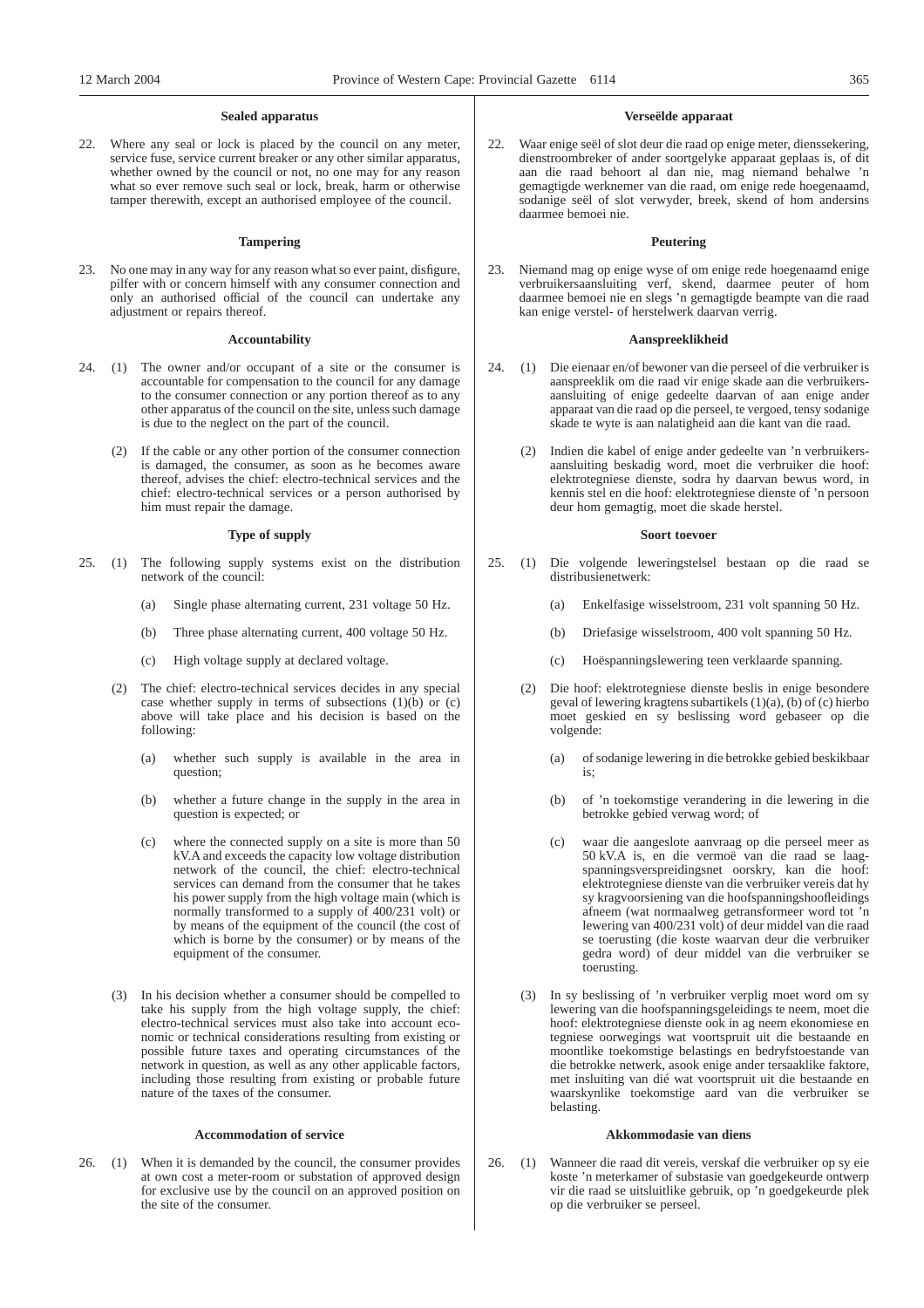# **Sealed apparatus**

22. Where any seal or lock is placed by the council on any meter, service fuse, service current breaker or any other similar apparatus, whether owned by the council or not, no one may for any reason what so ever remove such seal or lock, break, harm or otherwise tamper therewith, except an authorised employee of the council.

#### **Tampering**

23. No one may in any way for any reason what so ever paint, disfigure, pilfer with or concern himself with any consumer connection and only an authorised official of the council can undertake any adjustment or repairs thereof.

#### **Accountability**

- 24. (1) The owner and/or occupant of a site or the consumer is accountable for compensation to the council for any damage to the consumer connection or any portion thereof as to any other apparatus of the council on the site, unless such damage is due to the neglect on the part of the council.
	- (2) If the cable or any other portion of the consumer connection is damaged, the consumer, as soon as he becomes aware thereof, advises the chief: electro-technical services and the chief: electro-technical services or a person authorised by him must repair the damage.

# **Type of supply**

- 25. (1) The following supply systems exist on the distribution network of the council:
	- (a) Single phase alternating current, 231 voltage 50 Hz.
	- (b) Three phase alternating current, 400 voltage 50 Hz.
	- (c) High voltage supply at declared voltage.
	- (2) The chief: electro-technical services decides in any special case whether supply in terms of subsections  $(1)(\dot{b})$  or  $(c)$ above will take place and his decision is based on the following:
		- (a) whether such supply is available in the area in question;
		- (b) whether a future change in the supply in the area in question is expected; or
		- (c) where the connected supply on a site is more than 50 kV.A and exceeds the capacity low voltage distribution network of the council, the chief: electro-technical services can demand from the consumer that he takes his power supply from the high voltage main (which is normally transformed to a supply of 400/231 volt) or by means of the equipment of the council (the cost of which is borne by the consumer) or by means of the equipment of the consumer.
	- (3) In his decision whether a consumer should be compelled to take his supply from the high voltage supply, the chief: electro-technical services must also take into account economic or technical considerations resulting from existing or possible future taxes and operating circumstances of the network in question, as well as any other applicable factors, including those resulting from existing or probable future nature of the taxes of the consumer.

# **Accommodation of service**

26. (1) When it is demanded by the council, the consumer provides at own cost a meter-room or substation of approved design for exclusive use by the council on an approved position on the site of the consumer.

### **Verseëlde apparaat**

22. Waar enige seël of slot deur die raad op enige meter, dienssekering, dienstroombreker of ander soortgelyke apparaat geplaas is, of dit aan die raad behoort al dan nie, mag niemand behalwe 'n gemagtigde werknemer van die raad, om enige rede hoegenaamd, sodanige seël of slot verwyder, breek, skend of hom andersins daarmee bemoei nie.

#### **Peutering**

23. Niemand mag op enige wyse of om enige rede hoegenaamd enige verbruikersaansluiting verf, skend, daarmee peuter of hom daarmee bemoei nie en slegs 'n gemagtigde beampte van die raad kan enige verstel- of herstelwerk daarvan verrig.

#### **Aanspreeklikheid**

- 24. (1) Die eienaar en/of bewoner van die perseel of die verbruiker is aanspreeklik om die raad vir enige skade aan die verbruikersaansluiting of enige gedeelte daarvan of aan enige ander apparaat van die raad op die perseel, te vergoed, tensy sodanige skade te wyte is aan nalatigheid aan die kant van die raad.
	- (2) Indien die kabel of enige ander gedeelte van 'n verbruikersaansluiting beskadig word, moet die verbruiker die hoof: elektrotegniese dienste, sodra hy daarvan bewus word, in kennis stel en die hoof: elektrotegniese dienste of 'n persoon deur hom gemagtig, moet die skade herstel.

### **Soort toevoer**

- 25. (1) Die volgende leweringstelsel bestaan op die raad se distribusienetwerk:
	- (a) Enkelfasige wisselstroom, 231 volt spanning 50 Hz.
	- (b) Driefasige wisselstroom, 400 volt spanning 50 Hz.
	- (c) Hoëspanningslewering teen verklaarde spanning.
	- (2) Die hoof: elektrotegniese dienste beslis in enige besondere geval of lewering kragtens subartikels  $(1)(a)$ ,  $(b)$  of  $(c)$  hierbo moet geskied en sy beslissing word gebaseer op die volgende:
		- (a) of sodanige lewering in die betrokke gebied beskikbaar is;
		- (b) of 'n toekomstige verandering in die lewering in die betrokke gebied verwag word; of
		- (c) waar die aangeslote aanvraag op die perseel meer as 50 kV.A is, en die vermoë van die raad se laagspanningsverspreidingsnet oorskry, kan die hoof: elektrotegniese dienste van die verbruiker vereis dat hy sy kragvoorsiening van die hoofspanningshoofleidings afneem (wat normaalweg getransformeer word tot 'n lewering van 400/231 volt) of deur middel van die raad se toerusting (die koste waarvan deur die verbruiker gedra word) of deur middel van die verbruiker se toerusting.
	- (3) In sy beslissing of 'n verbruiker verplig moet word om sy lewering van die hoofspanningsgeleidings te neem, moet die hoof: elektrotegniese dienste ook in ag neem ekonomiese en tegniese oorwegings wat voortspruit uit die bestaande en moontlike toekomstige belastings en bedryfstoestande van die betrokke netwerk, asook enige ander tersaaklike faktore, met insluiting van dié wat voortspruit uit die bestaande en waarskynlike toekomstige aard van die verbruiker se belasting.

# **Akkommodasie van diens**

26. (1) Wanneer die raad dit vereis, verskaf die verbruiker op sy eie koste 'n meterkamer of substasie van goedgekeurde ontwerp vir die raad se uitsluitlike gebruik, op 'n goedgekeurde plek op die verbruiker se perseel.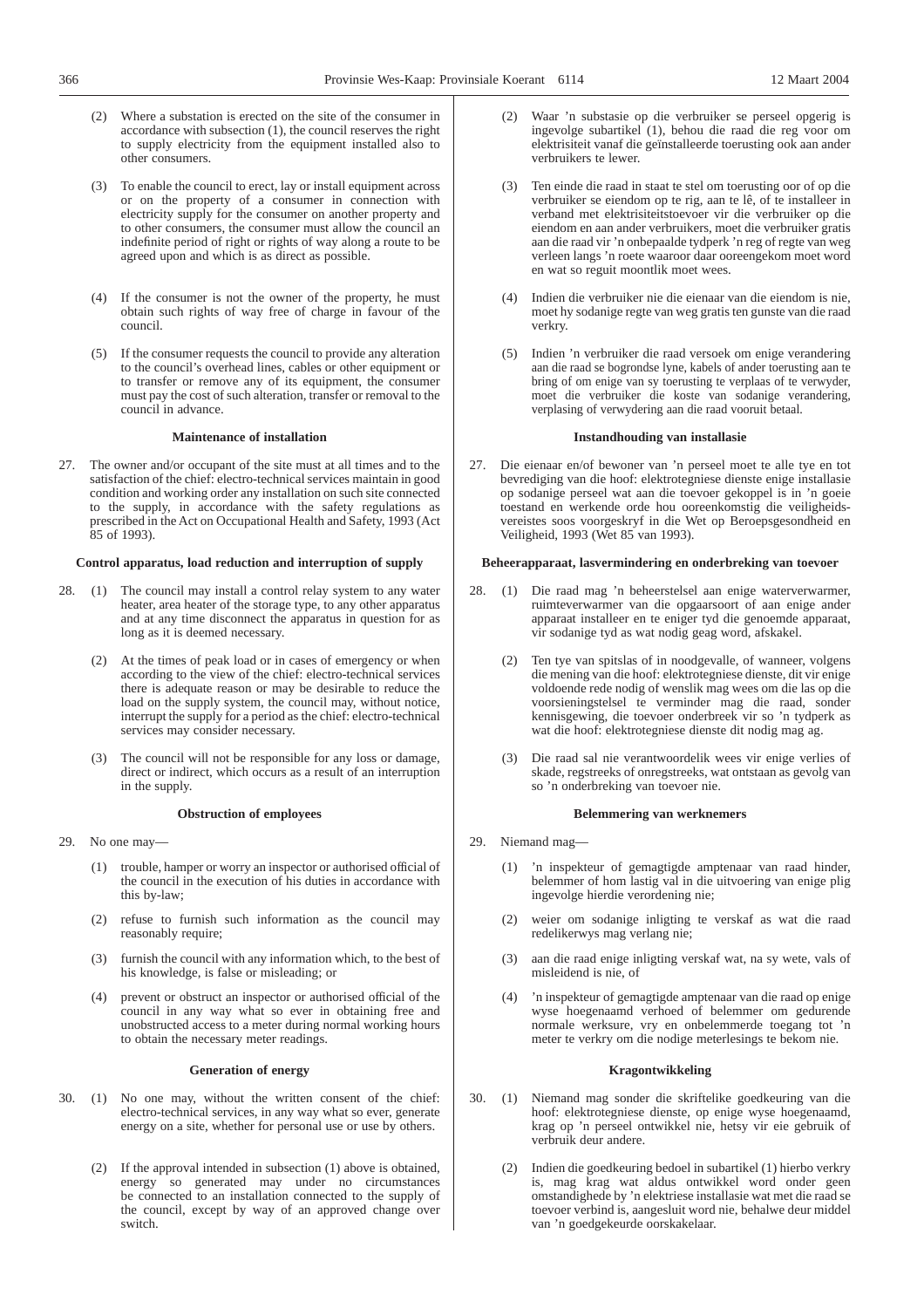- (2) Where a substation is erected on the site of the consumer in accordance with subsection (1), the council reserves the right to supply electricity from the equipment installed also to other consumers.
- (3) To enable the council to erect, lay or install equipment across or on the property of a consumer in connection with electricity supply for the consumer on another property and to other consumers, the consumer must allow the council an indefinite period of right or rights of way along a route to be agreed upon and which is as direct as possible.
- (4) If the consumer is not the owner of the property, he must obtain such rights of way free of charge in favour of the council.
- (5) If the consumer requests the council to provide any alteration to the council's overhead lines, cables or other equipment or to transfer or remove any of its equipment, the consumer must pay the cost of such alteration, transfer or removal to the council in advance.

# **Maintenance of installation**

27. The owner and/or occupant of the site must at all times and to the satisfaction of the chief: electro-technical services maintain in good condition and working order any installation on such site connected to the supply, in accordance with the safety regulations as prescribed in the Act on Occupational Health and Safety, 1993 (Act 85 of 1993).

# **Control apparatus, load reduction and interruption of supply**

- 28. (1) The council may install a control relay system to any water heater, area heater of the storage type, to any other apparatus and at any time disconnect the apparatus in question for as long as it is deemed necessary.
	- (2) At the times of peak load or in cases of emergency or when according to the view of the chief: electro-technical services there is adequate reason or may be desirable to reduce the load on the supply system, the council may, without notice, interrupt the supply for a period as the chief: electro-technical services may consider necessary.
	- (3) The council will not be responsible for any loss or damage, direct or indirect, which occurs as a result of an interruption in the supply.

# **Obstruction of employees**

- 29. No one may—
	- (1) trouble, hamper or worry an inspector or authorised official of the council in the execution of his duties in accordance with this by-law;
	- (2) refuse to furnish such information as the council may reasonably require;
	- (3) furnish the council with any information which, to the best of his knowledge, is false or misleading; or
	- (4) prevent or obstruct an inspector or authorised official of the council in any way what so ever in obtaining free and unobstructed access to a meter during normal working hours to obtain the necessary meter readings.

#### **Generation of energy**

- 30. (1) No one may, without the written consent of the chief: electro-technical services, in any way what so ever, generate energy on a site, whether for personal use or use by others.
	- (2) If the approval intended in subsection (1) above is obtained, energy so generated may under no circumstances be connected to an installation connected to the supply of the council, except by way of an approved change over switch.
- (2) Waar 'n substasie op die verbruiker se perseel opgerig is ingevolge subartikel (1), behou die raad die reg voor om elektrisiteit vanaf die geïnstalleerde toerusting ook aan ander verbruikers te lewer.
- (3) Ten einde die raad in staat te stel om toerusting oor of op die verbruiker se eiendom op te rig, aan te lê, of te installeer in verband met elektrisiteitstoevoer vir die verbruiker op die eiendom en aan ander verbruikers, moet die verbruiker gratis aan die raad vir 'n onbepaalde tydperk 'n reg of regte van weg verleen langs 'n roete waaroor daar ooreengekom moet word en wat so reguit moontlik moet wees.
- (4) Indien die verbruiker nie die eienaar van die eiendom is nie, moet hy sodanige regte van weg gratis ten gunste van die raad verkry.
- (5) Indien 'n verbruiker die raad versoek om enige verandering aan die raad se bogrondse lyne, kabels of ander toerusting aan te bring of om enige van sy toerusting te verplaas of te verwyder, moet die verbruiker die koste van sodanige verandering, verplasing of verwydering aan die raad vooruit betaal.

#### **Instandhouding van installasie**

27. Die eienaar en/of bewoner van 'n perseel moet te alle tye en tot bevrediging van die hoof: elektrotegniese dienste enige installasie op sodanige perseel wat aan die toevoer gekoppel is in 'n goeie toestand en werkende orde hou ooreenkomstig die veiligheidsvereistes soos voorgeskryf in die Wet op Beroepsgesondheid en Veiligheid, 1993 (Wet 85 van 1993).

# **Beheerapparaat, lasvermindering en onderbreking van toevoer**

- 28. (1) Die raad mag 'n beheerstelsel aan enige waterverwarmer, ruimteverwarmer van die opgaarsoort of aan enige ander apparaat installeer en te eniger tyd die genoemde apparaat, vir sodanige tyd as wat nodig geag word, afskakel.
	- Ten tye van spitslas of in noodgevalle, of wanneer, volgens die mening van die hoof: elektrotegniese dienste, dit vir enige voldoende rede nodig of wenslik mag wees om die las op die voorsieningstelsel te verminder mag die raad, sonder kennisgewing, die toevoer onderbreek vir so 'n tydperk as wat die hoof: elektrotegniese dienste dit nodig mag ag.
	- (3) Die raad sal nie verantwoordelik wees vir enige verlies of skade, regstreeks of onregstreeks, wat ontstaan as gevolg van so 'n onderbreking van toevoer nie.

# **Belemmering van werknemers**

- 29. Niemand mag—
	- (1) 'n inspekteur of gemagtigde amptenaar van raad hinder, belemmer of hom lastig val in die uitvoering van enige plig ingevolge hierdie verordening nie;
	- (2) weier om sodanige inligting te verskaf as wat die raad redelikerwys mag verlang nie;
	- (3) aan die raad enige inligting verskaf wat, na sy wete, vals of misleidend is nie, of
	- (4) 'n inspekteur of gemagtigde amptenaar van die raad op enige wyse hoegenaamd verhoed of belemmer om gedurende normale werksure, vry en onbelemmerde toegang tot 'n meter te verkry om die nodige meterlesings te bekom nie.

### **Kragontwikkeling**

- 30. (1) Niemand mag sonder die skriftelike goedkeuring van die hoof: elektrotegniese dienste, op enige wyse hoegenaamd, krag op 'n perseel ontwikkel nie, hetsy vir eie gebruik of verbruik deur andere.
	- (2) Indien die goedkeuring bedoel in subartikel (1) hierbo verkry is, mag krag wat aldus ontwikkel word onder geen omstandighede by 'n elektriese installasie wat met die raad se toevoer verbind is, aangesluit word nie, behalwe deur middel van 'n goedgekeurde oorskakelaar.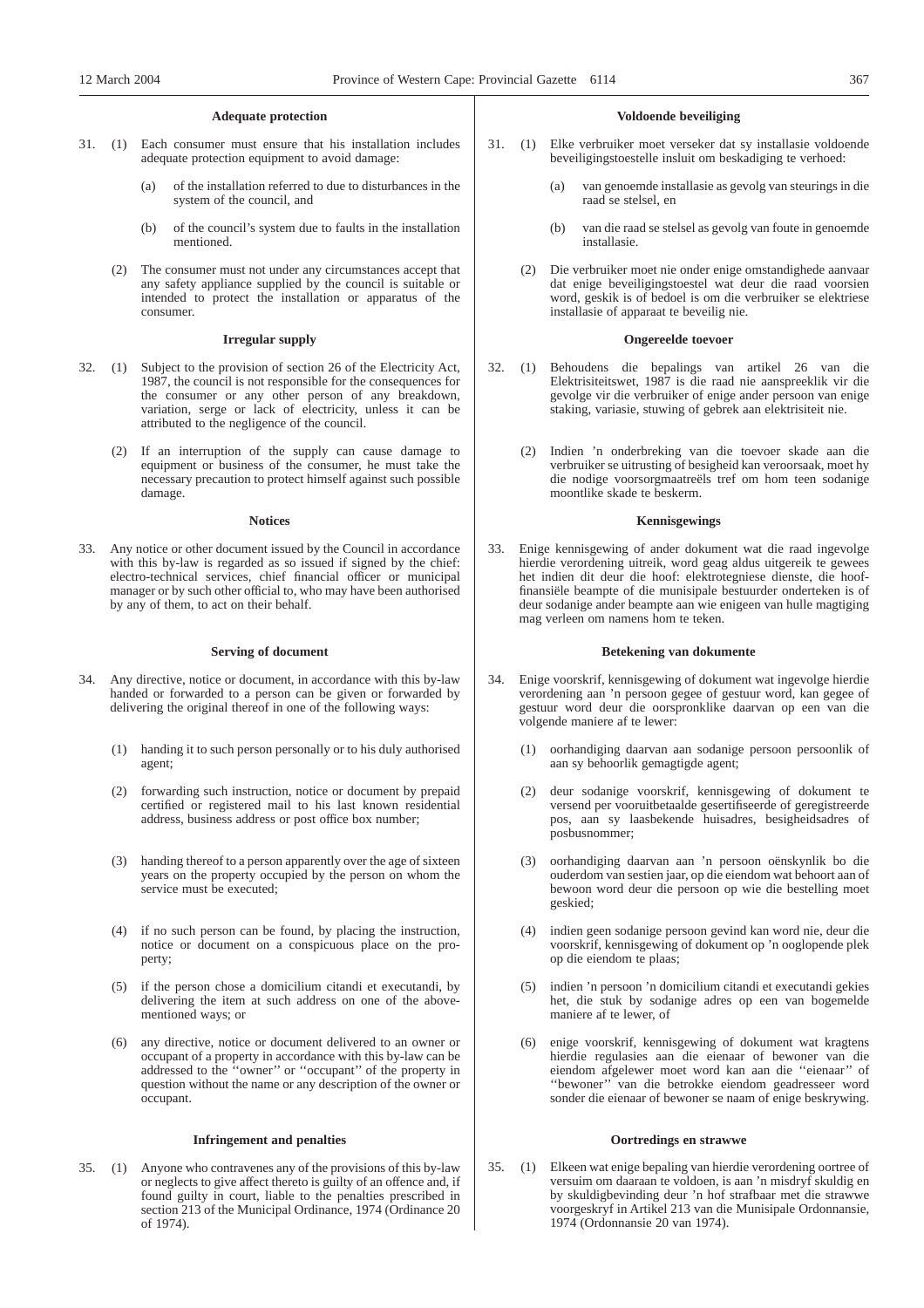# **Adequate protection**

- 31. (1) Each consumer must ensure that his installation includes adequate protection equipment to avoid damage:
	- (a) of the installation referred to due to disturbances in the system of the council, and
	- (b) of the council's system due to faults in the installation mentioned.
	- (2) The consumer must not under any circumstances accept that any safety appliance supplied by the council is suitable or intended to protect the installation or apparatus of the consumer.

# **Irregular supply**

- 32. (1) Subject to the provision of section 26 of the Electricity Act, 1987, the council is not responsible for the consequences for the consumer or any other person of any breakdown, variation, serge or lack of electricity, unless it can be attributed to the negligence of the council.
	- (2) If an interruption of the supply can cause damage to equipment or business of the consumer, he must take the necessary precaution to protect himself against such possible damage.

#### **Notices**

33. Any notice or other document issued by the Council in accordance with this by-law is regarded as so issued if signed by the chief: electro-technical services, chief financial officer or municipal manager or by such other official to, who may have been authorised by any of them, to act on their behalf.

### **Serving of document**

- 34. Any directive, notice or document, in accordance with this by-law handed or forwarded to a person can be given or forwarded by delivering the original thereof in one of the following ways:
	- (1) handing it to such person personally or to his duly authorised agent;
	- (2) forwarding such instruction, notice or document by prepaid certified or registered mail to his last known residential address, business address or post office box number;
	- (3) handing thereof to a person apparently over the age of sixteen years on the property occupied by the person on whom the service must be executed;
	- (4) if no such person can be found, by placing the instruction, notice or document on a conspicuous place on the property;
	- (5) if the person chose a domicilium citandi et executandi, by delivering the item at such address on one of the abovementioned ways; or
	- any directive, notice or document delivered to an owner or occupant of a property in accordance with this by-law can be addressed to the ''owner'' or ''occupant'' of the property in question without the name or any description of the owner or occupant.

### **Infringement and penalties**

35. (1) Anyone who contravenes any of the provisions of this by-law or neglects to give affect thereto is guilty of an offence and, if found guilty in court, liable to the penalties prescribed in section 213 of the Municipal Ordinance, 1974 (Ordinance 20 of 1974).

# **Voldoende beveiliging**

- 31. (1) Elke verbruiker moet verseker dat sy installasie voldoende beveiligingstoestelle insluit om beskadiging te verhoed:
	- (a) van genoemde installasie as gevolg van steurings in die raad se stelsel, en
	- (b) van die raad se stelsel as gevolg van foute in genoemde installasie.
	- (2) Die verbruiker moet nie onder enige omstandighede aanvaar dat enige beveiligingstoestel wat deur die raad voorsien word, geskik is of bedoel is om die verbruiker se elektriese installasie of apparaat te beveilig nie.

#### **Ongereelde toevoer**

- 32. (1) Behoudens die bepalings van artikel 26 van die Elektrisiteitswet, 1987 is die raad nie aanspreeklik vir die gevolge vir die verbruiker of enige ander persoon van enige staking, variasie, stuwing of gebrek aan elektrisiteit nie.
	- (2) Indien 'n onderbreking van die toevoer skade aan die verbruiker se uitrusting of besigheid kan veroorsaak, moet hy die nodige voorsorgmaatreëls tref om hom teen sodanige moontlike skade te beskerm.

#### **Kennisgewings**

33. Enige kennisgewing of ander dokument wat die raad ingevolge hierdie verordening uitreik, word geag aldus uitgereik te gewees het indien dit deur die hoof: elektrotegniese dienste, die hooffinansiële beampte of die munisipale bestuurder onderteken is of deur sodanige ander beampte aan wie enigeen van hulle magtiging mag verleen om namens hom te teken.

### **Betekening van dokumente**

- 34. Enige voorskrif, kennisgewing of dokument wat ingevolge hierdie verordening aan 'n persoon gegee of gestuur word, kan gegee of gestuur word deur die oorspronklike daarvan op een van die volgende maniere af te lewer:
	- (1) oorhandiging daarvan aan sodanige persoon persoonlik of aan sy behoorlik gemagtigde agent;
	- (2) deur sodanige voorskrif, kennisgewing of dokument te versend per vooruitbetaalde gesertifiseerde of geregistreerde pos, aan sy laasbekende huisadres, besigheidsadres of posbusnommer;
	- (3) oorhandiging daarvan aan 'n persoon oënskynlik bo die ouderdom van sestien jaar, op die eiendom wat behoort aan of bewoon word deur die persoon op wie die bestelling moet geskied;
	- (4) indien geen sodanige persoon gevind kan word nie, deur die voorskrif, kennisgewing of dokument op 'n ooglopende plek op die eiendom te plaas;
	- (5) indien 'n persoon 'n domicilium citandi et executandi gekies het, die stuk by sodanige adres op een van bogemelde maniere af te lewer, of
	- (6) enige voorskrif, kennisgewing of dokument wat kragtens hierdie regulasies aan die eienaar of bewoner van die eiendom afgelewer moet word kan aan die ''eienaar'' of ''bewoner'' van die betrokke eiendom geadresseer word sonder die eienaar of bewoner se naam of enige beskrywing.

### **Oortredings en strawwe**

35. (1) Elkeen wat enige bepaling van hierdie verordening oortree of versuim om daaraan te voldoen, is aan 'n misdryf skuldig en by skuldigbevinding deur 'n hof strafbaar met die strawwe voorgeskryf in Artikel 213 van die Munisipale Ordonnansie, 1974 (Ordonnansie 20 van 1974).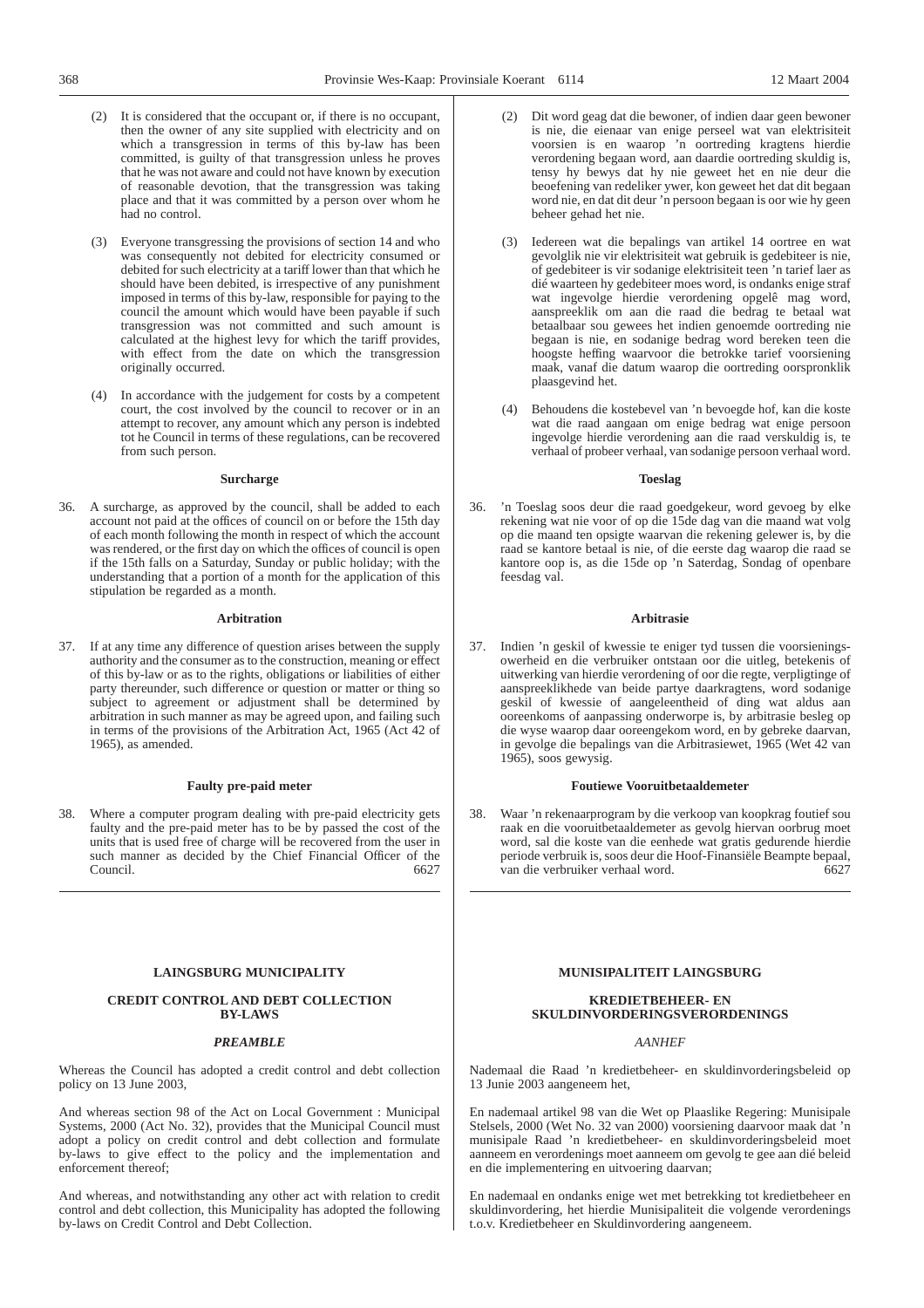- (2) It is considered that the occupant or, if there is no occupant, then the owner of any site supplied with electricity and on which a transgression in terms of this by-law has been committed, is guilty of that transgression unless he proves that he was not aware and could not have known by execution of reasonable devotion, that the transgression was taking place and that it was committed by a person over whom he had no control.
- (3) Everyone transgressing the provisions of section 14 and who was consequently not debited for electricity consumed or debited for such electricity at a tariff lower than that which he should have been debited, is irrespective of any punishment imposed in terms of this by-law, responsible for paying to the council the amount which would have been payable if such transgression was not committed and such amount is calculated at the highest levy for which the tariff provides, with effect from the date on which the transgression originally occurred.
- (4) In accordance with the judgement for costs by a competent court, the cost involved by the council to recover or in an attempt to recover, any amount which any person is indebted tot he Council in terms of these regulations, can be recovered from such person.

#### **Surcharge**

36. A surcharge, as approved by the council, shall be added to each account not paid at the offices of council on or before the 15th day of each month following the month in respect of which the account was rendered, or the first day on which the offices of council is open if the 15th falls on a Saturday, Sunday or public holiday; with the understanding that a portion of a month for the application of this stipulation be regarded as a month.

# **Arbitration**

37. If at any time any difference of question arises between the supply authority and the consumer as to the construction, meaning or effect of this by-law or as to the rights, obligations or liabilities of either party thereunder, such difference or question or matter or thing so subject to agreement or adjustment shall be determined by arbitration in such manner as may be agreed upon, and failing such in terms of the provisions of the Arbitration Act, 1965 (Act 42 of 1965), as amended.

# **Faulty pre-paid meter**

38. Where a computer program dealing with pre-paid electricity gets faulty and the pre-paid meter has to be by passed the cost of the units that is used free of charge will be recovered from the user in such manner as decided by the Chief Financial Officer of the Council. 6627

#### **LAINGSBURG MUNICIPALITY**

# **CREDIT CONTROL AND DEBT COLLECTION BY-LAWS**

#### *PREAMBLE*

Whereas the Council has adopted a credit control and debt collection policy on 13 June 2003,

And whereas section 98 of the Act on Local Government : Municipal Systems, 2000 (Act No. 32), provides that the Municipal Council must adopt a policy on credit control and debt collection and formulate by-laws to give effect to the policy and the implementation and enforcement thereof;

And whereas, and notwithstanding any other act with relation to credit control and debt collection, this Municipality has adopted the following by-laws on Credit Control and Debt Collection.

- (3) Iedereen wat die bepalings van artikel 14 oortree en wat gevolglik nie vir elektrisiteit wat gebruik is gedebiteer is nie, of gedebiteer is vir sodanige elektrisiteit teen 'n tarief laer as dié waarteen hy gedebiteer moes word, is ondanks enige straf wat ingevolge hierdie verordening opgelê mag word, aanspreeklik om aan die raad die bedrag te betaal wat betaalbaar sou gewees het indien genoemde oortreding nie begaan is nie, en sodanige bedrag word bereken teen die hoogste heffing waarvoor die betrokke tarief voorsiening maak, vanaf die datum waarop die oortreding oorspronklik plaasgevind het.
- (4) Behoudens die kostebevel van 'n bevoegde hof, kan die koste wat die raad aangaan om enige bedrag wat enige persoon ingevolge hierdie verordening aan die raad verskuldig is, te verhaal of probeer verhaal, van sodanige persoon verhaal word.

#### **Toeslag**

36. 'n Toeslag soos deur die raad goedgekeur, word gevoeg by elke rekening wat nie voor of op die 15de dag van die maand wat volg op die maand ten opsigte waarvan die rekening gelewer is, by die raad se kantore betaal is nie, of die eerste dag waarop die raad se kantore oop is, as die 15de op 'n Saterdag, Sondag of openbare feesdag val.

# **Arbitrasie**

37. Indien 'n geskil of kwessie te eniger tyd tussen die voorsieningsowerheid en die verbruiker ontstaan oor die uitleg, betekenis of uitwerking van hierdie verordening of oor die regte, verpligtinge of aanspreeklikhede van beide partye daarkragtens, word sodanige geskil of kwessie of aangeleentheid of ding wat aldus aan ooreenkoms of aanpassing onderworpe is, by arbitrasie besleg op die wyse waarop daar ooreengekom word, en by gebreke daarvan, in gevolge die bepalings van die Arbitrasiewet, 1965 (Wet 42 van 1965), soos gewysig.

### **Foutiewe Vooruitbetaaldemeter**

38. Waar 'n rekenaarprogram by die verkoop van koopkrag foutief sou raak en die vooruitbetaaldemeter as gevolg hiervan oorbrug moet word, sal die koste van die eenhede wat gratis gedurende hierdie periode verbruik is, soos deur die Hoof-Finansiële Beampte bepaal, van die verbruiker verhaal word. 6627

# **MUNISIPALITEIT LAINGSBURG**

# **KREDIETBEHEER- EN SKULDINVORDERINGSVERORDENINGS**

#### *AANHEF*

Nademaal die Raad 'n kredietbeheer- en skuldinvorderingsbeleid op 13 Junie 2003 aangeneem het,

En nademaal artikel 98 van die Wet op Plaaslike Regering: Munisipale Stelsels, 2000 (Wet No. 32 van 2000) voorsiening daarvoor maak dat 'n munisipale Raad 'n kredietbeheer- en skuldinvorderingsbeleid moet aanneem en verordenings moet aanneem om gevolg te gee aan dié beleid en die implementering en uitvoering daarvan;

En nademaal en ondanks enige wet met betrekking tot kredietbeheer en skuldinvordering, het hierdie Munisipaliteit die volgende verordenings t.o.v. Kredietbeheer en Skuldinvordering aangeneem.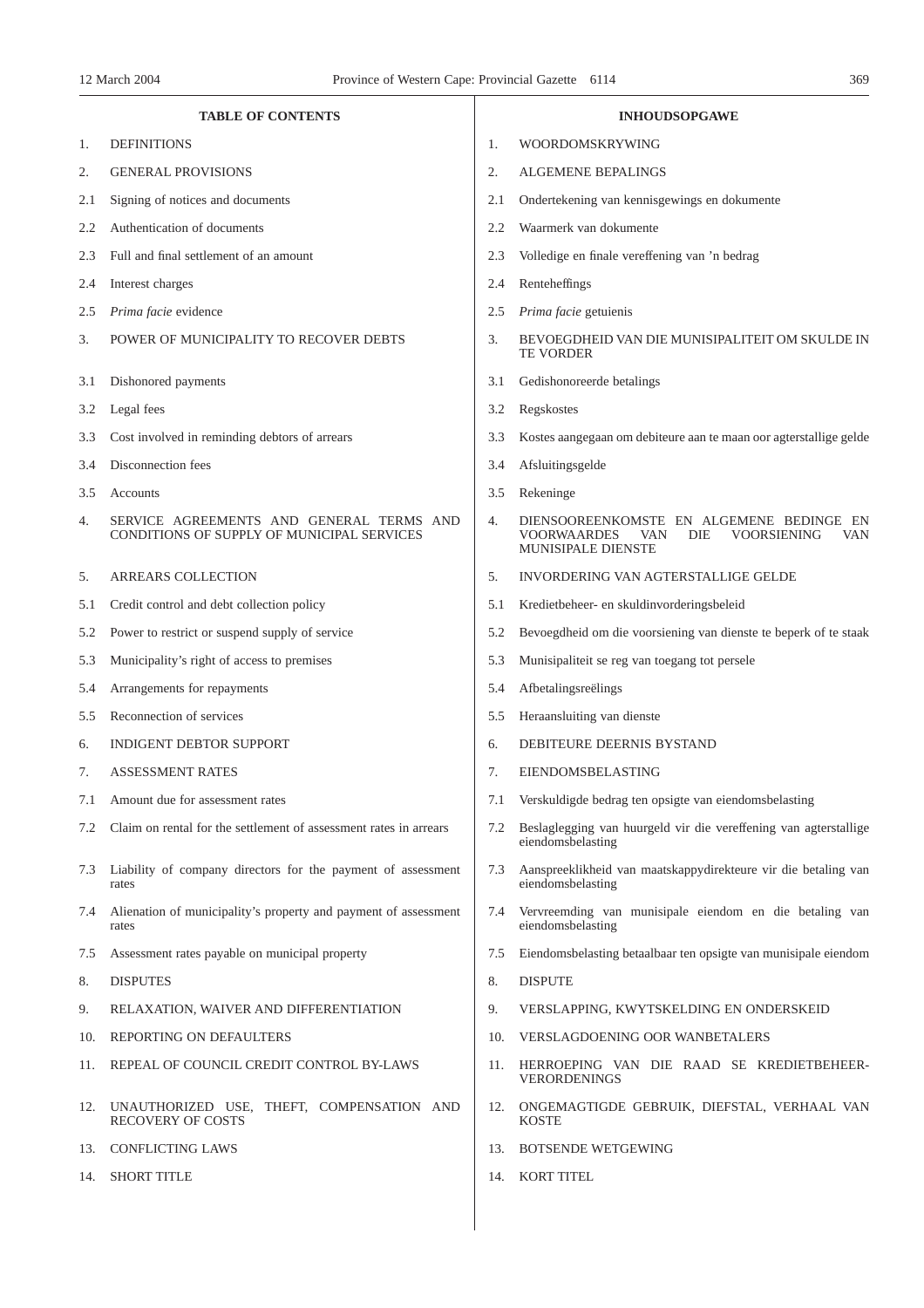| <b>TABLE OF CONTENTS</b> |                                                                                        |     | <b>INHOUDSOPGAWE</b>                                                                                                            |  |  |  |
|--------------------------|----------------------------------------------------------------------------------------|-----|---------------------------------------------------------------------------------------------------------------------------------|--|--|--|
| 1.                       | <b>DEFINITIONS</b>                                                                     | 1.  | WOORDOMSKRYWING                                                                                                                 |  |  |  |
| 2.                       | <b>GENERAL PROVISIONS</b>                                                              | 2.  | ALGEMENE BEPALINGS                                                                                                              |  |  |  |
| 2.1                      | Signing of notices and documents                                                       | 2.1 | Ondertekening van kennisgewings en dokumente                                                                                    |  |  |  |
| 2.2                      | Authentication of documents                                                            | 2.2 | Waarmerk van dokumente                                                                                                          |  |  |  |
| 2.3                      | Full and final settlement of an amount                                                 | 2.3 | Volledige en finale vereffening van 'n bedrag                                                                                   |  |  |  |
| 2.4                      | Interest charges                                                                       | 2.4 | Renteheffings                                                                                                                   |  |  |  |
| 2.5                      | Prima facie evidence                                                                   | 2.5 | Prima facie getuienis                                                                                                           |  |  |  |
| 3.                       | POWER OF MUNICIPALITY TO RECOVER DEBTS                                                 | 3.  | BEVOEGDHEID VAN DIE MUNISIPALITEIT OM SKULDE IN<br><b>TE VORDER</b>                                                             |  |  |  |
| 3.1                      | Dishonored payments                                                                    | 3.1 | Gedishonoreerde betalings                                                                                                       |  |  |  |
| 3.2                      | Legal fees                                                                             | 3.2 | Regskostes                                                                                                                      |  |  |  |
| 3.3                      | Cost involved in reminding debtors of arrears                                          | 3.3 | Kostes aangegaan om debiteure aan te maan oor agterstallige gelde                                                               |  |  |  |
| 3.4                      | Disconnection fees                                                                     | 3.4 | Afsluitingsgelde                                                                                                                |  |  |  |
| 3.5                      | Accounts                                                                               | 3.5 | Rekeninge                                                                                                                       |  |  |  |
| 4.                       | SERVICE AGREEMENTS AND GENERAL TERMS AND<br>CONDITIONS OF SUPPLY OF MUNICIPAL SERVICES | 4.  | DIENSOOREENKOMSTE EN ALGEMENE BEDINGE EN<br><b>VOORWAARDES</b><br>VAN<br>DIE<br><b>VOORSIENING</b><br>VAN<br>MUNISIPALE DIENSTE |  |  |  |
| 5.                       | ARREARS COLLECTION                                                                     | 5.  | INVORDERING VAN AGTERSTALLIGE GELDE                                                                                             |  |  |  |
| 5.1                      | Credit control and debt collection policy                                              | 5.1 | Kredietbeheer- en skuldinvorderingsbeleid                                                                                       |  |  |  |
| 5.2                      | Power to restrict or suspend supply of service                                         | 5.2 | Bevoegdheid om die voorsiening van dienste te beperk of te staak                                                                |  |  |  |
| 5.3                      | Municipality's right of access to premises                                             | 5.3 | Munisipaliteit se reg van toegang tot persele                                                                                   |  |  |  |
| 5.4                      | Arrangements for repayments                                                            | 5.4 | Afbetalingsreëlings                                                                                                             |  |  |  |
| 5.5                      | Reconnection of services                                                               | 5.5 | Heraansluiting van dienste                                                                                                      |  |  |  |
| 6.                       | <b>INDIGENT DEBTOR SUPPORT</b>                                                         | 6.  | DEBITEURE DEERNIS BYSTAND                                                                                                       |  |  |  |
| 7.                       | <b>ASSESSMENT RATES</b>                                                                | 7.  | EIENDOMSBELASTING                                                                                                               |  |  |  |
| 7.1                      | Amount due for assessment rates                                                        |     | Verskuldigde bedrag ten opsigte van eiendomsbelasting                                                                           |  |  |  |
| 7.2                      | Claim on rental for the settlement of assessment rates in arrears                      | 7.2 | Beslaglegging van huurgeld vir die vereffening van agterstallige<br>eiendomsbelasting                                           |  |  |  |
| 7.3                      | Liability of company directors for the payment of assessment<br>rates                  | 7.3 | Aanspreeklikheid van maatskappydirekteure vir die betaling van<br>eiendomsbelasting                                             |  |  |  |
| 7.4                      | Alienation of municipality's property and payment of assessment<br>rates               | 7.4 | Vervreemding van munisipale eiendom en die betaling van<br>eiendomsbelasting                                                    |  |  |  |
| 7.5                      | Assessment rates payable on municipal property                                         | 7.5 | Eiendomsbelasting betaalbaar ten opsigte van munisipale eiendom                                                                 |  |  |  |
| 8.                       | <b>DISPUTES</b>                                                                        | 8.  | <b>DISPUTE</b>                                                                                                                  |  |  |  |
| 9.                       | RELAXATION, WAIVER AND DIFFERENTIATION                                                 | 9.  | VERSLAPPING, KWYTSKELDING EN ONDERSKEID                                                                                         |  |  |  |
| 10.                      | REPORTING ON DEFAULTERS                                                                | 10. | <b>VERSLAGDOENING OOR WANBETALERS</b>                                                                                           |  |  |  |
| 11.                      | REPEAL OF COUNCIL CREDIT CONTROL BY-LAWS                                               | 11. | HERROEPING VAN DIE RAAD SE KREDIETBEHEER-<br><b>VERORDENINGS</b>                                                                |  |  |  |
| 12.                      | UNAUTHORIZED USE, THEFT, COMPENSATION AND<br><b>RECOVERY OF COSTS</b>                  | 12. | ONGEMAGTIGDE GEBRUIK, DIEFSTAL, VERHAAL VAN<br><b>KOSTE</b>                                                                     |  |  |  |
| 13.                      | <b>CONFLICTING LAWS</b>                                                                | 13. | <b>BOTSENDE WETGEWING</b>                                                                                                       |  |  |  |
| 14.                      | <b>SHORT TITLE</b>                                                                     | 14. | <b>KORT TITEL</b>                                                                                                               |  |  |  |

 $\overline{\phantom{a}}$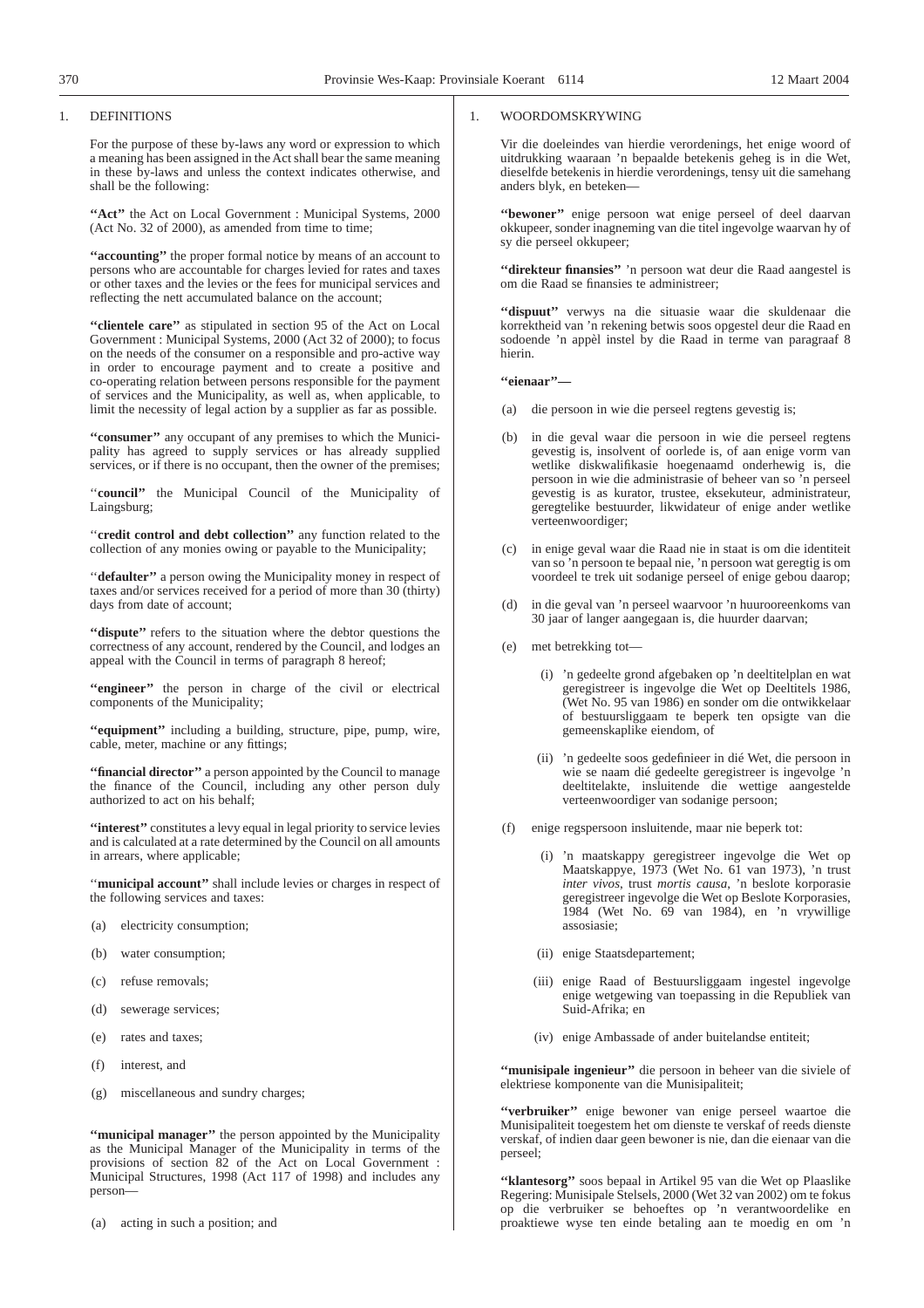#### 1. DEFINITIONS

For the purpose of these by-laws any word or expression to which a meaning has been assigned in the Act shall bear the same meaning in these by-laws and unless the context indicates otherwise, and shall be the following:

"Act" the Act on Local Government : Municipal Systems, 2000 (Act No. 32 of 2000), as amended from time to time;

**''accounting''** the proper formal notice by means of an account to persons who are accountable for charges levied for rates and taxes or other taxes and the levies or the fees for municipal services and reflecting the nett accumulated balance on the account;

**''clientele care''** as stipulated in section 95 of the Act on Local Government : Municipal Systems, 2000 (Act 32 of 2000); to focus on the needs of the consumer on a responsible and pro-active way in order to encourage payment and to create a positive and co-operating relation between persons responsible for the payment of services and the Municipality, as well as, when applicable, to limit the necessity of legal action by a supplier as far as possible.

**''consumer''** any occupant of any premises to which the Municipality has agreed to supply services or has already supplied services, or if there is no occupant, then the owner of the premises;

''**council''** the Municipal Council of the Municipality of Laingsburg;

''**credit control and debt collection''** any function related to the collection of any monies owing or payable to the Municipality;

''**defaulter''** a person owing the Municipality money in respect of taxes and/or services received for a period of more than 30 (thirty) days from date of account;

**''dispute''** refers to the situation where the debtor questions the correctness of any account, rendered by the Council, and lodges an appeal with the Council in terms of paragraph 8 hereof;

"engineer" the person in charge of the civil or electrical components of the Municipality;

**''equipment''** including a building, structure, pipe, pump, wire, cable, meter, machine or any fittings;

"financial director" a person appointed by the Council to manage the finance of the Council, including any other person duly authorized to act on his behalf;

**"interest"** constitutes a levy equal in legal priority to service levies and is calculated at a rate determined by the Council on all amounts in arrears, where applicable;

"municipal account" shall include levies or charges in respect of the following services and taxes:

- (a) electricity consumption;
- (b) water consumption;
- (c) refuse removals;
- (d) sewerage services;
- (e) rates and taxes;
- (f) interest, and
- (g) miscellaneous and sundry charges;

**"municipal manager"** the person appointed by the Municipality as the Municipal Manager of the Municipality in terms of the provisions of section 82 of the Act on Local Government : Municipal Structures, 1998 (Act 117 of 1998) and includes any person—

(a) acting in such a position; and

## 1. WOORDOMSKRYWING

Vir die doeleindes van hierdie verordenings, het enige woord of uitdrukking waaraan 'n bepaalde betekenis geheg is in die Wet, dieselfde betekenis in hierdie verordenings, tensy uit die samehang anders blyk, en beteken—

**''bewoner''** enige persoon wat enige perseel of deel daarvan okkupeer, sonder inagneming van die titel ingevolge waarvan hy of sy die perseel okkupeer;

**''direkteur finansies''** 'n persoon wat deur die Raad aangestel is om die Raad se finansies te administreer;

**''dispuut''** verwys na die situasie waar die skuldenaar die korrektheid van 'n rekening betwis soos opgestel deur die Raad en sodoende 'n appèl instel by die Raad in terme van paragraaf 8 hierin.

**''eienaar''—**

- (a) die persoon in wie die perseel regtens gevestig is;
- (b) in die geval waar die persoon in wie die perseel regtens gevestig is, insolvent of oorlede is, of aan enige vorm van wetlike diskwalifikasie hoegenaamd onderhewig is, die persoon in wie die administrasie of beheer van so 'n perseel gevestig is as kurator, trustee, eksekuteur, administrateur, geregtelike bestuurder, likwidateur of enige ander wetlike verteenwoordiger;
- (c) in enige geval waar die Raad nie in staat is om die identiteit van so 'n persoon te bepaal nie, 'n persoon wat geregtig is om voordeel te trek uit sodanige perseel of enige gebou daarop;
- in die geval van 'n perseel waarvoor 'n huurooreenkoms van 30 jaar of langer aangegaan is, die huurder daarvan;
- (e) met betrekking tot—
	- (i) 'n gedeelte grond afgebaken op 'n deeltitelplan en wat geregistreer is ingevolge die Wet op Deeltitels 1986, (Wet No. 95 van 1986) en sonder om die ontwikkelaar of bestuursliggaam te beperk ten opsigte van die gemeenskaplike eiendom, of
	- (ii) 'n gedeelte soos gedefinieer in dié Wet, die persoon in wie se naam dié gedeelte geregistreer is ingevolge 'n deeltitelakte, insluitende die wettige aangestelde verteenwoordiger van sodanige persoon;
- (f) enige regspersoon insluitende, maar nie beperk tot:
	- (i) 'n maatskappy geregistreer ingevolge die Wet op Maatskappye, 1973 (Wet No. 61 van 1973), 'n trust *inter vivos*, trust *mortis causa*, 'n beslote korporasie geregistreer ingevolge die Wet op Beslote Korporasies, 1984 (Wet No. 69 van 1984), en 'n vrywillige assosiasie;
	- (ii) enige Staatsdepartement;
	- (iii) enige Raad of Bestuursliggaam ingestel ingevolge enige wetgewing van toepassing in die Republiek van Suid-Afrika; en
	- (iv) enige Ambassade of ander buitelandse entiteit;

**''munisipale ingenieur''** die persoon in beheer van die siviele of elektriese komponente van die Munisipaliteit;

**''verbruiker''** enige bewoner van enige perseel waartoe die Munisipaliteit toegestem het om dienste te verskaf of reeds dienste verskaf, of indien daar geen bewoner is nie, dan die eienaar van die perseel;

**''klantesorg''** soos bepaal in Artikel 95 van die Wet op Plaaslike Regering: Munisipale Stelsels, 2000 (Wet 32 van 2002) om te fokus op die verbruiker se behoeftes op 'n verantwoordelike en proaktiewe wyse ten einde betaling aan te moedig en om 'n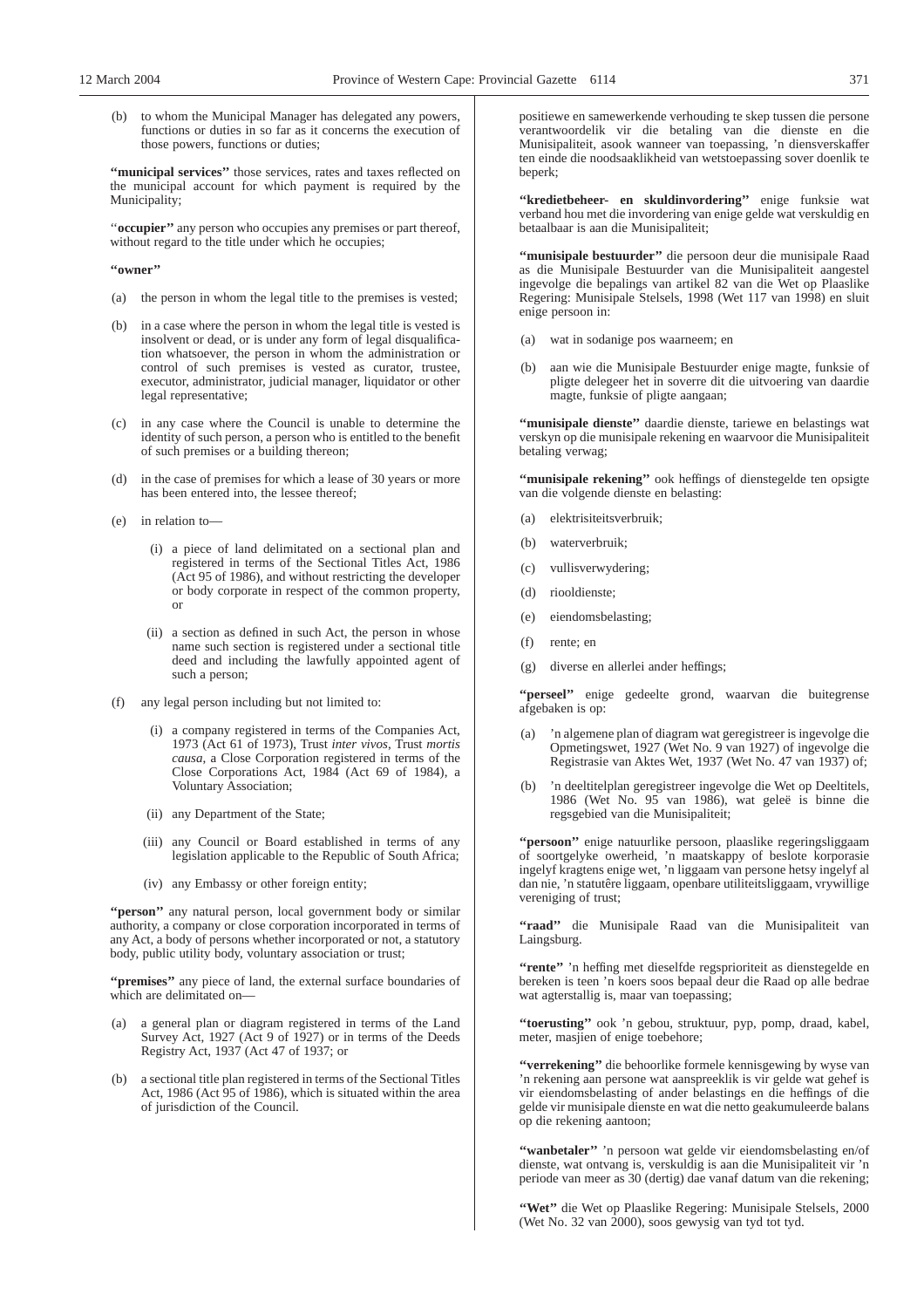to whom the Municipal Manager has delegated any powers, functions or duties in so far as it concerns the execution of those powers, functions or duties;

"municipal services" those services, rates and taxes reflected on the municipal account for which payment is required by the Municipality;

"**occupier**" any person who occupies any premises or part thereof, without regard to the title under which he occupies;

#### **''owner''**

- (a) the person in whom the legal title to the premises is vested;
- (b) in a case where the person in whom the legal title is vested is insolvent or dead, or is under any form of legal disqualification whatsoever, the person in whom the administration or control of such premises is vested as curator, trustee, executor, administrator, judicial manager, liquidator or other legal representative;
- (c) in any case where the Council is unable to determine the identity of such person, a person who is entitled to the benefit of such premises or a building thereon;
- (d) in the case of premises for which a lease of 30 years or more has been entered into, the lessee thereof;
- (e) in relation to—
	- (i) a piece of land delimitated on a sectional plan and registered in terms of the Sectional Titles Act, 1986 (Act 95 of 1986), and without restricting the developer or body corporate in respect of the common property, or
	- (ii) a section as defined in such Act, the person in whose name such section is registered under a sectional title deed and including the lawfully appointed agent of such a person;
- (f) any legal person including but not limited to:
	- (i) a company registered in terms of the Companies Act, 1973 (Act 61 of 1973), Trust *inter vivos*, Trust *mortis causa*, a Close Corporation registered in terms of the Close Corporations Act, 1984 (Act 69 of 1984), a Voluntary Association;
	- (ii) any Department of the State;
	- (iii) any Council or Board established in terms of any legislation applicable to the Republic of South Africa;
	- (iv) any Embassy or other foreign entity;

"person" any natural person, local government body or similar authority, a company or close corporation incorporated in terms of any Act, a body of persons whether incorporated or not, a statutory body, public utility body, voluntary association or trust;

**''premises''** any piece of land, the external surface boundaries of which are delimitated on—

- (a) a general plan or diagram registered in terms of the Land Survey Act, 1927 (Act 9 of 1927) or in terms of the Deeds Registry Act, 1937 (Act 47 of 1937; or
- (b) a sectional title plan registered in terms of the Sectional Titles Act, 1986 (Act 95 of 1986), which is situated within the area of jurisdiction of the Council.

positiewe en samewerkende verhouding te skep tussen die persone verantwoordelik vir die betaling van die dienste en die Munisipaliteit, asook wanneer van toepassing, 'n diensverskaffer ten einde die noodsaaklikheid van wetstoepassing sover doenlik te beperk;

**''kredietbeheer- en skuldinvordering''** enige funksie wat verband hou met die invordering van enige gelde wat verskuldig en betaalbaar is aan die Munisipaliteit;

**''munisipale bestuurder''** die persoon deur die munisipale Raad as die Munisipale Bestuurder van die Munisipaliteit aangestel ingevolge die bepalings van artikel 82 van die Wet op Plaaslike Regering: Munisipale Stelsels, 1998 (Wet 117 van 1998) en sluit enige persoon in:

- (a) wat in sodanige pos waarneem; en
- (b) aan wie die Munisipale Bestuurder enige magte, funksie of pligte delegeer het in soverre dit die uitvoering van daardie magte, funksie of pligte aangaan;

**''munisipale dienste''** daardie dienste, tariewe en belastings wat verskyn op die munisipale rekening en waarvoor die Munisipaliteit betaling verwag;

**''munisipale rekening''** ook heffings of dienstegelde ten opsigte van die volgende dienste en belasting:

- (a) elektrisiteitsverbruik;
- (b) waterverbruik;
- (c) vullisverwydering;
- (d) riooldienste;
- (e) eiendomsbelasting;
- (f) rente; en
- (g) diverse en allerlei ander heffings;

**''perseel''** enige gedeelte grond, waarvan die buitegrense afgebaken is op:

- (a) 'n algemene plan of diagram wat geregistreer is ingevolge die Opmetingswet, 1927 (Wet No. 9 van 1927) of ingevolge die Registrasie van Aktes Wet, 1937 (Wet No. 47 van 1937) of;
- (b) 'n deeltitelplan geregistreer ingevolge die Wet op Deeltitels, 1986 (Wet No. 95 van 1986), wat geleë is binne die regsgebied van die Munisipaliteit;

**''persoon''** enige natuurlike persoon, plaaslike regeringsliggaam of soortgelyke owerheid, 'n maatskappy of beslote korporasie ingelyf kragtens enige wet, 'n liggaam van persone hetsy ingelyf al dan nie, 'n statutêre liggaam, openbare utiliteitsliggaam, vrywillige vereniging of trust;

**''raad''** die Munisipale Raad van die Munisipaliteit van Laingsburg.

"rente" 'n heffing met dieselfde regsprioriteit as dienstegelde en bereken is teen 'n koers soos bepaal deur die Raad op alle bedrae wat agterstallig is, maar van toepassing;

**''toerusting''** ook 'n gebou, struktuur, pyp, pomp, draad, kabel, meter, masjien of enige toebehore;

**''verrekening''** die behoorlike formele kennisgewing by wyse van 'n rekening aan persone wat aanspreeklik is vir gelde wat gehef is vir eiendomsbelasting of ander belastings en die heffings of die gelde vir munisipale dienste en wat die netto geakumuleerde balans op die rekening aantoon;

**''wanbetaler''** 'n persoon wat gelde vir eiendomsbelasting en/of dienste, wat ontvang is, verskuldig is aan die Munisipaliteit vir 'n periode van meer as 30 (dertig) dae vanaf datum van die rekening;

**''Wet''** die Wet op Plaaslike Regering: Munisipale Stelsels, 2000 (Wet No. 32 van 2000), soos gewysig van tyd tot tyd.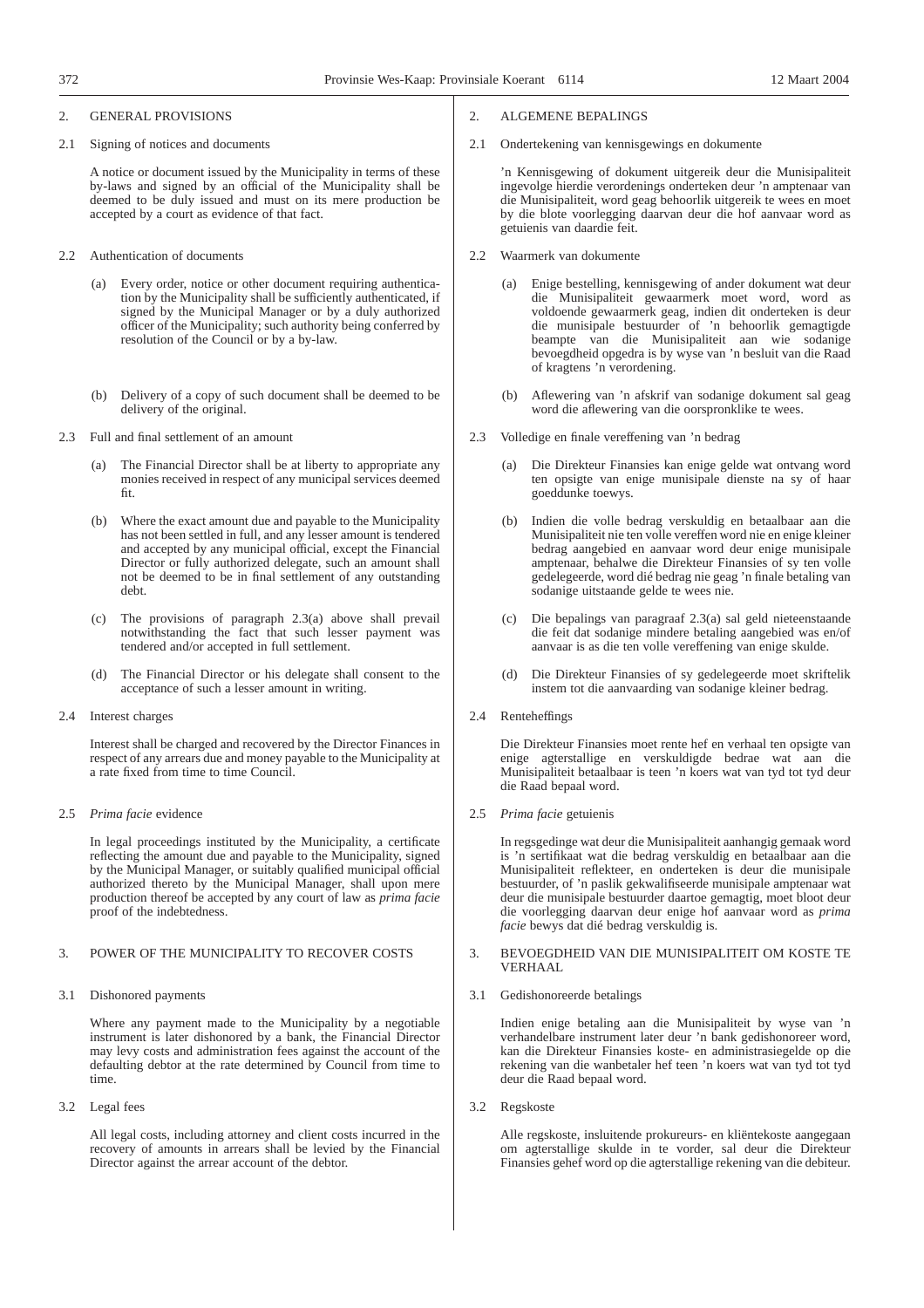#### 2. GENERAL PROVISIONS

2.1 Signing of notices and documents

A notice or document issued by the Municipality in terms of these by-laws and signed by an official of the Municipality shall be deemed to be duly issued and must on its mere production be accepted by a court as evidence of that fact.

- 2.2 Authentication of documents
	- (a) Every order, notice or other document requiring authentication by the Municipality shall be sufficiently authenticated, if signed by the Municipal Manager or by a duly authorized officer of the Municipality; such authority being conferred by resolution of the Council or by a by-law.
	- (b) Delivery of a copy of such document shall be deemed to be delivery of the original.
- 2.3 Full and final settlement of an amount
	- (a) The Financial Director shall be at liberty to appropriate any monies received in respect of any municipal services deemed fit.
	- (b) Where the exact amount due and payable to the Municipality has not been settled in full, and any lesser amount is tendered and accepted by any municipal official, except the Financial Director or fully authorized delegate, such an amount shall not be deemed to be in final settlement of any outstanding debt.
	- (c) The provisions of paragraph 2.3(a) above shall prevail notwithstanding the fact that such lesser payment was tendered and/or accepted in full settlement.
	- (d) The Financial Director or his delegate shall consent to the acceptance of such a lesser amount in writing.
- 2.4 Interest charges

Interest shall be charged and recovered by the Director Finances in respect of any arrears due and money payable to the Municipality at a rate fixed from time to time Council.

2.5 *Prima facie* evidence

In legal proceedings instituted by the Municipality, a certificate reflecting the amount due and payable to the Municipality, signed by the Municipal Manager, or suitably qualified municipal official authorized thereto by the Municipal Manager, shall upon mere production thereof be accepted by any court of law as *prima facie* proof of the indebtedness.

#### 3. POWER OF THE MUNICIPALITY TO RECOVER COSTS

3.1 Dishonored payments

Where any payment made to the Municipality by a negotiable instrument is later dishonored by a bank, the Financial Director may levy costs and administration fees against the account of the defaulting debtor at the rate determined by Council from time to time.

3.2 Legal fees

All legal costs, including attorney and client costs incurred in the recovery of amounts in arrears shall be levied by the Financial Director against the arrear account of the debtor.

- 2. ALGEMENE BEPALINGS
- 2.1 Ondertekening van kennisgewings en dokumente

'n Kennisgewing of dokument uitgereik deur die Munisipaliteit ingevolge hierdie verordenings onderteken deur 'n amptenaar van die Munisipaliteit, word geag behoorlik uitgereik te wees en moet by die blote voorlegging daarvan deur die hof aanvaar word as getuienis van daardie feit.

- 2.2 Waarmerk van dokumente
	- (a) Enige bestelling, kennisgewing of ander dokument wat deur die Munisipaliteit gewaarmerk moet word, word as voldoende gewaarmerk geag, indien dit onderteken is deur die munisipale bestuurder of 'n behoorlik gemagtigde beampte van die Munisipaliteit aan wie sodanige bevoegdheid opgedra is by wyse van 'n besluit van die Raad of kragtens 'n verordening.
	- Aflewering van 'n afskrif van sodanige dokument sal geag word die aflewering van die oorspronklike te wees.
- 2.3 Volledige en finale vereffening van 'n bedrag
	- (a) Die Direkteur Finansies kan enige gelde wat ontvang word ten opsigte van enige munisipale dienste na sy of haar goeddunke toewys.
	- (b) Indien die volle bedrag verskuldig en betaalbaar aan die Munisipaliteit nie ten volle vereffen word nie en enige kleiner bedrag aangebied en aanvaar word deur enige munisipale amptenaar, behalwe die Direkteur Finansies of sy ten volle gedelegeerde, word dié bedrag nie geag 'n finale betaling van sodanige uitstaande gelde te wees nie.
	- (c) Die bepalings van paragraaf 2.3(a) sal geld nieteenstaande die feit dat sodanige mindere betaling aangebied was en/of aanvaar is as die ten volle vereffening van enige skulde.
	- Die Direkteur Finansies of sy gedelegeerde moet skriftelik instem tot die aanvaarding van sodanige kleiner bedrag.
- 2.4 Renteheffings

Die Direkteur Finansies moet rente hef en verhaal ten opsigte van enige agterstallige en verskuldigde bedrae wat aan die Munisipaliteit betaalbaar is teen 'n koers wat van tyd tot tyd deur die Raad bepaal word.

2.5 *Prima facie* getuienis

In regsgedinge wat deur die Munisipaliteit aanhangig gemaak word is 'n sertifikaat wat die bedrag verskuldig en betaalbaar aan die Munisipaliteit reflekteer, en onderteken is deur die munisipale bestuurder, of 'n paslik gekwalifiseerde munisipale amptenaar wat deur die munisipale bestuurder daartoe gemagtig, moet bloot deur die voorlegging daarvan deur enige hof aanvaar word as *prima facie* bewys dat dié bedrag verskuldig is.

## 3. BEVOEGDHEID VAN DIE MUNISIPALITEIT OM KOSTE TE VERHAAL

3.1 Gedishonoreerde betalings

Indien enige betaling aan die Munisipaliteit by wyse van 'n verhandelbare instrument later deur 'n bank gedishonoreer word, kan die Direkteur Finansies koste- en administrasiegelde op die rekening van die wanbetaler hef teen 'n koers wat van tyd tot tyd deur die Raad bepaal word.

3.2 Regskoste

Alle regskoste, insluitende prokureurs- en kliëntekoste aangegaan om agterstallige skulde in te vorder, sal deur die Direkteur Finansies gehef word op die agterstallige rekening van die debiteur.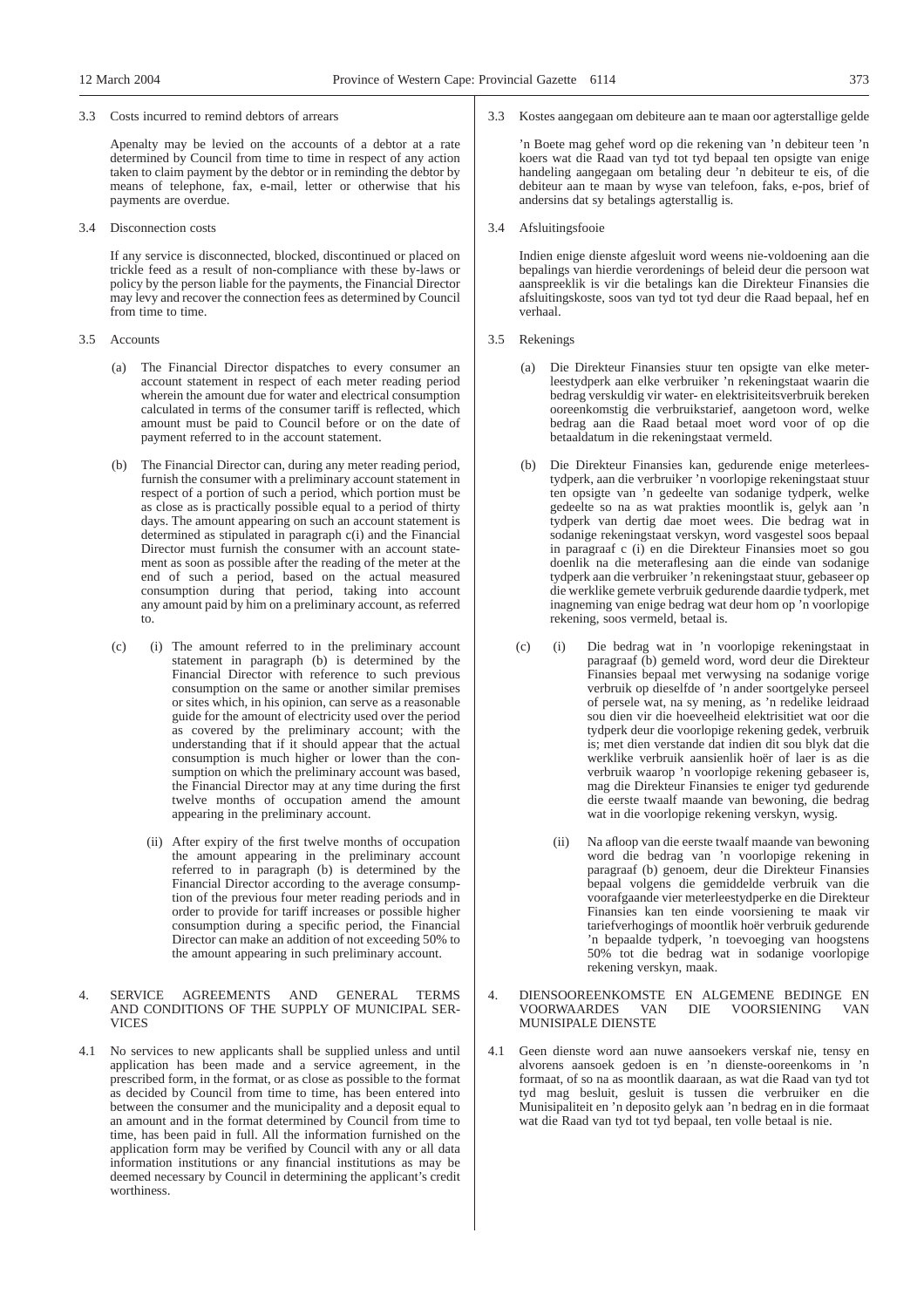#### 3.3 Costs incurred to remind debtors of arrears

Apenalty may be levied on the accounts of a debtor at a rate determined by Council from time to time in respect of any action taken to claim payment by the debtor or in reminding the debtor by means of telephone, fax, e-mail, letter or otherwise that his payments are overdue.

3.4 Disconnection costs

If any service is disconnected, blocked, discontinued or placed on trickle feed as a result of non-compliance with these by-laws or policy by the person liable for the payments, the Financial Director may levy and recover the connection fees as determined by Council from time to time.

#### 3.5 Accounts

- (a) The Financial Director dispatches to every consumer an account statement in respect of each meter reading period wherein the amount due for water and electrical consumption calculated in terms of the consumer tariff is reflected, which amount must be paid to Council before or on the date of payment referred to in the account statement.
- (b) The Financial Director can, during any meter reading period, furnish the consumer with a preliminary account statement in respect of a portion of such a period, which portion must be as close as is practically possible equal to a period of thirty days. The amount appearing on such an account statement is determined as stipulated in paragraph c(i) and the Financial Director must furnish the consumer with an account statement as soon as possible after the reading of the meter at the end of such a period, based on the actual measured consumption during that period, taking into account any amount paid by him on a preliminary account, as referred to.
- (c) (i) The amount referred to in the preliminary account statement in paragraph (b) is determined by the Financial Director with reference to such previous consumption on the same or another similar premises or sites which, in his opinion, can serve as a reasonable guide for the amount of electricity used over the period as covered by the preliminary account; with the understanding that if it should appear that the actual consumption is much higher or lower than the consumption on which the preliminary account was based, the Financial Director may at any time during the first twelve months of occupation amend the amount appearing in the preliminary account.
	- (ii) After expiry of the first twelve months of occupation the amount appearing in the preliminary account referred to in paragraph (b) is determined by the Financial Director according to the average consumption of the previous four meter reading periods and in order to provide for tariff increases or possible higher consumption during a specific period, the Financial Director can make an addition of not exceeding 50% to the amount appearing in such preliminary account.

#### 4. SERVICE AGREEMENTS AND GENERAL TERMS AND CONDITIONS OF THE SUPPLY OF MUNICIPAL SER-**VICES**

4.1 No services to new applicants shall be supplied unless and until application has been made and a service agreement, in the prescribed form, in the format, or as close as possible to the format as decided by Council from time to time, has been entered into between the consumer and the municipality and a deposit equal to an amount and in the format determined by Council from time to time, has been paid in full. All the information furnished on the application form may be verified by Council with any or all data information institutions or any financial institutions as may be deemed necessary by Council in determining the applicant's credit worthiness.

## 3.3 Kostes aangegaan om debiteure aan te maan oor agterstallige gelde

'n Boete mag gehef word op die rekening van 'n debiteur teen 'n koers wat die Raad van tyd tot tyd bepaal ten opsigte van enige handeling aangegaan om betaling deur 'n debiteur te eis, of die debiteur aan te maan by wyse van telefoon, faks, e-pos, brief of andersins dat sy betalings agterstallig is.

3.4 Afsluitingsfooie

Indien enige dienste afgesluit word weens nie-voldoening aan die bepalings van hierdie verordenings of beleid deur die persoon wat aanspreeklik is vir die betalings kan die Direkteur Finansies die afsluitingskoste, soos van tyd tot tyd deur die Raad bepaal, hef en verhaal.

- 3.5 Rekenings
	- (a) Die Direkteur Finansies stuur ten opsigte van elke meterleestydperk aan elke verbruiker 'n rekeningstaat waarin die bedrag verskuldig vir water- en elektrisiteitsverbruik bereken ooreenkomstig die verbruikstarief, aangetoon word, welke bedrag aan die Raad betaal moet word voor of op die betaaldatum in die rekeningstaat vermeld.
	- Die Direkteur Finansies kan, gedurende enige meterleestydperk, aan die verbruiker 'n voorlopige rekeningstaat stuur ten opsigte van 'n gedeelte van sodanige tydperk, welke gedeelte so na as wat prakties moontlik is, gelyk aan 'n tydperk van dertig dae moet wees. Die bedrag wat in sodanige rekeningstaat verskyn, word vasgestel soos bepaal in paragraaf c (i) en die Direkteur Finansies moet so gou doenlik na die meteraflesing aan die einde van sodanige tydperk aan die verbruiker 'n rekeningstaat stuur, gebaseer op die werklike gemete verbruik gedurende daardie tydperk, met inagneming van enige bedrag wat deur hom op 'n voorlopige rekening, soos vermeld, betaal is.
	- (c) (i) Die bedrag wat in 'n voorlopige rekeningstaat in paragraaf (b) gemeld word, word deur die Direkteur Finansies bepaal met verwysing na sodanige vorige verbruik op dieselfde of 'n ander soortgelyke perseel of persele wat, na sy mening, as 'n redelike leidraad sou dien vir die hoeveelheid elektrisitiet wat oor die tydperk deur die voorlopige rekening gedek, verbruik is; met dien verstande dat indien dit sou blyk dat die werklike verbruik aansienlik hoër of laer is as die verbruik waarop 'n voorlopige rekening gebaseer is, mag die Direkteur Finansies te eniger tyd gedurende die eerste twaalf maande van bewoning, die bedrag wat in die voorlopige rekening verskyn, wysig.
		- (ii) Na afloop van die eerste twaalf maande van bewoning word die bedrag van 'n voorlopige rekening in paragraaf (b) genoem, deur die Direkteur Finansies bepaal volgens die gemiddelde verbruik van die voorafgaande vier meterleestydperke en die Direkteur Finansies kan ten einde voorsiening te maak vir tariefverhogings of moontlik hoër verbruik gedurende 'n bepaalde tydperk, 'n toevoeging van hoogstens 50% tot die bedrag wat in sodanige voorlopige rekening verskyn, maak.
- 4. DIENSOOREENKOMSTE EN ALGEMENE BEDINGE EN VOORWAARDES VAN DIE VOORSIENING VAN DIE VOORSIENING VAN MUNISIPALE DIENSTE
- 4.1 Geen dienste word aan nuwe aansoekers verskaf nie, tensy en alvorens aansoek gedoen is en 'n dienste-ooreenkoms in 'n formaat, of so na as moontlik daaraan, as wat die Raad van tyd tot tyd mag besluit, gesluit is tussen die verbruiker en die Munisipaliteit en 'n deposito gelyk aan 'n bedrag en in die formaat wat die Raad van tyd tot tyd bepaal, ten volle betaal is nie.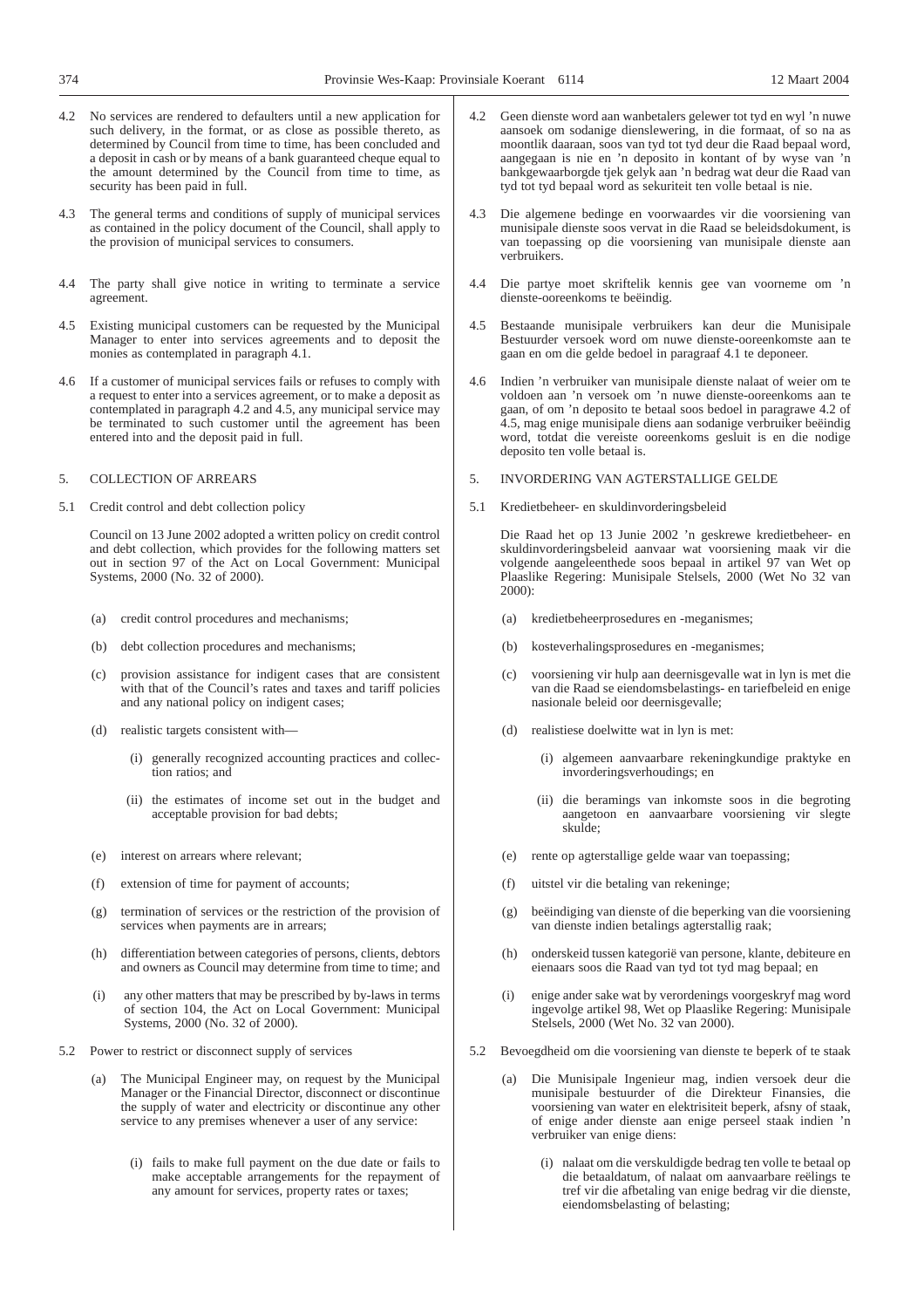- 4.2 No services are rendered to defaulters until a new application for such delivery, in the format, or as close as possible thereto, as determined by Council from time to time, has been concluded and a deposit in cash or by means of a bank guaranteed cheque equal to the amount determined by the Council from time to time, as security has been paid in full.
- 4.3 The general terms and conditions of supply of municipal services as contained in the policy document of the Council, shall apply to the provision of municipal services to consumers.
- 4.4 The party shall give notice in writing to terminate a service agreement.
- 4.5 Existing municipal customers can be requested by the Municipal Manager to enter into services agreements and to deposit the monies as contemplated in paragraph 4.1.
- 4.6 If a customer of municipal services fails or refuses to comply with a request to enter into a services agreement, or to make a deposit as contemplated in paragraph 4.2 and 4.5, any municipal service may be terminated to such customer until the agreement has been entered into and the deposit paid in full.
- 5. COLLECTION OF ARREARS
- 5.1 Credit control and debt collection policy

Council on 13 June 2002 adopted a written policy on credit control and debt collection, which provides for the following matters set out in section 97 of the Act on Local Government: Municipal Systems, 2000 (No. 32 of 2000).

- (a) credit control procedures and mechanisms;
- (b) debt collection procedures and mechanisms;
- (c) provision assistance for indigent cases that are consistent with that of the Council's rates and taxes and tariff policies and any national policy on indigent cases;
- (d) realistic targets consistent with—
	- (i) generally recognized accounting practices and collection ratios; and
	- (ii) the estimates of income set out in the budget and acceptable provision for bad debts;
- (e) interest on arrears where relevant;
- (f) extension of time for payment of accounts;
- (g) termination of services or the restriction of the provision of services when payments are in arrears;
- (h) differentiation between categories of persons, clients, debtors and owners as Council may determine from time to time; and
- (i) any other matters that may be prescribed by by-laws in terms of section 104, the Act on Local Government: Municipal Systems, 2000 (No. 32 of 2000).
- 5.2 Power to restrict or disconnect supply of services
	- (a) The Municipal Engineer may, on request by the Municipal Manager or the Financial Director, disconnect or discontinue the supply of water and electricity or discontinue any other service to any premises whenever a user of any service:
		- (i) fails to make full payment on the due date or fails to make acceptable arrangements for the repayment of any amount for services, property rates or taxes;
- 4.2 Geen dienste word aan wanbetalers gelewer tot tyd en wyl 'n nuwe aansoek om sodanige dienslewering, in die formaat, of so na as moontlik daaraan, soos van tyd tot tyd deur die Raad bepaal word, aangegaan is nie en 'n deposito in kontant of by wyse van 'n bankgewaarborgde tjek gelyk aan 'n bedrag wat deur die Raad van tyd tot tyd bepaal word as sekuriteit ten volle betaal is nie.
- 4.3 Die algemene bedinge en voorwaardes vir die voorsiening van munisipale dienste soos vervat in die Raad se beleidsdokument, is van toepassing op die voorsiening van munisipale dienste aan verbruikers.
- 4.4 Die partye moet skriftelik kennis gee van voorneme om 'n dienste-ooreenkoms te beëindig.
- 4.5 Bestaande munisipale verbruikers kan deur die Munisipale Bestuurder versoek word om nuwe dienste-ooreenkomste aan te gaan en om die gelde bedoel in paragraaf 4.1 te deponeer.
- 4.6 Indien 'n verbruiker van munisipale dienste nalaat of weier om te voldoen aan 'n versoek om 'n nuwe dienste-ooreenkoms aan te gaan, of om 'n deposito te betaal soos bedoel in paragrawe 4.2 of 4.5, mag enige munisipale diens aan sodanige verbruiker beëindig word, totdat die vereiste ooreenkoms gesluit is en die nodige deposito ten volle betaal is.
- 5. INVORDERING VAN AGTERSTALLIGE GELDE
- 5.1 Kredietbeheer- en skuldinvorderingsbeleid

Die Raad het op 13 Junie 2002 'n geskrewe kredietbeheer- en skuldinvorderingsbeleid aanvaar wat voorsiening maak vir die volgende aangeleenthede soos bepaal in artikel 97 van Wet op Plaaslike Regering: Munisipale Stelsels, 2000 (Wet No 32 van 2000):

- (a) kredietbeheerprosedures en -meganismes;
- (b) kosteverhalingsprosedures en -meganismes;
- voorsiening vir hulp aan deernisgevalle wat in lyn is met die van die Raad se eiendomsbelastings- en tariefbeleid en enige nasionale beleid oor deernisgevalle;
- (d) realistiese doelwitte wat in lyn is met:
	- (i) algemeen aanvaarbare rekeningkundige praktyke en invorderingsverhoudings; en
	- (ii) die beramings van inkomste soos in die begroting aangetoon en aanvaarbare voorsiening vir slegte skulde;
- (e) rente op agterstallige gelde waar van toepassing;
- (f) uitstel vir die betaling van rekeninge;
- (g) beëindiging van dienste of die beperking van die voorsiening van dienste indien betalings agterstallig raak;
- (h) onderskeid tussen kategorië van persone, klante, debiteure en eienaars soos die Raad van tyd tot tyd mag bepaal; en
- (i) enige ander sake wat by verordenings voorgeskryf mag word ingevolge artikel 98, Wet op Plaaslike Regering: Munisipale Stelsels, 2000 (Wet No. 32 van 2000).
- 5.2 Bevoegdheid om die voorsiening van dienste te beperk of te staak
	- (a) Die Munisipale Ingenieur mag, indien versoek deur die munisipale bestuurder of die Direkteur Finansies, die voorsiening van water en elektrisiteit beperk, afsny of staak, of enige ander dienste aan enige perseel staak indien 'n verbruiker van enige diens:
		- (i) nalaat om die verskuldigde bedrag ten volle te betaal op die betaaldatum, of nalaat om aanvaarbare reëlings te tref vir die afbetaling van enige bedrag vir die dienste, eiendomsbelasting of belasting;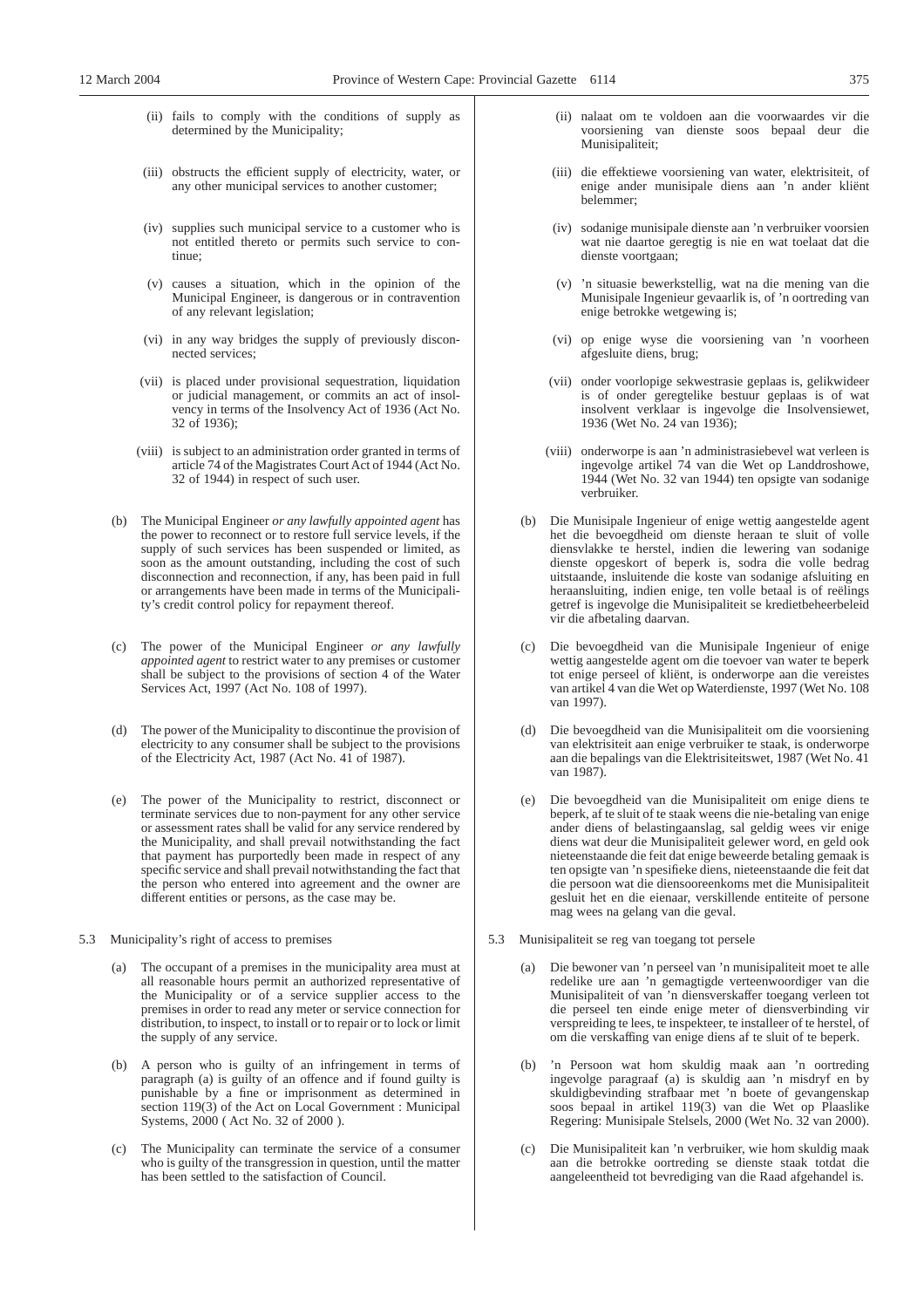- (ii) fails to comply with the conditions of supply as determined by the Municipality;
- (iii) obstructs the efficient supply of electricity, water, or any other municipal services to another customer;
- (iv) supplies such municipal service to a customer who is not entitled thereto or permits such service to continue;
- (v) causes a situation, which in the opinion of the Municipal Engineer, is dangerous or in contravention of any relevant legislation;
- (vi) in any way bridges the supply of previously disconnected services;
- (vii) is placed under provisional sequestration, liquidation or judicial management, or commits an act of insolvency in terms of the Insolvency Act of 1936 (Act No. 32 of 1936);
- (viii) is subject to an administration order granted in terms of article 74 of the Magistrates Court Act of 1944 (Act No. 32 of 1944) in respect of such user.
- (b) The Municipal Engineer *or any lawfully appointed agent* has the power to reconnect or to restore full service levels, if the supply of such services has been suspended or limited, as soon as the amount outstanding, including the cost of such disconnection and reconnection, if any, has been paid in full or arrangements have been made in terms of the Municipality's credit control policy for repayment thereof.
- (c) The power of the Municipal Engineer *or any lawfully appointed agent* to restrict water to any premises or customer shall be subject to the provisions of section 4 of the Water Services Act, 1997 (Act No. 108 of 1997).
- (d) The power of the Municipality to discontinue the provision of electricity to any consumer shall be subject to the provisions of the Electricity Act, 1987 (Act No. 41 of 1987).
- (e) The power of the Municipality to restrict, disconnect or terminate services due to non-payment for any other service or assessment rates shall be valid for any service rendered by the Municipality, and shall prevail notwithstanding the fact that payment has purportedly been made in respect of any specific service and shall prevail notwithstanding the fact that the person who entered into agreement and the owner are different entities or persons, as the case may be.
- 5.3 Municipality's right of access to premises
	- (a) The occupant of a premises in the municipality area must at all reasonable hours permit an authorized representative of the Municipality or of a service supplier access to the premises in order to read any meter or service connection for distribution, to inspect, to install or to repair or to lock or limit the supply of any service.
	- (b) A person who is guilty of an infringement in terms of paragraph (a) is guilty of an offence and if found guilty is punishable by a fine or imprisonment as determined in section  $119(3)$  of the Act on Local Government : Municipal Systems, 2000 ( Act No. 32 of 2000 ).
	- (c) The Municipality can terminate the service of a consumer who is guilty of the transgression in question, until the matter has been settled to the satisfaction of Council.
- (ii) nalaat om te voldoen aan die voorwaardes vir die voorsiening van dienste soos bepaal deur die Munisipaliteit;
- (iii) die effektiewe voorsiening van water, elektrisiteit, of enige ander munisipale diens aan 'n ander kliënt belemmer;
- (iv) sodanige munisipale dienste aan 'n verbruiker voorsien wat nie daartoe geregtig is nie en wat toelaat dat die dienste voortgaan;
- (v) 'n situasie bewerkstellig, wat na die mening van die Munisipale Ingenieur gevaarlik is, of 'n oortreding van enige betrokke wetgewing is;
- (vi) op enige wyse die voorsiening van 'n voorheen afgesluite diens, brug;
- (vii) onder voorlopige sekwestrasie geplaas is, gelikwideer is of onder geregtelike bestuur geplaas is of wat insolvent verklaar is ingevolge die Insolvensiewet, 1936 (Wet No. 24 van 1936);
- (viii) onderworpe is aan 'n administrasiebevel wat verleen is ingevolge artikel 74 van die Wet op Landdroshowe, 1944 (Wet No. 32 van 1944) ten opsigte van sodanige verbruiker.
- (b) Die Munisipale Ingenieur of enige wettig aangestelde agent het die bevoegdheid om dienste heraan te sluit of volle diensvlakke te herstel, indien die lewering van sodanige dienste opgeskort of beperk is, sodra die volle bedrag uitstaande, insluitende die koste van sodanige afsluiting en heraansluiting, indien enige, ten volle betaal is of reëlings getref is ingevolge die Munisipaliteit se kredietbeheerbeleid vir die afbetaling daarvan.
- (c) Die bevoegdheid van die Munisipale Ingenieur of enige wettig aangestelde agent om die toevoer van water te beperk tot enige perseel of kliënt, is onderworpe aan die vereistes van artikel 4 van die Wet op Waterdienste, 1997 (Wet No. 108 van 1997).
- (d) Die bevoegdheid van die Munisipaliteit om die voorsiening van elektrisiteit aan enige verbruiker te staak, is onderworpe aan die bepalings van die Elektrisiteitswet, 1987 (Wet No. 41 van 1987).
- (e) Die bevoegdheid van die Munisipaliteit om enige diens te beperk, af te sluit of te staak weens die nie-betaling van enige ander diens of belastingaanslag, sal geldig wees vir enige diens wat deur die Munisipaliteit gelewer word, en geld ook nieteenstaande die feit dat enige beweerde betaling gemaak is ten opsigte van 'n spesifieke diens, nieteenstaande die feit dat die persoon wat die diensooreenkoms met die Munisipaliteit gesluit het en die eienaar, verskillende entiteite of persone mag wees na gelang van die geval.
- 5.3 Munisipaliteit se reg van toegang tot persele
	- (a) Die bewoner van 'n perseel van 'n munisipaliteit moet te alle redelike ure aan 'n gemagtigde verteenwoordiger van die Munisipaliteit of van 'n diensverskaffer toegang verleen tot die perseel ten einde enige meter of diensverbinding vir verspreiding te lees, te inspekteer, te installeer of te herstel, of om die verskaffing van enige diens af te sluit of te beperk.
	- (b) 'n Persoon wat hom skuldig maak aan 'n oortreding ingevolge paragraaf (a) is skuldig aan 'n misdryf en by skuldigbevinding strafbaar met 'n boete of gevangenskap soos bepaal in artikel 119(3) van die Wet op Plaaslike Regering: Munisipale Stelsels, 2000 (Wet No. 32 van 2000).
	- (c) Die Munisipaliteit kan 'n verbruiker, wie hom skuldig maak aan die betrokke oortreding se dienste staak totdat die aangeleentheid tot bevrediging van die Raad afgehandel is.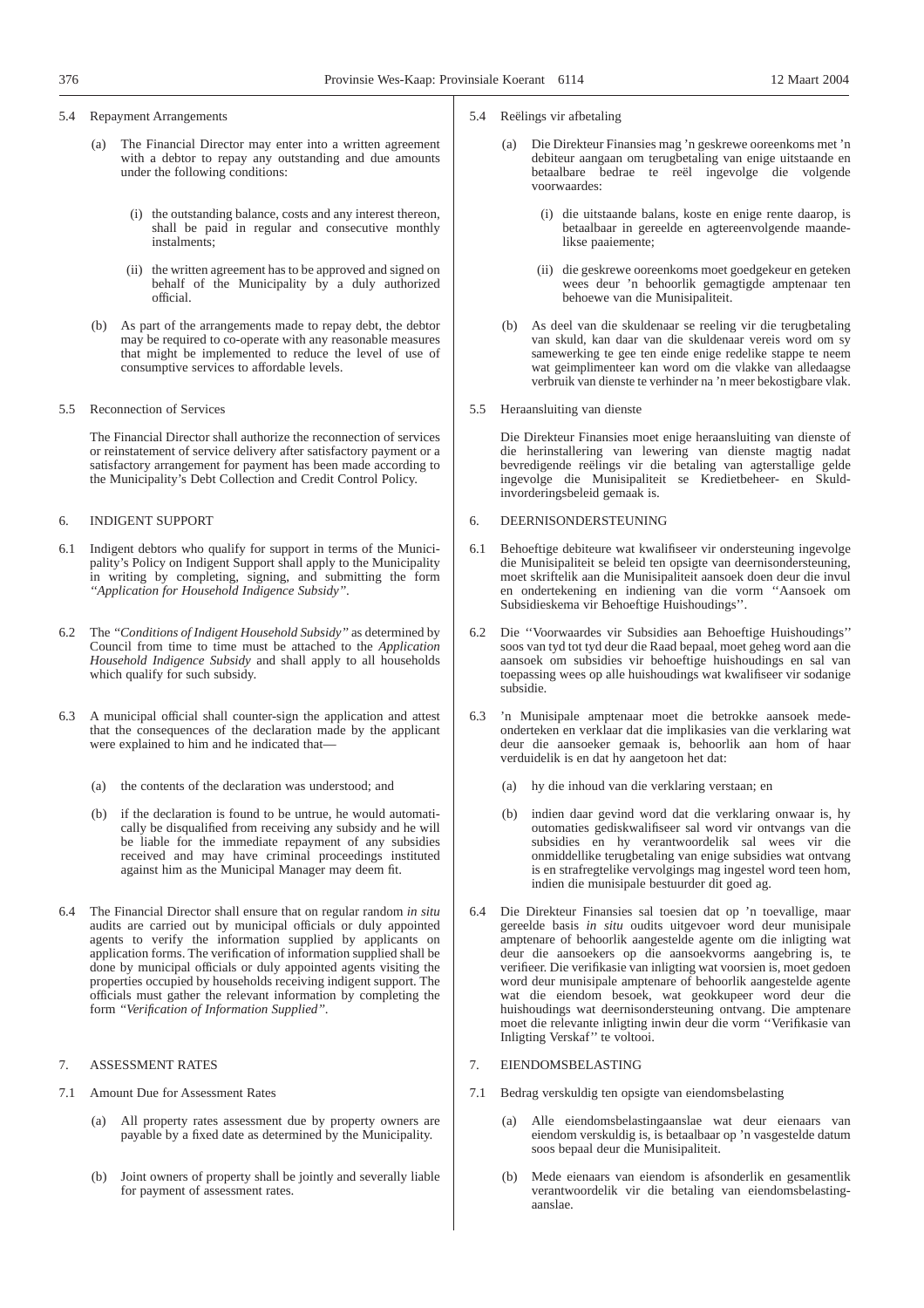5.4 Repayment Arrangements

- (a) The Financial Director may enter into a written agreement with a debtor to repay any outstanding and due amounts under the following conditions:
	- (i) the outstanding balance, costs and any interest thereon, shall be paid in regular and consecutive monthly instalments;
	- (ii) the written agreement has to be approved and signed on behalf of the Municipality by a duly authorized official.
- (b) As part of the arrangements made to repay debt, the debtor may be required to co-operate with any reasonable measures that might be implemented to reduce the level of use of consumptive services to affordable levels.
- 5.5 Reconnection of Services

The Financial Director shall authorize the reconnection of services or reinstatement of service delivery after satisfactory payment or a satisfactory arrangement for payment has been made according to the Municipality's Debt Collection and Credit Control Policy.

## 6. INDIGENT SUPPORT

- 6.1 Indigent debtors who qualify for support in terms of the Municipality's Policy on Indigent Support shall apply to the Municipality in writing by completing, signing, and submitting the form *''Application for Household Indigence Subsidy''*.
- 6.2 The *''Conditions of Indigent Household Subsidy''* as determined by Council from time to time must be attached to the *Application Household Indigence Subsidy* and shall apply to all households which qualify for such subsidy.
- 6.3 A municipal official shall counter-sign the application and attest that the consequences of the declaration made by the applicant were explained to him and he indicated that—
	- (a) the contents of the declaration was understood; and
	- (b) if the declaration is found to be untrue, he would automatically be disqualified from receiving any subsidy and he will be liable for the immediate repayment of any subsidies received and may have criminal proceedings instituted against him as the Municipal Manager may deem fit.
- 6.4 The Financial Director shall ensure that on regular random *in situ* audits are carried out by municipal officials or duly appointed agents to verify the information supplied by applicants on application forms. The verification of information supplied shall be done by municipal officials or duly appointed agents visiting the properties occupied by households receiving indigent support. The officials must gather the relevant information by completing the form *''Verification of Information Supplied''*.

## 7. ASSESSMENT RATES

- 7.1 Amount Due for Assessment Rates
	- (a) All property rates assessment due by property owners are payable by a fixed date as determined by the Municipality.
	- (b) Joint owners of property shall be jointly and severally liable for payment of assessment rates.
- 5.4 Reëlings vir afbetaling
	- (a) Die Direkteur Finansies mag 'n geskrewe ooreenkoms met 'n debiteur aangaan om terugbetaling van enige uitstaande en betaalbare bedrae te reël ingevolge die volgende voorwaardes:
		- (i) die uitstaande balans, koste en enige rente daarop, is betaalbaar in gereelde en agtereenvolgende maandelikse paaiemente;
		- (ii) die geskrewe ooreenkoms moet goedgekeur en geteken wees deur 'n behoorlik gemagtigde amptenaar ten behoewe van die Munisipaliteit.
	- (b) As deel van die skuldenaar se reeling vir die terugbetaling van skuld, kan daar van die skuldenaar vereis word om sy samewerking te gee ten einde enige redelike stappe te neem wat geimplimenteer kan word om die vlakke van alledaagse verbruik van dienste te verhinder na 'n meer bekostigbare vlak.
- 5.5 Heraansluiting van dienste

Die Direkteur Finansies moet enige heraansluiting van dienste of die herinstallering van lewering van dienste magtig nadat bevredigende reëlings vir die betaling van agterstallige gelde ingevolge die Munisipaliteit se Kredietbeheer- en Skuldinvorderingsbeleid gemaak is.

- 6. DEERNISONDERSTEUNING
- 6.1 Behoeftige debiteure wat kwalifiseer vir ondersteuning ingevolge die Munisipaliteit se beleid ten opsigte van deernisondersteuning, moet skriftelik aan die Munisipaliteit aansoek doen deur die invul en ondertekening en indiening van die vorm ''Aansoek om Subsidieskema vir Behoeftige Huishoudings''.
- 6.2 Die ''Voorwaardes vir Subsidies aan Behoeftige Huishoudings'' soos van tyd tot tyd deur die Raad bepaal, moet geheg word aan die aansoek om subsidies vir behoeftige huishoudings en sal van toepassing wees op alle huishoudings wat kwalifiseer vir sodanige subsidie.
- 6.3 'n Munisipale amptenaar moet die betrokke aansoek medeonderteken en verklaar dat die implikasies van die verklaring wat deur die aansoeker gemaak is, behoorlik aan hom of haar verduidelik is en dat hy aangetoon het dat:
	- (a) hy die inhoud van die verklaring verstaan; en
	- (b) indien daar gevind word dat die verklaring onwaar is, hy outomaties gediskwalifiseer sal word vir ontvangs van die subsidies en hy verantwoordelik sal wees vir die onmiddellike terugbetaling van enige subsidies wat ontvang is en strafregtelike vervolgings mag ingestel word teen hom, indien die munisipale bestuurder dit goed ag.
- 6.4 Die Direkteur Finansies sal toesien dat op 'n toevallige, maar gereelde basis *in situ* oudits uitgevoer word deur munisipale amptenare of behoorlik aangestelde agente om die inligting wat deur die aansoekers op die aansoekvorms aangebring is, te verifieer. Die verifikasie van inligting wat voorsien is, moet gedoen word deur munisipale amptenare of behoorlik aangestelde agente wat die eiendom besoek, wat geokkupeer word deur die huishoudings wat deernisondersteuning ontvang. Die amptenare moet die relevante inligting inwin deur die vorm ''Verifikasie van Inligting Verskaf'' te voltooi.
- 7. EIENDOMSBELASTING
- 7.1 Bedrag verskuldig ten opsigte van eiendomsbelasting
	- (a) Alle eiendomsbelastingaanslae wat deur eienaars van eiendom verskuldig is, is betaalbaar op 'n vasgestelde datum soos bepaal deur die Munisipaliteit.
	- (b) Mede eienaars van eiendom is afsonderlik en gesamentlik verantwoordelik vir die betaling van eiendomsbelastingaanslae.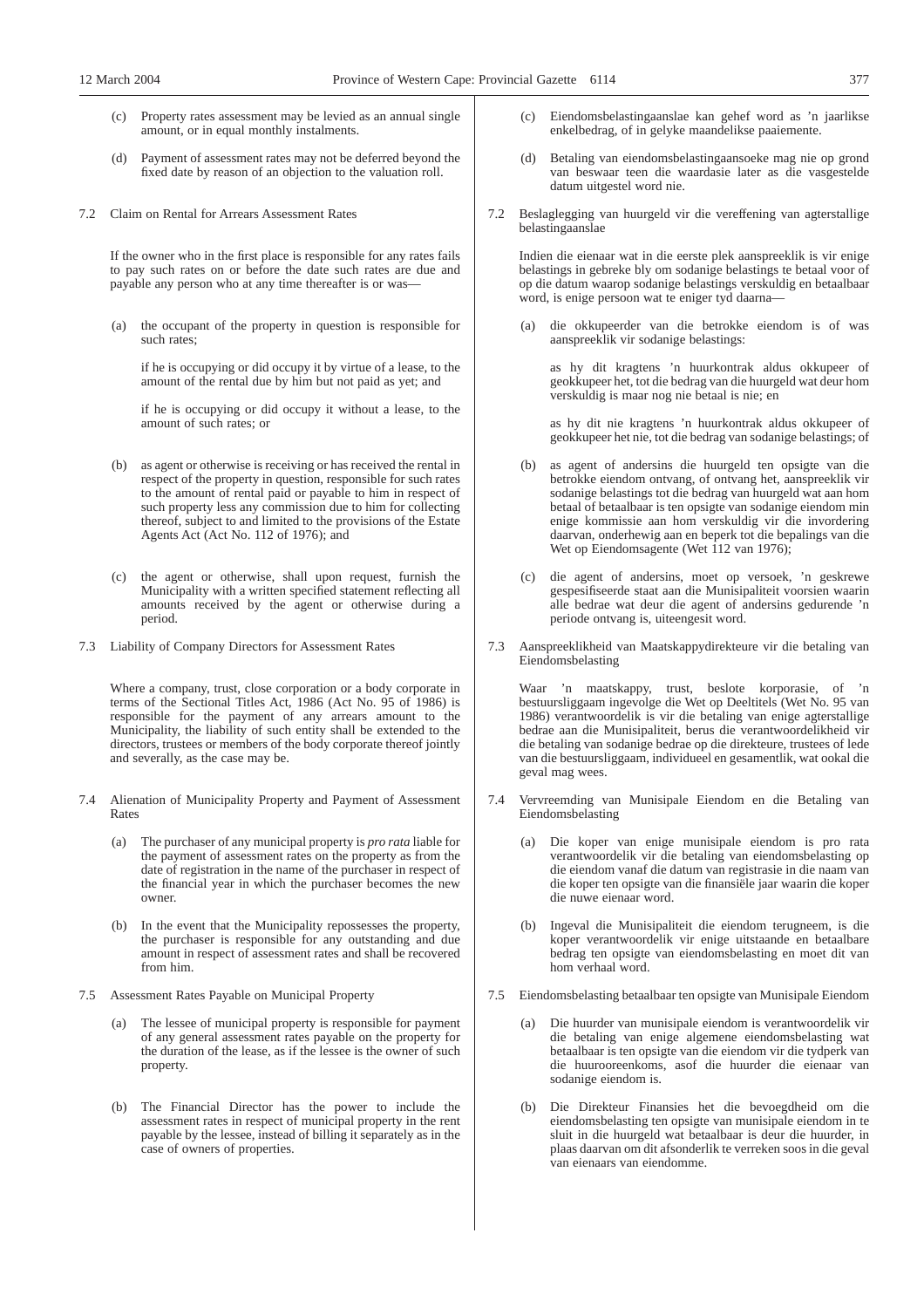- (c) Property rates assessment may be levied as an annual single amount, or in equal monthly instalments.
- (d) Payment of assessment rates may not be deferred beyond the fixed date by reason of an objection to the valuation roll.
- 7.2 Claim on Rental for Arrears Assessment Rates

If the owner who in the first place is responsible for any rates fails to pay such rates on or before the date such rates are due and payable any person who at any time thereafter is or was—

(a) the occupant of the property in question is responsible for such rates;

if he is occupying or did occupy it by virtue of a lease, to the amount of the rental due by him but not paid as yet; and

if he is occupying or did occupy it without a lease, to the amount of such rates; or

- (b) as agent or otherwise is receiving or has received the rental in respect of the property in question, responsible for such rates to the amount of rental paid or payable to him in respect of such property less any commission due to him for collecting thereof, subject to and limited to the provisions of the Estate Agents Act (Act No. 112 of 1976); and
- (c) the agent or otherwise, shall upon request, furnish the Municipality with a written specified statement reflecting all amounts received by the agent or otherwise during a period.
- 7.3 Liability of Company Directors for Assessment Rates

Where a company, trust, close corporation or a body corporate in terms of the Sectional Titles Act, 1986 (Act No. 95 of 1986) is responsible for the payment of any arrears amount to the Municipality, the liability of such entity shall be extended to the directors, trustees or members of the body corporate thereof jointly and severally, as the case may be.

- 7.4 Alienation of Municipality Property and Payment of Assessment Rates
	- (a) The purchaser of any municipal property is *pro rata* liable for the payment of assessment rates on the property as from the date of registration in the name of the purchaser in respect of the financial year in which the purchaser becomes the new owner.
	- (b) In the event that the Municipality repossesses the property, the purchaser is responsible for any outstanding and due amount in respect of assessment rates and shall be recovered from him.
- 7.5 Assessment Rates Payable on Municipal Property
	- The lessee of municipal property is responsible for payment of any general assessment rates payable on the property for the duration of the lease, as if the lessee is the owner of such property.
	- (b) The Financial Director has the power to include the assessment rates in respect of municipal property in the rent payable by the lessee, instead of billing it separately as in the case of owners of properties.
- (c) Eiendomsbelastingaanslae kan gehef word as 'n jaarlikse enkelbedrag, of in gelyke maandelikse paaiemente.
- (d) Betaling van eiendomsbelastingaansoeke mag nie op grond van beswaar teen die waardasie later as die vasgestelde datum uitgestel word nie.
- 7.2 Beslaglegging van huurgeld vir die vereffening van agterstallige belastingaanslae

Indien die eienaar wat in die eerste plek aanspreeklik is vir enige belastings in gebreke bly om sodanige belastings te betaal voor of op die datum waarop sodanige belastings verskuldig en betaalbaar word, is enige persoon wat te eniger tyd daarna—

(a) die okkupeerder van die betrokke eiendom is of was aanspreeklik vir sodanige belastings:

as hy dit kragtens 'n huurkontrak aldus okkupeer of geokkupeer het, tot die bedrag van die huurgeld wat deur hom verskuldig is maar nog nie betaal is nie; en

as hy dit nie kragtens 'n huurkontrak aldus okkupeer of geokkupeer het nie, tot die bedrag van sodanige belastings; of

- (b) as agent of andersins die huurgeld ten opsigte van die betrokke eiendom ontvang, of ontvang het, aanspreeklik vir sodanige belastings tot die bedrag van huurgeld wat aan hom betaal of betaalbaar is ten opsigte van sodanige eiendom min enige kommissie aan hom verskuldig vir die invordering daarvan, onderhewig aan en beperk tot die bepalings van die Wet op Eiendomsagente (Wet 112 van 1976);
- (c) die agent of andersins, moet op versoek, 'n geskrewe gespesifiseerde staat aan die Munisipaliteit voorsien waarin alle bedrae wat deur die agent of andersins gedurende 'n periode ontvang is, uiteengesit word.
- 7.3 Aanspreeklikheid van Maatskappydirekteure vir die betaling van Eiendomsbelasting

Waar 'n maatskappy, trust, beslote korporasie, of 'n bestuursliggaam ingevolge die Wet op Deeltitels (Wet No. 95 van 1986) verantwoordelik is vir die betaling van enige agterstallige bedrae aan die Munisipaliteit, berus die verantwoordelikheid vir die betaling van sodanige bedrae op die direkteure, trustees of lede van die bestuursliggaam, individueel en gesamentlik, wat ookal die geval mag wees.

- 7.4 Vervreemding van Munisipale Eiendom en die Betaling van Eiendomsbelasting
	- (a) Die koper van enige munisipale eiendom is pro rata verantwoordelik vir die betaling van eiendomsbelasting op die eiendom vanaf die datum van registrasie in die naam van die koper ten opsigte van die finansiële jaar waarin die koper die nuwe eienaar word.
	- (b) Ingeval die Munisipaliteit die eiendom terugneem, is die koper verantwoordelik vir enige uitstaande en betaalbare bedrag ten opsigte van eiendomsbelasting en moet dit van hom verhaal word.
- 7.5 Eiendomsbelasting betaalbaar ten opsigte van Munisipale Eiendom
	- Die huurder van munisipale eiendom is verantwoordelik vir die betaling van enige algemene eiendomsbelasting wat betaalbaar is ten opsigte van die eiendom vir die tydperk van die huurooreenkoms, asof die huurder die eienaar van sodanige eiendom is.
	- (b) Die Direkteur Finansies het die bevoegdheid om die eiendomsbelasting ten opsigte van munisipale eiendom in te sluit in die huurgeld wat betaalbaar is deur die huurder, in plaas daarvan om dit afsonderlik te verreken soos in die geval van eienaars van eiendomme.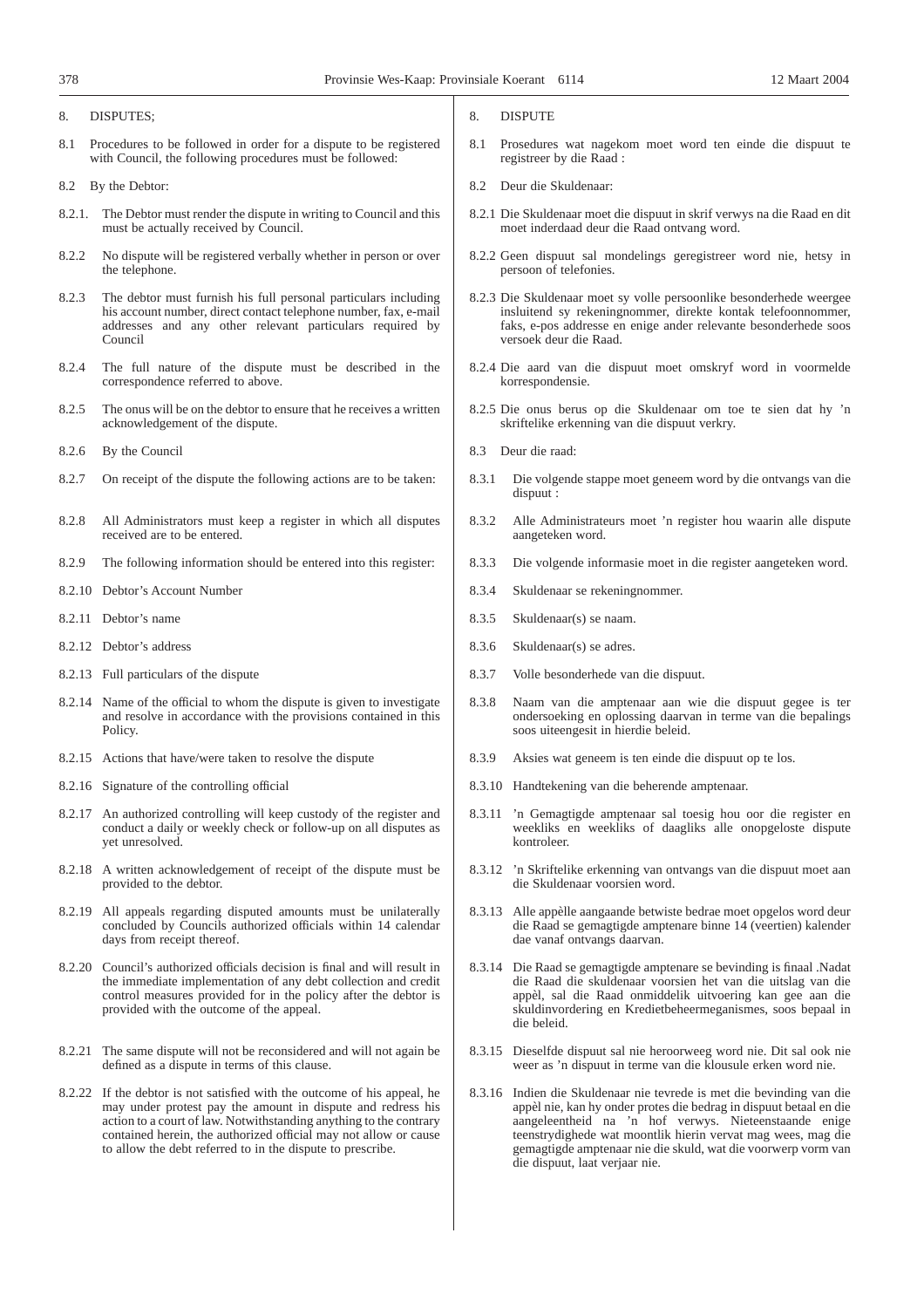#### 8. DISPUTES;

- 8.1 Procedures to be followed in order for a dispute to be registered with Council, the following procedures must be followed:
- 8.2 By the Debtor:
- 8.2.1. The Debtor must render the dispute in writing to Council and this must be actually received by Council.
- 8.2.2 No dispute will be registered verbally whether in person or over the telephone.
- 8.2.3 The debtor must furnish his full personal particulars including his account number, direct contact telephone number, fax, e-mail addresses and any other relevant particulars required by Council
- 8.2.4 The full nature of the dispute must be described in the correspondence referred to above.
- 8.2.5 The onus will be on the debtor to ensure that he receives a written acknowledgement of the dispute.
- 8.2.6 By the Council
- 8.2.7 On receipt of the dispute the following actions are to be taken:
- 8.2.8 All Administrators must keep a register in which all disputes received are to be entered.
- 8.2.9 The following information should be entered into this register:
- 8.2.10 Debtor's Account Number
- 8.2.11 Debtor's name
- 8.2.12 Debtor's address
- 8.2.13 Full particulars of the dispute
- 8.2.14 Name of the official to whom the dispute is given to investigate and resolve in accordance with the provisions contained in this Policy.
- 8.2.15 Actions that have/were taken to resolve the dispute
- 8.2.16 Signature of the controlling official
- 8.2.17 An authorized controlling will keep custody of the register and conduct a daily or weekly check or follow-up on all disputes as yet unresolved.
- 8.2.18 A written acknowledgement of receipt of the dispute must be provided to the debtor.
- 8.2.19 All appeals regarding disputed amounts must be unilaterally concluded by Councils authorized officials within 14 calendar days from receipt thereof.
- 8.2.20 Council's authorized officials decision is final and will result in the immediate implementation of any debt collection and credit control measures provided for in the policy after the debtor is provided with the outcome of the appeal.
- 8.2.21 The same dispute will not be reconsidered and will not again be defined as a dispute in terms of this clause.
- 8.2.22 If the debtor is not satisfied with the outcome of his appeal, he may under protest pay the amount in dispute and redress his action to a court of law. Notwithstanding anything to the contrary contained herein, the authorized official may not allow or cause to allow the debt referred to in the dispute to prescribe.
- 8. DISPUTE
- 8.1 Prosedures wat nagekom moet word ten einde die dispuut te registreer by die Raad :
- 8.2 Deur die Skuldenaar:
- 8.2.1 Die Skuldenaar moet die dispuut in skrif verwys na die Raad en dit moet inderdaad deur die Raad ontvang word.
- 8.2.2 Geen dispuut sal mondelings geregistreer word nie, hetsy in persoon of telefonies.
- 8.2.3 Die Skuldenaar moet sy volle persoonlike besonderhede weergee insluitend sy rekeningnommer, direkte kontak telefoonnommer, faks, e-pos addresse en enige ander relevante besonderhede soos versoek deur die Raad.
- 8.2.4 Die aard van die dispuut moet omskryf word in voormelde korrespondensie.
- 8.2.5 Die onus berus op die Skuldenaar om toe te sien dat hy 'n skriftelike erkenning van die dispuut verkry.
- 8.3 Deur die raad:
- 8.3.1 Die volgende stappe moet geneem word by die ontvangs van die dispuut :
- 8.3.2 Alle Administrateurs moet 'n register hou waarin alle dispute aangeteken word.
- 8.3.3 Die volgende informasie moet in die register aangeteken word.
- 8.3.4 Skuldenaar se rekeningnommer.
- 8.3.5 Skuldenaar(s) se naam.
- 8.3.6 Skuldenaar(s) se adres.
- 8.3.7 Volle besonderhede van die dispuut.
- 8.3.8 Naam van die amptenaar aan wie die dispuut gegee is ter ondersoeking en oplossing daarvan in terme van die bepalings soos uiteengesit in hierdie beleid.
- 8.3.9 Aksies wat geneem is ten einde die dispuut op te los.
- 8.3.10 Handtekening van die beherende amptenaar.
- 8.3.11 'n Gemagtigde amptenaar sal toesig hou oor die register en weekliks en weekliks of daagliks alle onopgeloste dispute kontroleer.
- 8.3.12 'n Skriftelike erkenning van ontvangs van die dispuut moet aan die Skuldenaar voorsien word.
- 8.3.13 Alle appèlle aangaande betwiste bedrae moet opgelos word deur die Raad se gemagtigde amptenare binne 14 (veertien) kalender dae vanaf ontvangs daarvan.
- 8.3.14 Die Raad se gemagtigde amptenare se bevinding is finaal .Nadat die Raad die skuldenaar voorsien het van die uitslag van die appèl, sal die Raad onmiddelik uitvoering kan gee aan die skuldinvordering en Kredietbeheermeganismes, soos bepaal in die beleid.
- 8.3.15 Dieselfde dispuut sal nie heroorweeg word nie. Dit sal ook nie weer as 'n dispuut in terme van die klousule erken word nie.
- 8.3.16 Indien die Skuldenaar nie tevrede is met die bevinding van die appèl nie, kan hy onder protes die bedrag in dispuut betaal en die aangeleentheid na 'n hof verwys. Nieteenstaande enige teenstrydighede wat moontlik hierin vervat mag wees, mag die gemagtigde amptenaar nie die skuld, wat die voorwerp vorm van die dispuut, laat verjaar nie.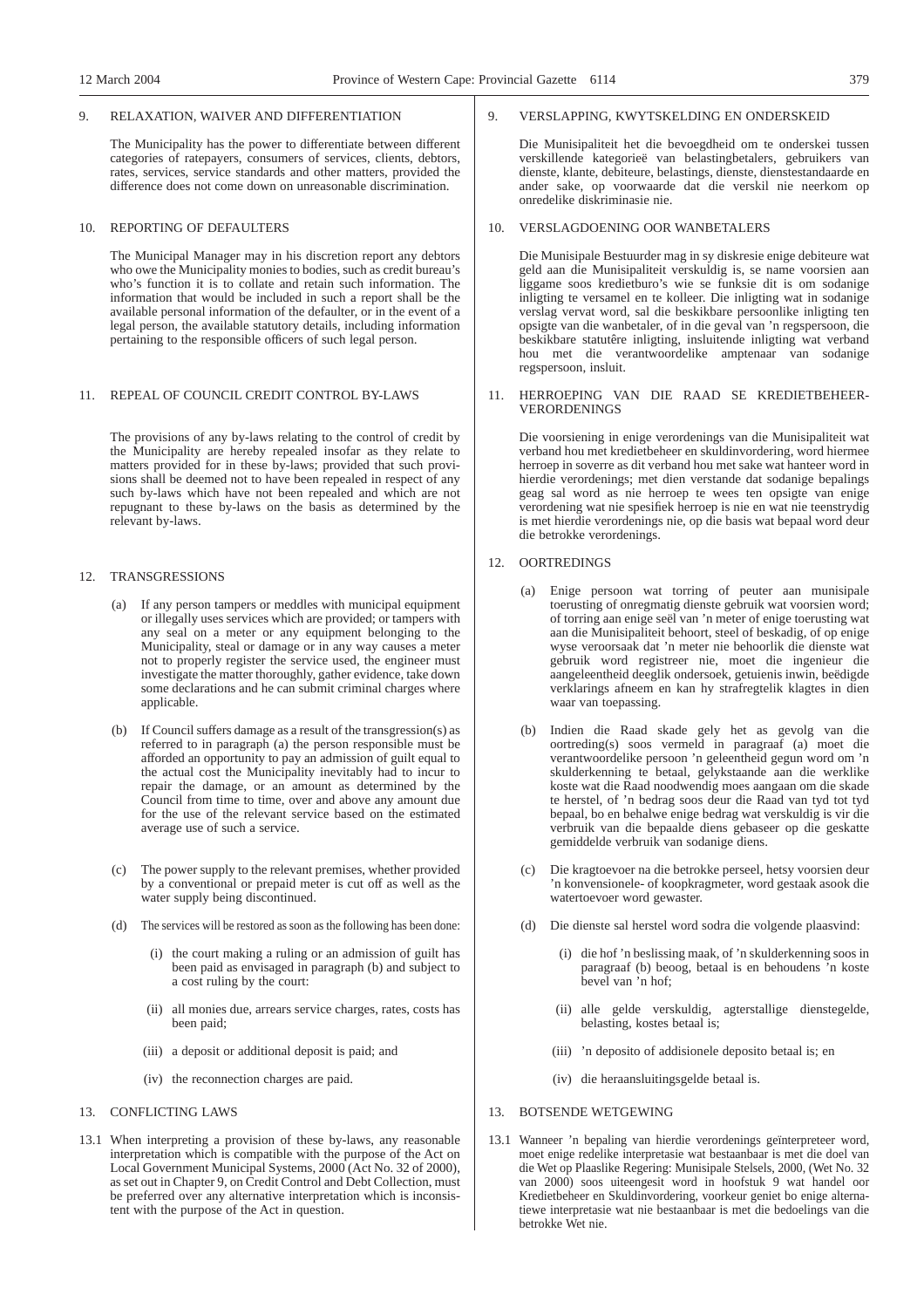#### 9. RELAXATION, WAIVER AND DIFFERENTIATION

The Municipality has the power to differentiate between different categories of ratepayers, consumers of services, clients, debtors, rates, services, service standards and other matters, provided the difference does not come down on unreasonable discrimination.

# 10. REPORTING OF DEFAULTERS

The Municipal Manager may in his discretion report any debtors who owe the Municipality monies to bodies, such as credit bureau's who's function it is to collate and retain such information. The information that would be included in such a report shall be the available personal information of the defaulter, or in the event of a legal person, the available statutory details, including information pertaining to the responsible officers of such legal person.

## 11. REPEAL OF COUNCIL CREDIT CONTROL BY-LAWS

The provisions of any by-laws relating to the control of credit by the Municipality are hereby repealed insofar as they relate to matters provided for in these by-laws; provided that such provisions shall be deemed not to have been repealed in respect of any such by-laws which have not been repealed and which are not repugnant to these by-laws on the basis as determined by the relevant by-laws.

## 12. TRANSGRESSIONS

- If any person tampers or meddles with municipal equipment or illegally uses services which are provided; or tampers with any seal on a meter or any equipment belonging to the Municipality, steal or damage or in any way causes a meter not to properly register the service used, the engineer must investigate the matter thoroughly, gather evidence, take down some declarations and he can submit criminal charges where applicable.
- (b) If Council suffers damage as a result of the transgression(s) as referred to in paragraph (a) the person responsible must be afforded an opportunity to pay an admission of guilt equal to the actual cost the Municipality inevitably had to incur to repair the damage, or an amount as determined by the Council from time to time, over and above any amount due for the use of the relevant service based on the estimated average use of such a service.
- (c) The power supply to the relevant premises, whether provided by a conventional or prepaid meter is cut off as well as the water supply being discontinued.
- (d) The services will be restored as soon as the following has been done:
	- (i) the court making a ruling or an admission of guilt has been paid as envisaged in paragraph (b) and subject to a cost ruling by the court:
	- (ii) all monies due, arrears service charges, rates, costs has been paid;
	- (iii) a deposit or additional deposit is paid; and
	- (iv) the reconnection charges are paid.
- 13. CONFLICTING LAWS
- 13.1 When interpreting a provision of these by-laws, any reasonable interpretation which is compatible with the purpose of the Act on Local Government Municipal Systems, 2000 (Act No. 32 of 2000), as set out in Chapter 9, on Credit Control and Debt Collection, must be preferred over any alternative interpretation which is inconsistent with the purpose of the Act in question.

#### 9. VERSLAPPING, KWYTSKELDING EN ONDERSKEID

Die Munisipaliteit het die bevoegdheid om te onderskei tussen verskillende kategorieë van belastingbetalers, gebruikers van dienste, klante, debiteure, belastings, dienste, dienstestandaarde en ander sake, op voorwaarde dat die verskil nie neerkom op onredelike diskriminasie nie.

# 10. VERSLAGDOENING OOR WANBETALERS

Die Munisipale Bestuurder mag in sy diskresie enige debiteure wat geld aan die Munisipaliteit verskuldig is, se name voorsien aan liggame soos kredietburo's wie se funksie dit is om sodanige inligting te versamel en te kolleer. Die inligting wat in sodanige verslag vervat word, sal die beskikbare persoonlike inligting ten opsigte van die wanbetaler, of in die geval van 'n regspersoon, die beskikbare statutêre inligting, insluitende inligting wat verband hou met die verantwoordelike amptenaar van sodanige regspersoon, insluit.

#### 11. HERROEPING VAN DIE RAAD SE KREDIETBEHEER-VERORDENINGS

Die voorsiening in enige verordenings van die Munisipaliteit wat verband hou met kredietbeheer en skuldinvordering, word hiermee herroep in soverre as dit verband hou met sake wat hanteer word in hierdie verordenings; met dien verstande dat sodanige bepalings geag sal word as nie herroep te wees ten opsigte van enige verordening wat nie spesifiek herroep is nie en wat nie teenstrydig is met hierdie verordenings nie, op die basis wat bepaal word deur die betrokke verordenings.

## 12. OORTREDINGS

- (a) Enige persoon wat torring of peuter aan munisipale toerusting of onregmatig dienste gebruik wat voorsien word; of torring aan enige seël van 'n meter of enige toerusting wat aan die Munisipaliteit behoort, steel of beskadig, of op enige wyse veroorsaak dat 'n meter nie behoorlik die dienste wat gebruik word registreer nie, moet die ingenieur die aangeleentheid deeglik ondersoek, getuienis inwin, beëdigde verklarings afneem en kan hy strafregtelik klagtes in dien waar van toepassing.
- (b) Indien die Raad skade gely het as gevolg van die oortreding(s) soos vermeld in paragraaf (a) moet die verantwoordelike persoon 'n geleentheid gegun word om 'n skulderkenning te betaal, gelykstaande aan die werklike koste wat die Raad noodwendig moes aangaan om die skade te herstel, of 'n bedrag soos deur die Raad van tyd tot tyd bepaal, bo en behalwe enige bedrag wat verskuldig is vir die verbruik van die bepaalde diens gebaseer op die geskatte gemiddelde verbruik van sodanige diens.
- (c) Die kragtoevoer na die betrokke perseel, hetsy voorsien deur 'n konvensionele- of koopkragmeter, word gestaak asook die watertoevoer word gewaster.
- (d) Die dienste sal herstel word sodra die volgende plaasvind:
	- (i) die hof 'n beslissing maak, of 'n skulderkenning soos in paragraaf (b) beoog, betaal is en behoudens 'n koste bevel van 'n hof;
	- (ii) alle gelde verskuldig, agterstallige dienstegelde, belasting, kostes betaal is;
	- (iii) 'n deposito of addisionele deposito betaal is; en
	- (iv) die heraansluitingsgelde betaal is.

## 13. BOTSENDE WETGEWING

13.1 Wanneer 'n bepaling van hierdie verordenings geïnterpreteer word, moet enige redelike interpretasie wat bestaanbaar is met die doel van die Wet op Plaaslike Regering: Munisipale Stelsels, 2000, (Wet No. 32 van 2000) soos uiteengesit word in hoofstuk 9 wat handel oor Kredietbeheer en Skuldinvordering, voorkeur geniet bo enige alternatiewe interpretasie wat nie bestaanbaar is met die bedoelings van die betrokke Wet nie.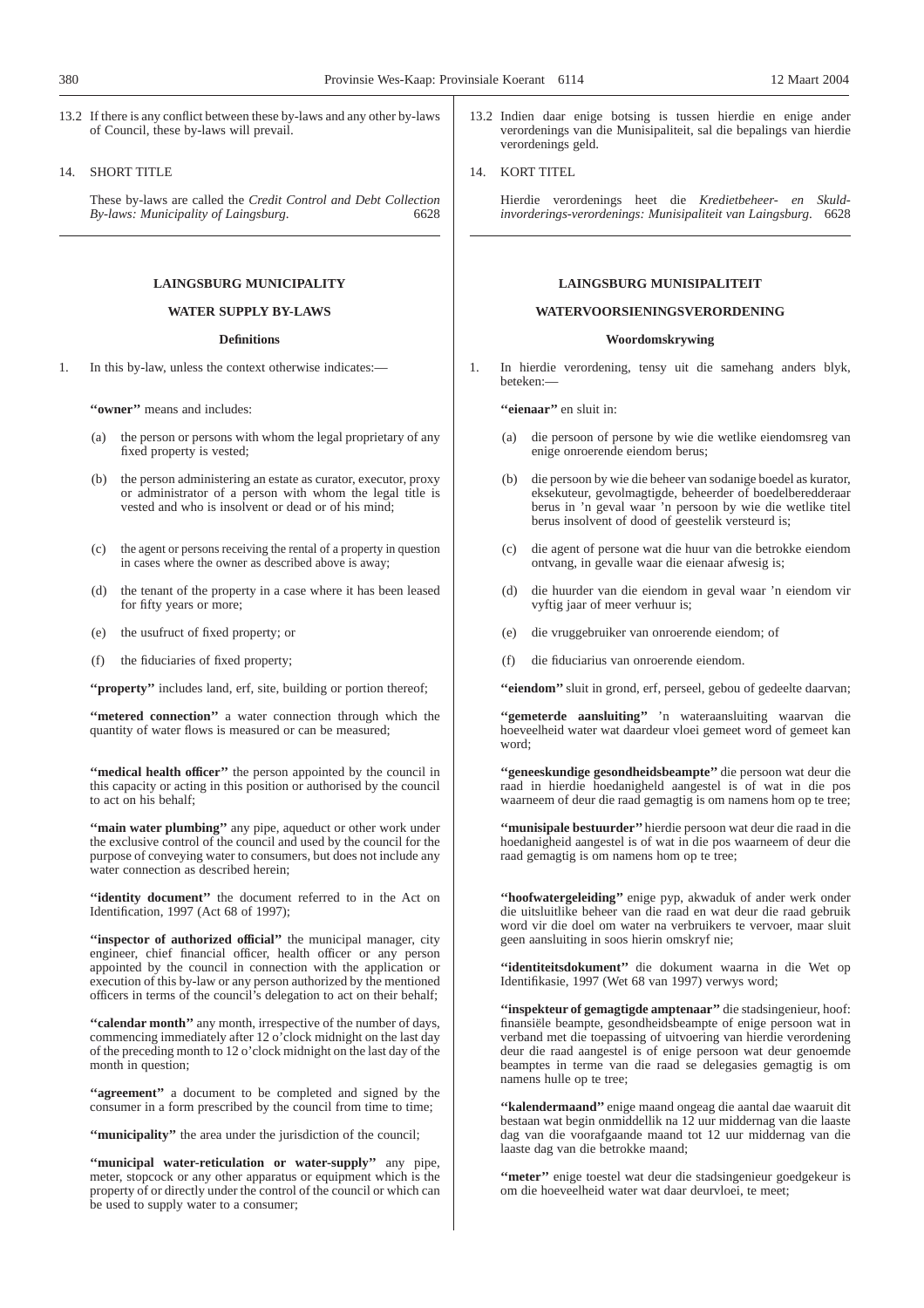13.2 If there is any conflict between these by-laws and any other by-laws of Council, these by-laws will prevail.

## 14. SHORT TITLE

These by-laws are called the *Credit Control and Debt Collection By-laws: Municipality of Laingsburg.* 

# **LAINGSBURG MUNICIPALITY**

# **WATER SUPPLY BY-LAWS**

## **Definitions**

1. In this by-law, unless the context otherwise indicates:—

**''owner''** means and includes:

- (a) the person or persons with whom the legal proprietary of any fixed property is vested;
- (b) the person administering an estate as curator, executor, proxy or administrator of a person with whom the legal title is vested and who is insolvent or dead or of his mind;
- (c) the agent or persons receiving the rental of a property in question in cases where the owner as described above is away;
- (d) the tenant of the property in a case where it has been leased for fifty years or more;
- (e) the usufruct of fixed property; or
- (f) the fiduciaries of fixed property;

"**property**" includes land, erf, site, building or portion thereof;

"metered connection" a water connection through which the quantity of water flows is measured or can be measured;

"medical health officer" the person appointed by the council in this capacity or acting in this position or authorised by the council to act on his behalf;

**"main water plumbing"** any pipe, aqueduct or other work under the exclusive control of the council and used by the council for the purpose of conveying water to consumers, but does not include any water connection as described herein;

"identity document" the document referred to in the Act on Identification, 1997 (Act 68 of 1997);

**''inspector of authorized official''** the municipal manager, city engineer, chief financial officer, health officer or any person appointed by the council in connection with the application or execution of this by-law or any person authorized by the mentioned officers in terms of the council's delegation to act on their behalf;

**''calendar month''** any month, irrespective of the number of days, commencing immediately after 12 o'clock midnight on the last day of the preceding month to 12 o'clock midnight on the last day of the month in question:

**''agreement''** a document to be completed and signed by the consumer in a form prescribed by the council from time to time;

**''municipality''** the area under the jurisdiction of the council;

**''municipal water-reticulation or water-supply''** any pipe, meter, stopcock or any other apparatus or equipment which is the property of or directly under the control of the council or which can be used to supply water to a consumer;

13.2 Indien daar enige botsing is tussen hierdie en enige ander verordenings van die Munisipaliteit, sal die bepalings van hierdie verordenings geld.

#### 14. KORT TITEL

Hierdie verordenings heet die *Kredietbeheer- en Skuldinvorderings-verordenings: Munisipaliteit van Laingsburg*. 6628

## **LAINGSBURG MUNISIPALITEIT**

## **WATERVOORSIENINGSVERORDENING**

#### **Woordomskrywing**

1. In hierdie verordening, tensy uit die samehang anders blyk, beteken:—

**''eienaar''** en sluit in:

- (a) die persoon of persone by wie die wetlike eiendomsreg van enige onroerende eiendom berus;
- (b) die persoon by wie die beheer van sodanige boedel as kurator, eksekuteur, gevolmagtigde, beheerder of boedelberedderaar berus in 'n geval waar 'n persoon by wie die wetlike titel berus insolvent of dood of geestelik versteurd is;
- (c) die agent of persone wat die huur van die betrokke eiendom ontvang, in gevalle waar die eienaar afwesig is;
- (d) die huurder van die eiendom in geval waar 'n eiendom vir vyftig jaar of meer verhuur is;
- (e) die vruggebruiker van onroerende eiendom; of
- (f) die fiduciarius van onroerende eiendom.

"eiendom" sluit in grond, erf, perseel, gebou of gedeelte daarvan;

**''gemeterde aansluiting''** 'n wateraansluiting waarvan die hoeveelheid water wat daardeur vloei gemeet word of gemeet kan word;

**''geneeskundige gesondheidsbeampte''** die persoon wat deur die raad in hierdie hoedanigheld aangestel is of wat in die pos waarneem of deur die raad gemagtig is om namens hom op te tree;

**''munisipale bestuurder''** hierdie persoon wat deur die raad in die hoedanigheid aangestel is of wat in die pos waarneem of deur die raad gemagtig is om namens hom op te tree;

**''hoofwatergeleiding''** enige pyp, akwaduk of ander werk onder die uitsluitlike beheer van die raad en wat deur die raad gebruik word vir die doel om water na verbruikers te vervoer, maar sluit geen aansluiting in soos hierin omskryf nie;

**''identiteitsdokument''** die dokument waarna in die Wet op Identifikasie, 1997 (Wet 68 van 1997) verwys word;

**''inspekteur of gemagtigde amptenaar''** die stadsingenieur, hoof: finansiële beampte, gesondheidsbeampte of enige persoon wat in verband met die toepassing of uitvoering van hierdie verordening deur die raad aangestel is of enige persoon wat deur genoemde beamptes in terme van die raad se delegasies gemagtig is om namens hulle op te tree;

**''kalendermaand''** enige maand ongeag die aantal dae waaruit dit bestaan wat begin onmiddellik na 12 uur middernag van die laaste dag van die voorafgaande maand tot 12 uur middernag van die laaste dag van die betrokke maand;

**''meter''** enige toestel wat deur die stadsingenieur goedgekeur is om die hoeveelheid water wat daar deurvloei, te meet;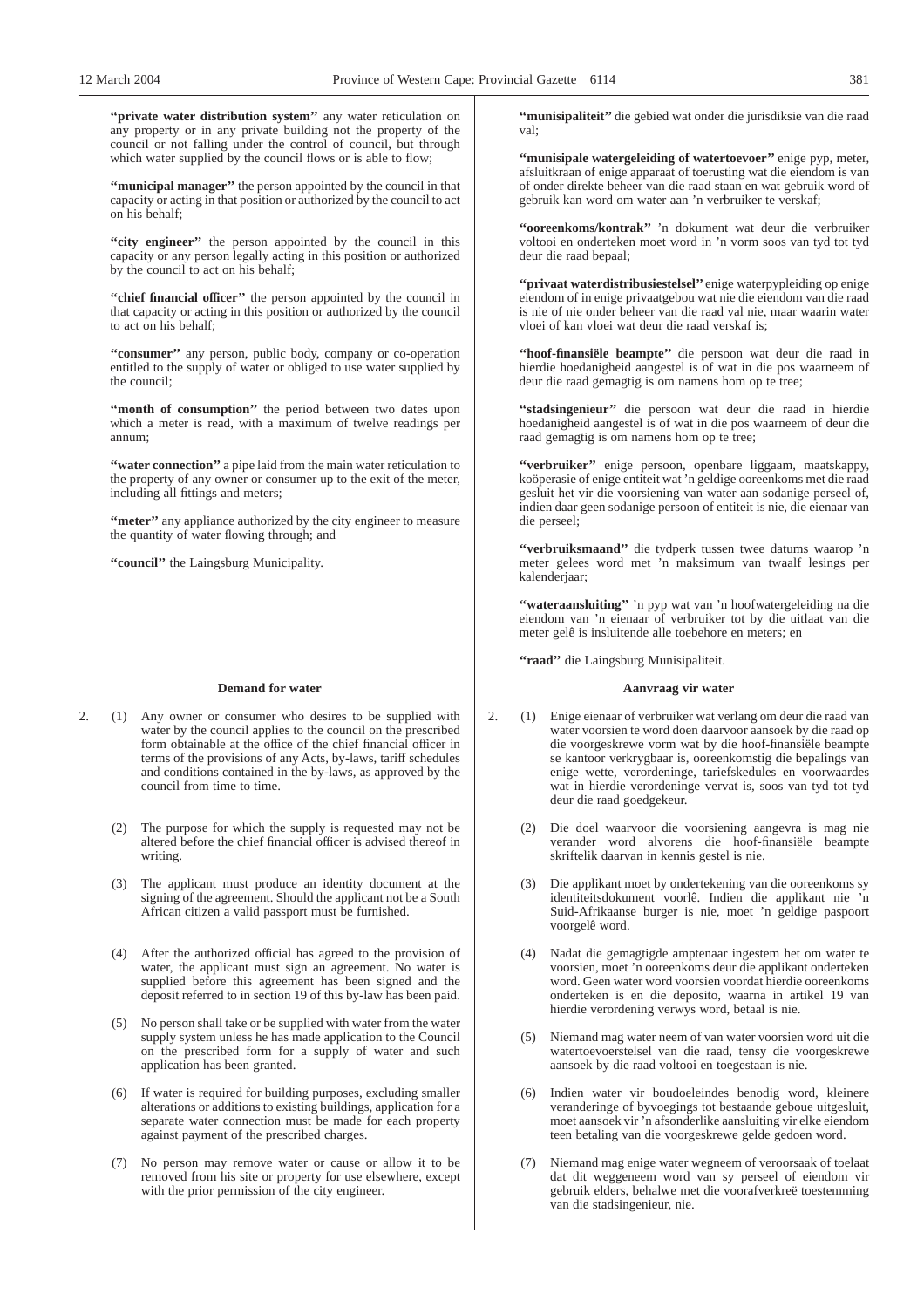"private water distribution system" any water reticulation on any property or in any private building not the property of the council or not falling under the control of council, but through which water supplied by the council flows or is able to flow;

**''municipal manager''** the person appointed by the council in that capacity or acting in that position or authorized by the council to act on his behalf;

"city engineer" the person appointed by the council in this capacity or any person legally acting in this position or authorized by the council to act on his behalf;

**''chief financial officer''** the person appointed by the council in that capacity or acting in this position or authorized by the council to act on his behalf;

**''consumer''** any person, public body, company or co-operation entitled to the supply of water or obliged to use water supplied by the council;

"month of consumption" the period between two dates upon which a meter is read, with a maximum of twelve readings per annum;

"water connection" a pipe laid from the main water reticulation to the property of any owner or consumer up to the exit of the meter, including all fittings and meters;

**"meter"** any appliance authorized by the city engineer to measure the quantity of water flowing through; and

**''council''** the Laingsburg Municipality.

#### **Demand for water**

- 2. (1) Any owner or consumer who desires to be supplied with water by the council applies to the council on the prescribed form obtainable at the office of the chief financial officer in terms of the provisions of any Acts, by-laws, tariff schedules and conditions contained in the by-laws, as approved by the council from time to time.
	- (2) The purpose for which the supply is requested may not be altered before the chief financial officer is advised thereof in writing.
	- (3) The applicant must produce an identity document at the signing of the agreement. Should the applicant not be a South African citizen a valid passport must be furnished.
	- (4) After the authorized official has agreed to the provision of water, the applicant must sign an agreement. No water is supplied before this agreement has been signed and the deposit referred to in section 19 of this by-law has been paid.
	- (5) No person shall take or be supplied with water from the water supply system unless he has made application to the Council on the prescribed form for a supply of water and such application has been granted.
	- (6) If water is required for building purposes, excluding smaller alterations or additions to existing buildings, application for a separate water connection must be made for each property against payment of the prescribed charges.
	- (7) No person may remove water or cause or allow it to be removed from his site or property for use elsewhere, except with the prior permission of the city engineer.

**''munisipaliteit''** die gebied wat onder die jurisdiksie van die raad val;

**''munisipale watergeleiding of watertoevoer''** enige pyp, meter, afsluitkraan of enige apparaat of toerusting wat die eiendom is van of onder direkte beheer van die raad staan en wat gebruik word of gebruik kan word om water aan 'n verbruiker te verskaf;

**''ooreenkoms/kontrak''** 'n dokument wat deur die verbruiker voltooi en onderteken moet word in 'n vorm soos van tyd tot tyd deur die raad bepaal;

**''privaat waterdistribusiestelsel''** enige waterpypleiding op enige eiendom of in enige privaatgebou wat nie die eiendom van die raad is nie of nie onder beheer van die raad val nie, maar waarin water vloei of kan vloei wat deur die raad verskaf is;

**''hoof-finansiële beampte''** die persoon wat deur die raad in hierdie hoedanigheid aangestel is of wat in die pos waarneem of deur die raad gemagtig is om namens hom op te tree;

**''stadsingenieur''** die persoon wat deur die raad in hierdie hoedanigheid aangestel is of wat in die pos waarneem of deur die raad gemagtig is om namens hom op te tree;

"verbruiker" enige persoon, openbare liggaam, maatskappy, koöperasie of enige entiteit wat 'n geldige ooreenkoms met die raad gesluit het vir die voorsiening van water aan sodanige perseel of, indien daar geen sodanige persoon of entiteit is nie, die eienaar van die perseel;

**''verbruiksmaand''** die tydperk tussen twee datums waarop 'n meter gelees word met 'n maksimum van twaalf lesings per kalenderjaar;

"wateraansluiting" 'n pyp wat van 'n hoofwatergeleiding na die eiendom van 'n eienaar of verbruiker tot by die uitlaat van die meter gelê is insluitende alle toebehore en meters; en

**''raad''** die Laingsburg Munisipaliteit.

#### **Aanvraag vir water**

- 2. (1) Enige eienaar of verbruiker wat verlang om deur die raad van water voorsien te word doen daarvoor aansoek by die raad op die voorgeskrewe vorm wat by die hoof-finansiële beampte se kantoor verkrygbaar is, ooreenkomstig die bepalings van enige wette, verordeninge, tariefskedules en voorwaardes wat in hierdie verordeninge vervat is, soos van tyd tot tyd deur die raad goedgekeur.
	- (2) Die doel waarvoor die voorsiening aangevra is mag nie verander word alvorens die hoof-finansiële beampte skriftelik daarvan in kennis gestel is nie.
	- Die applikant moet by ondertekening van die ooreenkoms sy identiteitsdokument voorlê. Indien die applikant nie 'n Suid-Afrikaanse burger is nie, moet 'n geldige paspoort voorgelê word.
	- Nadat die gemagtigde amptenaar ingestem het om water te voorsien, moet 'n ooreenkoms deur die applikant onderteken word. Geen water word voorsien voordat hierdie ooreenkoms onderteken is en die deposito, waarna in artikel 19 van hierdie verordening verwys word, betaal is nie.
	- (5) Niemand mag water neem of van water voorsien word uit die watertoevoerstelsel van die raad, tensy die voorgeskrewe aansoek by die raad voltooi en toegestaan is nie.
	- (6) Indien water vir boudoeleindes benodig word, kleinere veranderinge of byvoegings tot bestaande geboue uitgesluit, moet aansoek vir 'n afsonderlike aansluiting vir elke eiendom teen betaling van die voorgeskrewe gelde gedoen word.
	- Niemand mag enige water wegneem of veroorsaak of toelaat dat dit weggeneem word van sy perseel of eiendom vir gebruik elders, behalwe met die voorafverkreë toestemming van die stadsingenieur, nie.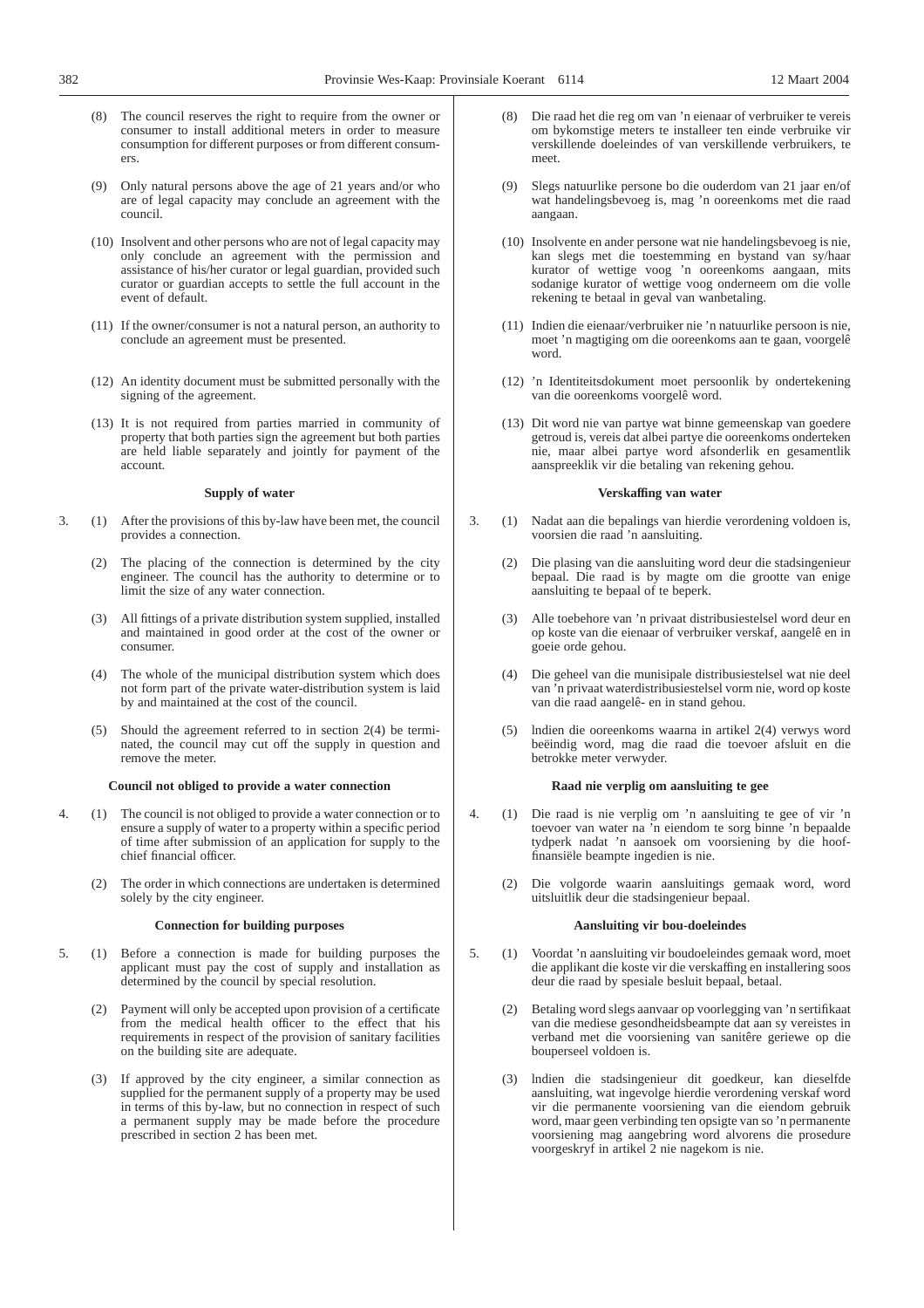- (8) The council reserves the right to require from the owner or consumer to install additional meters in order to measure consumption for different purposes or from different consumers.
- Only natural persons above the age of 21 years and/or who are of legal capacity may conclude an agreement with the council.
- (10) Insolvent and other persons who are not of legal capacity may only conclude an agreement with the permission and assistance of his/her curator or legal guardian, provided such curator or guardian accepts to settle the full account in the event of default.
- (11) If the owner/consumer is not a natural person, an authority to conclude an agreement must be presented.
- (12) An identity document must be submitted personally with the signing of the agreement.
- (13) It is not required from parties married in community of property that both parties sign the agreement but both parties are held liable separately and jointly for payment of the account.

#### **Supply of water**

- 3. (1) After the provisions of this by-law have been met, the council provides a connection.
	- (2) The placing of the connection is determined by the city engineer. The council has the authority to determine or to limit the size of any water connection.
	- (3) All fittings of a private distribution system supplied, installed and maintained in good order at the cost of the owner or consumer.
	- (4) The whole of the municipal distribution system which does not form part of the private water-distribution system is laid by and maintained at the cost of the council.
	- (5) Should the agreement referred to in section 2(4) be terminated, the council may cut off the supply in question and remove the meter.

## **Council not obliged to provide a water connection**

- 4. (1) The council is not obliged to provide a water connection or to ensure a supply of water to a property within a specific period of time after submission of an application for supply to the chief financial officer.
	- (2) The order in which connections are undertaken is determined solely by the city engineer.

## **Connection for building purposes**

- 5. (1) Before a connection is made for building purposes the applicant must pay the cost of supply and installation as determined by the council by special resolution.
	- (2) Payment will only be accepted upon provision of a certificate from the medical health officer to the effect that his requirements in respect of the provision of sanitary facilities on the building site are adequate.
	- (3) If approved by the city engineer, a similar connection as supplied for the permanent supply of a property may be used in terms of this by-law, but no connection in respect of such a permanent supply may be made before the procedure prescribed in section 2 has been met.
- (8) Die raad het die reg om van 'n eienaar of verbruiker te vereis om bykomstige meters te installeer ten einde verbruike vir verskillende doeleindes of van verskillende verbruikers, te meet.
- Slegs natuurlike persone bo die ouderdom van 21 jaar en/of wat handelingsbevoeg is, mag 'n ooreenkoms met die raad aangaan.
- (10) Insolvente en ander persone wat nie handelingsbevoeg is nie, kan slegs met die toestemming en bystand van sy/haar kurator of wettige voog 'n ooreenkoms aangaan, mits sodanige kurator of wettige voog onderneem om die volle rekening te betaal in geval van wanbetaling.
- (11) Indien die eienaar/verbruiker nie 'n natuurlike persoon is nie, moet 'n magtiging om die ooreenkoms aan te gaan, voorgelê word.
- (12) 'n Identiteitsdokument moet persoonlik by ondertekening van die ooreenkoms voorgelê word.
- (13) Dit word nie van partye wat binne gemeenskap van goedere getroud is, vereis dat albei partye die ooreenkoms onderteken nie, maar albei partye word afsonderlik en gesamentlik aanspreeklik vir die betaling van rekening gehou.

#### **Verskaffing van water**

- 3. (1) Nadat aan die bepalings van hierdie verordening voldoen is, voorsien die raad 'n aansluiting.
	- (2) Die plasing van die aansluiting word deur die stadsingenieur bepaal. Die raad is by magte om die grootte van enige aansluiting te bepaal of te beperk.
	- (3) Alle toebehore van 'n privaat distribusiestelsel word deur en op koste van die eienaar of verbruiker verskaf, aangelê en in goeie orde gehou.
	- (4) Die geheel van die munisipale distribusiestelsel wat nie deel van 'n privaat waterdistribusiestelsel vorm nie, word op koste van die raad aangelê- en in stand gehou.
	- (5) lndien die ooreenkoms waarna in artikel 2(4) verwys word beëindig word, mag die raad die toevoer afsluit en die betrokke meter verwyder.

## **Raad nie verplig om aansluiting te gee**

- 4. (1) Die raad is nie verplig om 'n aansluiting te gee of vir 'n toevoer van water na 'n eiendom te sorg binne 'n bepaalde tydperk nadat 'n aansoek om voorsiening by die hooffinansiële beampte ingedien is nie.
	- (2) Die volgorde waarin aansluitings gemaak word, word uitsluitlik deur die stadsingenieur bepaal.

#### **Aansluiting vir bou-doeleindes**

- 5. (1) Voordat 'n aansluiting vir boudoeleindes gemaak word, moet die applikant die koste vir die verskaffing en installering soos deur die raad by spesiale besluit bepaal, betaal.
	- (2) Betaling word slegs aanvaar op voorlegging van 'n sertifikaat van die mediese gesondheidsbeampte dat aan sy vereistes in verband met die voorsiening van sanitêre geriewe op die bouperseel voldoen is.
	- (3) lndien die stadsingenieur dit goedkeur, kan dieselfde aansluiting, wat ingevolge hierdie verordening verskaf word vir die permanente voorsiening van die eiendom gebruik word, maar geen verbinding ten opsigte van so 'n permanente voorsiening mag aangebring word alvorens die prosedure voorgeskryf in artikel 2 nie nagekom is nie.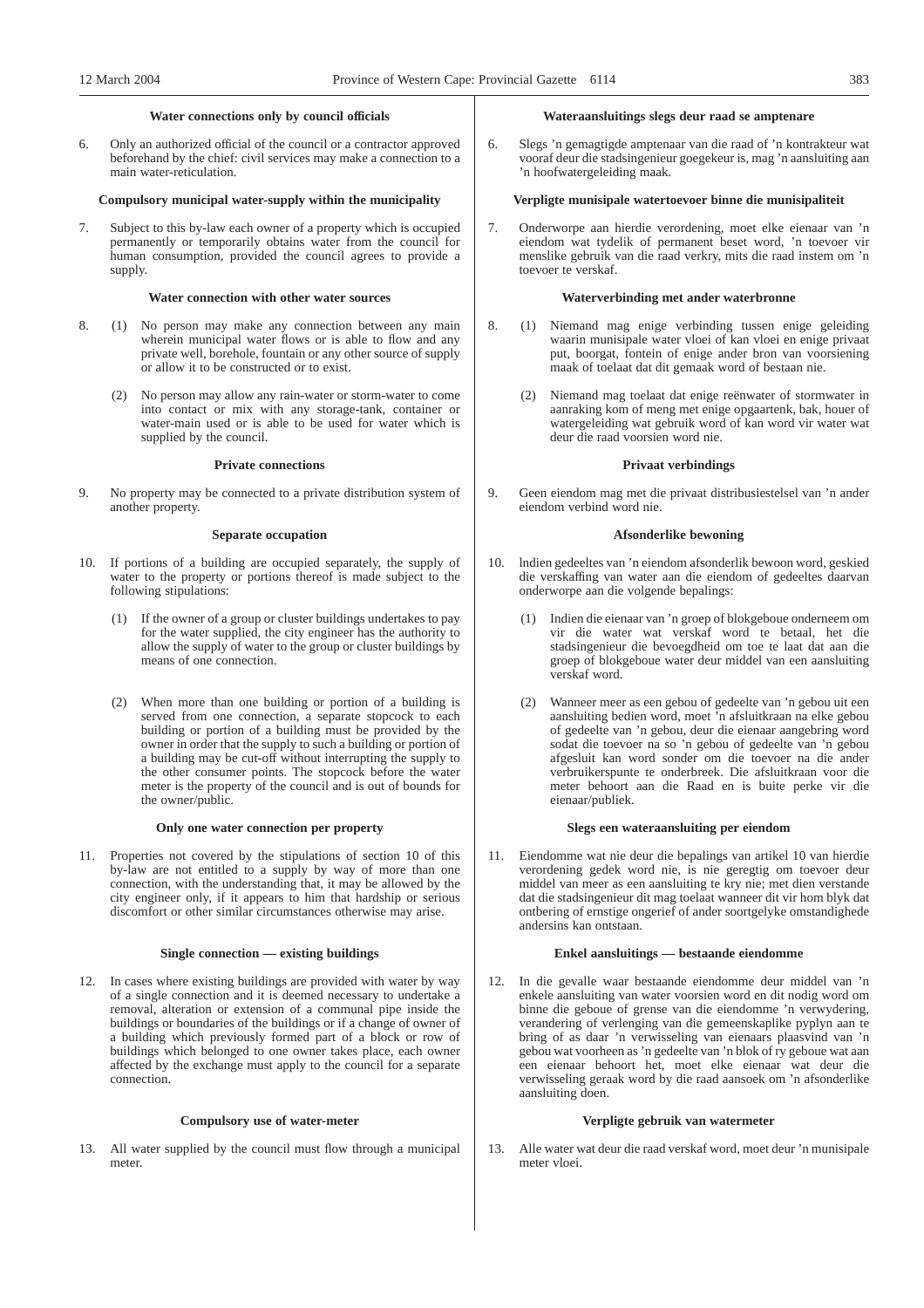#### **Water connections only by council officials**

6. Only an authorized official of the council or a contractor approved beforehand by the chief: civil services may make a connection to a main water-reticulation.

#### **Compulsory municipal water-supply within the municipality**

7. Subject to this by-law each owner of a property which is occupied permanently or temporarily obtains water from the council for human consumption, provided the council agrees to provide a supply.

#### **Water connection with other water sources**

- 8. (1) No person may make any connection between any main wherein municipal water flows or is able to flow and any private well, borehole, fountain or any other source of supply or allow it to be constructed or to exist.
	- (2) No person may allow any rain-water or storm-water to come into contact or mix with any storage-tank, container or water-main used or is able to be used for water which is supplied by the council.

## **Private connections**

9. No property may be connected to a private distribution system of another property.

## **Separate occupation**

- 10. If portions of a building are occupied separately, the supply of water to the property or portions thereof is made subject to the following stipulations:
	- (1) If the owner of a group or cluster buildings undertakes to pay for the water supplied, the city engineer has the authority to allow the supply of water to the group or cluster buildings by means of one connection.
	- (2) When more than one building or portion of a building is served from one connection, a separate stopcock to each building or portion of a building must be provided by the owner in order that the supply to such a building or portion of a building may be cut-off without interrupting the supply to the other consumer points. The stopcock before the water meter is the property of the council and is out of bounds for the owner/public.

#### **Only one water connection per property**

11. Properties not covered by the stipulations of section 10 of this by-law are not entitled to a supply by way of more than one connection, with the understanding that, it may be allowed by the city engineer only, if it appears to him that hardship or serious discomfort or other similar circumstances otherwise may arise.

#### **Single connection — existing buildings**

12. In cases where existing buildings are provided with water by way of a single connection and it is deemed necessary to undertake a removal, alteration or extension of a communal pipe inside the buildings or boundaries of the buildings or if a change of owner of a building which previously formed part of a block or row of buildings which belonged to one owner takes place, each owner affected by the exchange must apply to the council for a separate connection.

#### **Compulsory use of water-meter**

13. All water supplied by the council must flow through a municipal meter.

## **Wateraansluitings slegs deur raad se amptenare**

6. Slegs 'n gemagtigde amptenaar van die raad of 'n kontrakteur wat vooraf deur die stadsingenieur goegekeur is, mag 'n aansluiting aan 'n hoofwatergeleiding maak.

## **Verpligte munisipale watertoevoer binne die munisipaliteit**

7. Onderworpe aan hierdie verordening, moet elke eienaar van 'n eiendom wat tydelik of permanent beset word, 'n toevoer vir menslike gebruik van die raad verkry, mits die raad instem om 'n toevoer te verskaf.

#### **Waterverbinding met ander waterbronne**

- 8. (1) Niemand mag enige verbinding tussen enige geleiding waarin munisipale water vloei of kan vloei en enige privaat put, boorgat, fontein of enige ander bron van voorsiening maak of toelaat dat dit gemaak word of bestaan nie.
	- (2) Niemand mag toelaat dat enige reënwater of stormwater in aanraking kom of meng met enige opgaartenk, bak, houer of watergeleiding wat gebruik word of kan word vir water wat deur die raad voorsien word nie.

## **Privaat verbindings**

9. Geen eiendom mag met die privaat distribusiestelsel van 'n ander eiendom verbind word nie.

## **Afsonderlike bewoning**

- 10. lndien gedeeltes van 'n eiendom afsonderlik bewoon word, geskied die verskaffing van water aan die eiendom of gedeeltes daarvan onderworpe aan die volgende bepalings:
	- (1) Indien die eienaar van 'n groep of blokgeboue onderneem om vir die water wat verskaf word te betaal, het die stadsingenieur die bevoegdheid om toe te laat dat aan die groep of blokgeboue water deur middel van een aansluiting verskaf word.
	- (2) Wanneer meer as een gebou of gedeelte van 'n gebou uit een aansluiting bedien word, moet 'n afsluitkraan na elke gebou of gedeelte van 'n gebou, deur die eienaar aangebring word sodat die toevoer na so 'n gebou of gedeelte van 'n gebou afgesluit kan word sonder om die toevoer na die ander verbruikerspunte te onderbreek. Die afsluitkraan voor die meter behoort aan die Raad en is buite perke vir die eienaar/publiek.

#### **Slegs een wateraansluiting per eiendom**

11. Eiendomme wat nie deur die bepalings van artikel 10 van hierdie verordening gedek word nie, is nie geregtig om toevoer deur middel van meer as een aansluiting te kry nie; met dien verstande dat die stadsingenieur dit mag toelaat wanneer dit vir hom blyk dat ontbering of ernstige ongerief of ander soortgelyke omstandighede andersins kan ontstaan.

#### **Enkel aansluitings — bestaande eiendomme**

12. In die gevalle waar bestaande eiendomme deur middel van 'n enkele aansluiting van water voorsien word en dit nodig word om binne die geboue of grense van die eiendomme 'n verwydering, verandering of verlenging van die gemeenskaplike pyplyn aan te bring of as daar 'n verwisseling van eienaars plaasvind van 'n gebou wat voorheen as 'n gedeelte van 'n blok of ry geboue wat aan een eienaar behoort het, moet elke eienaar wat deur die verwisseling geraak word by die raad aansoek om 'n afsonderlike aansluiting doen.

#### **Verpligte gebruik van watermeter**

13. Alle water wat deur die raad verskaf word, moet deur 'n munisipale meter vloei.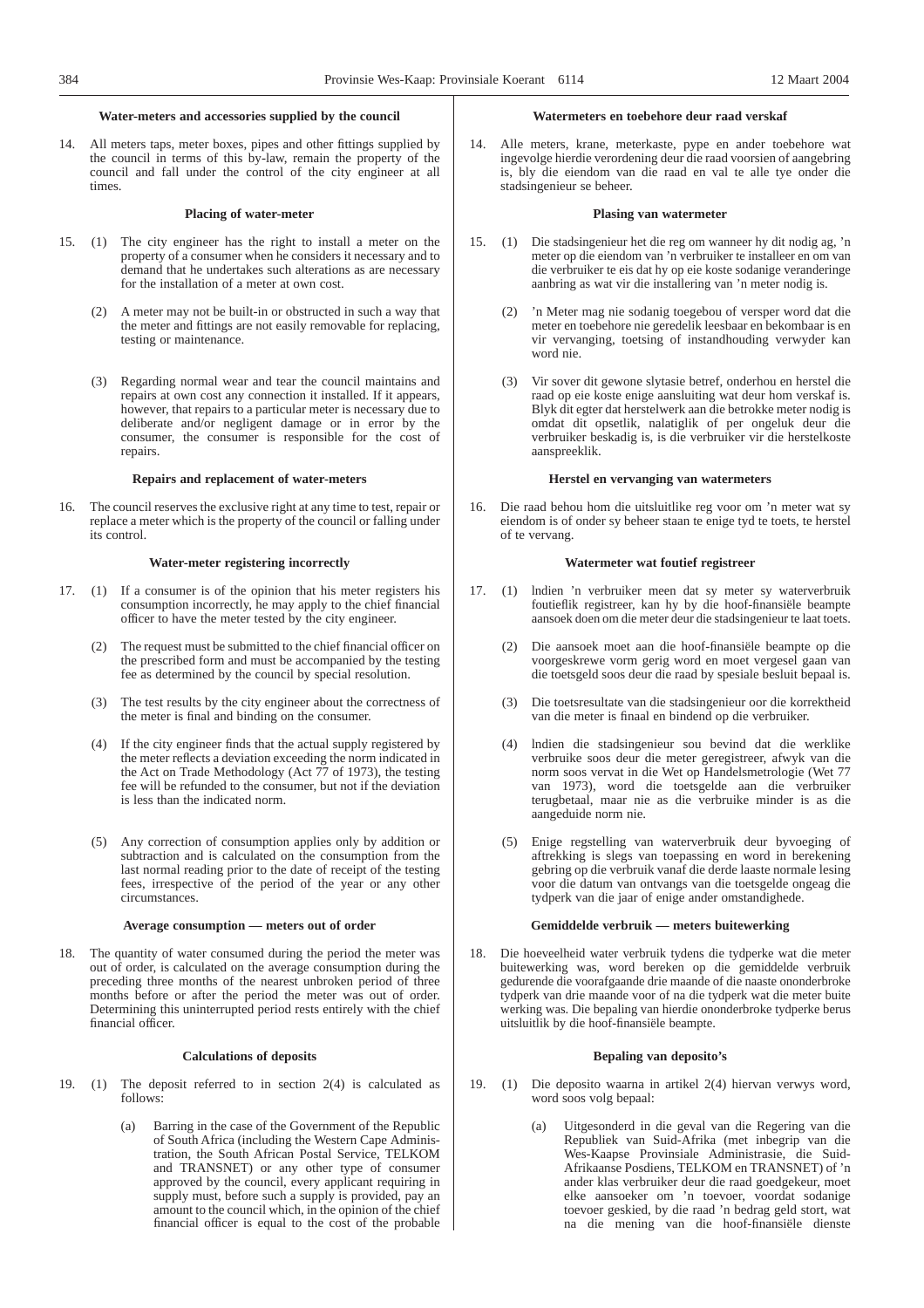## **Water-meters and accessories supplied by the council**

14. All meters taps, meter boxes, pipes and other fittings supplied by the council in terms of this by-law, remain the property of the council and fall under the control of the city engineer at all times.

## **Placing of water-meter**

- 15. (1) The city engineer has the right to install a meter on the property of a consumer when he considers it necessary and to demand that he undertakes such alterations as are necessary for the installation of a meter at own cost.
	- (2) A meter may not be built-in or obstructed in such a way that the meter and fittings are not easily removable for replacing, testing or maintenance.
	- (3) Regarding normal wear and tear the council maintains and repairs at own cost any connection it installed. If it appears, however, that repairs to a particular meter is necessary due to deliberate and/or negligent damage or in error by the consumer, the consumer is responsible for the cost of repairs.

#### **Repairs and replacement of water-meters**

16. The council reserves the exclusive right at any time to test, repair or replace a meter which is the property of the council or falling under its control.

#### **Water-meter registering incorrectly**

- 17. (1) If a consumer is of the opinion that his meter registers his consumption incorrectly, he may apply to the chief financial officer to have the meter tested by the city engineer.
	- (2) The request must be submitted to the chief financial officer on the prescribed form and must be accompanied by the testing fee as determined by the council by special resolution.
	- (3) The test results by the city engineer about the correctness of the meter is final and binding on the consumer.
	- If the city engineer finds that the actual supply registered by the meter reflects a deviation exceeding the norm indicated in the Act on Trade Methodology (Act 77 of 1973), the testing fee will be refunded to the consumer, but not if the deviation is less than the indicated norm.
	- (5) Any correction of consumption applies only by addition or subtraction and is calculated on the consumption from the last normal reading prior to the date of receipt of the testing fees, irrespective of the period of the year or any other circumstances.

#### **Average consumption — meters out of order**

18. The quantity of water consumed during the period the meter was out of order, is calculated on the average consumption during the preceding three months of the nearest unbroken period of three months before or after the period the meter was out of order. Determining this uninterrupted period rests entirely with the chief financial officer.

#### **Calculations of deposits**

- 19. (1) The deposit referred to in section 2(4) is calculated as follows:
	- (a) Barring in the case of the Government of the Republic of South Africa (including the Western Cape Administration, the South African Postal Service, TELKOM and TRANSNET) or any other type of consumer approved by the council, every applicant requiring in supply must, before such a supply is provided, pay an amount to the council which, in the opinion of the chief financial officer is equal to the cost of the probable

#### **Watermeters en toebehore deur raad verskaf**

14. Alle meters, krane, meterkaste, pype en ander toebehore wat ingevolge hierdie verordening deur die raad voorsien of aangebring is, bly die eiendom van die raad en val te alle tye onder die stadsingenieur se beheer.

## **Plasing van watermeter**

- 15. (1) Die stadsingenieur het die reg om wanneer hy dit nodig ag, 'n meter op die eiendom van 'n verbruiker te installeer en om van die verbruiker te eis dat hy op eie koste sodanige veranderinge aanbring as wat vir die installering van 'n meter nodig is.
	- 'n Meter mag nie sodanig toegebou of versper word dat die meter en toebehore nie geredelik leesbaar en bekombaar is en vir vervanging, toetsing of instandhouding verwyder kan word nie.
	- (3) Vir sover dit gewone slytasie betref, onderhou en herstel die raad op eie koste enige aansluiting wat deur hom verskaf is. Blyk dit egter dat herstelwerk aan die betrokke meter nodig is omdat dit opsetlik, nalatiglik of per ongeluk deur die verbruiker beskadig is, is die verbruiker vir die herstelkoste aanspreeklik.

#### **Herstel en vervanging van watermeters**

16. Die raad behou hom die uitsluitlike reg voor om 'n meter wat sy eiendom is of onder sy beheer staan te enige tyd te toets, te herstel of te vervang.

#### **Watermeter wat foutief registreer**

- 17. (1) lndien 'n verbruiker meen dat sy meter sy waterverbruik foutieflik registreer, kan hy by die hoof-finansiële beampte aansoek doen om die meter deur die stadsingenieur te laat toets.
	- (2) Die aansoek moet aan die hoof-finansiële beampte op die voorgeskrewe vorm gerig word en moet vergesel gaan van die toetsgeld soos deur die raad by spesiale besluit bepaal is.
	- (3) Die toetsresultate van die stadsingenieur oor die korrektheid van die meter is finaal en bindend op die verbruiker.
	- (4) lndien die stadsingenieur sou bevind dat die werklike verbruike soos deur die meter geregistreer, afwyk van die norm soos vervat in die Wet op Handelsmetrologie (Wet 77 van 1973), word die toetsgelde aan die verbruiker terugbetaal, maar nie as die verbruike minder is as die aangeduide norm nie.
	- (5) Enige regstelling van waterverbruik deur byvoeging of aftrekking is slegs van toepassing en word in berekening gebring op die verbruik vanaf die derde laaste normale lesing voor die datum van ontvangs van die toetsgelde ongeag die tydperk van die jaar of enige ander omstandighede.

#### **Gemiddelde verbruik — meters buitewerking**

18. Die hoeveelheid water verbruik tydens die tydperke wat die meter buitewerking was, word bereken op die gemiddelde verbruik gedurende die voorafgaande drie maande of die naaste ononderbroke tydperk van drie maande voor of na die tydperk wat die meter buite werking was. Die bepaling van hierdie ononderbroke tydperke berus uitsluitlik by die hoof-finansiële beampte.

#### **Bepaling van deposito's**

- 19. (1) Die deposito waarna in artikel 2(4) hiervan verwys word, word soos volg bepaal:
	- (a) Uitgesonderd in die geval van die Regering van die Republiek van Suid-Afrika (met inbegrip van die Wes-Kaapse Provinsiale Administrasie, die Suid-Afrikaanse Posdiens, TELKOM en TRANSNET) of 'n ander klas verbruiker deur die raad goedgekeur, moet elke aansoeker om 'n toevoer, voordat sodanige toevoer geskied, by die raad 'n bedrag geld stort, wat na die mening van die hoof-finansiële dienste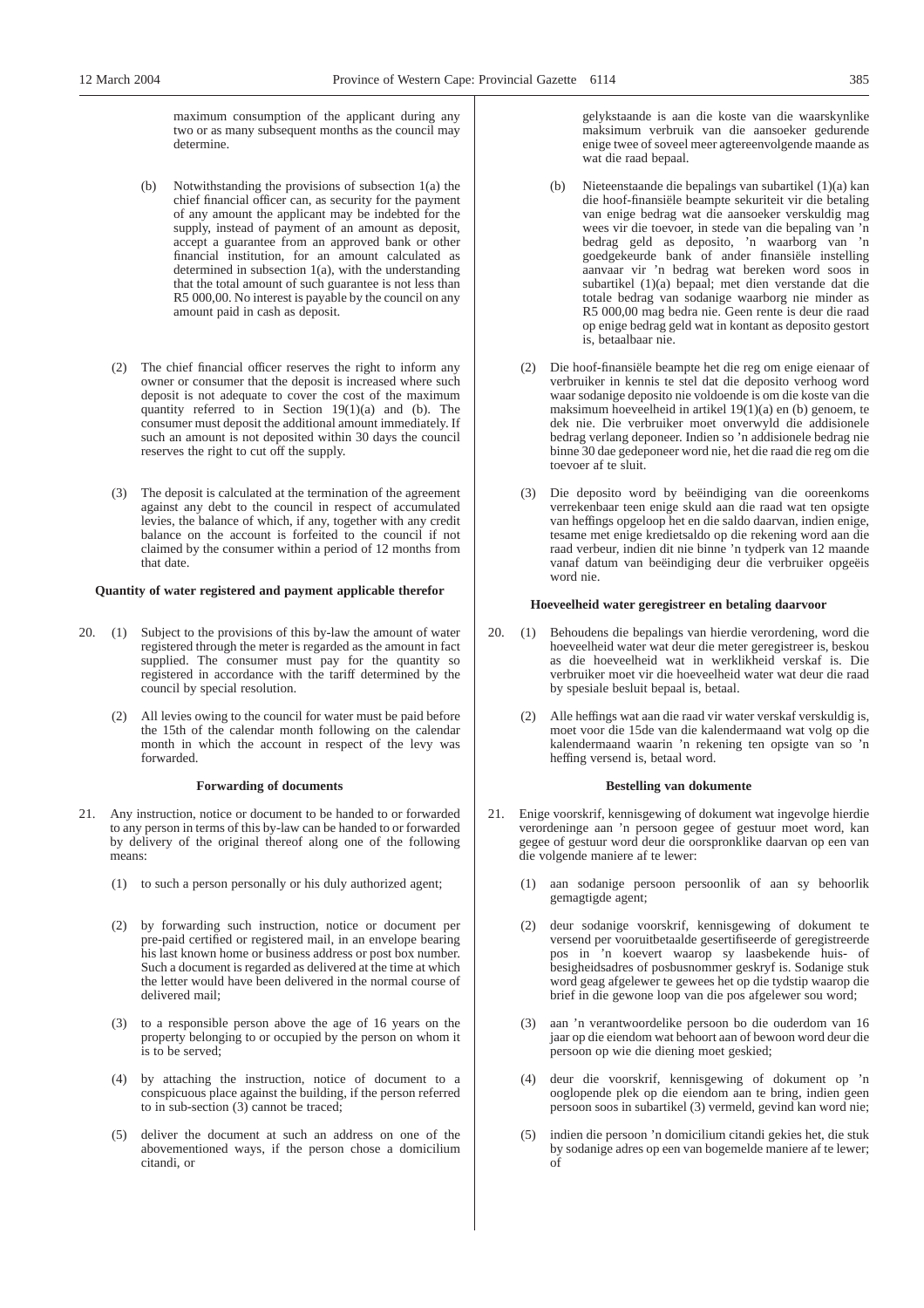maximum consumption of the applicant during any two or as many subsequent months as the council may determine.

- Notwithstanding the provisions of subsection  $1(a)$  the chief financial officer can, as security for the payment of any amount the applicant may be indebted for the supply, instead of payment of an amount as deposit, accept a guarantee from an approved bank or other financial institution, for an amount calculated as determined in subsection 1(a), with the understanding that the total amount of such guarantee is not less than R5 000,00. No interest is payable by the council on any amount paid in cash as deposit.
- (2) The chief financial officer reserves the right to inform any owner or consumer that the deposit is increased where such deposit is not adequate to cover the cost of the maximum quantity referred to in Section 19(1)(a) and (b). The consumer must deposit the additional amount immediately. If such an amount is not deposited within 30 days the council reserves the right to cut off the supply.
- (3) The deposit is calculated at the termination of the agreement against any debt to the council in respect of accumulated levies, the balance of which, if any, together with any credit balance on the account is forfeited to the council if not claimed by the consumer within a period of 12 months from that date.

#### **Quantity of water registered and payment applicable therefor**

- 20. (1) Subject to the provisions of this by-law the amount of water registered through the meter is regarded as the amount in fact supplied. The consumer must pay for the quantity so registered in accordance with the tariff determined by the council by special resolution.
	- (2) All levies owing to the council for water must be paid before the 15th of the calendar month following on the calendar month in which the account in respect of the levy was forwarded.

#### **Forwarding of documents**

- 21. Any instruction, notice or document to be handed to or forwarded to any person in terms of this by-law can be handed to or forwarded by delivery of the original thereof along one of the following means:
	- (1) to such a person personally or his duly authorized agent;
	- (2) by forwarding such instruction, notice or document per pre-paid certified or registered mail, in an envelope bearing his last known home or business address or post box number. Such a document is regarded as delivered at the time at which the letter would have been delivered in the normal course of delivered mail;
	- (3) to a responsible person above the age of 16 years on the property belonging to or occupied by the person on whom it is to be served;
	- (4) by attaching the instruction, notice of document to a conspicuous place against the building, if the person referred to in sub-section (3) cannot be traced;
	- (5) deliver the document at such an address on one of the abovementioned ways, if the person chose a domicilium citandi, or

gelykstaande is aan die koste van die waarskynlike maksimum verbruik van die aansoeker gedurende enige twee of soveel meer agtereenvolgende maande as wat die raad bepaal.

- Nieteenstaande die bepalings van subartikel (1)(a) kan die hoof-finansiële beampte sekuriteit vir die betaling van enige bedrag wat die aansoeker verskuldig mag wees vir die toevoer, in stede van die bepaling van 'n bedrag geld as deposito, 'n waarborg van 'n goedgekeurde bank of ander finansiële instelling aanvaar vir 'n bedrag wat bereken word soos in subartikel (1)(a) bepaal; met dien verstande dat die totale bedrag van sodanige waarborg nie minder as R5 000,00 mag bedra nie. Geen rente is deur die raad op enige bedrag geld wat in kontant as deposito gestort is, betaalbaar nie.
- (2) Die hoof-finansiële beampte het die reg om enige eienaar of verbruiker in kennis te stel dat die deposito verhoog word waar sodanige deposito nie voldoende is om die koste van die maksimum hoeveelheid in artikel 19(1)(a) en (b) genoem, te dek nie. Die verbruiker moet onverwyld die addisionele bedrag verlang deponeer. Indien so 'n addisionele bedrag nie binne 30 dae gedeponeer word nie, het die raad die reg om die toevoer af te sluit.
- (3) Die deposito word by beëindiging van die ooreenkoms verrekenbaar teen enige skuld aan die raad wat ten opsigte van heffings opgeloop het en die saldo daarvan, indien enige, tesame met enige kredietsaldo op die rekening word aan die raad verbeur, indien dit nie binne 'n tydperk van 12 maande vanaf datum van beëindiging deur die verbruiker opgeëis word nie.

#### **Hoeveelheid water geregistreer en betaling daarvoor**

- 20. (1) Behoudens die bepalings van hierdie verordening, word die hoeveelheid water wat deur die meter geregistreer is, beskou as die hoeveelheid wat in werklikheid verskaf is. Die verbruiker moet vir die hoeveelheid water wat deur die raad by spesiale besluit bepaal is, betaal.
	- (2) Alle heffings wat aan die raad vir water verskaf verskuldig is, moet voor die 15de van die kalendermaand wat volg op die kalendermaand waarin 'n rekening ten opsigte van so 'n heffing versend is, betaal word.

## **Bestelling van dokumente**

- 21. Enige voorskrif, kennisgewing of dokument wat ingevolge hierdie verordeninge aan 'n persoon gegee of gestuur moet word, kan gegee of gestuur word deur die oorspronklike daarvan op een van die volgende maniere af te lewer:
	- (1) aan sodanige persoon persoonlik of aan sy behoorlik gemagtigde agent;
	- (2) deur sodanige voorskrif, kennisgewing of dokument te versend per vooruitbetaalde gesertifiseerde of geregistreerde pos in 'n koevert waarop sy laasbekende huis- of besigheidsadres of posbusnommer geskryf is. Sodanige stuk word geag afgelewer te gewees het op die tydstip waarop die brief in die gewone loop van die pos afgelewer sou word;
	- (3) aan 'n verantwoordelike persoon bo die ouderdom van 16 jaar op die eiendom wat behoort aan of bewoon word deur die persoon op wie die diening moet geskied;
	- (4) deur die voorskrif, kennisgewing of dokument op 'n ooglopende plek op die eiendom aan te bring, indien geen persoon soos in subartikel (3) vermeld, gevind kan word nie;
	- (5) indien die persoon 'n domicilium citandi gekies het, die stuk by sodanige adres op een van bogemelde maniere af te lewer; of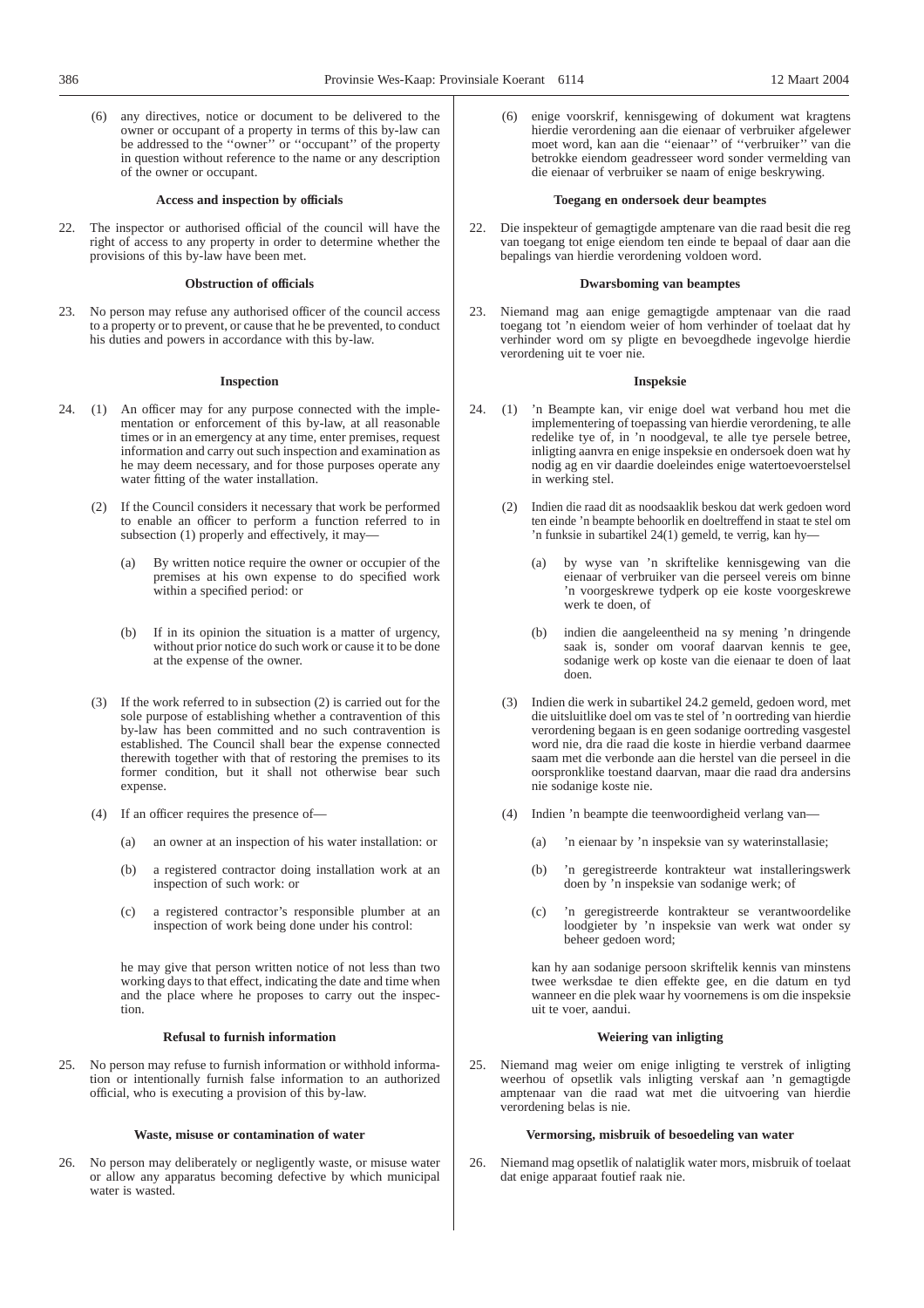(6) any directives, notice or document to be delivered to the owner or occupant of a property in terms of this by-law can be addressed to the ''owner'' or ''occupant'' of the property in question without reference to the name or any description of the owner or occupant.

#### **Access and inspection by officials**

22. The inspector or authorised official of the council will have the right of access to any property in order to determine whether the provisions of this by-law have been met.

#### **Obstruction of officials**

23. No person may refuse any authorised officer of the council access to a property or to prevent, or cause that he be prevented, to conduct his duties and powers in accordance with this by-law.

#### **Inspection**

- 24. (1) An officer may for any purpose connected with the implementation or enforcement of this by-law, at all reasonable times or in an emergency at any time, enter premises, request information and carry out such inspection and examination as he may deem necessary, and for those purposes operate any water fitting of the water installation.
	- (2) If the Council considers it necessary that work be performed to enable an officer to perform a function referred to in subsection (1) properly and effectively, it may-
		- (a) By written notice require the owner or occupier of the premises at his own expense to do specified work within a specified period: or
		- (b) If in its opinion the situation is a matter of urgency, without prior notice do such work or cause it to be done at the expense of the owner.
	- (3) If the work referred to in subsection (2) is carried out for the sole purpose of establishing whether a contravention of this by-law has been committed and no such contravention is established. The Council shall bear the expense connected therewith together with that of restoring the premises to its former condition, but it shall not otherwise bear such expense.
	- (4) If an officer requires the presence of—
		- (a) an owner at an inspection of his water installation: or
		- (b) a registered contractor doing installation work at an inspection of such work: or
		- (c) a registered contractor's responsible plumber at an inspection of work being done under his control:

he may give that person written notice of not less than two working days to that effect, indicating the date and time when and the place where he proposes to carry out the inspection.

#### **Refusal to furnish information**

25. No person may refuse to furnish information or withhold information or intentionally furnish false information to an authorized official, who is executing a provision of this by-law.

## **Waste, misuse or contamination of water**

26. No person may deliberately or negligently waste, or misuse water or allow any apparatus becoming defective by which municipal water is wasted.

enige voorskrif, kennisgewing of dokument wat kragtens hierdie verordening aan die eienaar of verbruiker afgelewer moet word, kan aan die ''eienaar'' of ''verbruiker'' van die betrokke eiendom geadresseer word sonder vermelding van die eienaar of verbruiker se naam of enige beskrywing.

#### **Toegang en ondersoek deur beamptes**

22. Die inspekteur of gemagtigde amptenare van die raad besit die reg van toegang tot enige eiendom ten einde te bepaal of daar aan die bepalings van hierdie verordening voldoen word.

#### **Dwarsboming van beamptes**

23. Niemand mag aan enige gemagtigde amptenaar van die raad toegang tot 'n eiendom weier of hom verhinder of toelaat dat hy verhinder word om sy pligte en bevoegdhede ingevolge hierdie verordening uit te voer nie.

## **Inspeksie**

- 24. (1) 'n Beampte kan, vir enige doel wat verband hou met die implementering of toepassing van hierdie verordening, te alle redelike tye of, in 'n noodgeval, te alle tye persele betree, inligting aanvra en enige inspeksie en ondersoek doen wat hy nodig ag en vir daardie doeleindes enige watertoevoerstelsel in werking stel.
	- (2) Indien die raad dit as noodsaaklik beskou dat werk gedoen word ten einde 'n beampte behoorlik en doeltreffend in staat te stel om 'n funksie in subartikel 24(1) gemeld, te verrig, kan hy—
		- (a) by wyse van 'n skriftelike kennisgewing van die eienaar of verbruiker van die perseel vereis om binne 'n voorgeskrewe tydperk op eie koste voorgeskrewe werk te doen, of
		- (b) indien die aangeleentheid na sy mening 'n dringende saak is, sonder om vooraf daarvan kennis te gee, sodanige werk op koste van die eienaar te doen of laat doen.
	- (3) Indien die werk in subartikel 24.2 gemeld, gedoen word, met die uitsluitlike doel om vas te stel of 'n oortreding van hierdie verordening begaan is en geen sodanige oortreding vasgestel word nie, dra die raad die koste in hierdie verband daarmee saam met die verbonde aan die herstel van die perseel in die oorspronklike toestand daarvan, maar die raad dra andersins nie sodanige koste nie.
	- (4) Indien 'n beampte die teenwoordigheid verlang van—
		- (a) 'n eienaar by 'n inspeksie van sy waterinstallasie;
		- (b) 'n geregistreerde kontrakteur wat installeringswerk doen by 'n inspeksie van sodanige werk; of
		- (c) 'n geregistreerde kontrakteur se verantwoordelike loodgieter by 'n inspeksie van werk wat onder sy beheer gedoen word;

kan hy aan sodanige persoon skriftelik kennis van minstens twee werksdae te dien effekte gee, en die datum en tyd wanneer en die plek waar hy voornemens is om die inspeksie uit te voer, aandui.

#### **Weiering van inligting**

25. Niemand mag weier om enige inligting te verstrek of inligting weerhou of opsetlik vals inligting verskaf aan 'n gemagtigde amptenaar van die raad wat met die uitvoering van hierdie verordening belas is nie.

#### **Vermorsing, misbruik of besoedeling van water**

26. Niemand mag opsetlik of nalatiglik water mors, misbruik of toelaat dat enige apparaat foutief raak nie.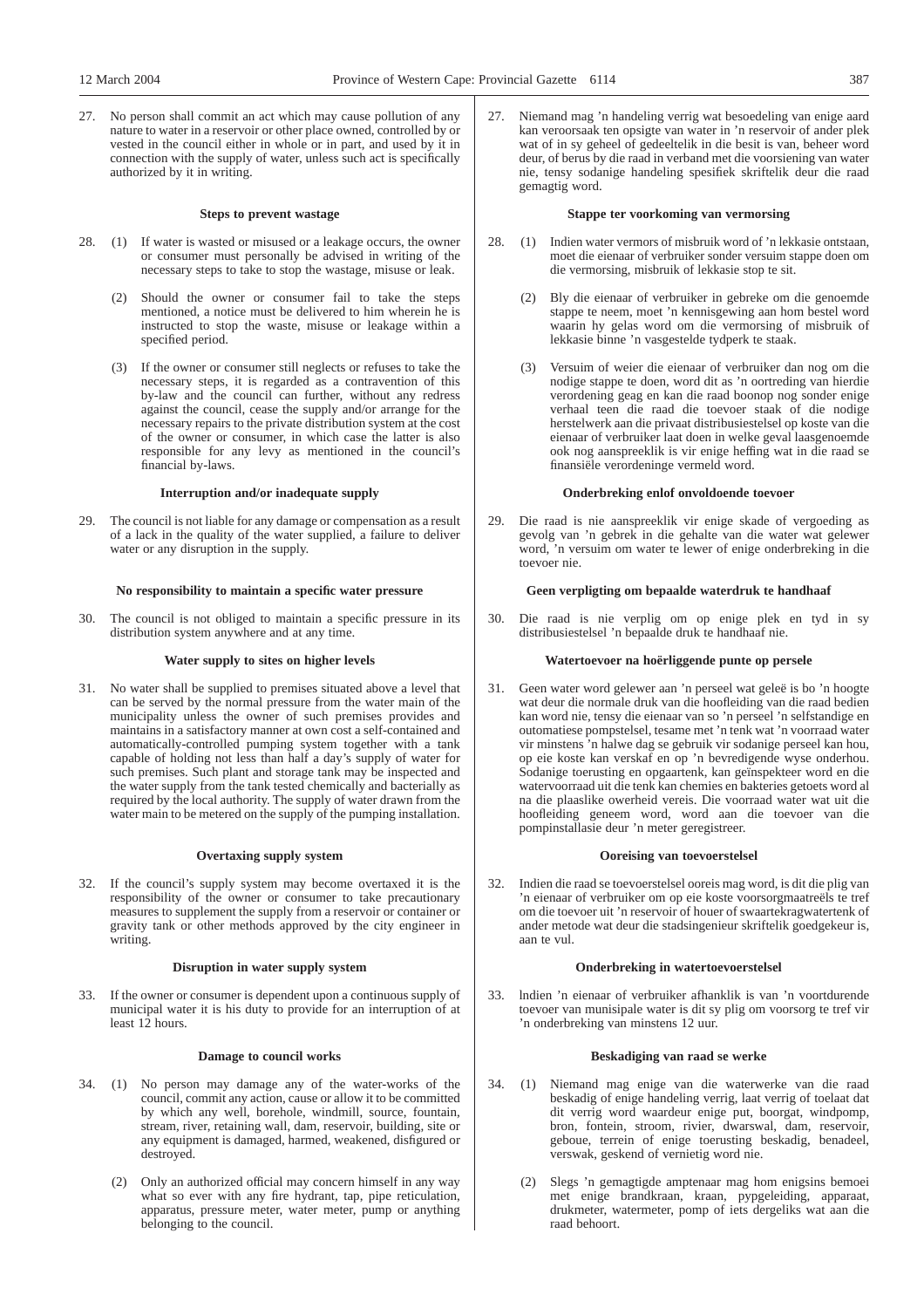27. No person shall commit an act which may cause pollution of any nature to water in a reservoir or other place owned, controlled by or vested in the council either in whole or in part, and used by it in connection with the supply of water, unless such act is specifically authorized by it in writing.

#### **Steps to prevent wastage**

- 28. (1) If water is wasted or misused or a leakage occurs, the owner or consumer must personally be advised in writing of the necessary steps to take to stop the wastage, misuse or leak.
	- (2) Should the owner or consumer fail to take the steps mentioned, a notice must be delivered to him wherein he is instructed to stop the waste, misuse or leakage within a specified period.
	- (3) If the owner or consumer still neglects or refuses to take the necessary steps, it is regarded as a contravention of this by-law and the council can further, without any redress against the council, cease the supply and/or arrange for the necessary repairs to the private distribution system at the cost of the owner or consumer, in which case the latter is also responsible for any levy as mentioned in the council's financial by-laws.

#### **Interruption and/or inadequate supply**

29. The council is not liable for any damage or compensation as a result of a lack in the quality of the water supplied, a failure to deliver water or any disruption in the supply.

## **No responsibility to maintain a specific water pressure**

30. The council is not obliged to maintain a specific pressure in its distribution system anywhere and at any time.

#### **Water supply to sites on higher levels**

31. No water shall be supplied to premises situated above a level that can be served by the normal pressure from the water main of the municipality unless the owner of such premises provides and maintains in a satisfactory manner at own cost a self-contained and automatically-controlled pumping system together with a tank capable of holding not less than half a day's supply of water for such premises. Such plant and storage tank may be inspected and the water supply from the tank tested chemically and bacterially as required by the local authority. The supply of water drawn from the water main to be metered on the supply of the pumping installation.

## **Overtaxing supply system**

32. If the council's supply system may become overtaxed it is the responsibility of the owner or consumer to take precautionary measures to supplement the supply from a reservoir or container or gravity tank or other methods approved by the city engineer in writing.

#### **Disruption in water supply system**

33. If the owner or consumer is dependent upon a continuous supply of municipal water it is his duty to provide for an interruption of at least 12 hours.

#### **Damage to council works**

- 34. (1) No person may damage any of the water-works of the council, commit any action, cause or allow it to be committed by which any well, borehole, windmill, source, fountain, stream, river, retaining wall, dam, reservoir, building, site or any equipment is damaged, harmed, weakened, disfigured or destroyed.
	- (2) Only an authorized official may concern himself in any way what so ever with any fire hydrant, tap, pipe reticulation, apparatus, pressure meter, water meter, pump or anything belonging to the council.

Niemand mag 'n handeling verrig wat besoedeling van enige aard kan veroorsaak ten opsigte van water in 'n reservoir of ander plek wat of in sy geheel of gedeeltelik in die besit is van, beheer word deur, of berus by die raad in verband met die voorsiening van water nie, tensy sodanige handeling spesifiek skriftelik deur die raad gemagtig word.

#### **Stappe ter voorkoming van vermorsing**

- 28. (1) Indien water vermors of misbruik word of 'n lekkasie ontstaan, moet die eienaar of verbruiker sonder versuim stappe doen om die vermorsing, misbruik of lekkasie stop te sit.
	- (2) Bly die eienaar of verbruiker in gebreke om die genoemde stappe te neem, moet 'n kennisgewing aan hom bestel word waarin hy gelas word om die vermorsing of misbruik of lekkasie binne 'n vasgestelde tydperk te staak.
	- (3) Versuim of weier die eienaar of verbruiker dan nog om die nodige stappe te doen, word dit as 'n oortreding van hierdie verordening geag en kan die raad boonop nog sonder enige verhaal teen die raad die toevoer staak of die nodige herstelwerk aan die privaat distribusiestelsel op koste van die eienaar of verbruiker laat doen in welke geval laasgenoemde ook nog aanspreeklik is vir enige heffing wat in die raad se finansiële verordeninge vermeld word.

#### **Onderbreking enlof onvoldoende toevoer**

29. Die raad is nie aanspreeklik vir enige skade of vergoeding as gevolg van 'n gebrek in die gehalte van die water wat gelewer word, 'n versuim om water te lewer of enige onderbreking in die toevoer nie.

#### **Geen verpligting om bepaalde waterdruk te handhaaf**

30. Die raad is nie verplig om op enige plek en tyd in sy distribusiestelsel 'n bepaalde druk te handhaaf nie.

#### **Watertoevoer na hoërliggende punte op persele**

31. Geen water word gelewer aan 'n perseel wat geleë is bo 'n hoogte wat deur die normale druk van die hoofleiding van die raad bedien kan word nie, tensy die eienaar van so 'n perseel 'n selfstandige en outomatiese pompstelsel, tesame met 'n tenk wat 'n voorraad water vir minstens 'n halwe dag se gebruik vir sodanige perseel kan hou, op eie koste kan verskaf en op 'n bevredigende wyse onderhou. Sodanige toerusting en opgaartenk, kan geïnspekteer word en die watervoorraad uit die tenk kan chemies en bakteries getoets word al na die plaaslike owerheid vereis. Die voorraad water wat uit die hoofleiding geneem word, word aan die toevoer van die pompinstallasie deur 'n meter geregistreer.

#### **Ooreising van toevoerstelsel**

32. Indien die raad se toevoerstelsel ooreis mag word, is dit die plig van 'n eienaar of verbruiker om op eie koste voorsorgmaatreëls te tref om die toevoer uit 'n reservoir of houer of swaartekragwatertenk of ander metode wat deur die stadsingenieur skriftelik goedgekeur is, aan te vul.

#### **Onderbreking in watertoevoerstelsel**

33. lndien 'n eienaar of verbruiker afhanklik is van 'n voortdurende toevoer van munisipale water is dit sy plig om voorsorg te tref vir 'n onderbreking van minstens 12 uur.

#### **Beskadiging van raad se werke**

- 34. (1) Niemand mag enige van die waterwerke van die raad beskadig of enige handeling verrig, laat verrig of toelaat dat dit verrig word waardeur enige put, boorgat, windpomp, bron, fontein, stroom, rivier, dwarswal, dam, reservoir, geboue, terrein of enige toerusting beskadig, benadeel, verswak, geskend of vernietig word nie.
	- (2) Slegs 'n gemagtigde amptenaar mag hom enigsins bemoei met enige brandkraan, kraan, pypgeleiding, apparaat, drukmeter, watermeter, pomp of iets dergeliks wat aan die raad behoort.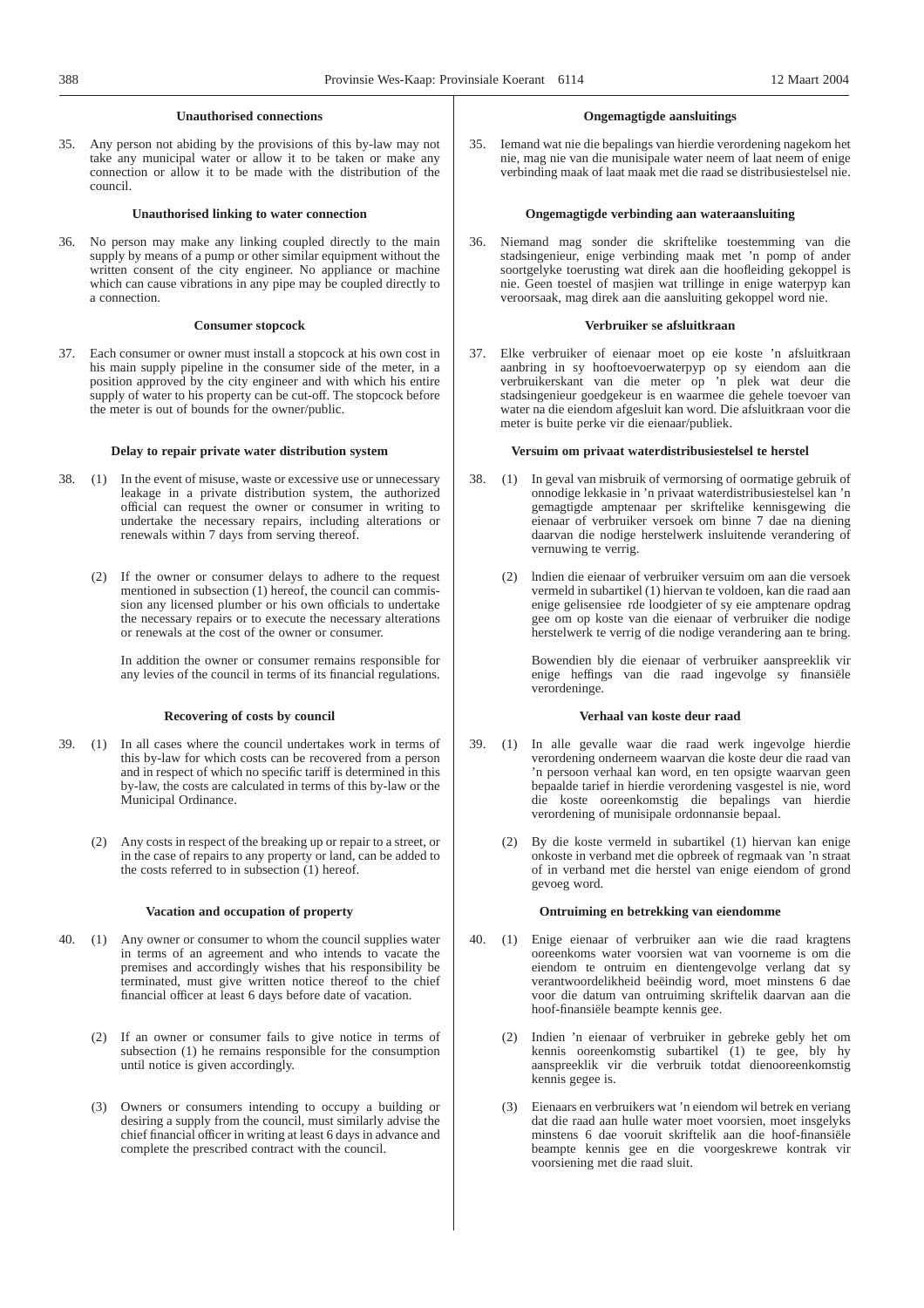## **Unauthorised connections**

35. Any person not abiding by the provisions of this by-law may not take any municipal water or allow it to be taken or make any connection or allow it to be made with the distribution of the council.

## **Unauthorised linking to water connection**

36. No person may make any linking coupled directly to the main supply by means of a pump or other similar equipment without the written consent of the city engineer. No appliance or machine which can cause vibrations in any pipe may be coupled directly to a connection.

#### **Consumer stopcock**

37. Each consumer or owner must install a stopcock at his own cost in his main supply pipeline in the consumer side of the meter, in a position approved by the city engineer and with which his entire supply of water to his property can be cut-off. The stopcock before the meter is out of bounds for the owner/public.

#### **Delay to repair private water distribution system**

- 38. (1) In the event of misuse, waste or excessive use or unnecessary leakage in a private distribution system, the authorized official can request the owner or consumer in writing to undertake the necessary repairs, including alterations or renewals within 7 days from serving thereof.
	- (2) If the owner or consumer delays to adhere to the request mentioned in subsection (1) hereof, the council can commission any licensed plumber or his own officials to undertake the necessary repairs or to execute the necessary alterations or renewals at the cost of the owner or consumer.

In addition the owner or consumer remains responsible for any levies of the council in terms of its financial regulations.

#### **Recovering of costs by council**

- 39. (1) In all cases where the council undertakes work in terms of this by-law for which costs can be recovered from a person and in respect of which no specific tariff is determined in this by-law, the costs are calculated in terms of this by-law or the Municipal Ordinance.
	- (2) Any costs in respect of the breaking up or repair to a street, or in the case of repairs to any property or land, can be added to the costs referred to in subsection (1) hereof.

#### **Vacation and occupation of property**

- 40. (1) Any owner or consumer to whom the council supplies water in terms of an agreement and who intends to vacate the premises and accordingly wishes that his responsibility be terminated, must give written notice thereof to the chief financial officer at least 6 days before date of vacation.
	- (2) If an owner or consumer fails to give notice in terms of subsection (1) he remains responsible for the consumption until notice is given accordingly.
	- (3) Owners or consumers intending to occupy a building or desiring a supply from the council, must similarly advise the chief financial officer in writing at least 6 days in advance and complete the prescribed contract with the council.

#### **Ongemagtigde aansluitings**

35. Iemand wat nie die bepalings van hierdie verordening nagekom het nie, mag nie van die munisipale water neem of laat neem of enige verbinding maak of laat maak met die raad se distribusiestelsel nie.

## **Ongemagtigde verbinding aan wateraansluiting**

36. Niemand mag sonder die skriftelike toestemming van die stadsingenieur, enige verbinding maak met 'n pomp of ander soortgelyke toerusting wat direk aan die hoofleiding gekoppel is nie. Geen toestel of masjien wat trillinge in enige waterpyp kan veroorsaak, mag direk aan die aansluiting gekoppel word nie.

#### **Verbruiker se afsluitkraan**

37. Elke verbruiker of eienaar moet op eie koste 'n afsluitkraan aanbring in sy hooftoevoerwaterpyp op sy eiendom aan die verbruikerskant van die meter op 'n plek wat deur die stadsingenieur goedgekeur is en waarmee die gehele toevoer van water na die eiendom afgesluit kan word. Die afsluitkraan voor die meter is buite perke vir die eienaar/publiek.

#### **Versuim om privaat waterdistribusiestelsel te herstel**

- 38. (1) In geval van misbruik of vermorsing of oormatige gebruik of onnodige lekkasie in 'n privaat waterdistribusiestelsel kan 'n gemagtigde amptenaar per skriftelike kennisgewing die eienaar of verbruiker versoek om binne 7 dae na diening daarvan die nodige herstelwerk insluitende verandering of vernuwing te verrig.
	- (2) lndien die eienaar of verbruiker versuim om aan die versoek vermeld in subartikel (1) hiervan te voldoen, kan die raad aan enige gelisensiee rde loodgieter of sy eie amptenare opdrag gee om op koste van die eienaar of verbruiker die nodige herstelwerk te verrig of die nodige verandering aan te bring.

Bowendien bly die eienaar of verbruiker aanspreeklik vir enige heffings van die raad ingevolge sy finansiële verordeninge.

#### **Verhaal van koste deur raad**

- 39. (1) In alle gevalle waar die raad werk ingevolge hierdie verordening onderneem waarvan die koste deur die raad van 'n persoon verhaal kan word, en ten opsigte waarvan geen bepaalde tarief in hierdie verordening vasgestel is nie, word die koste ooreenkomstig die bepalings van hierdie verordening of munisipale ordonnansie bepaal.
	- (2) By die koste vermeld in subartikel (1) hiervan kan enige onkoste in verband met die opbreek of regmaak van 'n straat of in verband met die herstel van enige eiendom of grond gevoeg word.

#### **Ontruiming en betrekking van eiendomme**

- 40. (1) Enige eienaar of verbruiker aan wie die raad kragtens ooreenkoms water voorsien wat van voorneme is om die eiendom te ontruim en dientengevolge verlang dat sy verantwoordelikheid beëindig word, moet minstens 6 dae voor die datum van ontruiming skriftelik daarvan aan die hoof-finansiële beampte kennis gee.
	- (2) Indien 'n eienaar of verbruiker in gebreke gebly het om kennis ooreenkomstig subartikel (1) te gee, bly hy aanspreeklik vir die verbruik totdat dienooreenkomstig kennis gegee is.
	- (3) Eienaars en verbruikers wat 'n eiendom wil betrek en veriang dat die raad aan hulle water moet voorsien, moet insgelyks minstens 6 dae vooruit skriftelik aan die hoof-finansiële beampte kennis gee en die voorgeskrewe kontrak vir voorsiening met die raad sluit.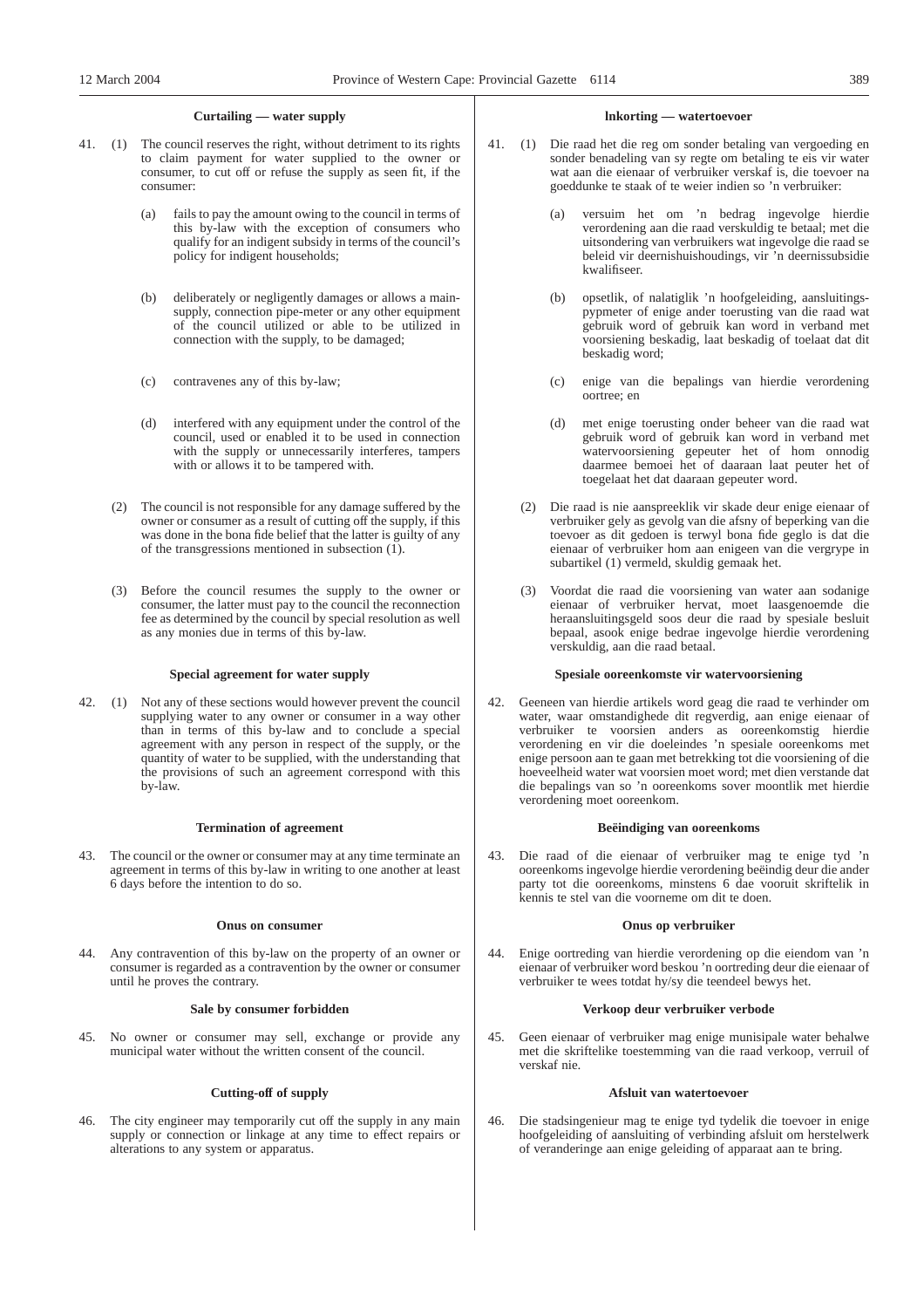## **Curtailing — water supply**

- 41. (1) The council reserves the right, without detriment to its rights to claim payment for water supplied to the owner or consumer, to cut off or refuse the supply as seen fit, if the consumer:
	- (a) fails to pay the amount owing to the council in terms of this by-law with the exception of consumers who qualify for an indigent subsidy in terms of the council's policy for indigent households;
	- (b) deliberately or negligently damages or allows a mainsupply, connection pipe-meter or any other equipment of the council utilized or able to be utilized in connection with the supply, to be damaged;
	- (c) contravenes any of this by-law;
	- (d) interfered with any equipment under the control of the council, used or enabled it to be used in connection with the supply or unnecessarily interferes, tampers with or allows it to be tampered with.
	- (2) The council is not responsible for any damage suffered by the owner or consumer as a result of cutting off the supply, if this was done in the bona fide belief that the latter is guilty of any of the transgressions mentioned in subsection  $(1)$ .
	- (3) Before the council resumes the supply to the owner or consumer, the latter must pay to the council the reconnection fee as determined by the council by special resolution as well as any monies due in terms of this by-law.

#### **Special agreement for water supply**

42. (1) Not any of these sections would however prevent the council supplying water to any owner or consumer in a way other than in terms of this by-law and to conclude a special agreement with any person in respect of the supply, or the quantity of water to be supplied, with the understanding that the provisions of such an agreement correspond with this by-law.

#### **Termination of agreement**

43. The council or the owner or consumer may at any time terminate an agreement in terms of this by-law in writing to one another at least 6 days before the intention to do so.

#### **Onus on consumer**

44. Any contravention of this by-law on the property of an owner or consumer is regarded as a contravention by the owner or consumer until he proves the contrary.

#### **Sale by consumer forbidden**

45. No owner or consumer may sell, exchange or provide any municipal water without the written consent of the council.

#### **Cutting-off of supply**

46. The city engineer may temporarily cut off the supply in any main supply or connection or linkage at any time to effect repairs or alterations to any system or apparatus.

## **lnkorting — watertoevoer**

- 41. (1) Die raad het die reg om sonder betaling van vergoeding en sonder benadeling van sy regte om betaling te eis vir water wat aan die eienaar of verbruiker verskaf is, die toevoer na goeddunke te staak of te weier indien so 'n verbruiker:
	- (a) versuim het om 'n bedrag ingevolge hierdie verordening aan die raad verskuldig te betaal; met die uitsondering van verbruikers wat ingevolge die raad se beleid vir deernishuishoudings, vir 'n deernissubsidie kwalifiseer.
	- (b) opsetlik, of nalatiglik 'n hoofgeleiding, aansluitingspypmeter of enige ander toerusting van die raad wat gebruik word of gebruik kan word in verband met voorsiening beskadig, laat beskadig of toelaat dat dit beskadig word;
	- (c) enige van die bepalings van hierdie verordening oortree; en
	- (d) met enige toerusting onder beheer van die raad wat gebruik word of gebruik kan word in verband met watervoorsiening gepeuter het of hom onnodig daarmee bemoei het of daaraan laat peuter het of toegelaat het dat daaraan gepeuter word.
	- (2) Die raad is nie aanspreeklik vir skade deur enige eienaar of verbruiker gely as gevolg van die afsny of beperking van die toevoer as dit gedoen is terwyl bona fide geglo is dat die eienaar of verbruiker hom aan enigeen van die vergrype in subartikel (1) vermeld, skuldig gemaak het.
	- (3) Voordat die raad die voorsiening van water aan sodanige eienaar of verbruiker hervat, moet laasgenoemde die heraansluitingsgeld soos deur die raad by spesiale besluit bepaal, asook enige bedrae ingevolge hierdie verordening verskuldig, aan die raad betaal.

## **Spesiale ooreenkomste vir watervoorsiening**

42. Geeneen van hierdie artikels word geag die raad te verhinder om water, waar omstandighede dit regverdig, aan enige eienaar of verbruiker te voorsien anders as ooreenkomstig hierdie verordening en vir die doeleindes 'n spesiale ooreenkoms met enige persoon aan te gaan met betrekking tot die voorsiening of die hoeveelheid water wat voorsien moet word; met dien verstande dat die bepalings van so 'n ooreenkoms sover moontlik met hierdie verordening moet ooreenkom.

#### **Beëindiging van ooreenkoms**

43. Die raad of die eienaar of verbruiker mag te enige tyd 'n ooreenkoms ingevolge hierdie verordening beëindig deur die ander party tot die ooreenkoms, minstens 6 dae vooruit skriftelik in kennis te stel van die voorneme om dit te doen.

#### **Onus op verbruiker**

44. Enige oortreding van hierdie verordening op die eiendom van 'n eienaar of verbruiker word beskou 'n oortreding deur die eienaar of verbruiker te wees totdat hy/sy die teendeel bewys het.

## **Verkoop deur verbruiker verbode**

45. Geen eienaar of verbruiker mag enige munisipale water behalwe met die skriftelike toestemming van die raad verkoop, verruil of verskaf nie.

#### **Afsluit van watertoevoer**

46. Die stadsingenieur mag te enige tyd tydelik die toevoer in enige hoofgeleiding of aansluiting of verbinding afsluit om herstelwerk of veranderinge aan enige geleiding of apparaat aan te bring.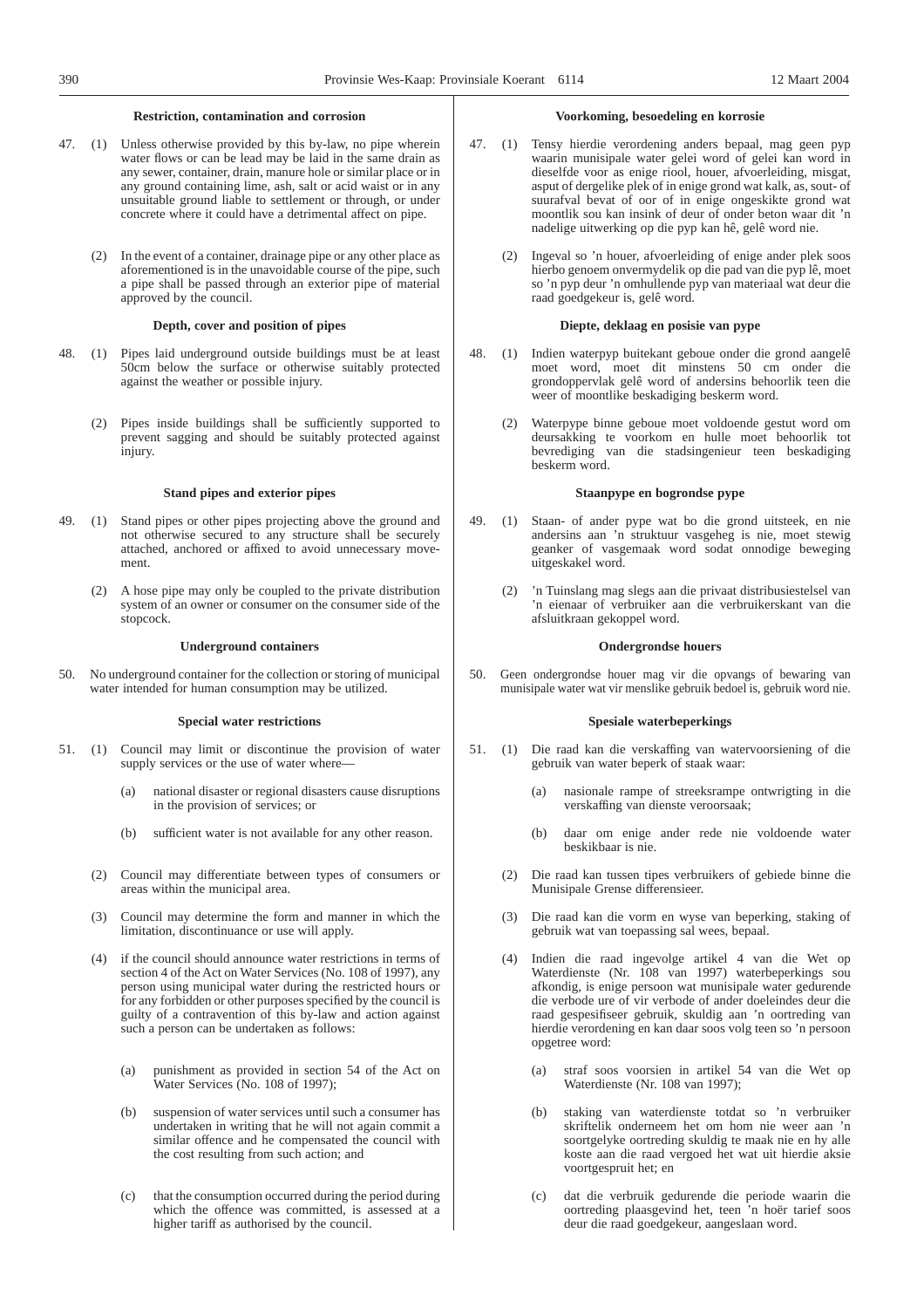## **Restriction, contamination and corrosion**

- 47. (1) Unless otherwise provided by this by-law, no pipe wherein water flows or can be lead may be laid in the same drain as any sewer, container, drain, manure hole or similar place or in any ground containing lime, ash, salt or acid waist or in any unsuitable ground liable to settlement or through, or under concrete where it could have a detrimental affect on pipe.
	- (2) In the event of a container, drainage pipe or any other place as aforementioned is in the unavoidable course of the pipe, such a pipe shall be passed through an exterior pipe of material approved by the council.

#### **Depth, cover and position of pipes**

- 48. (1) Pipes laid underground outside buildings must be at least 50cm below the surface or otherwise suitably protected against the weather or possible injury.
	- (2) Pipes inside buildings shall be sufficiently supported to prevent sagging and should be suitably protected against injury.

#### **Stand pipes and exterior pipes**

- 49. (1) Stand pipes or other pipes projecting above the ground and not otherwise secured to any structure shall be securely attached, anchored or affixed to avoid unnecessary movement.
	- (2) A hose pipe may only be coupled to the private distribution system of an owner or consumer on the consumer side of the stopcock.

#### **Underground containers**

50. No underground container for the collection or storing of municipal water intended for human consumption may be utilized.

#### **Special water restrictions**

- 51. (1) Council may limit or discontinue the provision of water supply services or the use of water where-
	- (a) national disaster or regional disasters cause disruptions in the provision of services; or
	- (b) sufficient water is not available for any other reason.
	- (2) Council may differentiate between types of consumers or areas within the municipal area.
	- (3) Council may determine the form and manner in which the limitation, discontinuance or use will apply.
	- (4) if the council should announce water restrictions in terms of section 4 of the Act on Water Services (No. 108 of 1997), any person using municipal water during the restricted hours or for any forbidden or other purposes specified by the council is guilty of a contravention of this by-law and action against such a person can be undertaken as follows:
		- (a) punishment as provided in section 54 of the Act on Water Services (No. 108 of 1997);
		- (b) suspension of water services until such a consumer has undertaken in writing that he will not again commit a similar offence and he compensated the council with the cost resulting from such action; and
		- (c) that the consumption occurred during the period during which the offence was committed, is assessed at a higher tariff as authorised by the council.

#### **Voorkoming, besoedeling en korrosie**

- 47. (1) Tensy hierdie verordening anders bepaal, mag geen pyp waarin munisipale water gelei word of gelei kan word in dieselfde voor as enige riool, houer, afvoerleiding, misgat, asput of dergelike plek of in enige grond wat kalk, as, sout- of suurafval bevat of oor of in enige ongeskikte grond wat moontlik sou kan insink of deur of onder beton waar dit 'n nadelige uitwerking op die pyp kan hê, gelê word nie.
	- Ingeval so 'n houer, afvoerleiding of enige ander plek soos hierbo genoem onvermydelik op die pad van die pyp lê, moet so 'n pyp deur 'n omhullende pyp van materiaal wat deur die raad goedgekeur is, gelê word.

#### **Diepte, deklaag en posisie van pype**

- 48. (1) Indien waterpyp buitekant geboue onder die grond aangelê moet word, moet dit minstens 50 cm onder die grondoppervlak gelê word of andersins behoorlik teen die weer of moontlike beskadiging beskerm word.
	- (2) Waterpype binne geboue moet voldoende gestut word om deursakking te voorkom en hulle moet behoorlik tot bevrediging van die stadsingenieur teen beskadiging beskerm word.

## **Staanpype en bogrondse pype**

- 49. (1) Staan- of ander pype wat bo die grond uitsteek, en nie andersins aan 'n struktuur vasgeheg is nie, moet stewig geanker of vasgemaak word sodat onnodige beweging uitgeskakel word.
	- (2) 'n Tuinslang mag slegs aan die privaat distribusiestelsel van 'n eienaar of verbruiker aan die verbruikerskant van die afsluitkraan gekoppel word.

#### **Ondergrondse houers**

50. Geen ondergrondse houer mag vir die opvangs of bewaring van munisipale water wat vir menslike gebruik bedoel is, gebruik word nie.

## **Spesiale waterbeperkings**

- 51. (1) Die raad kan die verskaffing van watervoorsiening of die gebruik van water beperk of staak waar:
	- (a) nasionale rampe of streeksrampe ontwrigting in die verskaffing van dienste veroorsaak;
	- (b) daar om enige ander rede nie voldoende water beskikbaar is nie.
	- (2) Die raad kan tussen tipes verbruikers of gebiede binne die Munisipale Grense differensieer.
	- (3) Die raad kan die vorm en wyse van beperking, staking of gebruik wat van toepassing sal wees, bepaal.
	- (4) Indien die raad ingevolge artikel 4 van die Wet op Waterdienste (Nr. 108 van 1997) waterbeperkings sou afkondig, is enige persoon wat munisipale water gedurende die verbode ure of vir verbode of ander doeleindes deur die raad gespesifiseer gebruik, skuldig aan 'n oortreding van hierdie verordening en kan daar soos volg teen so 'n persoon opgetree word:
		- (a) straf soos voorsien in artikel 54 van die Wet op Waterdienste (Nr. 108 van 1997);
		- (b) staking van waterdienste totdat so 'n verbruiker skriftelik onderneem het om hom nie weer aan 'n soortgelyke oortreding skuldig te maak nie en hy alle koste aan die raad vergoed het wat uit hierdie aksie voortgespruit het; en
		- (c) dat die verbruik gedurende die periode waarin die oortreding plaasgevind het, teen 'n hoër tarief soos deur die raad goedgekeur, aangeslaan word.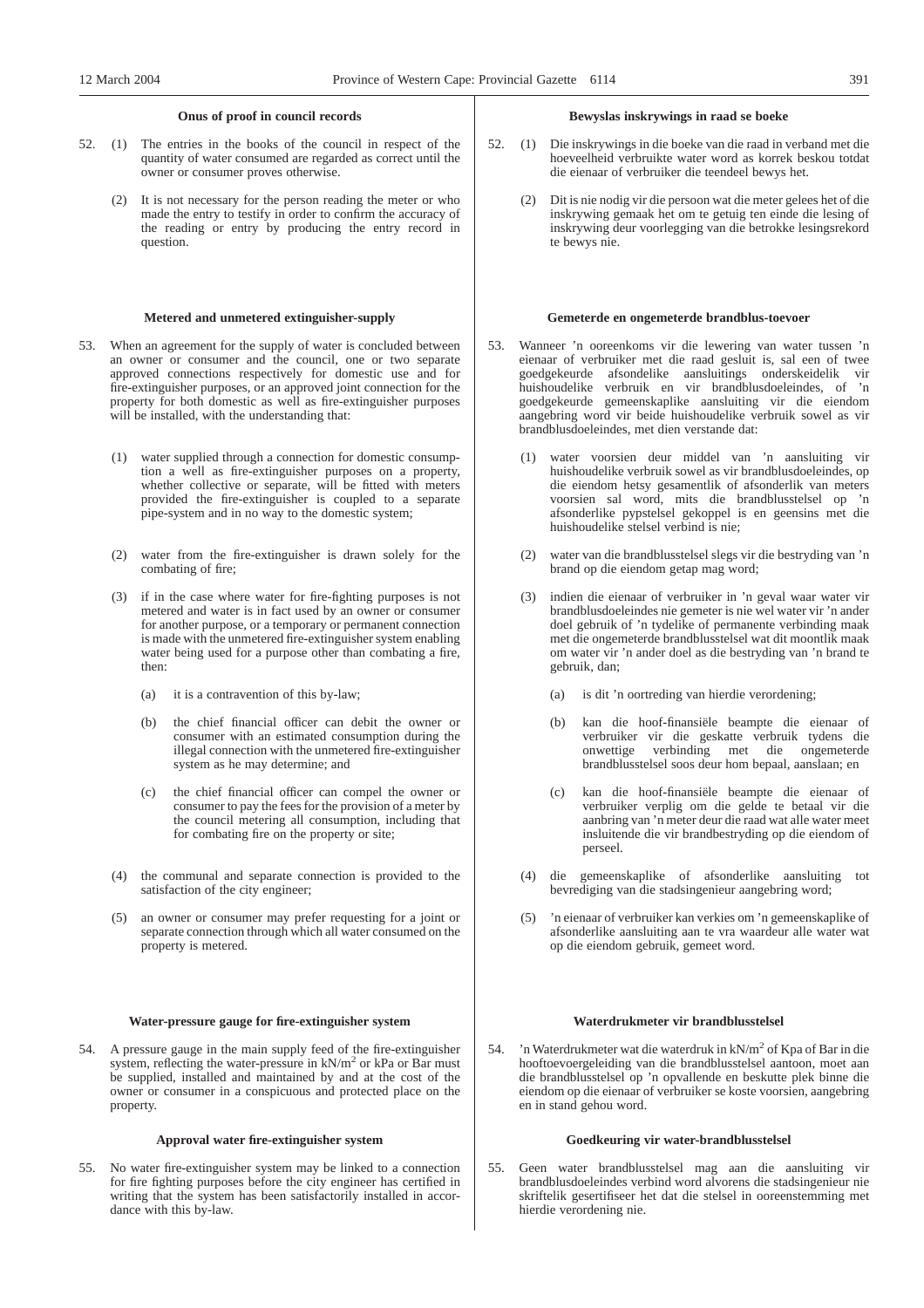## **Onus of proof in council records**

- 52. (1) The entries in the books of the council in respect of the quantity of water consumed are regarded as correct until the owner or consumer proves otherwise.
	- (2) It is not necessary for the person reading the meter or who made the entry to testify in order to confirm the accuracy of the reading or entry by producing the entry record in question.

#### **Metered and unmetered extinguisher-supply**

- 53. When an agreement for the supply of water is concluded between an owner or consumer and the council, one or two separate approved connections respectively for domestic use and for fire-extinguisher purposes, or an approved joint connection for the property for both domestic as well as fire-extinguisher purposes will be installed, with the understanding that:
	- (1) water supplied through a connection for domestic consumption a well as fire-extinguisher purposes on a property, whether collective or separate, will be fitted with meters provided the fire-extinguisher is coupled to a separate pipe-system and in no way to the domestic system;
	- (2) water from the fire-extinguisher is drawn solely for the combating of fire;
	- (3) if in the case where water for fire-fighting purposes is not metered and water is in fact used by an owner or consumer for another purpose, or a temporary or permanent connection is made with the unmetered fire-extinguisher system enabling water being used for a purpose other than combating a fire, then:
		- (a) it is a contravention of this by-law;
		- (b) the chief financial officer can debit the owner or consumer with an estimated consumption during the illegal connection with the unmetered fire-extinguisher system as he may determine; and
		- (c) the chief financial officer can compel the owner or consumer to pay the fees for the provision of a meter by the council metering all consumption, including that for combating fire on the property or site;
	- (4) the communal and separate connection is provided to the satisfaction of the city engineer;
	- (5) an owner or consumer may prefer requesting for a joint or separate connection through which all water consumed on the property is metered.

#### **Water-pressure gauge for fire-extinguisher system**

54. A pressure gauge in the main supply feed of the fire-extinguisher system, reflecting the water-pressure in kN/m<sup>2</sup> or kPa or Bar must be supplied, installed and maintained by and at the cost of the owner or consumer in a conspicuous and protected place on the property.

#### **Approval water fire-extinguisher system**

55. No water fire-extinguisher system may be linked to a connection for fire fighting purposes before the city engineer has certified in writing that the system has been satisfactorily installed in accordance with this by-law.

#### **Bewyslas inskrywings in raad se boeke**

- 52. (1) Die inskrywings in die boeke van die raad in verband met die hoeveelheid verbruikte water word as korrek beskou totdat die eienaar of verbruiker die teendeel bewys het.
	- (2) Dit is nie nodig vir die persoon wat die meter gelees het of die inskrywing gemaak het om te getuig ten einde die lesing of inskrywing deur voorlegging van die betrokke lesingsrekord te bewys nie.

#### **Gemeterde en ongemeterde brandblus-toevoer**

- 53. Wanneer 'n ooreenkoms vir die lewering van water tussen 'n eienaar of verbruiker met die raad gesluit is, sal een of twee goedgekeurde afsondelike aansluitings onderskeidelik vir huishoudelike verbruik en vir brandblusdoeleindes, of 'n goedgekeurde gemeenskaplike aansluiting vir die eiendom aangebring word vir beide huishoudelike verbruik sowel as vir brandblusdoeleindes, met dien verstande dat:
	- (1) water voorsien deur middel van 'n aansluiting vir huishoudelike verbruik sowel as vir brandblusdoeleindes, op die eiendom hetsy gesamentlik of afsonderlik van meters voorsien sal word, mits die brandblusstelsel op 'n afsonderlike pypstelsel gekoppel is en geensins met die huishoudelike stelsel verbind is nie;
	- (2) water van die brandblusstelsel slegs vir die bestryding van 'n brand op die eiendom getap mag word;
	- (3) indien die eienaar of verbruiker in 'n geval waar water vir brandblusdoeleindes nie gemeter is nie wel water vir 'n ander doel gebruik of 'n tydelike of permanente verbinding maak met die ongemeterde brandblusstelsel wat dit moontlik maak om water vir 'n ander doel as die bestryding van 'n brand te gebruik, dan;
		- (a) is dit 'n oortreding van hierdie verordening;
		- (b) kan die hoof-finansiële beampte die eienaar of verbruiker vir die geskatte verbruik tydens die verbinding met die ongemeterde brandblusstelsel soos deur hom bepaal, aanslaan; en
		- kan die hoof-finansiële beampte die eienaar of verbruiker verplig om die gelde te betaal vir die aanbring van 'n meter deur die raad wat alle water meet insluitende die vir brandbestryding op die eiendom of perseel.
	- (4) die gemeenskaplike of afsonderlike aansluiting tot bevrediging van die stadsingenieur aangebring word;
	- (5) 'n eienaar of verbruiker kan verkies om 'n gemeenskaplike of afsonderlike aansluiting aan te vra waardeur alle water wat op die eiendom gebruik, gemeet word.

#### **Waterdrukmeter vir brandblusstelsel**

'n Waterdrukmeter wat die waterdruk in kN/m<sup>2</sup> of Kpa of Bar in die hooftoevoergeleiding van die brandblusstelsel aantoon, moet aan die brandblusstelsel op 'n opvallende en beskutte plek binne die eiendom op die eienaar of verbruiker se koste voorsien, aangebring en in stand gehou word.

#### **Goedkeuring vir water-brandblusstelsel**

55. Geen water brandblusstelsel mag aan die aansluiting vir brandblusdoeleindes verbind word alvorens die stadsingenieur nie skriftelik gesertifiseer het dat die stelsel in ooreenstemming met hierdie verordening nie.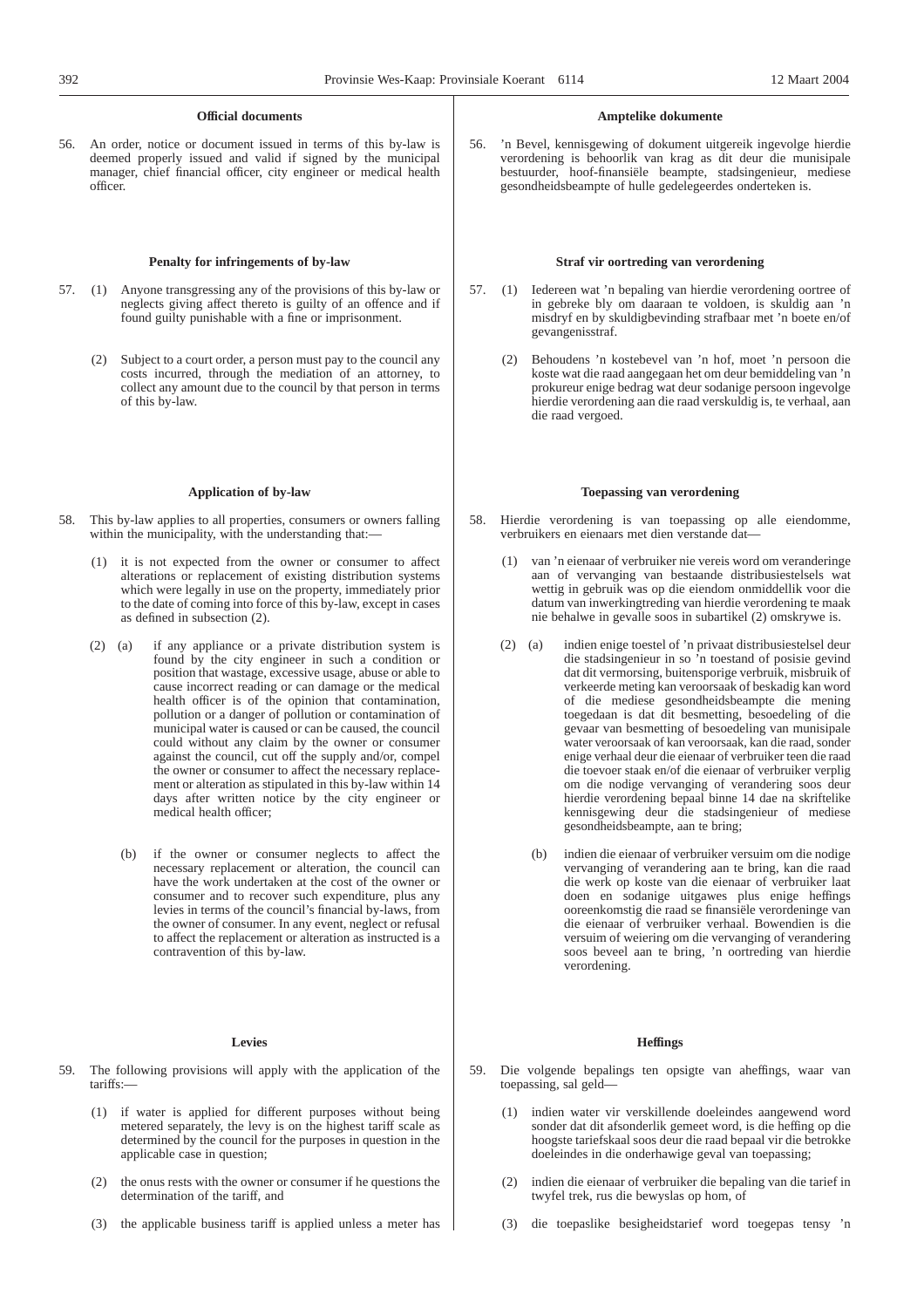## **Official documents**

56. An order, notice or document issued in terms of this by-law is deemed properly issued and valid if signed by the municipal manager, chief financial officer, city engineer or medical health officer.

#### **Penalty for infringements of by-law**

- 57. (1) Anyone transgressing any of the provisions of this by-law or neglects giving affect thereto is guilty of an offence and if found guilty punishable with a fine or imprisonment.
	- (2) Subject to a court order, a person must pay to the council any costs incurred, through the mediation of an attorney, to collect any amount due to the council by that person in terms of this by-law.

#### **Application of by-law**

- 58. This by-law applies to all properties, consumers or owners falling within the municipality, with the understanding that:-
	- (1) it is not expected from the owner or consumer to affect alterations or replacement of existing distribution systems which were legally in use on the property, immediately prior to the date of coming into force of this by-law, except in cases as defined in subsection (2).
	- (2) (a) if any appliance or a private distribution system is found by the city engineer in such a condition or position that wastage, excessive usage, abuse or able to cause incorrect reading or can damage or the medical health officer is of the opinion that contamination, pollution or a danger of pollution or contamination of municipal water is caused or can be caused, the council could without any claim by the owner or consumer against the council, cut off the supply and/or, compel the owner or consumer to affect the necessary replacement or alteration as stipulated in this by-law within 14 days after written notice by the city engineer or medical health officer;
		- (b) if the owner or consumer neglects to affect the necessary replacement or alteration, the council can have the work undertaken at the cost of the owner or consumer and to recover such expenditure, plus any levies in terms of the council's financial by-laws, from the owner of consumer. In any event, neglect or refusal to affect the replacement or alteration as instructed is a contravention of this by-law.

#### **Levies**

- 59. The following provisions will apply with the application of the tariffs:—
	- (1) if water is applied for different purposes without being metered separately, the levy is on the highest tariff scale as determined by the council for the purposes in question in the applicable case in question;
	- (2) the onus rests with the owner or consumer if he questions the determination of the tariff, and
	- (3) the applicable business tariff is applied unless a meter has

#### **Amptelike dokumente**

56. 'n Bevel, kennisgewing of dokument uitgereik ingevolge hierdie verordening is behoorlik van krag as dit deur die munisipale bestuurder, hoof-finansiële beampte, stadsingenieur, mediese gesondheidsbeampte of hulle gedelegeerdes onderteken is.

#### **Straf vir oortreding van verordening**

- 57. (1) Iedereen wat 'n bepaling van hierdie verordening oortree of in gebreke bly om daaraan te voldoen, is skuldig aan 'n misdryf en by skuldigbevinding strafbaar met 'n boete en/of gevangenisstraf.
	- (2) Behoudens 'n kostebevel van 'n hof, moet 'n persoon die koste wat die raad aangegaan het om deur bemiddeling van 'n prokureur enige bedrag wat deur sodanige persoon ingevolge hierdie verordening aan die raad verskuldig is, te verhaal, aan die raad vergoed.

#### **Toepassing van verordening**

- 58. Hierdie verordening is van toepassing op alle eiendomme, verbruikers en eienaars met dien verstande dat—
	- (1) van 'n eienaar of verbruiker nie vereis word om veranderinge aan of vervanging van bestaande distribusiestelsels wat wettig in gebruik was op die eiendom onmiddellik voor die datum van inwerkingtreding van hierdie verordening te maak nie behalwe in gevalle soos in subartikel (2) omskrywe is.
	- (2) (a) indien enige toestel of 'n privaat distribusiestelsel deur die stadsingenieur in so 'n toestand of posisie gevind dat dit vermorsing, buitensporige verbruik, misbruik of verkeerde meting kan veroorsaak of beskadig kan word of die mediese gesondheidsbeampte die mening toegedaan is dat dit besmetting, besoedeling of die gevaar van besmetting of besoedeling van munisipale water veroorsaak of kan veroorsaak, kan die raad, sonder enige verhaal deur die eienaar of verbruiker teen die raad die toevoer staak en/of die eienaar of verbruiker verplig om die nodige vervanging of verandering soos deur hierdie verordening bepaal binne 14 dae na skriftelike kennisgewing deur die stadsingenieur of mediese gesondheidsbeampte, aan te bring;
		- (b) indien die eienaar of verbruiker versuim om die nodige vervanging of verandering aan te bring, kan die raad die werk op koste van die eienaar of verbruiker laat doen en sodanige uitgawes plus enige heffings ooreenkomstig die raad se finansiële verordeninge van die eienaar of verbruiker verhaal. Bowendien is die versuim of weiering om die vervanging of verandering soos beveel aan te bring, 'n oortreding van hierdie verordening.

#### **Heffings**

- 59. Die volgende bepalings ten opsigte van aheffings, waar van toepassing, sal geld—
	- (1) indien water vir verskillende doeleindes aangewend word sonder dat dit afsonderlik gemeet word, is die heffing op die hoogste tariefskaal soos deur die raad bepaal vir die betrokke doeleindes in die onderhawige geval van toepassing;
	- (2) indien die eienaar of verbruiker die bepaling van die tarief in twyfel trek, rus die bewyslas op hom, of
	- (3) die toepaslike besigheidstarief word toegepas tensy 'n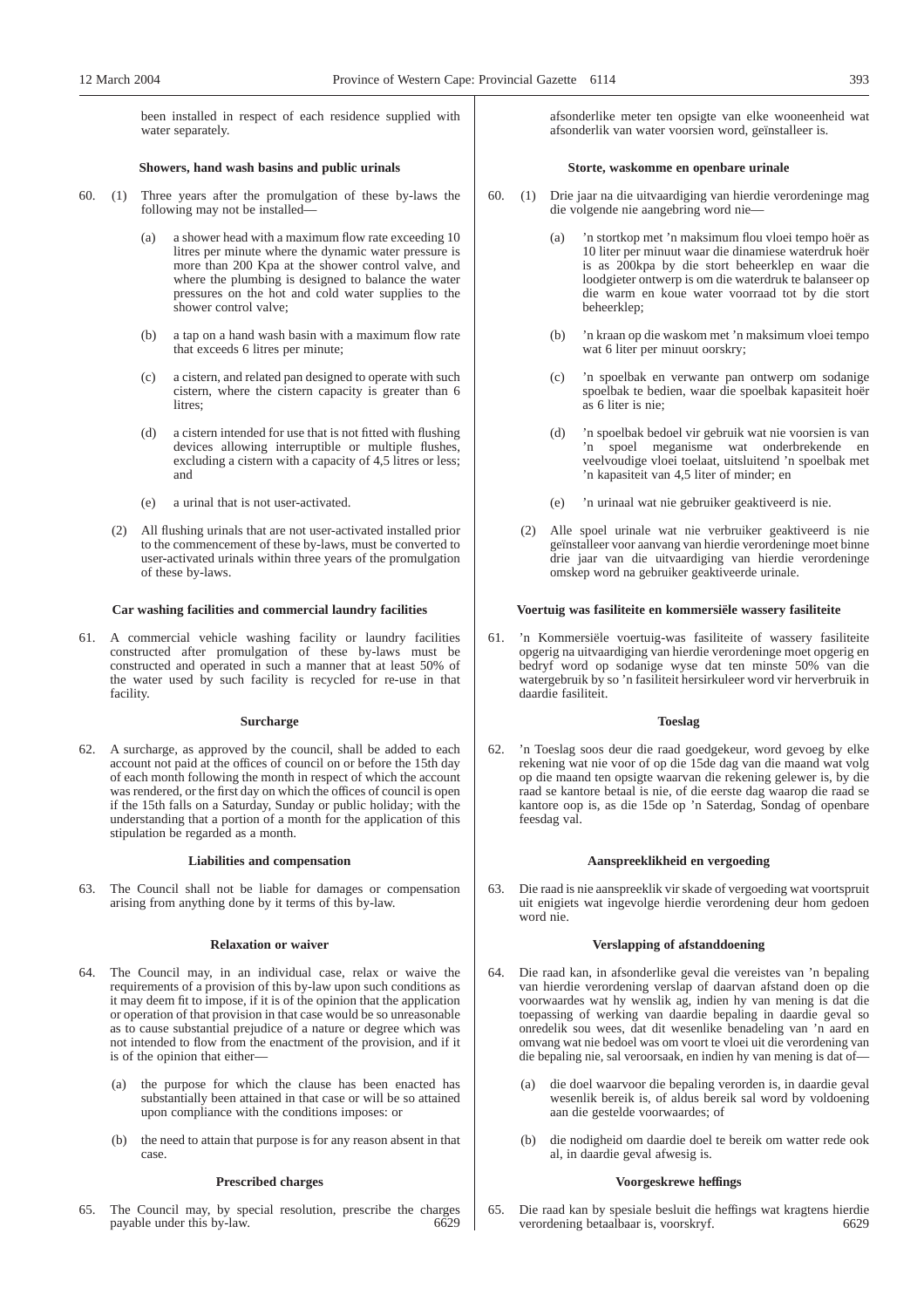been installed in respect of each residence supplied with water separately.

## **Showers, hand wash basins and public urinals**

- 60. (1) Three years after the promulgation of these by-laws the following may not be installed—
	- (a) a shower head with a maximum flow rate exceeding 10 litres per minute where the dynamic water pressure is more than 200 Kpa at the shower control valve, and where the plumbing is designed to balance the water pressures on the hot and cold water supplies to the shower control valve;
	- (b) a tap on a hand wash basin with a maximum flow rate that exceeds 6 litres per minute;
	- (c) a cistern, and related pan designed to operate with such cistern, where the cistern capacity is greater than 6 litres:
	- (d) a cistern intended for use that is not fitted with flushing devices allowing interruptible or multiple flushes, excluding a cistern with a capacity of 4,5 litres or less; and
	- (e) a urinal that is not user-activated.
	- (2) All flushing urinals that are not user-activated installed prior to the commencement of these by-laws, must be converted to user-activated urinals within three years of the promulgation of these by-laws.

#### **Car washing facilities and commercial laundry facilities**

61. A commercial vehicle washing facility or laundry facilities constructed after promulgation of these by-laws must be constructed and operated in such a manner that at least 50% of the water used by such facility is recycled for re-use in that facility.

#### **Surcharge**

62. A surcharge, as approved by the council, shall be added to each account not paid at the offices of council on or before the 15th day of each month following the month in respect of which the account was rendered, or the first day on which the offices of council is open if the 15th falls on a Saturday, Sunday or public holiday; with the understanding that a portion of a month for the application of this stipulation be regarded as a month.

#### **Liabilities and compensation**

63. The Council shall not be liable for damages or compensation arising from anything done by it terms of this by-law.

#### **Relaxation or waiver**

- 64. The Council may, in an individual case, relax or waive the requirements of a provision of this by-law upon such conditions as it may deem fit to impose, if it is of the opinion that the application or operation of that provision in that case would be so unreasonable as to cause substantial prejudice of a nature or degree which was not intended to flow from the enactment of the provision, and if it is of the opinion that either—
	- (a) the purpose for which the clause has been enacted has substantially been attained in that case or will be so attained upon compliance with the conditions imposes: or
	- (b) the need to attain that purpose is for any reason absent in that case.

#### **Prescribed charges**

65. The Council may, by special resolution, prescribe the charges payable under this by-law.

afsonderlike meter ten opsigte van elke wooneenheid wat afsonderlik van water voorsien word, geïnstalleer is.

#### **Storte, waskomme en openbare urinale**

- 60. (1) Drie jaar na die uitvaardiging van hierdie verordeninge mag die volgende nie aangebring word nie—
	- (a) 'n stortkop met 'n maksimum flou vloei tempo hoër as 10 liter per minuut waar die dinamiese waterdruk hoër is as 200kpa by die stort beheerklep en waar die loodgieter ontwerp is om die waterdruk te balanseer op die warm en koue water voorraad tot by die stort beheerklep;
	- (b) 'n kraan op die waskom met 'n maksimum vloei tempo wat 6 liter per minuut oorskry;
	- (c) 'n spoelbak en verwante pan ontwerp om sodanige spoelbak te bedien, waar die spoelbak kapasiteit hoër as 6 liter is nie;
	- (d) 'n spoelbak bedoel vir gebruik wat nie voorsien is van 'n spoel meganisme wat onderbrekende en veelvoudige vloei toelaat, uitsluitend 'n spoelbak met 'n kapasiteit van 4,5 liter of minder; en
	- (e) 'n urinaal wat nie gebruiker geaktiveerd is nie.
	- (2) Alle spoel urinale wat nie verbruiker geaktiveerd is nie geïnstalleer voor aanvang van hierdie verordeninge moet binne drie jaar van die uitvaardiging van hierdie verordeninge omskep word na gebruiker geaktiveerde urinale.

#### **Voertuig was fasiliteite en kommersiële wassery fasiliteite**

61. 'n Kommersiële voertuig-was fasiliteite of wassery fasiliteite opgerig na uitvaardiging van hierdie verordeninge moet opgerig en bedryf word op sodanige wyse dat ten minste 50% van die watergebruik by so 'n fasiliteit hersirkuleer word vir herverbruik in daardie fasiliteit.

#### **Toeslag**

'n Toeslag soos deur die raad goedgekeur, word gevoeg by elke rekening wat nie voor of op die 15de dag van die maand wat volg op die maand ten opsigte waarvan die rekening gelewer is, by die raad se kantore betaal is nie, of die eerste dag waarop die raad se kantore oop is, as die 15de op 'n Saterdag, Sondag of openbare feesdag val.

#### **Aanspreeklikheid en vergoeding**

63. Die raad is nie aanspreeklik vir skade of vergoeding wat voortspruit uit enigiets wat ingevolge hierdie verordening deur hom gedoen word nie.

#### **Verslapping of afstanddoening**

- 64. Die raad kan, in afsonderlike geval die vereistes van 'n bepaling van hierdie verordening verslap of daarvan afstand doen op die voorwaardes wat hy wenslik ag, indien hy van mening is dat die toepassing of werking van daardie bepaling in daardie geval so onredelik sou wees, dat dit wesenlike benadeling van 'n aard en omvang wat nie bedoel was om voort te vloei uit die verordening van die bepaling nie, sal veroorsaak, en indien hy van mening is dat of—
	- (a) die doel waarvoor die bepaling verorden is, in daardie geval wesenlik bereik is, of aldus bereik sal word by voldoening aan die gestelde voorwaardes; of
	- (b) die nodigheid om daardie doel te bereik om watter rede ook al, in daardie geval afwesig is.

#### **Voorgeskrewe heffings**

65. Die raad kan by spesiale besluit die heffings wat kragtens hierdie verordening betaalbaar is, voorskryf. 6629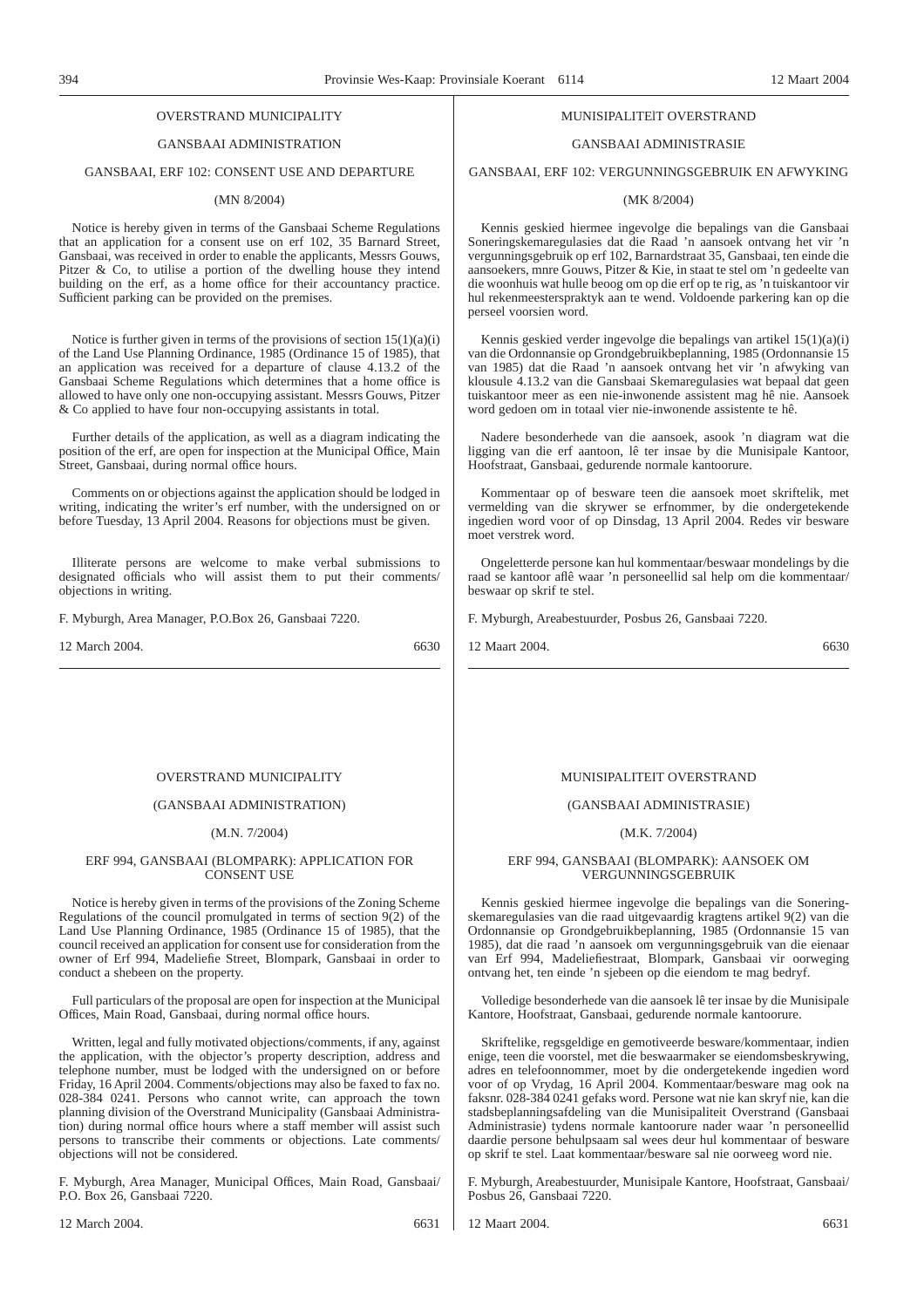# OVERSTRAND MUNICIPALITY

# GANSBAAI ADMINISTRATION

# GANSBAAI, ERF 102: CONSENT USE AND DEPARTURE

## (MN 8/2004)

Notice is hereby given in terms of the Gansbaai Scheme Regulations that an application for a consent use on erf 102, 35 Barnard Street, Gansbaai, was received in order to enable the applicants, Messrs Gouws, Pitzer & Co, to utilise a portion of the dwelling house they intend building on the erf, as a home office for their accountancy practice. Sufficient parking can be provided on the premises.

Notice is further given in terms of the provisions of section  $15(1)(a)(i)$ of the Land Use Planning Ordinance, 1985 (Ordinance 15 of 1985), that an application was received for a departure of clause 4.13.2 of the Gansbaai Scheme Regulations which determines that a home office is allowed to have only one non-occupying assistant. Messrs Gouws, Pitzer & Co applied to have four non-occupying assistants in total.

Further details of the application, as well as a diagram indicating the position of the erf, are open for inspection at the Municipal Office, Main Street, Gansbaai, during normal office hours.

Comments on or objections against the application should be lodged in writing, indicating the writer's erf number, with the undersigned on or before Tuesday, 13 April 2004. Reasons for objections must be given.

Illiterate persons are welcome to make verbal submissions to designated officials who will assist them to put their comments/ objections in writing.

F. Myburgh, Area Manager, P.O.Box 26, Gansbaai 7220.

12 March 2004. 6630

#### OVERSTRAND MUNICIPALITY

#### (GANSBAAI ADMINISTRATION)

#### (M.N. 7/2004)

#### ERF 994, GANSBAAI (BLOMPARK): APPLICATION FOR CONSENT USE

Notice is hereby given in terms of the provisions of the Zoning Scheme Regulations of the council promulgated in terms of section  $9(2)$  of the Land Use Planning Ordinance, 1985 (Ordinance 15 of 1985), that the council received an application for consent use for consideration from the owner of Erf 994, Madeliefie Street, Blompark, Gansbaai in order to conduct a shebeen on the property.

Full particulars of the proposal are open for inspection at the Municipal Offices, Main Road, Gansbaai, during normal office hours.

Written, legal and fully motivated objections/comments, if any, against the application, with the objector's property description, address and telephone number, must be lodged with the undersigned on or before Friday, 16 April 2004. Comments/objections may also be faxed to fax no. 028-384 0241. Persons who cannot write, can approach the town planning division of the Overstrand Municipality (Gansbaai Administration) during normal office hours where a staff member will assist such persons to transcribe their comments or objections. Late comments/ objections will not be considered.

F. Myburgh, Area Manager, Municipal Offices, Main Road, Gansbaai/ P.O. Box 26, Gansbaai 7220. 12 March 2004. 6631

# MUNISIPALITElT OVERSTRAND

## GANSBAAI ADMINISTRASIE

GANSBAAI, ERF 102: VERGUNNINGSGEBRUIK EN AFWYKING

## (MK 8/2004)

Kennis geskied hiermee ingevolge die bepalings van die Gansbaai Soneringskemaregulasies dat die Raad 'n aansoek ontvang het vir 'n vergunningsgebruik op erf 102, Barnardstraat 35, Gansbaai, ten einde die aansoekers, mnre Gouws, Pitzer & Kie, in staat te stel om 'n gedeelte van die woonhuis wat hulle beoog om op die erf op te rig, as 'n tuiskantoor vir hul rekenmeesterspraktyk aan te wend. Voldoende parkering kan op die perseel voorsien word.

Kennis geskied verder ingevolge die bepalings van artikel 15(1)(a)(i) van die Ordonnansie op Grondgebruikbeplanning, 1985 (Ordonnansie 15 van 1985) dat die Raad 'n aansoek ontvang het vir 'n afwyking van klousule 4.13.2 van die Gansbaai Skemaregulasies wat bepaal dat geen tuiskantoor meer as een nie-inwonende assistent mag hê nie. Aansoek word gedoen om in totaal vier nie-inwonende assistente te hê.

Nadere besonderhede van die aansoek, asook 'n diagram wat die ligging van die erf aantoon, lê ter insae by die Munisipale Kantoor, Hoofstraat, Gansbaai, gedurende normale kantoorure.

Kommentaar op of besware teen die aansoek moet skriftelik, met vermelding van die skrywer se erfnommer, by die ondergetekende ingedien word voor of op Dinsdag, 13 April 2004. Redes vir besware moet verstrek word.

Ongeletterde persone kan hul kommentaar/beswaar mondelings by die raad se kantoor aflê waar 'n personeellid sal help om die kommentaar/ beswaar op skrif te stel.

F. Myburgh, Areabestuurder, Posbus 26, Gansbaai 7220.

12 Maart 2004. 6630

## MUNISIPALITEIT OVERSTRAND

#### (GANSBAAI ADMINISTRASIE)

## (M.K. 7/2004)

#### ERF 994, GANSBAAI (BLOMPARK): AANSOEK OM VERGUNNINGSGEBRUIK

Kennis geskied hiermee ingevolge die bepalings van die Soneringskemaregulasies van die raad uitgevaardig kragtens artikel 9(2) van die Ordonnansie op Grondgebruikbeplanning, 1985 (Ordonnansie 15 van 1985), dat die raad 'n aansoek om vergunningsgebruik van die eienaar van Erf 994, Madeliefiestraat, Blompark, Gansbaai vir oorweging ontvang het, ten einde 'n sjebeen op die eiendom te mag bedryf.

Volledige besonderhede van die aansoek lê ter insae by die Munisipale Kantore, Hoofstraat, Gansbaai, gedurende normale kantoorure.

Skriftelike, regsgeldige en gemotiveerde besware/kommentaar, indien enige, teen die voorstel, met die beswaarmaker se eiendomsbeskrywing, adres en telefoonnommer, moet by die ondergetekende ingedien word voor of op Vrydag, 16 April 2004. Kommentaar/besware mag ook na faksnr. 028-384 0241 gefaks word. Persone wat nie kan skryf nie, kan die stadsbeplanningsafdeling van die Munisipaliteit Overstrand (Gansbaai Administrasie) tydens normale kantoorure nader waar 'n personeellid daardie persone behulpsaam sal wees deur hul kommentaar of besware op skrif te stel. Laat kommentaar/besware sal nie oorweeg word nie.

F. Myburgh, Areabestuurder, Munisipale Kantore, Hoofstraat, Gansbaai/ Posbus 26, Gansbaai 7220.

12 Maart 2004. 6631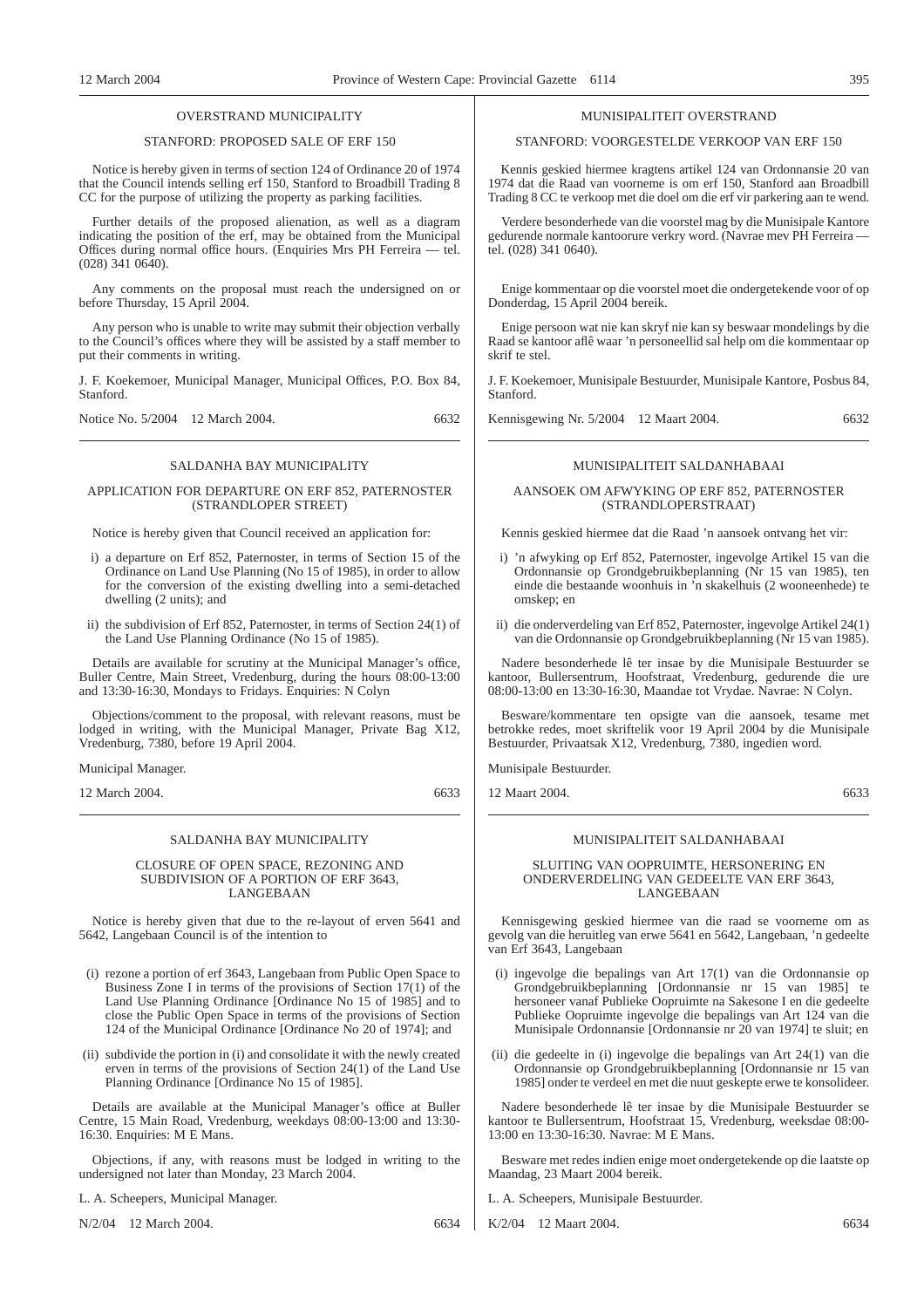## OVERSTRAND MUNICIPALITY

## STANFORD: PROPOSED SALE OF ERF 150

Notice is hereby given in terms of section 124 of Ordinance 20 of 1974 that the Council intends selling erf 150, Stanford to Broadbill Trading 8 CC for the purpose of utilizing the property as parking facilities.

Further details of the proposed alienation, as well as a diagram indicating the position of the erf, may be obtained from the Municipal Offices during normal office hours. (Enquiries Mrs PH Ferreira — tel.  $(028)$  341  $0640$ ).

Any comments on the proposal must reach the undersigned on or before Thursday, 15 April 2004.

Any person who is unable to write may submit their objection verbally to the Council's offices where they will be assisted by a staff member to put their comments in writing.

J. F. Koekemoer, Municipal Manager, Municipal Offices, P.O. Box 84, Stanford.

Notice No. 5/2004 12 March 2004. 6632

## SALDANHA BAY MUNICIPALITY

## APPLICATION FOR DEPARTURE ON ERF 852, PATERNOSTER (STRANDLOPER STREET)

Notice is hereby given that Council received an application for:

- i) a departure on Erf 852, Paternoster, in terms of Section 15 of the Ordinance on Land Use Planning (No 15 of 1985), in order to allow for the conversion of the existing dwelling into a semi-detached dwelling (2 units); and
- ii) the subdivision of Erf 852, Paternoster, in terms of Section 24(1) of the Land Use Planning Ordinance (No 15 of 1985).

Details are available for scrutiny at the Municipal Manager's office, Buller Centre, Main Street, Vredenburg, during the hours 08:00-13:00 and 13:30-16:30, Mondays to Fridays. Enquiries: N Colyn

Objections/comment to the proposal, with relevant reasons, must be lodged in writing, with the Municipal Manager, Private Bag X12, Vredenburg, 7380, before 19 April 2004.

Municipal Manager.

12 March 2004. 6633

#### SALDANHA BAY MUNICIPALITY

CLOSURE OF OPEN SPACE, REZONING AND SUBDIVISION OF A PORTION OF ERF 3643, LANGEBAAN

Notice is hereby given that due to the re-layout of erven 5641 and 5642, Langebaan Council is of the intention to

- (i) rezone a portion of erf 3643, Langebaan from Public Open Space to Business Zone I in terms of the provisions of Section 17(1) of the Land Use Planning Ordinance [Ordinance No 15 of 1985] and to close the Public Open Space in terms of the provisions of Section 124 of the Municipal Ordinance [Ordinance No 20 of 1974]; and
- (ii) subdivide the portion in (i) and consolidate it with the newly created erven in terms of the provisions of Section 24(1) of the Land Use Planning Ordinance [Ordinance No 15 of 1985].

Details are available at the Municipal Manager's office at Buller Centre, 15 Main Road, Vredenburg, weekdays 08:00-13:00 and 13:30- 16:30. Enquiries: M E Mans.

Objections, if any, with reasons must be lodged in writing to the undersigned not later than Monday, 23 March 2004.

L. A. Scheepers, Municipal Manager.

N/2/04 12 March 2004. 6634

## MUNISIPALITEIT OVERSTRAND

## STANFORD: VOORGESTELDE VERKOOP VAN ERF 150

Kennis geskied hiermee kragtens artikel 124 van Ordonnansie 20 van 1974 dat die Raad van voorneme is om erf 150, Stanford aan Broadbill Trading 8 CC te verkoop met die doel om die erf vir parkering aan te wend.

Verdere besonderhede van die voorstel mag by die Munisipale Kantore gedurende normale kantoorure verkry word. (Navrae mev PH Ferreira tel. (028) 341 0640).

Enige kommentaar op die voorstel moet die ondergetekende voor of op Donderdag, 15 April 2004 bereik.

Enige persoon wat nie kan skryf nie kan sy beswaar mondelings by die Raad se kantoor aflê waar 'n personeellid sal help om die kommentaar op skrif te stel.

J. F. Koekemoer, Munisipale Bestuurder, Munisipale Kantore, Posbus 84, Stanford.

Kennisgewing Nr. 5/2004 12 Maart 2004. 6632

## MUNISIPALITEIT SALDANHABAAI

## AANSOEK OM AFWYKING OP ERF 852, PATERNOSTER (STRANDLOPERSTRAAT)

Kennis geskied hiermee dat die Raad 'n aansoek ontvang het vir:

- i) 'n afwyking op Erf 852, Paternoster, ingevolge Artikel 15 van die Ordonnansie op Grondgebruikbeplanning (Nr 15 van 1985), ten einde die bestaande woonhuis in 'n skakelhuis (2 wooneenhede) te omskep; en
- ii) die onderverdeling van Erf 852, Paternoster, ingevolge Artikel 24(1) van die Ordonnansie op Grondgebruikbeplanning (Nr 15 van 1985).

Nadere besonderhede lê ter insae by die Munisipale Bestuurder se kantoor, Bullersentrum, Hoofstraat, Vredenburg, gedurende die ure 08:00-13:00 en 13:30-16:30, Maandae tot Vrydae. Navrae: N Colyn.

Besware/kommentare ten opsigte van die aansoek, tesame met betrokke redes, moet skriftelik voor 19 April 2004 by die Munisipale Bestuurder, Privaatsak X12, Vredenburg, 7380, ingedien word.

Munisipale Bestuurder.

12 Maart 2004. 6633

## MUNISIPALITEIT SALDANHABAAI

## SLUITING VAN OOPRUIMTE, HERSONERING EN ONDERVERDELING VAN GEDEELTE VAN ERF 3643, LANGEBAAN

Kennisgewing geskied hiermee van die raad se voorneme om as gevolg van die heruitleg van erwe 5641 en 5642, Langebaan, 'n gedeelte van Erf 3643, Langebaan

- (i) ingevolge die bepalings van Art 17(1) van die Ordonnansie op Grondgebruikbeplanning [Ordonnansie nr 15 van 1985] te hersoneer vanaf Publieke Oopruimte na Sakesone I en die gedeelte Publieke Oopruimte ingevolge die bepalings van Art 124 van die Munisipale Ordonnansie [Ordonnansie nr 20 van 1974] te sluit; en
- (ii) die gedeelte in (i) ingevolge die bepalings van Art 24(1) van die Ordonnansie op Grondgebruikbeplanning [Ordonnansie nr 15 van 1985] onder te verdeel en met die nuut geskepte erwe te konsolideer.

Nadere besonderhede lê ter insae by die Munisipale Bestuurder se kantoor te Bullersentrum, Hoofstraat 15, Vredenburg, weeksdae 08:00- 13:00 en 13:30-16:30. Navrae: M E Mans.

Besware met redes indien enige moet ondergetekende op die laatste op Maandag, 23 Maart 2004 bereik.

L. A. Scheepers, Munisipale Bestuurder.

K/2/04 12 Maart 2004. 6634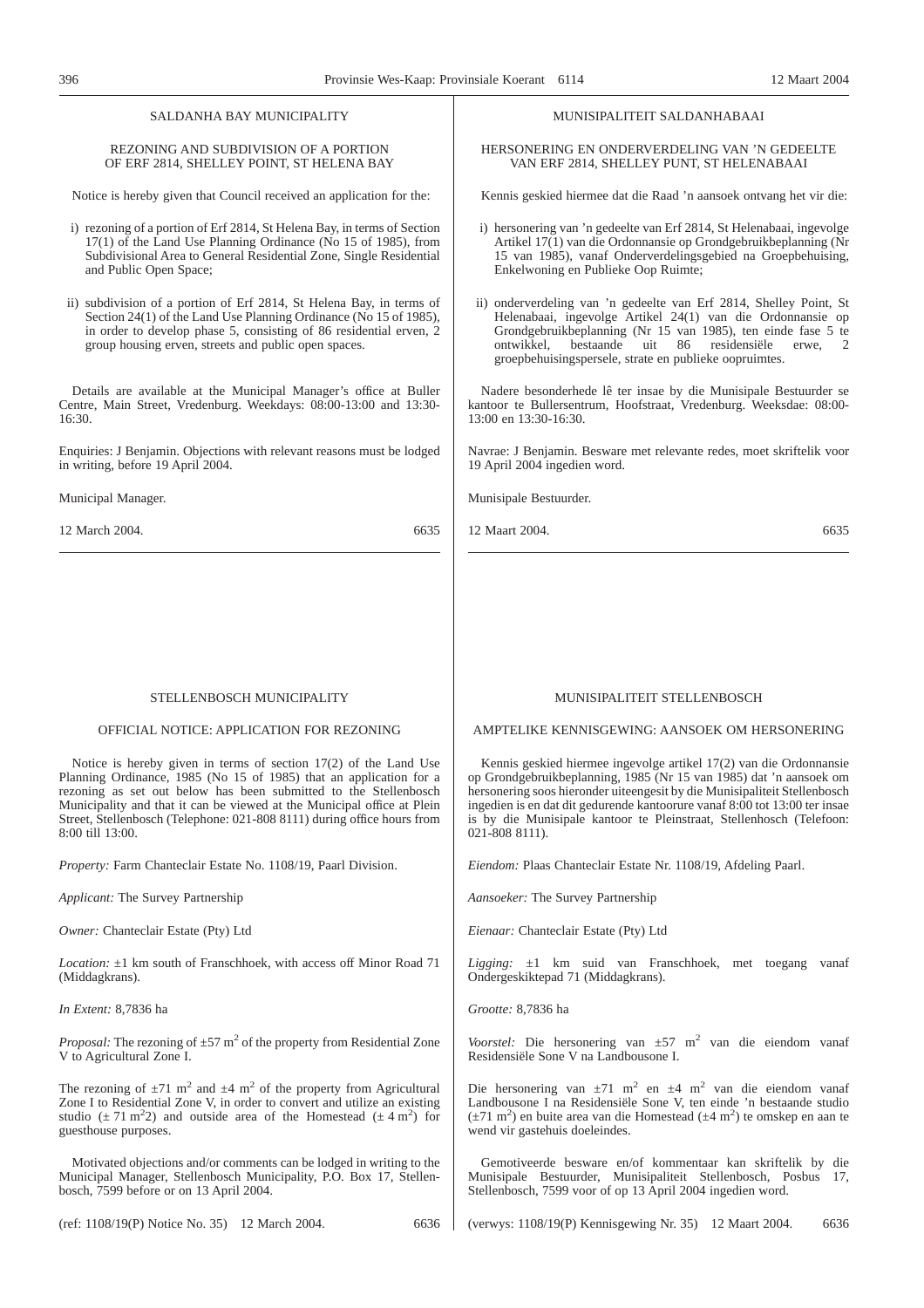## SALDANHA BAY MUNICIPALITY

## REZONING AND SUBDIVISION OF A PORTION OF ERF 2814, SHELLEY POINT, ST HELENA BAY

Notice is hereby given that Council received an application for the:

- i) rezoning of a portion of Erf 2814, St Helena Bay, in terms of Section 17(1) of the Land Use Planning Ordinance (No 15 of 1985), from Subdivisional Area to General Residential Zone, Single Residential and Public Open Space;
- ii) subdivision of a portion of Erf 2814, St Helena Bay, in terms of Section 24(1) of the Land Use Planning Ordinance (No 15 of 1985), in order to develop phase 5, consisting of 86 residential erven, 2 group housing erven, streets and public open spaces.

Details are available at the Municipal Manager's office at Buller Centre, Main Street, Vredenburg. Weekdays: 08:00-13:00 and 13:30- 16:30.

Enquiries: J Benjamin. Objections with relevant reasons must be lodged in writing, before 19 April 2004.

Municipal Manager.

12 March 2004. 6635

## MUNISIPALITEIT SALDANHABAAI

HERSONERING EN ONDERVERDELING VAN 'N GEDEELTE VAN ERF 2814, SHELLEY PUNT, ST HELENABAAI

Kennis geskied hiermee dat die Raad 'n aansoek ontvang het vir die:

- i) hersonering van 'n gedeelte van Erf 2814, St Helenabaai, ingevolge Artikel 17(1) van die Ordonnansie op Grondgebruikbeplanning (Nr 15 van 1985), vanaf Onderverdelingsgebied na Groepbehuising, Enkelwoning en Publieke Oop Ruimte;
- ii) onderverdeling van 'n gedeelte van Erf 2814, Shelley Point, St Helenabaai, ingevolge Artikel 24(1) van die Ordonnansie op Grondgebruikbeplanning (Nr 15 van 1985), ten einde fase 5 te<br>ontwikkel, bestaande uit 86 residensiële erwe. 2 ontwikkel, bestaande uit 86 residensiële erwe, 2 groepbehuisingspersele, strate en publieke oopruimtes.

Nadere besonderhede lê ter insae by die Munisipale Bestuurder se kantoor te Bullersentrum, Hoofstraat, Vredenburg. Weeksdae: 08:00- 13:00 en 13:30-16:30.

Navrae: J Benjamin. Besware met relevante redes, moet skriftelik voor 19 April 2004 ingedien word.

Munisipale Bestuurder.

12 Maart 2004. 6635

## STELLENBOSCH MUNICIPALITY

## OFFICIAL NOTICE: APPLICATION FOR REZONING

Notice is hereby given in terms of section 17(2) of the Land Use Planning Ordinance, 1985 (No 15 of 1985) that an application for a rezoning as set out below has been submitted to the Stellenbosch Municipality and that it can be viewed at the Municipal office at Plein Street, Stellenbosch (Telephone: 021-808 8111) during office hours from 8:00 till 13:00.

*Property:* Farm Chanteclair Estate No. 1108/19, Paarl Division.

*Applicant:* The Survey Partnership

*Owner:* Chanteclair Estate (Pty) Ltd

*Location:* ±1 km south of Franschhoek, with access off Minor Road 71 (Middagkrans).

*In Extent:* 8,7836 ha

*Proposal:* The rezoning of  $\pm 57$  m<sup>2</sup> of the property from Residential Zone V to Agricultural Zone I.

The rezoning of  $\pm$ 71 m<sup>2</sup> and  $\pm$ 4 m<sup>2</sup> of the property from Agricultural Zone I to Residential Zone V, in order to convert and utilize an existing studio ( $\pm$  71 m<sup>2</sup>2) and outside area of the Homestead ( $\pm$  4 m<sup>2</sup>) for guesthouse purposes.

Motivated objections and/or comments can be lodged in writing to the Municipal Manager, Stellenbosch Municipality, P.O. Box 17, Stellenbosch, 7599 before or on 13 April 2004.

(ref: 1108/19(P) Notice No. 35) 12 March 2004. 6636

## MUNISIPALITEIT STELLENBOSCH

AMPTELIKE KENNISGEWING: AANSOEK OM HERSONERING

Kennis geskied hiermee ingevolge artikel 17(2) van die Ordonnansie op Grondgebruikbeplanning, 1985 (Nr 15 van 1985) dat 'n aansoek om hersonering soos hieronder uiteengesit by die Munisipaliteit Stellenbosch ingedien is en dat dit gedurende kantoorure vanaf 8:00 tot 13:00 ter insae is by die Munisipale kantoor te Pleinstraat, Stellenhosch (Telefoon: 021-808 8111).

*Eiendom:* Plaas Chanteclair Estate Nr. 1108/19, Afdeling Paarl.

*Aansoeker:* The Survey Partnership

*Eienaar:* Chanteclair Estate (Pty) Ltd

*Ligging:* ±1 km suid van Franschhoek, met toegang vanaf Ondergeskiktepad 71 (Middagkrans).

*Grootte:* 8,7836 ha

*Voorstel:* Die hersonering van  $\pm 57$  m<sup>2</sup> van die eiendom vanaf Residensiële Sone V na Landbousone I.

Die hersonering van  $\pm 71$  m<sup>2</sup> en  $\pm 4$  m<sup>2</sup> van die eiendom vanaf Landbousone I na Residensiële Sone V, ten einde 'n bestaande studio  $(\pm 71 \text{ m}^2)$  en buite area van die Homestead  $(\pm 4 \text{ m}^2)$  te omskep en aan te wend vir gastehuis doeleindes.

Gemotiveerde besware en/of kommentaar kan skriftelik by die Munisipale Bestuurder, Munisipaliteit Stellenbosch, Posbus 17, Stellenbosch, 7599 voor of op 13 April 2004 ingedien word.

(verwys: 1108/19(P) Kennisgewing Nr. 35) 12 Maart 2004. 6636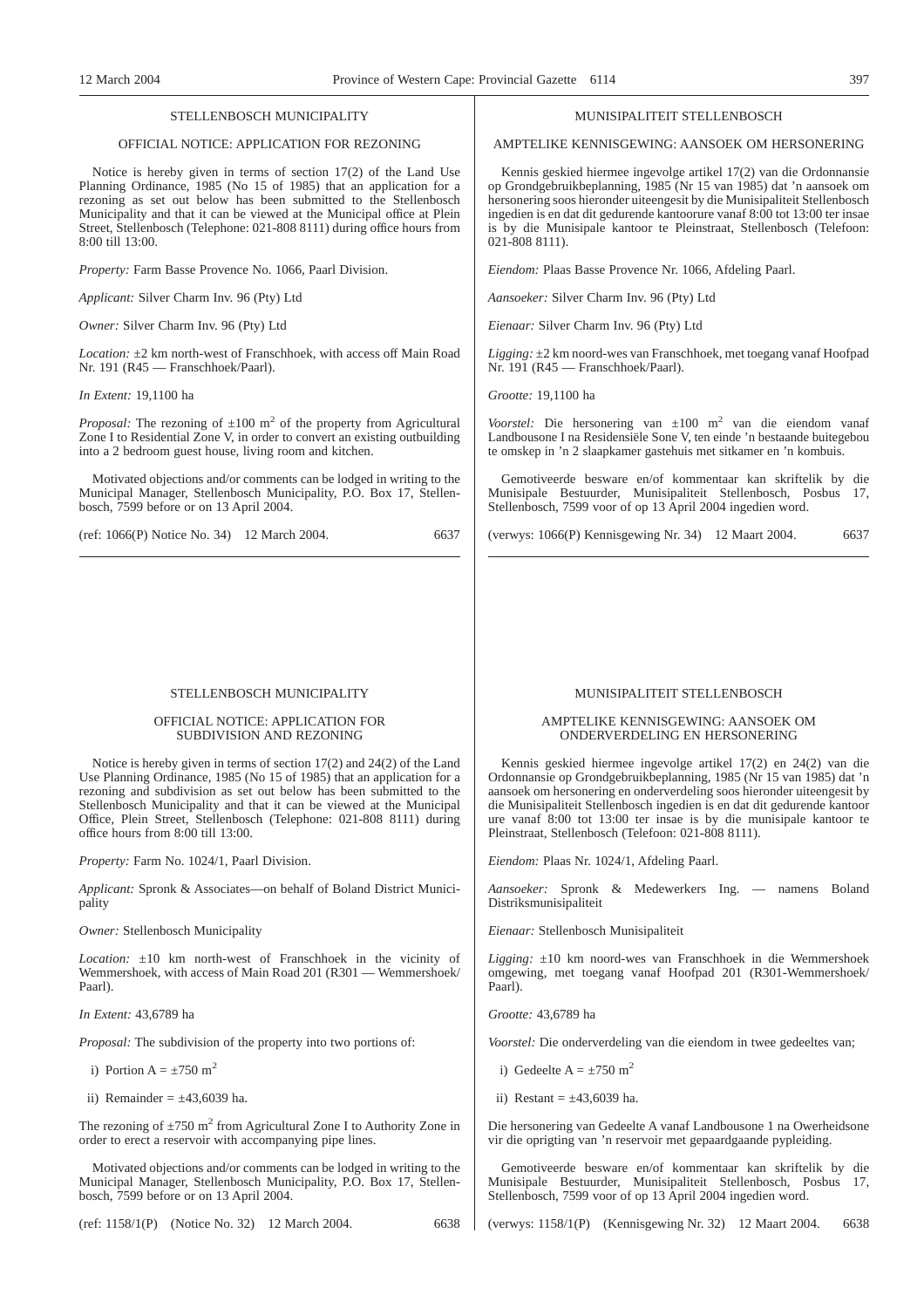#### STELLENBOSCH MUNICIPALITY

## OFFICIAL NOTICE: APPLICATION FOR REZONING

Notice is hereby given in terms of section 17(2) of the Land Use Planning Ordinance, 1985 (No 15 of 1985) that an application for a rezoning as set out below has been submitted to the Stellenbosch Municipality and that it can be viewed at the Municipal office at Plein Street, Stellenbosch (Telephone: 021-808 8111) during office hours from 8:00 till 13:00.

*Property:* Farm Basse Provence No. 1066, Paarl Division.

*Applicant:* Silver Charm Inv. 96 (Pty) Ltd

*Owner:* Silver Charm Inv. 96 (Pty) Ltd

*Location:* ±2 km north-west of Franschhoek, with access off Main Road Nr. 191 (R45 — Franschhoek/Paarl).

#### *In Extent:* 19,1100 ha

*Proposal:* The rezoning of  $\pm 100$  m<sup>2</sup> of the property from Agricultural Zone I to Residential Zone V, in order to convert an existing outbuilding into a 2 bedroom guest house, living room and kitchen.

Motivated objections and/or comments can be lodged in writing to the Municipal Manager, Stellenbosch Municipality, P.O. Box 17, Stellenbosch, 7599 before or on 13 April 2004.

|  |  |  | (ref: 1066(P) Notice No. 34) 12 March 2004. | 6637 |
|--|--|--|---------------------------------------------|------|
|--|--|--|---------------------------------------------|------|

## STELLENBOSCH MUNICIPALITY

## OFFICIAL NOTICE: APPLICATION FOR SUBDIVISION AND REZONING

Notice is hereby given in terms of section 17(2) and 24(2) of the Land Use Planning Ordinance, 1985 (No 15 of 1985) that an application for a rezoning and subdivision as set out below has been submitted to the Stellenbosch Municipality and that it can be viewed at the Municipal Office, Plein Street, Stellenbosch (Telephone: 021-808 8111) during office hours from 8:00 till 13:00.

*Property:* Farm No. 1024/1, Paarl Division.

*Applicant:* Spronk & Associates—on behalf of Boland District Municipality

*Owner:* Stellenbosch Municipality

*Location:* ±10 km north-west of Franschhoek in the vicinity of Wemmershoek, with access of Main Road 201 (R301 — Wemmershoek/ Paarl).

*In Extent:* 43,6789 ha

*Proposal:* The subdivision of the property into two portions of:

i) Portion A =  $\pm 750$  m<sup>2</sup>

ii) Remainder  $= \pm 43,6039$  ha.

The rezoning of  $\pm$ 750 m<sup>2</sup> from Agricultural Zone I to Authority Zone in order to erect a reservoir with accompanying pipe lines.

Motivated objections and/or comments can be lodged in writing to the Municipal Manager, Stellenbosch Municipality, P.O. Box 17, Stellenbosch, 7599 before or on 13 April 2004.

(ref: 1158/1(P) (Notice No. 32) 12 March 2004. 6638

## MUNISIPALITEIT STELLENBOSCH

## AMPTELIKE KENNISGEWING: AANSOEK OM HERSONERING

Kennis geskied hiermee ingevolge artikel 17(2) van die Ordonnansie op Grondgebruikbeplanning, 1985 (Nr 15 van 1985) dat 'n aansoek om hersonering soos hieronder uiteengesit by die Munisipaliteit Stellenbosch ingedien is en dat dit gedurende kantoorure vanaf 8:00 tot 13:00 ter insae is by die Munisipale kantoor te Pleinstraat, Stellenbosch (Telefoon: 021-808 8111).

*Eiendom:* Plaas Basse Provence Nr. 1066, Afdeling Paarl.

*Aansoeker:* Silver Charm Inv. 96 (Pty) Ltd

*Eienaar:* Silver Charm Inv. 96 (Pty) Ltd

*Ligging:* ±2 km noord-wes van Franschhoek, met toegang vanaf Hoofpad Nr. 191 (R45 — Franschhoek/Paarl).

*Grootte:* 19,1100 ha

*Voorstel:* Die hersonering van ±100 m2 van die eiendom vanaf Landbousone I na Residensiële Sone V, ten einde 'n bestaande buitegebou te omskep in 'n 2 slaapkamer gastehuis met sitkamer en 'n kombuis.

Gemotiveerde besware en/of kommentaar kan skriftelik by die Munisipale Bestuurder, Munisipaliteit Stellenbosch, Posbus 17, Stellenbosch, 7599 voor of op 13 April 2004 ingedien word.

(verwys: 1066(P) Kennisgewing Nr. 34) 12 Maart 2004. 6637

## MUNISIPALITEIT STELLENBOSCH

## AMPTELIKE KENNISGEWING: AANSOEK OM ONDERVERDELING EN HERSONERING

Kennis geskied hiermee ingevolge artikel 17(2) en 24(2) van die Ordonnansie op Grondgebruikbeplanning, 1985 (Nr 15 van 1985) dat 'n aansoek om hersonering en onderverdeling soos hieronder uiteengesit by die Munisipaliteit Stellenbosch ingedien is en dat dit gedurende kantoor ure vanaf 8:00 tot 13:00 ter insae is by die munisipale kantoor te Pleinstraat, Stellenbosch (Telefoon: 021-808 8111).

*Eiendom:* Plaas Nr. 1024/1, Afdeling Paarl.

*Aansoeker:* Spronk & Medewerkers Ing. — namens Boland Distriksmunisipaliteit

*Eienaar:* Stellenbosch Munisipaliteit

*Ligging:* ±10 km noord-wes van Franschhoek in die Wemmershoek omgewing, met toegang vanaf Hoofpad 201 (R301-Wemmershoek/ Paarl).

*Grootte:* 43,6789 ha

*Voorstel:* Die onderverdeling van die eiendom in twee gedeeltes van;

- i) Gedeelte A =  $+750$  m<sup>2</sup>
- ii) Restant =  $\pm 43,6039$  ha.

Die hersonering van Gedeelte A vanaf Landbousone 1 na Owerheidsone vir die oprigting van 'n reservoir met gepaardgaande pypleiding.

Gemotiveerde besware en/of kommentaar kan skriftelik by die Munisipale Bestuurder, Munisipaliteit Stellenbosch, Posbus 17, Stellenbosch, 7599 voor of op 13 April 2004 ingedien word.

(verwys: 1158/1(P) (Kennisgewing Nr. 32) 12 Maart 2004. 6638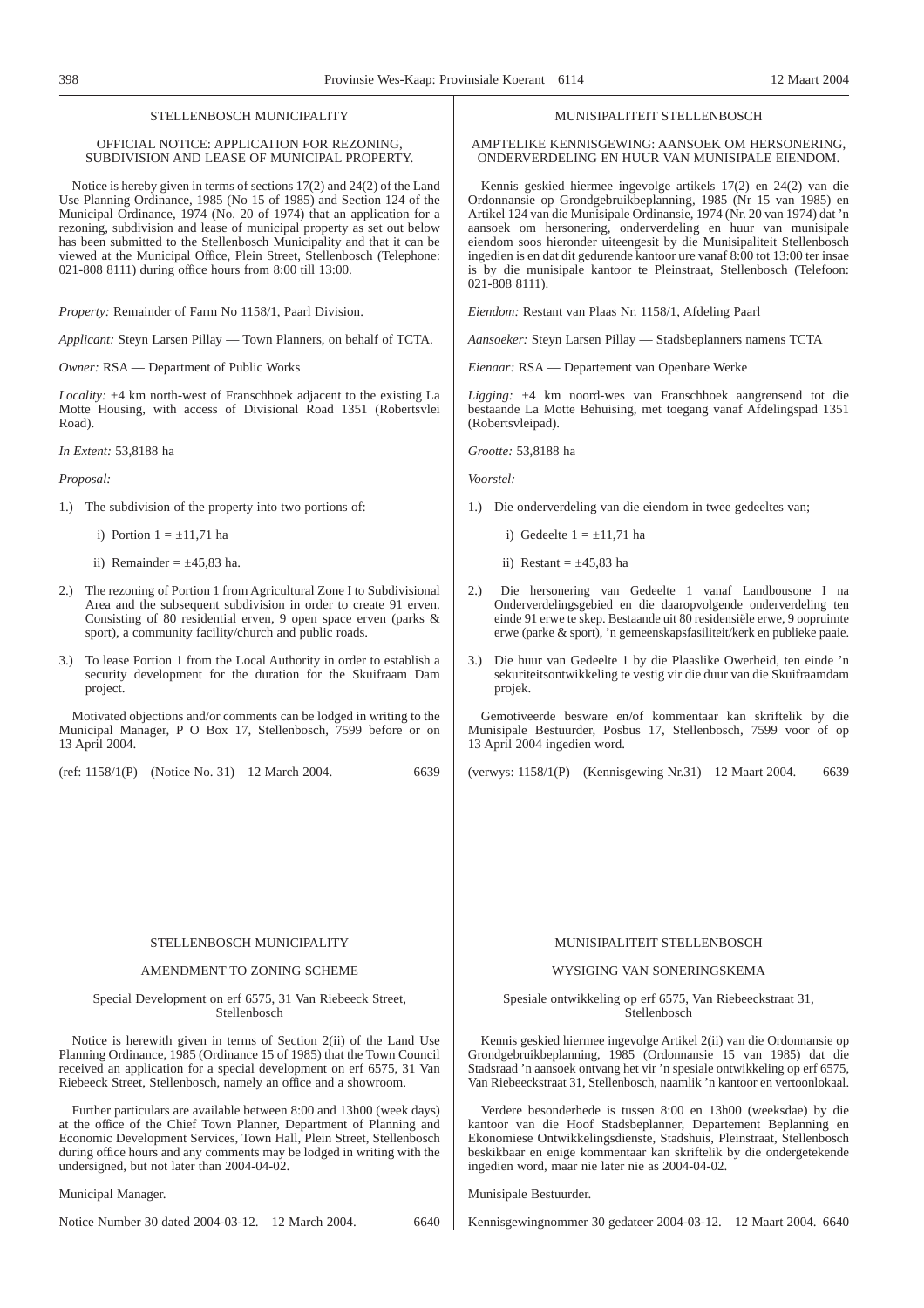## STELLENBOSCH MUNICIPALITY

## OFFICIAL NOTICE: APPLICATION FOR REZONING, SUBDIVISION AND LEASE OF MUNICIPAL PROPERTY.

Notice is hereby given in terms of sections 17(2) and 24(2) of the Land Use Planning Ordinance, 1985 (No 15 of 1985) and Section 124 of the Municipal Ordinance, 1974 (No. 20 of 1974) that an application for a rezoning, subdivision and lease of municipal property as set out below has been submitted to the Stellenbosch Municipality and that it can be viewed at the Municipal Office, Plein Street, Stellenbosch (Telephone: 021-808 8111) during office hours from 8:00 till 13:00.

*Property:* Remainder of Farm No 1158/1, Paarl Division.

*Applicant:* Steyn Larsen Pillay — Town Planners, on behalf of TCTA.

*Owner:* RSA — Department of Public Works

*Locality:* ±4 km north-west of Franschhoek adjacent to the existing La Motte Housing, with access of Divisional Road 1351 (Robertsvlei Road).

*In Extent:* 53,8188 ha

#### *Proposal:*

1.) The subdivision of the property into two portions of:

- i) Portion  $1 = \pm 11,71$  ha
- ii) Remainder  $= \pm 45,83$  ha.
- 2.) The rezoning of Portion 1 from Agricultural Zone I to Subdivisional Area and the subsequent subdivision in order to create 91 erven. Consisting of 80 residential erven, 9 open space erven (parks & sport), a community facility/church and public roads.
- 3.) To lease Portion 1 from the Local Authority in order to establish a security development for the duration for the Skuifraam Dam project.

Motivated objections and/or comments can be lodged in writing to the Municipal Manager, P O Box 17, Stellenbosch, 7599 before or on 13 April 2004.

(ref: 1158/1(P) (Notice No. 31) 12 March 2004. 6639

## MUNISIPALITEIT STELLENBOSCH

AMPTELIKE KENNISGEWING: AANSOEK OM HERSONERING, ONDERVERDELING EN HUUR VAN MUNISIPALE EIENDOM.

Kennis geskied hiermee ingevolge artikels 17(2) en 24(2) van die Ordonnansie op Grondgebruikbeplanning, 1985 (Nr 15 van 1985) en Artikel 124 van die Munisipale Ordinansie, 1974 (Nr. 20 van 1974) dat 'n aansoek om hersonering, onderverdeling en huur van munisipale eiendom soos hieronder uiteengesit by die Munisipaliteit Stellenbosch ingedien is en dat dit gedurende kantoor ure vanaf 8:00 tot 13:00 ter insae is by die munisipale kantoor te Pleinstraat, Stellenbosch (Telefoon: 021-808 8111).

*Eiendom:* Restant van Plaas Nr. 1158/1, Afdeling Paarl

*Aansoeker:* Steyn Larsen Pillay — Stadsbeplanners namens TCTA

*Eienaar:* RSA — Departement van Openbare Werke

*Ligging:* ±4 km noord-wes van Franschhoek aangrensend tot die bestaande La Motte Behuising, met toegang vanaf Afdelingspad 1351 (Robertsvleipad).

*Grootte:* 53,8188 ha

*Voorstel:*

- 1.) Die onderverdeling van die eiendom in twee gedeeltes van;
	- i) Gedeelte  $1 = \pm 11,71$  ha
	- ii) Restant =  $\pm 45,83$  ha
- 2.) Die hersonering van Gedeelte 1 vanaf Landbousone I na Onderverdelingsgebied en die daaropvolgende onderverdeling ten einde 91 erwe te skep. Bestaande uit 80 residensiële erwe, 9 oopruimte erwe (parke & sport), 'n gemeenskapsfasiliteit/kerk en publieke paaie.
- 3.) Die huur van Gedeelte 1 by die Plaaslike Owerheid, ten einde 'n sekuriteitsontwikkeling te vestig vir die duur van die Skuifraamdam projek.

Gemotiveerde besware en/of kommentaar kan skriftelik by die Munisipale Bestuurder, Posbus 17, Stellenbosch, 7599 voor of op 13 April 2004 ingedien word.

(verwys: 1158/1(P) (Kennisgewing Nr.31) 12 Maart 2004. 6639

#### STELLENBOSCH MUNICIPALITY

## AMENDMENT TO ZONING SCHEME

Special Development on erf 6575, 31 Van Riebeeck Street, Stellenbosch

Notice is herewith given in terms of Section 2(ii) of the Land Use Planning Ordinance, 1985 (Ordinance 15 of 1985) that the Town Council received an application for a special development on erf 6575, 31 Van Riebeeck Street, Stellenbosch, namely an office and a showroom.

Further particulars are available between 8:00 and 13h00 (week days) at the office of the Chief Town Planner, Department of Planning and Economic Development Services, Town Hall, Plein Street, Stellenbosch during office hours and any comments may be lodged in writing with the undersigned, but not later than 2004-04-02.

Municipal Manager.

Notice Number 30 dated 2004-03-12. 12 March 2004. 6640

## MUNISIPALITEIT STELLENBOSCH

## WYSIGING VAN SONERINGSKEMA

Spesiale ontwikkeling op erf 6575, Van Riebeeckstraat 31, Stellenbosch

Kennis geskied hiermee ingevolge Artikel 2(ii) van die Ordonnansie op Grondgebruikbeplanning, 1985 (Ordonnansie 15 van 1985) dat die Stadsraad 'n aansoek ontvang het vir 'n spesiale ontwikkeling op erf 6575, Van Riebeeckstraat 31, Stellenbosch, naamlik 'n kantoor en vertoonlokaal.

Verdere besonderhede is tussen 8:00 en 13h00 (weeksdae) by die kantoor van die Hoof Stadsbeplanner, Departement Beplanning en Ekonomiese Ontwikkelingsdienste, Stadshuis, Pleinstraat, Stellenbosch beskikbaar en enige kommentaar kan skriftelik by die ondergetekende ingedien word, maar nie later nie as 2004-04-02.

Munisipale Bestuurder.

Kennisgewingnommer 30 gedateer 2004-03-12. 12 Maart 2004. 6640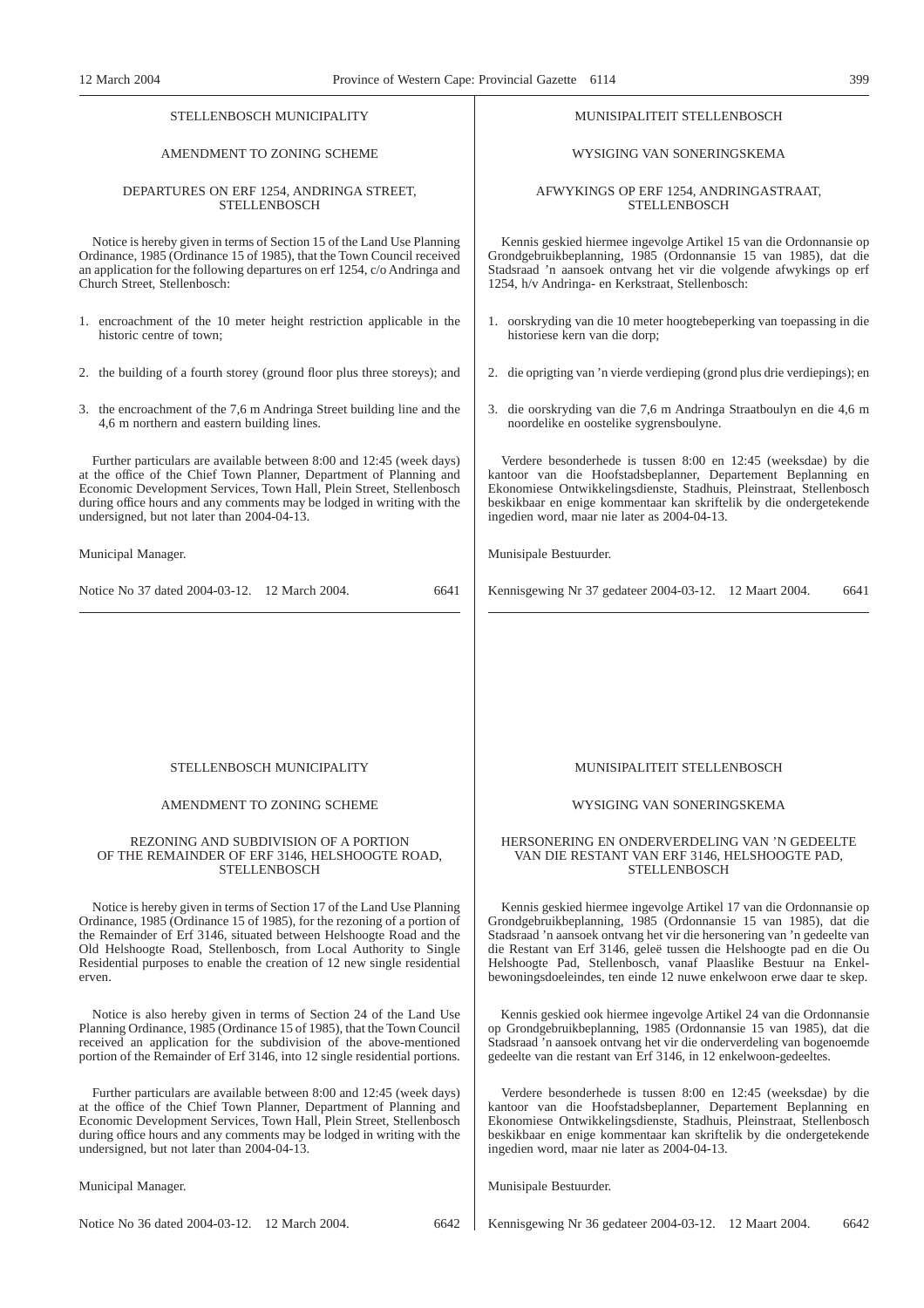#### STELL ENBOSCH MUNICIPALITY

# AMENDMENT TO ZONING SCHEME

#### DEPARTURES ON ERF 1254, ANDRINGA STREET, **STELLENBOSCH**

Notice is hereby given in terms of Section 15 of the Land Use Planning Ordinance, 1985 (Ordinance 15 of 1985), that the Town Council received an application for the following departures on erf 1254, c/o Andringa and Church Street, Stellenbosch:

- 1. encroachment of the 10 meter height restriction applicable in the historic centre of town;
- 2. the building of a fourth storey (ground floor plus three storeys); and
- 3. the encroachment of the 7,6 m Andringa Street building line and the 4,6 m northern and eastern building lines.

Further particulars are available between 8:00 and 12:45 (week days) at the office of the Chief Town Planner, Department of Planning and Economic Development Services, Town Hall, Plein Street, Stellenbosch during office hours and any comments may be lodged in writing with the undersigned, but not later than 2004-04-13.

Municipal Manager.

| Notice No 37 dated 2004-03-12. 12 March 2004.<br>6641 |
|-------------------------------------------------------|
|-------------------------------------------------------|

## MUNISIPALITEIT STELLENBOSCH

## WYSIGING VAN SONERINGSKEMA

#### AFWYKINGS OP ERF 1254, ANDRINGASTRAAT, **STELLENBOSCH**

Kennis geskied hiermee ingevolge Artikel 15 van die Ordonnansie op Grondgebruikbeplanning, 1985 (Ordonnansie 15 van 1985), dat die Stadsraad 'n aansoek ontvang het vir die volgende afwykings op erf 1254, h/v Andringa- en Kerkstraat, Stellenbosch:

- 1. oorskryding van die 10 meter hoogtebeperking van toepassing in die historiese kern van die dorp;
- 2. die oprigting van 'n vierde verdieping (grond plus drie verdiepings); en
- 3. die oorskryding van die 7,6 m Andringa Straatboulyn en die 4,6 m noordelike en oostelike sygrensboulyne.

Verdere besonderhede is tussen 8:00 en 12:45 (weeksdae) by die kantoor van die Hoofstadsbeplanner, Departement Beplanning en Ekonomiese Ontwikkelingsdienste, Stadhuis, Pleinstraat, Stellenbosch beskikbaar en enige kommentaar kan skriftelik by die ondergetekende ingedien word, maar nie later as 2004-04-13.

Munisipale Bestuurder.

Kennisgewing Nr 37 gedateer 2004-03-12. 12 Maart 2004. 6641

## STELLENBOSCH MUNICIPALITY

## AMENDMENT TO ZONING SCHEME

#### REZONING AND SUBDIVISION OF A PORTION OF THE REMAINDER OF ERF 3146, HELSHOOGTE ROAD, **STELLENBOSCH**

Notice is hereby given in terms of Section 17 of the Land Use Planning Ordinance, 1985 (Ordinance 15 of 1985), for the rezoning of a portion of the Remainder of Erf 3146, situated between Helshoogte Road and the Old Helshoogte Road, Stellenbosch, from Local Authority to Single Residential purposes to enable the creation of 12 new single residential erven.

Notice is also hereby given in terms of Section 24 of the Land Use Planning Ordinance, 1985 (Ordinance 15 of 1985), that the Town Council received an application for the subdivision of the above-mentioned portion of the Remainder of Erf 3146, into 12 single residential portions.

Further particulars are available between 8:00 and 12:45 (week days) at the office of the Chief Town Planner, Department of Planning and Economic Development Services, Town Hall, Plein Street, Stellenbosch during office hours and any comments may be lodged in writing with the undersigned, but not later than 2004-04-13.

Municipal Manager.

Notice No 36 dated 2004-03-12. 12 March 2004. 6642

MUNISIPALITEIT STELLENBOSCH

## WYSIGING VAN SONERINGSKEMA

#### HERSONERING EN ONDERVERDELING VAN 'N GEDEELTE VAN DIE RESTANT VAN ERF 3146, HELSHOOGTE PAD, STELLENBOSCH

Kennis geskied hiermee ingevolge Artikel 17 van die Ordonnansie op Grondgebruikbeplanning, 1985 (Ordonnansie 15 van 1985), dat die Stadsraad 'n aansoek ontvang het vir die hersonering van 'n gedeelte van die Restant van Erf 3146, geleë tussen die Helshoogte pad en die Ou Helshoogte Pad, Stellenbosch, vanaf Plaaslike Bestuur na Enkelbewoningsdoeleindes, ten einde 12 nuwe enkelwoon erwe daar te skep.

Kennis geskied ook hiermee ingevolge Artikel 24 van die Ordonnansie op Grondgebruikbeplanning, 1985 (Ordonnansie 15 van 1985), dat die Stadsraad 'n aansoek ontvang het vir die onderverdeling van bogenoemde gedeelte van die restant van Erf 3146, in 12 enkelwoon-gedeeltes.

Verdere besonderhede is tussen 8:00 en 12:45 (weeksdae) by die kantoor van die Hoofstadsbeplanner, Departement Beplanning en Ekonomiese Ontwikkelingsdienste, Stadhuis, Pleinstraat, Stellenbosch beskikbaar en enige kommentaar kan skriftelik by die ondergetekende ingedien word, maar nie later as 2004-04-13.

Munisipale Bestuurder.

Kennisgewing Nr 36 gedateer 2004-03-12. 12 Maart 2004. 6642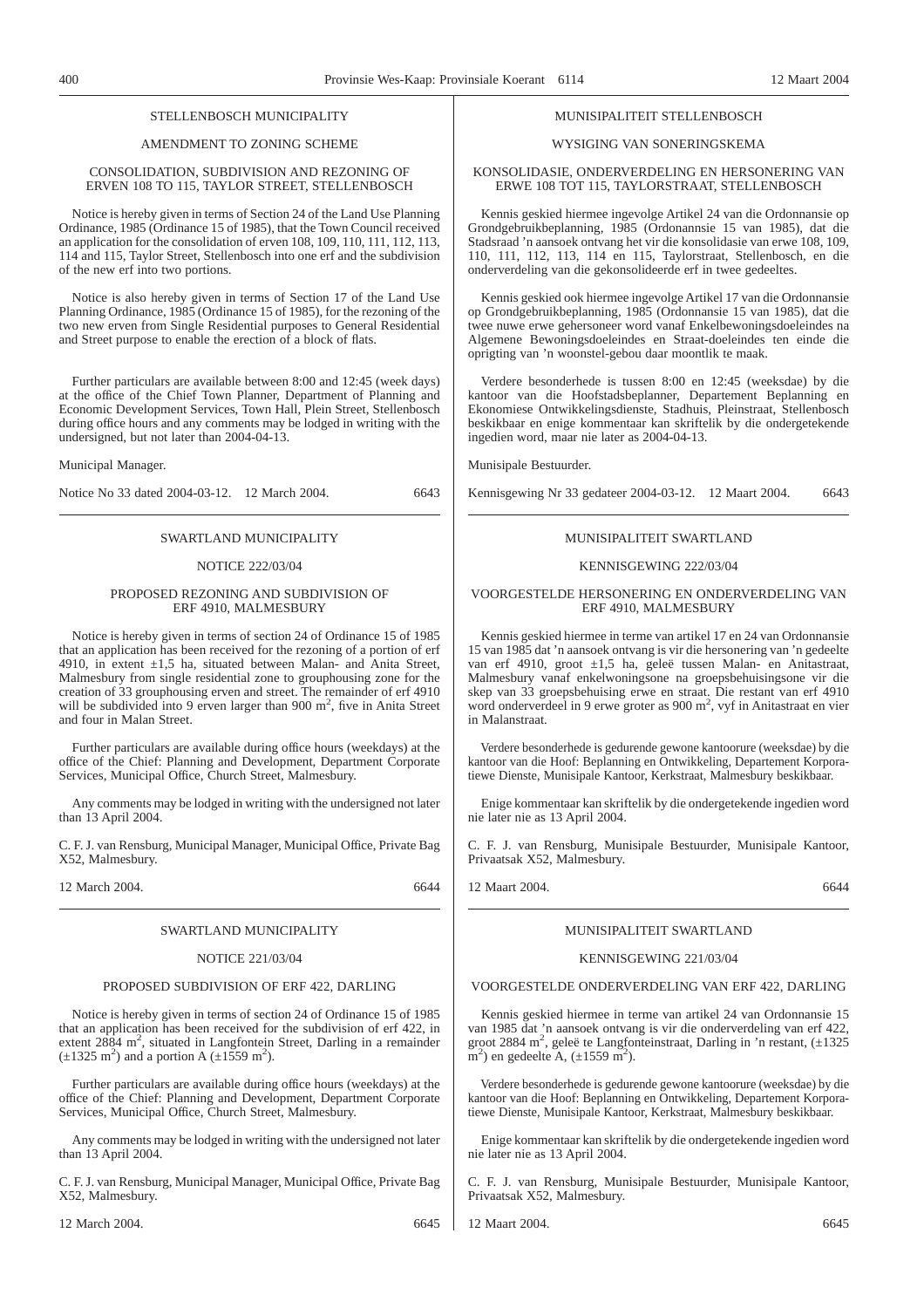## STELL ENBOSCH MUNICIPALITY

## AMENDMENT TO ZONING SCHEME

## CONSOLIDATION, SUBDIVISION AND REZONING OF ERVEN 108 TO 115, TAYLOR STREET, STELLENBOSCH

Notice is hereby given in terms of Section 24 of the Land Use Planning Ordinance, 1985 (Ordinance 15 of 1985), that the Town Council received an application for the consolidation of erven 108, 109, 110, 111, 112, 113, 114 and 115, Taylor Street, Stellenbosch into one erf and the subdivision of the new erf into two portions.

Notice is also hereby given in terms of Section 17 of the Land Use Planning Ordinance, 1985 (Ordinance 15 of 1985), for the rezoning of the two new erven from Single Residential purposes to General Residential and Street purpose to enable the erection of a block of flats.

Further particulars are available between 8:00 and 12:45 (week days) at the office of the Chief Town Planner, Department of Planning and Economic Development Services, Town Hall, Plein Street, Stellenbosch during office hours and any comments may be lodged in writing with the undersigned, but not later than 2004-04-13.

Municipal Manager.

Notice No 33 dated 2004-03-12. 12 March 2004. 6643

## SWARTLAND MUNICIPALITY

#### NOTICE 222/03/04

## PROPOSED REZONING AND SUBDIVISION OF ERF 4910, MALMESBURY

Notice is hereby given in terms of section 24 of Ordinance 15 of 1985 that an application has been received for the rezoning of a portion of erf 4910, in extent  $\pm 1.5$  ha, situated between Malan- and Anita Street, Malmesbury from single residential zone to grouphousing zone for the creation of 33 grouphousing erven and street. The remainder of erf 4910 will be subdivided into 9 erven larger than 900 m<sup>2</sup>, five in Anita Street and four in Malan Street.

Further particulars are available during office hours (weekdays) at the office of the Chief: Planning and Development, Department Corporate Services, Municipal Office, Church Street, Malmesbury.

Any comments may be lodged in writing with the undersigned not later than 13 April 2004.

C. F. J. van Rensburg, Municipal Manager, Municipal Office, Private Bag X52, Malmesbury.

12 March 2004. 6644

## SWARTLAND MUNICIPALITY

## NOTICE 221/03/04

## PROPOSED SUBDIVISION OF ERF 422, DARLING

Notice is hereby given in terms of section 24 of Ordinance 15 of 1985 that an application has been received for the subdivision of erf 422, in extent 2884 m<sup>2</sup>, situated in Langfontein Street, Darling in a remainder  $(\pm 1325 \text{ m}^2)$  and a portion A  $(\pm 1559 \text{ m}^2)$ .

Further particulars are available during office hours (weekdays) at the office of the Chief: Planning and Development, Department Corporate Services, Municipal Office, Church Street, Malmesbury.

Any comments may be lodged in writing with the undersigned not later than 13 April 2004.

C. F. J. van Rensburg, Municipal Manager, Municipal Office, Private Bag X52, Malmesbury.

## MUNISIPALITEIT STELLENBOSCH

## WYSIGING VAN SONERINGSKEMA

#### KONSOLIDASIE, ONDERVERDELING EN HERSONERING VAN ERWE 108 TOT 115, TAYLORSTRAAT, STELLENBOSCH

Kennis geskied hiermee ingevolge Artikel 24 van die Ordonnansie op Grondgebruikbeplanning, 1985 (Ordonannsie 15 van 1985), dat die Stadsraad 'n aansoek ontvang het vir die konsolidasie van erwe 108, 109, 110, 111, 112, 113, 114 en 115, Taylorstraat, Stellenbosch, en die onderverdeling van die gekonsolideerde erf in twee gedeeltes.

Kennis geskied ook hiermee ingevolge Artikel 17 van die Ordonnansie op Grondgebruikbeplanning, 1985 (Ordonnansie 15 van 1985), dat die twee nuwe erwe gehersoneer word vanaf Enkelbewoningsdoeleindes na Algemene Bewoningsdoeleindes en Straat-doeleindes ten einde die oprigting van 'n woonstel-gebou daar moontlik te maak.

Verdere besonderhede is tussen 8:00 en 12:45 (weeksdae) by die kantoor van die Hoofstadsbeplanner, Departement Beplanning en Ekonomiese Ontwikkelingsdienste, Stadhuis, Pleinstraat, Stellenbosch beskikbaar en enige kommentaar kan skriftelik by die ondergetekende ingedien word, maar nie later as 2004-04-13.

Munisipale Bestuurder.

Kennisgewing Nr 33 gedateer 2004-03-12. 12 Maart 2004. 6643

# MUNISIPALITEIT SWARTLAND

#### KENNISGEWING 222/03/04

#### VOORGESTELDE HERSONERING EN ONDERVERDELING VAN ERF 4910, MALMESBURY

Kennis geskied hiermee in terme van artikel 17 en 24 van Ordonnansie 15 van 1985 dat 'n aansoek ontvang is vir die hersonering van 'n gedeelte van erf 4910, groot ±1,5 ha, geleë tussen Malan- en Anitastraat, Malmesbury vanaf enkelwoningsone na groepsbehuisingsone vir die skep van 33 groepsbehuising erwe en straat. Die restant van erf 4910 word onderverdeel in 9 erwe groter as 900 m<sup>2</sup>, vyf in Anitastraat en vier in Malanstraat.

Verdere besonderhede is gedurende gewone kantoorure (weeksdae) by die kantoor van die Hoof: Beplanning en Ontwikkeling, Departement Korporatiewe Dienste, Munisipale Kantoor, Kerkstraat, Malmesbury beskikbaar.

Enige kommentaar kan skriftelik by die ondergetekende ingedien word nie later nie as 13 April 2004.

C. F. J. van Rensburg, Munisipale Bestuurder, Munisipale Kantoor, Privaatsak X52, Malmesbury.

12 Maart 2004. 6644

## MUNISIPALITEIT SWARTLAND

## KENNISGEWING 221/03/04

## VOORGESTELDE ONDERVERDELING VAN ERF 422, DARLING

Kennis geskied hiermee in terme van artikel 24 van Ordonnansie 15 van 1985 dat 'n aansoek ontvang is vir die onderverdeling van erf 422, groot 2884 m<sup>2</sup>, geleë te Langfonteinstraat, Darling in 'n restant, (±1325  $\text{m}^2$ ) en gedeelte A, ( $\pm 1559 \text{ m}^2$ ).

Verdere besonderhede is gedurende gewone kantoorure (weeksdae) by die kantoor van die Hoof: Beplanning en Ontwikkeling, Departement Korporatiewe Dienste, Munisipale Kantoor, Kerkstraat, Malmesbury beskikbaar.

Enige kommentaar kan skriftelik by die ondergetekende ingedien word nie later nie as 13 April 2004.

C. F. J. van Rensburg, Munisipale Bestuurder, Munisipale Kantoor, Privaatsak X52, Malmesbury.

12 Maart 2004. 6645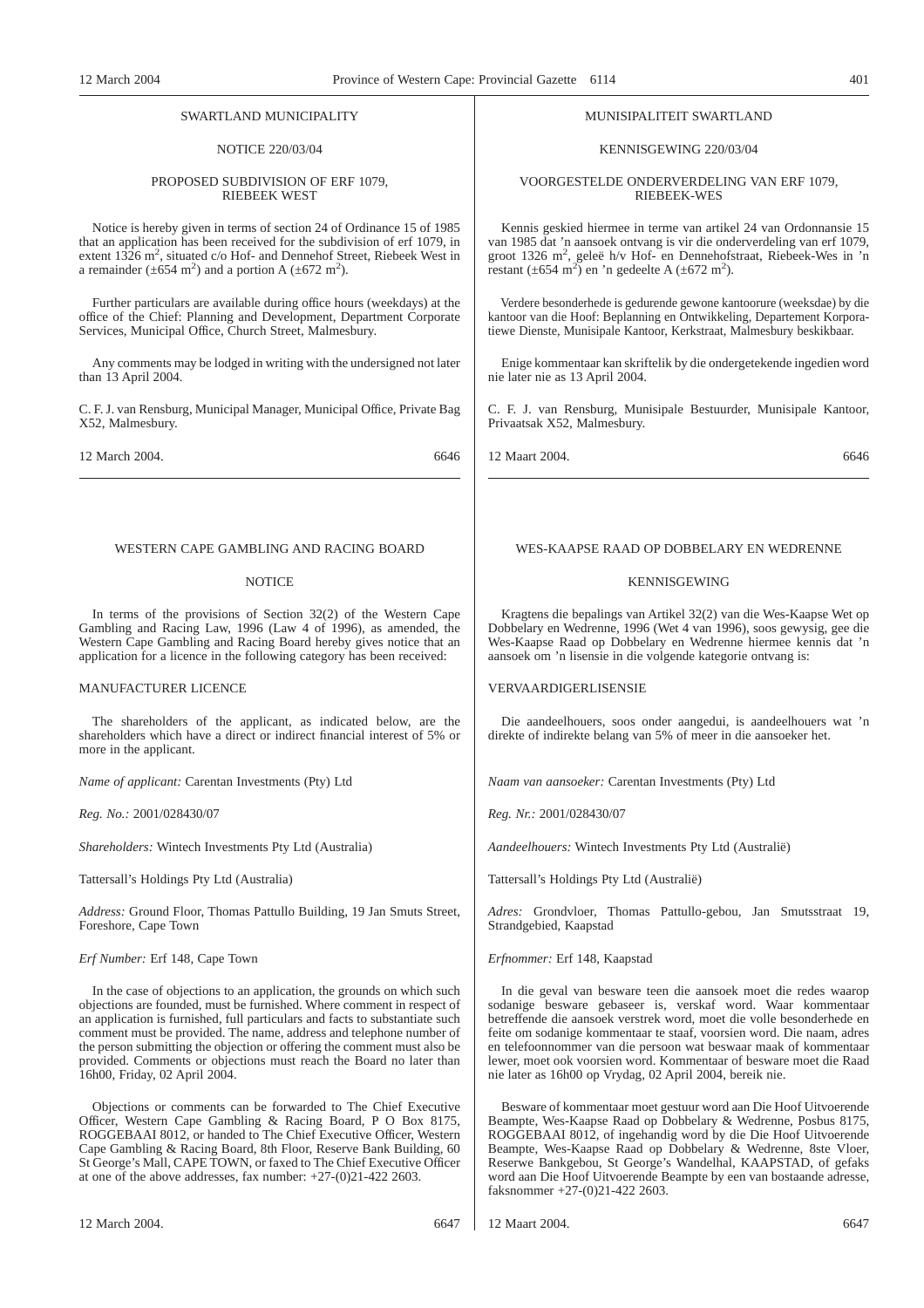#### SWARTLAND MUNICIPALITY

## NOTICE 220/03/04

#### PROPOSED SUBDIVISION OF ERF 1079, RIEBEEK WEST

Notice is hereby given in terms of section 24 of Ordinance 15 of 1985 that an application has been received for the subdivision of erf 1079, in extent 1326 m<sup>2</sup>, situated c/o Hof- and Dennehof Street, Riebeek West in a remainder  $(\pm 654 \text{ m}^2)$  and a portion A  $(\pm 672 \text{ m}^2)$ .

Further particulars are available during office hours (weekdays) at the office of the Chief: Planning and Development, Department Corporate Services, Municipal Office, Church Street, Malmesbury.

Any comments may be lodged in writing with the undersigned not later than 13 April 2004.

C. F. J. van Rensburg, Municipal Manager, Municipal Office, Private Bag X52, Malmesbury.

12 March 2004. 6646

#### WESTERN CAPE GAMBLING AND RACING BOARD

### **NOTICE**

In terms of the provisions of Section  $32(2)$  of the Western Cape Gambling and Racing Law, 1996 (Law 4 of 1996), as amended, the Western Cape Gambling and Racing Board hereby gives notice that an application for a licence in the following category has been received:

## MANUFACTURER LICENCE

The shareholders of the applicant, as indicated below, are the shareholders which have a direct or indirect financial interest of 5% or more in the applicant.

*Name of applicant:* Carentan Investments (Pty) Ltd

*Reg. No.:* 2001/028430/07

*Shareholders:* Wintech Investments Pty Ltd (Australia)

Tattersall's Holdings Pty Ltd (Australia)

*Address:* Ground Floor, Thomas Pattullo Building, 19 Jan Smuts Street, Foreshore, Cape Town

*Erf Number:* Erf 148, Cape Town

In the case of objections to an application, the grounds on which such objections are founded, must be furnished. Where comment in respect of an application is furnished, full particulars and facts to substantiate such comment must be provided. The name, address and telephone number of the person submitting the objection or offering the comment must also be provided. Comments or objections must reach the Board no later than 16h00, Friday, 02 April 2004.

Objections or comments can be forwarded to The Chief Executive Officer, Western Cape Gambling & Racing Board, P O Box 8175, ROGGEBAAI 8012, or handed to The Chief Executive Officer, Western Cape Gambling & Racing Board, 8th Floor, Reserve Bank Building, 60 St George's Mall, CAPE TOWN, or faxed to The Chief Executive Officer at one of the above addresses, fax number: +27-(0)21-422 2603.

# MUNISIPALITEIT SWARTLAND

## KENNISGEWING 220/03/04

VOORGESTELDE ONDERVERDELING VAN ERF 1079, RIEBEEK-WES

Kennis geskied hiermee in terme van artikel 24 van Ordonnansie 15 van 1985 dat 'n aansoek ontvang is vir die onderverdeling van erf 1079, groot 1326 m<sup>2</sup>, geleë h/v Hof- en Dennehofstraat, Riebeek-Wes in 'n restant (±654 m<sup>2</sup>) en 'n gedeelte A (±672 m<sup>2</sup>).

Verdere besonderhede is gedurende gewone kantoorure (weeksdae) by die kantoor van die Hoof: Beplanning en Ontwikkeling, Departement Korporatiewe Dienste, Munisipale Kantoor, Kerkstraat, Malmesbury beskikbaar.

Enige kommentaar kan skriftelik by die ondergetekende ingedien word nie later nie as 13 April 2004.

C. F. J. van Rensburg, Munisipale Bestuurder, Munisipale Kantoor, Privaatsak X52, Malmesbury.

12 Maart 2004. 6646

## WES-KAAPSE RAAD OP DOBBELARY EN WEDRENNE

## KENNISGEWING

Kragtens die bepalings van Artikel 32(2) van die Wes-Kaapse Wet op Dobbelary en Wedrenne, 1996 (Wet 4 van 1996), soos gewysig, gee die Wes-Kaapse Raad op Dobbelary en Wedrenne hiermee kennis dat 'n aansoek om 'n lisensie in die volgende kategorie ontvang is:

## VERVAARDIGERLISENSIE

Die aandeelhouers, soos onder aangedui, is aandeelhouers wat 'n direkte of indirekte belang van 5% of meer in die aansoeker het.

*Naam van aansoeker:* Carentan Investments (Pty) Ltd

*Reg. Nr.:* 2001/028430/07

*Aandeelhouers:* Wintech Investments Pty Ltd (Australië)

Tattersall's Holdings Pty Ltd (Australië)

*Adres:* Grondvloer, Thomas Pattullo-gebou, Jan Smutsstraat 19, Strandgebied, Kaapstad

*Erfnommer:* Erf 148, Kaapstad

In die geval van besware teen die aansoek moet die redes waarop sodanige besware gebaseer is, verskaf word. Waar kommentaar betreffende die aansoek verstrek word, moet die volle besonderhede en feite om sodanige kommentaar te staaf, voorsien word. Die naam, adres en telefoonnommer van die persoon wat beswaar maak of kommentaar lewer, moet ook voorsien word. Kommentaar of besware moet die Raad nie later as 16h00 op Vrydag, 02 April 2004, bereik nie.

Besware of kommentaar moet gestuur word aan Die Hoof Uitvoerende Beampte, Wes-Kaapse Raad op Dobbelary & Wedrenne, Posbus 8175, ROGGEBAAI 8012, of ingehandig word by die Die Hoof Uitvoerende Beampte, Wes-Kaapse Raad op Dobbelary & Wedrenne, 8ste Vloer, Reserwe Bankgebou, St George's Wandelhal, KAAPSTAD, of gefaks word aan Die Hoof Uitvoerende Beampte by een van bostaande adresse, faksnommer +27-(0)21-422 2603.

12 Maart 2004. 6647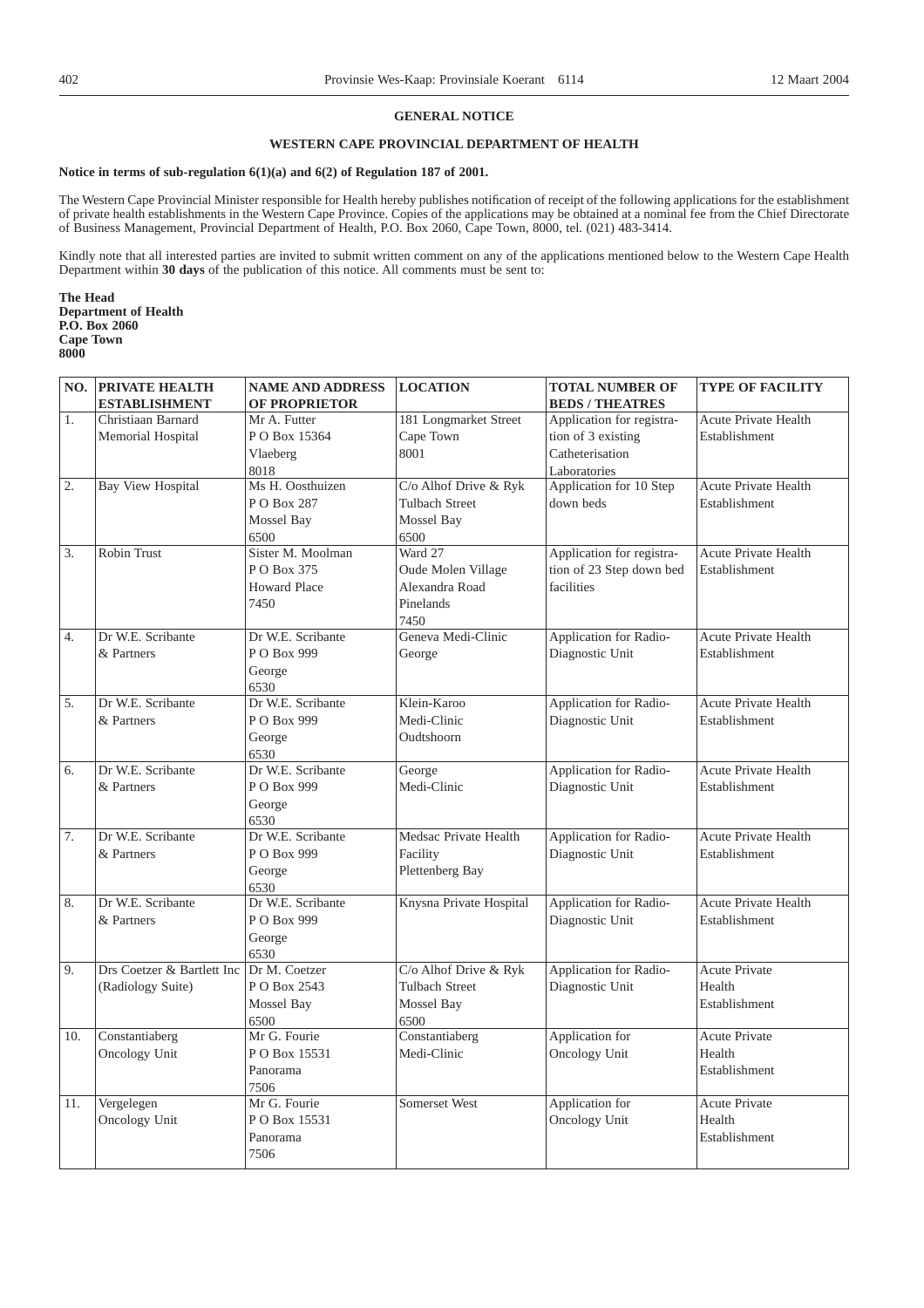# **GENERAL NOTICE**

# **WESTERN CAPE PROVINCIAL DEPARTMENT OF HEALTH**

## **Notice in terms of sub-regulation 6(1)(a) and 6(2) of Regulation 187 of 2001.**

The Western Cape Provincial Minister responsible for Health hereby publishes notification of receipt of the following applications for the establishment of private health establishments in the Western Cape Province. Copies of the applications may be obtained at a nominal fee from the Chief Directorate of Business Management, Provincial Department of Health, P.O. Box 2060, Cape Town, 8000, tel. (021) 483-3414.

Kindly note that all interested parties are invited to submit written comment on any of the applications mentioned below to the Western Cape Health Department within **30 days** of the publication of this notice. All comments must be sent to:

**The Head Department of Health P.O. Box 2060 Cape Town 8000**

|     | <b>NO. PRIVATE HEALTH</b>  | <b>NAME AND ADDRESS</b> | <b>LOCATION</b>         | <b>TOTAL NUMBER OF</b>                    | <b>TYPE OF FACILITY</b>     |
|-----|----------------------------|-------------------------|-------------------------|-------------------------------------------|-----------------------------|
|     | <b>ESTABLISHMENT</b>       | <b>OF PROPRIETOR</b>    |                         | <b>BEDS / THEATRES</b>                    |                             |
| 1.  | Christiaan Barnard         | Mr A. Futter            | 181 Longmarket Street   | Application for registra-                 | Acute Private Health        |
|     | Memorial Hospital          | PO Box 15364            | Cape Town               | tion of 3 existing                        | Establishment               |
|     |                            | Vlaeberg                | 8001                    | Catheterisation                           |                             |
|     |                            | 8018                    |                         | Laboratories                              |                             |
| 2.  | <b>Bay View Hospital</b>   | Ms H. Oosthuizen        | C/o Alhof Drive & Ryk   | Application for 10 Step                   | <b>Acute Private Health</b> |
|     |                            | PO Box 287              | <b>Tulbach Street</b>   | down beds                                 | Establishment               |
|     |                            | Mossel Bay              | Mossel Bay              |                                           |                             |
|     |                            | 6500                    | 6500                    |                                           |                             |
| 3.  | <b>Robin Trust</b>         | Sister M. Moolman       | Ward 27                 | Application for registra-                 | <b>Acute Private Health</b> |
|     |                            | PO Box 375              | Oude Molen Village      | tion of 23 Step down bed                  | Establishment               |
|     |                            | <b>Howard Place</b>     | Alexandra Road          | facilities                                |                             |
|     |                            | 7450                    | Pinelands               |                                           |                             |
|     |                            |                         | 7450                    |                                           |                             |
| 4.  | Dr W.E. Scribante          | Dr W.E. Scribante       | Geneva Medi-Clinic      | Application for Radio-                    | <b>Acute Private Health</b> |
|     | & Partners                 | P O Box 999             | George                  | Diagnostic Unit                           | Establishment               |
|     |                            | George                  |                         |                                           |                             |
|     |                            | 6530                    |                         |                                           |                             |
| 5.  | Dr W.E. Scribante          | Dr W.E. Scribante       | Klein-Karoo             | Application for Radio-                    | <b>Acute Private Health</b> |
|     | & Partners                 | P O Box 999             | Medi-Clinic             | Diagnostic Unit                           | Establishment               |
|     |                            | George                  | Oudtshoorn              |                                           |                             |
|     |                            | 6530                    |                         |                                           |                             |
| 6.  | Dr W.E. Scribante          | Dr W.E. Scribante       | George                  | Application for Radio-                    | Acute Private Health        |
|     | & Partners                 | P O Box 999             | Medi-Clinic             | Diagnostic Unit                           | Establishment               |
|     |                            | George                  |                         |                                           |                             |
|     |                            | 6530                    |                         |                                           |                             |
| 7.  | Dr W.E. Scribante          | Dr W.E. Scribante       | Medsac Private Health   | Application for Radio-                    | <b>Acute Private Health</b> |
|     | & Partners                 | P O Box 999             | Facility                | Diagnostic Unit                           | Establishment               |
|     |                            | George                  | Plettenberg Bay         |                                           |                             |
|     |                            | 6530                    |                         |                                           |                             |
| 8.  | Dr W.E. Scribante          | Dr W.E. Scribante       | Knysna Private Hospital | Application for Radio-                    | <b>Acute Private Health</b> |
|     | & Partners                 | P O Box 999             |                         | Diagnostic Unit                           | Establishment               |
|     |                            | George                  |                         |                                           |                             |
|     |                            | 6530<br>Dr M. Coetzer   | C/o Alhof Drive & Ryk   |                                           |                             |
| 9.  | Drs Coetzer & Bartlett Inc | P O Box 2543            | <b>Tulbach Street</b>   | Application for Radio-<br>Diagnostic Unit | Acute Private<br>Health     |
|     | (Radiology Suite)          |                         |                         |                                           |                             |
|     |                            | Mossel Bay              | Mossel Bay              |                                           | Establishment               |
|     | Constantiaberg             | 6500<br>Mr G. Fourie    | 6500<br>Constantiaberg  | Application for                           | <b>Acute Private</b>        |
| 10. |                            | PO Box 15531            | Medi-Clinic             |                                           | Health                      |
|     | Oncology Unit              |                         |                         | <b>Oncology Unit</b>                      |                             |
|     |                            | Panorama<br>7506        |                         |                                           | Establishment               |
| 11. | Vergelegen                 | Mr G. Fourie            | Somerset West           | Application for                           | <b>Acute Private</b>        |
|     | Oncology Unit              | PO Box 15531            |                         | Oncology Unit                             | Health                      |
|     |                            | Panorama                |                         |                                           | Establishment               |
|     |                            |                         |                         |                                           |                             |
|     |                            | 7506                    |                         |                                           |                             |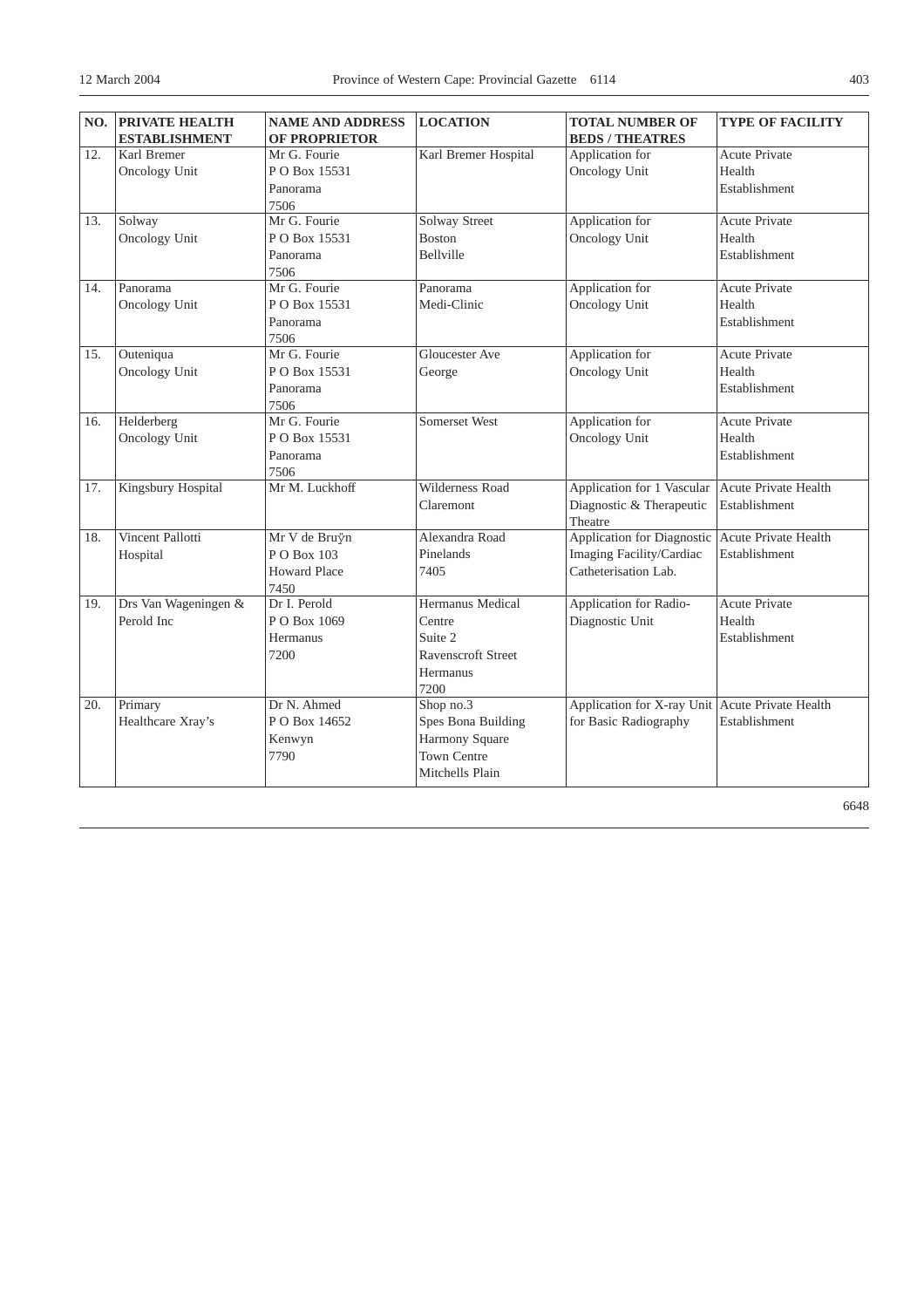| NO. | <b>PRIVATE HEALTH</b>     | <b>NAME AND ADDRESS</b> | <b>LOCATION</b>           | <b>TOTAL NUMBER OF</b>     | <b>TYPE OF FACILITY</b>     |
|-----|---------------------------|-------------------------|---------------------------|----------------------------|-----------------------------|
|     | <b>ESTABLISHMENT</b>      | <b>OF PROPRIETOR</b>    |                           | <b>BEDS / THEATRES</b>     |                             |
| 12. | Karl Bremer               | Mr G. Fourie            | Karl Bremer Hospital      | Application for            | <b>Acute Private</b>        |
|     | Oncology Unit             | P O Box 15531           |                           | <b>Oncology Unit</b>       | Health                      |
|     |                           | Panorama                |                           |                            | Establishment               |
|     |                           | 7506                    |                           |                            |                             |
| 13. | Solway                    | Mr G. Fourie            | <b>Solway Street</b>      | Application for            | <b>Acute Private</b>        |
|     | Oncology Unit             | PO Box 15531            | <b>Boston</b>             | <b>Oncology Unit</b>       | Health                      |
|     |                           | Panorama                | Bellville                 |                            | Establishment               |
|     |                           | 7506                    |                           |                            |                             |
| 14. | Panorama                  | Mr G. Fourie            | Panorama                  | Application for            | Acute Private               |
|     | Oncology Unit             | PO Box 15531            | Medi-Clinic               | Oncology Unit              | Health                      |
|     |                           | Panorama                |                           |                            | Establishment               |
|     |                           | 7506                    |                           |                            |                             |
| 15. | Outeniqua                 | Mr G. Fourie            | Gloucester Ave            | Application for            | Acute Private               |
|     | Oncology Unit             | PO Box 15531            | George                    | Oncology Unit              | Health                      |
|     |                           | Panorama                |                           |                            | Establishment               |
|     |                           | 7506                    |                           |                            |                             |
| 16. | Helderberg                | Mr G. Fourie            | Somerset West             | Application for            | <b>Acute Private</b>        |
|     | Oncology Unit             | PO Box 15531            |                           | <b>Oncology Unit</b>       | Health                      |
|     |                           | Panorama                |                           |                            | Establishment               |
|     |                           | 7506                    |                           |                            |                             |
| 17. | <b>Kingsbury Hospital</b> | Mr M. Luckhoff          | <b>Wilderness Road</b>    | Application for 1 Vascular | <b>Acute Private Health</b> |
|     |                           |                         | Claremont                 | Diagnostic & Therapeutic   | Establishment               |
|     |                           |                         |                           | Theatre                    |                             |
| 18. | Vincent Pallotti          | Mr V de Bruÿn           | Alexandra Road            | Application for Diagnostic | <b>Acute Private Health</b> |
|     | Hospital                  | P O Box 103             | Pinelands                 | Imaging Facility/Cardiac   | Establishment               |
|     |                           | <b>Howard Place</b>     | 7405                      | Catheterisation Lab.       |                             |
|     |                           | 7450                    |                           |                            |                             |
| 19. | Drs Van Wageningen &      | Dr I. Perold            | Hermanus Medical          | Application for Radio-     | <b>Acute Private</b>        |
|     | Perold Inc                | PO Box 1069             | Centre                    | Diagnostic Unit            | Health                      |
|     |                           | Hermanus                | Suite 2                   |                            | Establishment               |
|     |                           | 7200                    | <b>Ravenscroft Street</b> |                            |                             |
|     |                           |                         | Hermanus                  |                            |                             |
|     |                           |                         | 7200                      |                            |                             |
| 20. | Primary                   | Dr N. Ahmed             | Shop no.3                 | Application for X-ray Unit | Acute Private Health        |
|     | Healthcare Xray's         | PO Box 14652            | Spes Bona Building        | for Basic Radiography      | Establishment               |
|     |                           | Kenwyn                  | Harmony Square            |                            |                             |
|     |                           | 7790                    | Town Centre               |                            |                             |
|     |                           |                         | Mitchells Plain           |                            |                             |
|     |                           |                         |                           |                            |                             |

6648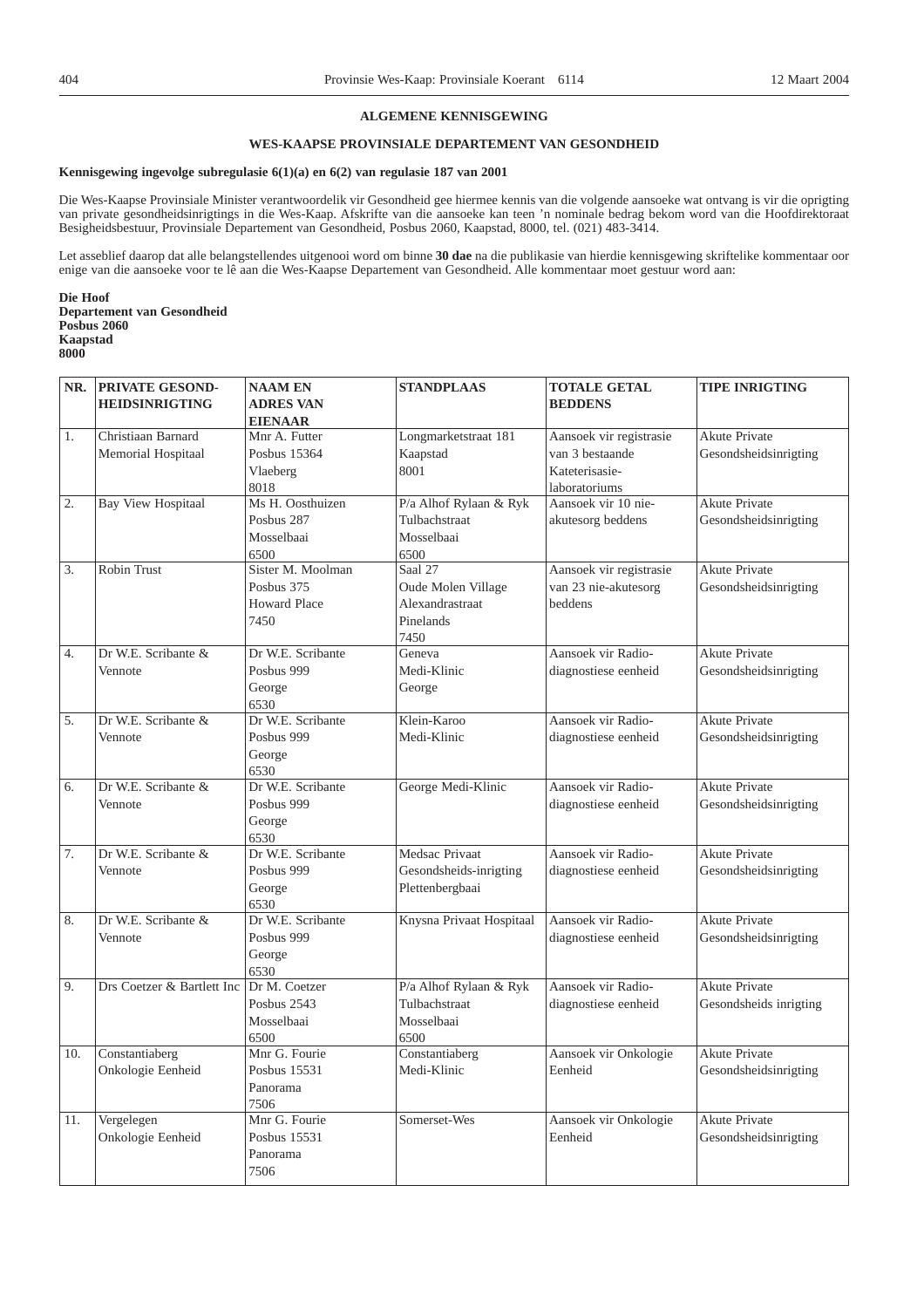## **ALGEMENE KENNISGEWING**

# **WES-KAAPSE PROVINSIALE DEPARTEMENT VAN GESONDHEID**

## **Kennisgewing ingevolge subregulasie 6(1)(a) en 6(2) van regulasie 187 van 2001**

Die Wes-Kaapse Provinsiale Minister verantwoordelik vir Gesondheid gee hiermee kennis van die volgende aansoeke wat ontvang is vir die oprigting van private gesondheidsinrigtings in die Wes-Kaap. Afskrifte van die aansoeke kan teen 'n nominale bedrag bekom word van die Hoofdirektoraat Besigheidsbestuur, Provinsiale Departement van Gesondheid, Posbus 2060, Kaapstad, 8000, tel. (021) 483-3414.

Let asseblief daarop dat alle belangstellendes uitgenooi word om binne **30 dae** na die publikasie van hierdie kennisgewing skriftelike kommentaar oor enige van die aansoeke voor te lê aan die Wes-Kaapse Departement van Gesondheid. Alle kommentaar moet gestuur word aan:

**Die Hoof Departement van Gesondheid Posbus 2060 Kaapstad 8000**

| NR. | PRIVATE GESOND-            | <b>NAAM EN</b>      | <b>STANDPLAAS</b>        | <b>TOTALE GETAL</b>     | <b>TIPE INRIGTING</b>  |
|-----|----------------------------|---------------------|--------------------------|-------------------------|------------------------|
|     | <b>HEIDSINRIGTING</b>      | <b>ADRES VAN</b>    |                          | <b>BEDDENS</b>          |                        |
|     |                            | <b>EIENAAR</b>      |                          |                         |                        |
| 1.  | Christiaan Barnard         | Mnr A. Futter       | Longmarketstraat 181     | Aansoek vir registrasie | <b>Akute Private</b>   |
|     | Memorial Hospitaal         | Posbus 15364        | Kaapstad                 | van 3 bestaande         | Gesondsheidsinrigting  |
|     |                            | Vlaeberg            | 8001                     | Kateterisasie-          |                        |
|     |                            | 8018                |                          | laboratoriums           |                        |
| 2.  | <b>Bay View Hospitaal</b>  | Ms H. Oosthuizen    | P/a Alhof Rylaan & Ryk   | Aansoek vir 10 nie-     | <b>Akute Private</b>   |
|     |                            | Posbus 287          | Tulbachstraat            | akutesorg beddens       | Gesondsheidsinrigting  |
|     |                            | Mosselbaai          | Mosselbaai               |                         |                        |
|     |                            | 6500                | 6500                     |                         |                        |
| 3.  | <b>Robin Trust</b>         | Sister M. Moolman   | Saal 27                  | Aansoek vir registrasie | <b>Akute Private</b>   |
|     |                            | Posbus 375          | Oude Molen Village       | van 23 nie-akutesorg    | Gesondsheidsinrigting  |
|     |                            | <b>Howard Place</b> | Alexandrastraat          | beddens                 |                        |
|     |                            | 7450                | Pinelands                |                         |                        |
|     |                            |                     | 7450                     |                         |                        |
| 4.  | Dr W.E. Scribante &        | Dr W.E. Scribante   | Geneva                   | Aansoek vir Radio-      | <b>Akute Private</b>   |
|     | Vennote                    | Posbus 999          | Medi-Klinic              | diagnostiese eenheid    | Gesondsheidsinrigting  |
|     |                            | George              | George                   |                         |                        |
|     |                            | 6530                |                          |                         |                        |
| 5.  | Dr W.E. Scribante &        | Dr W.E. Scribante   | Klein-Karoo              | Aansoek vir Radio-      | <b>Akute Private</b>   |
|     | Vennote                    | Posbus 999          | Medi-Klinic              | diagnostiese eenheid    | Gesondsheidsinrigting  |
|     |                            | George              |                          |                         |                        |
|     |                            | 6530                |                          |                         |                        |
| 6.  | Dr W.E. Scribante &        | Dr W.E. Scribante   | George Medi-Klinic       | Aansoek vir Radio-      | <b>Akute Private</b>   |
|     | Vennote                    | Posbus 999          |                          | diagnostiese eenheid    | Gesondsheidsinrigting  |
|     |                            | George              |                          |                         |                        |
|     |                            | 6530                |                          |                         |                        |
| 7.  | Dr W.E. Scribante &        | Dr W.E. Scribante   | Medsac Privaat           | Aansoek vir Radio-      | <b>Akute Private</b>   |
|     | Vennote                    | Posbus 999          | Gesondsheids-inrigting   | diagnostiese eenheid    | Gesondsheidsinrigting  |
|     |                            | George              | Plettenbergbaai          |                         |                        |
|     |                            | 6530                |                          |                         |                        |
| 8.  | Dr W.E. Scribante &        | Dr W.E. Scribante   | Knysna Privaat Hospitaal | Aansoek vir Radio-      | <b>Akute Private</b>   |
|     | Vennote                    | Posbus 999          |                          | diagnostiese eenheid    | Gesondsheidsinrigting  |
|     |                            | George              |                          |                         |                        |
|     |                            | 6530                |                          |                         |                        |
| 9.  | Drs Coetzer & Bartlett Inc | Dr M. Coetzer       | P/a Alhof Rylaan & Ryk   | Aansoek vir Radio-      | <b>Akute Private</b>   |
|     |                            | Posbus 2543         | Tulbachstraat            | diagnostiese eenheid    | Gesondsheids inrigting |
|     |                            | Mosselbaai          | Mosselbaai               |                         |                        |
|     |                            | 6500                | 6500                     |                         |                        |
| 10. | Constantiaberg             | Mnr G. Fourie       | Constantiaberg           | Aansoek vir Onkologie   | <b>Akute Private</b>   |
|     | Onkologie Eenheid          | Posbus 15531        | Medi-Klinic              | Eenheid                 | Gesondsheidsinrigting  |
|     |                            | Panorama            |                          |                         |                        |
|     |                            | 7506                |                          |                         |                        |
| 11. | Vergelegen                 | Mnr G. Fourie       | Somerset-Wes             | Aansoek vir Onkologie   | Akute Private          |
|     | Onkologie Eenheid          | Posbus 15531        |                          | Eenheid                 | Gesondsheidsinrigting  |
|     |                            | Panorama            |                          |                         |                        |
|     |                            | 7506                |                          |                         |                        |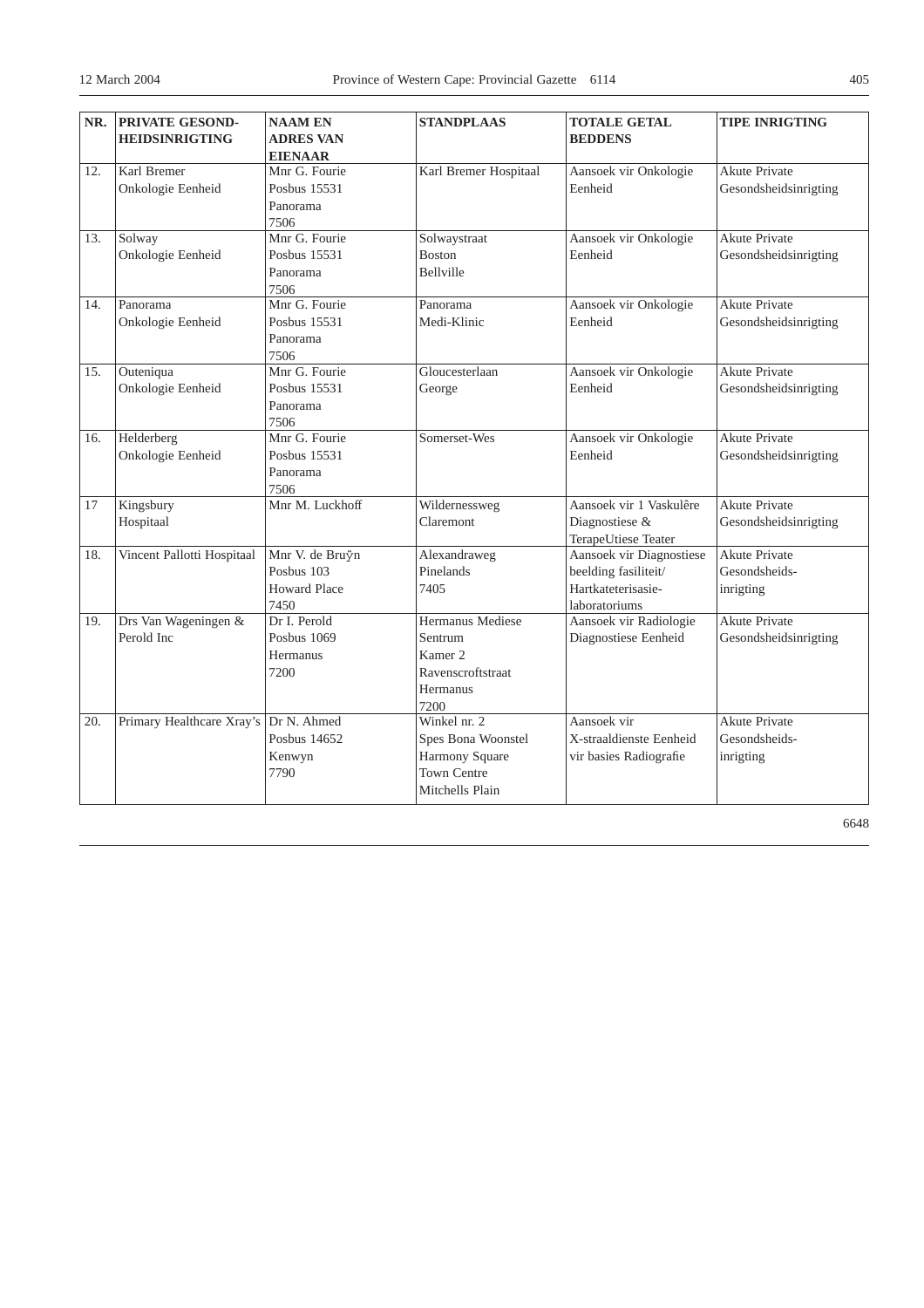| NR. | <b>PRIVATE GESOND-</b>     | <b>NAAM EN</b>        | <b>STANDPLAAS</b>       | <b>TOTALE GETAL</b>      | <b>TIPE INRIGTING</b> |
|-----|----------------------------|-----------------------|-------------------------|--------------------------|-----------------------|
|     | <b>HEIDSINRIGTING</b>      | <b>ADRES VAN</b>      |                         | <b>BEDDENS</b>           |                       |
|     |                            | <b>EIENAAR</b>        |                         |                          |                       |
| 12. | Karl Bremer                | Mnr G. Fourie         | Karl Bremer Hospitaal   | Aansoek vir Onkologie    | <b>Akute Private</b>  |
|     | Onkologie Eenheid          | Posbus 15531          |                         | Eenheid                  | Gesondsheidsinrigting |
|     |                            | Panorama              |                         |                          |                       |
|     |                            | 7506                  |                         |                          |                       |
| 13. | Solway                     | Mnr G. Fourie         | Solwaystraat            | Aansoek vir Onkologie    | <b>Akute Private</b>  |
|     | Onkologie Eenheid          | Posbus 15531          | <b>Boston</b>           | Eenheid                  | Gesondsheidsinrigting |
|     |                            | Panorama              | Bellville               |                          |                       |
|     |                            | 7506                  |                         |                          |                       |
| 14. | Panorama                   | Mnr G. Fourie         | Panorama                | Aansoek vir Onkologie    | <b>Akute Private</b>  |
|     | Onkologie Eenheid          | Posbus 15531          | Medi-Klinic             | Eenheid                  | Gesondsheidsinrigting |
|     |                            | Panorama              |                         |                          |                       |
|     |                            | 7506                  |                         |                          |                       |
| 15. | Outeniqua                  | Mnr G. Fourie         | Gloucesterlaan          | Aansoek vir Onkologie    | Akute Private         |
|     | Onkologie Eenheid          | Posbus 15531          | George                  | Eenheid                  | Gesondsheidsinrigting |
|     |                            | Panorama              |                         |                          |                       |
| 16. | Helderberg                 | 7506<br>Mnr G. Fourie | Somerset-Wes            | Aansoek vir Onkologie    | <b>Akute Private</b>  |
|     | Onkologie Eenheid          | Posbus 15531          |                         | Eenheid                  | Gesondsheidsinrigting |
|     |                            | Panorama              |                         |                          |                       |
|     |                            | 7506                  |                         |                          |                       |
| 17  | Kingsbury                  | Mnr M. Luckhoff       | Wildernessweg           | Aansoek vir 1 Vaskulêre  | <b>Akute Private</b>  |
|     | Hospitaal                  |                       | Claremont               | Diagnostiese &           | Gesondsheidsinrigting |
|     |                            |                       |                         | TerapeUtiese Teater      |                       |
| 18. | Vincent Pallotti Hospitaal | Mnr V. de Bruÿn       | Alexandraweg            | Aansoek vir Diagnostiese | <b>Akute Private</b>  |
|     |                            | Posbus 103            | Pinelands               | beelding fasiliteit/     | Gesondsheids-         |
|     |                            | <b>Howard Place</b>   | 7405                    | Hartkateterisasie-       | inrigting             |
|     |                            | 7450                  |                         | laboratoriums            |                       |
| 19. | Drs Van Wageningen &       | Dr I. Perold          | <b>Hermanus Mediese</b> | Aansoek vir Radiologie   | <b>Akute Private</b>  |
|     | Perold Inc                 | <b>Posbus 1069</b>    | Sentrum                 | Diagnostiese Eenheid     | Gesondsheidsinrigting |
|     |                            | Hermanus              | Kamer <sub>2</sub>      |                          |                       |
|     |                            | 7200                  | Ravenscroftstraat       |                          |                       |
|     |                            |                       | Hermanus                |                          |                       |
|     |                            |                       | 7200                    |                          |                       |
| 20. | Primary Healthcare Xray's  | Dr N. Ahmed           | Winkel nr. 2            | Aansoek vir              | <b>Akute Private</b>  |
|     |                            | Posbus 14652          | Spes Bona Woonstel      | X-straaldienste Eenheid  | Gesondsheids-         |
|     |                            | Kenwyn                | Harmony Square          | vir basies Radiografie   | inrigting             |
|     |                            | 7790                  | <b>Town Centre</b>      |                          |                       |
|     |                            |                       | Mitchells Plain         |                          |                       |

6648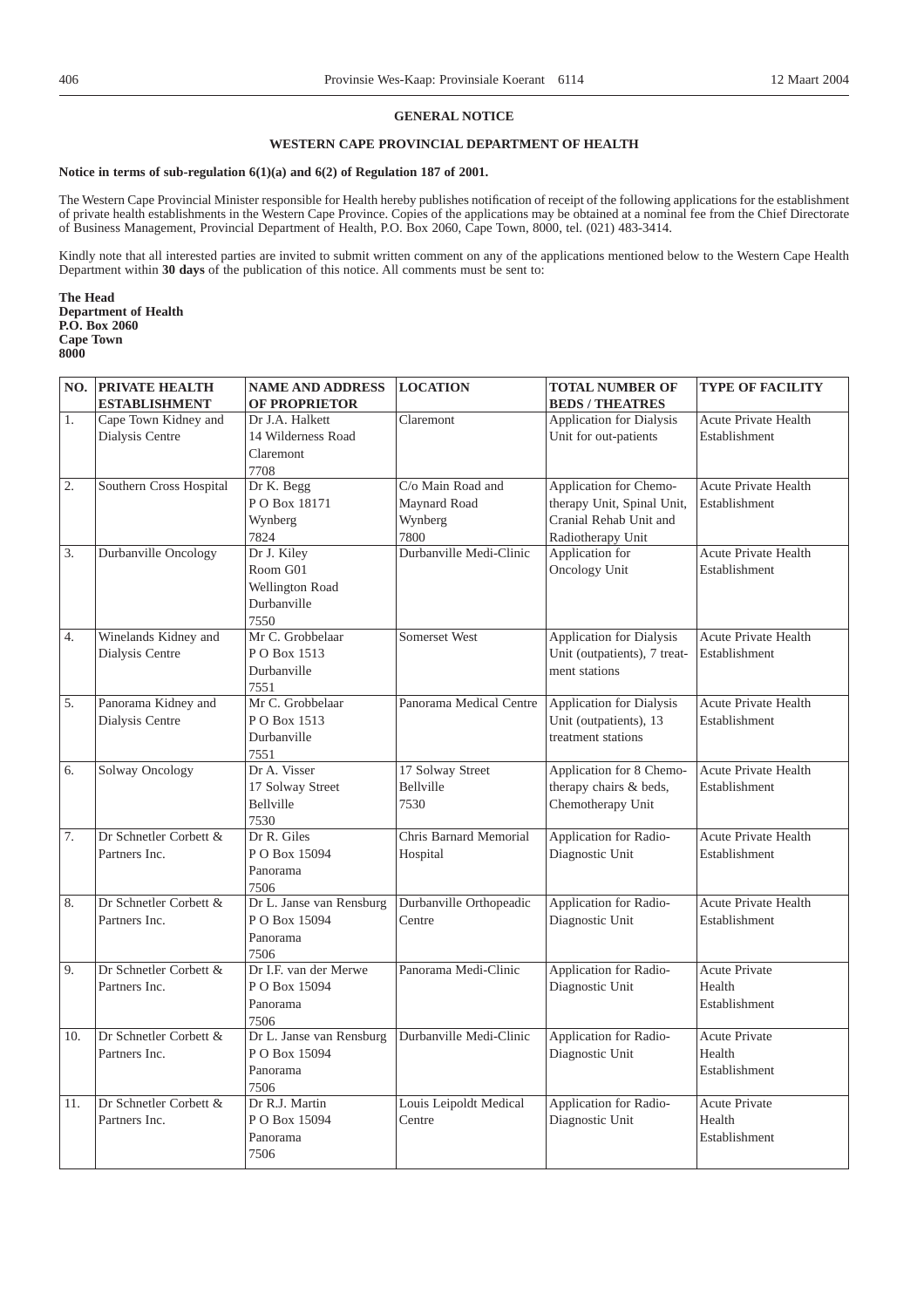# **GENERAL NOTICE**

# **WESTERN CAPE PROVINCIAL DEPARTMENT OF HEALTH**

## **Notice in terms of sub-regulation 6(1)(a) and 6(2) of Regulation 187 of 2001.**

The Western Cape Provincial Minister responsible for Health hereby publishes notification of receipt of the following applications for the establishment of private health establishments in the Western Cape Province. Copies of the applications may be obtained at a nominal fee from the Chief Directorate of Business Management, Provincial Department of Health, P.O. Box 2060, Cape Town, 8000, tel. (021) 483-3414.

Kindly note that all interested parties are invited to submit written comment on any of the applications mentioned below to the Western Cape Health Department within **30 days** of the publication of this notice. All comments must be sent to:

**The Head Department of Health P.O. Box 2060 Cape Town 8000**

|     | <b>NO. PRIVATE HEALTH</b> | <b>NAME AND ADDRESS</b>          | <b>LOCATION</b>         | TOTAL NUMBER OF                 | <b>TYPE OF FACILITY</b>     |
|-----|---------------------------|----------------------------------|-------------------------|---------------------------------|-----------------------------|
|     | <b>ESTABLISHMENT</b>      | <b>OF PROPRIETOR</b>             |                         | <b>BEDS / THEATRES</b>          |                             |
| 1.  | Cape Town Kidney and      | Dr J.A. Halkett                  | Claremont               | Application for Dialysis        | Acute Private Health        |
|     | Dialysis Centre           | 14 Wilderness Road               |                         | Unit for out-patients           | Establishment               |
|     |                           | Claremont                        |                         |                                 |                             |
|     |                           | 7708                             |                         |                                 |                             |
| 2.  | Southern Cross Hospital   | Dr K. Begg                       | C/o Main Road and       | Application for Chemo-          | <b>Acute Private Health</b> |
|     |                           | PO Box 18171                     | Maynard Road            | therapy Unit, Spinal Unit,      | Establishment               |
|     |                           | Wynberg                          | Wynberg                 | Cranial Rehab Unit and          |                             |
|     |                           | 7824                             | 7800                    | Radiotherapy Unit               |                             |
| 3.  | Durbanville Oncology      | Dr J. Kiley                      | Durbanville Medi-Clinic | Application for                 | <b>Acute Private Health</b> |
|     |                           | Room G01                         |                         | <b>Oncology Unit</b>            | Establishment               |
|     |                           | Wellington Road                  |                         |                                 |                             |
|     |                           | Durbanville                      |                         |                                 |                             |
|     |                           | 7550                             |                         |                                 |                             |
| 4.  | Winelands Kidney and      | Mr C. Grobbelaar                 | Somerset West           | <b>Application for Dialysis</b> | Acute Private Health        |
|     | Dialysis Centre           | P O Box 1513                     |                         | Unit (outpatients), 7 treat-    | Establishment               |
|     |                           | Durbanville                      |                         | ment stations                   |                             |
|     |                           | 7551                             |                         |                                 |                             |
| 5.  | Panorama Kidney and       | Mr C. Grobbelaar                 | Panorama Medical Centre | <b>Application for Dialysis</b> | Acute Private Health        |
|     | Dialysis Centre           | PO Box 1513                      |                         | Unit (outpatients), 13          | Establishment               |
|     |                           | Durbanville                      |                         | treatment stations              |                             |
|     |                           | 7551                             |                         |                                 |                             |
| 6.  | <b>Solway Oncology</b>    | Dr A. Visser                     | 17 Solway Street        | Application for 8 Chemo-        | Acute Private Health        |
|     |                           | 17 Solway Street                 | Bellville               | therapy chairs & beds,          | Establishment               |
|     |                           | Bellville                        | 7530                    | Chemotherapy Unit               |                             |
|     |                           | 7530                             |                         |                                 |                             |
| 7.  | Dr Schnetler Corbett &    | Dr R. Giles                      | Chris Barnard Memorial  | Application for Radio-          | Acute Private Health        |
|     | Partners Inc.             | PO Box 15094                     | Hospital                | Diagnostic Unit                 | Establishment               |
|     |                           | Panorama                         |                         |                                 |                             |
|     |                           | 7506                             |                         |                                 |                             |
| 8.  | Dr Schnetler Corbett &    | Dr L. Janse van Rensburg         | Durbanville Orthopeadic | Application for Radio-          | Acute Private Health        |
|     | Partners Inc.             | P O Box 15094                    | Centre                  | Diagnostic Unit                 | Establishment               |
|     |                           | Panorama                         |                         |                                 |                             |
| 9.  | Dr Schnetler Corbett &    | 7506<br>Dr I.F. van der Merwe    | Panorama Medi-Clinic    | Application for Radio-          | Acute Private               |
|     |                           | PO Box 15094                     |                         |                                 | Health                      |
|     | Partners Inc.             |                                  |                         | Diagnostic Unit                 |                             |
|     |                           | Panorama                         |                         |                                 | Establishment               |
| 10. | Dr Schnetler Corbett &    | 7506<br>Dr L. Janse van Rensburg | Durbanville Medi-Clinic | Application for Radio-          | <b>Acute Private</b>        |
|     | Partners Inc.             | PO Box 15094                     |                         | Diagnostic Unit                 | Health                      |
|     |                           |                                  |                         |                                 | Establishment               |
|     |                           | Panorama<br>7506                 |                         |                                 |                             |
| 11. | Dr Schnetler Corbett &    | Dr R.J. Martin                   | Louis Leipoldt Medical  | Application for Radio-          | <b>Acute Private</b>        |
|     | Partners Inc.             | PO Box 15094                     | Centre                  | Diagnostic Unit                 | Health                      |
|     |                           | Panorama                         |                         |                                 | Establishment               |
|     |                           | 7506                             |                         |                                 |                             |
|     |                           |                                  |                         |                                 |                             |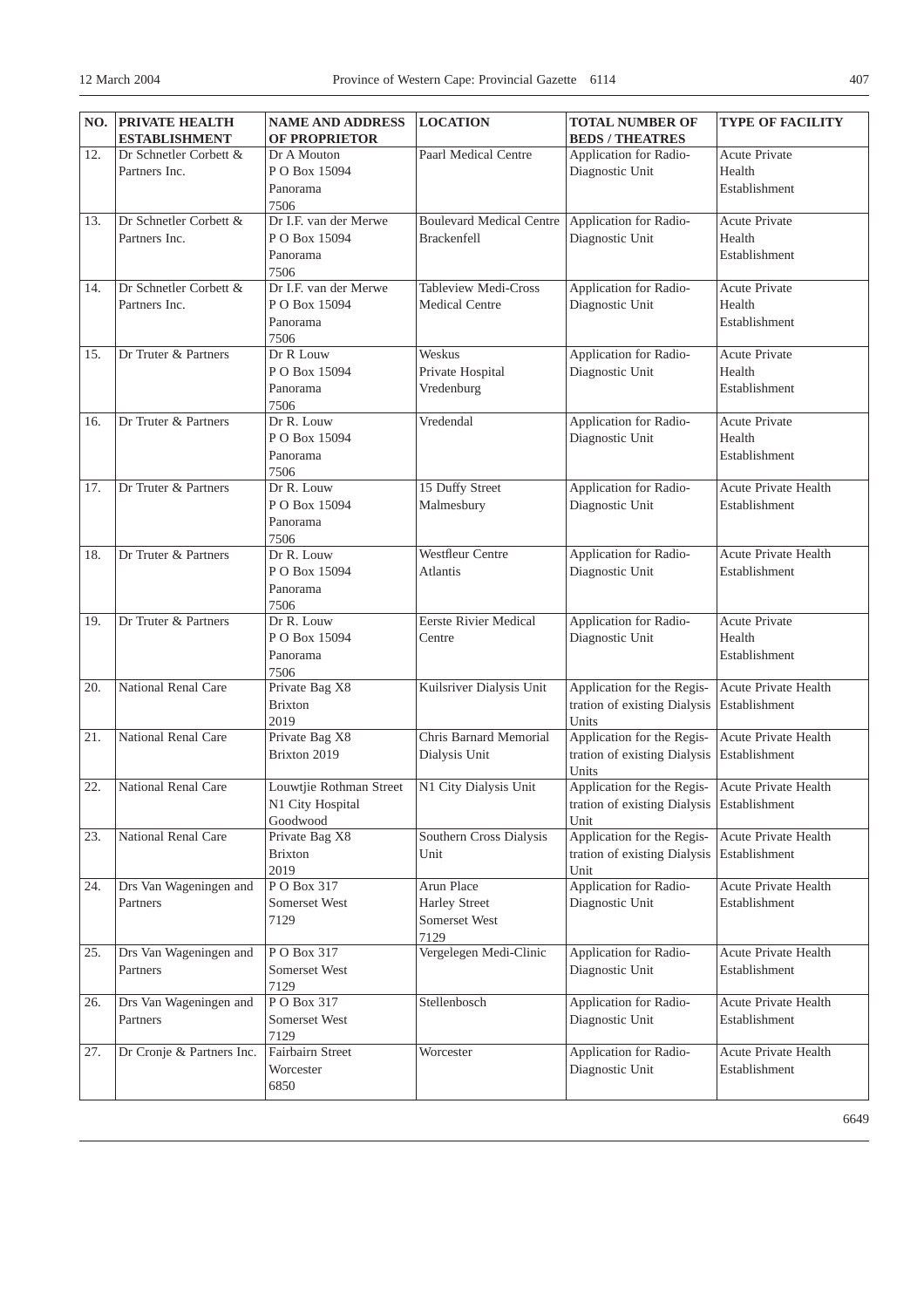|     | NO. PRIVATE HEALTH<br><b>ESTABLISHMENT</b> | <b>NAME AND ADDRESS</b><br><b>OF PROPRIETOR</b> | <b>LOCATION</b>                 | <b>TOTAL NUMBER OF</b><br><b>BEDS / THEATRES</b> | <b>TYPE OF FACILITY</b>     |
|-----|--------------------------------------------|-------------------------------------------------|---------------------------------|--------------------------------------------------|-----------------------------|
| 12. | Dr Schnetler Corbett &                     | Dr A Mouton                                     | Paarl Medical Centre            | Application for Radio-                           | Acute Private               |
|     | Partners Inc.                              | P O Box 15094                                   |                                 | Diagnostic Unit                                  | Health                      |
|     |                                            | Panorama                                        |                                 |                                                  | Establishment               |
|     |                                            | 7506                                            |                                 |                                                  |                             |
| 13. | Dr Schnetler Corbett &                     | Dr I.F. van der Merwe                           | <b>Boulevard Medical Centre</b> | Application for Radio-                           | Acute Private               |
|     | Partners Inc.                              | P O Box 15094                                   | <b>Brackenfell</b>              | Diagnostic Unit                                  | Health                      |
|     |                                            | Panorama                                        |                                 |                                                  | Establishment               |
|     |                                            | 7506                                            |                                 |                                                  |                             |
| 14. | Dr Schnetler Corbett &                     | Dr I.F. van der Merwe                           | Tableview Medi-Cross            | Application for Radio-                           | Acute Private               |
|     | Partners Inc.                              | P O Box 15094                                   | <b>Medical Centre</b>           | Diagnostic Unit                                  | Health                      |
|     |                                            | Panorama                                        |                                 |                                                  | Establishment               |
|     |                                            | 7506                                            |                                 |                                                  |                             |
| 15. | Dr Truter & Partners                       | Dr R Louw                                       | Weskus                          | Application for Radio-                           | Acute Private               |
|     |                                            | PO Box 15094                                    | Private Hospital                | Diagnostic Unit                                  | Health                      |
|     |                                            | Panorama                                        | Vredenburg                      |                                                  | Establishment               |
|     |                                            | 7506                                            |                                 |                                                  |                             |
| 16. | Dr Truter & Partners                       | Dr R. Louw                                      | Vredendal                       | Application for Radio-                           | Acute Private               |
|     |                                            | P O Box 15094                                   |                                 | Diagnostic Unit                                  | Health                      |
|     |                                            | Panorama                                        |                                 |                                                  | Establishment               |
|     |                                            | 7506                                            |                                 |                                                  |                             |
| 17. | Dr Truter & Partners                       | Dr R. Louw                                      | 15 Duffy Street                 | Application for Radio-                           | Acute Private Health        |
|     |                                            | P O Box 15094                                   | Malmesbury                      | Diagnostic Unit                                  | Establishment               |
|     |                                            | Panorama                                        |                                 |                                                  |                             |
| 18. | Dr Truter & Partners                       | 7506<br>Dr R. Louw                              | Westfleur Centre                | Application for Radio-                           | <b>Acute Private Health</b> |
|     |                                            | PO Box 15094                                    | Atlantis                        | Diagnostic Unit                                  | Establishment               |
|     |                                            | Panorama                                        |                                 |                                                  |                             |
|     |                                            | 7506                                            |                                 |                                                  |                             |
| 19. | Dr Truter & Partners                       | Dr R. Louw                                      | <b>Eerste Rivier Medical</b>    | Application for Radio-                           | <b>Acute Private</b>        |
|     |                                            | P O Box 15094                                   | Centre                          | Diagnostic Unit                                  | Health                      |
|     |                                            | Panorama                                        |                                 |                                                  | Establishment               |
|     |                                            | 7506                                            |                                 |                                                  |                             |
| 20. | National Renal Care                        | Private Bag X8                                  | Kuilsriver Dialysis Unit        | Application for the Regis-                       | Acute Private Health        |
|     |                                            | <b>Brixton</b>                                  |                                 | tration of existing Dialysis                     | Establishment               |
|     |                                            | 2019                                            |                                 | Units                                            |                             |
| 21. | <b>National Renal Care</b>                 | Private Bag X8                                  | Chris Barnard Memorial          | Application for the Regis-                       | Acute Private Health        |
|     |                                            | Brixton 2019                                    | Dialysis Unit                   | tration of existing Dialysis                     | Establishment               |
|     |                                            |                                                 |                                 | Units                                            |                             |
| 22. | National Renal Care                        | Louwtjie Rothman Street                         | N1 City Dialysis Unit           | Application for the Regis-                       | Acute Private Health        |
|     |                                            | N1 City Hospital                                |                                 | tration of existing Dialysis Establishment       |                             |
| 23. | National Renal Care                        | Goodwood<br>Private Bag X8                      | Southern Cross Dialysis         | Unit<br>Application for the Regis-               | Acute Private Health        |
|     |                                            | <b>Brixton</b>                                  | Unit                            | tration of existing Dialysis                     | Establishment               |
|     |                                            | 2019                                            |                                 | Unit                                             |                             |
| 24. | Drs Van Wageningen and                     | PO Box 317                                      | Arun Place                      | Application for Radio-                           | Acute Private Health        |
|     | Partners                                   | Somerset West                                   | <b>Harley Street</b>            | Diagnostic Unit                                  | Establishment               |
|     |                                            | 7129                                            | Somerset West                   |                                                  |                             |
|     |                                            |                                                 | 7129                            |                                                  |                             |
| 25. | Drs Van Wageningen and                     | PO Box 317                                      | Vergelegen Medi-Clinic          | Application for Radio-                           | Acute Private Health        |
|     | Partners                                   | Somerset West                                   |                                 | Diagnostic Unit                                  | Establishment               |
|     |                                            | 7129                                            |                                 |                                                  |                             |
| 26. | Drs Van Wageningen and                     | PO Box 317                                      | Stellenbosch                    | Application for Radio-                           | Acute Private Health        |
|     | Partners                                   | Somerset West                                   |                                 | Diagnostic Unit                                  | Establishment               |
|     |                                            | 7129                                            |                                 |                                                  |                             |
| 27. | Dr Cronje & Partners Inc.                  | Fairbairn Street                                | Worcester                       | Application for Radio-                           | Acute Private Health        |
|     |                                            | Worcester                                       |                                 | Diagnostic Unit                                  | Establishment               |
|     |                                            | 6850                                            |                                 |                                                  |                             |

6649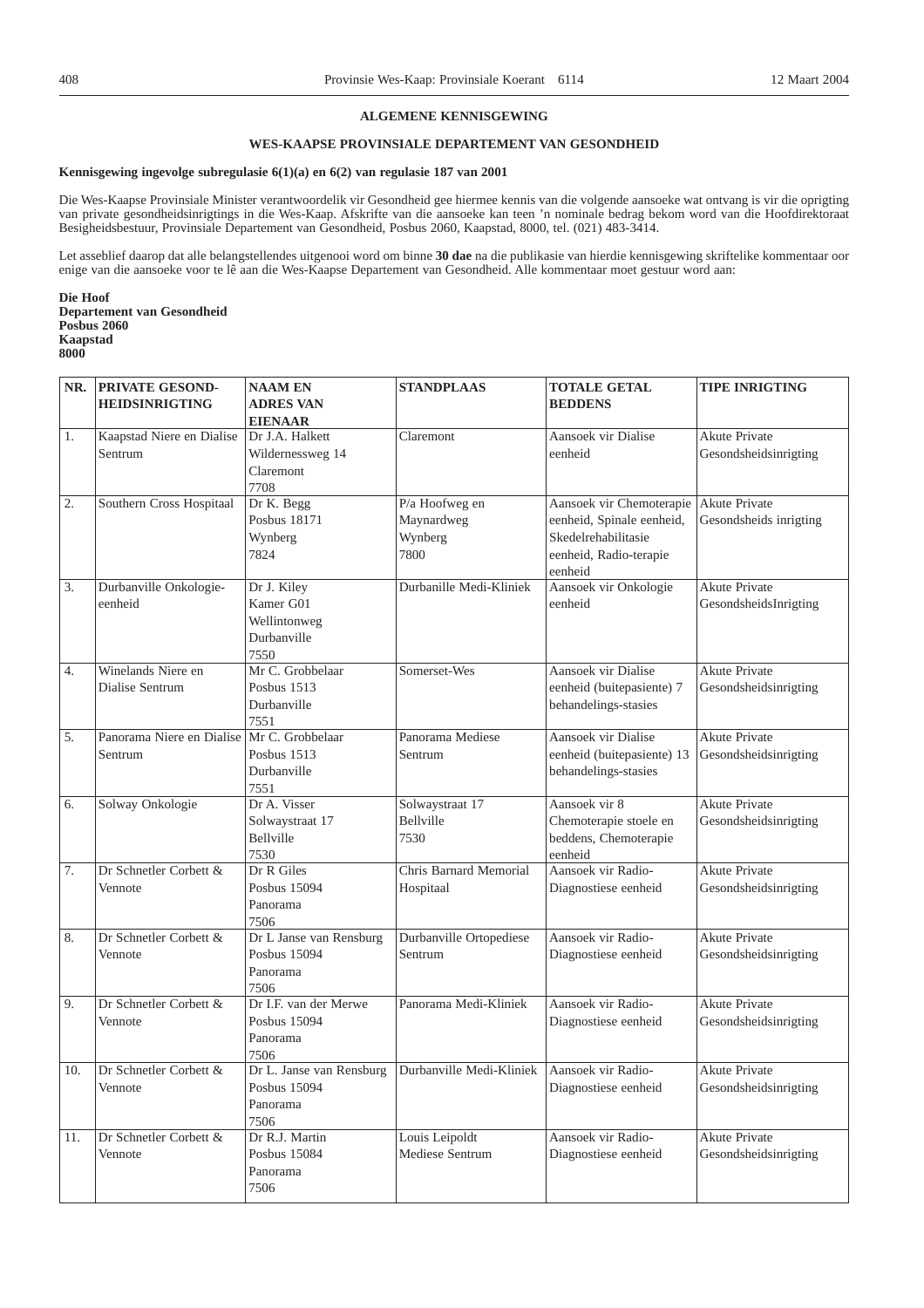# **ALGEMENE KENNISGEWING**

# **WES-KAAPSE PROVINSIALE DEPARTEMENT VAN GESONDHEID**

## **Kennisgewing ingevolge subregulasie 6(1)(a) en 6(2) van regulasie 187 van 2001**

Die Wes-Kaapse Provinsiale Minister verantwoordelik vir Gesondheid gee hiermee kennis van die volgende aansoeke wat ontvang is vir die oprigting van private gesondheidsinrigtings in die Wes-Kaap. Afskrifte van die aansoeke kan teen 'n nominale bedrag bekom word van die Hoofdirektoraat Besigheidsbestuur, Provinsiale Departement van Gesondheid, Posbus 2060, Kaapstad, 8000, tel. (021) 483-3414.

Let asseblief daarop dat alle belangstellendes uitgenooi word om binne **30 dae** na die publikasie van hierdie kennisgewing skriftelike kommentaar oor enige van die aansoeke voor te lê aan die Wes-Kaapse Departement van Gesondheid. Alle kommentaar moet gestuur word aan:

**Die Hoof Departement van Gesondheid Posbus 2060 Kaapstad 8000**

|     | NR. PRIVATE GESOND-       | <b>NAAM EN</b>          | <b>STANDPLAAS</b>                                                        | <b>TOTALE GETAL</b>        | <b>TIPE INRIGTING</b>  |
|-----|---------------------------|-------------------------|--------------------------------------------------------------------------|----------------------------|------------------------|
|     | <b>HEIDSINRIGTING</b>     | <b>ADRES VAN</b>        |                                                                          | <b>BEDDENS</b>             |                        |
|     |                           | <b>EIENAAR</b>          |                                                                          |                            |                        |
| 1.  | Kaapstad Niere en Dialise | Dr J.A. Halkett         | Claremont                                                                | Aansoek vir Dialise        | <b>Akute Private</b>   |
|     | Sentrum                   | Wildernessweg 14        |                                                                          | eenheid                    | Gesondsheidsinrigting  |
|     |                           | Claremont               |                                                                          |                            |                        |
|     |                           | 7708                    |                                                                          |                            |                        |
| 2.  | Southern Cross Hospitaal  | Dr K. Begg              | P/a Hoofweg en                                                           | Aansoek vir Chemoterapie   | Akute Private          |
|     |                           | Posbus 18171            | Maynardweg                                                               | eenheid, Spinale eenheid,  | Gesondsheids inrigting |
|     |                           | Wynberg                 | Wynberg                                                                  | Skedelrehabilitasie        |                        |
|     |                           | 7824                    | 7800                                                                     | eenheid, Radio-terapie     |                        |
|     |                           |                         |                                                                          | eenheid                    |                        |
| 3.  | Durbanville Onkologie-    | Dr J. Kiley             | Durbanille Medi-Kliniek                                                  | Aansoek vir Onkologie      | <b>Akute Private</b>   |
|     | eenheid                   | Kamer G01               |                                                                          | eenheid                    | GesondsheidsInrigting  |
|     |                           | Wellintonweg            |                                                                          |                            |                        |
|     |                           | Durbanville             |                                                                          |                            |                        |
|     |                           | 7550                    |                                                                          |                            |                        |
| 4.  | Winelands Niere en        | Mr C. Grobbelaar        | Somerset-Wes                                                             | Aansoek vir Dialise        | Akute Private          |
|     | Dialise Sentrum           | Posbus 1513             |                                                                          | eenheid (buitepasiente) 7  | Gesondsheidsinrigting  |
|     |                           | Durbanville             |                                                                          | behandelings-stasies       |                        |
|     |                           | 7551                    |                                                                          |                            |                        |
| 5.  | Panorama Niere en Dialise | Mr C. Grobbelaar        | Panorama Mediese                                                         | Aansoek vir Dialise        | Akute Private          |
|     | Sentrum                   | Posbus 1513             | Sentrum                                                                  | eenheid (buitepasiente) 13 | Gesondsheidsinrigting  |
|     |                           | Durbanville             |                                                                          | behandelings-stasies       |                        |
|     |                           | 7551                    |                                                                          |                            |                        |
| 6.  | Solway Onkologie          | Dr A. Visser            | Solwaystraat 17                                                          | Aansoek vir 8              | <b>Akute Private</b>   |
|     |                           | Solwaystraat 17         | Bellville                                                                | Chemoterapie stoele en     | Gesondsheidsinrigting  |
|     |                           | Bellville               | 7530                                                                     | beddens, Chemoterapie      |                        |
|     |                           | 7530                    |                                                                          | eenheid                    |                        |
| 7.  | Dr Schnetler Corbett &    | Dr R Giles              | Chris Barnard Memorial                                                   | Aansoek vir Radio-         | Akute Private          |
|     | Vennote                   | Posbus 15094            | Hospitaal                                                                | Diagnostiese eenheid       | Gesondsheidsinrigting  |
|     |                           | Panorama                |                                                                          |                            |                        |
|     |                           | 7506                    |                                                                          |                            |                        |
| 8.  | Dr Schnetler Corbett &    | Dr L Janse van Rensburg | Durbanville Ortopediese                                                  | Aansoek vir Radio-         | Akute Private          |
|     | Vennote                   | Posbus 15094            | Sentrum                                                                  | Diagnostiese eenheid       | Gesondsheidsinrigting  |
|     |                           | Panorama                |                                                                          |                            |                        |
|     |                           | 7506                    |                                                                          |                            |                        |
| 9.  | Dr Schnetler Corbett &    | Dr I.F. van der Merwe   | Panorama Medi-Kliniek                                                    | Aansoek vir Radio-         | Akute Private          |
|     | Vennote                   | Posbus 15094            |                                                                          | Diagnostiese eenheid       | Gesondsheidsinrigting  |
|     |                           | Panorama                |                                                                          |                            |                        |
|     |                           | 7506                    |                                                                          |                            |                        |
| 10. | Dr Schnetler Corbett &    |                         | Dr L. Janse van Rensburg   Durbanville Medi-Kliniek   Aansoek vir Radio- |                            | Akute Private          |
|     | Vennote                   | Posbus 15094            |                                                                          | Diagnostiese eenheid       | Gesondsheidsinrigting  |
|     |                           | Panorama                |                                                                          |                            |                        |
|     |                           | 7506                    |                                                                          |                            |                        |
| 11. | Dr Schnetler Corbett &    | Dr R.J. Martin          | Louis Leipoldt                                                           | Aansoek vir Radio-         | <b>Akute Private</b>   |
|     | Vennote                   | Posbus 15084            | Mediese Sentrum                                                          | Diagnostiese eenheid       | Gesondsheidsinrigting  |
|     |                           | Panorama                |                                                                          |                            |                        |
|     |                           | 7506                    |                                                                          |                            |                        |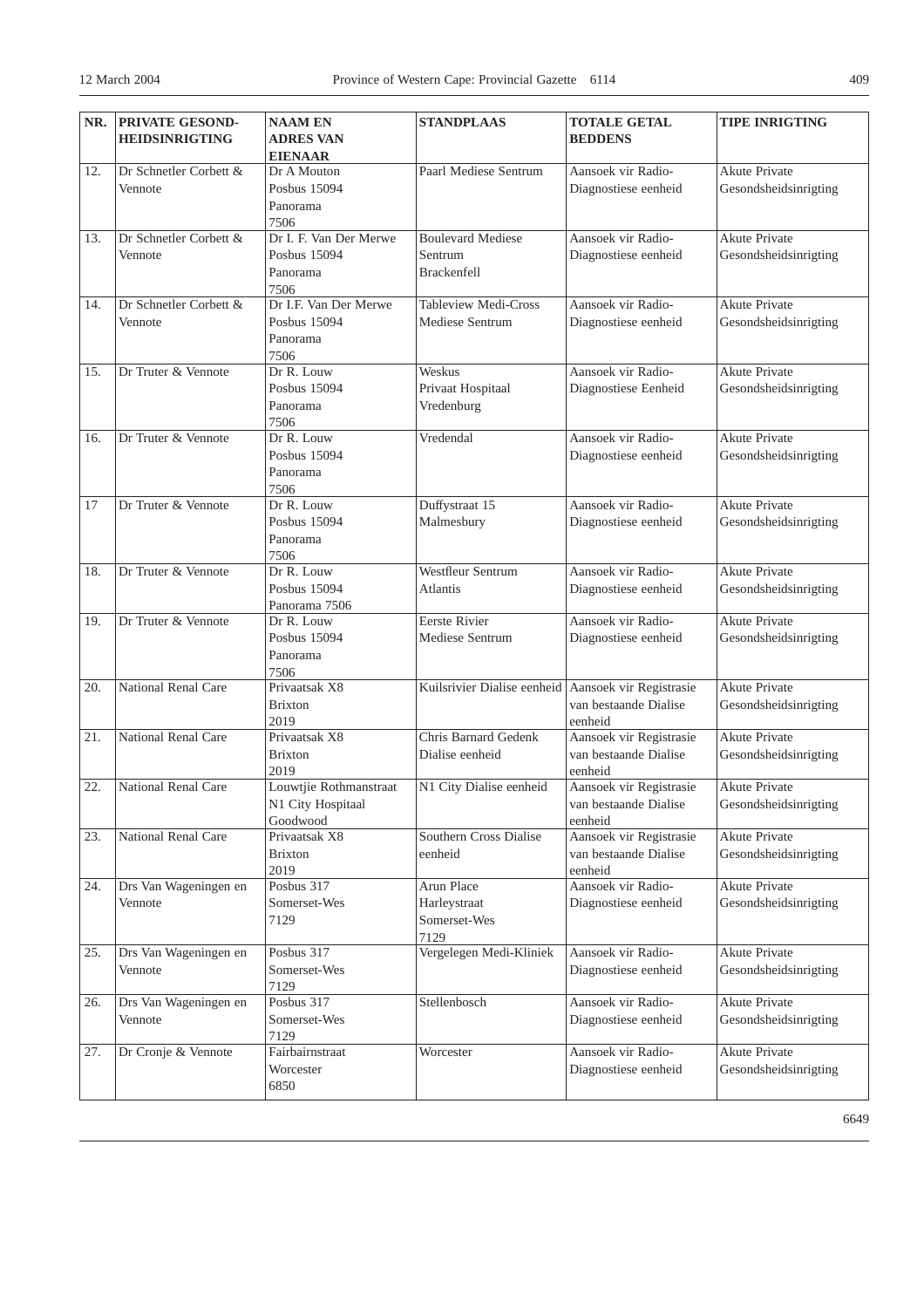| NR.               | <b>PRIVATE GESOND-</b> | <b>NAAM EN</b>         | <b>STANDPLAAS</b>                                   | <b>TOTALE GETAL</b>     | <b>TIPE INRIGTING</b> |
|-------------------|------------------------|------------------------|-----------------------------------------------------|-------------------------|-----------------------|
|                   | <b>HEIDSINRIGTING</b>  | <b>ADRES VAN</b>       |                                                     | <b>BEDDENS</b>          |                       |
|                   |                        | <b>EIENAAR</b>         |                                                     |                         |                       |
| 12.               | Dr Schnetler Corbett & | Dr A Mouton            | Paarl Mediese Sentrum                               | Aansoek vir Radio-      | <b>Akute Private</b>  |
|                   | Vennote                | Posbus 15094           |                                                     | Diagnostiese eenheid    | Gesondsheidsinrigting |
|                   |                        | Panorama               |                                                     |                         |                       |
|                   |                        | 7506                   |                                                     |                         |                       |
| 13.               | Dr Schnetler Corbett & | Dr I. F. Van Der Merwe | <b>Boulevard Mediese</b>                            | Aansoek vir Radio-      | Akute Private         |
|                   | Vennote                | Posbus 15094           | Sentrum                                             | Diagnostiese eenheid    | Gesondsheidsinrigting |
|                   |                        | Panorama               | <b>Brackenfell</b>                                  |                         |                       |
|                   |                        | 7506                   |                                                     |                         |                       |
| 14.               | Dr Schnetler Corbett & | Dr I.F. Van Der Merwe  | Tableview Medi-Cross                                | Aansoek vir Radio-      | <b>Akute Private</b>  |
|                   | Vennote                | Posbus 15094           | Mediese Sentrum                                     | Diagnostiese eenheid    | Gesondsheidsinrigting |
|                   |                        | Panorama               |                                                     |                         |                       |
|                   |                        | 7506                   |                                                     |                         |                       |
| 15.               | Dr Truter & Vennote    | Dr R. Louw             | Weskus                                              | Aansoek vir Radio-      | <b>Akute Private</b>  |
|                   |                        | Posbus 15094           | Privaat Hospitaal                                   | Diagnostiese Eenheid    | Gesondsheidsinrigting |
|                   |                        | Panorama               | Vredenburg                                          |                         |                       |
|                   |                        | 7506                   |                                                     |                         |                       |
| 16.               | Dr Truter & Vennote    | Dr R. Louw             | Vredendal                                           | Aansoek vir Radio-      | <b>Akute Private</b>  |
|                   |                        | Posbus 15094           |                                                     | Diagnostiese eenheid    | Gesondsheidsinrigting |
|                   |                        | Panorama               |                                                     |                         |                       |
|                   |                        | 7506                   |                                                     |                         |                       |
| $\overline{17}$   | Dr Truter & Vennote    | Dr R. Louw             | Duffystraat 15                                      | Aansoek vir Radio-      | <b>Akute Private</b>  |
|                   |                        | Posbus 15094           | Malmesbury                                          | Diagnostiese eenheid    | Gesondsheidsinrigting |
|                   |                        | Panorama               |                                                     |                         |                       |
|                   |                        | 7506                   |                                                     |                         |                       |
| 18.               | Dr Truter & Vennote    | Dr R. Louw             | Westfleur Sentrum                                   | Aansoek vir Radio-      | Akute Private         |
|                   |                        | Posbus 15094           | <b>Atlantis</b>                                     | Diagnostiese eenheid    | Gesondsheidsinrigting |
|                   |                        | Panorama 7506          |                                                     |                         |                       |
| 19.               | Dr Truter & Vennote    | Dr R. Louw             | <b>Eerste Rivier</b>                                | Aansoek vir Radio-      | <b>Akute Private</b>  |
|                   |                        | Posbus 15094           | Mediese Sentrum                                     | Diagnostiese eenheid    | Gesondsheidsinrigting |
|                   |                        | Panorama               |                                                     |                         |                       |
|                   |                        | 7506                   |                                                     |                         |                       |
| 20.               | National Renal Care    | Privaatsak X8          | Kuilsrivier Dialise eenheid Aansoek vir Registrasie |                         | <b>Akute Private</b>  |
|                   |                        | <b>Brixton</b>         |                                                     | van bestaande Dialise   | Gesondsheidsinrigting |
|                   |                        | 2019                   |                                                     | eenheid                 |                       |
| 21.               | National Renal Care    | Privaatsak X8          | Chris Barnard Gedenk                                | Aansoek vir Registrasie | <b>Akute Private</b>  |
|                   |                        | <b>Brixton</b>         | Dialise eenheid                                     | van bestaande Dialise   | Gesondsheidsinrigting |
|                   |                        | 2019                   |                                                     | eenheid                 |                       |
| 22.               | National Renal Care    | Louwtjie Rothmanstraat | N1 City Dialise eenheid                             | Aansoek vir Registrasie | <b>Akute Private</b>  |
|                   |                        | N1 City Hospitaal      |                                                     | van bestaande Dialise   | Gesondsheidsinrigting |
|                   |                        | Goodwood               |                                                     | eenheid                 |                       |
| $\overline{23}$ . | National Renal Care    | Privaatsak X8          | Southern Cross Dialise                              | Aansoek vir Registrasie | <b>Akute Private</b>  |
|                   |                        | <b>Brixton</b>         | eenheid                                             | van bestaande Dialise   | Gesondsheidsinrigting |
|                   |                        | 2019                   |                                                     | eenheid                 |                       |
| 24.               | Drs Van Wageningen en  | Posbus 317             | Arun Place                                          | Aansoek vir Radio-      | Akute Private         |
|                   | Vennote                | Somerset-Wes           | Harleystraat                                        | Diagnostiese eenheid    | Gesondsheidsinrigting |
|                   |                        | 7129                   | Somerset-Wes                                        |                         |                       |
|                   |                        |                        | 7129                                                |                         |                       |
| 25.               | Drs Van Wageningen en  | Posbus 317             | Vergelegen Medi-Kliniek                             | Aansoek vir Radio-      | <b>Akute Private</b>  |
|                   | Vennote                | Somerset-Wes           |                                                     | Diagnostiese eenheid    | Gesondsheidsinrigting |
|                   |                        | 7129                   |                                                     |                         |                       |
| 26.               | Drs Van Wageningen en  | Posbus 317             | Stellenbosch                                        | Aansoek vir Radio-      | <b>Akute Private</b>  |
|                   | Vennote                | Somerset-Wes           |                                                     | Diagnostiese eenheid    | Gesondsheidsinrigting |
|                   |                        | 7129                   |                                                     |                         |                       |
| 27.               | Dr Cronje & Vennote    | Fairbairnstraat        | Worcester                                           | Aansoek vir Radio-      | <b>Akute Private</b>  |
|                   |                        | Worcester              |                                                     | Diagnostiese eenheid    | Gesondsheidsinrigting |
|                   |                        | 6850                   |                                                     |                         |                       |
|                   |                        |                        |                                                     |                         |                       |

6649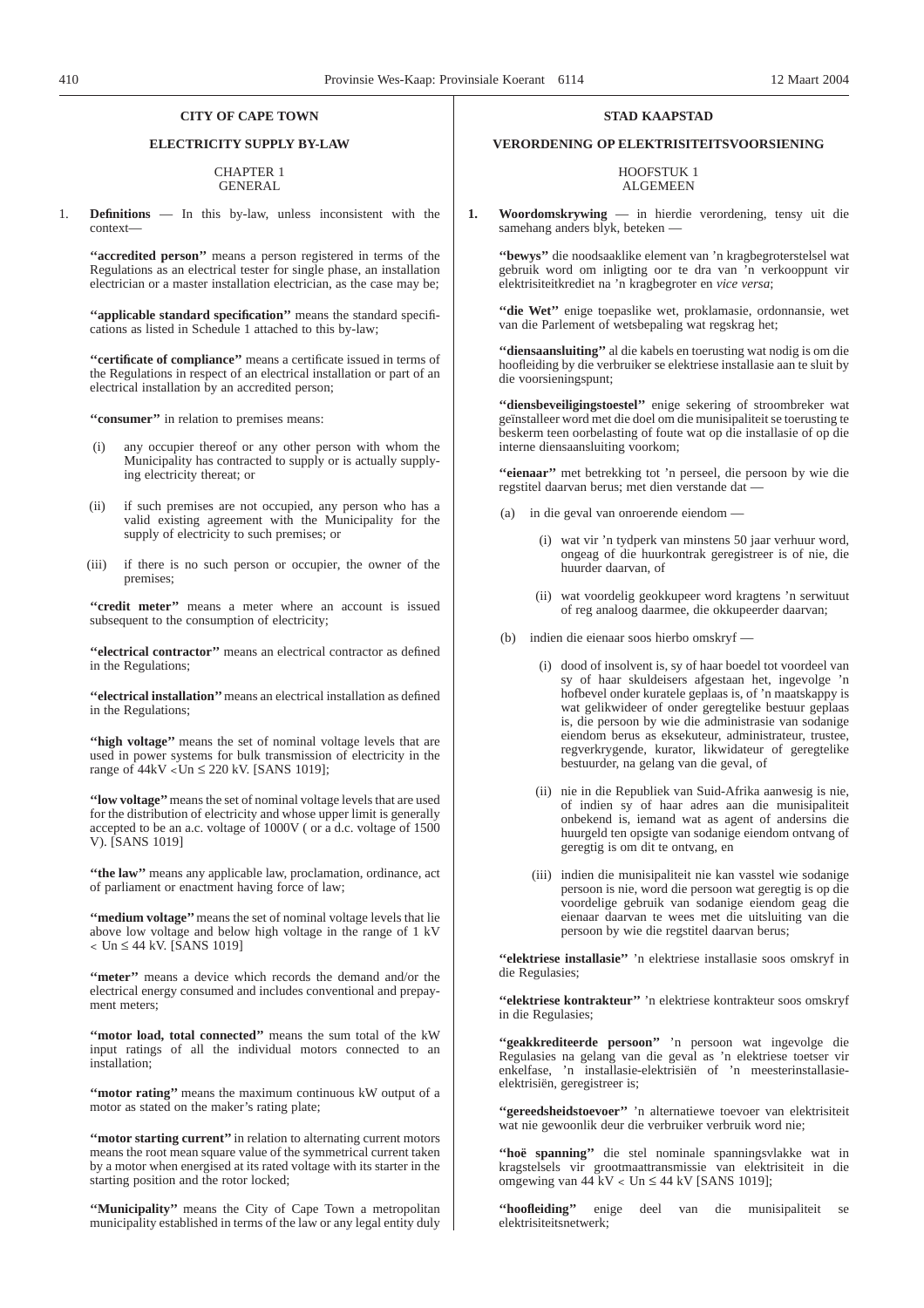# **CITY OF CAPE TOWN**

# **ELECTRICITY SUPPLY BY-LAW**

#### CHAPTER 1 GENERAL

1. **Definitions** — In this by-law, unless inconsistent with the context—

**''accredited person''** means a person registered in terms of the Regulations as an electrical tester for single phase, an installation electrician or a master installation electrician, as the case may be;

**''applicable standard specification''** means the standard specifications as listed in Schedule 1 attached to this by-law;

**''certificate of compliance''** means a certificate issued in terms of the Regulations in respect of an electrical installation or part of an electrical installation by an accredited person;

**''consumer''** in relation to premises means:

- (i) any occupier thereof or any other person with whom the Municipality has contracted to supply or is actually supplying electricity thereat; or
- (ii) if such premises are not occupied, any person who has a valid existing agreement with the Municipality for the supply of electricity to such premises; or
- (iii) if there is no such person or occupier, the owner of the premises;

**''credit meter''** means a meter where an account is issued subsequent to the consumption of electricity;

**''electrical contractor''** means an electrical contractor as defined in the Regulations;

**''electrical installation''**means an electrical installation as defined in the Regulations;

**''high voltage''** means the set of nominal voltage levels that are used in power systems for bulk transmission of electricity in the range of  $44kV <$ Un  $\leq 220$  kV. [SANS 1019];

**''low voltage''**means the set of nominal voltage levels that are used for the distribution of electricity and whose upper limit is generally accepted to be an a.c. voltage of 1000V ( or a d.c. voltage of 1500 V). [SANS 1019]

"the law" means any applicable law, proclamation, ordinance, act of parliament or enactment having force of law;

**''medium voltage''**means the set of nominal voltage levels that lie above low voltage and below high voltage in the range of 1 kV < Un ≤ 44 kV. [SANS 1019]

**''meter''** means a device which records the demand and/or the electrical energy consumed and includes conventional and prepayment meters;

**''motor load, total connected''** means the sum total of the kW input ratings of all the individual motors connected to an installation;

**''motor rating''** means the maximum continuous kW output of a motor as stated on the maker's rating plate;

"motor starting current" in relation to alternating current motors means the root mean square value of the symmetrical current taken by a motor when energised at its rated voltage with its starter in the starting position and the rotor locked;

**''Municipality''** means the City of Cape Town a metropolitan municipality established in terms of the law or any legal entity duly

# **STAD KAAPSTAD**

# **VERORDENING OP ELEKTRISITEITSVOORSIENING**

#### HOOFSTUK 1 ALGEMEEN

**1. Woordomskrywing** — in hierdie verordening, tensy uit die samehang anders blyk, beteken —

**''bewys''** die noodsaaklike element van 'n kragbegroterstelsel wat gebruik word om inligting oor te dra van 'n verkooppunt vir elektrisiteitkrediet na 'n kragbegroter en *vice versa*;

**''die Wet''** enige toepaslike wet, proklamasie, ordonnansie, wet van die Parlement of wetsbepaling wat regskrag het;

**''diensaansluiting''** al die kabels en toerusting wat nodig is om die hoofleiding by die verbruiker se elektriese installasie aan te sluit by die voorsieningspunt;

**''diensbeveiligingstoestel''** enige sekering of stroombreker wat geïnstalleer word met die doel om die munisipaliteit se toerusting te beskerm teen oorbelasting of foute wat op die installasie of op die interne diensaansluiting voorkom;

**''eienaar''** met betrekking tot 'n perseel, die persoon by wie die regstitel daarvan berus; met dien verstande dat —

- (a) in die geval van onroerende eiendom
	- (i) wat vir 'n tydperk van minstens 50 jaar verhuur word, ongeag of die huurkontrak geregistreer is of nie, die huurder daarvan, of
	- (ii) wat voordelig geokkupeer word kragtens 'n serwituut of reg analoog daarmee, die okkupeerder daarvan;
- (b) indien die eienaar soos hierbo omskryf
	- (i) dood of insolvent is, sy of haar boedel tot voordeel van sy of haar skuldeisers afgestaan het, ingevolge 'n hofbevel onder kuratele geplaas is, of 'n maatskappy is wat gelikwideer of onder geregtelike bestuur geplaas is, die persoon by wie die administrasie van sodanige eiendom berus as eksekuteur, administrateur, trustee, regverkrygende, kurator, likwidateur of geregtelike bestuurder, na gelang van die geval, of
	- (ii) nie in die Republiek van Suid-Afrika aanwesig is nie, of indien sy of haar adres aan die munisipaliteit onbekend is, iemand wat as agent of andersins die huurgeld ten opsigte van sodanige eiendom ontvang of geregtig is om dit te ontvang, en
	- (iii) indien die munisipaliteit nie kan vasstel wie sodanige persoon is nie, word die persoon wat geregtig is op die voordelige gebruik van sodanige eiendom geag die eienaar daarvan te wees met die uitsluiting van die persoon by wie die regstitel daarvan berus;

**''elektriese installasie''** 'n elektriese installasie soos omskryf in die Regulasies;

**''elektriese kontrakteur''** 'n elektriese kontrakteur soos omskryf in die Regulasies;

**''geakkrediteerde persoon''** 'n persoon wat ingevolge die Regulasies na gelang van die geval as 'n elektriese toetser vir enkelfase, 'n installasie-elektrisiën of 'n meesterinstallasieelektrisiën, geregistreer is;

**''gereedsheidstoevoer''** 'n alternatiewe toevoer van elektrisiteit wat nie gewoonlik deur die verbruiker verbruik word nie;

**''hoë spanning''** die stel nominale spanningsvlakke wat in kragstelsels vir grootmaattransmissie van elektrisiteit in die omgewing van  $44 \text{ kV} < \text{Un} \leq 44 \text{ kV}$  [SANS 1019];

**''hoofleiding''** enige deel van die munisipaliteit se elektrisiteitsnetwerk;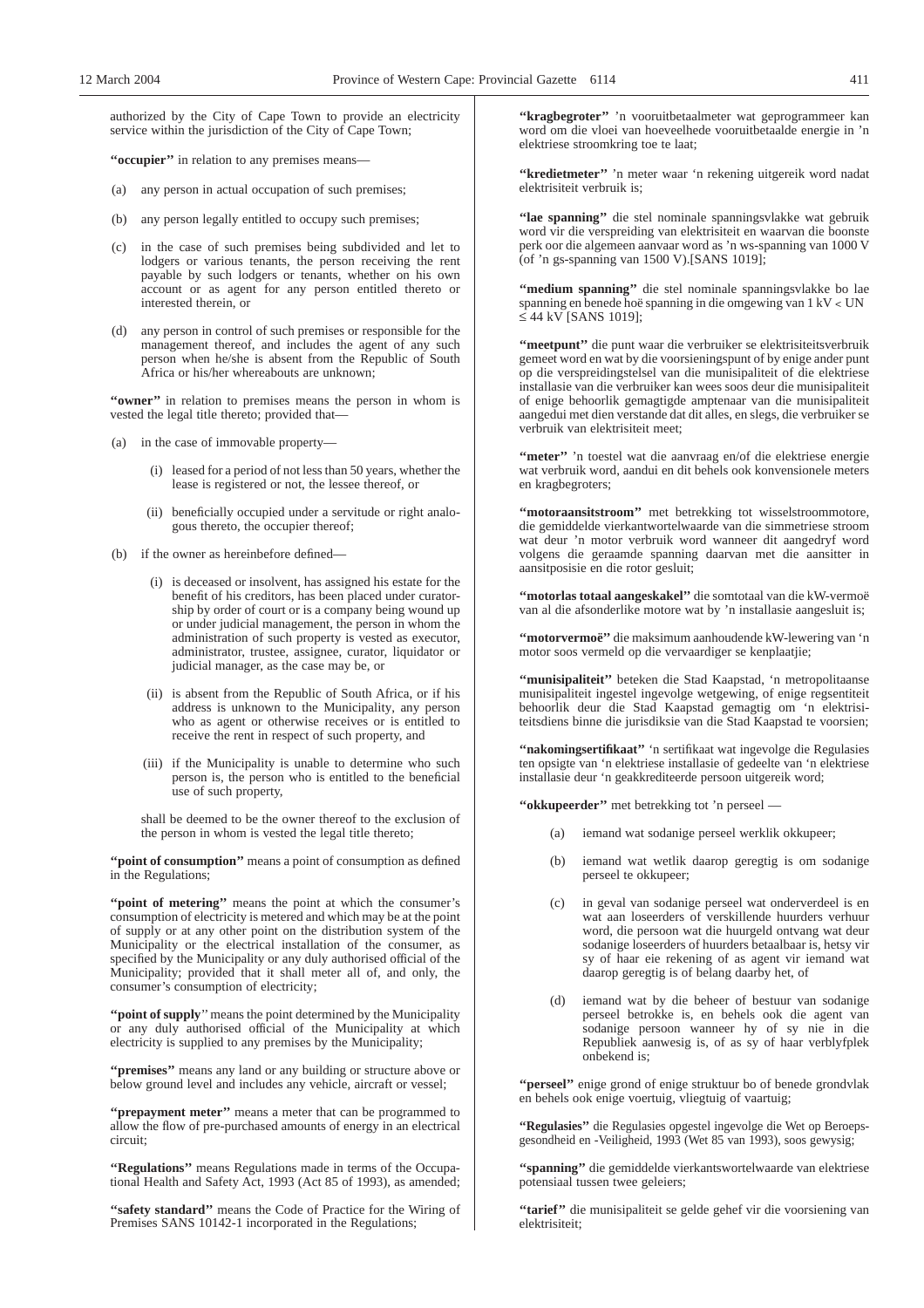authorized by the City of Cape Town to provide an electricity service within the jurisdiction of the City of Cape Town;

**''occupier''** in relation to any premises means—

- (a) any person in actual occupation of such premises;
- (b) any person legally entitled to occupy such premises;
- (c) in the case of such premises being subdivided and let to lodgers or various tenants, the person receiving the rent payable by such lodgers or tenants, whether on his own account or as agent for any person entitled thereto or interested therein, or
- (d) any person in control of such premises or responsible for the management thereof, and includes the agent of any such person when he/she is absent from the Republic of South Africa or his/her whereabouts are unknown;

"owner" in relation to premises means the person in whom is vested the legal title thereto; provided that—

- (a) in the case of immovable property—
	- (i) leased for a period of not less than 50 years, whether the lease is registered or not, the lessee thereof, or
	- (ii) beneficially occupied under a servitude or right analogous thereto, the occupier thereof;
- (b) if the owner as hereinbefore defined—
	- (i) is deceased or insolvent, has assigned his estate for the benefit of his creditors, has been placed under curatorship by order of court or is a company being wound up or under judicial management, the person in whom the administration of such property is vested as executor, administrator, trustee, assignee, curator, liquidator or judicial manager, as the case may be, or
	- (ii) is absent from the Republic of South Africa, or if his address is unknown to the Municipality, any person who as agent or otherwise receives or is entitled to receive the rent in respect of such property, and
	- (iii) if the Municipality is unable to determine who such person is, the person who is entitled to the beneficial use of such property,

shall be deemed to be the owner thereof to the exclusion of the person in whom is vested the legal title thereto;

"**point of consumption**" means a point of consumption as defined in the Regulations;

"point of metering" means the point at which the consumer's consumption of electricity is metered and which may be at the point of supply or at any other point on the distribution system of the Municipality or the electrical installation of the consumer, as specified by the Municipality or any duly authorised official of the Municipality; provided that it shall meter all of, and only, the consumer's consumption of electricity;

**''point of supply**'' means the point determined by the Municipality or any duly authorised official of the Municipality at which electricity is supplied to any premises by the Municipality;

**''premises''** means any land or any building or structure above or below ground level and includes any vehicle, aircraft or vessel;

**''prepayment meter''** means a meter that can be programmed to allow the flow of pre-purchased amounts of energy in an electrical circuit;

**''Regulations''** means Regulations made in terms of the Occupational Health and Safety Act, 1993 (Act 85 of 1993), as amended;

**''safety standard''** means the Code of Practice for the Wiring of Premises SANS 10142-1 incorporated in the Regulations;

"kragbegroter" 'n vooruitbetaalmeter wat geprogrammeer kan word om die vloei van hoeveelhede vooruitbetaalde energie in 'n elektriese stroomkring toe te laat;

**''kredietmeter''** 'n meter waar 'n rekening uitgereik word nadat elektrisiteit verbruik is;

**''lae spanning''** die stel nominale spanningsvlakke wat gebruik word vir die verspreiding van elektrisiteit en waarvan die boonste perk oor die algemeen aanvaar word as 'n ws-spanning van 1000 V (of 'n gs-spanning van 1500 V).[SANS 1019];

**''medium spanning''** die stel nominale spanningsvlakke bo lae spanning en benede hoë spanning in die omgewing van 1 kV < UN ≤ 44 kV [SANS 1019];

**''meetpunt''** die punt waar die verbruiker se elektrisiteitsverbruik gemeet word en wat by die voorsieningspunt of by enige ander punt op die verspreidingstelsel van die munisipaliteit of die elektriese installasie van die verbruiker kan wees soos deur die munisipaliteit of enige behoorlik gemagtigde amptenaar van die munisipaliteit aangedui met dien verstande dat dit alles, en slegs, die verbruiker se verbruik van elektrisiteit meet;

**''meter''** 'n toestel wat die aanvraag en/of die elektriese energie wat verbruik word, aandui en dit behels ook konvensionele meters en kragbegroters;

**''motoraansitstroom''** met betrekking tot wisselstroommotore, die gemiddelde vierkantwortelwaarde van die simmetriese stroom wat deur 'n motor verbruik word wanneer dit aangedryf word volgens die geraamde spanning daarvan met die aansitter in aansitposisie en die rotor gesluit;

**''motorlas totaal aangeskakel''** die somtotaal van die kW-vermoë van al die afsonderlike motore wat by 'n installasie aangesluit is;

**''motorvermoë''** die maksimum aanhoudende kW-lewering van 'n motor soos vermeld op die vervaardiger se kenplaatjie;

**''munisipaliteit''** beteken die Stad Kaapstad, 'n metropolitaanse munisipaliteit ingestel ingevolge wetgewing, of enige regsentiteit behoorlik deur die Stad Kaapstad gemagtig om 'n elektrisiteitsdiens binne die jurisdiksie van die Stad Kaapstad te voorsien;

**''nakomingsertifikaat''** 'n sertifikaat wat ingevolge die Regulasies ten opsigte van 'n elektriese installasie of gedeelte van 'n elektriese installasie deur 'n geakkrediteerde persoon uitgereik word;

**''okkupeerder''** met betrekking tot 'n perseel —

- (a) iemand wat sodanige perseel werklik okkupeer;
- (b) iemand wat wetlik daarop geregtig is om sodanige perseel te okkupeer;
- (c) in geval van sodanige perseel wat onderverdeel is en wat aan loseerders of verskillende huurders verhuur word, die persoon wat die huurgeld ontvang wat deur sodanige loseerders of huurders betaalbaar is, hetsy vir sy of haar eie rekening of as agent vir iemand wat daarop geregtig is of belang daarby het, of
- (d) iemand wat by die beheer of bestuur van sodanige perseel betrokke is, en behels ook die agent van sodanige persoon wanneer hy of sy nie in die Republiek aanwesig is, of as sy of haar verblyfplek onbekend is;

**''perseel''** enige grond of enige struktuur bo of benede grondvlak en behels ook enige voertuig, vliegtuig of vaartuig;

**''Regulasies''** die Regulasies opgestel ingevolge die Wet op Beroepsgesondheid en -Veiligheid, 1993 (Wet 85 van 1993), soos gewysig;

**''spanning''** die gemiddelde vierkantswortelwaarde van elektriese potensiaal tussen twee geleiers;

**''tarief''** die munisipaliteit se gelde gehef vir die voorsiening van elektrisiteit;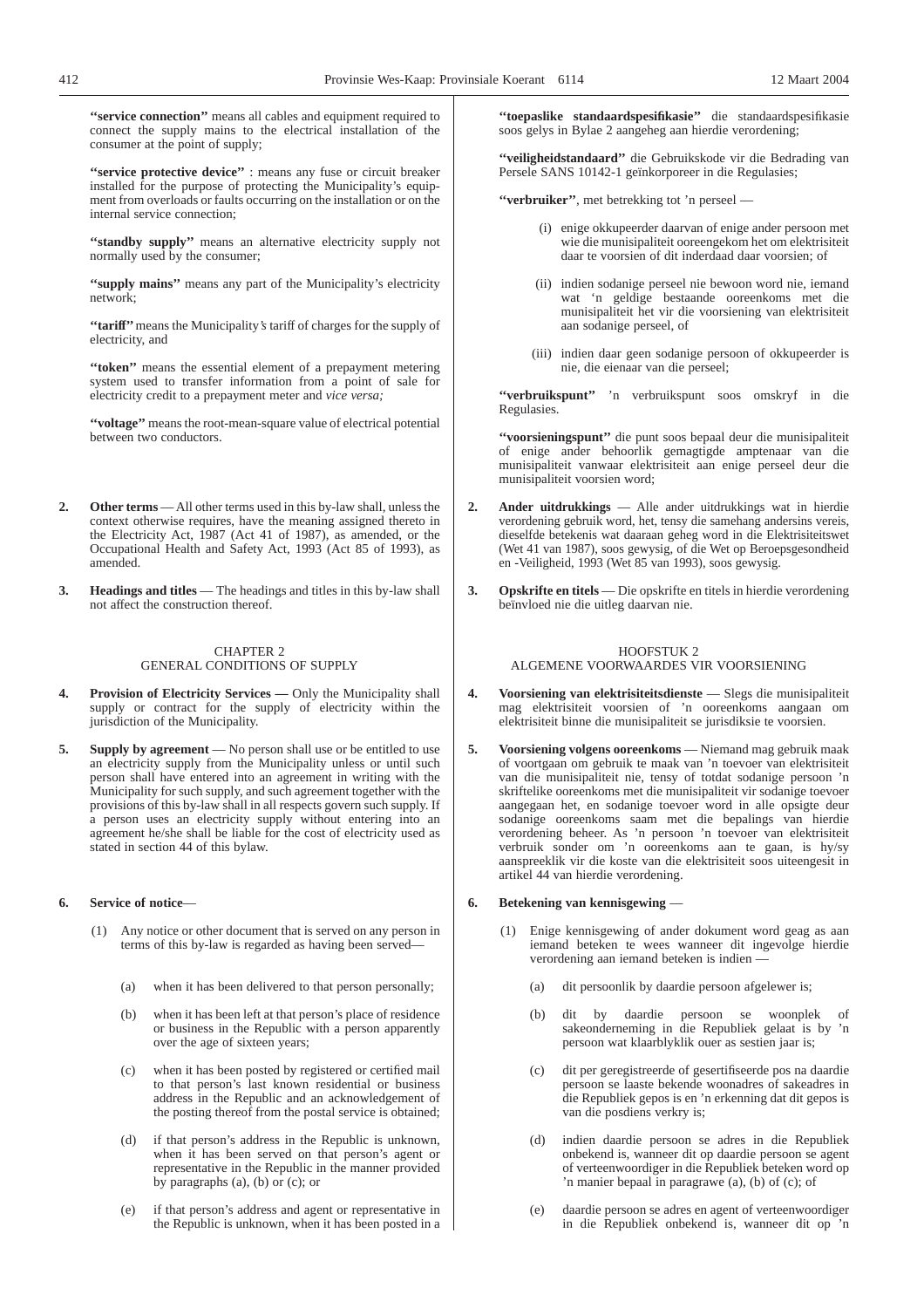**''service connection''** means all cables and equipment required to connect the supply mains to the electrical installation of the consumer at the point of supply;

**''service protective device''** : means any fuse or circuit breaker installed for the purpose of protecting the Municipality's equipment from overloads or faults occurring on the installation or on the internal service connection;

"standby supply" means an alternative electricity supply not normally used by the consumer;

**''supply mains''** means any part of the Municipality's electricity network;

**''tariff''**means the Municipality*'s* tariff of charges for the supply of electricity, and

**''token''** means the essential element of a prepayment metering system used to transfer information from a point of sale for electricity credit to a prepayment meter and *vice versa;*

**''voltage''** means the root-mean-square value of electrical potential between two conductors.

- **2. Other terms** All other terms used in this by-law shall, unless the context otherwise requires, have the meaning assigned thereto in the Electricity Act, 1987 (Act 41 of 1987), as amended, or the Occupational Health and Safety Act, 1993 (Act 85 of 1993), as amended.
- **3. Headings and titles** The headings and titles in this by-law shall not affect the construction thereof.

## CHAPTER 2 GENERAL CONDITIONS OF SUPPLY

- **Provision of Electricity Services —** Only the Municipality shall supply or contract for the supply of electricity within the jurisdiction of the Municipality.
- **5. Supply by agreement** No person shall use or be entitled to use an electricity supply from the Municipality unless or until such person shall have entered into an agreement in writing with the Municipality for such supply, and such agreement together with the provisions of this by-law shall in all respects govern such supply. If a person uses an electricity supply without entering into an agreement he/she shall be liable for the cost of electricity used as stated in section 44 of this bylaw.

## **6. Service of notice**—

- (1) Any notice or other document that is served on any person in terms of this by-law is regarded as having been served—
	- (a) when it has been delivered to that person personally;
	- (b) when it has been left at that person's place of residence or business in the Republic with a person apparently over the age of sixteen years;
	- (c) when it has been posted by registered or certified mail to that person's last known residential or business address in the Republic and an acknowledgement of the posting thereof from the postal service is obtained;
	- (d) if that person's address in the Republic is unknown, when it has been served on that person's agent or representative in the Republic in the manner provided by paragraphs  $(a)$ ,  $(b)$  or  $(c)$ ; or
	- (e) if that person's address and agent or representative in the Republic is unknown, when it has been posted in a

**''toepaslike standaardspesifikasie''** die standaardspesifikasie soos gelys in Bylae 2 aangeheg aan hierdie verordening;

**''veiligheidstandaard''** die Gebruikskode vir die Bedrading van Persele SANS 10142-1 geïnkorporeer in die Regulasies;

**''verbruiker''**, met betrekking tot 'n perseel —

- (i) enige okkupeerder daarvan of enige ander persoon met wie die munisipaliteit ooreengekom het om elektrisiteit daar te voorsien of dit inderdaad daar voorsien; of
- (ii) indien sodanige perseel nie bewoon word nie, iemand wat 'n geldige bestaande ooreenkoms met die munisipaliteit het vir die voorsiening van elektrisiteit aan sodanige perseel, of
- (iii) indien daar geen sodanige persoon of okkupeerder is nie, die eienaar van die perseel;

**''verbruikspunt''** 'n verbruikspunt soos omskryf in die Regulasies.

**''voorsieningspunt''** die punt soos bepaal deur die munisipaliteit of enige ander behoorlik gemagtigde amptenaar van die munisipaliteit vanwaar elektrisiteit aan enige perseel deur die munisipaliteit voorsien word;

- **2. Ander uitdrukkings** Alle ander uitdrukkings wat in hierdie verordening gebruik word, het, tensy die samehang andersins vereis, dieselfde betekenis wat daaraan geheg word in die Elektrisiteitswet (Wet 41 van 1987), soos gewysig, of die Wet op Beroepsgesondheid en -Veiligheid, 1993 (Wet 85 van 1993), soos gewysig.
- **3. Opskrifte en titels** Die opskrifte en titels in hierdie verordening beïnvloed nie die uitleg daarvan nie.

# HOOFSTUK 2

ALGEMENE VOORWAARDES VIR VOORSIENING

- **4. Voorsiening van elektrisiteitsdienste** Slegs die munisipaliteit mag elektrisiteit voorsien of 'n ooreenkoms aangaan om elektrisiteit binne die munisipaliteit se jurisdiksie te voorsien.
- **5. Voorsiening volgens ooreenkoms** Niemand mag gebruik maak of voortgaan om gebruik te maak van 'n toevoer van elektrisiteit van die munisipaliteit nie, tensy of totdat sodanige persoon 'n skriftelike ooreenkoms met die munisipaliteit vir sodanige toevoer aangegaan het, en sodanige toevoer word in alle opsigte deur sodanige ooreenkoms saam met die bepalings van hierdie verordening beheer. As 'n persoon 'n toevoer van elektrisiteit verbruik sonder om 'n ooreenkoms aan te gaan, is hy/sy aanspreeklik vir die koste van die elektrisiteit soos uiteengesit in artikel 44 van hierdie verordening.

# **6. Betekening van kennisgewing** —

- (1) Enige kennisgewing of ander dokument word geag as aan iemand beteken te wees wanneer dit ingevolge hierdie verordening aan iemand beteken is indien —
	- (a) dit persoonlik by daardie persoon afgelewer is;
	- (b) dit by daardie persoon se woonplek of sakeonderneming in die Republiek gelaat is by 'n persoon wat klaarblyklik ouer as sestien jaar is;
	- (c) dit per geregistreerde of gesertifiseerde pos na daardie persoon se laaste bekende woonadres of sakeadres in die Republiek gepos is en 'n erkenning dat dit gepos is van die posdiens verkry is;
	- (d) indien daardie persoon se adres in die Republiek onbekend is, wanneer dit op daardie persoon se agent of verteenwoordiger in die Republiek beteken word op 'n manier bepaal in paragrawe (a), (b) of (c); of
	- (e) daardie persoon se adres en agent of verteenwoordiger in die Republiek onbekend is, wanneer dit op 'n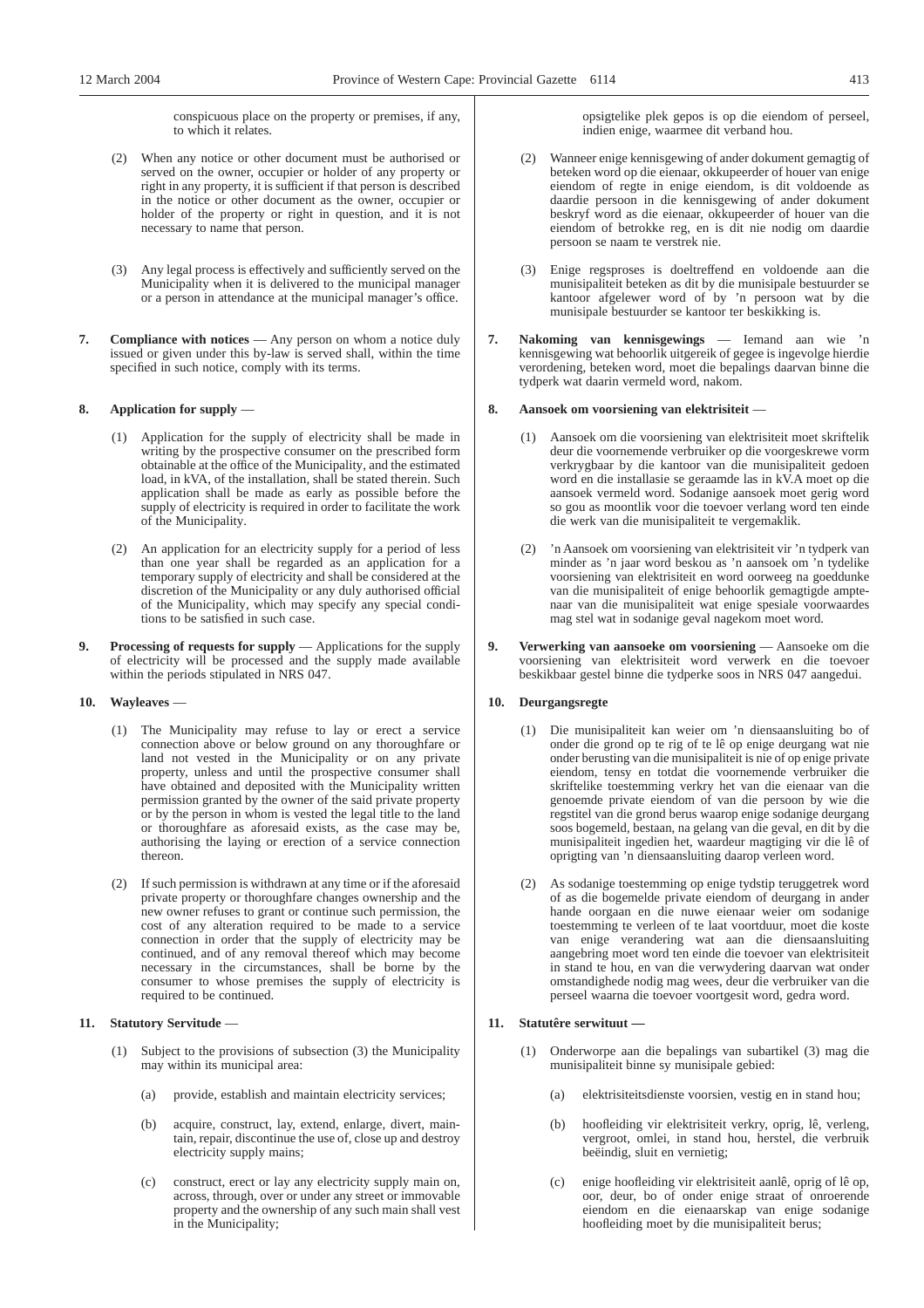conspicuous place on the property or premises, if any, to which it relates.

- (2) When any notice or other document must be authorised or served on the owner, occupier or holder of any property or right in any property, it is sufficient if that person is described in the notice or other document as the owner, occupier or holder of the property or right in question, and it is not necessary to name that person.
- (3) Any legal process is effectively and sufficiently served on the Municipality when it is delivered to the municipal manager or a person in attendance at the municipal manager's office.
- **7. Compliance with notices** Any person on whom a notice duly issued or given under this by-law is served shall, within the time specified in such notice, comply with its terms.

### **8. Application for supply** —

- (1) Application for the supply of electricity shall be made in writing by the prospective consumer on the prescribed form obtainable at the office of the Municipality, and the estimated load, in kVA, of the installation, shall be stated therein. Such application shall be made as early as possible before the supply of electricity is required in order to facilitate the work of the Municipality.
- (2) An application for an electricity supply for a period of less than one year shall be regarded as an application for a temporary supply of electricity and shall be considered at the discretion of the Municipality or any duly authorised official of the Municipality, which may specify any special conditions to be satisfied in such case.
- **9. Processing of requests for supply** Applications for the supply of electricity will be processed and the supply made available within the periods stipulated in NRS 047.

#### **10. Wayleaves** —

- (1) The Municipality may refuse to lay or erect a service connection above or below ground on any thoroughfare or land not vested in the Municipality or on any private property, unless and until the prospective consumer shall have obtained and deposited with the Municipality written permission granted by the owner of the said private property or by the person in whom is vested the legal title to the land or thoroughfare as aforesaid exists, as the case may be, authorising the laying or erection of a service connection thereon.
- (2) If such permission is withdrawn at any time or if the aforesaid private property or thoroughfare changes ownership and the new owner refuses to grant or continue such permission, the cost of any alteration required to be made to a service connection in order that the supply of electricity may be continued, and of any removal thereof which may become necessary in the circumstances, shall be borne by the consumer to whose premises the supply of electricity is required to be continued.

#### **11. Statutory Servitude** —

- (1) Subject to the provisions of subsection (3) the Municipality may within its municipal area:
	- (a) provide, establish and maintain electricity services;
	- (b) acquire, construct, lay, extend, enlarge, divert, maintain, repair, discontinue the use of, close up and destroy electricity supply mains;
	- (c) construct, erect or lay any electricity supply main on, across, through, over or under any street or immovable property and the ownership of any such main shall vest in the Municipality;

opsigtelike plek gepos is op die eiendom of perseel, indien enige, waarmee dit verband hou.

- (2) Wanneer enige kennisgewing of ander dokument gemagtig of beteken word op die eienaar, okkupeerder of houer van enige eiendom of regte in enige eiendom, is dit voldoende as daardie persoon in die kennisgewing of ander dokument beskryf word as die eienaar, okkupeerder of houer van die eiendom of betrokke reg, en is dit nie nodig om daardie persoon se naam te verstrek nie.
- (3) Enige regsproses is doeltreffend en voldoende aan die munisipaliteit beteken as dit by die munisipale bestuurder se kantoor afgelewer word of by 'n persoon wat by die munisipale bestuurder se kantoor ter beskikking is.
- **7. Nakoming van kennisgewings** Iemand aan wie 'n kennisgewing wat behoorlik uitgereik of gegee is ingevolge hierdie verordening, beteken word, moet die bepalings daarvan binne die tydperk wat daarin vermeld word, nakom.

## **8. Aansoek om voorsiening van elektrisiteit** —

- (1) Aansoek om die voorsiening van elektrisiteit moet skriftelik deur die voornemende verbruiker op die voorgeskrewe vorm verkrygbaar by die kantoor van die munisipaliteit gedoen word en die installasie se geraamde las in kV.A moet op die aansoek vermeld word. Sodanige aansoek moet gerig word so gou as moontlik voor die toevoer verlang word ten einde die werk van die munisipaliteit te vergemaklik.
- (2) 'n Aansoek om voorsiening van elektrisiteit vir 'n tydperk van minder as 'n jaar word beskou as 'n aansoek om 'n tydelike voorsiening van elektrisiteit en word oorweeg na goeddunke van die munisipaliteit of enige behoorlik gemagtigde amptenaar van die munisipaliteit wat enige spesiale voorwaardes mag stel wat in sodanige geval nagekom moet word.
- **9. Verwerking van aansoeke om voorsiening** Aansoeke om die voorsiening van elektrisiteit word verwerk en die toevoer beskikbaar gestel binne die tydperke soos in NRS 047 aangedui.

#### **10. Deurgangsregte**

- (1) Die munisipaliteit kan weier om 'n diensaansluiting bo of onder die grond op te rig of te lê op enige deurgang wat nie onder berusting van die munisipaliteit is nie of op enige private eiendom, tensy en totdat die voornemende verbruiker die skriftelike toestemming verkry het van die eienaar van die genoemde private eiendom of van die persoon by wie die regstitel van die grond berus waarop enige sodanige deurgang soos bogemeld, bestaan, na gelang van die geval, en dit by die munisipaliteit ingedien het, waardeur magtiging vir die lê of oprigting van 'n diensaansluiting daarop verleen word.
- As sodanige toestemming op enige tydstip teruggetrek word of as die bogemelde private eiendom of deurgang in ander hande oorgaan en die nuwe eienaar weier om sodanige toestemming te verleen of te laat voortduur, moet die koste van enige verandering wat aan die diensaansluiting aangebring moet word ten einde die toevoer van elektrisiteit in stand te hou, en van die verwydering daarvan wat onder omstandighede nodig mag wees, deur die verbruiker van die perseel waarna die toevoer voortgesit word, gedra word.

#### **11. Statutêre serwituut —**

- (1) Onderworpe aan die bepalings van subartikel (3) mag die munisipaliteit binne sy munisipale gebied:
	- (a) elektrisiteitsdienste voorsien, vestig en in stand hou;
	- (b) hoofleiding vir elektrisiteit verkry, oprig, lê, verleng, vergroot, omlei, in stand hou, herstel, die verbruik beëindig, sluit en vernietig;
	- (c) enige hoofleiding vir elektrisiteit aanlê, oprig of lê op, oor, deur, bo of onder enige straat of onroerende eiendom en die eienaarskap van enige sodanige hoofleiding moet by die munisipaliteit berus;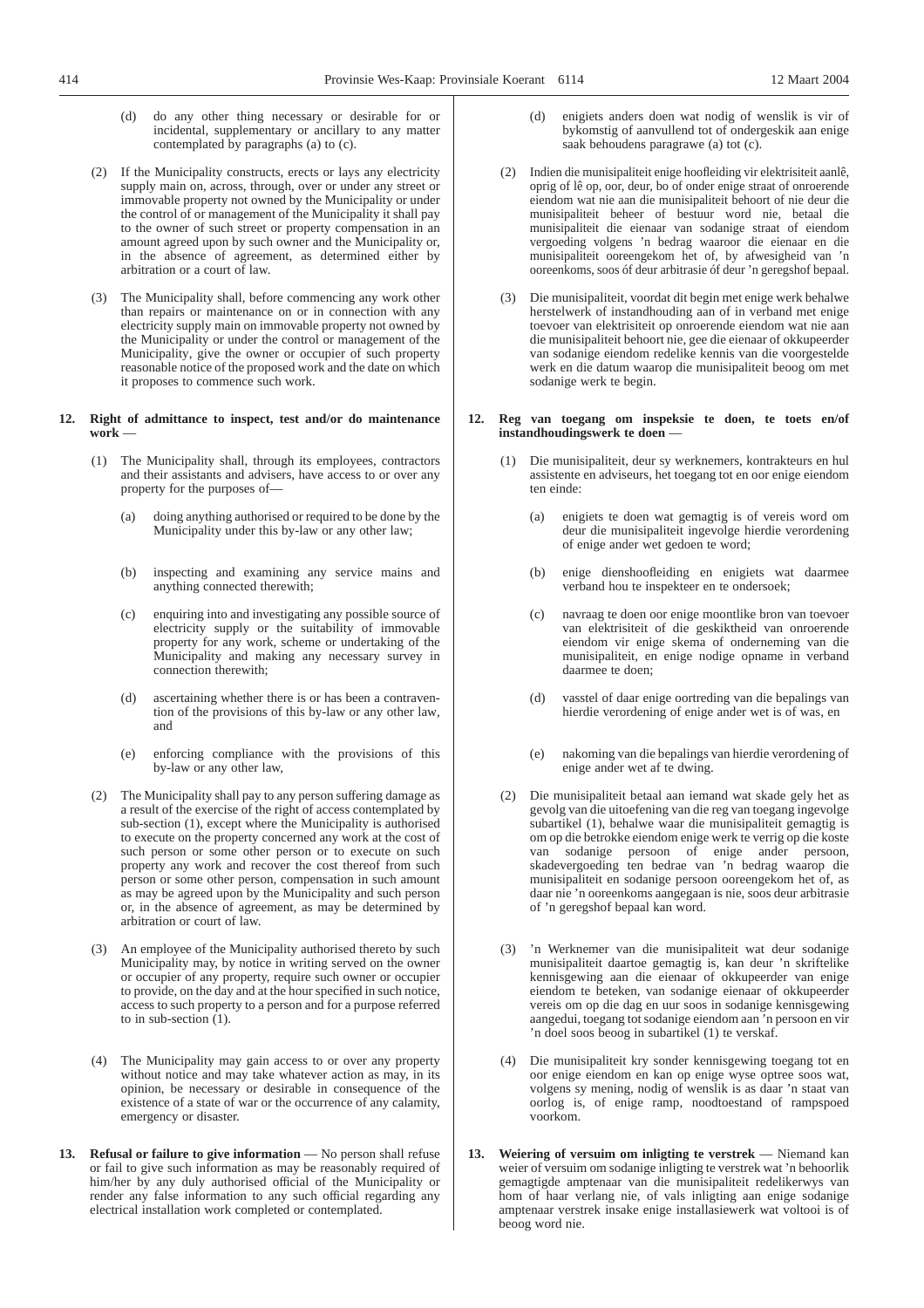- (d) do any other thing necessary or desirable for or incidental, supplementary or ancillary to any matter contemplated by paragraphs (a) to (c).
- (2) If the Municipality constructs, erects or lays any electricity supply main on, across, through, over or under any street or immovable property not owned by the Municipality or under the control of or management of the Municipality it shall pay to the owner of such street or property compensation in an amount agreed upon by such owner and the Municipality or, in the absence of agreement, as determined either by arbitration or a court of law.
- (3) The Municipality shall, before commencing any work other than repairs or maintenance on or in connection with any electricity supply main on immovable property not owned by the Municipality or under the control or management of the Municipality, give the owner or occupier of such property reasonable notice of the proposed work and the date on which it proposes to commence such work.

#### **12. Right of admittance to inspect, test and/or do maintenance work** —

- (1) The Municipality shall, through its employees, contractors and their assistants and advisers, have access to or over any property for the purposes of—
	- (a) doing anything authorised or required to be done by the Municipality under this by-law or any other law;
	- (b) inspecting and examining any service mains and anything connected therewith;
	- (c) enquiring into and investigating any possible source of electricity supply or the suitability of immovable property for any work, scheme or undertaking of the Municipality and making any necessary survey in connection therewith;
	- (d) ascertaining whether there is or has been a contravention of the provisions of this by-law or any other law*,* and
	- (e) enforcing compliance with the provisions of this by-law or any other law,
- (2) The Municipality shall pay to any person suffering damage as a result of the exercise of the right of access contemplated by sub-section (1), except where the Municipality is authorised to execute on the property concerned any work at the cost of such person or some other person or to execute on such property any work and recover the cost thereof from such person or some other person, compensation in such amount as may be agreed upon by the Municipality and such person or, in the absence of agreement, as may be determined by arbitration or court of law.
- (3) An employee of the Municipality authorised thereto by such Municipality may, by notice in writing served on the owner or occupier of any property, require such owner or occupier to provide, on the day and at the hour specified in such notice, access to such property to a person and for a purpose referred to in sub-section (1).
- (4) The Municipality may gain access to or over any property without notice and may take whatever action as may, in its opinion, be necessary or desirable in consequence of the existence of a state of war or the occurrence of any calamity, emergency or disaster.
- **13. Refusal or failure to give information** No person shall refuse or fail to give such information as may be reasonably required of him/her by any duly authorised official of the Municipality or render any false information to any such official regarding any electrical installation work completed or contemplated.
- (d) enigiets anders doen wat nodig of wenslik is vir of bykomstig of aanvullend tot of ondergeskik aan enige saak behoudens paragrawe (a) tot (c).
- (2) Indien die munisipaliteit enige hoofleiding vir elektrisiteit aanlê, oprig of lê op, oor, deur, bo of onder enige straat of onroerende eiendom wat nie aan die munisipaliteit behoort of nie deur die munisipaliteit beheer of bestuur word nie, betaal die munisipaliteit die eienaar van sodanige straat of eiendom vergoeding volgens 'n bedrag waaroor die eienaar en die munisipaliteit ooreengekom het of, by afwesigheid van 'n ooreenkoms, soos óf deur arbitrasie óf deur 'n geregshof bepaal.
- (3) Die munisipaliteit, voordat dit begin met enige werk behalwe herstelwerk of instandhouding aan of in verband met enige toevoer van elektrisiteit op onroerende eiendom wat nie aan die munisipaliteit behoort nie, gee die eienaar of okkupeerder van sodanige eiendom redelike kennis van die voorgestelde werk en die datum waarop die munisipaliteit beoog om met sodanige werk te begin.

#### **12. Reg van toegang om inspeksie te doen, te toets en/of instandhoudingswerk te doen** —

- (1) Die munisipaliteit, deur sy werknemers, kontrakteurs en hul assistente en adviseurs, het toegang tot en oor enige eiendom ten einde:
	- (a) enigiets te doen wat gemagtig is of vereis word om deur die munisipaliteit ingevolge hierdie verordening of enige ander wet gedoen te word;
	- (b) enige dienshoofleiding en enigiets wat daarmee verband hou te inspekteer en te ondersoek;
	- (c) navraag te doen oor enige moontlike bron van toevoer van elektrisiteit of die geskiktheid van onroerende eiendom vir enige skema of onderneming van die munisipaliteit, en enige nodige opname in verband daarmee te doen;
	- (d) vasstel of daar enige oortreding van die bepalings van hierdie verordening of enige ander wet is of was, en
	- (e) nakoming van die bepalings van hierdie verordening of enige ander wet af te dwing.
- (2) Die munisipaliteit betaal aan iemand wat skade gely het as gevolg van die uitoefening van die reg van toegang ingevolge subartikel (1), behalwe waar die munisipaliteit gemagtig is om op die betrokke eiendom enige werk te verrig op die koste van sodanige persoon of enige ander persoon, skadevergoeding ten bedrae van 'n bedrag waarop die munisipaliteit en sodanige persoon ooreengekom het of, as daar nie 'n ooreenkoms aangegaan is nie, soos deur arbitrasie of 'n geregshof bepaal kan word.
- (3) 'n Werknemer van die munisipaliteit wat deur sodanige munisipaliteit daartoe gemagtig is, kan deur 'n skriftelike kennisgewing aan die eienaar of okkupeerder van enige eiendom te beteken, van sodanige eienaar of okkupeerder vereis om op die dag en uur soos in sodanige kennisgewing aangedui, toegang tot sodanige eiendom aan 'n persoon en vir 'n doel soos beoog in subartikel (1) te verskaf.
- (4) Die munisipaliteit kry sonder kennisgewing toegang tot en oor enige eiendom en kan op enige wyse optree soos wat, volgens sy mening, nodig of wenslik is as daar 'n staat van oorlog is, of enige ramp, noodtoestand of rampspoed voorkom.
- **13. Weiering of versuim om inligting te verstrek** Niemand kan weier of versuim om sodanige inligting te verstrek wat 'n behoorlik gemagtigde amptenaar van die munisipaliteit redelikerwys van hom of haar verlang nie, of vals inligting aan enige sodanige amptenaar verstrek insake enige installasiewerk wat voltooi is of beoog word nie.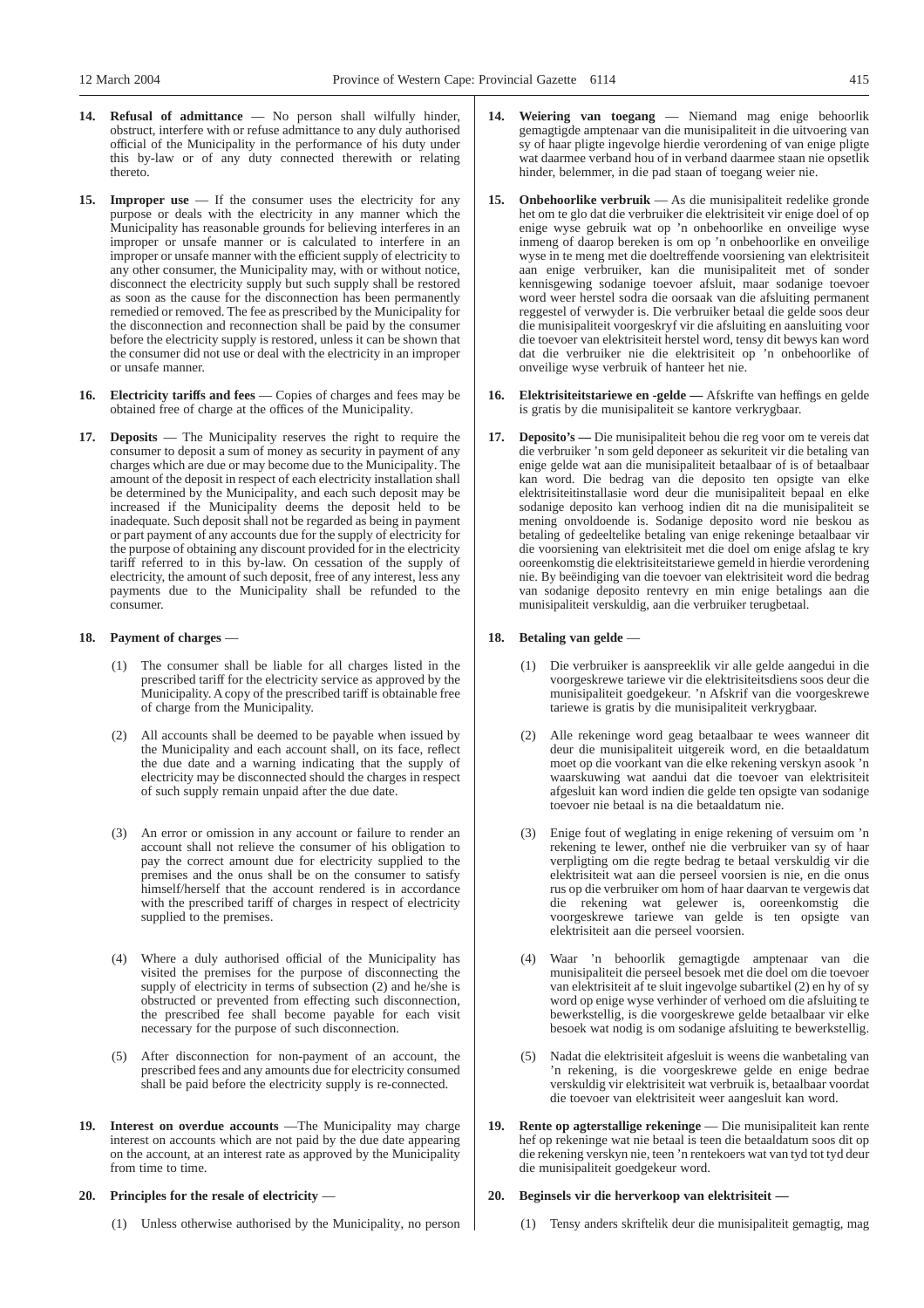- **14. Refusal of admittance** No person shall wilfully hinder, obstruct, interfere with or refuse admittance to any duly authorised official of the Municipality in the performance of his duty under this by-law or of any duty connected therewith or relating thereto.
- 15. **Improper use** If the consumer uses the electricity for any purpose or deals with the electricity in any manner which the Municipality has reasonable grounds for believing interferes in an improper or unsafe manner or is calculated to interfere in an improper or unsafe manner with the efficient supply of electricity to any other consumer, the Municipality may, with or without notice, disconnect the electricity supply but such supply shall be restored as soon as the cause for the disconnection has been permanently remedied or removed. The fee as prescribed by the Municipality for the disconnection and reconnection shall be paid by the consumer before the electricity supply is restored, unless it can be shown that the consumer did not use or deal with the electricity in an improper or unsafe manner.
- **16. Electricity tariffs and fees** Copies of charges and fees may be obtained free of charge at the offices of the Municipality.
- **17. Deposits** The Municipality reserves the right to require the consumer to deposit a sum of money as security in payment of any charges which are due or may become due to the Municipality. The amount of the deposit in respect of each electricity installation shall be determined by the Municipality, and each such deposit may be increased if the Municipality deems the deposit held to be inadequate. Such deposit shall not be regarded as being in payment or part payment of any accounts due for the supply of electricity for the purpose of obtaining any discount provided for in the electricity tariff referred to in this by-law. On cessation of the supply of electricity, the amount of such deposit, free of any interest, less any payments due to the Municipality shall be refunded to the consumer.

# **18. Payment of charges** —

- (1) The consumer shall be liable for all charges listed in the prescribed tariff for the electricity service as approved by the Municipality. A copy of the prescribed tariff is obtainable free of charge from the Municipality.
- (2) All accounts shall be deemed to be payable when issued by the Municipality and each account shall, on its face, reflect the due date and a warning indicating that the supply of electricity may be disconnected should the charges in respect of such supply remain unpaid after the due date.
- (3) An error or omission in any account or failure to render an account shall not relieve the consumer of his obligation to pay the correct amount due for electricity supplied to the premises and the onus shall be on the consumer to satisfy himself/herself that the account rendered is in accordance with the prescribed tariff of charges in respect of electricity supplied to the premises.
- (4) Where a duly authorised official of the Municipality has visited the premises for the purpose of disconnecting the supply of electricity in terms of subsection (2) and he/she is obstructed or prevented from effecting such disconnection, the prescribed fee shall become payable for each visit necessary for the purpose of such disconnection.
- (5) After disconnection for non-payment of an account, the prescribed fees and any amounts due for electricity consumed shall be paid before the electricity supply is re-connected.
- **19. Interest on overdue accounts** —The Municipality may charge interest on accounts which are not paid by the due date appearing on the account, at an interest rate as approved by the Municipality from time to time.

# **20. Principles for the resale of electricity** —

(1) Unless otherwise authorised by the Municipality, no person

- **14. Weiering van toegang** Niemand mag enige behoorlik gemagtigde amptenaar van die munisipaliteit in die uitvoering van sy of haar pligte ingevolge hierdie verordening of van enige pligte wat daarmee verband hou of in verband daarmee staan nie opsetlik hinder, belemmer, in die pad staan of toegang weier nie.
- **15. Onbehoorlike verbruik** As die munisipaliteit redelike gronde het om te glo dat die verbruiker die elektrisiteit vir enige doel of op enige wyse gebruik wat op 'n onbehoorlike en onveilige wyse inmeng of daarop bereken is om op 'n onbehoorlike en onveilige wyse in te meng met die doeltreffende voorsiening van elektrisiteit aan enige verbruiker, kan die munisipaliteit met of sonder kennisgewing sodanige toevoer afsluit, maar sodanige toevoer word weer herstel sodra die oorsaak van die afsluiting permanent reggestel of verwyder is. Die verbruiker betaal die gelde soos deur die munisipaliteit voorgeskryf vir die afsluiting en aansluiting voor die toevoer van elektrisiteit herstel word, tensy dit bewys kan word dat die verbruiker nie die elektrisiteit op 'n onbehoorlike of onveilige wyse verbruik of hanteer het nie.
- **16. Elektrisiteitstariewe en -gelde —** Afskrifte van heffings en gelde is gratis by die munisipaliteit se kantore verkrygbaar.
- **17. Deposito's —** Die munisipaliteit behou die reg voor om te vereis dat die verbruiker 'n som geld deponeer as sekuriteit vir die betaling van enige gelde wat aan die munisipaliteit betaalbaar of is of betaalbaar kan word. Die bedrag van die deposito ten opsigte van elke elektrisiteitinstallasie word deur die munisipaliteit bepaal en elke sodanige deposito kan verhoog indien dit na die munisipaliteit se mening onvoldoende is. Sodanige deposito word nie beskou as betaling of gedeeltelike betaling van enige rekeninge betaalbaar vir die voorsiening van elektrisiteit met die doel om enige afslag te kry ooreenkomstig die elektrisiteitstariewe gemeld in hierdie verordening nie. By beëindiging van die toevoer van elektrisiteit word die bedrag van sodanige deposito rentevry en min enige betalings aan die munisipaliteit verskuldig, aan die verbruiker terugbetaal.

# **18. Betaling van gelde** —

- (1) Die verbruiker is aanspreeklik vir alle gelde aangedui in die voorgeskrewe tariewe vir die elektrisiteitsdiens soos deur die munisipaliteit goedgekeur. 'n Afskrif van die voorgeskrewe tariewe is gratis by die munisipaliteit verkrygbaar.
- (2) Alle rekeninge word geag betaalbaar te wees wanneer dit deur die munisipaliteit uitgereik word, en die betaaldatum moet op die voorkant van die elke rekening verskyn asook 'n waarskuwing wat aandui dat die toevoer van elektrisiteit afgesluit kan word indien die gelde ten opsigte van sodanige toevoer nie betaal is na die betaaldatum nie.
- (3) Enige fout of weglating in enige rekening of versuim om 'n rekening te lewer, onthef nie die verbruiker van sy of haar verpligting om die regte bedrag te betaal verskuldig vir die elektrisiteit wat aan die perseel voorsien is nie, en die onus rus op die verbruiker om hom of haar daarvan te vergewis dat die rekening wat gelewer is, ooreenkomstig die voorgeskrewe tariewe van gelde is ten opsigte van elektrisiteit aan die perseel voorsien.
- (4) Waar 'n behoorlik gemagtigde amptenaar van die munisipaliteit die perseel besoek met die doel om die toevoer van elektrisiteit af te sluit ingevolge subartikel (2) en hy of sy word op enige wyse verhinder of verhoed om die afsluiting te bewerkstellig, is die voorgeskrewe gelde betaalbaar vir elke besoek wat nodig is om sodanige afsluiting te bewerkstellig.
- (5) Nadat die elektrisiteit afgesluit is weens die wanbetaling van 'n rekening, is die voorgeskrewe gelde en enige bedrae verskuldig vir elektrisiteit wat verbruik is, betaalbaar voordat die toevoer van elektrisiteit weer aangesluit kan word.
- **19. Rente op agterstallige rekeninge** Die munisipaliteit kan rente hef op rekeninge wat nie betaal is teen die betaaldatum soos dit op die rekening verskyn nie, teen 'n rentekoers wat van tyd tot tyd deur die munisipaliteit goedgekeur word.

# **20. Beginsels vir die herverkoop van elektrisiteit —**

(1) Tensy anders skriftelik deur die munisipaliteit gemagtig, mag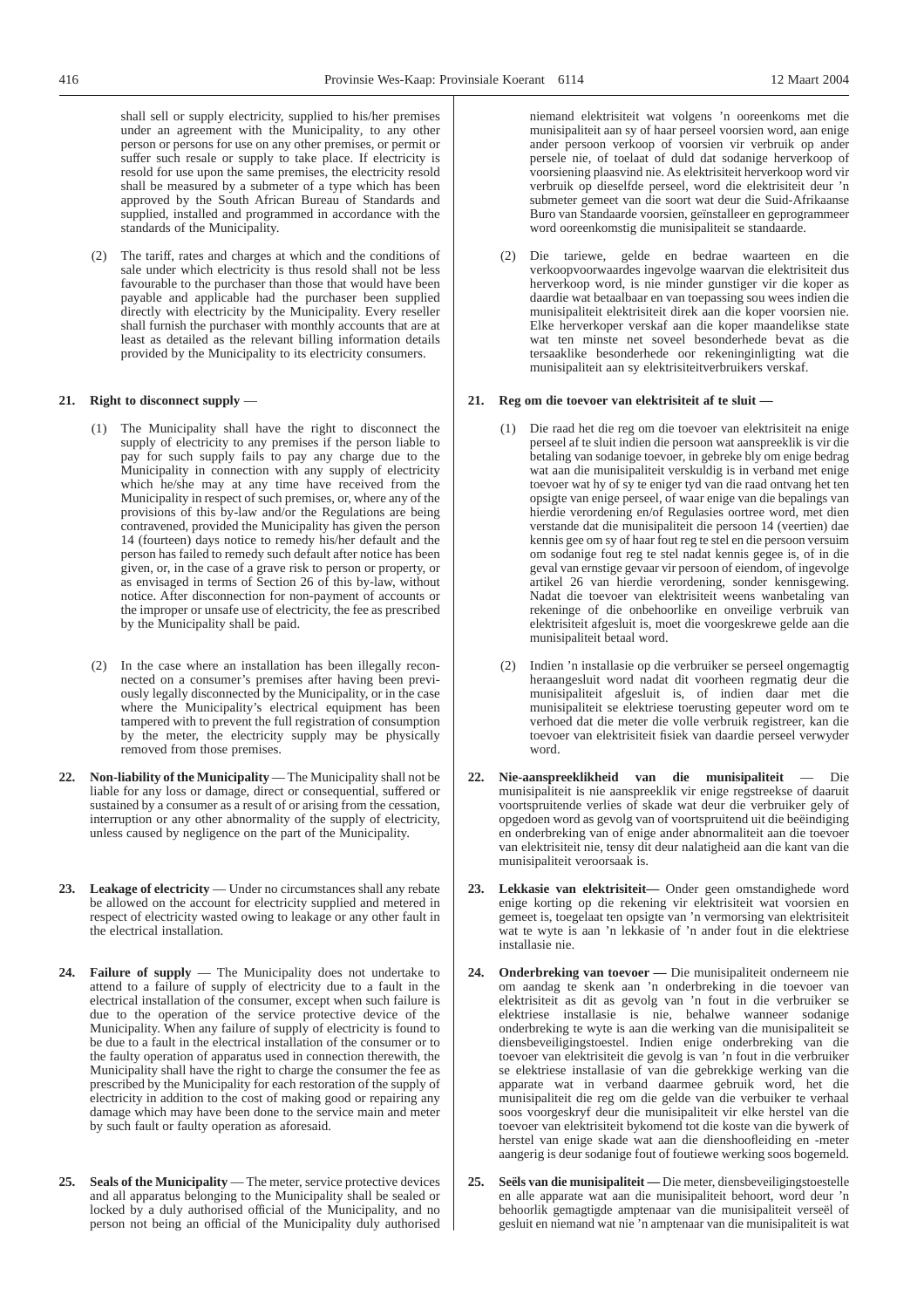shall sell or supply electricity, supplied to his/her premises under an agreement with the Municipality, to any other person or persons for use on any other premises, or permit or suffer such resale or supply to take place. If electricity is resold for use upon the same premises, the electricity resold shall be measured by a submeter of a type which has been approved by the South African Bureau of Standards and supplied, installed and programmed in accordance with the standards of the Municipality.

(2) The tariff, rates and charges at which and the conditions of sale under which electricity is thus resold shall not be less favourable to the purchaser than those that would have been payable and applicable had the purchaser been supplied directly with electricity by the Municipality. Every reseller shall furnish the purchaser with monthly accounts that are at least as detailed as the relevant billing information details provided by the Municipality to its electricity consumers.

## **21. Right to disconnect supply** —

- (1) The Municipality shall have the right to disconnect the supply of electricity to any premises if the person liable to pay for such supply fails to pay any charge due to the Municipality in connection with any supply of electricity which he/she may at any time have received from the Municipality in respect of such premises, or, where any of the provisions of this by-law and/or the Regulations are being contravened, provided the Municipality has given the person 14 (fourteen) days notice to remedy his/her default and the person has failed to remedy such default after notice has been given, or, in the case of a grave risk to person or property, or as envisaged in terms of Section 26 of this by-law, without notice. After disconnection for non-payment of accounts or the improper or unsafe use of electricity, the fee as prescribed by the Municipality shall be paid.
- (2) In the case where an installation has been illegally reconnected on a consumer's premises after having been previously legally disconnected by the Municipality, or in the case where the Municipality's electrical equipment has been tampered with to prevent the full registration of consumption by the meter, the electricity supply may be physically removed from those premises.
- **22. Non-liability of the Municipality** The Municipality shall not be liable for any loss or damage, direct or consequential, suffered or sustained by a consumer as a result of or arising from the cessation, interruption or any other abnormality of the supply of electricity, unless caused by negligence on the part of the Municipality.
- **23. Leakage of electricity** Under no circumstances shall any rebate be allowed on the account for electricity supplied and metered in respect of electricity wasted owing to leakage or any other fault in the electrical installation.
- **24. Failure of supply** The Municipality does not undertake to attend to a failure of supply of electricity due to a fault in the electrical installation of the consumer, except when such failure is due to the operation of the service protective device of the Municipality. When any failure of supply of electricity is found to be due to a fault in the electrical installation of the consumer or to the faulty operation of apparatus used in connection therewith, the Municipality shall have the right to charge the consumer the fee as prescribed by the Municipality for each restoration of the supply of electricity in addition to the cost of making good or repairing any damage which may have been done to the service main and meter by such fault or faulty operation as aforesaid.
- **25. Seals of the Municipality** The meter, service protective devices and all apparatus belonging to the Municipality shall be sealed or locked by a duly authorised official of the Municipality, and no person not being an official of the Municipality duly authorised

niemand elektrisiteit wat volgens 'n ooreenkoms met die munisipaliteit aan sy of haar perseel voorsien word, aan enige ander persoon verkoop of voorsien vir verbruik op ander persele nie, of toelaat of duld dat sodanige herverkoop of voorsiening plaasvind nie. As elektrisiteit herverkoop word vir verbruik op dieselfde perseel, word die elektrisiteit deur 'n submeter gemeet van die soort wat deur die Suid-Afrikaanse Buro van Standaarde voorsien, geïnstalleer en geprogrammeer word ooreenkomstig die munisipaliteit se standaarde.

(2) Die tariewe, gelde en bedrae waarteen en die verkoopvoorwaardes ingevolge waarvan die elektrisiteit dus herverkoop word, is nie minder gunstiger vir die koper as daardie wat betaalbaar en van toepassing sou wees indien die munisipaliteit elektrisiteit direk aan die koper voorsien nie. Elke herverkoper verskaf aan die koper maandelikse state wat ten minste net soveel besonderhede bevat as die tersaaklike besonderhede oor rekeninginligting wat die munisipaliteit aan sy elektrisiteitverbruikers verskaf.

## **21. Reg om die toevoer van elektrisiteit af te sluit —**

- (1) Die raad het die reg om die toevoer van elektrisiteit na enige perseel af te sluit indien die persoon wat aanspreeklik is vir die betaling van sodanige toevoer, in gebreke bly om enige bedrag wat aan die munisipaliteit verskuldig is in verband met enige toevoer wat hy of sy te eniger tyd van die raad ontvang het ten opsigte van enige perseel, of waar enige van die bepalings van hierdie verordening en/of Regulasies oortree word, met dien verstande dat die munisipaliteit die persoon 14 (veertien) dae kennis gee om sy of haar fout reg te stel en die persoon versuim om sodanige fout reg te stel nadat kennis gegee is, of in die geval van ernstige gevaar vir persoon of eiendom, of ingevolge artikel 26 van hierdie verordening, sonder kennisgewing. Nadat die toevoer van elektrisiteit weens wanbetaling van rekeninge of die onbehoorlike en onveilige verbruik van elektrisiteit afgesluit is, moet die voorgeskrewe gelde aan die munisipaliteit betaal word.
- (2) Indien 'n installasie op die verbruiker se perseel ongemagtig heraangesluit word nadat dit voorheen regmatig deur die munisipaliteit afgesluit is, of indien daar met die munisipaliteit se elektriese toerusting gepeuter word om te verhoed dat die meter die volle verbruik registreer, kan die toevoer van elektrisiteit fisiek van daardie perseel verwyder word.
- **22. Nie-aanspreeklikheid van die munisipaliteit** Die munisipaliteit is nie aanspreeklik vir enige regstreekse of daaruit voortspruitende verlies of skade wat deur die verbruiker gely of opgedoen word as gevolg van of voortspruitend uit die beëindiging en onderbreking van of enige ander abnormaliteit aan die toevoer van elektrisiteit nie, tensy dit deur nalatigheid aan die kant van die munisipaliteit veroorsaak is.
- **23. Lekkasie van elektrisiteit—** Onder geen omstandighede word enige korting op die rekening vir elektrisiteit wat voorsien en gemeet is, toegelaat ten opsigte van 'n vermorsing van elektrisiteit wat te wyte is aan 'n lekkasie of 'n ander fout in die elektriese installasie nie.
- **24. Onderbreking van toevoer —** Die munisipaliteit onderneem nie om aandag te skenk aan 'n onderbreking in die toevoer van elektrisiteit as dit as gevolg van 'n fout in die verbruiker se elektriese installasie is nie, behalwe wanneer sodanige onderbreking te wyte is aan die werking van die munisipaliteit se diensbeveiligingstoestel. Indien enige onderbreking van die toevoer van elektrisiteit die gevolg is van 'n fout in die verbruiker se elektriese installasie of van die gebrekkige werking van die apparate wat in verband daarmee gebruik word, het die munisipaliteit die reg om die gelde van die verbuiker te verhaal soos voorgeskryf deur die munisipaliteit vir elke herstel van die toevoer van elektrisiteit bykomend tot die koste van die bywerk of herstel van enige skade wat aan die dienshoofleiding en -meter aangerig is deur sodanige fout of foutiewe werking soos bogemeld.
- **25. Seëls van die munisipaliteit —** Die meter, diensbeveiligingstoestelle en alle apparate wat aan die munisipaliteit behoort, word deur 'n behoorlik gemagtigde amptenaar van die munisipaliteit verseël of gesluit en niemand wat nie 'n amptenaar van die munisipaliteit is wat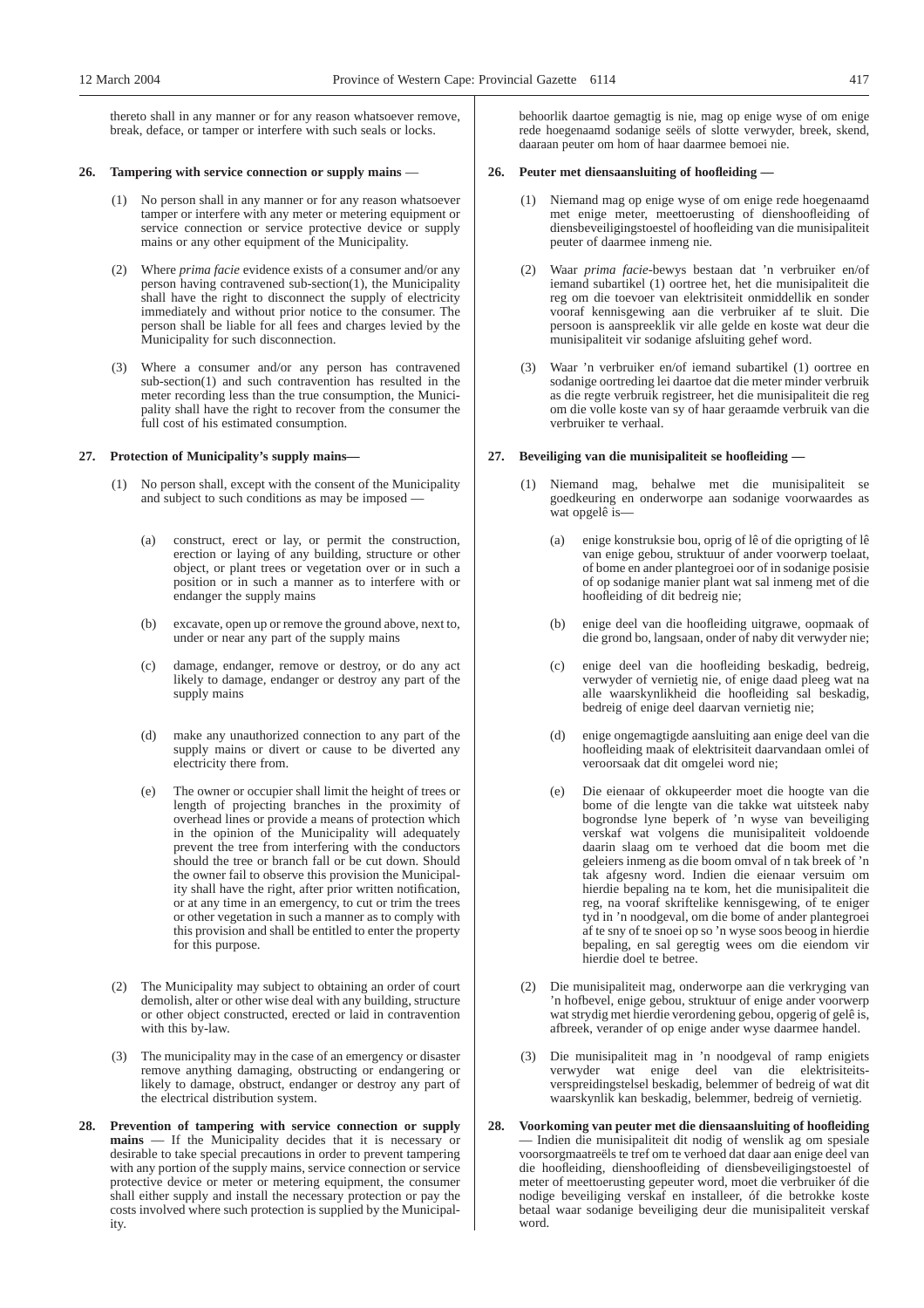thereto shall in any manner or for any reason whatsoever remove, break, deface, or tamper or interfere with such seals or locks.

#### **26. Tampering with service connection or supply mains** —

- (1) No person shall in any manner or for any reason whatsoever tamper or interfere with any meter or metering equipment or service connection or service protective device or supply mains or any other equipment of the Municipality.
- (2) Where *prima facie* evidence exists of a consumer and/or any person having contravened sub-section(1), the Municipality shall have the right to disconnect the supply of electricity immediately and without prior notice to the consumer. The person shall be liable for all fees and charges levied by the Municipality for such disconnection.
- (3) Where a consumer and/or any person has contravened sub-section(1) and such contravention has resulted in the meter recording less than the true consumption, the Municipality shall have the right to recover from the consumer the full cost of his estimated consumption.

### **27. Protection of Municipality's supply mains—**

- (1) No person shall, except with the consent of the Municipality and subject to such conditions as may be imposed —
	- (a) construct, erect or lay, or permit the construction, erection or laying of any building, structure or other object, or plant trees or vegetation over or in such a position or in such a manner as to interfere with or endanger the supply mains
	- (b) excavate, open up or remove the ground above, next to, under or near any part of the supply mains
	- (c) damage, endanger, remove or destroy, or do any act likely to damage, endanger or destroy any part of the supply mains
	- (d) make any unauthorized connection to any part of the supply mains or divert or cause to be diverted any electricity there from.
	- (e) The owner or occupier shall limit the height of trees or length of projecting branches in the proximity of overhead lines or provide a means of protection which in the opinion of the Municipality will adequately prevent the tree from interfering with the conductors should the tree or branch fall or be cut down. Should the owner fail to observe this provision the Municipality shall have the right, after prior written notification, or at any time in an emergency, to cut or trim the trees or other vegetation in such a manner as to comply with this provision and shall be entitled to enter the property for this purpose.
- (2) The Municipality may subject to obtaining an order of court demolish, alter or other wise deal with any building, structure or other object constructed, erected or laid in contravention with this by-law.
- (3) The municipality may in the case of an emergency or disaster remove anything damaging, obstructing or endangering or likely to damage, obstruct, endanger or destroy any part of the electrical distribution system.
- **28. Prevention of tampering with service connection or supply mains** — If the Municipality decides that it is necessary or desirable to take special precautions in order to prevent tampering with any portion of the supply mains, service connection or service protective device or meter or metering equipment, the consumer shall either supply and install the necessary protection or pay the costs involved where such protection is supplied by the Municipality.

behoorlik daartoe gemagtig is nie, mag op enige wyse of om enige rede hoegenaamd sodanige seëls of slotte verwyder, breek, skend, daaraan peuter om hom of haar daarmee bemoei nie.

#### **26. Peuter met diensaansluiting of hoofleiding —**

- (1) Niemand mag op enige wyse of om enige rede hoegenaamd met enige meter, meettoerusting of dienshoofleiding of diensbeveiligingstoestel of hoofleiding van die munisipaliteit peuter of daarmee inmeng nie.
- (2) Waar *prima facie*-bewys bestaan dat 'n verbruiker en/of iemand subartikel (1) oortree het, het die munisipaliteit die reg om die toevoer van elektrisiteit onmiddellik en sonder vooraf kennisgewing aan die verbruiker af te sluit. Die persoon is aanspreeklik vir alle gelde en koste wat deur die munisipaliteit vir sodanige afsluiting gehef word.
- (3) Waar 'n verbruiker en/of iemand subartikel (1) oortree en sodanige oortreding lei daartoe dat die meter minder verbruik as die regte verbruik registreer, het die munisipaliteit die reg om die volle koste van sy of haar geraamde verbruik van die verbruiker te verhaal.

### **27. Beveiliging van die munisipaliteit se hoofleiding —**

- (1) Niemand mag, behalwe met die munisipaliteit se goedkeuring en onderworpe aan sodanige voorwaardes as wat opgelê is—
	- (a) enige konstruksie bou, oprig of lê of die oprigting of lê van enige gebou, struktuur of ander voorwerp toelaat, of bome en ander plantegroei oor of in sodanige posisie of op sodanige manier plant wat sal inmeng met of die hoofleiding of dit bedreig nie;
	- (b) enige deel van die hoofleiding uitgrawe, oopmaak of die grond bo, langsaan, onder of naby dit verwyder nie;
	- (c) enige deel van die hoofleiding beskadig, bedreig, verwyder of vernietig nie, of enige daad pleeg wat na alle waarskynlikheid die hoofleiding sal beskadig, bedreig of enige deel daarvan vernietig nie;
	- (d) enige ongemagtigde aansluiting aan enige deel van die hoofleiding maak of elektrisiteit daarvandaan omlei of veroorsaak dat dit omgelei word nie;
	- (e) Die eienaar of okkupeerder moet die hoogte van die bome of die lengte van die takke wat uitsteek naby bogrondse lyne beperk of 'n wyse van beveiliging verskaf wat volgens die munisipaliteit voldoende daarin slaag om te verhoed dat die boom met die geleiers inmeng as die boom omval of n tak breek of 'n tak afgesny word. Indien die eienaar versuim om hierdie bepaling na te kom, het die munisipaliteit die reg, na vooraf skriftelike kennisgewing, of te eniger tyd in 'n noodgeval, om die bome of ander plantegroei af te sny of te snoei op so 'n wyse soos beoog in hierdie bepaling, en sal geregtig wees om die eiendom vir hierdie doel te betree.
- (2) Die munisipaliteit mag, onderworpe aan die verkryging van 'n hofbevel, enige gebou, struktuur of enige ander voorwerp wat strydig met hierdie verordening gebou, opgerig of gelê is, afbreek, verander of op enige ander wyse daarmee handel.
- (3) Die munisipaliteit mag in 'n noodgeval of ramp enigiets verwyder wat enige deel van die elektrisiteitsverspreidingstelsel beskadig, belemmer of bedreig of wat dit waarskynlik kan beskadig, belemmer, bedreig of vernietig.
- **28. Voorkoming van peuter met die diensaansluiting of hoofleiding** — Indien die munisipaliteit dit nodig of wenslik ag om spesiale voorsorgmaatreëls te tref om te verhoed dat daar aan enige deel van die hoofleiding, dienshoofleiding of diensbeveiligingstoestel of meter of meettoerusting gepeuter word, moet die verbruiker óf die nodige beveiliging verskaf en installeer, óf die betrokke koste betaal waar sodanige beveiliging deur die munisipaliteit verskaf word.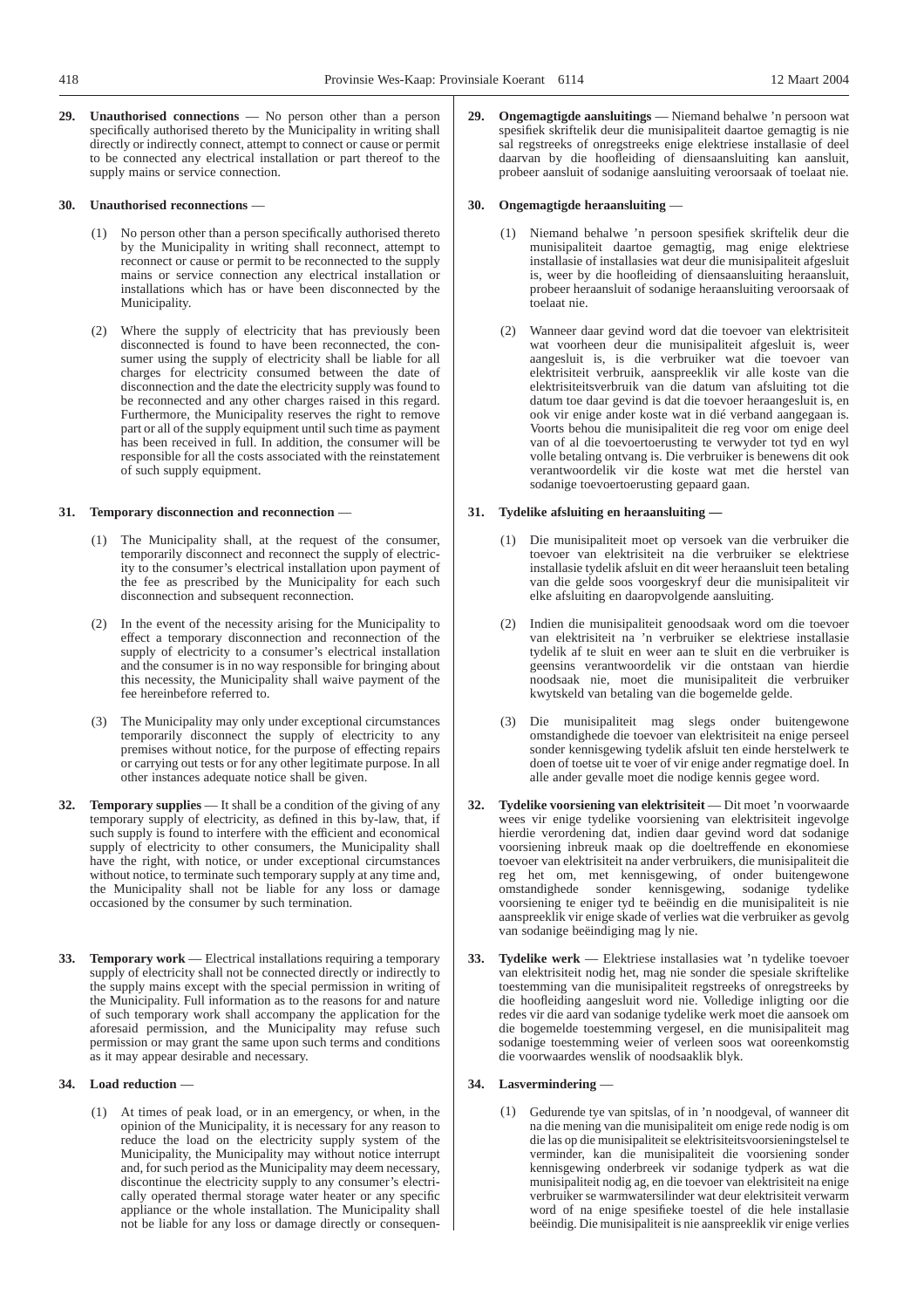**29. Unauthorised connections** — No person other than a person specifically authorised thereto by the Municipality in writing shall directly or indirectly connect, attempt to connect or cause or permit to be connected any electrical installation or part thereof to the supply mains or service connection.

#### **30. Unauthorised reconnections** —

- (1) No person other than a person specifically authorised thereto by the Municipality in writing shall reconnect, attempt to reconnect or cause or permit to be reconnected to the supply mains or service connection any electrical installation or installations which has or have been disconnected by the Municipality.
- (2) Where the supply of electricity that has previously been disconnected is found to have been reconnected, the consumer using the supply of electricity shall be liable for all charges for electricity consumed between the date of disconnection and the date the electricity supply was found to be reconnected and any other charges raised in this regard. Furthermore, the Municipality reserves the right to remove part or all of the supply equipment until such time as payment has been received in full. In addition, the consumer will be responsible for all the costs associated with the reinstatement of such supply equipment.

### **31. Temporary disconnection and reconnection** —

- (1) The Municipality shall, at the request of the consumer, temporarily disconnect and reconnect the supply of electricity to the consumer's electrical installation upon payment of the fee as prescribed by the Municipality for each such disconnection and subsequent reconnection.
- (2) In the event of the necessity arising for the Municipality to effect a temporary disconnection and reconnection of the supply of electricity to a consumer's electrical installation and the consumer is in no way responsible for bringing about this necessity, the Municipality shall waive payment of the fee hereinbefore referred to.
- (3) The Municipality may only under exceptional circumstances temporarily disconnect the supply of electricity to any premises without notice, for the purpose of effecting repairs or carrying out tests or for any other legitimate purpose. In all other instances adequate notice shall be given.
- **32. Temporary supplies** It shall be a condition of the giving of any temporary supply of electricity, as defined in this by-law, that, if such supply is found to interfere with the efficient and economical supply of electricity to other consumers, the Municipality shall have the right, with notice, or under exceptional circumstances without notice, to terminate such temporary supply at any time and, the Municipality shall not be liable for any loss or damage occasioned by the consumer by such termination.
- **33. Temporary work** Electrical installations requiring a temporary supply of electricity shall not be connected directly or indirectly to the supply mains except with the special permission in writing of the Municipality. Full information as to the reasons for and nature of such temporary work shall accompany the application for the aforesaid permission, and the Municipality may refuse such permission or may grant the same upon such terms and conditions as it may appear desirable and necessary.

#### **34. Load reduction** —

At times of peak load, or in an emergency, or when, in the opinion of the Municipality, it is necessary for any reason to reduce the load on the electricity supply system of the Municipality, the Municipality may without notice interrupt and, for such period as the Municipality may deem necessary, discontinue the electricity supply to any consumer's electrically operated thermal storage water heater or any specific appliance or the whole installation. The Municipality shall not be liable for any loss or damage directly or consequen**29. Ongemagtigde aansluitings** — Niemand behalwe 'n persoon wat spesifiek skriftelik deur die munisipaliteit daartoe gemagtig is nie sal regstreeks of onregstreeks enige elektriese installasie of deel daarvan by die hoofleiding of diensaansluiting kan aansluit, probeer aansluit of sodanige aansluiting veroorsaak of toelaat nie.

## **30. Ongemagtigde heraansluiting** —

- (1) Niemand behalwe 'n persoon spesifiek skriftelik deur die munisipaliteit daartoe gemagtig, mag enige elektriese installasie of installasies wat deur die munisipaliteit afgesluit is, weer by die hoofleiding of diensaansluiting heraansluit, probeer heraansluit of sodanige heraansluiting veroorsaak of toelaat nie.
- (2) Wanneer daar gevind word dat die toevoer van elektrisiteit wat voorheen deur die munisipaliteit afgesluit is, weer aangesluit is, is die verbruiker wat die toevoer van elektrisiteit verbruik, aanspreeklik vir alle koste van die elektrisiteitsverbruik van die datum van afsluiting tot die datum toe daar gevind is dat die toevoer heraangesluit is, en ook vir enige ander koste wat in dié verband aangegaan is. Voorts behou die munisipaliteit die reg voor om enige deel van of al die toevoertoerusting te verwyder tot tyd en wyl volle betaling ontvang is. Die verbruiker is benewens dit ook verantwoordelik vir die koste wat met die herstel van sodanige toevoertoerusting gepaard gaan.

#### **31. Tydelike afsluiting en heraansluiting —**

- (1) Die munisipaliteit moet op versoek van die verbruiker die toevoer van elektrisiteit na die verbruiker se elektriese installasie tydelik afsluit en dit weer heraansluit teen betaling van die gelde soos voorgeskryf deur die munisipaliteit vir elke afsluiting en daaropvolgende aansluiting.
- (2) Indien die munisipaliteit genoodsaak word om die toevoer van elektrisiteit na 'n verbruiker se elektriese installasie tydelik af te sluit en weer aan te sluit en die verbruiker is geensins verantwoordelik vir die ontstaan van hierdie noodsaak nie, moet die munisipaliteit die verbruiker kwytskeld van betaling van die bogemelde gelde.
- (3) Die munisipaliteit mag slegs onder buitengewone omstandighede die toevoer van elektrisiteit na enige perseel sonder kennisgewing tydelik afsluit ten einde herstelwerk te doen of toetse uit te voer of vir enige ander regmatige doel. In alle ander gevalle moet die nodige kennis gegee word.
- **32. Tydelike voorsiening van elektrisiteit** Dit moet 'n voorwaarde wees vir enige tydelike voorsiening van elektrisiteit ingevolge hierdie verordening dat, indien daar gevind word dat sodanige voorsiening inbreuk maak op die doeltreffende en ekonomiese toevoer van elektrisiteit na ander verbruikers, die munisipaliteit die reg het om, met kennisgewing, of onder buitengewone omstandighede sonder kennisgewing, sodanige tydelike voorsiening te eniger tyd te beëindig en die munisipaliteit is nie aanspreeklik vir enige skade of verlies wat die verbruiker as gevolg van sodanige beëindiging mag ly nie.
- **33. Tydelike werk** Elektriese installasies wat 'n tydelike toevoer van elektrisiteit nodig het, mag nie sonder die spesiale skriftelike toestemming van die munisipaliteit regstreeks of onregstreeks by die hoofleiding aangesluit word nie. Volledige inligting oor die redes vir die aard van sodanige tydelike werk moet die aansoek om die bogemelde toestemming vergesel, en die munisipaliteit mag sodanige toestemming weier of verleen soos wat ooreenkomstig die voorwaardes wenslik of noodsaaklik blyk.

#### **34. Lasvermindering** —

(1) Gedurende tye van spitslas, of in 'n noodgeval, of wanneer dit na die mening van die munisipaliteit om enige rede nodig is om die las op die munisipaliteit se elektrisiteitsvoorsieningstelsel te verminder, kan die munisipaliteit die voorsiening sonder kennisgewing onderbreek vir sodanige tydperk as wat die munisipaliteit nodig ag, en die toevoer van elektrisiteit na enige verbruiker se warmwatersilinder wat deur elektrisiteit verwarm word of na enige spesifieke toestel of die hele installasie beëindig. Die munisipaliteit is nie aanspreeklik vir enige verlies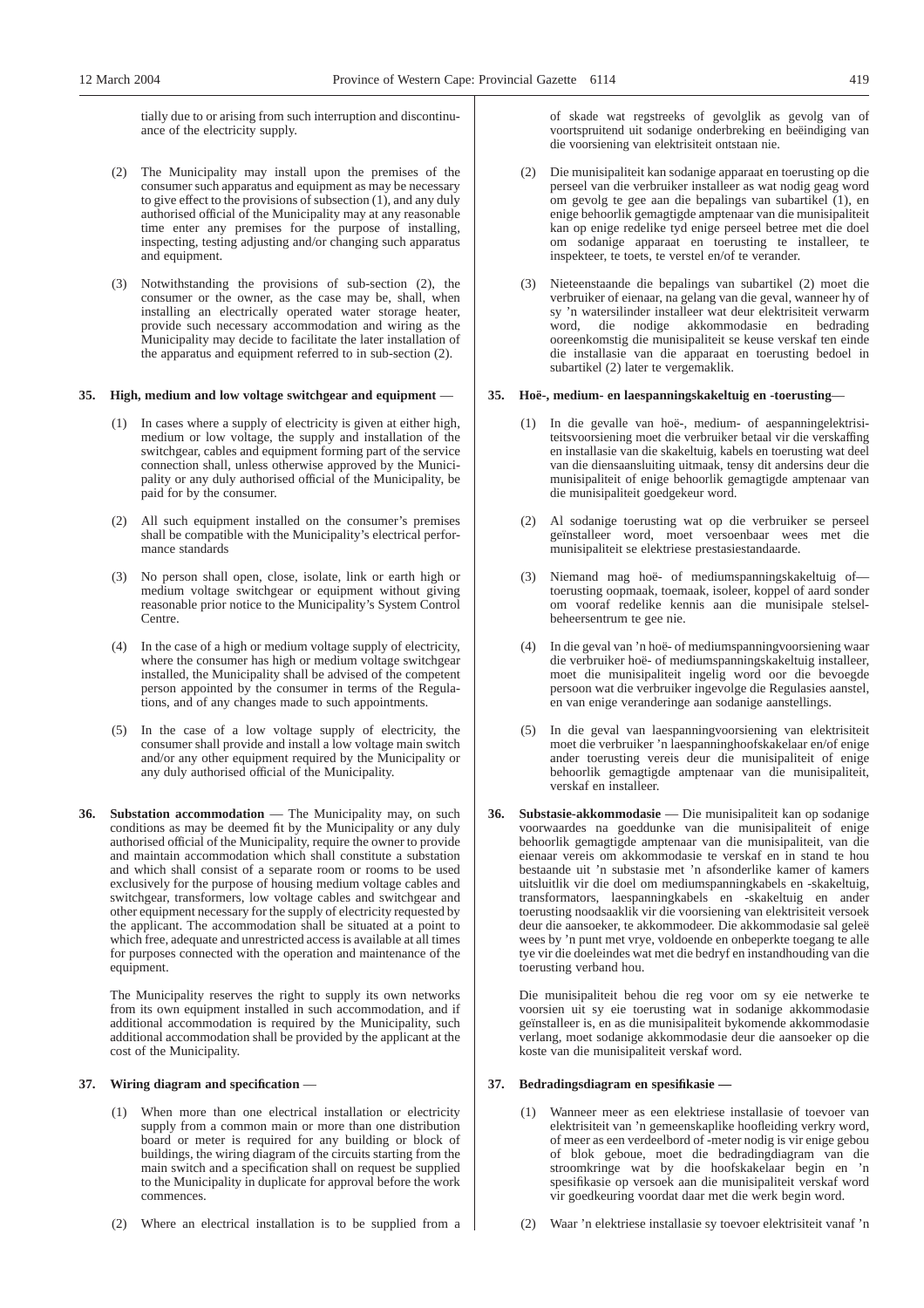tially due to or arising from such interruption and discontinuance of the electricity supply.

- (2) The Municipality may install upon the premises of the consumer such apparatus and equipment as may be necessary to give effect to the provisions of subsection (1), and any duly authorised official of the Municipality may at any reasonable time enter any premises for the purpose of installing, inspecting, testing adjusting and/or changing such apparatus and equipment.
- (3) Notwithstanding the provisions of sub-section (2), the consumer or the owner, as the case may be, shall, when installing an electrically operated water storage heater, provide such necessary accommodation and wiring as the Municipality may decide to facilitate the later installation of the apparatus and equipment referred to in sub-section (2).

#### **35. High, medium and low voltage switchgear and equipment** —

- (1) In cases where a supply of electricity is given at either high, medium or low voltage, the supply and installation of the switchgear, cables and equipment forming part of the service connection shall, unless otherwise approved by the Municipality or any duly authorised official of the Municipality, be paid for by the consumer.
- (2) All such equipment installed on the consumer's premises shall be compatible with the Municipality's electrical performance standards
- (3) No person shall open, close, isolate, link or earth high or medium voltage switchgear or equipment without giving reasonable prior notice to the Municipality's System Control Centre.
- (4) In the case of a high or medium voltage supply of electricity, where the consumer has high or medium voltage switchgear installed, the Municipality shall be advised of the competent person appointed by the consumer in terms of the Regulations, and of any changes made to such appointments.
- (5) In the case of a low voltage supply of electricity, the consumer shall provide and install a low voltage main switch and/or any other equipment required by the Municipality or any duly authorised official of the Municipality.
- **36. Substation accommodation** The Municipality may, on such conditions as may be deemed fit by the Municipality or any duly authorised official of the Municipality, require the owner to provide and maintain accommodation which shall constitute a substation and which shall consist of a separate room or rooms to be used exclusively for the purpose of housing medium voltage cables and switchgear, transformers, low voltage cables and switchgear and other equipment necessary for the supply of electricity requested by the applicant. The accommodation shall be situated at a point to which free, adequate and unrestricted access is available at all times for purposes connected with the operation and maintenance of the equipment.

The Municipality reserves the right to supply its own networks from its own equipment installed in such accommodation, and if additional accommodation is required by the Municipality, such additional accommodation shall be provided by the applicant at the cost of the Municipality.

#### **37. Wiring diagram and specification** —

- (1) When more than one electrical installation or electricity supply from a common main or more than one distribution board or meter is required for any building or block of buildings, the wiring diagram of the circuits starting from the main switch and a specification shall on request be supplied to the Municipality in duplicate for approval before the work commences.
- (2) Where an electrical installation is to be supplied from a

of skade wat regstreeks of gevolglik as gevolg van of voortspruitend uit sodanige onderbreking en beëindiging van die voorsiening van elektrisiteit ontstaan nie.

- (2) Die munisipaliteit kan sodanige apparaat en toerusting op die perseel van die verbruiker installeer as wat nodig geag word om gevolg te gee aan die bepalings van subartikel (1), en enige behoorlik gemagtigde amptenaar van die munisipaliteit kan op enige redelike tyd enige perseel betree met die doel om sodanige apparaat en toerusting te installeer, te inspekteer, te toets, te verstel en/of te verander.
- (3) Nieteenstaande die bepalings van subartikel (2) moet die verbruiker of eienaar, na gelang van die geval, wanneer hy of sy 'n watersilinder installeer wat deur elektrisiteit verwarm word, die nodige akkommodasie en bedrading ooreenkomstig die munisipaliteit se keuse verskaf ten einde die installasie van die apparaat en toerusting bedoel in subartikel (2) later te vergemaklik.

#### **35. Hoë-, medium- en laespanningskakeltuig en -toerusting**—

- (1) In die gevalle van hoë-, medium- of aespanningelektrisiteitsvoorsiening moet die verbruiker betaal vir die verskaffing en installasie van die skakeltuig, kabels en toerusting wat deel van die diensaansluiting uitmaak, tensy dit andersins deur die munisipaliteit of enige behoorlik gemagtigde amptenaar van die munisipaliteit goedgekeur word.
- (2) Al sodanige toerusting wat op die verbruiker se perseel geïnstalleer word, moet versoenbaar wees met die munisipaliteit se elektriese prestasiestandaarde.
- (3) Niemand mag hoë- of mediumspanningskakeltuig of toerusting oopmaak, toemaak, isoleer, koppel of aard sonder om vooraf redelike kennis aan die munisipale stelselbeheersentrum te gee nie.
- (4) In die geval van 'n hoë- of mediumspanningvoorsiening waar die verbruiker hoë- of mediumspanningskakeltuig installeer, moet die munisipaliteit ingelig word oor die bevoegde persoon wat die verbruiker ingevolge die Regulasies aanstel, en van enige veranderinge aan sodanige aanstellings.
- (5) In die geval van laespanningvoorsiening van elektrisiteit moet die verbruiker 'n laespanninghoofskakelaar en/of enige ander toerusting vereis deur die munisipaliteit of enige behoorlik gemagtigde amptenaar van die munisipaliteit, verskaf en installeer.
- **36. Substasie-akkommodasie** Die munisipaliteit kan op sodanige voorwaardes na goeddunke van die munisipaliteit of enige behoorlik gemagtigde amptenaar van die munisipaliteit, van die eienaar vereis om akkommodasie te verskaf en in stand te hou bestaande uit 'n substasie met 'n afsonderlike kamer of kamers uitsluitlik vir die doel om mediumspanningkabels en -skakeltuig, transformators, laespanningkabels en -skakeltuig en ander toerusting noodsaaklik vir die voorsiening van elektrisiteit versoek deur die aansoeker, te akkommodeer. Die akkommodasie sal geleë wees by 'n punt met vrye, voldoende en onbeperkte toegang te alle tye vir die doeleindes wat met die bedryf en instandhouding van die toerusting verband hou.

Die munisipaliteit behou die reg voor om sy eie netwerke te voorsien uit sy eie toerusting wat in sodanige akkommodasie geïnstalleer is, en as die munisipaliteit bykomende akkommodasie verlang, moet sodanige akkommodasie deur die aansoeker op die koste van die munisipaliteit verskaf word.

#### **37. Bedradingsdiagram en spesifikasie —**

- Wanneer meer as een elektriese installasie of toevoer van elektrisiteit van 'n gemeenskaplike hoofleiding verkry word, of meer as een verdeelbord of -meter nodig is vir enige gebou of blok geboue, moet die bedradingdiagram van die stroomkringe wat by die hoofskakelaar begin en 'n spesifikasie op versoek aan die munisipaliteit verskaf word vir goedkeuring voordat daar met die werk begin word.
- (2) Waar 'n elektriese installasie sy toevoer elektrisiteit vanaf 'n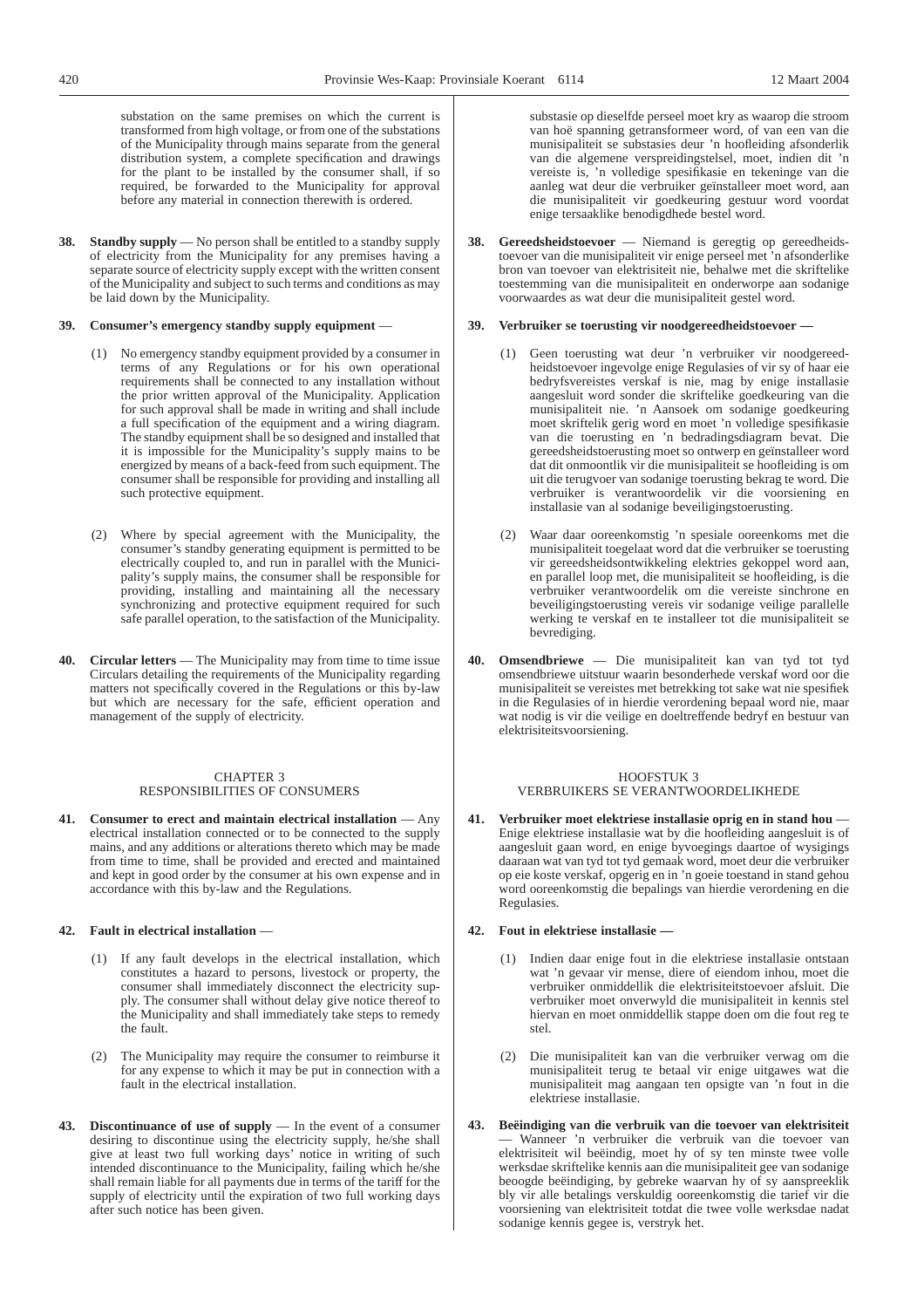substation on the same premises on which the current is transformed from high voltage, or from one of the substations of the Municipality through mains separate from the general distribution system, a complete specification and drawings for the plant to be installed by the consumer shall, if so required, be forwarded to the Municipality for approval before any material in connection therewith is ordered.

**38. Standby supply** — No person shall be entitled to a standby supply of electricity from the Municipality for any premises having a separate source of electricity supply except with the written consent of the Municipality and subject to such terms and conditions as may be laid down by the Municipality.

#### **39. Consumer's emergency standby supply equipment** —

- (1) No emergency standby equipment provided by a consumer in terms of any Regulations or for his own operational requirements shall be connected to any installation without the prior written approval of the Municipality. Application for such approval shall be made in writing and shall include a full specification of the equipment and a wiring diagram. The standby equipment shall be so designed and installed that it is impossible for the Municipality's supply mains to be energized by means of a back-feed from such equipment. The consumer shall be responsible for providing and installing all such protective equipment.
- (2) Where by special agreement with the Municipality, the consumer's standby generating equipment is permitted to be electrically coupled to, and run in parallel with the Municipality's supply mains, the consumer shall be responsible for providing, installing and maintaining all the necessary synchronizing and protective equipment required for such safe parallel operation, to the satisfaction of the Municipality.
- **40. Circular letters** The Municipality may from time to time issue Circulars detailing the requirements of the Municipality regarding matters not specifically covered in the Regulations or this by-law but which are necessary for the safe, efficient operation and management of the supply of electricity.

#### CHAPTER 3 RESPONSIBILITIES OF CONSUMERS

**41. Consumer to erect and maintain electrical installation** — Any electrical installation connected or to be connected to the supply mains, and any additions or alterations thereto which may be made from time to time, shall be provided and erected and maintained and kept in good order by the consumer at his own expense and in accordance with this by-law and the Regulations.

#### **42. Fault in electrical installation** —

- (1) If any fault develops in the electrical installation, which constitutes a hazard to persons, livestock or property, the consumer shall immediately disconnect the electricity supply. The consumer shall without delay give notice thereof to the Municipality and shall immediately take steps to remedy the fault.
- (2) The Municipality may require the consumer to reimburse it for any expense to which it may be put in connection with a fault in the electrical installation.
- **43. Discontinuance of use of supply** In the event of a consumer desiring to discontinue using the electricity supply, he/she shall give at least two full working days' notice in writing of such intended discontinuance to the Municipality, failing which he/she shall remain liable for all payments due in terms of the tariff for the supply of electricity until the expiration of two full working days after such notice has been given.

substasie op dieselfde perseel moet kry as waarop die stroom van hoë spanning getransformeer word, of van een van die munisipaliteit se substasies deur 'n hoofleiding afsonderlik van die algemene verspreidingstelsel, moet, indien dit 'n vereiste is, 'n volledige spesifikasie en tekeninge van die aanleg wat deur die verbruiker geïnstalleer moet word, aan die munisipaliteit vir goedkeuring gestuur word voordat enige tersaaklike benodigdhede bestel word.

**38. Gereedsheidstoevoer** — Niemand is geregtig op gereedheidstoevoer van die munisipaliteit vir enige perseel met 'n afsonderlike bron van toevoer van elektrisiteit nie, behalwe met die skriftelike toestemming van die munisipaliteit en onderworpe aan sodanige voorwaardes as wat deur die munisipaliteit gestel word.

# **39. Verbruiker se toerusting vir noodgereedheidstoevoer —**

- (1) Geen toerusting wat deur 'n verbruiker vir noodgereedheidstoevoer ingevolge enige Regulasies of vir sy of haar eie bedryfsvereistes verskaf is nie, mag by enige installasie aangesluit word sonder die skriftelike goedkeuring van die munisipaliteit nie. 'n Aansoek om sodanige goedkeuring moet skriftelik gerig word en moet 'n volledige spesifikasie van die toerusting en 'n bedradingsdiagram bevat. Die gereedsheidstoerusting moet so ontwerp en geïnstalleer word dat dit onmoontlik vir die munisipaliteit se hoofleiding is om uit die terugvoer van sodanige toerusting bekrag te word. Die verbruiker is verantwoordelik vir die voorsiening en installasie van al sodanige beveiligingstoerusting.
- (2) Waar daar ooreenkomstig 'n spesiale ooreenkoms met die munisipaliteit toegelaat word dat die verbruiker se toerusting vir gereedsheidsontwikkeling elektries gekoppel word aan, en parallel loop met, die munisipaliteit se hoofleiding, is die verbruiker verantwoordelik om die vereiste sinchrone en beveiligingstoerusting vereis vir sodanige veilige parallelle werking te verskaf en te installeer tot die munisipaliteit se bevrediging.
- **40. Omsendbriewe** Die munisipaliteit kan van tyd tot tyd omsendbriewe uitstuur waarin besonderhede verskaf word oor die munisipaliteit se vereistes met betrekking tot sake wat nie spesifiek in die Regulasies of in hierdie verordening bepaal word nie, maar wat nodig is vir die veilige en doeltreffende bedryf en bestuur van elektrisiteitsvoorsiening.

## HOOFSTUK 3 VERBRUIKERS SE VERANTWOORDELIKHEDE

**41. Verbruiker moet elektriese installasie oprig en in stand hou** — Enige elektriese installasie wat by die hoofleiding aangesluit is of aangesluit gaan word, en enige byvoegings daartoe of wysigings daaraan wat van tyd tot tyd gemaak word, moet deur die verbruiker op eie koste verskaf, opgerig en in 'n goeie toestand in stand gehou word ooreenkomstig die bepalings van hierdie verordening en die Regulasies.

# **42. Fout in elektriese installasie —**

- (1) Indien daar enige fout in die elektriese installasie ontstaan wat 'n gevaar vir mense, diere of eiendom inhou, moet die verbruiker onmiddellik die elektrisiteitstoevoer afsluit. Die verbruiker moet onverwyld die munisipaliteit in kennis stel hiervan en moet onmiddellik stappe doen om die fout reg te stel.
- (2) Die munisipaliteit kan van die verbruiker verwag om die munisipaliteit terug te betaal vir enige uitgawes wat die munisipaliteit mag aangaan ten opsigte van 'n fout in die elektriese installasie.
- **43. Beëindiging van die verbruik van die toevoer van elektrisiteit** — Wanneer 'n verbruiker die verbruik van die toevoer van elektrisiteit wil beëindig, moet hy of sy ten minste twee volle werksdae skriftelike kennis aan die munisipaliteit gee van sodanige beoogde beëindiging, by gebreke waarvan hy of sy aanspreeklik bly vir alle betalings verskuldig ooreenkomstig die tarief vir die voorsiening van elektrisiteit totdat die twee volle werksdae nadat sodanige kennis gegee is, verstryk het.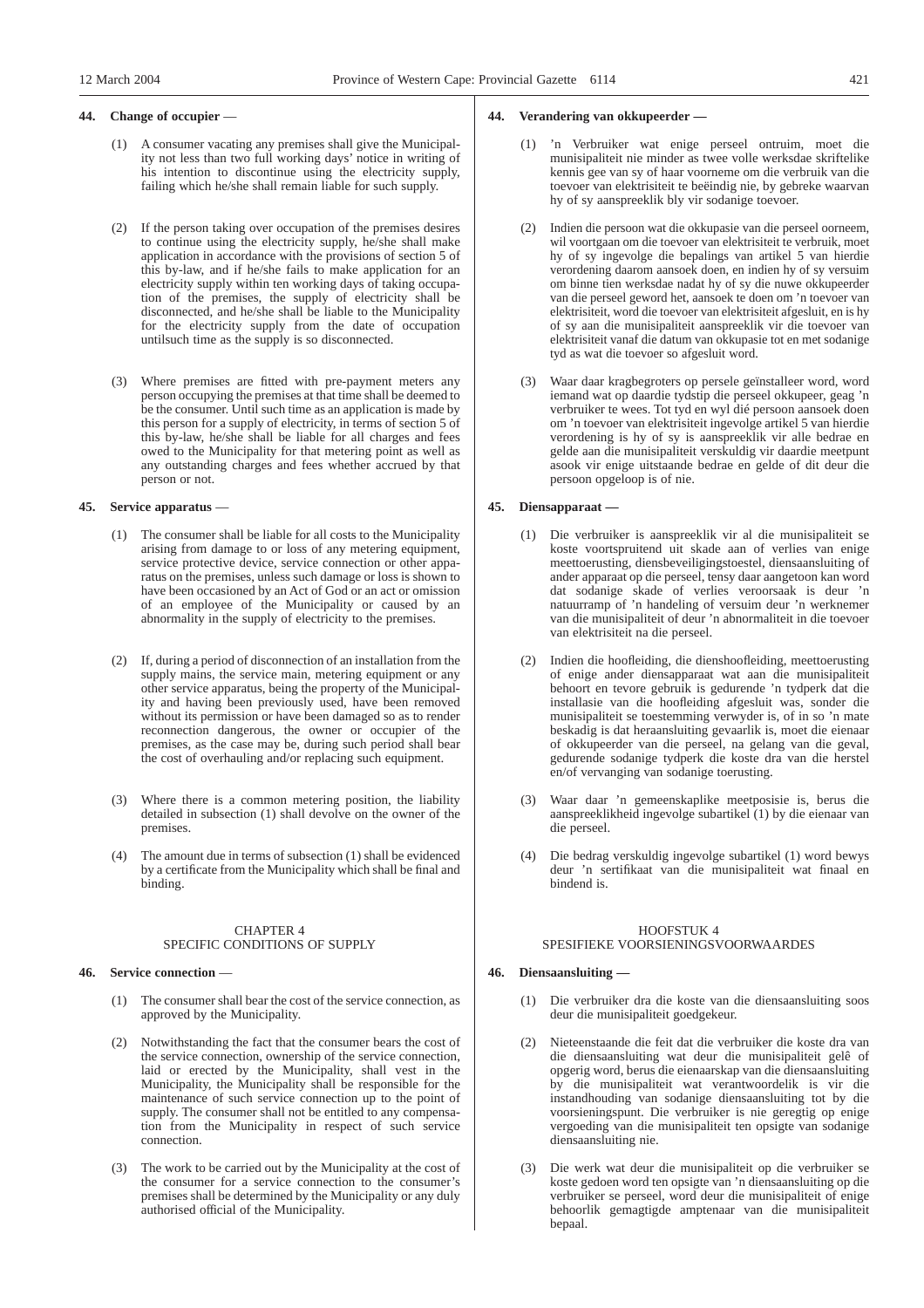## **44. Change of occupier** —

- (1) A consumer vacating any premises shall give the Municipality not less than two full working days' notice in writing of his intention to discontinue using the electricity supply, failing which he/she shall remain liable for such supply.
- (2) If the person taking over occupation of the premises desires to continue using the electricity supply, he/she shall make application in accordance with the provisions of section 5 of this by-law, and if he/she fails to make application for an electricity supply within ten working days of taking occupation of the premises, the supply of electricity shall be disconnected, and he/she shall be liable to the Municipality for the electricity supply from the date of occupation untilsuch time as the supply is so disconnected.
- (3) Where premises are fitted with pre-payment meters any person occupying the premises at that time shall be deemed to be the consumer. Until such time as an application is made by this person for a supply of electricity, in terms of section 5 of this by-law, he/she shall be liable for all charges and fees owed to the Municipality for that metering point as well as any outstanding charges and fees whether accrued by that person or not.

## **45. Service apparatus** —

- (1) The consumer shall be liable for all costs to the Municipality arising from damage to or loss of any metering equipment, service protective device, service connection or other apparatus on the premises, unless such damage or loss is shown to have been occasioned by an Act of God or an act or omission of an employee of the Municipality or caused by an abnormality in the supply of electricity to the premises.
- (2) If, during a period of disconnection of an installation from the supply mains, the service main, metering equipment or any other service apparatus, being the property of the Municipality and having been previously used, have been removed without its permission or have been damaged so as to render reconnection dangerous, the owner or occupier of the premises, as the case may be, during such period shall bear the cost of overhauling and/or replacing such equipment.
- (3) Where there is a common metering position, the liability detailed in subsection (1) shall devolve on the owner of the premises.
- (4) The amount due in terms of subsection (1) shall be evidenced by a certificate from the Municipality which shall be final and binding.

## CHAPTER 4 SPECIFIC CONDITIONS OF SUPPLY

## **46. Service connection** —

- (1) The consumer shall bear the cost of the service connection, as approved by the Municipality.
- (2) Notwithstanding the fact that the consumer bears the cost of the service connection, ownership of the service connection, laid or erected by the Municipality, shall vest in the Municipality, the Municipality shall be responsible for the maintenance of such service connection up to the point of supply. The consumer shall not be entitled to any compensation from the Municipality in respect of such service connection.
- (3) The work to be carried out by the Municipality at the cost of the consumer for a service connection to the consumer's premises shall be determined by the Municipality or any duly authorised official of the Municipality.

#### **44. Verandering van okkupeerder —**

- (1) 'n Verbruiker wat enige perseel ontruim, moet die munisipaliteit nie minder as twee volle werksdae skriftelike kennis gee van sy of haar voorneme om die verbruik van die toevoer van elektrisiteit te beëindig nie, by gebreke waarvan hy of sy aanspreeklik bly vir sodanige toevoer.
- (2) Indien die persoon wat die okkupasie van die perseel oorneem, wil voortgaan om die toevoer van elektrisiteit te verbruik, moet hy of sy ingevolge die bepalings van artikel 5 van hierdie verordening daarom aansoek doen, en indien hy of sy versuim om binne tien werksdae nadat hy of sy die nuwe okkupeerder van die perseel geword het, aansoek te doen om 'n toevoer van elektrisiteit, word die toevoer van elektrisiteit afgesluit, en is hy of sy aan die munisipaliteit aanspreeklik vir die toevoer van elektrisiteit vanaf die datum van okkupasie tot en met sodanige tyd as wat die toevoer so afgesluit word.
- (3) Waar daar kragbegroters op persele geïnstalleer word, word iemand wat op daardie tydstip die perseel okkupeer, geag 'n verbruiker te wees. Tot tyd en wyl dié persoon aansoek doen om 'n toevoer van elektrisiteit ingevolge artikel 5 van hierdie verordening is hy of sy is aanspreeklik vir alle bedrae en gelde aan die munisipaliteit verskuldig vir daardie meetpunt asook vir enige uitstaande bedrae en gelde of dit deur die persoon opgeloop is of nie.

## **45. Diensapparaat —**

- (1) Die verbruiker is aanspreeklik vir al die munisipaliteit se koste voortspruitend uit skade aan of verlies van enige meettoerusting, diensbeveiligingstoestel, diensaansluiting of ander apparaat op die perseel, tensy daar aangetoon kan word dat sodanige skade of verlies veroorsaak is deur 'n natuurramp of 'n handeling of versuim deur 'n werknemer van die munisipaliteit of deur 'n abnormaliteit in die toevoer van elektrisiteit na die perseel.
- (2) Indien die hoofleiding, die dienshoofleiding, meettoerusting of enige ander diensapparaat wat aan die munisipaliteit behoort en tevore gebruik is gedurende 'n tydperk dat die installasie van die hoofleiding afgesluit was, sonder die munisipaliteit se toestemming verwyder is, of in so 'n mate beskadig is dat heraansluiting gevaarlik is, moet die eienaar of okkupeerder van die perseel, na gelang van die geval, gedurende sodanige tydperk die koste dra van die herstel en/of vervanging van sodanige toerusting.
- (3) Waar daar 'n gemeenskaplike meetposisie is, berus die aanspreeklikheid ingevolge subartikel (1) by die eienaar van die perseel.
- (4) Die bedrag verskuldig ingevolge subartikel (1) word bewys deur 'n sertifikaat van die munisipaliteit wat finaal en bindend is.

#### HOOFSTUK 4 SPESIFIEKE VOORSIENINGSVOORWAARDES

## **46. Diensaansluiting —**

- (1) Die verbruiker dra die koste van die diensaansluiting soos deur die munisipaliteit goedgekeur.
- (2) Nieteenstaande die feit dat die verbruiker die koste dra van die diensaansluiting wat deur die munisipaliteit gelê of opgerig word, berus die eienaarskap van die diensaansluiting by die munisipaliteit wat verantwoordelik is vir die instandhouding van sodanige diensaansluiting tot by die voorsieningspunt. Die verbruiker is nie geregtig op enige vergoeding van die munisipaliteit ten opsigte van sodanige diensaansluiting nie.
- (3) Die werk wat deur die munisipaliteit op die verbruiker se koste gedoen word ten opsigte van 'n diensaansluiting op die verbruiker se perseel, word deur die munisipaliteit of enige behoorlik gemagtigde amptenaar van die munisipaliteit bepaal.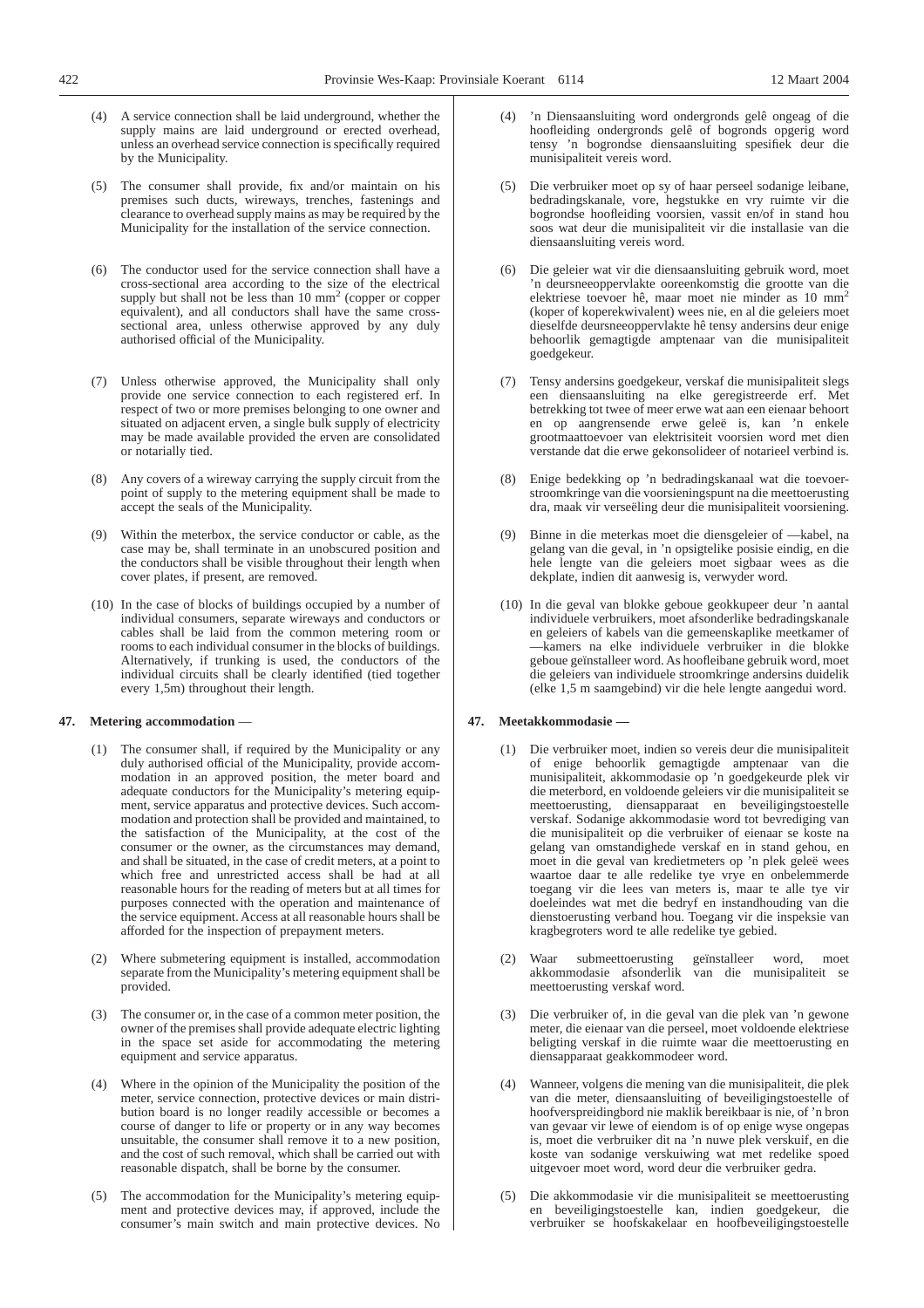- (4) A service connection shall be laid underground, whether the supply mains are laid underground or erected overhead, unless an overhead service connection is specifically required by the Municipality.
- (5) The consumer shall provide, fix and/or maintain on his premises such ducts, wireways, trenches, fastenings and clearance to overhead supply mains as may be required by the Municipality for the installation of the service connection.
- (6) The conductor used for the service connection shall have a cross-sectional area according to the size of the electrical supply but shall not be less than 10 mm<sup>2</sup> (copper or copper equivalent), and all conductors shall have the same crosssectional area, unless otherwise approved by any duly authorised official of the Municipality.
- (7) Unless otherwise approved, the Municipality shall only provide one service connection to each registered erf. In respect of two or more premises belonging to one owner and situated on adjacent erven, a single bulk supply of electricity may be made available provided the erven are consolidated or notarially tied.
- (8) Any covers of a wireway carrying the supply circuit from the point of supply to the metering equipment shall be made to accept the seals of the Municipality.
- Within the meterbox, the service conductor or cable, as the case may be, shall terminate in an unobscured position and the conductors shall be visible throughout their length when cover plates, if present, are removed.
- (10) In the case of blocks of buildings occupied by a number of individual consumers, separate wireways and conductors or cables shall be laid from the common metering room or rooms to each individual consumer in the blocks of buildings. Alternatively, if trunking is used, the conductors of the individual circuits shall be clearly identified (tied together every 1,5m) throughout their length.

#### **47. Metering accommodation** —

- (1) The consumer shall, if required by the Municipality or any duly authorised official of the Municipality, provide accommodation in an approved position, the meter board and adequate conductors for the Municipality's metering equipment, service apparatus and protective devices. Such accommodation and protection shall be provided and maintained, to the satisfaction of the Municipality, at the cost of the consumer or the owner, as the circumstances may demand, and shall be situated, in the case of credit meters, at a point to which free and unrestricted access shall be had at all reasonable hours for the reading of meters but at all times for purposes connected with the operation and maintenance of the service equipment. Access at all reasonable hours shall be afforded for the inspection of prepayment meters.
- (2) Where submetering equipment is installed, accommodation separate from the Municipality's metering equipment shall be provided.
- (3) The consumer or, in the case of a common meter position, the owner of the premises shall provide adequate electric lighting in the space set aside for accommodating the metering equipment and service apparatus.
- (4) Where in the opinion of the Municipality the position of the meter, service connection, protective devices or main distribution board is no longer readily accessible or becomes a course of danger to life or property or in any way becomes unsuitable, the consumer shall remove it to a new position, and the cost of such removal, which shall be carried out with reasonable dispatch, shall be borne by the consumer.
- (5) The accommodation for the Municipality's metering equipment and protective devices may, if approved, include the consumer's main switch and main protective devices. No
- 'n Diensaansluiting word ondergronds gelê ongeag of die hoofleiding ondergronds gelê of bogronds opgerig word tensy 'n bogrondse diensaansluiting spesifiek deur die munisipaliteit vereis word.
- Die verbruiker moet op sy of haar perseel sodanige leibane, bedradingskanale, vore, hegstukke en vry ruimte vir die bogrondse hoofleiding voorsien, vassit en/of in stand hou soos wat deur die munisipaliteit vir die installasie van die diensaansluiting vereis word.
- (6) Die geleier wat vir die diensaansluiting gebruik word, moet 'n deursneeoppervlakte ooreenkomstig die grootte van die elektriese toevoer hê, maar moet nie minder as 10 mm2 (koper of koperekwivalent) wees nie, en al die geleiers moet dieselfde deursneeoppervlakte hê tensy andersins deur enige behoorlik gemagtigde amptenaar van die munisipaliteit goedgekeur.
- (7) Tensy andersins goedgekeur, verskaf die munisipaliteit slegs een diensaansluiting na elke geregistreerde erf. Met betrekking tot twee of meer erwe wat aan een eienaar behoort en op aangrensende erwe geleë is, kan 'n enkele grootmaattoevoer van elektrisiteit voorsien word met dien verstande dat die erwe gekonsolideer of notarieel verbind is.
- (8) Enige bedekking op 'n bedradingskanaal wat die toevoerstroomkringe van die voorsieningspunt na die meettoerusting dra, maak vir verseëling deur die munisipaliteit voorsiening.
- (9) Binne in die meterkas moet die diensgeleier of —kabel, na gelang van die geval, in 'n opsigtelike posisie eindig, en die hele lengte van die geleiers moet sigbaar wees as die dekplate, indien dit aanwesig is, verwyder word.
- (10) In die geval van blokke geboue geokkupeer deur 'n aantal individuele verbruikers, moet afsonderlike bedradingskanale en geleiers of kabels van die gemeenskaplike meetkamer of —kamers na elke individuele verbruiker in die blokke geboue geïnstalleer word. As hoofleibane gebruik word, moet die geleiers van individuele stroomkringe andersins duidelik (elke 1,5 m saamgebind) vir die hele lengte aangedui word.

#### **47. Meetakkommodasie —**

- (1) Die verbruiker moet, indien so vereis deur die munisipaliteit of enige behoorlik gemagtigde amptenaar van die munisipaliteit, akkommodasie op 'n goedgekeurde plek vir die meterbord, en voldoende geleiers vir die munisipaliteit se meettoerusting, diensapparaat en beveiligingstoestelle verskaf. Sodanige akkommodasie word tot bevrediging van die munisipaliteit op die verbruiker of eienaar se koste na gelang van omstandighede verskaf en in stand gehou, en moet in die geval van kredietmeters op 'n plek geleë wees waartoe daar te alle redelike tye vrye en onbelemmerde toegang vir die lees van meters is, maar te alle tye vir doeleindes wat met die bedryf en instandhouding van die dienstoerusting verband hou. Toegang vir die inspeksie van kragbegroters word te alle redelike tye gebied.
- (2) Waar submeettoerusting geïnstalleer word, moet akkommodasie afsonderlik van die munisipaliteit se meettoerusting verskaf word.
- (3) Die verbruiker of, in die geval van die plek van 'n gewone meter, die eienaar van die perseel, moet voldoende elektriese beligting verskaf in die ruimte waar die meettoerusting en diensapparaat geakkommodeer word.
- (4) Wanneer, volgens die mening van die munisipaliteit, die plek van die meter, diensaansluiting of beveiligingstoestelle of hoofverspreidingbord nie maklik bereikbaar is nie, of 'n bron van gevaar vir lewe of eiendom is of op enige wyse ongepas is, moet die verbruiker dit na 'n nuwe plek verskuif, en die koste van sodanige verskuiwing wat met redelike spoed uitgevoer moet word, word deur die verbruiker gedra.
- (5) Die akkommodasie vir die munisipaliteit se meettoerusting en beveiligingstoestelle kan, indien goedgekeur, die verbruiker se hoofskakelaar en hoofbeveiligingstoestelle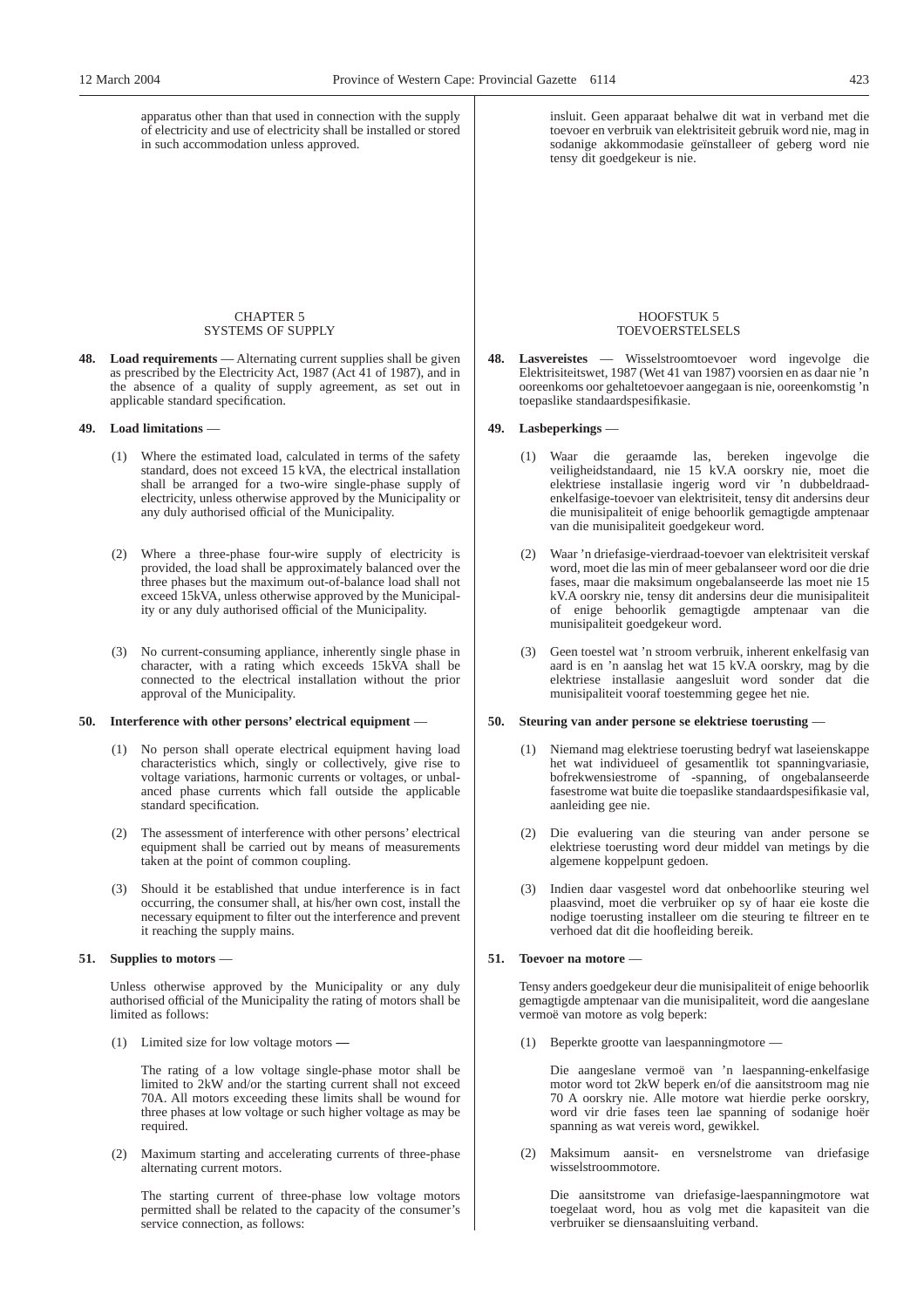apparatus other than that used in connection with the supply of electricity and use of electricity shall be installed or stored in such accommodation unless approved.

### CHAPTER 5 SYSTEMS OF SUPPLY

**48. Load requirements** — Alternating current supplies shall be given as prescribed by the Electricity Act, 1987 (Act 41 of 1987), and in the absence of a quality of supply agreement, as set out in applicable standard specification.

## **49. Load limitations** —

- (1) Where the estimated load, calculated in terms of the safety standard, does not exceed 15 kVA, the electrical installation shall be arranged for a two-wire single-phase supply of electricity, unless otherwise approved by the Municipality or any duly authorised official of the Municipality.
- (2) Where a three-phase four-wire supply of electricity is provided, the load shall be approximately balanced over the three phases but the maximum out-of-balance load shall not exceed 15kVA, unless otherwise approved by the Municipality or any duly authorised official of the Municipality.
- (3) No current-consuming appliance, inherently single phase in character, with a rating which exceeds 15kVA shall be connected to the electrical installation without the prior approval of the Municipality.

## **50. Interference with other persons' electrical equipment** —

- (1) No person shall operate electrical equipment having load characteristics which, singly or collectively, give rise to voltage variations, harmonic currents or voltages, or unbalanced phase currents which fall outside the applicable standard specification.
- (2) The assessment of interference with other persons' electrical equipment shall be carried out by means of measurements taken at the point of common coupling.
- (3) Should it be established that undue interference is in fact occurring, the consumer shall, at his/her own cost, install the necessary equipment to filter out the interference and prevent it reaching the supply mains.

## **51. Supplies to motors** —

Unless otherwise approved by the Municipality or any duly authorised official of the Municipality the rating of motors shall be limited as follows:

(1) Limited size for low voltage motors **—**

The rating of a low voltage single-phase motor shall be limited to 2kW and/or the starting current shall not exceed 70A. All motors exceeding these limits shall be wound for three phases at low voltage or such higher voltage as may be required.

(2) Maximum starting and accelerating currents of three-phase alternating current motors.

The starting current of three-phase low voltage motors permitted shall be related to the capacity of the consumer's service connection, as follows:

insluit. Geen apparaat behalwe dit wat in verband met die toevoer en verbruik van elektrisiteit gebruik word nie, mag in sodanige akkommodasie geïnstalleer of geberg word nie tensy dit goedgekeur is nie.

#### HOOFSTUK 5 TOEVOERSTELSELS

**48. Lasvereistes** — Wisselstroomtoevoer word ingevolge die Elektrisiteitswet, 1987 (Wet 41 van 1987) voorsien en as daar nie 'n ooreenkoms oor gehaltetoevoer aangegaan is nie, ooreenkomstig 'n toepaslike standaardspesifikasie.

## **49. Lasbeperkings** —

- (1) Waar die geraamde las, bereken ingevolge die veiligheidstandaard, nie 15 kV.A oorskry nie, moet die elektriese installasie ingerig word vir 'n dubbeldraadenkelfasige-toevoer van elektrisiteit, tensy dit andersins deur die munisipaliteit of enige behoorlik gemagtigde amptenaar van die munisipaliteit goedgekeur word.
- (2) Waar 'n driefasige-vierdraad-toevoer van elektrisiteit verskaf word, moet die las min of meer gebalanseer word oor die drie fases, maar die maksimum ongebalanseerde las moet nie 15 kV.A oorskry nie, tensy dit andersins deur die munisipaliteit of enige behoorlik gemagtigde amptenaar van die munisipaliteit goedgekeur word.
- (3) Geen toestel wat 'n stroom verbruik, inherent enkelfasig van aard is en 'n aanslag het wat 15 kV.A oorskry, mag by die elektriese installasie aangesluit word sonder dat die munisipaliteit vooraf toestemming gegee het nie.

#### **50. Steuring van ander persone se elektriese toerusting** —

- (1) Niemand mag elektriese toerusting bedryf wat laseienskappe het wat individueel of gesamentlik tot spanningvariasie, bofrekwensiestrome of -spanning, of ongebalanseerde fasestrome wat buite die toepaslike standaardspesifikasie val, aanleiding gee nie.
- (2) Die evaluering van die steuring van ander persone se elektriese toerusting word deur middel van metings by die algemene koppelpunt gedoen.
- (3) Indien daar vasgestel word dat onbehoorlike steuring wel plaasvind, moet die verbruiker op sy of haar eie koste die nodige toerusting installeer om die steuring te filtreer en te verhoed dat dit die hoofleiding bereik.

## **51. Toevoer na motore** —

Tensy anders goedgekeur deur die munisipaliteit of enige behoorlik gemagtigde amptenaar van die munisipaliteit, word die aangeslane vermoë van motore as volg beperk:

(1) Beperkte grootte van laespanningmotore —

Die aangeslane vermoë van 'n laespanning-enkelfasige motor word tot 2kW beperk en/of die aansitstroom mag nie 70 A oorskry nie. Alle motore wat hierdie perke oorskry, word vir drie fases teen lae spanning of sodanige hoër spanning as wat vereis word, gewikkel.

(2) Maksimum aansit- en versnelstrome van driefasige wisselstroommotore.

Die aansitstrome van driefasige-laespanningmotore wat toegelaat word, hou as volg met die kapasiteit van die verbruiker se diensaansluiting verband.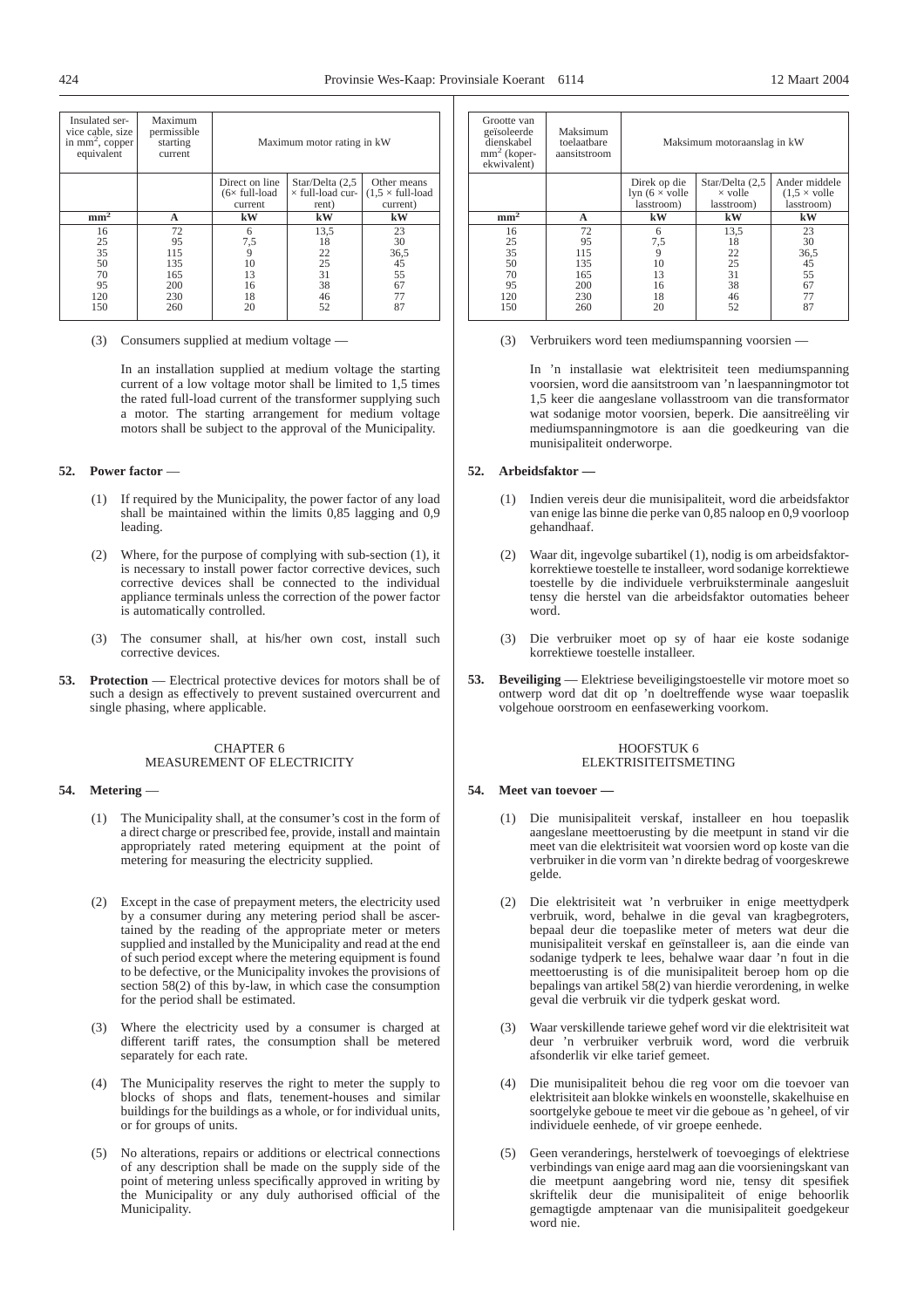| Insulated ser-<br>vice cable, size<br>in $mm^2$ , copper<br>equivalent | Maximum<br>permissible<br>starting<br>current      | Maximum motor rating in kW                         |                                                     |                                                            |
|------------------------------------------------------------------------|----------------------------------------------------|----------------------------------------------------|-----------------------------------------------------|------------------------------------------------------------|
|                                                                        |                                                    | Direct on line<br>$(6 \times$ full-load<br>current | Star/Delta (2,5<br>$\times$ full-load cur-<br>rent) | Other means<br>$(1.5 \times \text{full-load})$<br>current) |
| mm <sup>2</sup>                                                        | A                                                  | kW                                                 | kW                                                  | kW                                                         |
| 16<br>25<br>35<br>50<br>70<br>95<br>120<br>150                         | 72<br>95<br>115<br>135<br>165<br>200<br>230<br>260 | 6<br>$^{7,5}_{9}$<br>10<br>13<br>16<br>18<br>20    | 13,5<br>18<br>22<br>25<br>31<br>38<br>46<br>52      | 23<br>30<br>36,5<br>45<br>55<br>67<br>77<br>87             |

(3) Consumers supplied at medium voltage —

In an installation supplied at medium voltage the starting current of a low voltage motor shall be limited to 1,5 times the rated full-load current of the transformer supplying such a motor. The starting arrangement for medium voltage motors shall be subject to the approval of the Municipality.

# **52. Power factor** —

- (1) If required by the Municipality, the power factor of any load shall be maintained within the limits 0,85 lagging and 0,9 leading.
- (2) Where, for the purpose of complying with sub-section (1), it is necessary to install power factor corrective devices, such corrective devices shall be connected to the individual appliance terminals unless the correction of the power factor is automatically controlled.
- (3) The consumer shall, at his/her own cost, install such corrective devices.
- **53. Protection** Electrical protective devices for motors shall be of such a design as effectively to prevent sustained overcurrent and single phasing, where applicable.

#### CHAPTER 6 MEASUREMENT OF ELECTRICITY

## **54. Metering** —

- (1) The Municipality shall, at the consumer's cost in the form of a direct charge or prescribed fee, provide, install and maintain appropriately rated metering equipment at the point of metering for measuring the electricity supplied.
- (2) Except in the case of prepayment meters, the electricity used by a consumer during any metering period shall be ascertained by the reading of the appropriate meter or meters supplied and installed by the Municipality and read at the end of such period except where the metering equipment is found to be defective, or the Municipality invokes the provisions of section 58(2) of this by-law, in which case the consumption for the period shall be estimated.
- (3) Where the electricity used by a consumer is charged at different tariff rates, the consumption shall be metered separately for each rate.
- (4) The Municipality reserves the right to meter the supply to blocks of shops and flats, tenement-houses and similar buildings for the buildings as a whole, or for individual units, or for groups of units.
- (5) No alterations, repairs or additions or electrical connections of any description shall be made on the supply side of the point of metering unless specifically approved in writing by the Municipality or any duly authorised official of the Municipality.

| Grootte van<br>geïsoleerde<br>dienskabel<br>$mm2$ (koper-<br>ekwivalent) | Maksimum<br>toelaatbare<br>aansitstroom | Maksimum motoraanslag in kW                         |                                                 |                                                            |
|--------------------------------------------------------------------------|-----------------------------------------|-----------------------------------------------------|-------------------------------------------------|------------------------------------------------------------|
|                                                                          |                                         | Direk op die<br>lyn $(6 \times$ volle<br>lasstroom) | Star/Delta (2,5<br>$\times$ volle<br>lasstroom) | Ander middele<br>$(1.5 \times \text{volle})$<br>lasstroom) |
| $mm^2$                                                                   | A                                       | kW                                                  | kW                                              | kW                                                         |
| 16                                                                       | 72                                      | 6                                                   | 13,5                                            | 23                                                         |
| 25                                                                       | 95                                      | 7,5                                                 | 18                                              | 30                                                         |
| 35                                                                       | 115                                     | 9                                                   | 22                                              | 36,5                                                       |
| 50                                                                       | 135                                     | 10                                                  | 25                                              | 45                                                         |
| 70                                                                       | 165                                     | 13                                                  | 31                                              | 55                                                         |
| 95                                                                       | 200                                     | 16                                                  | 38                                              | 67                                                         |
| 120                                                                      | 230                                     | 18                                                  | 46                                              | 77                                                         |
| 150                                                                      | 260                                     | 20                                                  | 52                                              | 87                                                         |

(3) Verbruikers word teen mediumspanning voorsien —

In 'n installasie wat elektrisiteit teen mediumspanning voorsien, word die aansitstroom van 'n laespanningmotor tot 1,5 keer die aangeslane vollasstroom van die transformator wat sodanige motor voorsien, beperk. Die aansitreëling vir mediumspanningmotore is aan die goedkeuring van die munisipaliteit onderworpe.

#### **52. Arbeidsfaktor —**

- (1) Indien vereis deur die munisipaliteit, word die arbeidsfaktor van enige las binne die perke van 0,85 naloop en 0,9 voorloop gehandhaaf.
- Waar dit, ingevolge subartikel (1), nodig is om arbeidsfaktorkorrektiewe toestelle te installeer, word sodanige korrektiewe toestelle by die individuele verbruiksterminale aangesluit tensy die herstel van die arbeidsfaktor outomaties beheer word.
- (3) Die verbruiker moet op sy of haar eie koste sodanige korrektiewe toestelle installeer.
- **53. Beveiliging** Elektriese beveiligingstoestelle vir motore moet so ontwerp word dat dit op 'n doeltreffende wyse waar toepaslik volgehoue oorstroom en eenfasewerking voorkom.

#### HOOFSTUK 6 ELEKTRISITEITSMETING

## **54. Meet van toevoer —**

- (1) Die munisipaliteit verskaf, installeer en hou toepaslik aangeslane meettoerusting by die meetpunt in stand vir die meet van die elektrisiteit wat voorsien word op koste van die verbruiker in die vorm van 'n direkte bedrag of voorgeskrewe gelde.
- (2) Die elektrisiteit wat 'n verbruiker in enige meettydperk verbruik, word, behalwe in die geval van kragbegroters, bepaal deur die toepaslike meter of meters wat deur die munisipaliteit verskaf en geïnstalleer is, aan die einde van sodanige tydperk te lees, behalwe waar daar 'n fout in die meettoerusting is of die munisipaliteit beroep hom op die bepalings van artikel 58(2) van hierdie verordening, in welke geval die verbruik vir die tydperk geskat word.
- (3) Waar verskillende tariewe gehef word vir die elektrisiteit wat deur 'n verbruiker verbruik word, word die verbruik afsonderlik vir elke tarief gemeet.
- (4) Die munisipaliteit behou die reg voor om die toevoer van elektrisiteit aan blokke winkels en woonstelle, skakelhuise en soortgelyke geboue te meet vir die geboue as 'n geheel, of vir individuele eenhede, of vir groepe eenhede.
- (5) Geen veranderings, herstelwerk of toevoegings of elektriese verbindings van enige aard mag aan die voorsieningskant van die meetpunt aangebring word nie, tensy dit spesifiek skriftelik deur die munisipaliteit of enige behoorlik gemagtigde amptenaar van die munisipaliteit goedgekeur word nie.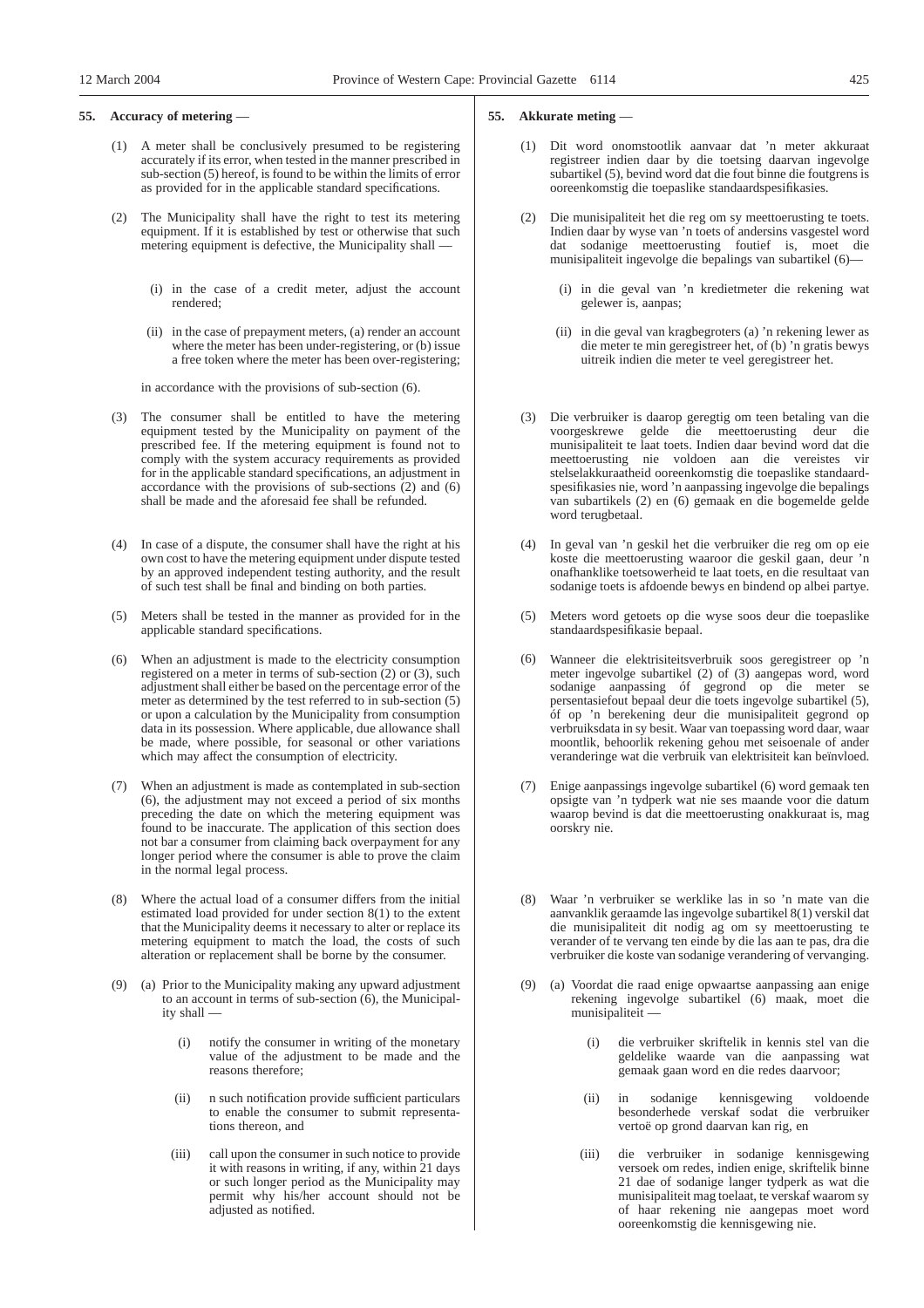## **55. Accuracy of metering** —

- (1) A meter shall be conclusively presumed to be registering accurately if its error, when tested in the manner prescribed in sub-section (5) hereof, is found to be within the limits of error as provided for in the applicable standard specifications.
- (2) The Municipality shall have the right to test its metering equipment. If it is established by test or otherwise that such metering equipment is defective, the Municipality shall —
	- (i) in the case of a credit meter, adjust the account rendered;
	- (ii) in the case of prepayment meters, (a) render an account where the meter has been under-registering, or (b) issue a free token where the meter has been over-registering;

in accordance with the provisions of sub-section (6).

- (3) The consumer shall be entitled to have the metering equipment tested by the Municipality on payment of the prescribed fee. If the metering equipment is found not to comply with the system accuracy requirements as provided for in the applicable standard specifications, an adjustment in accordance with the provisions of sub-sections (2) and (6) shall be made and the aforesaid fee shall be refunded.
- (4) In case of a dispute, the consumer shall have the right at his own cost to have the metering equipment under dispute tested by an approved independent testing authority, and the result of such test shall be final and binding on both parties.
- (5) Meters shall be tested in the manner as provided for in the applicable standard specifications.
- (6) When an adjustment is made to the electricity consumption registered on a meter in terms of sub-section (2) or (3), such adjustment shall either be based on the percentage error of the meter as determined by the test referred to in sub-section (5) or upon a calculation by the Municipality from consumption data in its possession. Where applicable, due allowance shall be made, where possible, for seasonal or other variations which may affect the consumption of electricity.
- (7) When an adjustment is made as contemplated in sub-section (6), the adjustment may not exceed a period of six months preceding the date on which the metering equipment was found to be inaccurate. The application of this section does not bar a consumer from claiming back overpayment for any longer period where the consumer is able to prove the claim in the normal legal process.
- (8) Where the actual load of a consumer differs from the initial estimated load provided for under section 8(1) to the extent that the Municipality deems it necessary to alter or replace its metering equipment to match the load, the costs of such alteration or replacement shall be borne by the consumer.
- (9) (a) Prior to the Municipality making any upward adjustment to an account in terms of sub-section (6), the Municipality shall —
	- (i) notify the consumer in writing of the monetary value of the adjustment to be made and the reasons therefore;
	- (ii) n such notification provide sufficient particulars to enable the consumer to submit representations thereon, and
	- (iii) call upon the consumer in such notice to provide it with reasons in writing, if any, within 21 days or such longer period as the Municipality may permit why his/her account should not be adjusted as notified.

#### **55. Akkurate meting** —

- (1) Dit word onomstootlik aanvaar dat 'n meter akkuraat registreer indien daar by die toetsing daarvan ingevolge subartikel (5), bevind word dat die fout binne die foutgrens is ooreenkomstig die toepaslike standaardspesifikasies.
- (2) Die munisipaliteit het die reg om sy meettoerusting te toets. Indien daar by wyse van 'n toets of andersins vasgestel word dat sodanige meettoerusting foutief is, moet die munisipaliteit ingevolge die bepalings van subartikel (6)—
	- (i) in die geval van 'n kredietmeter die rekening wat gelewer is, aanpas;
	- (ii) in die geval van kragbegroters (a) 'n rekening lewer as die meter te min geregistreer het, of (b) 'n gratis bewys uitreik indien die meter te veel geregistreer het.
- (3) Die verbruiker is daarop geregtig om teen betaling van die voorgeskrewe gelde die meettoerusting deur die munisipaliteit te laat toets. Indien daar bevind word dat die meettoerusting nie voldoen aan die vereistes vir stelselakkuraatheid ooreenkomstig die toepaslike standaardspesifikasies nie, word 'n aanpassing ingevolge die bepalings van subartikels (2) en (6) gemaak en die bogemelde gelde word terugbetaal.
- In geval van 'n geskil het die verbruiker die reg om op eie koste die meettoerusting waaroor die geskil gaan, deur 'n onafhanklike toetsowerheid te laat toets, en die resultaat van sodanige toets is afdoende bewys en bindend op albei partye.
- (5) Meters word getoets op die wyse soos deur die toepaslike standaardspesifikasie bepaal.
- (6) Wanneer die elektrisiteitsverbruik soos geregistreer op 'n meter ingevolge subartikel (2) of (3) aangepas word, word sodanige aanpassing óf gegrond op die meter se persentasiefout bepaal deur die toets ingevolge subartikel (5), óf op 'n berekening deur die munisipaliteit gegrond op verbruiksdata in sy besit. Waar van toepassing word daar, waar moontlik, behoorlik rekening gehou met seisoenale of ander veranderinge wat die verbruik van elektrisiteit kan beïnvloed.
- (7) Enige aanpassings ingevolge subartikel (6) word gemaak ten opsigte van 'n tydperk wat nie ses maande voor die datum waarop bevind is dat die meettoerusting onakkuraat is, mag oorskry nie.
- (8) Waar 'n verbruiker se werklike las in so 'n mate van die aanvanklik geraamde las ingevolge subartikel 8(1) verskil dat die munisipaliteit dit nodig ag om sy meettoerusting te verander of te vervang ten einde by die las aan te pas, dra die verbruiker die koste van sodanige verandering of vervanging.
- (9) (a) Voordat die raad enige opwaartse aanpassing aan enige rekening ingevolge subartikel (6) maak, moet die munisipaliteit —
	- (i) die verbruiker skriftelik in kennis stel van die geldelike waarde van die aanpassing wat gemaak gaan word en die redes daarvoor;
	- (ii) in sodanige kennisgewing voldoende besonderhede verskaf sodat die verbruiker vertoë op grond daarvan kan rig, en
	- (iii) die verbruiker in sodanige kennisgewing versoek om redes, indien enige, skriftelik binne 21 dae of sodanige langer tydperk as wat die munisipaliteit mag toelaat, te verskaf waarom sy of haar rekening nie aangepas moet word ooreenkomstig die kennisgewing nie.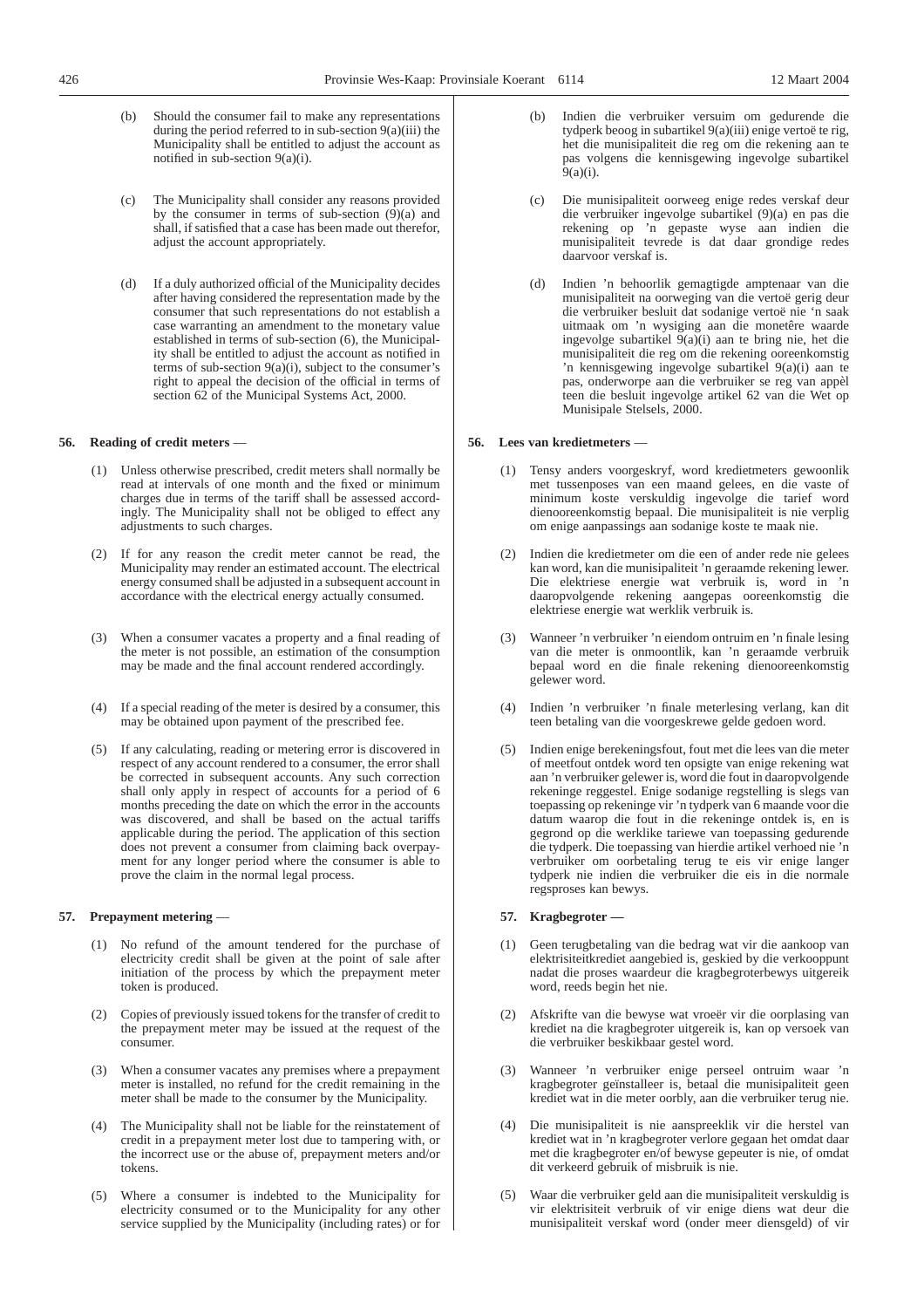- 
- (b) Should the consumer fail to make any representations during the period referred to in sub-section  $9(a)(iii)$  the Municipality shall be entitled to adjust the account as notified in sub-section 9(a)(i).
- (c) The Municipality shall consider any reasons provided by the consumer in terms of sub-section  $(9)(a)$  and shall, if satisfied that a case has been made out therefor, adjust the account appropriately.
- (d) If a duly authorized official of the Municipality decides after having considered the representation made by the consumer that such representations do not establish a case warranting an amendment to the monetary value established in terms of sub-section (6), the Municipality shall be entitled to adjust the account as notified in terms of sub-section  $9(a)(i)$ , subject to the consumer's right to appeal the decision of the official in terms of section 62 of the Municipal Systems Act, 2000.

### **56. Reading of credit meters** —

- (1) Unless otherwise prescribed, credit meters shall normally be read at intervals of one month and the fixed or minimum charges due in terms of the tariff shall be assessed accordingly. The Municipality shall not be obliged to effect any adjustments to such charges.
- (2) If for any reason the credit meter cannot be read, the Municipality may render an estimated account. The electrical energy consumed shall be adjusted in a subsequent account in accordance with the electrical energy actually consumed.
- (3) When a consumer vacates a property and a final reading of the meter is not possible, an estimation of the consumption may be made and the final account rendered accordingly.
- (4) If a special reading of the meter is desired by a consumer, this may be obtained upon payment of the prescribed fee.
- (5) If any calculating, reading or metering error is discovered in respect of any account rendered to a consumer, the error shall be corrected in subsequent accounts. Any such correction shall only apply in respect of accounts for a period of 6 months preceding the date on which the error in the accounts was discovered, and shall be based on the actual tariffs applicable during the period. The application of this section does not prevent a consumer from claiming back overpayment for any longer period where the consumer is able to prove the claim in the normal legal process.

## **57. Prepayment metering** —

- (1) No refund of the amount tendered for the purchase of electricity credit shall be given at the point of sale after initiation of the process by which the prepayment meter token is produced.
- (2) Copies of previously issued tokens for the transfer of credit to the prepayment meter may be issued at the request of the consumer.
- (3) When a consumer vacates any premises where a prepayment meter is installed, no refund for the credit remaining in the meter shall be made to the consumer by the Municipality.
- (4) The Municipality shall not be liable for the reinstatement of credit in a prepayment meter lost due to tampering with, or the incorrect use or the abuse of, prepayment meters and/or tokens.
- (5) Where a consumer is indebted to the Municipality for electricity consumed or to the Municipality for any other service supplied by the Municipality (including rates) or for
- Indien die verbruiker versuim om gedurende die tydperk beoog in subartikel 9(a)(iii) enige vertoë te rig, het die munisipaliteit die reg om die rekening aan te pas volgens die kennisgewing ingevolge subartikel 9(a)(i).
- (c) Die munisipaliteit oorweeg enige redes verskaf deur die verbruiker ingevolge subartikel (9)(a) en pas die rekening op 'n gepaste wyse aan indien die munisipaliteit tevrede is dat daar grondige redes daarvoor verskaf is.
- (d) Indien 'n behoorlik gemagtigde amptenaar van die munisipaliteit na oorweging van die vertoë gerig deur die verbruiker besluit dat sodanige vertoë nie 'n saak uitmaak om 'n wysiging aan die monetêre waarde ingevolge subartikel 9(a)(i) aan te bring nie, het die munisipaliteit die reg om die rekening ooreenkomstig 'n kennisgewing ingevolge subartikel 9(a)(i) aan te pas, onderworpe aan die verbruiker se reg van appèl teen die besluit ingevolge artikel 62 van die Wet op Munisipale Stelsels, 2000.

## **56. Lees van kredietmeters** —

- (1) Tensy anders voorgeskryf, word kredietmeters gewoonlik met tussenposes van een maand gelees, en die vaste of minimum koste verskuldig ingevolge die tarief word dienooreenkomstig bepaal. Die munisipaliteit is nie verplig om enige aanpassings aan sodanige koste te maak nie.
- Indien die kredietmeter om die een of ander rede nie gelees kan word, kan die munisipaliteit 'n geraamde rekening lewer. Die elektriese energie wat verbruik is, word in 'n daaropvolgende rekening aangepas ooreenkomstig die elektriese energie wat werklik verbruik is.
- (3) Wanneer 'n verbruiker 'n eiendom ontruim en 'n finale lesing van die meter is onmoontlik, kan 'n geraamde verbruik bepaal word en die finale rekening dienooreenkomstig gelewer word.
- (4) Indien 'n verbruiker 'n finale meterlesing verlang, kan dit teen betaling van die voorgeskrewe gelde gedoen word.
- (5) Indien enige berekeningsfout, fout met die lees van die meter of meetfout ontdek word ten opsigte van enige rekening wat aan 'n verbruiker gelewer is, word die fout in daaropvolgende rekeninge reggestel. Enige sodanige regstelling is slegs van toepassing op rekeninge vir 'n tydperk van 6 maande voor die datum waarop die fout in die rekeninge ontdek is, en is gegrond op die werklike tariewe van toepassing gedurende die tydperk. Die toepassing van hierdie artikel verhoed nie 'n verbruiker om oorbetaling terug te eis vir enige langer tydperk nie indien die verbruiker die eis in die normale regsproses kan bewys.

## **57. Kragbegroter —**

- (1) Geen terugbetaling van die bedrag wat vir die aankoop van elektrisiteitkrediet aangebied is, geskied by die verkooppunt nadat die proses waardeur die kragbegroterbewys uitgereik word, reeds begin het nie.
- (2) Afskrifte van die bewyse wat vroeër vir die oorplasing van krediet na die kragbegroter uitgereik is, kan op versoek van die verbruiker beskikbaar gestel word.
- (3) Wanneer 'n verbruiker enige perseel ontruim waar 'n kragbegroter geïnstalleer is, betaal die munisipaliteit geen krediet wat in die meter oorbly, aan die verbruiker terug nie.
- (4) Die munisipaliteit is nie aanspreeklik vir die herstel van krediet wat in 'n kragbegroter verlore gegaan het omdat daar met die kragbegroter en/of bewyse gepeuter is nie, of omdat dit verkeerd gebruik of misbruik is nie.
- (5) Waar die verbruiker geld aan die munisipaliteit verskuldig is vir elektrisiteit verbruik of vir enige diens wat deur die munisipaliteit verskaf word (onder meer diensgeld) of vir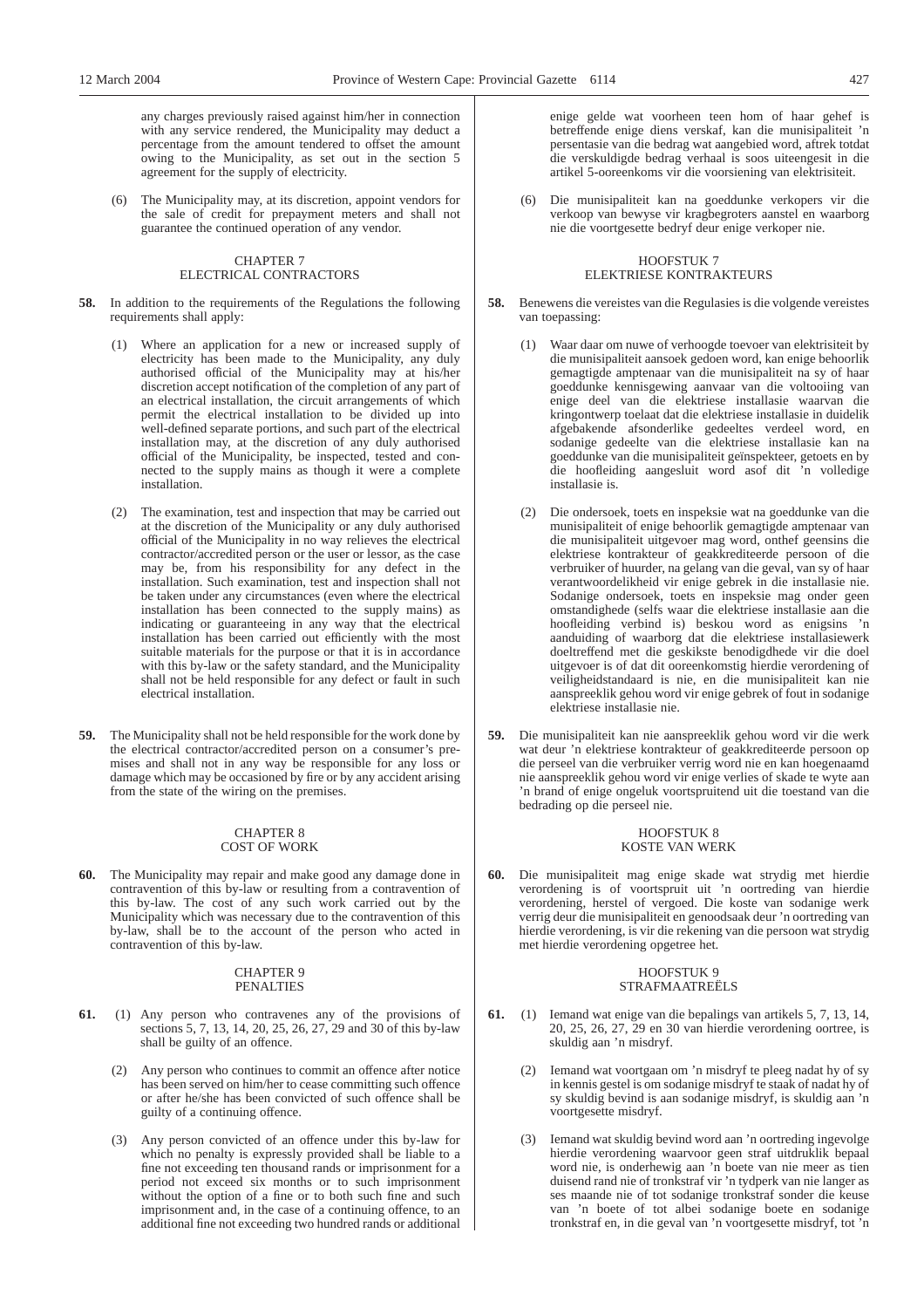any charges previously raised against him/her in connection with any service rendered, the Municipality may deduct a percentage from the amount tendered to offset the amount owing to the Municipality, as set out in the section 5 agreement for the supply of electricity.

(6) The Municipality may, at its discretion, appoint vendors for the sale of credit for prepayment meters and shall not guarantee the continued operation of any vendor.

## CHAPTER 7 ELECTRICAL CONTRACTORS

- **58.** In addition to the requirements of the Regulations the following requirements shall apply:
	- (1) Where an application for a new or increased supply of electricity has been made to the Municipality, any duly authorised official of the Municipality may at his/her discretion accept notification of the completion of any part of an electrical installation, the circuit arrangements of which permit the electrical installation to be divided up into well-defined separate portions, and such part of the electrical installation may, at the discretion of any duly authorised official of the Municipality, be inspected, tested and connected to the supply mains as though it were a complete installation.
	- (2) The examination, test and inspection that may be carried out at the discretion of the Municipality or any duly authorised official of the Municipality in no way relieves the electrical contractor/accredited person or the user or lessor, as the case may be, from his responsibility for any defect in the installation. Such examination, test and inspection shall not be taken under any circumstances (even where the electrical installation has been connected to the supply mains) as indicating or guaranteeing in any way that the electrical installation has been carried out efficiently with the most suitable materials for the purpose or that it is in accordance with this by-law or the safety standard, and the Municipality shall not be held responsible for any defect or fault in such electrical installation.
- **59.** The Municipality shall not be held responsible for the work done by the electrical contractor/accredited person on a consumer's premises and shall not in any way be responsible for any loss or damage which may be occasioned by fire or by any accident arising from the state of the wiring on the premises.

#### CHAPTER 8 COST OF WORK

**60.** The Municipality may repair and make good any damage done in contravention of this by-law or resulting from a contravention of this by-law. The cost of any such work carried out by the Municipality which was necessary due to the contravention of this by-law, shall be to the account of the person who acted in contravention of this by-law.

#### CHAPTER 9 PENALTIES

- **61.** (1) Any person who contravenes any of the provisions of sections 5, 7, 13, 14, 20, 25, 26, 27, 29 and 30 of this by-law shall be guilty of an offence.
	- (2) Any person who continues to commit an offence after notice has been served on him/her to cease committing such offence or after he/she has been convicted of such offence shall be guilty of a continuing offence.
	- (3) Any person convicted of an offence under this by-law for which no penalty is expressly provided shall be liable to a fine not exceeding ten thousand rands or imprisonment for a period not exceed six months or to such imprisonment without the option of a fine or to both such fine and such imprisonment and, in the case of a continuing offence, to an additional fine not exceeding two hundred rands or additional

enige gelde wat voorheen teen hom of haar gehef is betreffende enige diens verskaf, kan die munisipaliteit 'n persentasie van die bedrag wat aangebied word, aftrek totdat die verskuldigde bedrag verhaal is soos uiteengesit in die artikel 5-ooreenkoms vir die voorsiening van elektrisiteit.

(6) Die munisipaliteit kan na goeddunke verkopers vir die verkoop van bewyse vir kragbegroters aanstel en waarborg nie die voortgesette bedryf deur enige verkoper nie.

## HOOFSTUK 7 ELEKTRIESE KONTRAKTEURS

- **58.** Benewens die vereistes van die Regulasies is die volgende vereistes van toepassing:
	- (1) Waar daar om nuwe of verhoogde toevoer van elektrisiteit by die munisipaliteit aansoek gedoen word, kan enige behoorlik gemagtigde amptenaar van die munisipaliteit na sy of haar goeddunke kennisgewing aanvaar van die voltooiing van enige deel van die elektriese installasie waarvan die kringontwerp toelaat dat die elektriese installasie in duidelik afgebakende afsonderlike gedeeltes verdeel word, en sodanige gedeelte van die elektriese installasie kan na goeddunke van die munisipaliteit geïnspekteer, getoets en by die hoofleiding aangesluit word asof dit 'n volledige installasie is.
	- (2) Die ondersoek, toets en inspeksie wat na goeddunke van die munisipaliteit of enige behoorlik gemagtigde amptenaar van die munisipaliteit uitgevoer mag word, onthef geensins die elektriese kontrakteur of geakkrediteerde persoon of die verbruiker of huurder, na gelang van die geval, van sy of haar verantwoordelikheid vir enige gebrek in die installasie nie. Sodanige ondersoek, toets en inspeksie mag onder geen omstandighede (selfs waar die elektriese installasie aan die hoofleiding verbind is) beskou word as enigsins 'n aanduiding of waarborg dat die elektriese installasiewerk doeltreffend met die geskikste benodigdhede vir die doel uitgevoer is of dat dit ooreenkomstig hierdie verordening of veiligheidstandaard is nie, en die munisipaliteit kan nie aanspreeklik gehou word vir enige gebrek of fout in sodanige elektriese installasie nie.
- **59.** Die munisipaliteit kan nie aanspreeklik gehou word vir die werk wat deur 'n elektriese kontrakteur of geakkrediteerde persoon op die perseel van die verbruiker verrig word nie en kan hoegenaamd nie aanspreeklik gehou word vir enige verlies of skade te wyte aan 'n brand of enige ongeluk voortspruitend uit die toestand van die bedrading op die perseel nie.

#### HOOFSTUK 8 KOSTE VAN WERK

**60.** Die munisipaliteit mag enige skade wat strydig met hierdie verordening is of voortspruit uit 'n oortreding van hierdie verordening, herstel of vergoed. Die koste van sodanige werk verrig deur die munisipaliteit en genoodsaak deur 'n oortreding van hierdie verordening, is vir die rekening van die persoon wat strydig met hierdie verordening opgetree het.

## HOOFSTUK 9 STRAFMAATREËLS

- **61.** (1) Iemand wat enige van die bepalings van artikels 5, 7, 13, 14, 20, 25, 26, 27, 29 en 30 van hierdie verordening oortree, is skuldig aan 'n misdryf.
	- (2) Iemand wat voortgaan om 'n misdryf te pleeg nadat hy of sy in kennis gestel is om sodanige misdryf te staak of nadat hy of sy skuldig bevind is aan sodanige misdryf, is skuldig aan 'n voortgesette misdryf.
	- (3) Iemand wat skuldig bevind word aan 'n oortreding ingevolge hierdie verordening waarvoor geen straf uitdruklik bepaal word nie, is onderhewig aan 'n boete van nie meer as tien duisend rand nie of tronkstraf vir 'n tydperk van nie langer as ses maande nie of tot sodanige tronkstraf sonder die keuse van 'n boete of tot albei sodanige boete en sodanige tronkstraf en, in die geval van 'n voortgesette misdryf, tot 'n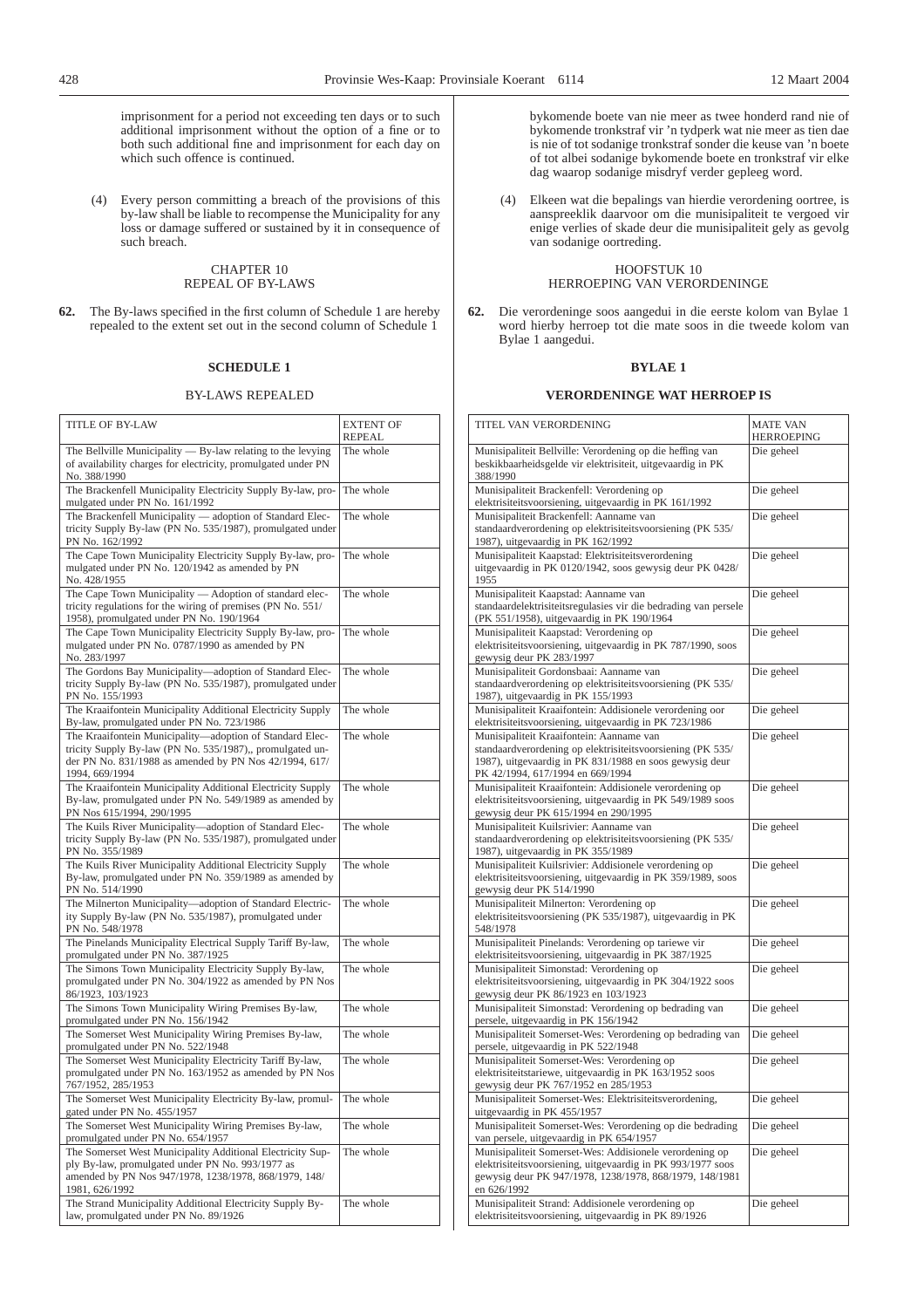imprisonment for a period not exceeding ten days or to such additional imprisonment without the option of a fine or to both such additional fine and imprisonment for each day on which such offence is continued.

(4) Every person committing a breach of the provisions of this by-law shall be liable to recompense the Municipality for any loss or damage suffered or sustained by it in consequence of such breach.

## CHAPTER 10 REPEAL OF BY-LAWS

**62.** The By-laws specified in the first column of Schedule 1 are hereby repealed to the extent set out in the second column of Schedule 1

# **SCHEDULE 1**

#### BY-LAWS REPEALED

| <b>TITLE OF BY-LAW</b>                                                                                                                                                                            | <b>EXTENT OF</b><br><b>REPEAL</b> |
|---------------------------------------------------------------------------------------------------------------------------------------------------------------------------------------------------|-----------------------------------|
| The Bellville Municipality — By-law relating to the levying<br>of availability charges for electricity, promulgated under PN<br>No. 388/1990                                                      | The whole                         |
| The Brackenfell Municipality Electricity Supply By-law, pro-<br>mulgated under PN No. 161/1992                                                                                                    | The whole                         |
| The Brackenfell Municipality - adoption of Standard Elec-<br>tricity Supply By-law (PN No. 535/1987), promulgated under<br>PN No. 162/1992                                                        | The whole                         |
| The Cape Town Municipality Electricity Supply By-law, pro-<br>mulgated under PN No. 120/1942 as amended by PN<br>No. 428/1955                                                                     | The whole                         |
| The Cape Town Municipality — Adoption of standard elec-<br>tricity regulations for the wiring of premises (PN No. 551/<br>1958), promulgated under PN No. 190/1964                                | The whole                         |
| The Cape Town Municipality Electricity Supply By-law, pro-<br>mulgated under PN No. 0787/1990 as amended by PN<br>No. 283/1997                                                                    | The whole                         |
| The Gordons Bay Municipality-adoption of Standard Elec-<br>tricity Supply By-law (PN No. 535/1987), promulgated under<br>PN No. 155/1993                                                          | The whole                         |
| The Kraaifontein Municipality Additional Electricity Supply<br>By-law, promulgated under PN No. 723/1986                                                                                          | The whole                         |
| The Kraaifontein Municipality-adoption of Standard Elec-<br>tricity Supply By-law (PN No. 535/1987),, promulgated un-<br>der PN No. 831/1988 as amended by PN Nos 42/1994, 617/<br>1994, 669/1994 | The whole                         |
| The Kraaifontein Municipality Additional Electricity Supply<br>By-law, promulgated under PN No. 549/1989 as amended by<br>PN Nos 615/1994, 290/1995                                               | The whole                         |
| The Kuils River Municipality—adoption of Standard Elec-<br>tricity Supply By-law (PN No. 535/1987), promulgated under<br>PN No. 355/1989                                                          | The whole                         |
| The Kuils River Municipality Additional Electricity Supply<br>By-law, promulgated under PN No. 359/1989 as amended by<br>PN No. 514/1990                                                          | The whole                         |
| The Milnerton Municipality-adoption of Standard Electric-<br>ity Supply By-law (PN No. 535/1987), promulgated under<br>PN No. 548/1978                                                            | The whole                         |
| The Pinelands Municipality Electrical Supply Tariff By-law,<br>promulgated under PN No. 387/1925                                                                                                  | The whole                         |
| The Simons Town Municipality Electricity Supply By-law,<br>promulgated under PN No. 304/1922 as amended by PN Nos<br>86/1923, 103/1923                                                            | The whole                         |
| The Simons Town Municipality Wiring Premises By-law,<br>promulgated under PN No. 156/1942                                                                                                         | The whole                         |
| The Somerset West Municipality Wiring Premises By-law,<br>promulgated under PN No. 522/1948                                                                                                       | The whole                         |
| The Somerset West Municipality Electricity Tariff By-law,<br>promulgated under PN No. 163/1952 as amended by PN Nos<br>767/1952, 285/1953                                                         | The whole                         |
| The Somerset West Municipality Electricity By-law, promul-<br>gated under PN No. 455/1957                                                                                                         | The whole                         |
| The Somerset West Municipality Wiring Premises By-law,<br>promulgated under PN No. 654/1957                                                                                                       | The whole                         |
| The Somerset West Municipality Additional Electricity Sup-<br>ply By-law, promulgated under PN No. 993/1977 as<br>amended by PN Nos 947/1978, 1238/1978, 868/1979, 148/<br>1981, 626/1992         | The whole                         |
| The Strand Municipality Additional Electricity Supply By-<br>law, promulgated under PN No. 89/1926                                                                                                | The whole                         |

bykomende boete van nie meer as twee honderd rand nie of bykomende tronkstraf vir 'n tydperk wat nie meer as tien dae is nie of tot sodanige tronkstraf sonder die keuse van 'n boete of tot albei sodanige bykomende boete en tronkstraf vir elke dag waarop sodanige misdryf verder gepleeg word.

(4) Elkeen wat die bepalings van hierdie verordening oortree, is aanspreeklik daarvoor om die munisipaliteit te vergoed vir enige verlies of skade deur die munisipaliteit gely as gevolg van sodanige oortreding.

# HOOFSTUK 10 HERROEPING VAN VERORDENINGE

**62.** Die verordeninge soos aangedui in die eerste kolom van Bylae 1 word hierby herroep tot die mate soos in die tweede kolom van Bylae 1 aangedui.

# **BYLAE 1**

#### **VERORDENINGE WAT HERROEP IS**

| TITEL VAN VERORDENING                                           | MATE VAN   |
|-----------------------------------------------------------------|------------|
|                                                                 | HERROEPING |
| Munisipaliteit Bellville: Verordening op die heffing van        | Die geheel |
| beskikbaarheidsgelde vir elektrisiteit, uitgevaardig in PK      |            |
| 388/1990                                                        |            |
| Munisipaliteit Brackenfell: Verordening op                      | Die geheel |
| elektrisiteitsvoorsiening, uitgevaardig in PK 161/1992          |            |
| Munisipaliteit Brackenfell: Aanname van                         | Die geheel |
| standaardverordening op elektrisiteitsvoorsiening (PK 535/      |            |
| 1987), uitgevaardig in PK 162/1992                              |            |
| Munisipaliteit Kaapstad: Elektrisiteitsverordening              | Die geheel |
| uitgevaardig in PK 0120/1942, soos gewysig deur PK 0428/        |            |
| 1955                                                            |            |
| Munisipaliteit Kaapstad: Aanname van                            | Die geheel |
| standaardelektrisiteitsregulasies vir die bedrading van persele |            |
| (PK 551/1958), uitgevaardig in PK 190/1964                      |            |
| Munisipaliteit Kaapstad: Verordening op                         | Die geheel |
| elektrisiteitsvoorsiening, uitgevaardig in PK 787/1990, soos    |            |
| gewysig deur PK 283/1997                                        |            |
| Munisipaliteit Gordonsbaai: Aanname van                         | Die geheel |
| standaardverordening op elektrisiteitsvoorsiening (PK 535/      |            |
| 1987), uitgevaardig in PK 155/1993                              |            |
| Munisipaliteit Kraaifontein: Addisionele verordening oor        | Die geheel |
| elektrisiteitsvoorsiening, uitgevaardig in PK 723/1986          |            |
| Munisipaliteit Kraaifontein: Aanname van                        | Die geheel |
| standaardverordening op elektrisiteitsvoorsiening (PK 535/      |            |
| 1987), uitgevaardig in PK 831/1988 en soos gewysig deur         |            |
| PK 42/1994, 617/1994 en 669/1994                                |            |
| Munisipaliteit Kraaifontein: Addisionele verordening op         | Die geheel |
| elektrisiteitsvoorsiening, uitgevaardig in PK 549/1989 soos     |            |
| gewysig deur PK 615/1994 en 290/1995                            |            |
| Munisipaliteit Kuilsrivier: Aanname van                         | Die geheel |
| standaardverordening op elektrisiteitsvoorsiening (PK 535/      |            |
| 1987), uitgevaardig in PK 355/1989                              |            |
| Munisipaliteit Kuilsrivier: Addisionele verordening op          | Die geheel |
| elektrisiteitsvoorsiening, uitgevaardig in PK 359/1989, soos    |            |
| gewysig deur PK 514/1990                                        |            |
| Munisipaliteit Milnerton: Verordening op                        | Die geheel |
| elektrisiteitsvoorsiening (PK 535/1987), uitgevaardig in PK     |            |
| 548/1978                                                        |            |
| Munisipaliteit Pinelands: Verordening op tariewe vir            | Die geheel |
| elektrisiteitsvoorsiening, uitgevaardig in PK 387/1925          |            |
| Munisipaliteit Simonstad: Verordening op                        | Die geheel |
| elektrisiteitsvoorsiening, uitgevaardig in PK 304/1922 soos     |            |
| gewysig deur PK 86/1923 en 103/1923                             |            |
| Munisipaliteit Simonstad: Verordening op bedrading van          | Die geheel |
| persele, uitgevaardig in PK 156/1942                            |            |
| Munisipaliteit Somerset-Wes: Verordening op bedrading van       | Die geheel |
| persele, uitgevaardig in PK 522/1948                            |            |
| Munisipaliteit Somerset-Wes: Verordening op                     | Die geheel |
| elektrisiteitstariewe, uitgevaardig in PK 163/1952 soos         |            |
| gewysig deur PK 767/1952 en 285/1953                            |            |
| Munisipaliteit Somerset-Wes: Elektrisiteitsverordening,         | Die geheel |
| uitgevaardig in PK 455/1957                                     |            |
| Munisipaliteit Somerset-Wes: Verordening op die bedrading       | Die geheel |
| van persele, uitgevaardig in PK 654/1957                        |            |
| Munisipaliteit Somerset-Wes: Addisionele verordening op         | Die geheel |
| elektrisiteitsvoorsiening, uitgevaardig in PK 993/1977 soos     |            |
| gewysig deur PK 947/1978, 1238/1978, 868/1979, 148/1981         |            |
| en 626/1992                                                     |            |
| Munisipaliteit Strand: Addisionele verordening op               | Die geheel |
| elektrisiteitsvoorsiening, uitgevaardig in PK 89/1926           |            |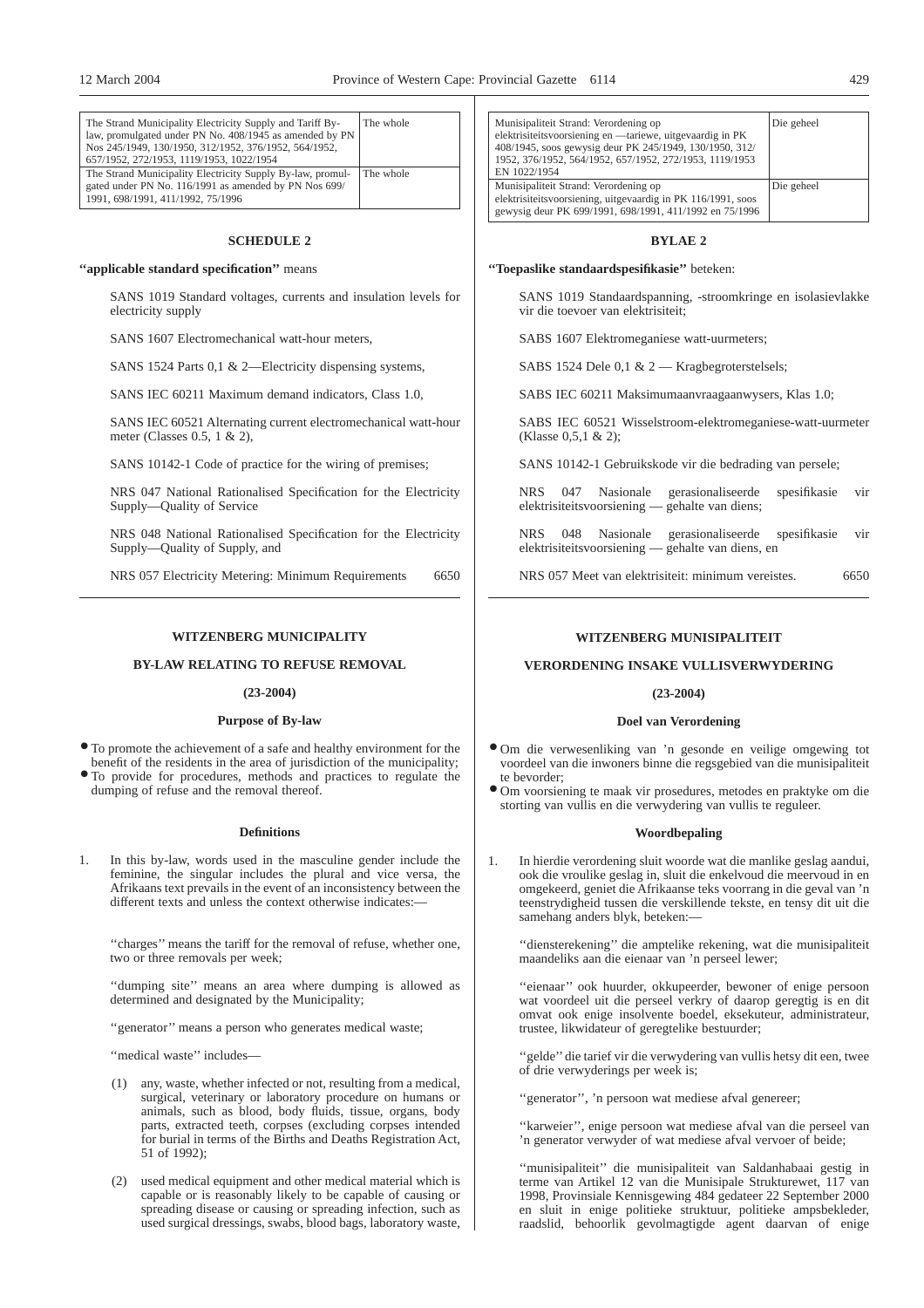| The Strand Municipality Electricity Supply and Tariff By-  | The whole |
|------------------------------------------------------------|-----------|
| law, promulgated under PN No. 408/1945 as amended by PN    |           |
| Nos 245/1949, 130/1950, 312/1952, 376/1952, 564/1952,      |           |
| 657/1952, 272/1953, 1119/1953, 1022/1954                   |           |
| The Strand Municipality Electricity Supply By-law, promul- | The whole |
| gated under PN No. 116/1991 as amended by PN Nos 699/      |           |
| 1991, 698/1991, 411/1992, 75/1996                          |           |

#### **SCHEDULE 2**

### **''applicable standard specification''** means

SANS 1019 Standard voltages, currents and insulation levels for electricity supply

SANS 1607 Electromechanical watt-hour meters,

SANS 1524 Parts 0,1 & 2—Electricity dispensing systems,

SANS IEC 60211 Maximum demand indicators, Class 1.0,

SANS IEC 60521 Alternating current electromechanical watt-hour meter (Classes 0.5, 1 & 2),

SANS 10142-1 Code of practice for the wiring of premises;

NRS 047 National Rationalised Specification for the Electricity Supply—Quality of Service

NRS 048 National Rationalised Specification for the Electricity Supply—Quality of Supply, and

NRS 057 Electricity Metering: Minimum Requirements 6650

## **WITZENBERG MUNICIPALITY**

## **BY-LAW RELATING TO REFUSE REMOVAL**

#### **(23-2004)**

## **Purpose of By-law**

● To promote the achievement of a safe and healthy environment for the benefit of the residents in the area of jurisdiction of the municipality;

● To provide for procedures, methods and practices to regulate the dumping of refuse and the removal thereof.

#### **Definitions**

1. In this by-law, words used in the masculine gender include the feminine, the singular includes the plural and vice versa, the Afrikaans text prevails in the event of an inconsistency between the different texts and unless the context otherwise indicates:

''charges'' means the tariff for the removal of refuse, whether one, two or three removals per week;

''dumping site'' means an area where dumping is allowed as determined and designated by the Municipality;

"generator" means a person who generates medical waste;

''medical waste'' includes—

- (1) any, waste, whether infected or not, resulting from a medical, surgical, veterinary or laboratory procedure on humans or animals, such as blood, body fluids, tissue, organs, body parts, extracted teeth, corpses (excluding corpses intended for burial in terms of the Births and Deaths Registration Act, 51 of 1992);
- (2) used medical equipment and other medical material which is capable or is reasonably likely to be capable of causing or spreading disease or causing or spreading infection, such as used surgical dressings, swabs, blood bags, laboratory waste,

| Munisipaliteit Strand: Verordening op<br>elektrisiteitsvoorsiening en —tariewe, uitgevaardig in PK<br>408/1945, soos gewysig deur PK 245/1949, 130/1950, 312/<br>1952, 376/1952, 564/1952, 657/1952, 272/1953, 1119/1953<br>EN 1022/1954 | Die geheel |
|------------------------------------------------------------------------------------------------------------------------------------------------------------------------------------------------------------------------------------------|------------|
| Munisipaliteit Strand: Verordening op<br>elektrisiteitsvoorsiening, uitgevaardig in PK 116/1991, soos<br>gewysig deur PK 699/1991, 698/1991, 411/1992 en 75/1996                                                                         | Die geheel |

#### **BYLAE 2**

#### **''Toepaslike standaardspesifikasie''** beteken:

SANS 1019 Standaardspanning, -stroomkringe en isolasievlakke vir die toevoer van elektrisiteit;

SABS 1607 Elektromeganiese watt-uurmeters;

SABS 1524 Dele 0,1 & 2 — Kragbegroterstelsels;

SABS IEC 60211 Maksimumaanvraagaanwysers, Klas 1.0;

SABS IEC 60521 Wisselstroom-elektromeganiese-watt-uurmeter (Klasse 0,5,1 & 2);

SANS 10142-1 Gebruikskode vir die bedrading van persele;

NRS 047 Nasionale gerasionaliseerde spesifikasie vir elektrisiteitsvoorsiening — gehalte van diens;

NRS 048 Nasionale gerasionaliseerde spesifikasie vir elektrisiteitsvoorsiening — gehalte van diens, en

NRS 057 Meet van elektrisiteit: minimum vereistes. 6650

# **WITZENBERG MUNISIPALITEIT**

#### **VERORDENING INSAKE VULLISVERWYDERING**

#### **(23-2004)**

#### **Doel van Verordening**

- Om die verwesenliking van 'n gesonde en veilige omgewing tot voordeel van die inwoners binne die regsgebied van die munisipaliteit te bevorder;
- Om voorsiening te maak vir prosedures, metodes en praktyke om die storting van vullis en die verwydering van vullis te reguleer.

#### **Woordbepaling**

1. In hierdie verordening sluit woorde wat die manlike geslag aandui, ook die vroulike geslag in, sluit die enkelvoud die meervoud in en omgekeerd, geniet die Afrikaanse teks voorrang in die geval van 'n teenstrydigheid tussen die verskillende tekste, en tensy dit uit die samehang anders blyk, beteken:—

''diensterekening'' die amptelike rekening, wat die munisipaliteit maandeliks aan die eienaar van 'n perseel lewer;

''eienaar'' ook huurder, okkupeerder, bewoner of enige persoon wat voordeel uit die perseel verkry of daarop geregtig is en dit omvat ook enige insolvente boedel, eksekuteur, administrateur, trustee, likwidateur of geregtelike bestuurder;

''gelde'' die tarief vir die verwydering van vullis hetsy dit een, twee of drie verwyderings per week is;

''generator'', 'n persoon wat mediese afval genereer;

''karweier'', enige persoon wat mediese afval van die perseel van 'n generator verwyder of wat mediese afval vervoer of beide;

''munisipaliteit'' die munisipaliteit van Saldanhabaai gestig in terme van Artikel 12 van die Munisipale Strukturewet, 117 van 1998, Provinsiale Kennisgewing 484 gedateer 22 September 2000 en sluit in enige politieke struktuur, politieke ampsbekleder, raadslid, behoorlik gevolmagtigde agent daarvan of enige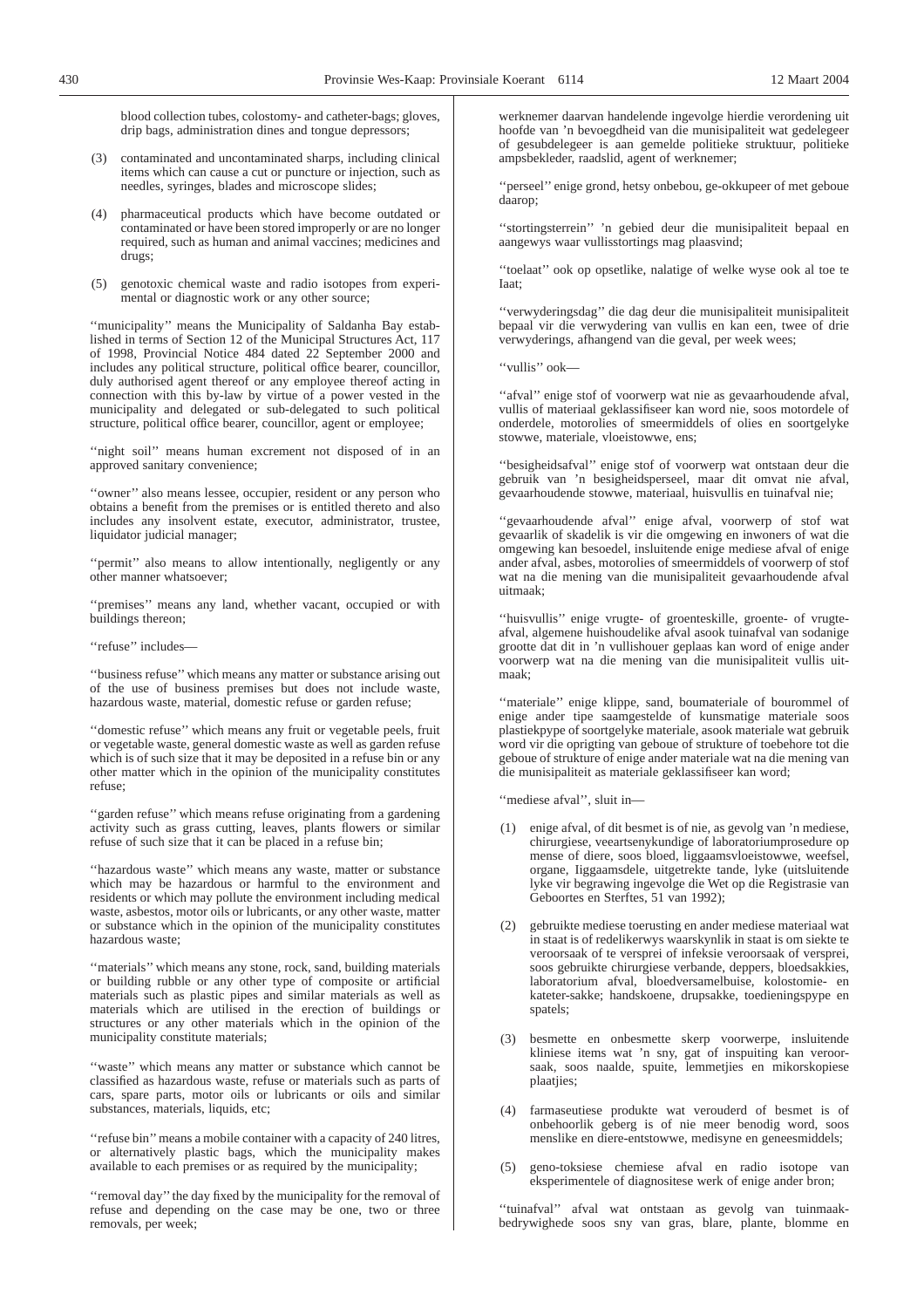blood collection tubes, colostomy- and catheter-bags; gloves, drip bags, administration dines and tongue depressors;

- (3) contaminated and uncontaminated sharps, including clinical items which can cause a cut or puncture or injection, such as needles, syringes, blades and microscope slides;
- (4) pharmaceutical products which have become outdated or contaminated or have been stored improperly or are no longer required, such as human and animal vaccines; medicines and drugs;
- (5) genotoxic chemical waste and radio isotopes from experimental or diagnostic work or any other source;

''municipality'' means the Municipality of Saldanha Bay established in terms of Section 12 of the Municipal Structures Act, 117 of 1998, Provincial Notice 484 dated 22 September 2000 and includes any political structure, political office bearer, councillor, duly authorised agent thereof or any employee thereof acting in connection with this by-law by virtue of a power vested in the municipality and delegated or sub-delegated to such political structure, political office bearer, councillor, agent or employee;

"night soil" means human excrement not disposed of in an approved sanitary convenience;

''owner'' also means lessee, occupier, resident or any person who obtains a benefit from the premises or is entitled thereto and also includes any insolvent estate, executor, administrator, trustee, liquidator judicial manager;

"permit" also means to allow intentionally, negligently or any other manner whatsoever;

''premises'' means any land, whether vacant, occupied or with buildings thereon;

''refuse'' includes—

''business refuse'' which means any matter or substance arising out of the use of business premises but does not include waste, hazardous waste, material, domestic refuse or garden refuse;

''domestic refuse'' which means any fruit or vegetable peels, fruit or vegetable waste, general domestic waste as well as garden refuse which is of such size that it may be deposited in a refuse bin or any other matter which in the opinion of the municipality constitutes refuse;

''garden refuse'' which means refuse originating from a gardening activity such as grass cutting, leaves, plants flowers or similar refuse of such size that it can be placed in a refuse bin;

''hazardous waste'' which means any waste, matter or substance which may be hazardous or harmful to the environment and residents or which may pollute the environment including medical waste, asbestos, motor oils or lubricants, or any other waste, matter or substance which in the opinion of the municipality constitutes hazardous waste;

''materials'' which means any stone, rock, sand, building materials or building rubble or any other type of composite or artificial materials such as plastic pipes and similar materials as well as materials which are utilised in the erection of buildings or structures or any other materials which in the opinion of the municipality constitute materials;

"waste" which means any matter or substance which cannot be classified as hazardous waste, refuse or materials such as parts of cars, spare parts, motor oils or lubricants or oils and similar substances, materials, liquids, etc;

''refuse bin''means a mobile container with a capacity of 240 litres, or alternatively plastic bags, which the municipality makes available to each premises or as required by the municipality;

''removal day'' the day fixed by the municipality for the removal of refuse and depending on the case may be one, two or three removals, per week;

werknemer daarvan handelende ingevolge hierdie verordening uit hoofde van 'n bevoegdheid van die munisipaliteit wat gedelegeer of gesubdelegeer is aan gemelde politieke struktuur, politieke ampsbekleder, raadslid, agent of werknemer;

''perseel'' enige grond, hetsy onbebou, ge-okkupeer of met geboue daarop;

''stortingsterrein'' 'n gebied deur die munisipaliteit bepaal en aangewys waar vullisstortings mag plaasvind;

''toelaat'' ook op opsetlike, nalatige of welke wyse ook al toe te Iaat;

''verwyderingsdag'' die dag deur die munisipaliteit munisipaliteit bepaal vir die verwydering van vullis en kan een, twee of drie verwyderings, afhangend van die geval, per week wees;

''vullis'' ook—

"afval" enige stof of voorwerp wat nie as gevaarhoudende afval, vullis of materiaal geklassifiseer kan word nie, soos motordele of onderdele, motorolies of smeermiddels of olies en soortgelyke stowwe, materiale, vloeistowwe, ens;

''besigheidsafval'' enige stof of voorwerp wat ontstaan deur die gebruik van 'n besigheidsperseel, maar dit omvat nie afval, gevaarhoudende stowwe, materiaal, huisvullis en tuinafval nie;

''gevaarhoudende afval'' enige afval, voorwerp of stof wat gevaarlik of skadelik is vir die omgewing en inwoners of wat die omgewing kan besoedel, insluitende enige mediese afval of enige ander afval, asbes, motorolies of smeermiddels of voorwerp of stof wat na die mening van die munisipaliteit gevaarhoudende afval uitmaak;

''huisvullis'' enige vrugte- of groenteskille, groente- of vrugteafval, algemene huishoudelike afval asook tuinafval van sodanige grootte dat dit in 'n vullishouer geplaas kan word of enige ander voorwerp wat na die mening van die munisipaliteit vullis uitmaak;

"materiale" enige klippe, sand, boumateriale of bourommel of enige ander tipe saamgestelde of kunsmatige materiale soos plastiekpype of soortgelyke materiale, asook materiale wat gebruik word vir die oprigting van geboue of strukture of toebehore tot die geboue of strukture of enige ander materiale wat na die mening van die munisipaliteit as materiale geklassifiseer kan word;

''mediese afval'', sluit in—

- (1) enige afval, of dit besmet is of nie, as gevolg van 'n mediese, chirurgiese, veeartsenykundige of laboratoriumprosedure op mense of diere, soos bloed, liggaamsvloeistowwe, weefsel, organe, Iiggaamsdele, uitgetrekte tande, lyke (uitsluitende lyke vir begrawing ingevolge die Wet op die Registrasie van Geboortes en Sterftes, 51 van 1992);
- (2) gebruikte mediese toerusting en ander mediese materiaal wat in staat is of redelikerwys waarskynlik in staat is om siekte te veroorsaak of te versprei of infeksie veroorsaak of versprei, soos gebruikte chirurgiese verbande, deppers, bloedsakkies, laboratorium afval, bloedversamelbuise, kolostomie- en kateter-sakke; handskoene, drupsakke, toedieningspype en spatels;
- (3) besmette en onbesmette skerp voorwerpe, insluitende kliniese items wat 'n sny, gat of inspuiting kan veroorsaak, soos naalde, spuite, lemmetjies en mikorskopiese plaatjies;
- (4) farmaseutiese produkte wat verouderd of besmet is of onbehoorlik geberg is of nie meer benodig word, soos menslike en diere-entstowwe, medisyne en geneesmiddels;
- (5) geno-toksiese chemiese afval en radio isotope van eksperimentele of diagnositese werk of enige ander bron;

''tuinafval'' afval wat ontstaan as gevolg van tuinmaakbedrywighede soos sny van gras, blare, plante, blomme en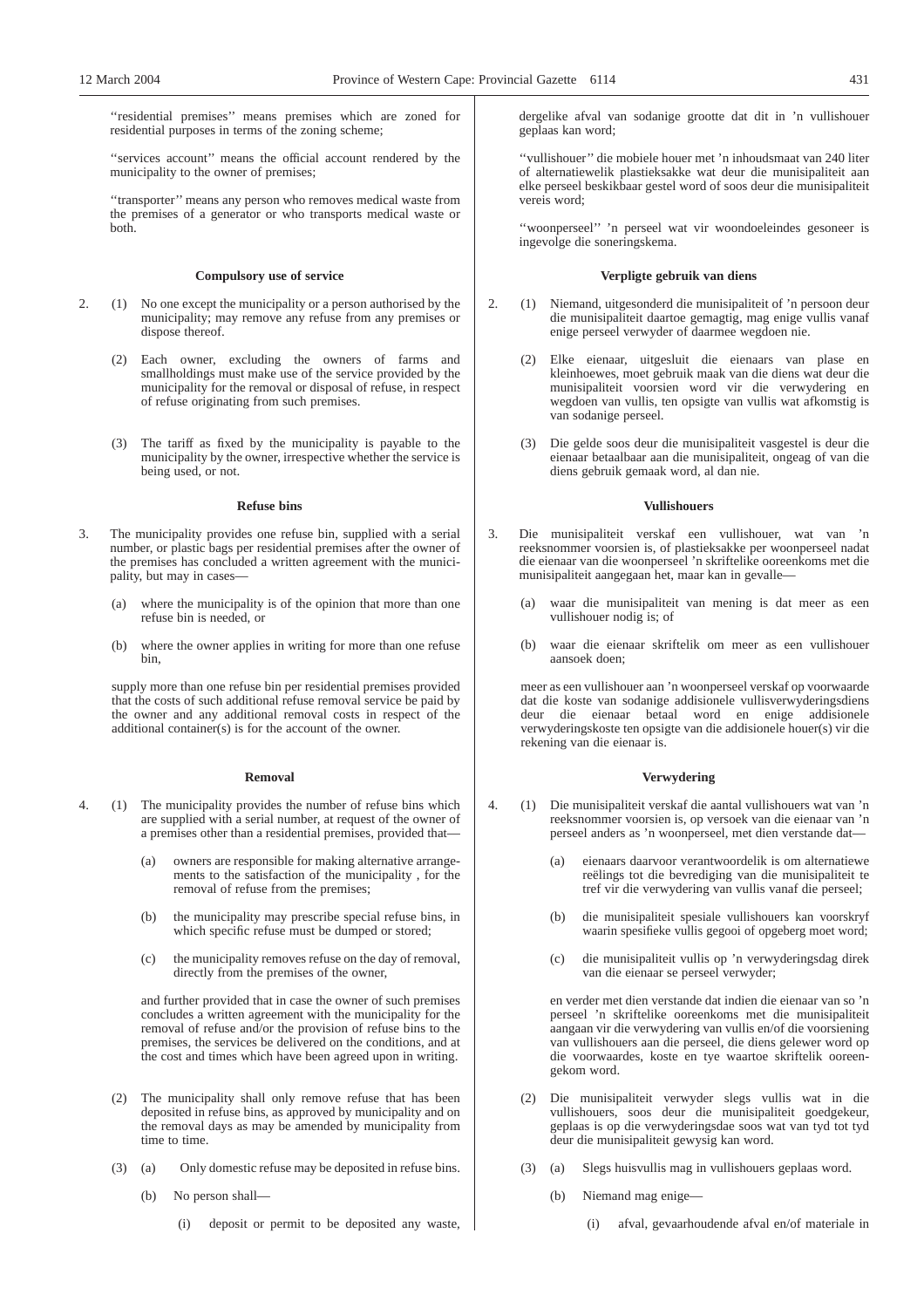''residential premises'' means premises which are zoned for residential purposes in terms of the zoning scheme;

"services account" means the official account rendered by the municipality to the owner of premises;

''transporter'' means any person who removes medical waste from the premises of a generator or who transports medical waste or both.

#### **Compulsory use of service**

- 2. (1) No one except the municipality or a person authorised by the municipality; may remove any refuse from any premises or dispose thereof.
	- (2) Each owner, excluding the owners of farms and smallholdings must make use of the service provided by the municipality for the removal or disposal of refuse, in respect of refuse originating from such premises.
	- (3) The tariff as fixed by the municipality is payable to the municipality by the owner, irrespective whether the service is being used, or not.

#### **Refuse bins**

- 3. The municipality provides one refuse bin, supplied with a serial number, or plastic bags per residential premises after the owner of the premises has concluded a written agreement with the municipality, but may in cases—
	- (a) where the municipality is of the opinion that more than one refuse bin is needed, or
	- (b) where the owner applies in writing for more than one refuse bin,

supply more than one refuse bin per residential premises provided that the costs of such additional refuse removal service be paid by the owner and any additional removal costs in respect of the additional container(s) is for the account of the owner.

## **Removal**

- 4. (1) The municipality provides the number of refuse bins which are supplied with a serial number, at request of the owner of a premises other than a residential premises, provided that—
	- (a) owners are responsible for making alternative arrangements to the satisfaction of the municipality , for the removal of refuse from the premises;
	- (b) the municipality may prescribe special refuse bins, in which specific refuse must be dumped or stored;
	- (c) the municipality removes refuse on the day of removal, directly from the premises of the owner,

and further provided that in case the owner of such premises concludes a written agreement with the municipality for the removal of refuse and/or the provision of refuse bins to the premises, the services be delivered on the conditions, and at the cost and times which have been agreed upon in writing.

- (2) The municipality shall only remove refuse that has been deposited in refuse bins, as approved by municipality and on the removal days as may be amended by municipality from time to time.
- (3) (a) Only domestic refuse may be deposited in refuse bins.
	- (b) No person shall—
		- (i) deposit or permit to be deposited any waste,

dergelike afval van sodanige grootte dat dit in 'n vullishouer geplaas kan word;

''vullishouer'' die mobiele houer met 'n inhoudsmaat van 240 liter of alternatiewelik plastieksakke wat deur die munisipaliteit aan elke perseel beskikbaar gestel word of soos deur die munisipaliteit vereis word;

''woonperseel'' 'n perseel wat vir woondoeleindes gesoneer is ingevolge die soneringskema.

#### **Verpligte gebruik van diens**

- 2. (1) Niemand, uitgesonderd die munisipaliteit of 'n persoon deur die munisipaliteit daartoe gemagtig, mag enige vullis vanaf enige perseel verwyder of daarmee wegdoen nie.
	- (2) Elke eienaar, uitgesluit die eienaars van plase en kleinhoewes, moet gebruik maak van die diens wat deur die munisipaliteit voorsien word vir die verwydering en wegdoen van vullis, ten opsigte van vullis wat afkomstig is van sodanige perseel.
	- (3) Die gelde soos deur die munisipaliteit vasgestel is deur die eienaar betaalbaar aan die munisipaliteit, ongeag of van die diens gebruik gemaak word, al dan nie.

## **Vullishouers**

- 3. Die munisipaliteit verskaf een vullishouer, wat van 'n reeksnommer voorsien is, of plastieksakke per woonperseel nadat die eienaar van die woonperseel 'n skriftelike ooreenkoms met die munisipaliteit aangegaan het, maar kan in gevalle—
	- (a) waar die munisipaliteit van mening is dat meer as een vullishouer nodig is; of
	- (b) waar die eienaar skriftelik om meer as een vullishouer aansoek doen;

meer as een vullishouer aan 'n woonperseel verskaf op voorwaarde dat die koste van sodanige addisionele vullisverwyderingsdiens deur die eienaar betaal word en enige addisionele verwyderingskoste ten opsigte van die addisionele houer(s) vir die rekening van die eienaar is.

## **Verwydering**

- 4. (1) Die munisipaliteit verskaf die aantal vullishouers wat van 'n reeksnommer voorsien is, op versoek van die eienaar van 'n perseel anders as 'n woonperseel, met dien verstande dat—
	- (a) eienaars daarvoor verantwoordelik is om alternatiewe reëlings tot die bevrediging van die munisipaliteit te tref vir die verwydering van vullis vanaf die perseel;
	- (b) die munisipaliteit spesiale vullishouers kan voorskryf waarin spesifieke vullis gegooi of opgeberg moet word;
	- (c) die munisipaliteit vullis op 'n verwyderingsdag direk van die eienaar se perseel verwyder;

en verder met dien verstande dat indien die eienaar van so 'n perseel 'n skriftelike ooreenkoms met die munisipaliteit aangaan vir die verwydering van vullis en/of die voorsiening van vullishouers aan die perseel, die diens gelewer word op die voorwaardes, koste en tye waartoe skriftelik ooreengekom word.

- (2) Die munisipaliteit verwyder slegs vullis wat in die vullishouers, soos deur die munisipaliteit goedgekeur, geplaas is op die verwyderingsdae soos wat van tyd tot tyd deur die munisipaliteit gewysig kan word.
- (3) (a) Slegs huisvullis mag in vullishouers geplaas word.
	- (b) Niemand mag enige—
		- (i) afval, gevaarhoudende afval en/of materiale in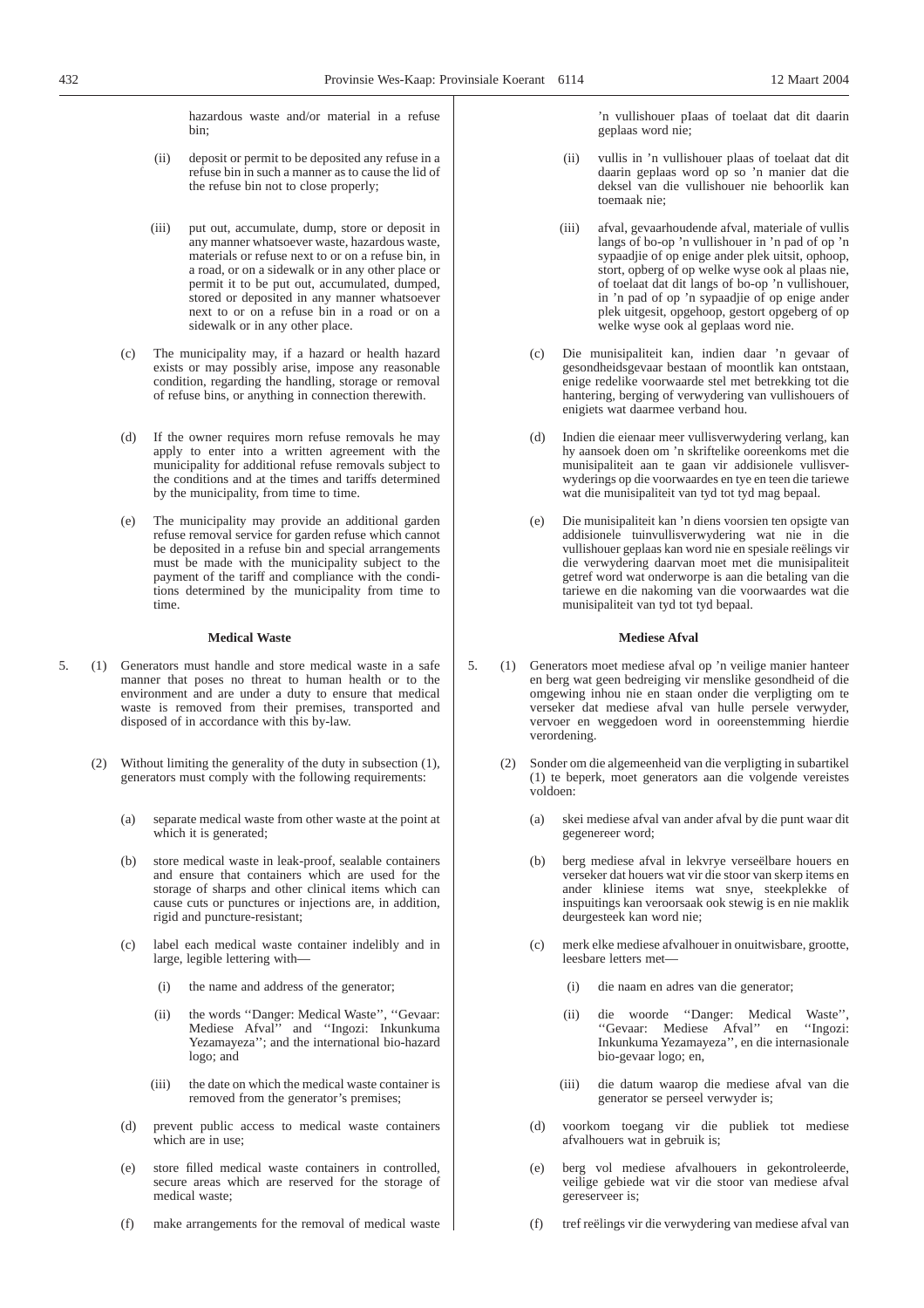hazardous waste and/or material in a refuse bin;

- (ii) deposit or permit to be deposited any refuse in a refuse bin in such a manner as to cause the lid of the refuse bin not to close properly;
- (iii) put out, accumulate, dump, store or deposit in any manner whatsoever waste, hazardous waste, materials or refuse next to or on a refuse bin, in a road, or on a sidewalk or in any other place or permit it to be put out, accumulated, dumped, stored or deposited in any manner whatsoever next to or on a refuse bin in a road or on a sidewalk or in any other place.
- (c) The municipality may, if a hazard or health hazard exists or may possibly arise, impose any reasonable condition, regarding the handling, storage or removal of refuse bins, or anything in connection therewith.
- (d) If the owner requires morn refuse removals he may apply to enter into a written agreement with the municipality for additional refuse removals subject to the conditions and at the times and tariffs determined by the municipality, from time to time.
- (e) The municipality may provide an additional garden refuse removal service for garden refuse which cannot be deposited in a refuse bin and special arrangements must be made with the municipality subject to the payment of the tariff and compliance with the conditions determined by the municipality from time to time.

## **Medical Waste**

- 5. (1) Generators must handle and store medical waste in a safe manner that poses no threat to human health or to the environment and are under a duty to ensure that medical waste is removed from their premises, transported and disposed of in accordance with this by-law.
	- (2) Without limiting the generality of the duty in subsection (1), generators must comply with the following requirements:
		- (a) separate medical waste from other waste at the point at which it is generated;
		- (b) store medical waste in leak-proof, sealable containers and ensure that containers which are used for the storage of sharps and other clinical items which can cause cuts or punctures or injections are, in addition, rigid and puncture-resistant;
		- (c) label each medical waste container indelibly and in large, legible lettering with—
			- (i) the name and address of the generator;
			- (ii) the words ''Danger: Medical Waste'', ''Gevaar: Mediese Afval'' and ''Ingozi: Inkunkuma Yezamayeza''; and the international bio-hazard logo; and
			- (iii) the date on which the medical waste container is removed from the generator's premises;
		- (d) prevent public access to medical waste containers which are in use:
		- (e) store filled medical waste containers in controlled, secure areas which are reserved for the storage of medical waste;
		- (f) make arrangements for the removal of medical waste

'n vullishouer pIaas of toelaat dat dit daarin geplaas word nie;

- (ii) vullis in 'n vullishouer plaas of toelaat dat dit daarin geplaas word op so 'n manier dat die deksel van die vullishouer nie behoorlik kan toemaak nie;
- (iii) afval, gevaarhoudende afval, materiale of vullis langs of bo-op 'n vullishouer in 'n pad of op 'n sypaadjie of op enige ander plek uitsit, ophoop, stort, opberg of op welke wyse ook al plaas nie, of toelaat dat dit langs of bo-op 'n vullishouer, in 'n pad of op 'n sypaadjie of op enige ander plek uitgesit, opgehoop, gestort opgeberg of op welke wyse ook al geplaas word nie.
- (c) Die munisipaliteit kan, indien daar 'n gevaar of gesondheidsgevaar bestaan of moontlik kan ontstaan, enige redelike voorwaarde stel met betrekking tot die hantering, berging of verwydering van vullishouers of enigiets wat daarmee verband hou.
- (d) Indien die eienaar meer vullisverwydering verlang, kan hy aansoek doen om 'n skriftelike ooreenkoms met die munisipaliteit aan te gaan vir addisionele vullisverwyderings op die voorwaardes en tye en teen die tariewe wat die munisipaliteit van tyd tot tyd mag bepaal.
- (e) Die munisipaliteit kan 'n diens voorsien ten opsigte van addisionele tuinvullisverwydering wat nie in die vullishouer geplaas kan word nie en spesiale reëlings vir die verwydering daarvan moet met die munisipaliteit getref word wat onderworpe is aan die betaling van die tariewe en die nakoming van die voorwaardes wat die munisipaliteit van tyd tot tyd bepaal.

## **Mediese Afval**

- 5. (1) Generators moet mediese afval op 'n veilige manier hanteer en berg wat geen bedreiging vir menslike gesondheid of die omgewing inhou nie en staan onder die verpligting om te verseker dat mediese afval van hulle persele verwyder, vervoer en weggedoen word in ooreenstemming hierdie verordening.
	- Sonder om die algemeenheid van die verpligting in subartikel (1) te beperk, moet generators aan die volgende vereistes voldoen:
		- (a) skei mediese afval van ander afval by die punt waar dit gegenereer word;
		- (b) berg mediese afval in lekvrye verseëlbare houers en verseker dat houers wat vir die stoor van skerp items en ander kliniese items wat snye, steekplekke of inspuitings kan veroorsaak ook stewig is en nie maklik deurgesteek kan word nie;
		- (c) merk elke mediese afvalhouer in onuitwisbare, grootte, leesbare letters met—
			- (i) die naam en adres van die generator;
			- (ii) die woorde ''Danger: Medical Waste'', ''Gevaar: Mediese Afval'' en ''Ingozi: Inkunkuma Yezamayeza'', en die internasionale bio-gevaar logo; en,
			- (iii) die datum waarop die mediese afval van die generator se perseel verwyder is;
		- (d) voorkom toegang vir die publiek tot mediese afvalhouers wat in gebruik is;
		- (e) berg vol mediese afvalhouers in gekontroleerde, veilige gebiede wat vir die stoor van mediese afval gereserveer is;
		- (f) tref reëlings vir die verwydering van mediese afval van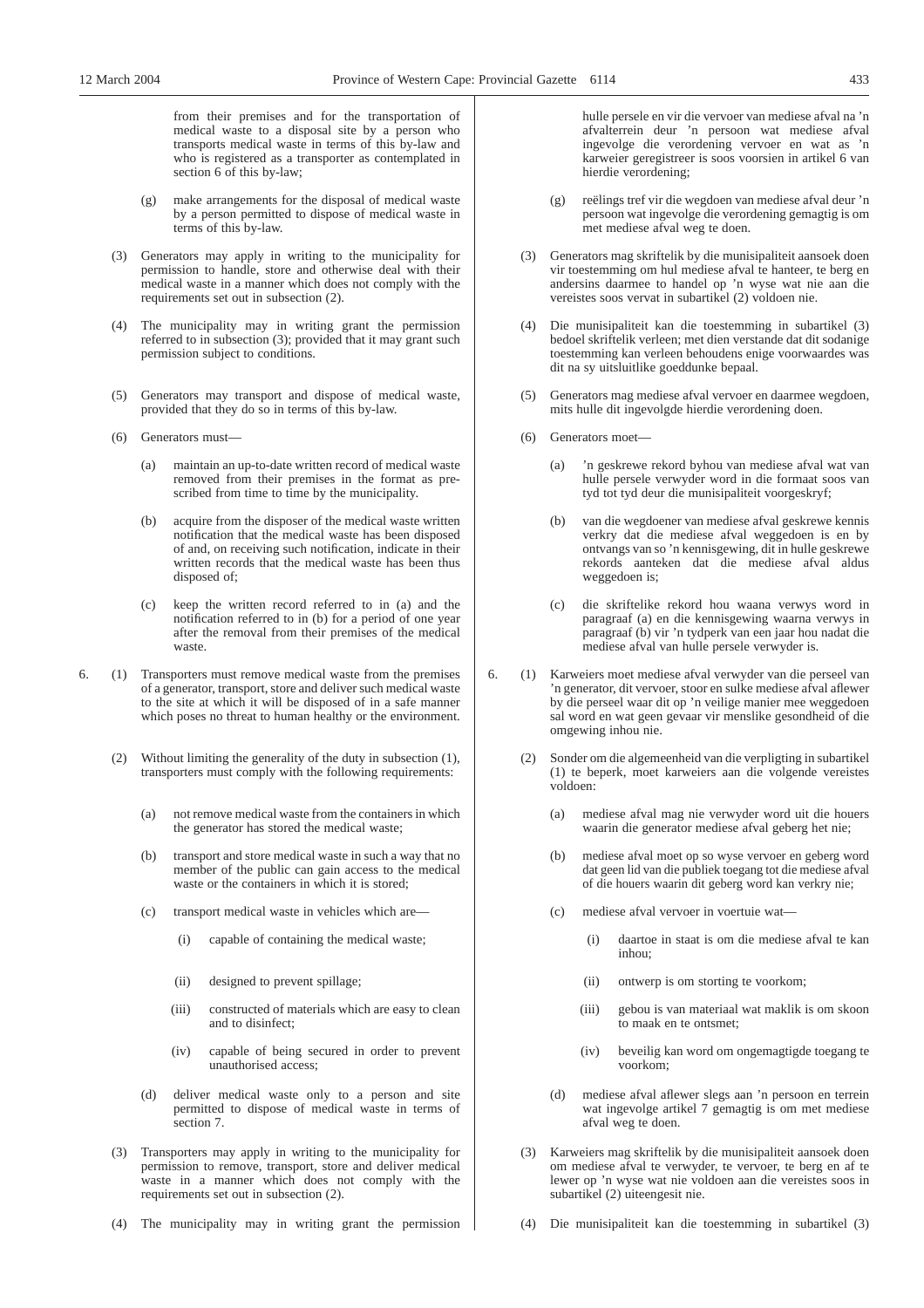from their premises and for the transportation of medical waste to a disposal site by a person who transports medical waste in terms of this by-law and who is registered as a transporter as contemplated in section 6 of this by-law;

- (g) make arrangements for the disposal of medical waste by a person permitted to dispose of medical waste in terms of this by-law.
- (3) Generators may apply in writing to the municipality for permission to handle, store and otherwise deal with their medical waste in a manner which does not comply with the requirements set out in subsection (2).
- (4) The municipality may in writing grant the permission referred to in subsection (3); provided that it may grant such permission subject to conditions.
- (5) Generators may transport and dispose of medical waste, provided that they do so in terms of this by-law.
- (6) Generators must—
	- (a) maintain an up-to-date written record of medical waste removed from their premises in the format as prescribed from time to time by the municipality.
	- (b) acquire from the disposer of the medical waste written notification that the medical waste has been disposed of and, on receiving such notification, indicate in their written records that the medical waste has been thus disposed of;
	- (c) keep the written record referred to in (a) and the notification referred to in (b) for a period of one year after the removal from their premises of the medical waste.
- 6. (1) Transporters must remove medical waste from the premises of a generator, transport, store and deliver such medical waste to the site at which it will be disposed of in a safe manner which poses no threat to human healthy or the environment.
	- (2) Without limiting the generality of the duty in subsection (1), transporters must comply with the following requirements:
		- (a) not remove medical waste from the containers in which the generator has stored the medical waste;
		- (b) transport and store medical waste in such a way that no member of the public can gain access to the medical waste or the containers in which it is stored;
		- (c) transport medical waste in vehicles which are—
			- (i) capable of containing the medical waste;
			- (ii) designed to prevent spillage;
			- (iii) constructed of materials which are easy to clean and to disinfect;
			- (iv) capable of being secured in order to prevent unauthorised access;
		- (d) deliver medical waste only to a person and site permitted to dispose of medical waste in terms of section 7.
	- (3) Transporters may apply in writing to the municipality for permission to remove, transport, store and deliver medical waste in a manner which does not comply with the requirements set out in subsection (2).
	- (4) The municipality may in writing grant the permission

hulle persele en vir die vervoer van mediese afval na 'n afvalterrein deur 'n persoon wat mediese afval ingevolge die verordening vervoer en wat as 'n karweier geregistreer is soos voorsien in artikel 6 van hierdie verordening;

- (g) reëlings tref vir die wegdoen van mediese afval deur 'n persoon wat ingevolge die verordening gemagtig is om met mediese afval weg te doen.
- (3) Generators mag skriftelik by die munisipaliteit aansoek doen vir toestemming om hul mediese afval te hanteer, te berg en andersins daarmee to handel op 'n wyse wat nie aan die vereistes soos vervat in subartikel (2) voldoen nie.
- (4) Die munisipaliteit kan die toestemming in subartikel (3) bedoel skriftelik verleen; met dien verstande dat dit sodanige toestemming kan verleen behoudens enige voorwaardes was dit na sy uitsluitlike goeddunke bepaal.
- Generators mag mediese afval vervoer en daarmee wegdoen, mits hulle dit ingevolgde hierdie verordening doen.
- (6) Generators moet—
	- (a) 'n geskrewe rekord byhou van mediese afval wat van hulle persele verwyder word in die formaat soos van tyd tot tyd deur die munisipaliteit voorgeskryf;
	- (b) van die wegdoener van mediese afval geskrewe kennis verkry dat die mediese afval weggedoen is en by ontvangs van so 'n kennisgewing, dit in hulle geskrewe rekords aanteken dat die mediese afval aldus weggedoen is;
	- (c) die skriftelike rekord hou waana verwys word in paragraaf (a) en die kennisgewing waarna verwys in paragraaf (b) vir 'n tydperk van een jaar hou nadat die mediese afval van hulle persele verwyder is.
- 6. (1) Karweiers moet mediese afval verwyder van die perseel van 'n generator, dit vervoer, stoor en sulke mediese afval aflewer by die perseel waar dit op 'n veilige manier mee weggedoen sal word en wat geen gevaar vir menslike gesondheid of die omgewing inhou nie.
	- (2) Sonder om die algemeenheid van die verpligting in subartikel (1) te beperk, moet karweiers aan die volgende vereistes voldoen:
		- (a) mediese afval mag nie verwyder word uit die houers waarin die generator mediese afval geberg het nie;
		- (b) mediese afval moet op so wyse vervoer en geberg word dat geen lid van die publiek toegang tot die mediese afval of die houers waarin dit geberg word kan verkry nie;
		- (c) mediese afval vervoer in voertuie wat—
			- (i) daartoe in staat is om die mediese afval te kan inhou;
			- (ii) ontwerp is om storting te voorkom;
			- (iii) gebou is van materiaal wat maklik is om skoon to maak en te ontsmet;
			- (iv) beveilig kan word om ongemagtigde toegang te voorkom;
		- (d) mediese afval aflewer slegs aan 'n persoon en terrein wat ingevolge artikel 7 gemagtig is om met mediese afval weg te doen.
	- (3) Karweiers mag skriftelik by die munisipaliteit aansoek doen om mediese afval te verwyder, te vervoer, te berg en af te lewer op 'n wyse wat nie voldoen aan die vereistes soos in subartikel (2) uiteengesit nie.
	- (4) Die munisipaliteit kan die toestemming in subartikel (3)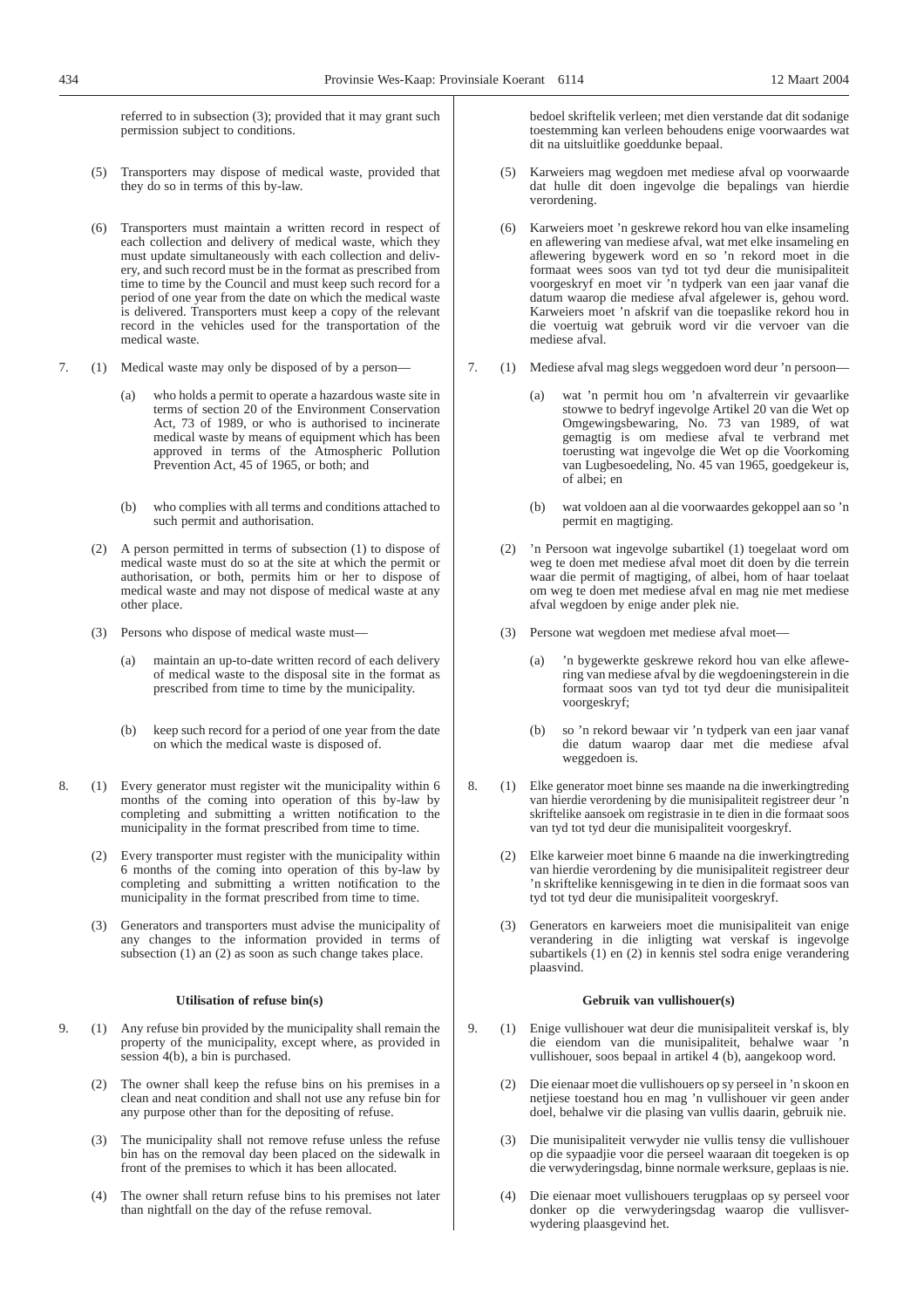referred to in subsection (3); provided that it may grant such permission subject to conditions.

- (5) Transporters may dispose of medical waste, provided that they do so in terms of this by-law.
- (6) Transporters must maintain a written record in respect of each collection and delivery of medical waste, which they must update simultaneously with each collection and delivery, and such record must be in the format as prescribed from time to time by the Council and must keep such record for a period of one year from the date on which the medical waste is delivered. Transporters must keep a copy of the relevant record in the vehicles used for the transportation of the medical waste.
- 7. (1) Medical waste may only be disposed of by a person—
	- (a) who holds a permit to operate a hazardous waste site in terms of section 20 of the Environment Conservation Act, 73 of 1989, or who is authorised to incinerate medical waste by means of equipment which has been approved in terms of the Atmospheric Pollution Prevention Act, 45 of 1965, or both; and
	- (b) who complies with all terms and conditions attached to such permit and authorisation.
	- (2) A person permitted in terms of subsection (1) to dispose of medical waste must do so at the site at which the permit or authorisation, or both, permits him or her to dispose of medical waste and may not dispose of medical waste at any other place.
	- (3) Persons who dispose of medical waste must—
		- (a) maintain an up-to-date written record of each delivery of medical waste to the disposal site in the format as prescribed from time to time by the municipality.
		- (b) keep such record for a period of one year from the date on which the medical waste is disposed of.
- 8. (1) Every generator must register wit the municipality within 6 months of the coming into operation of this by-law by completing and submitting a written notification to the municipality in the format prescribed from time to time.
	- (2) Every transporter must register with the municipality within 6 months of the coming into operation of this by-law by completing and submitting a written notification to the municipality in the format prescribed from time to time.
	- (3) Generators and transporters must advise the municipality of any changes to the information provided in terms of subsection (1) an (2) as soon as such change takes place.

#### **Utilisation of refuse bin(s)**

- 9. (1) Any refuse bin provided by the municipality shall remain the property of the municipality, except where, as provided in session 4(b), a bin is purchased.
	- (2) The owner shall keep the refuse bins on his premises in a clean and neat condition and shall not use any refuse bin for any purpose other than for the depositing of refuse.
	- (3) The municipality shall not remove refuse unless the refuse bin has on the removal day been placed on the sidewalk in front of the premises to which it has been allocated.
	- (4) The owner shall return refuse bins to his premises not later than nightfall on the day of the refuse removal.

bedoel skriftelik verleen; met dien verstande dat dit sodanige toestemming kan verleen behoudens enige voorwaardes wat dit na uitsluitlike goeddunke bepaal.

- (5) Karweiers mag wegdoen met mediese afval op voorwaarde dat hulle dit doen ingevolge die bepalings van hierdie verordening.
- (6) Karweiers moet 'n geskrewe rekord hou van elke insameling en aflewering van mediese afval, wat met elke insameling en aflewering bygewerk word en so 'n rekord moet in die formaat wees soos van tyd tot tyd deur die munisipaliteit voorgeskryf en moet vir 'n tydperk van een jaar vanaf die datum waarop die mediese afval afgelewer is, gehou word. Karweiers moet 'n afskrif van die toepaslike rekord hou in die voertuig wat gebruik word vir die vervoer van die mediese afval.
- 7. (1) Mediese afval mag slegs weggedoen word deur 'n persoon—
	- (a) wat 'n permit hou om 'n afvalterrein vir gevaarlike stowwe to bedryf ingevolge Artikel 20 van die Wet op Omgewingsbewaring, No. 73 van 1989, of wat gemagtig is om mediese afval te verbrand met toerusting wat ingevolge die Wet op die Voorkoming van Lugbesoedeling, No. 45 van 1965, goedgekeur is, of albei; en
	- (b) wat voldoen aan al die voorwaardes gekoppel aan so 'n permit en magtiging.
	- (2) 'n Persoon wat ingevolge subartikel (1) toegelaat word om weg te doen met mediese afval moet dit doen by die terrein waar die permit of magtiging, of albei, hom of haar toelaat om weg te doen met mediese afval en mag nie met mediese afval wegdoen by enige ander plek nie.
	- (3) Persone wat wegdoen met mediese afval moet—
		- (a) 'n bygewerkte geskrewe rekord hou van elke aflewering van mediese afval by die wegdoeningsterein in die formaat soos van tyd tot tyd deur die munisipaliteit voorgeskryf;
		- (b) so 'n rekord bewaar vir 'n tydperk van een jaar vanaf die datum waarop daar met die mediese afval weggedoen is.
- 8. (1) Elke generator moet binne ses maande na die inwerkingtreding van hierdie verordening by die munisipaliteit registreer deur 'n skriftelike aansoek om registrasie in te dien in die formaat soos van tyd tot tyd deur die munisipaliteit voorgeskryf.
	- (2) Elke karweier moet binne 6 maande na die inwerkingtreding van hierdie verordening by die munisipaliteit registreer deur 'n skriftelike kennisgewing in te dien in die formaat soos van tyd tot tyd deur die munisipaliteit voorgeskryf.
	- (3) Generators en karweiers moet die munisipaliteit van enige verandering in die inligting wat verskaf is ingevolge subartikels (1) en (2) in kennis stel sodra enige verandering plaasvind.

#### **Gebruik van vullishouer(s)**

- 9. (1) Enige vullishouer wat deur die munisipaliteit verskaf is, bly die eiendom van die munisipaliteit, behalwe waar 'n vullishouer, soos bepaal in artikel 4 (b), aangekoop word.
	- (2) Die eienaar moet die vullishouers op sy perseel in 'n skoon en netjiese toestand hou en mag 'n vullishouer vir geen ander doel, behalwe vir die plasing van vullis daarin, gebruik nie.
	- (3) Die munisipaliteit verwyder nie vullis tensy die vullishouer op die sypaadjie voor die perseel waaraan dit toegeken is op die verwyderingsdag, binne normale werksure, geplaas is nie.
	- (4) Die eienaar moet vullishouers terugplaas op sy perseel voor donker op die verwyderingsdag waarop die vullisverwydering plaasgevind het.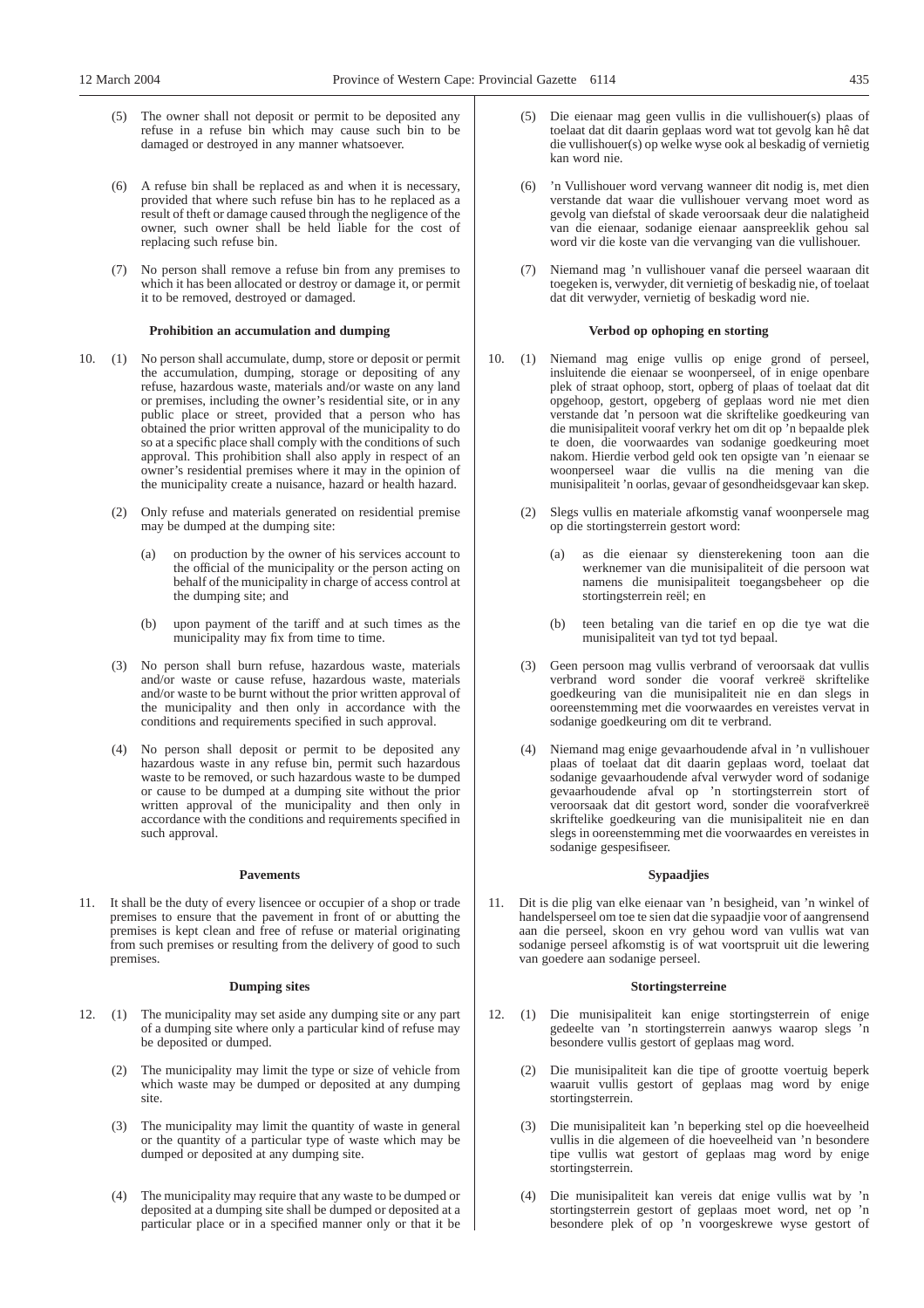- (5) The owner shall not deposit or permit to be deposited any refuse in a refuse bin which may cause such bin to be damaged or destroyed in any manner whatsoever.
- (6) A refuse bin shall be replaced as and when it is necessary, provided that where such refuse bin has to he replaced as a result of theft or damage caused through the negligence of the owner, such owner shall be held liable for the cost of replacing such refuse bin.
- (7) No person shall remove a refuse bin from any premises to which it has been allocated or destroy or damage it, or permit it to be removed, destroyed or damaged.

# **Prohibition an accumulation and dumping**

- 10. (1) No person shall accumulate, dump, store or deposit or permit the accumulation, dumping, storage or depositing of any refuse, hazardous waste, materials and/or waste on any land or premises, including the owner's residential site, or in any public place or street, provided that a person who has obtained the prior written approval of the municipality to do so at a specific place shall comply with the conditions of such approval. This prohibition shall also apply in respect of an owner's residential premises where it may in the opinion of the municipality create a nuisance, hazard or health hazard.
	- (2) Only refuse and materials generated on residential premise may be dumped at the dumping site:
		- (a) on production by the owner of his services account to the official of the municipality or the person acting on behalf of the municipality in charge of access control at the dumping site; and
		- (b) upon payment of the tariff and at such times as the municipality may fix from time to time.
	- (3) No person shall burn refuse, hazardous waste, materials and/or waste or cause refuse, hazardous waste, materials and/or waste to be burnt without the prior written approval of the municipality and then only in accordance with the conditions and requirements specified in such approval.
	- (4) No person shall deposit or permit to be deposited any hazardous waste in any refuse bin, permit such hazardous waste to be removed, or such hazardous waste to be dumped or cause to be dumped at a dumping site without the prior written approval of the municipality and then only in accordance with the conditions and requirements specified in such approval.

# **Pavements**

11. It shall be the duty of every lisencee or occupier of a shop or trade premises to ensure that the pavement in front of or abutting the premises is kept clean and free of refuse or material originating from such premises or resulting from the delivery of good to such premises.

# **Dumping sites**

- 12. (1) The municipality may set aside any dumping site or any part of a dumping site where only a particular kind of refuse may be deposited or dumped.
	- (2) The municipality may limit the type or size of vehicle from which waste may be dumped or deposited at any dumping site.
	- (3) The municipality may limit the quantity of waste in general or the quantity of a particular type of waste which may be dumped or deposited at any dumping site.
	- (4) The municipality may require that any waste to be dumped or deposited at a dumping site shall be dumped or deposited at a particular place or in a specified manner only or that it be
- (5) Die eienaar mag geen vullis in die vullishouer(s) plaas of toelaat dat dit daarin geplaas word wat tot gevolg kan hê dat die vullishouer(s) op welke wyse ook al beskadig of vernietig kan word nie.
- (6) 'n Vullishouer word vervang wanneer dit nodig is, met dien verstande dat waar die vullishouer vervang moet word as gevolg van diefstal of skade veroorsaak deur die nalatigheid van die eienaar, sodanige eienaar aanspreeklik gehou sal word vir die koste van die vervanging van die vullishouer.
- (7) Niemand mag 'n vullishouer vanaf die perseel waaraan dit toegeken is, verwyder, dit vernietig of beskadig nie, of toelaat dat dit verwyder, vernietig of beskadig word nie.

# **Verbod op ophoping en storting**

- 10. (1) Niemand mag enige vullis op enige grond of perseel, insluitende die eienaar se woonperseel, of in enige openbare plek of straat ophoop, stort, opberg of plaas of toelaat dat dit opgehoop, gestort, opgeberg of geplaas word nie met dien verstande dat 'n persoon wat die skriftelike goedkeuring van die munisipaliteit vooraf verkry het om dit op 'n bepaalde plek te doen, die voorwaardes van sodanige goedkeuring moet nakom. Hierdie verbod geld ook ten opsigte van 'n eienaar se woonperseel waar die vullis na die mening van die munisipaliteit 'n oorlas, gevaar of gesondheidsgevaar kan skep.
	- (2) Slegs vullis en materiale afkomstig vanaf woonpersele mag op die stortingsterrein gestort word:
		- (a) as die eienaar sy diensterekening toon aan die werknemer van die munisipaliteit of die persoon wat namens die munisipaliteit toegangsbeheer op die stortingsterrein reël; en
		- (b) teen betaling van die tarief en op die tye wat die munisipaliteit van tyd tot tyd bepaal.
	- (3) Geen persoon mag vullis verbrand of veroorsaak dat vullis verbrand word sonder die vooraf verkreë skriftelike goedkeuring van die munisipaliteit nie en dan slegs in ooreenstemming met die voorwaardes en vereistes vervat in sodanige goedkeuring om dit te verbrand.
	- (4) Niemand mag enige gevaarhoudende afval in 'n vullishouer plaas of toelaat dat dit daarin geplaas word, toelaat dat sodanige gevaarhoudende afval verwyder word of sodanige gevaarhoudende afval op 'n stortingsterrein stort of veroorsaak dat dit gestort word, sonder die voorafverkreë skriftelike goedkeuring van die munisipaliteit nie en dan slegs in ooreenstemming met die voorwaardes en vereistes in sodanige gespesifiseer.

### **Sypaadjies**

11. Dit is die plig van elke eienaar van 'n besigheid, van 'n winkel of handelsperseel om toe te sien dat die sypaadjie voor of aangrensend aan die perseel, skoon en vry gehou word van vullis wat van sodanige perseel afkomstig is of wat voortspruit uit die lewering van goedere aan sodanige perseel.

#### **Stortingsterreine**

- 12. (1) Die munisipaliteit kan enige stortingsterrein of enige gedeelte van 'n stortingsterrein aanwys waarop slegs 'n besondere vullis gestort of geplaas mag word.
	- (2) Die munisipaliteit kan die tipe of grootte voertuig beperk waaruit vullis gestort of geplaas mag word by enige stortingsterrein.
	- (3) Die munisipaliteit kan 'n beperking stel op die hoeveelheid vullis in die algemeen of die hoeveelheid van 'n besondere tipe vullis wat gestort of geplaas mag word by enige stortingsterrein.
	- (4) Die munisipaliteit kan vereis dat enige vullis wat by 'n stortingsterrein gestort of geplaas moet word, net op 'n besondere plek of op 'n voorgeskrewe wyse gestort of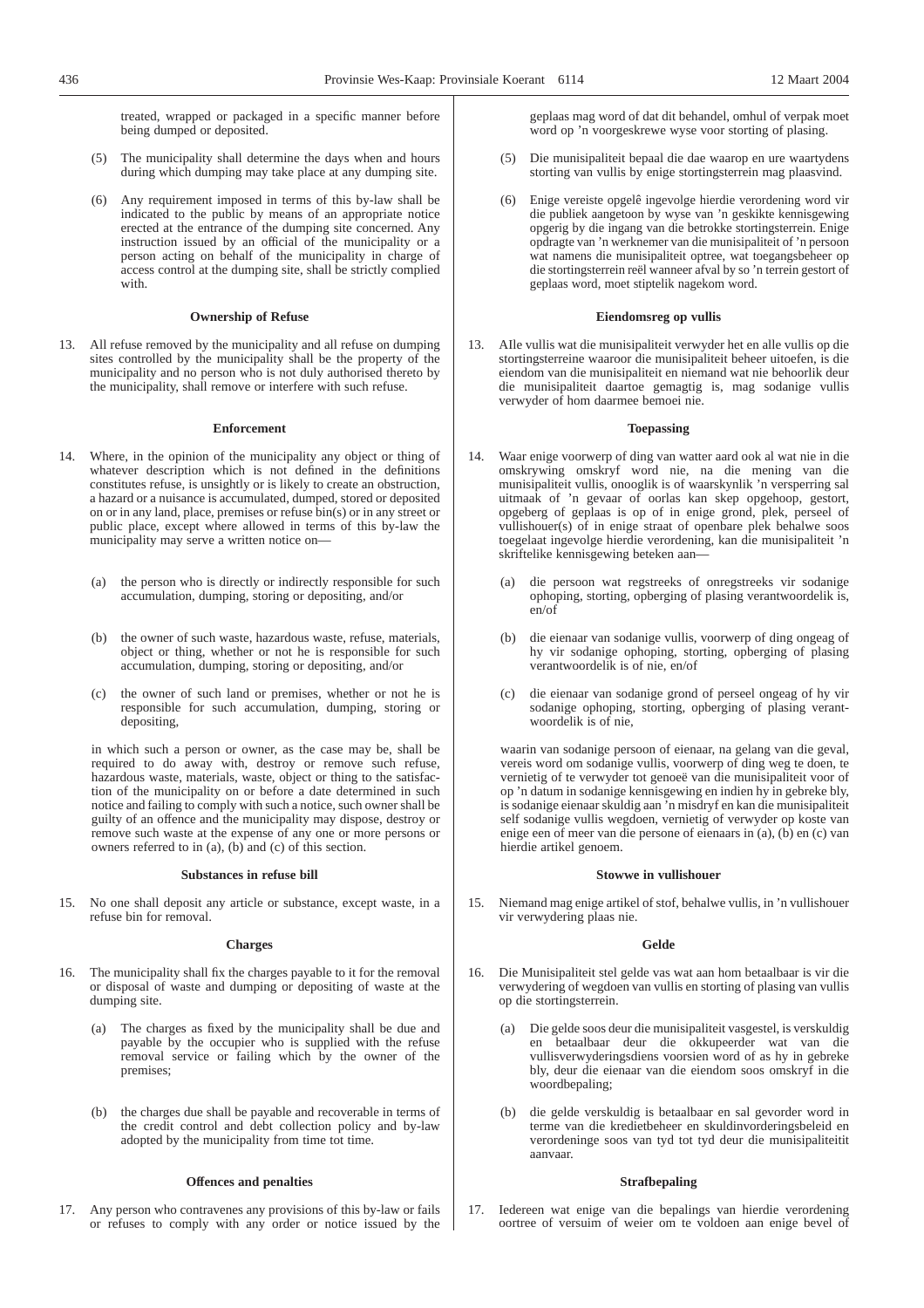treated, wrapped or packaged in a specific manner before being dumped or deposited.

- (5) The municipality shall determine the days when and hours during which dumping may take place at any dumping site.
- (6) Any requirement imposed in terms of this by-law shall be indicated to the public by means of an appropriate notice erected at the entrance of the dumping site concerned. Any instruction issued by an official of the municipality or a person acting on behalf of the municipality in charge of access control at the dumping site, shall be strictly complied with.

#### **Ownership of Refuse**

13. All refuse removed by the municipality and all refuse on dumping sites controlled by the municipality shall be the property of the municipality and no person who is not duly authorised thereto by the municipality, shall remove or interfere with such refuse.

#### **Enforcement**

- 14. Where, in the opinion of the municipality any object or thing of whatever description which is not defined in the definitions constitutes refuse, is unsightly or is likely to create an obstruction, a hazard or a nuisance is accumulated, dumped, stored or deposited on or in any land, place, premises or refuse bin(s) or in any street or public place, except where allowed in terms of this by-law the municipality may serve a written notice on—
	- (a) the person who is directly or indirectly responsible for such accumulation, dumping, storing or depositing, and/or
	- (b) the owner of such waste, hazardous waste, refuse, materials, object or thing, whether or not he is responsible for such accumulation, dumping, storing or depositing, and/or
	- (c) the owner of such land or premises, whether or not he is responsible for such accumulation, dumping, storing or depositing,

in which such a person or owner, as the case may be, shall be required to do away with, destroy or remove such refuse, hazardous waste, materials, waste, object or thing to the satisfaction of the municipality on or before a date determined in such notice and failing to comply with such a notice, such owner shall be guilty of an offence and the municipality may dispose, destroy or remove such waste at the expense of any one or more persons or owners referred to in (a), (b) and (c) of this section.

#### **Substances in refuse bill**

15. No one shall deposit any article or substance, except waste, in a refuse bin for removal.

## **Charges**

- 16. The municipality shall fix the charges payable to it for the removal or disposal of waste and dumping or depositing of waste at the dumping site.
	- (a) The charges as fixed by the municipality shall be due and payable by the occupier who is supplied with the refuse removal service or failing which by the owner of the premises;
	- (b) the charges due shall be payable and recoverable in terms of the credit control and debt collection policy and by-law adopted by the municipality from time tot time.

## **Offences and penalties**

17. Any person who contravenes any provisions of this by-law or fails or refuses to comply with any order or notice issued by the geplaas mag word of dat dit behandel, omhul of verpak moet word op 'n voorgeskrewe wyse voor storting of plasing.

- (5) Die munisipaliteit bepaal die dae waarop en ure waartydens storting van vullis by enige stortingsterrein mag plaasvind.
- (6) Enige vereiste opgelê ingevolge hierdie verordening word vir die publiek aangetoon by wyse van 'n geskikte kennisgewing opgerig by die ingang van die betrokke stortingsterrein. Enige opdragte van 'n werknemer van die munisipaliteit of 'n persoon wat namens die munisipaliteit optree, wat toegangsbeheer op die stortingsterrein reël wanneer afval by so 'n terrein gestort of geplaas word, moet stiptelik nagekom word.

#### **Eiendomsreg op vullis**

13. AIle vullis wat die munisipaliteit verwyder het en alle vullis op die stortingsterreine waaroor die munisipaliteit beheer uitoefen, is die eiendom van die munisipaliteit en niemand wat nie behoorlik deur die munisipaliteit daartoe gemagtig is, mag sodanige vullis verwyder of hom daarmee bemoei nie.

## **Toepassing**

- 14. Waar enige voorwerp of ding van watter aard ook al wat nie in die omskrywing omskryf word nie, na die mening van die munisipaliteit vullis, onooglik is of waarskynlik 'n versperring sal uitmaak of 'n gevaar of oorlas kan skep opgehoop, gestort, opgeberg of geplaas is op of in enige grond, plek, perseel of vullishouer(s) of in enige straat of openbare plek behalwe soos toegelaat ingevolge hierdie verordening, kan die munisipaliteit 'n skriftelike kennisgewing beteken aan—
	- (a) die persoon wat regstreeks of onregstreeks vir sodanige ophoping, storting, opberging of plasing verantwoordelik is, en/of
	- (b) die eienaar van sodanige vullis, voorwerp of ding ongeag of hy vir sodanige ophoping, storting, opberging of plasing verantwoordelik is of nie, en/of
	- (c) die eienaar van sodanige grond of perseel ongeag of hy vir sodanige ophoping, storting, opberging of plasing verantwoordelik is of nie,

waarin van sodanige persoon of eienaar, na gelang van die geval, vereis word om sodanige vullis, voorwerp of ding weg te doen, te vernietig of te verwyder tot genoeë van die munisipaliteit voor of op 'n datum in sodanige kennisgewing en indien hy in gebreke bly, is sodanige eienaar skuldig aan 'n misdryf en kan die munisipaliteit self sodanige vullis wegdoen, vernietig of verwyder op koste van enige een of meer van die persone of eienaars in (a), (b) en (c) van hierdie artikel genoem.

#### **Stowwe in vullishouer**

15. Niemand mag enige artikel of stof, behalwe vullis, in 'n vullishouer vir verwydering plaas nie.

## **Gelde**

- 16. Die Munisipaliteit stel gelde vas wat aan hom betaalbaar is vir die verwydering of wegdoen van vullis en storting of plasing van vullis op die stortingsterrein.
	- (a) Die gelde soos deur die munisipaliteit vasgestel, is verskuldig en betaalbaar deur die okkupeerder wat van die vullisverwyderingsdiens voorsien word of as hy in gebreke bly, deur die eienaar van die eiendom soos omskryf in die woordbepaling;
	- die gelde verskuldig is betaalbaar en sal gevorder word in terme van die kredietbeheer en skuldinvorderingsbeleid en verordeninge soos van tyd tot tyd deur die munisipaliteitit aanvaar.

#### **Strafbepaling**

17. Iedereen wat enige van die bepalings van hierdie verordening oortree of versuim of weier om te voldoen aan enige bevel of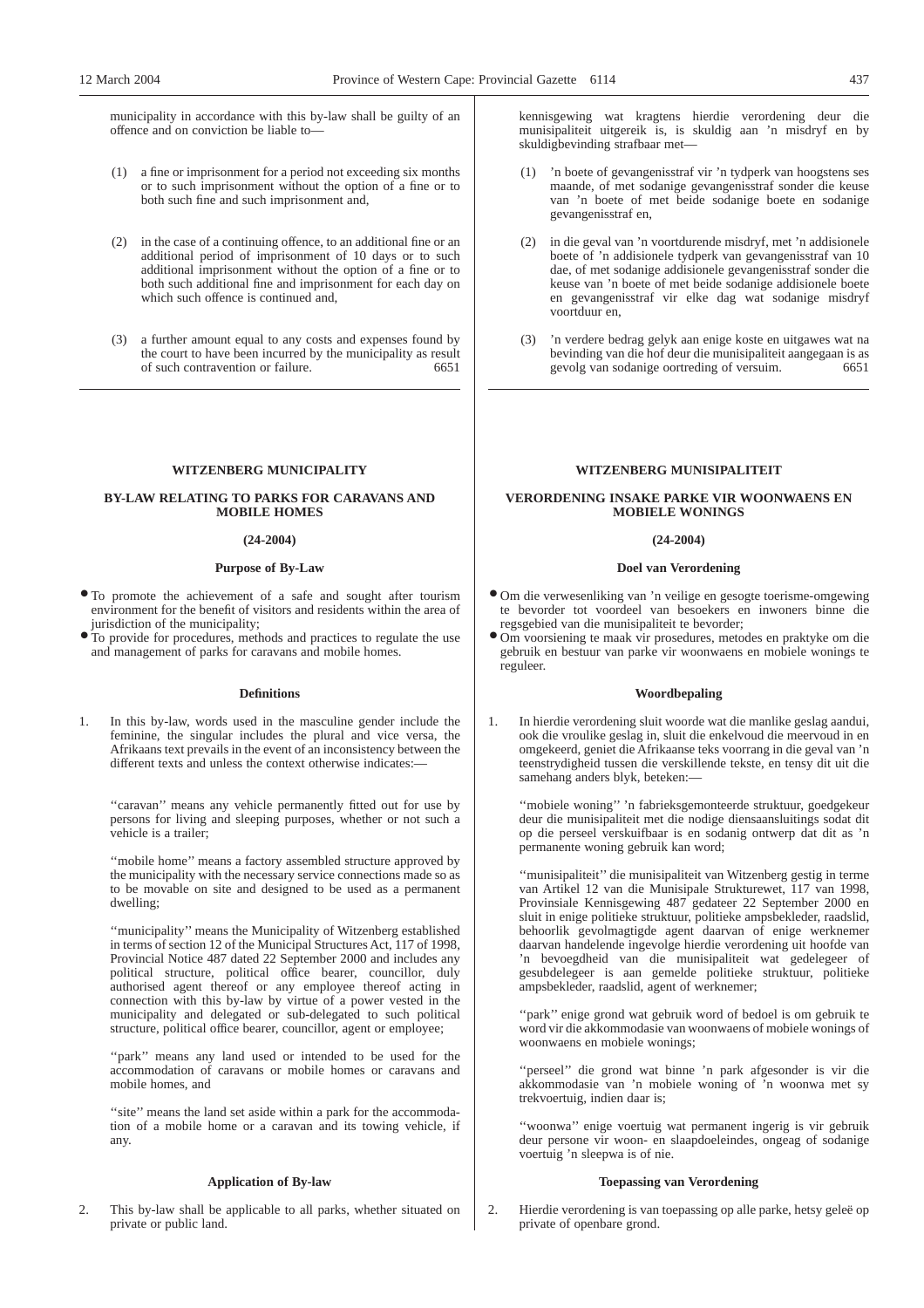municipality in accordance with this by-law shall be guilty of an offence and on conviction be liable to—

- (1) a fine or imprisonment for a period not exceeding six months or to such imprisonment without the option of a fine or to both such fine and such imprisonment and,
- (2) in the case of a continuing offence, to an additional fine or an additional period of imprisonment of 10 days or to such additional imprisonment without the option of a fine or to both such additional fine and imprisonment for each day on which such offence is continued and,
- (3) a further amount equal to any costs and expenses found by the court to have been incurred by the municipality as result of such contravention or failure. 6651

#### **WITZENBERG MUNICIPALITY**

## **BY-LAW RELATING TO PARKS FOR CARAVANS AND MOBILE HOMES**

#### **(24-2004)**

# **Purpose of By-Law**

- To promote the achievement of a safe and sought after tourism environment for the benefit of visitors and residents within the area of jurisdiction of the municipality;
- To provide for procedures, methods and practices to regulate the use and management of parks for caravans and mobile homes.

#### **Definitions**

1. In this by-law, words used in the masculine gender include the feminine, the singular includes the plural and vice versa, the Afrikaans text prevails in the event of an inconsistency between the different texts and unless the context otherwise indicates:

"caravan" means any vehicle permanently fitted out for use by persons for living and sleeping purposes, whether or not such a vehicle is a trailer;

''mobile home'' means a factory assembled structure approved by the municipality with the necessary service connections made so as to be movable on site and designed to be used as a permanent dwelling;

''municipality'' means the Municipality of Witzenberg established in terms of section 12 of the Municipal Structures Act, 117 of 1998, Provincial Notice 487 dated 22 September 2000 and includes any political structure, political office bearer, councillor, duly authorised agent thereof or any employee thereof acting in connection with this by-law by virtue of a power vested in the municipality and delegated or sub-delegated to such political structure, political office bearer, councillor, agent or employee;

"park" means any land used or intended to be used for the accommodation of caravans or mobile homes or caravans and mobile homes, and

"site" means the land set aside within a park for the accommodation of a mobile home or a caravan and its towing vehicle, if any.

## **Application of By-law**

2. This by-law shall be applicable to all parks, whether situated on private or public land.

kennisgewing wat kragtens hierdie verordening deur die munisipaliteit uitgereik is, is skuldig aan 'n misdryf en by skuldigbevinding strafbaar met—

- 'n boete of gevangenisstraf vir 'n tydperk van hoogstens ses maande, of met sodanige gevangenisstraf sonder die keuse van 'n boete of met beide sodanige boete en sodanige gevangenisstraf en,
- (2) in die geval van 'n voortdurende misdryf, met 'n addisionele boete of 'n addisionele tydperk van gevangenisstraf van 10 dae, of met sodanige addisionele gevangenisstraf sonder die keuse van 'n boete of met beide sodanige addisionele boete en gevangenisstraf vir elke dag wat sodanige misdryf voortduur en,
- (3) 'n verdere bedrag gelyk aan enige koste en uitgawes wat na bevinding van die hof deur die munisipaliteit aangegaan is as gevolg van sodanige oortreding of versuim. 6651

#### **WITZENBERG MUNISIPALITEIT**

## **VERORDENING INSAKE PARKE VIR WOONWAENS EN MOBIELE WONINGS**

#### **(24-2004)**

## **Doel van Verordening**

- Om die verwesenliking van 'n veilige en gesogte toerisme-omgewing te bevorder tot voordeel van besoekers en inwoners binne die regsgebied van die munisipaliteit te bevorder;
- Om voorsiening te maak vir prosedures, metodes en praktyke om die gebruik en bestuur van parke vir woonwaens en mobiele wonings te reguleer.

#### **Woordbepaling**

1. In hierdie verordening sluit woorde wat die manlike geslag aandui, ook die vroulike geslag in, sluit die enkelvoud die meervoud in en omgekeerd, geniet die Afrikaanse teks voorrang in die geval van 'n teenstrydigheid tussen die verskillende tekste, en tensy dit uit die samehang anders blyk, beteken:—

''mobiele woning'' 'n fabrieksgemonteerde struktuur, goedgekeur deur die munisipaliteit met die nodige diensaansluitings sodat dit op die perseel verskuifbaar is en sodanig ontwerp dat dit as 'n permanente woning gebruik kan word;

''munisipaliteit'' die munisipaliteit van Witzenberg gestig in terme van Artikel 12 van die Munisipale Strukturewet, 117 van 1998, Provinsiale Kennisgewing 487 gedateer 22 September 2000 en sluit in enige politieke struktuur, politieke ampsbekleder, raadslid, behoorlik gevolmagtigde agent daarvan of enige werknemer daarvan handelende ingevolge hierdie verordening uit hoofde van 'n bevoegdheid van die munisipaliteit wat gedelegeer of gesubdelegeer is aan gemelde politieke struktuur, politieke ampsbekleder, raadslid, agent of werknemer;

''park'' enige grond wat gebruik word of bedoel is om gebruik te word vir die akkommodasie van woonwaens of mobiele wonings of woonwaens en mobiele wonings;

"perseel" die grond wat binne 'n park afgesonder is vir die akkommodasie van 'n mobiele woning of 'n woonwa met sy trekvoertuig, indien daar is;

''woonwa'' enige voertuig wat permanent ingerig is vir gebruik deur persone vir woon- en slaapdoeleindes, ongeag of sodanige voertuig 'n sleepwa is of nie.

## **Toepassing van Verordening**

2. Hierdie verordening is van toepassing op alle parke, hetsy geleë op private of openbare grond.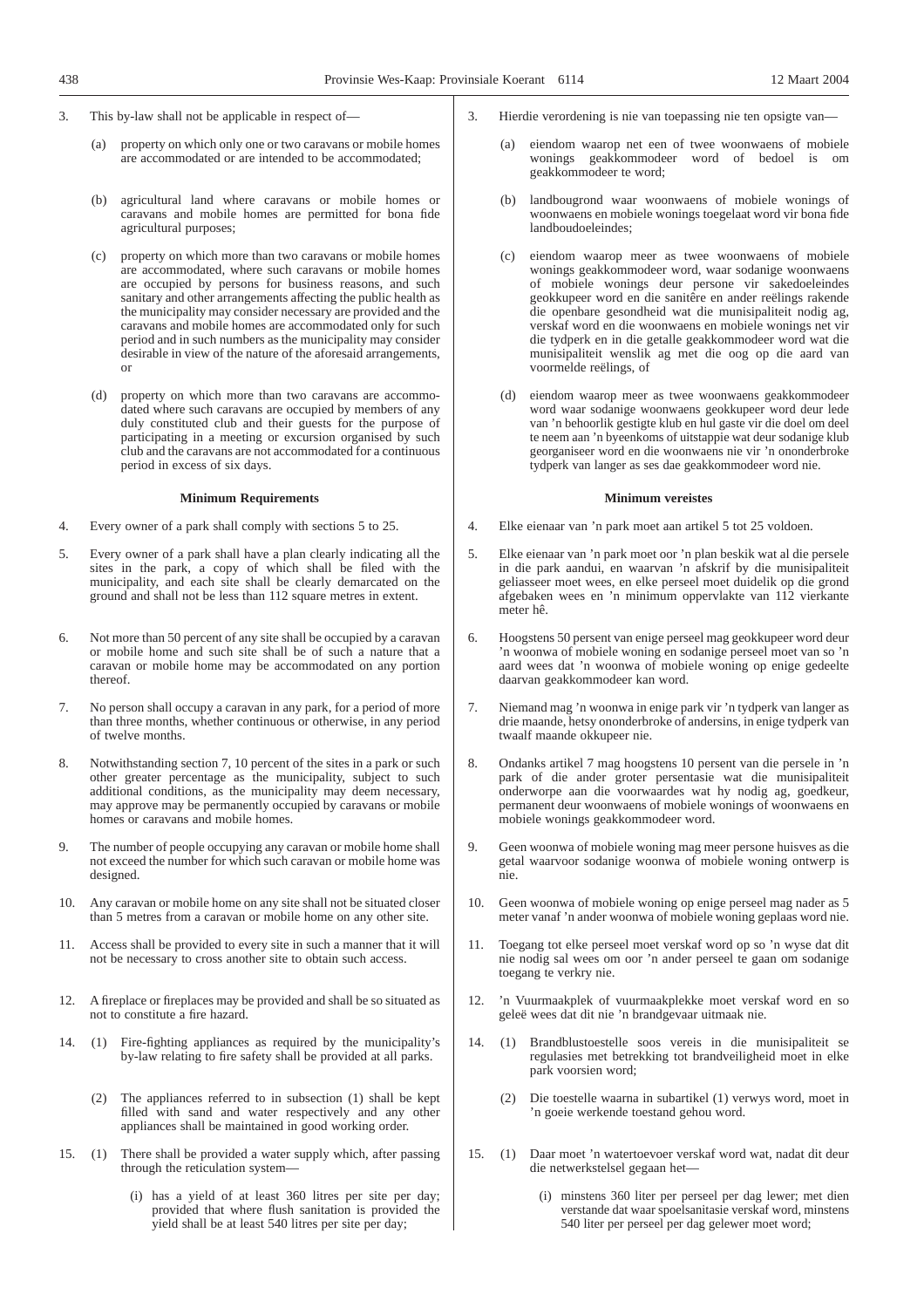- 3. This by-law shall not be applicable in respect of—
	- (a) property on which only one or two caravans or mobile homes are accommodated or are intended to be accommodated;
	- (b) agricultural land where caravans or mobile homes or caravans and mobile homes are permitted for bona fide agricultural purposes;
	- (c) property on which more than two caravans or mobile homes are accommodated, where such caravans or mobile homes are occupied by persons for business reasons, and such sanitary and other arrangements affecting the public health as the municipality may consider necessary are provided and the caravans and mobile homes are accommodated only for such period and in such numbers as the municipality may consider desirable in view of the nature of the aforesaid arrangements, or
	- (d) property on which more than two caravans are accommodated where such caravans are occupied by members of any duly constituted club and their guests for the purpose of participating in a meeting or excursion organised by such club and the caravans are not accommodated for a continuous period in excess of six days.

### **Minimum Requirements**

- 4. Every owner of a park shall comply with sections 5 to 25.
- 5. Every owner of a park shall have a plan clearly indicating all the sites in the park, a copy of which shall be filed with the municipality, and each site shall be clearly demarcated on the ground and shall not be less than 112 square metres in extent.
- 6. Not more than 50 percent of any site shall be occupied by a caravan or mobile home and such site shall be of such a nature that a caravan or mobile home may be accommodated on any portion thereof.
- 7. No person shall occupy a caravan in any park, for a period of more than three months, whether continuous or otherwise, in any period of twelve months.
- 8. Notwithstanding section 7, 10 percent of the sites in a park or such other greater percentage as the municipality, subject to such additional conditions, as the municipality may deem necessary, may approve may be permanently occupied by caravans or mobile homes or caravans and mobile homes.
- 9. The number of people occupying any caravan or mobile home shall not exceed the number for which such caravan or mobile home was designed.
- 10. Any caravan or mobile home on any site shall not be situated closer than 5 metres from a caravan or mobile home on any other site.
- 11. Access shall be provided to every site in such a manner that it will not be necessary to cross another site to obtain such access.
- 12. A fireplace or fireplaces may be provided and shall be so situated as not to constitute a fire hazard.
- 14. (1) Fire-fighting appliances as required by the municipality's by-law relating to fire safety shall be provided at all parks.
	- (2) The appliances referred to in subsection (1) shall be kept filled with sand and water respectively and any other appliances shall be maintained in good working order.
- 15. (1) There shall be provided a water supply which, after passing through the reticulation system—
	- (i) has a yield of at least 360 litres per site per day; provided that where flush sanitation is provided the yield shall be at least 540 litres per site per day;
- 3. Hierdie verordening is nie van toepassing nie ten opsigte van—
	- (a) eiendom waarop net een of twee woonwaens of mobiele wonings geakkommodeer word of bedoel is om geakkommodeer te word;
	- (b) landbougrond waar woonwaens of mobiele wonings of woonwaens en mobiele wonings toegelaat word vir bona fide landboudoeleindes;
	- eiendom waarop meer as twee woonwaens of mobiele wonings geakkommodeer word, waar sodanige woonwaens of mobiele wonings deur persone vir sakedoeleindes geokkupeer word en die sanitêre en ander reëlings rakende die openbare gesondheid wat die munisipaliteit nodig ag, verskaf word en die woonwaens en mobiele wonings net vir die tydperk en in die getalle geakkommodeer word wat die munisipaliteit wenslik ag met die oog op die aard van voormelde reëlings, of
	- (d) eiendom waarop meer as twee woonwaens geakkommodeer word waar sodanige woonwaens geokkupeer word deur lede van 'n behoorlik gestigte klub en hul gaste vir die doel om deel te neem aan 'n byeenkoms of uitstappie wat deur sodanige klub georganiseer word en die woonwaens nie vir 'n ononderbroke tydperk van langer as ses dae geakkommodeer word nie.

### **Minimum vereistes**

- 4. Elke eienaar van 'n park moet aan artikel 5 tot 25 voldoen.
- 5. Elke eienaar van 'n park moet oor 'n plan beskik wat al die persele in die park aandui, en waarvan 'n afskrif by die munisipaliteit geliasseer moet wees, en elke perseel moet duidelik op die grond afgebaken wees en 'n minimum oppervlakte van 112 vierkante meter hê.
- 6. Hoogstens 50 persent van enige perseel mag geokkupeer word deur 'n woonwa of mobiele woning en sodanige perseel moet van so 'n aard wees dat 'n woonwa of mobiele woning op enige gedeelte daarvan geakkommodeer kan word.
- 7. Niemand mag 'n woonwa in enige park vir 'n tydperk van langer as drie maande, hetsy ononderbroke of andersins, in enige tydperk van twaalf maande okkupeer nie.
- 8. Ondanks artikel 7 mag hoogstens 10 persent van die persele in 'n park of die ander groter persentasie wat die munisipaliteit onderworpe aan die voorwaardes wat hy nodig ag, goedkeur, permanent deur woonwaens of mobiele wonings of woonwaens en mobiele wonings geakkommodeer word.
- 9. Geen woonwa of mobiele woning mag meer persone huisves as die getal waarvoor sodanige woonwa of mobiele woning ontwerp is nie.
- 10. Geen woonwa of mobiele woning op enige perseel mag nader as 5 meter vanaf 'n ander woonwa of mobiele woning geplaas word nie.
- 11. Toegang tot elke perseel moet verskaf word op so 'n wyse dat dit nie nodig sal wees om oor 'n ander perseel te gaan om sodanige toegang te verkry nie.
- 12. 'n Vuurmaakplek of vuurmaakplekke moet verskaf word en so geleë wees dat dit nie 'n brandgevaar uitmaak nie.
- 14. (1) Brandblustoestelle soos vereis in die munisipaliteit se regulasies met betrekking tot brandveiligheid moet in elke park voorsien word;
	- (2) Die toestelle waarna in subartikel (1) verwys word, moet in 'n goeie werkende toestand gehou word.
- 15. (1) Daar moet 'n watertoevoer verskaf word wat, nadat dit deur die netwerkstelsel gegaan het—
	- (i) minstens 360 liter per perseel per dag lewer; met dien verstande dat waar spoelsanitasie verskaf word, minstens 540 liter per perseel per dag gelewer moet word;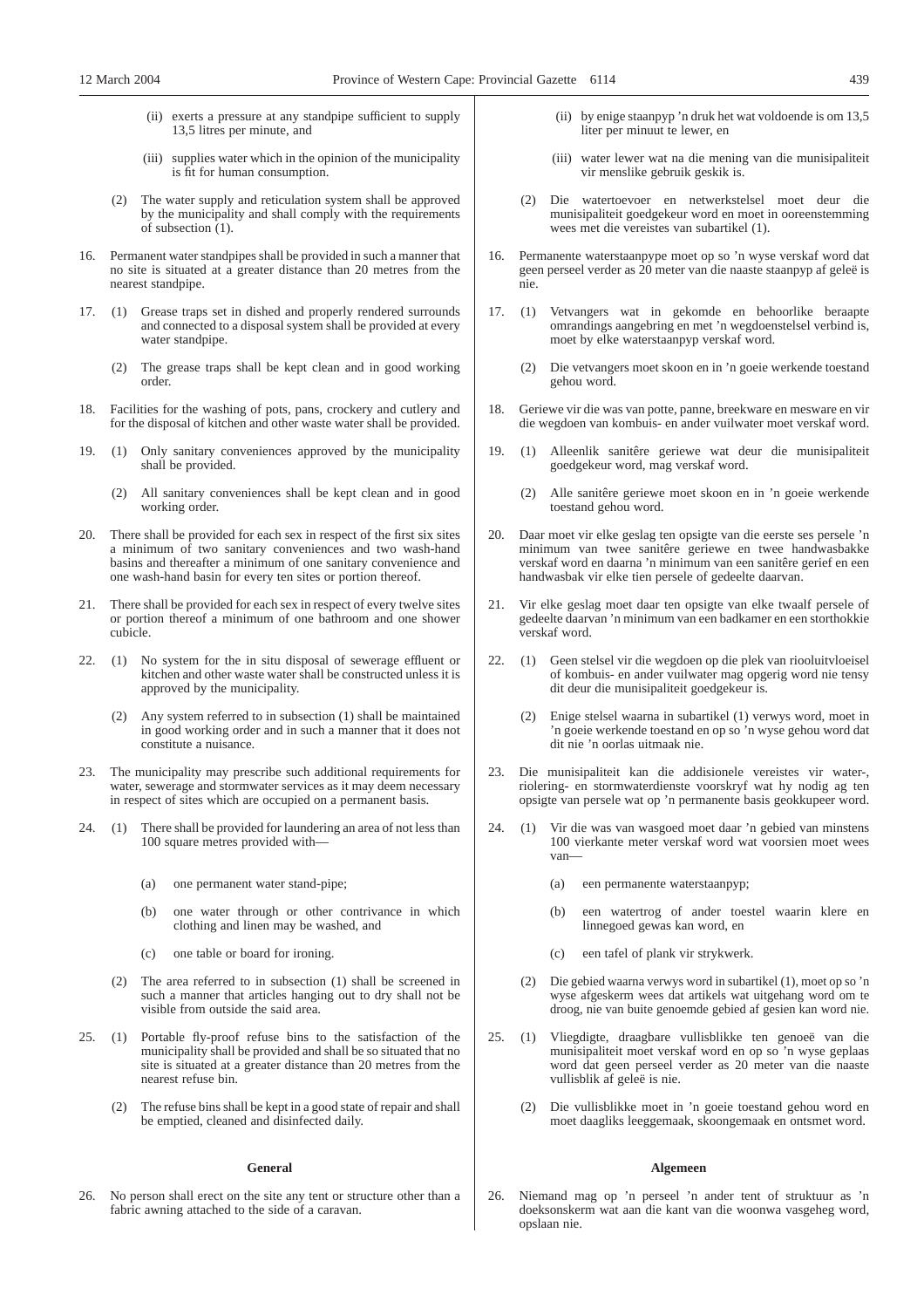- (ii) exerts a pressure at any standpipe sufficient to supply 13,5 litres per minute, and
- (iii) supplies water which in the opinion of the municipality is fit for human consumption.
- (2) The water supply and reticulation system shall be approved by the municipality and shall comply with the requirements of subsection (1).
- Permanent water standpipes shall be provided in such a manner that no site is situated at a greater distance than 20 metres from the nearest standpipe.
- 17. (1) Grease traps set in dished and properly rendered surrounds and connected to a disposal system shall be provided at every water standpipe.
	- (2) The grease traps shall be kept clean and in good working order.
- 18. Facilities for the washing of pots, pans, crockery and cutlery and for the disposal of kitchen and other waste water shall be provided.
- 19. (1) Only sanitary conveniences approved by the municipality shall be provided.
	- (2) All sanitary conveniences shall be kept clean and in good working order.
- 20. There shall be provided for each sex in respect of the first six sites a minimum of two sanitary conveniences and two wash-hand basins and thereafter a minimum of one sanitary convenience and one wash-hand basin for every ten sites or portion thereof.
- 21. There shall be provided for each sex in respect of every twelve sites or portion thereof a minimum of one bathroom and one shower cubicle.
- 22. (1) No system for the in situ disposal of sewerage effluent or kitchen and other waste water shall be constructed unless it is approved by the municipality.
	- (2) Any system referred to in subsection (1) shall be maintained in good working order and in such a manner that it does not constitute a nuisance.
- 23. The municipality may prescribe such additional requirements for water, sewerage and stormwater services as it may deem necessary in respect of sites which are occupied on a permanent basis.
- 24. (1) There shall be provided for laundering an area of not less than 100 square metres provided with—
	- (a) one permanent water stand-pipe;
	- (b) one water through or other contrivance in which clothing and linen may be washed, and
	- (c) one table or board for ironing.
	- (2) The area referred to in subsection (1) shall be screened in such a manner that articles hanging out to dry shall not be visible from outside the said area.
- 25. (1) Portable fly-proof refuse bins to the satisfaction of the municipality shall be provided and shall be so situated that no site is situated at a greater distance than 20 metres from the nearest refuse bin.
	- (2) The refuse bins shall be kept in a good state of repair and shall be emptied, cleaned and disinfected daily.

## **General**

26. No person shall erect on the site any tent or structure other than a fabric awning attached to the side of a caravan.

- (ii) by enige staanpyp 'n druk het wat voldoende is om 13,5 liter per minuut te lewer, en
- (iii) water lewer wat na die mening van die munisipaliteit vir menslike gebruik geskik is.
- (2) Die watertoevoer en netwerkstelsel moet deur die munisipaliteit goedgekeur word en moet in ooreenstemming wees met die vereistes van subartikel (1).
- 16. Permanente waterstaanpype moet op so 'n wyse verskaf word dat geen perseel verder as 20 meter van die naaste staanpyp af geleë is nie.
- 17. (1) Vetvangers wat in gekomde en behoorlike beraapte omrandings aangebring en met 'n wegdoenstelsel verbind is, moet by elke waterstaanpyp verskaf word.
	- (2) Die vetvangers moet skoon en in 'n goeie werkende toestand gehou word.
- 18. Geriewe vir die was van potte, panne, breekware en mesware en vir die wegdoen van kombuis- en ander vuilwater moet verskaf word.
- 19. (1) Alleenlik sanitêre geriewe wat deur die munisipaliteit goedgekeur word, mag verskaf word.
	- (2) Alle sanitêre geriewe moet skoon en in 'n goeie werkende toestand gehou word.
- 20. Daar moet vir elke geslag ten opsigte van die eerste ses persele 'n minimum van twee sanitêre geriewe en twee handwasbakke verskaf word en daarna 'n minimum van een sanitêre gerief en een handwasbak vir elke tien persele of gedeelte daarvan.
- Vir elke geslag moet daar ten opsigte van elke twaalf persele of gedeelte daarvan 'n minimum van een badkamer en een storthokkie verskaf word.
- 22. (1) Geen stelsel vir die wegdoen op die plek van riooluitvloeisel of kombuis- en ander vuilwater mag opgerig word nie tensy dit deur die munisipaliteit goedgekeur is.
	- (2) Enige stelsel waarna in subartikel (1) verwys word, moet in 'n goeie werkende toestand en op so 'n wyse gehou word dat dit nie 'n oorlas uitmaak nie.
- 23. Die munisipaliteit kan die addisionele vereistes vir water-, riolering- en stormwaterdienste voorskryf wat hy nodig ag ten opsigte van persele wat op 'n permanente basis geokkupeer word.
- 24. (1) Vir die was van wasgoed moet daar 'n gebied van minstens 100 vierkante meter verskaf word wat voorsien moet wees van—
	- (a) een permanente waterstaanpyp;
	- (b) een watertrog of ander toestel waarin klere en linnegoed gewas kan word, en
	- (c) een tafel of plank vir strykwerk.
	- (2) Die gebied waarna verwys word in subartikel (1), moet op so 'n wyse afgeskerm wees dat artikels wat uitgehang word om te droog, nie van buite genoemde gebied af gesien kan word nie.
- 25. (1) Vliegdigte, draagbare vullisblikke ten genoeë van die munisipaliteit moet verskaf word en op so 'n wyse geplaas word dat geen perseel verder as 20 meter van die naaste vullisblik af geleë is nie.
	- (2) Die vullisblikke moet in 'n goeie toestand gehou word en moet daagliks leeggemaak, skoongemaak en ontsmet word.

## **Algemeen**

26. Niemand mag op 'n perseel 'n ander tent of struktuur as 'n doeksonskerm wat aan die kant van die woonwa vasgeheg word, opslaan nie.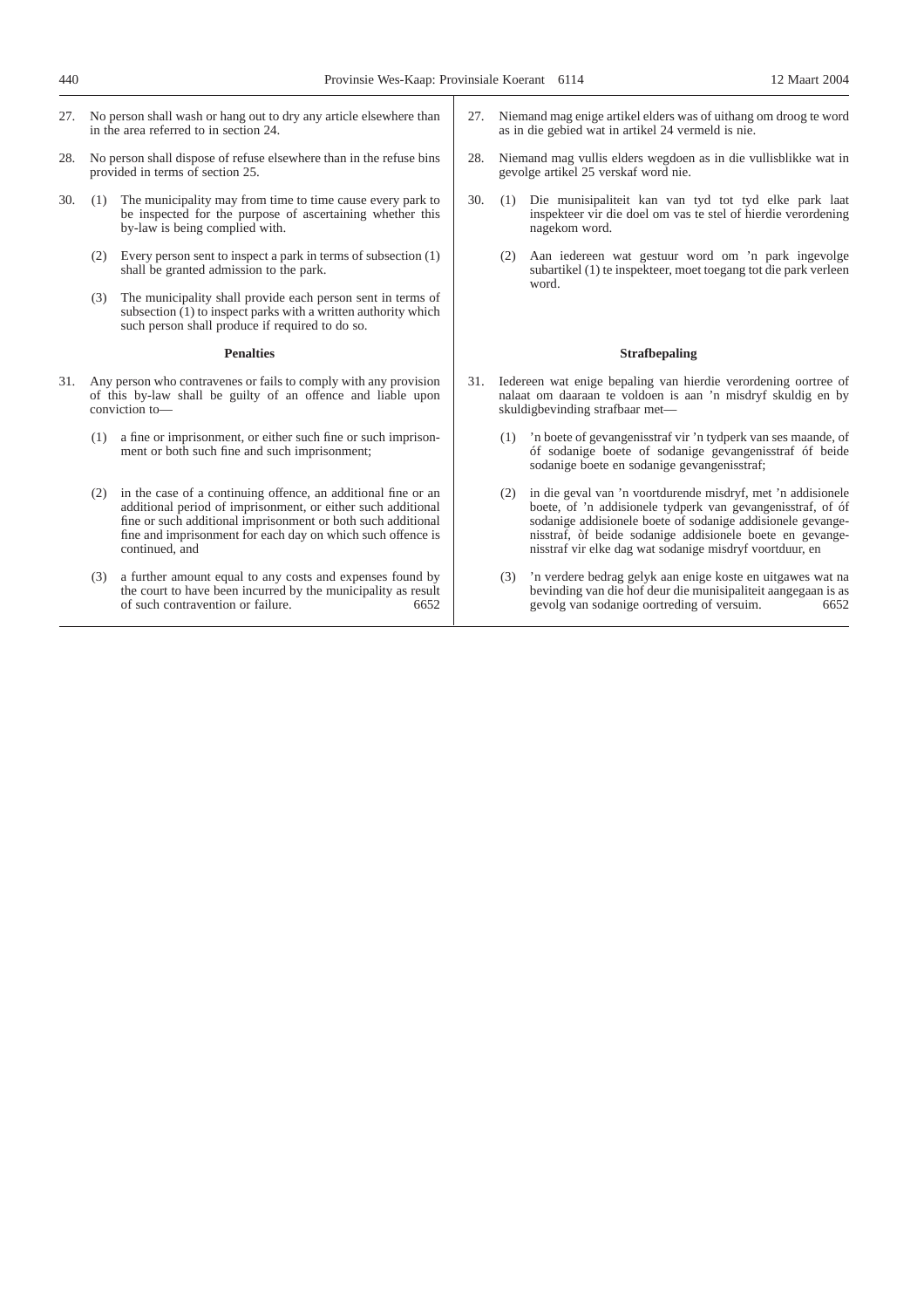- 27. No person shall wash or hang out to dry any article elsewhere than in the area referred to in section 24.
- 28. No person shall dispose of refuse elsewhere than in the refuse bins provided in terms of section 25.
- 30. (1) The municipality may from time to time cause every park to be inspected for the purpose of ascertaining whether this by-law is being complied with.
	- (2) Every person sent to inspect a park in terms of subsection (1) shall be granted admission to the park.
	- (3) The municipality shall provide each person sent in terms of subsection (1) to inspect parks with a written authority which such person shall produce if required to do so.

## **Penalties**

- 31. Any person who contravenes or fails to comply with any provision of this by-law shall be guilty of an offence and liable upon conviction to—
	- (1) a fine or imprisonment, or either such fine or such imprisonment or both such fine and such imprisonment;
	- (2) in the case of a continuing offence, an additional fine or an additional period of imprisonment, or either such additional fine or such additional imprisonment or both such additional fine and imprisonment for each day on which such offence is continued, and
	- (3) a further amount equal to any costs and expenses found by the court to have been incurred by the municipality as result of such contravention or failure. 6652 of such contravention or failure.
- 27. Niemand mag enige artikel elders was of uithang om droog te word as in die gebied wat in artikel 24 vermeld is nie.
- 28. Niemand mag vullis elders wegdoen as in die vullisblikke wat in gevolge artikel 25 verskaf word nie.
- 30. (1) Die munisipaliteit kan van tyd tot tyd elke park laat inspekteer vir die doel om vas te stel of hierdie verordening nagekom word.
	- (2) Aan iedereen wat gestuur word om 'n park ingevolge subartikel (1) te inspekteer, moet toegang tot die park verleen word.

#### **Strafbepaling**

- 31. Iedereen wat enige bepaling van hierdie verordening oortree of nalaat om daaraan te voldoen is aan 'n misdryf skuldig en by skuldigbevinding strafbaar met—
	- (1) 'n boete of gevangenisstraf vir 'n tydperk van ses maande, of óf sodanige boete of sodanige gevangenisstraf óf beide sodanige boete en sodanige gevangenisstraf;
	- (2) in die geval van 'n voortdurende misdryf, met 'n addisionele boete, of 'n addisionele tydperk van gevangenisstraf, of óf sodanige addisionele boete of sodanige addisionele gevangenisstraf, òf beide sodanige addisionele boete en gevangenisstraf vir elke dag wat sodanige misdryf voortduur, en
	- (3) 'n verdere bedrag gelyk aan enige koste en uitgawes wat na bevinding van die hof deur die munisipaliteit aangegaan is as gevolg van sodanige oortreding of versuim.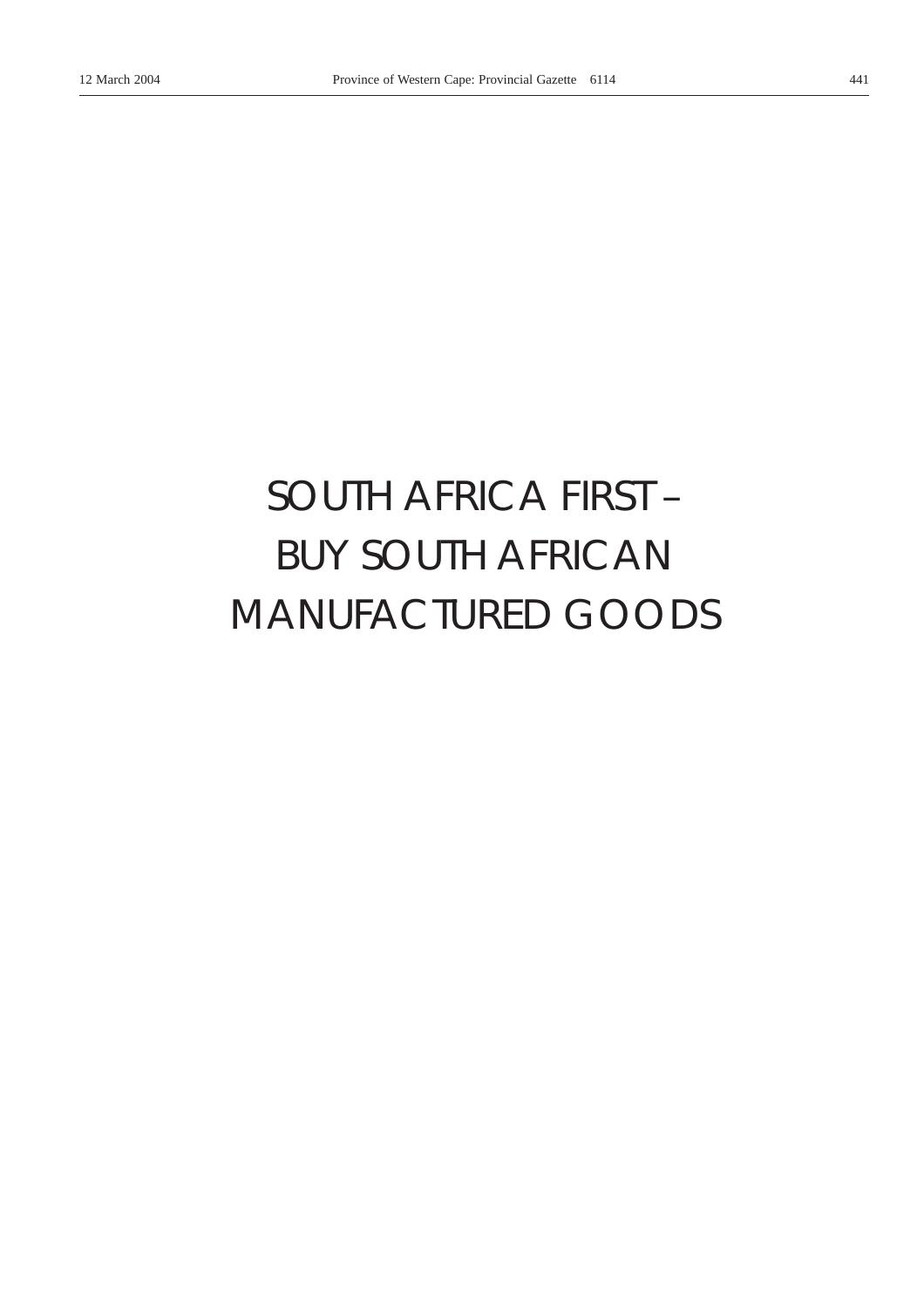## *SOUTH AFRICA FIRST –* BUY SOUTH AFRICAN MANUFACTURED GOODS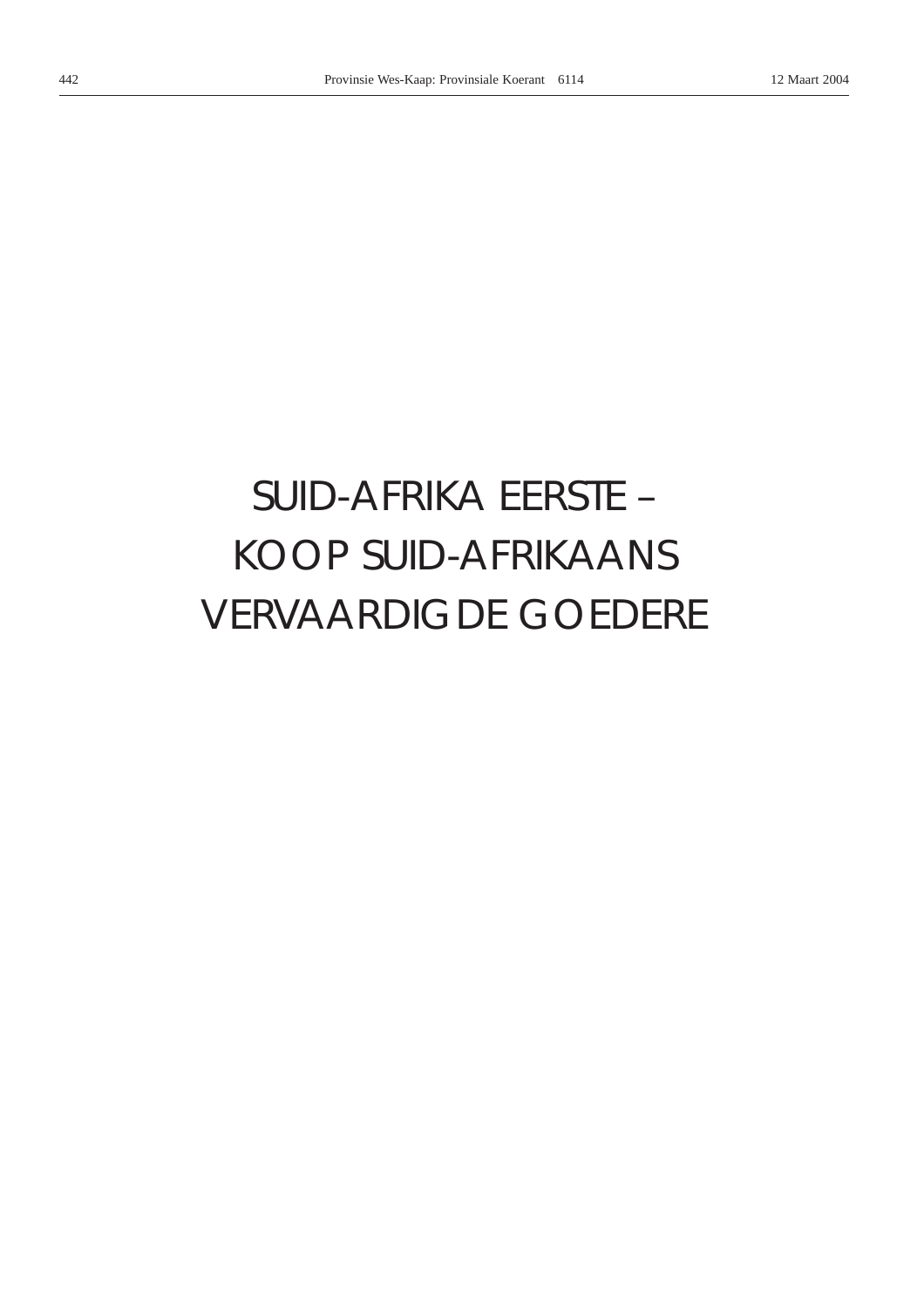# SUID-AFRIKA EERSTE -**KOOP SUID-AFRIKAANS VERVAARDIGDE GOEDERE**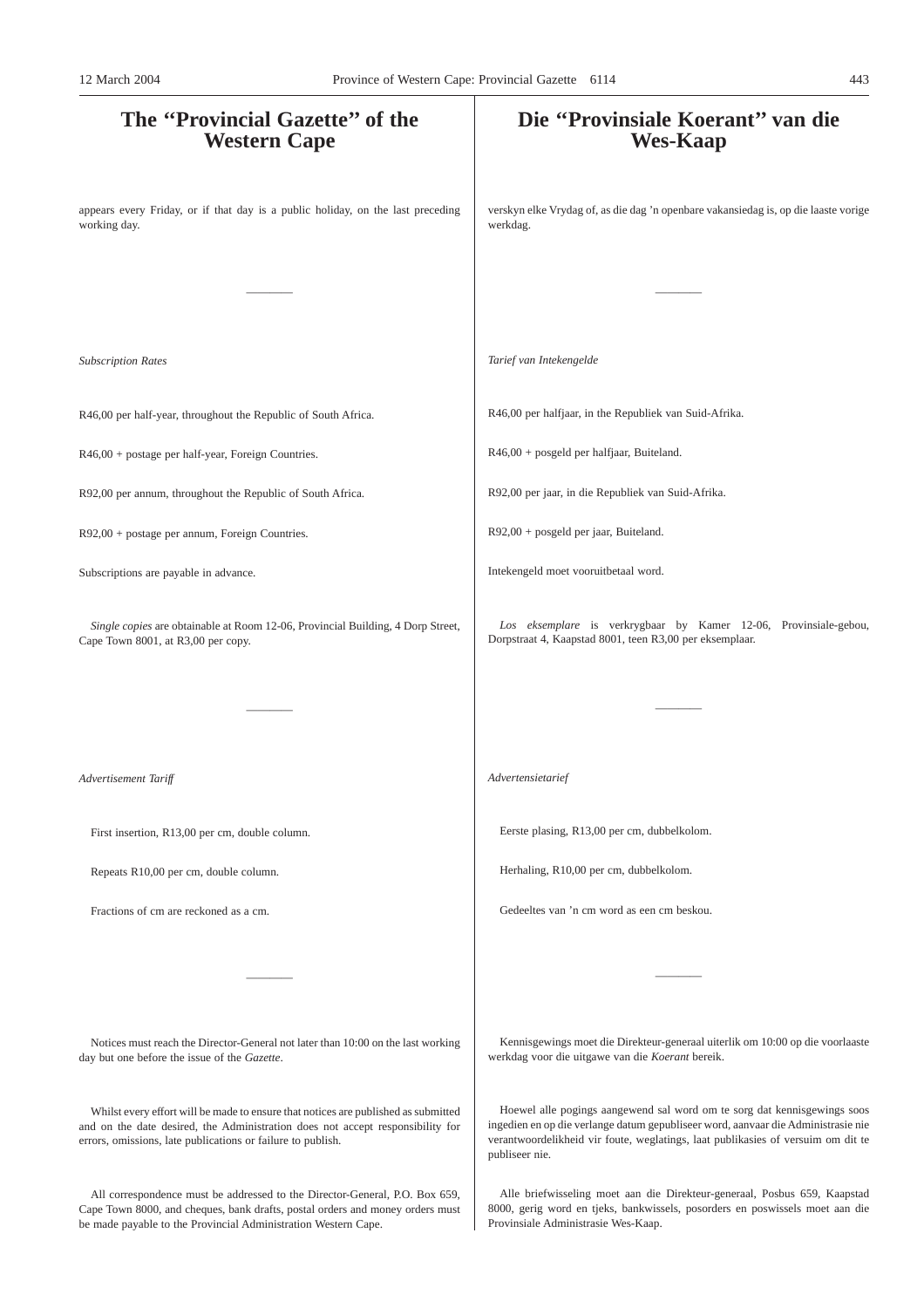### **The ''Provincial Gazette'' of the Western Cape** appears every Friday, or if that day is a public holiday, on the last preceding working day. ———— *Subscription Rates* R46,00 per half-year, throughout the Republic of South Africa. R46,00 + postage per half-year, Foreign Countries. R92,00 per annum, throughout the Republic of South Africa. R92,00 + postage per annum, Foreign Countries. Subscriptions are payable in advance. *Single copies* are obtainable at Room 12-06, Provincial Building, 4 Dorp Street, Cape Town 8001, at R3,00 per copy. ———— *Advertisement Tariff* First insertion, R13,00 per cm, double column. Repeats R10,00 per cm, double column. Fractions of cm are reckoned as a cm. ———— Notices must reach the Director-General not later than 10:00 on the last working day but one before the issue of the *Gazette*. Whilst every effort will be made to ensure that notices are published as submitted **Die ''Provinsiale Koerant'' van die Wes-Kaap** verskyn elke Vrydag of, as die dag 'n openbare vakansiedag is, op die laaste vorige werkdag. ———— *Tarief van Intekengelde* R46,00 per halfjaar, in the Republiek van Suid-Afrika. R46,00 + posgeld per halfjaar, Buiteland. R92,00 per jaar, in die Republiek van Suid-Afrika. R92,00 + posgeld per jaar, Buiteland. Intekengeld moet vooruitbetaal word. *Los eksemplare* is verkrygbaar by Kamer 12-06, Provinsiale-gebou, Dorpstraat 4, Kaapstad 8001, teen R3,00 per eksemplaar. ———— *Advertensietarief* Eerste plasing, R13,00 per cm, dubbelkolom. Herhaling, R10,00 per cm, dubbelkolom. Gedeeltes van 'n cm word as een cm beskou. ———— Kennisgewings moet die Direkteur-generaal uiterlik om 10:00 op die voorlaaste werkdag voor die uitgawe van die *Koerant* bereik. Hoewel alle pogings aangewend sal word om te sorg dat kennisgewings soos 12 March 2004 Province of Western Cape: Provincial Gazette 6114 443

publiseer nie.

and on the date desired, the Administration does not accept responsibility for errors, omissions, late publications or failure to publish.

All correspondence must be addressed to the Director-General, P.O. Box 659, Cape Town 8000, and cheques, bank drafts, postal orders and money orders must be made payable to the Provincial Administration Western Cape.

Alle briefwisseling moet aan die Direkteur-generaal, Posbus 659, Kaapstad 8000, gerig word en tjeks, bankwissels, posorders en poswissels moet aan die Provinsiale Administrasie Wes-Kaap.

ingedien en op die verlange datum gepubliseer word, aanvaar die Administrasie nie verantwoordelikheid vir foute, weglatings, laat publikasies of versuim om dit te